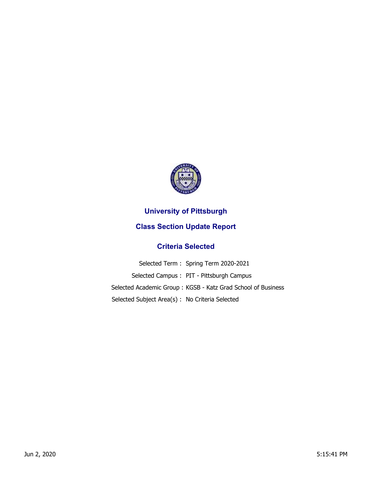

## **University of Pittsburgh**

## **Class Section Update Report**

## **Criteria Selected**

|                                                 | Selected Term: Spring Term 2020-2021                         |
|-------------------------------------------------|--------------------------------------------------------------|
|                                                 | Selected Campus: PIT - Pittsburgh Campus                     |
|                                                 | Selected Academic Group: KGSB - Katz Grad School of Business |
| Selected Subject Area(s) : No Criteria Selected |                                                              |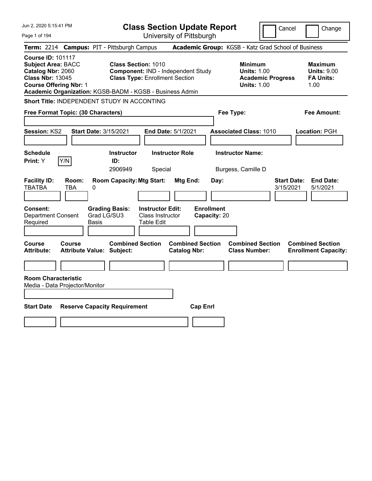| Jun 2, 2020 5:15:41 PM                                                                                                                                                                             |                                  |                                                                                                           |                                                                  | <b>Class Section Update Report</b>             |                                                            | Cancel                          | Change                                                           |
|----------------------------------------------------------------------------------------------------------------------------------------------------------------------------------------------------|----------------------------------|-----------------------------------------------------------------------------------------------------------|------------------------------------------------------------------|------------------------------------------------|------------------------------------------------------------|---------------------------------|------------------------------------------------------------------|
| Page 1 of 194                                                                                                                                                                                      |                                  |                                                                                                           |                                                                  | University of Pittsburgh                       |                                                            |                                 |                                                                  |
| Term: 2214 Campus: PIT - Pittsburgh Campus                                                                                                                                                         |                                  |                                                                                                           |                                                                  |                                                | Academic Group: KGSB - Katz Grad School of Business        |                                 |                                                                  |
| <b>Course ID: 101117</b><br><b>Subject Area: BACC</b><br>Catalog Nbr: 2060<br><b>Class Nbr: 13045</b><br><b>Course Offering Nbr: 1</b><br>Academic Organization: KGSB-BADM - KGSB - Business Admin |                                  | <b>Class Section: 1010</b><br>Component: IND - Independent Study<br><b>Class Type: Enrollment Section</b> |                                                                  |                                                | <b>Minimum</b><br><b>Units: 1.00</b><br><b>Units: 1.00</b> | <b>Academic Progress</b>        | <b>Maximum</b><br><b>Units: 9.00</b><br><b>FA Units:</b><br>1.00 |
| <b>Short Title: INDEPENDENT STUDY IN ACCONTING</b>                                                                                                                                                 |                                  |                                                                                                           |                                                                  |                                                |                                                            |                                 |                                                                  |
| Free Format Topic: (30 Characters)                                                                                                                                                                 |                                  |                                                                                                           |                                                                  |                                                | Fee Type:                                                  |                                 | Fee Amount:                                                      |
| Session: KS2                                                                                                                                                                                       | <b>Start Date: 3/15/2021</b>     |                                                                                                           | End Date: 5/1/2021                                               |                                                | <b>Associated Class: 1010</b>                              |                                 | Location: PGH                                                    |
| <b>Schedule</b><br>Print: Y<br>Y/N                                                                                                                                                                 |                                  | <b>Instructor</b><br>ID:<br>2906949                                                                       | <b>Instructor Role</b><br>Special                                |                                                | <b>Instructor Name:</b><br>Burgess, Camille D              |                                 |                                                                  |
| <b>Facility ID:</b><br>TBATBA<br>TBA                                                                                                                                                               | Room:<br>0                       | <b>Room Capacity: Mtg Start:</b>                                                                          |                                                                  | Mtg End:<br>Day:                               |                                                            | <b>Start Date:</b><br>3/15/2021 | <b>End Date:</b><br>5/1/2021                                     |
| Consent:<br><b>Department Consent</b><br>Required                                                                                                                                                  | Grad LG/SU3<br>Basis             | <b>Grading Basis:</b>                                                                                     | <b>Instructor Edit:</b><br>Class Instructor<br><b>Table Edit</b> | <b>Enrollment</b><br>Capacity: 20              |                                                            |                                 |                                                                  |
| <b>Course</b><br>Course<br><b>Attribute:</b>                                                                                                                                                       | <b>Attribute Value: Subject:</b> | <b>Combined Section</b>                                                                                   |                                                                  | <b>Combined Section</b><br><b>Catalog Nbr:</b> | <b>Combined Section</b><br><b>Class Number:</b>            |                                 | <b>Combined Section</b><br><b>Enrollment Capacity:</b>           |
|                                                                                                                                                                                                    |                                  |                                                                                                           |                                                                  |                                                |                                                            |                                 |                                                                  |
| <b>Room Characteristic</b><br>Media - Data Projector/Monitor                                                                                                                                       |                                  |                                                                                                           |                                                                  |                                                |                                                            |                                 |                                                                  |
| <b>Start Date</b>                                                                                                                                                                                  |                                  | <b>Reserve Capacity Requirement</b>                                                                       |                                                                  | <b>Cap Enrl</b>                                |                                                            |                                 |                                                                  |
|                                                                                                                                                                                                    |                                  |                                                                                                           |                                                                  |                                                |                                                            |                                 |                                                                  |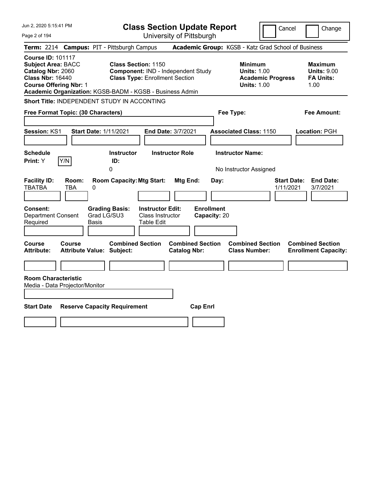| Jun 2, 2020 5:15:41 PM                                                                                                                 | <b>Class Section Update Report</b>                                                                                                                                    | Cancel                                                                                 | Change                                                           |
|----------------------------------------------------------------------------------------------------------------------------------------|-----------------------------------------------------------------------------------------------------------------------------------------------------------------------|----------------------------------------------------------------------------------------|------------------------------------------------------------------|
| Page 2 of 194                                                                                                                          | University of Pittsburgh                                                                                                                                              |                                                                                        |                                                                  |
| Term: 2214 Campus: PIT - Pittsburgh Campus                                                                                             |                                                                                                                                                                       | Academic Group: KGSB - Katz Grad School of Business                                    |                                                                  |
| <b>Course ID: 101117</b><br><b>Subject Area: BACC</b><br>Catalog Nbr: 2060<br><b>Class Nbr: 16440</b><br><b>Course Offering Nbr: 1</b> | <b>Class Section: 1150</b><br>Component: IND - Independent Study<br><b>Class Type: Enrollment Section</b><br>Academic Organization: KGSB-BADM - KGSB - Business Admin | <b>Minimum</b><br><b>Units: 1.00</b><br><b>Academic Progress</b><br><b>Units: 1.00</b> | <b>Maximum</b><br><b>Units: 9.00</b><br><b>FA Units:</b><br>1.00 |
| Short Title: INDEPENDENT STUDY IN ACCONTING                                                                                            |                                                                                                                                                                       |                                                                                        |                                                                  |
| Free Format Topic: (30 Characters)                                                                                                     |                                                                                                                                                                       | Fee Type:                                                                              | Fee Amount:                                                      |
| Session: KS1<br><b>Start Date: 1/11/2021</b>                                                                                           | End Date: 3/7/2021                                                                                                                                                    | <b>Associated Class: 1150</b>                                                          | Location: PGH                                                    |
| <b>Schedule</b><br>Print: Y<br>Y/N                                                                                                     | <b>Instructor Role</b><br><b>Instructor</b><br>ID:<br>$\mathbf 0$                                                                                                     | <b>Instructor Name:</b><br>No Instructor Assigned                                      |                                                                  |
| <b>Facility ID:</b><br>Room:<br><b>TBATBA</b><br>0<br>TBA                                                                              | <b>Room Capacity: Mtg Start:</b><br>Mtg End:<br>Day:                                                                                                                  | <b>Start Date:</b><br>1/11/2021                                                        | <b>End Date:</b><br>3/7/2021                                     |
| <b>Consent:</b><br><b>Department Consent</b><br>Required<br>Basis                                                                      | <b>Enrollment</b><br><b>Instructor Edit:</b><br><b>Grading Basis:</b><br>Grad LG/SU3<br>Class Instructor<br>Capacity: 20<br>Table Edit                                |                                                                                        |                                                                  |
| Course<br>Course<br><b>Attribute:</b><br>Attribute Value: Subject:                                                                     | <b>Combined Section</b><br><b>Combined Section</b><br><b>Catalog Nbr:</b>                                                                                             | <b>Combined Section</b><br><b>Class Number:</b>                                        | <b>Combined Section</b><br><b>Enrollment Capacity:</b>           |
|                                                                                                                                        |                                                                                                                                                                       |                                                                                        |                                                                  |
| <b>Room Characteristic</b><br>Media - Data Projector/Monitor                                                                           |                                                                                                                                                                       |                                                                                        |                                                                  |
| <b>Start Date</b><br><b>Reserve Capacity Requirement</b>                                                                               | <b>Cap Enrl</b>                                                                                                                                                       |                                                                                        |                                                                  |
|                                                                                                                                        |                                                                                                                                                                       |                                                                                        |                                                                  |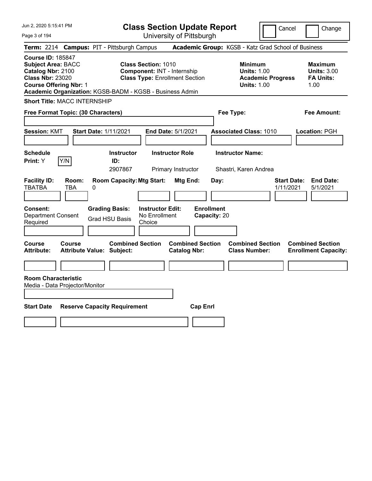Page 3 of 194

**Class Section Update Report**

Cancel **Change** 

| Term: 2214 Campus: PIT - Pittsburgh Campus                                                                                                                                                         |                                                   |   |                                                |                                                                                                    |                                                |                 |                                   | <b>Academic Group: KGSB - Katz Grad School of Business</b> |                          |                    |                                                                  |
|----------------------------------------------------------------------------------------------------------------------------------------------------------------------------------------------------|---------------------------------------------------|---|------------------------------------------------|----------------------------------------------------------------------------------------------------|------------------------------------------------|-----------------|-----------------------------------|------------------------------------------------------------|--------------------------|--------------------|------------------------------------------------------------------|
| <b>Course ID: 185847</b><br><b>Subject Area: BACC</b><br>Catalog Nbr: 2100<br><b>Class Nbr: 23020</b><br><b>Course Offering Nbr: 1</b><br>Academic Organization: KGSB-BADM - KGSB - Business Admin |                                                   |   |                                                | <b>Class Section: 1010</b><br>Component: INT - Internship<br><b>Class Type: Enrollment Section</b> |                                                |                 |                                   | <b>Minimum</b><br><b>Units: 1.00</b><br><b>Units: 1.00</b> | <b>Academic Progress</b> |                    | <b>Maximum</b><br><b>Units: 3.00</b><br><b>FA Units:</b><br>1.00 |
| <b>Short Title: MACC INTERNSHIP</b>                                                                                                                                                                |                                                   |   |                                                |                                                                                                    |                                                |                 |                                   |                                                            |                          |                    |                                                                  |
| Free Format Topic: (30 Characters)                                                                                                                                                                 |                                                   |   |                                                |                                                                                                    |                                                |                 |                                   | Fee Type:                                                  |                          |                    | <b>Fee Amount:</b>                                               |
| <b>Session: KMT</b>                                                                                                                                                                                |                                                   |   | <b>Start Date: 1/11/2021</b>                   |                                                                                                    | End Date: 5/1/2021                             |                 |                                   | <b>Associated Class: 1010</b>                              |                          |                    | Location: PGH                                                    |
|                                                                                                                                                                                                    |                                                   |   |                                                |                                                                                                    |                                                |                 |                                   |                                                            |                          |                    |                                                                  |
| <b>Schedule</b><br>Print: Y                                                                                                                                                                        | Y/N                                               |   | <b>Instructor</b><br>ID:<br>2907867            |                                                                                                    | <b>Instructor Role</b><br>Primary Instructor   |                 |                                   | <b>Instructor Name:</b><br>Shastri, Karen Andrea           |                          |                    |                                                                  |
| <b>Facility ID:</b><br><b>TBATBA</b>                                                                                                                                                               | Room:<br><b>TBA</b>                               | 0 | <b>Room Capacity: Mtg Start:</b>               |                                                                                                    | Mtg End:                                       |                 | Day:                              |                                                            | 1/11/2021                | <b>Start Date:</b> | <b>End Date:</b><br>5/1/2021                                     |
| <b>Consent:</b><br><b>Department Consent</b><br>Required                                                                                                                                           |                                                   |   | <b>Grading Basis:</b><br><b>Grad HSU Basis</b> | <b>Instructor Edit:</b><br>No Enrollment<br>Choice                                                 |                                                |                 | <b>Enrollment</b><br>Capacity: 20 |                                                            |                          |                    |                                                                  |
| <b>Course</b><br>Attribute:                                                                                                                                                                        | <b>Course</b><br><b>Attribute Value: Subject:</b> |   | <b>Combined Section</b>                        |                                                                                                    | <b>Combined Section</b><br><b>Catalog Nbr:</b> |                 |                                   | <b>Combined Section</b><br><b>Class Number:</b>            |                          |                    | <b>Combined Section</b><br><b>Enrollment Capacity:</b>           |
|                                                                                                                                                                                                    |                                                   |   |                                                |                                                                                                    |                                                |                 |                                   |                                                            |                          |                    |                                                                  |
| <b>Room Characteristic</b><br>Media - Data Projector/Monitor                                                                                                                                       |                                                   |   |                                                |                                                                                                    |                                                |                 |                                   |                                                            |                          |                    |                                                                  |
| <b>Start Date</b>                                                                                                                                                                                  |                                                   |   | <b>Reserve Capacity Requirement</b>            |                                                                                                    |                                                | <b>Cap Enrl</b> |                                   |                                                            |                          |                    |                                                                  |
|                                                                                                                                                                                                    |                                                   |   |                                                |                                                                                                    |                                                |                 |                                   |                                                            |                          |                    |                                                                  |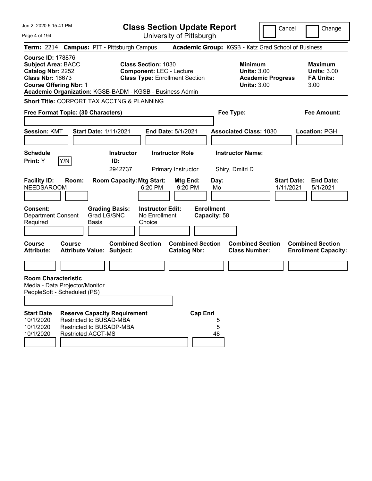| Jun 2, 2020 5:15:41 PM                                                                                                                                                                             |                                                                                         |                                               |                              | <b>Class Section Update Report</b>                                                                     |                                              |                                   |              |                                                                                        | Cancel                          | Change                                                           |
|----------------------------------------------------------------------------------------------------------------------------------------------------------------------------------------------------|-----------------------------------------------------------------------------------------|-----------------------------------------------|------------------------------|--------------------------------------------------------------------------------------------------------|----------------------------------------------|-----------------------------------|--------------|----------------------------------------------------------------------------------------|---------------------------------|------------------------------------------------------------------|
| Page 4 of 194                                                                                                                                                                                      |                                                                                         |                                               |                              |                                                                                                        | University of Pittsburgh                     |                                   |              |                                                                                        |                                 |                                                                  |
| Term: 2214 Campus: PIT - Pittsburgh Campus                                                                                                                                                         |                                                                                         |                                               |                              |                                                                                                        |                                              |                                   |              | Academic Group: KGSB - Katz Grad School of Business                                    |                                 |                                                                  |
| <b>Course ID: 178876</b><br><b>Subject Area: BACC</b><br>Catalog Nbr: 2252<br><b>Class Nbr: 16673</b><br><b>Course Offering Nbr: 1</b><br>Academic Organization: KGSB-BADM - KGSB - Business Admin |                                                                                         |                                               |                              | <b>Class Section: 1030</b><br><b>Component: LEC - Lecture</b><br><b>Class Type: Enrollment Section</b> |                                              |                                   |              | <b>Minimum</b><br><b>Units: 3.00</b><br><b>Academic Progress</b><br><b>Units: 3.00</b> |                                 | <b>Maximum</b><br><b>Units: 3.00</b><br><b>FA Units:</b><br>3.00 |
| Short Title: CORPORT TAX ACCTNG & PLANNING                                                                                                                                                         |                                                                                         |                                               |                              |                                                                                                        |                                              |                                   |              |                                                                                        |                                 |                                                                  |
| Free Format Topic: (30 Characters)                                                                                                                                                                 |                                                                                         |                                               |                              |                                                                                                        |                                              |                                   |              | Fee Type:                                                                              |                                 | <b>Fee Amount:</b>                                               |
| <b>Session: KMT</b>                                                                                                                                                                                |                                                                                         | <b>Start Date: 1/11/2021</b>                  |                              |                                                                                                        | <b>End Date: 5/1/2021</b>                    |                                   |              | <b>Associated Class: 1030</b>                                                          |                                 | <b>Location: PGH</b>                                             |
| <b>Schedule</b><br>Print: Y                                                                                                                                                                        | Y/N                                                                                     | ID:                                           | <b>Instructor</b><br>2942737 |                                                                                                        | <b>Instructor Role</b><br>Primary Instructor |                                   |              | <b>Instructor Name:</b><br>Shiry, Dmitri D                                             |                                 |                                                                  |
| <b>Facility ID:</b><br><b>NEEDSAROOM</b>                                                                                                                                                           | Room:                                                                                   |                                               |                              | <b>Room Capacity: Mtg Start:</b><br>6:20 PM                                                            | Mtg End:<br>9:20 PM                          |                                   | Day:<br>Mo   |                                                                                        | <b>Start Date:</b><br>1/11/2021 | <b>End Date:</b><br>5/1/2021                                     |
| <b>Consent:</b><br><b>Department Consent</b><br>Required                                                                                                                                           |                                                                                         | <b>Grading Basis:</b><br>Grad LG/SNC<br>Basis |                              | <b>Instructor Edit:</b><br>No Enrollment<br>Choice                                                     |                                              | <b>Enrollment</b><br>Capacity: 58 |              |                                                                                        |                                 |                                                                  |
| <b>Course</b><br><b>Attribute:</b>                                                                                                                                                                 | <b>Course</b><br><b>Attribute Value: Subject:</b>                                       |                                               | <b>Combined Section</b>      |                                                                                                        | <b>Catalog Nbr:</b>                          | <b>Combined Section</b>           |              | <b>Combined Section</b><br><b>Class Number:</b>                                        |                                 | <b>Combined Section</b><br><b>Enrollment Capacity:</b>           |
|                                                                                                                                                                                                    |                                                                                         |                                               |                              |                                                                                                        |                                              |                                   |              |                                                                                        |                                 |                                                                  |
| <b>Room Characteristic</b><br>Media - Data Projector/Monitor<br>PeopleSoft - Scheduled (PS)<br><b>Start Date</b>                                                                                   | <b>Reserve Capacity Requirement</b>                                                     |                                               |                              |                                                                                                        |                                              | <b>Cap Enrl</b>                   |              |                                                                                        |                                 |                                                                  |
| 10/1/2020<br>10/1/2020<br>10/1/2020                                                                                                                                                                | Restricted to BUSAD-MBA<br><b>Restricted to BUSADP-MBA</b><br><b>Restricted ACCT-MS</b> |                                               |                              |                                                                                                        |                                              |                                   | 5<br>5<br>48 |                                                                                        |                                 |                                                                  |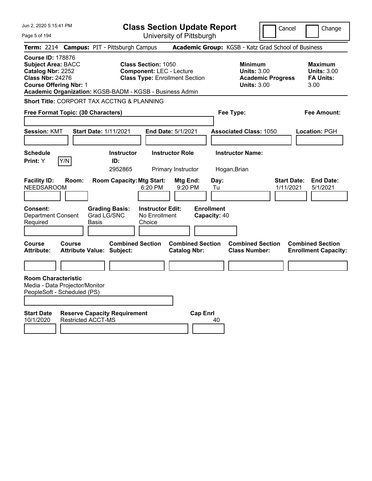| Jun 2, 2020 5:15:41 PM                                                                                                                 |                           |                                                          |                                                               | <b>Class Section Update Report</b>             |                                   |                                                                                        | Cancel                          | Change                                                    |
|----------------------------------------------------------------------------------------------------------------------------------------|---------------------------|----------------------------------------------------------|---------------------------------------------------------------|------------------------------------------------|-----------------------------------|----------------------------------------------------------------------------------------|---------------------------------|-----------------------------------------------------------|
| Page 5 of 194                                                                                                                          |                           |                                                          |                                                               | University of Pittsburgh                       |                                   |                                                                                        |                                 |                                                           |
| <b>Term: 2214</b>                                                                                                                      |                           | <b>Campus: PIT - Pittsburgh Campus</b>                   |                                                               |                                                |                                   | Academic Group: KGSB - Katz Grad School of Business                                    |                                 |                                                           |
| <b>Course ID: 178876</b><br><b>Subject Area: BACC</b><br>Catalog Nbr: 2252<br><b>Class Nbr: 24276</b><br><b>Course Offering Nbr: 1</b> |                           | Academic Organization: KGSB-BADM - KGSB - Business Admin | <b>Class Section: 1050</b><br><b>Component: LEC - Lecture</b> | <b>Class Type: Enrollment Section</b>          |                                   | <b>Minimum</b><br><b>Units: 3.00</b><br><b>Academic Progress</b><br><b>Units: 3.00</b> |                                 | Maximum<br><b>Units: 3.00</b><br><b>FA Units:</b><br>3.00 |
|                                                                                                                                        |                           | Short Title: CORPORT TAX ACCTNG & PLANNING               |                                                               |                                                |                                   |                                                                                        |                                 |                                                           |
| Free Format Topic: (30 Characters)                                                                                                     |                           |                                                          |                                                               |                                                | Fee Type:                         |                                                                                        |                                 | Fee Amount:                                               |
| <b>Session: KMT</b>                                                                                                                    |                           | <b>Start Date: 1/11/2021</b>                             |                                                               | <b>End Date: 5/1/2021</b>                      |                                   | <b>Associated Class: 1050</b>                                                          |                                 | <b>Location: PGH</b>                                      |
| <b>Schedule</b><br>Print: Y                                                                                                            | Y/N                       | <b>Instructor</b><br>ID:<br>2952865                      |                                                               | <b>Instructor Role</b><br>Primary Instructor   | Hogan, Brian                      | <b>Instructor Name:</b>                                                                |                                 |                                                           |
| <b>Facility ID:</b><br><b>NEEDSAROOM</b>                                                                                               | Room:                     | <b>Room Capacity: Mtg Start:</b>                         | 6:20 PM                                                       | Mtg End:<br>9:20 PM                            | Day:<br>Tu                        |                                                                                        | <b>Start Date:</b><br>1/11/2021 | <b>End Date:</b><br>5/1/2021                              |
| Consent:<br><b>Department Consent</b><br>Required                                                                                      |                           | <b>Grading Basis:</b><br>Grad LG/SNC<br>Basis            | <b>Instructor Edit:</b><br>No Enrollment<br>Choice            |                                                | <b>Enrollment</b><br>Capacity: 40 |                                                                                        |                                 |                                                           |
| Course<br><b>Attribute:</b>                                                                                                            | Course                    | <b>Combined Section</b><br>Attribute Value: Subject:     |                                                               | <b>Combined Section</b><br><b>Catalog Nbr:</b> |                                   | <b>Combined Section</b><br><b>Class Number:</b>                                        |                                 | <b>Combined Section</b><br><b>Enrollment Capacity:</b>    |
|                                                                                                                                        |                           |                                                          |                                                               |                                                |                                   |                                                                                        |                                 |                                                           |
| <b>Room Characteristic</b><br>Media - Data Projector/Monitor<br>PeopleSoft - Scheduled (PS)                                            |                           |                                                          |                                                               |                                                |                                   |                                                                                        |                                 |                                                           |
| <b>Start Date</b><br>10/1/2020                                                                                                         | <b>Restricted ACCT-MS</b> | <b>Reserve Capacity Requirement</b>                      |                                                               | <b>Cap Enrl</b>                                | 40                                |                                                                                        |                                 |                                                           |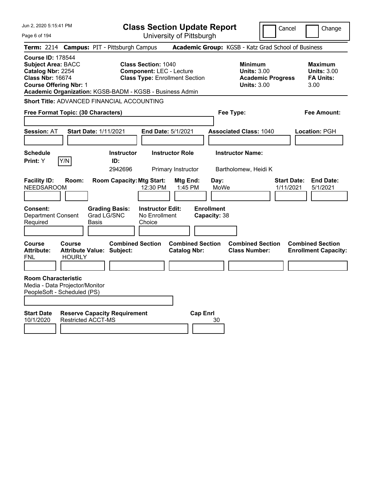| Jun 2, 2020 5:15:41 PM                                                                                                                 |                                                                  |                                      | <b>Class Section Update Report</b>                                                                     |                                                |                                   |                                                            | Cancel                   |                                                        | Change                                                   |
|----------------------------------------------------------------------------------------------------------------------------------------|------------------------------------------------------------------|--------------------------------------|--------------------------------------------------------------------------------------------------------|------------------------------------------------|-----------------------------------|------------------------------------------------------------|--------------------------|--------------------------------------------------------|----------------------------------------------------------|
| Page 6 of 194                                                                                                                          |                                                                  |                                      |                                                                                                        | University of Pittsburgh                       |                                   |                                                            |                          |                                                        |                                                          |
| <b>Term: 2214</b>                                                                                                                      | <b>Campus: PIT - Pittsburgh Campus</b>                           |                                      |                                                                                                        |                                                |                                   |                                                            |                          | Academic Group: KGSB - Katz Grad School of Business    |                                                          |
| <b>Course ID: 178544</b><br><b>Subject Area: BACC</b><br>Catalog Nbr: 2254<br><b>Class Nbr: 16674</b><br><b>Course Offering Nbr: 1</b> | Academic Organization: KGSB-BADM - KGSB - Business Admin         |                                      | <b>Class Section: 1040</b><br><b>Component: LEC - Lecture</b><br><b>Class Type: Enrollment Section</b> |                                                |                                   | <b>Minimum</b><br><b>Units: 3.00</b><br><b>Units: 3.00</b> | <b>Academic Progress</b> | 3.00                                                   | <b>Maximum</b><br><b>Units: 3.00</b><br><b>FA Units:</b> |
|                                                                                                                                        | <b>Short Title: ADVANCED FINANCIAL ACCOUNTING</b>                |                                      |                                                                                                        |                                                |                                   |                                                            |                          |                                                        |                                                          |
|                                                                                                                                        | Free Format Topic: (30 Characters)                               |                                      |                                                                                                        |                                                | Fee Type:                         |                                                            |                          |                                                        | Fee Amount:                                              |
| <b>Session: AT</b>                                                                                                                     | <b>Start Date: 1/11/2021</b>                                     |                                      | <b>End Date: 5/1/2021</b>                                                                              |                                                |                                   | <b>Associated Class: 1040</b>                              |                          | Location: PGH                                          |                                                          |
| <b>Schedule</b><br>Print: Y                                                                                                            | Y/N                                                              | <b>Instructor</b><br>ID:<br>2942696  |                                                                                                        | <b>Instructor Role</b><br>Primary Instructor   |                                   | <b>Instructor Name:</b><br>Bartholomew, Heidi K            |                          |                                                        |                                                          |
| <b>Facility ID:</b><br><b>NEEDSAROOM</b>                                                                                               | Room:                                                            | <b>Room Capacity: Mtg Start:</b>     | 12:30 PM                                                                                               | Mtg End:<br>1:45 PM                            | Day:<br>MoWe                      |                                                            | 1/11/2021                | <b>Start Date:</b>                                     | <b>End Date:</b><br>5/1/2021                             |
| <b>Consent:</b><br><b>Department Consent</b><br>Required                                                                               | Basis                                                            | <b>Grading Basis:</b><br>Grad LG/SNC | <b>Instructor Edit:</b><br>No Enrollment<br>Choice                                                     |                                                | <b>Enrollment</b><br>Capacity: 38 |                                                            |                          |                                                        |                                                          |
| Course<br><b>Attribute:</b><br>FNL                                                                                                     | Course<br><b>Attribute Value: Subject:</b><br><b>HOURLY</b>      | <b>Combined Section</b>              |                                                                                                        | <b>Combined Section</b><br><b>Catalog Nbr:</b> |                                   | <b>Combined Section</b><br><b>Class Number:</b>            |                          | <b>Combined Section</b><br><b>Enrollment Capacity:</b> |                                                          |
| <b>Room Characteristic</b><br>PeopleSoft - Scheduled (PS)                                                                              | Media - Data Projector/Monitor                                   |                                      |                                                                                                        |                                                |                                   |                                                            |                          |                                                        |                                                          |
| <b>Start Date</b><br>10/1/2020                                                                                                         | <b>Reserve Capacity Requirement</b><br><b>Restricted ACCT-MS</b> |                                      |                                                                                                        | <b>Cap Enrl</b>                                | 30                                |                                                            |                          |                                                        |                                                          |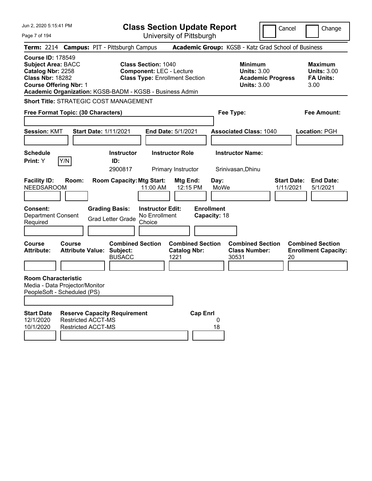| Jun 2, 2020 5:15:41 PM                                                                                                                 |                                                                                                                                                                           | <b>Class Section Update Report</b>                     |                                                            | Cancel                          | Change                                                           |
|----------------------------------------------------------------------------------------------------------------------------------------|---------------------------------------------------------------------------------------------------------------------------------------------------------------------------|--------------------------------------------------------|------------------------------------------------------------|---------------------------------|------------------------------------------------------------------|
| Page 7 of 194                                                                                                                          |                                                                                                                                                                           | University of Pittsburgh                               |                                                            |                                 |                                                                  |
|                                                                                                                                        | Term: 2214 Campus: PIT - Pittsburgh Campus                                                                                                                                |                                                        | Academic Group: KGSB - Katz Grad School of Business        |                                 |                                                                  |
| <b>Course ID: 178549</b><br><b>Subject Area: BACC</b><br>Catalog Nbr: 2258<br><b>Class Nbr: 18282</b><br><b>Course Offering Nbr: 1</b> | <b>Class Section: 1040</b><br><b>Component: LEC - Lecture</b><br><b>Class Type: Enrollment Section</b><br><b>Academic Organization: KGSB-BADM - KGSB - Business Admin</b> |                                                        | <b>Minimum</b><br><b>Units: 3.00</b><br><b>Units: 3.00</b> | <b>Academic Progress</b>        | <b>Maximum</b><br><b>Units: 3.00</b><br><b>FA Units:</b><br>3.00 |
| <b>Short Title: STRATEGIC COST MANAGEMENT</b>                                                                                          |                                                                                                                                                                           |                                                        |                                                            |                                 |                                                                  |
| Free Format Topic: (30 Characters)                                                                                                     |                                                                                                                                                                           |                                                        | Fee Type:                                                  |                                 | <b>Fee Amount:</b>                                               |
| <b>Session: KMT</b>                                                                                                                    | <b>Start Date: 1/11/2021</b>                                                                                                                                              | <b>End Date: 5/1/2021</b>                              | <b>Associated Class: 1040</b>                              |                                 | <b>Location: PGH</b>                                             |
| <b>Schedule</b>                                                                                                                        | <b>Instructor</b>                                                                                                                                                         | <b>Instructor Role</b>                                 | <b>Instructor Name:</b>                                    |                                 |                                                                  |
| Y/N<br>Print: Y                                                                                                                        | ID:<br>2900817                                                                                                                                                            | Primary Instructor                                     | Srinivasan, Dhinu                                          |                                 |                                                                  |
| <b>Facility ID:</b><br>Room:<br><b>NEEDSAROOM</b><br>Consent:<br><b>Department Consent</b><br>Required                                 | <b>Room Capacity: Mtg Start:</b><br>11:00 AM<br><b>Grading Basis:</b><br><b>Instructor Edit:</b><br>No Enrollment<br><b>Grad Letter Grade</b><br>Choice                   | Mtg End:<br>12:15 PM                                   | Day:<br>MoWe<br><b>Enrollment</b><br>Capacity: 18          | <b>Start Date:</b><br>1/11/2021 | <b>End Date:</b><br>5/1/2021                                     |
| <b>Course</b><br>Course<br><b>Attribute:</b><br><b>Room Characteristic</b>                                                             | <b>Combined Section</b><br><b>Attribute Value: Subject:</b><br><b>BUSACC</b>                                                                                              | <b>Combined Section</b><br><b>Catalog Nbr:</b><br>1221 | <b>Combined Section</b><br><b>Class Number:</b><br>30531   | 20                              | <b>Combined Section</b><br><b>Enrollment Capacity:</b>           |
| Media - Data Projector/Monitor<br>PeopleSoft - Scheduled (PS)                                                                          |                                                                                                                                                                           |                                                        |                                                            |                                 |                                                                  |
| <b>Start Date</b><br>12/1/2020<br><b>Restricted ACCT-MS</b><br><b>Restricted ACCT-MS</b><br>10/1/2020                                  | <b>Reserve Capacity Requirement</b>                                                                                                                                       | <b>Cap Enrl</b>                                        | 0<br>18                                                    |                                 |                                                                  |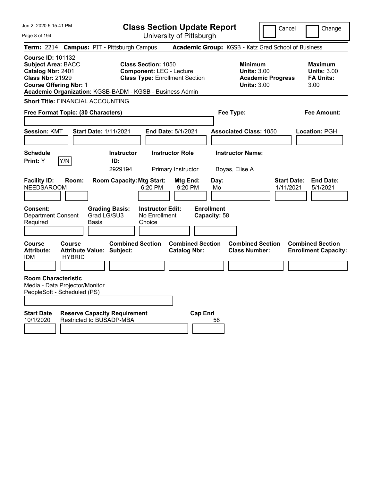Jun 2, 2020 5:15:41 PM Page 8 of 194 **Class Section Update Report** University of Pittsburgh Cancel | Change **Term:** 2214 **Campus:** PIT - Pittsburgh Campus **Academic Group:** KGSB - Katz Grad School of Business **Course ID:** 101132 **Subject Area:** BACC **Class Section:** 1050 **Minimum Maximum Catalog Nbr:** 2401 **Component:** LEC - Lecture **Units:** 3.00 **Units:** 3.00 **Class Nbr:** 21929 **Class Type:** Enrollment Section **Academic Progress FA Units: Course Offering Nbr:** 1 **Units:** 3.00 3.00 **Academic Organization:** KGSB-BADM - KGSB - Business Admin **Short Title:** FINANCIAL ACCOUNTING **Free Format Topic: (30 Characters) Fee Type: Fee Amount: Session:** KMT **Start Date:** 1/11/2021 **End Date:** 5/1/2021 **Associated Class:** 1050 **Location:** PGH **Schedule Instructor Instructor Role Instructor Name: Print:**  $Y$   $|Y/N|$  **ID:** 2929194 Primary Instructor Boyas, Elise A **Facility ID: Room: Room Capacity:Mtg Start: Mtg End: Day: Start Date: End Date:** NEEDSAROOM 6:20 PM 9:20 PM Mo 1/11/2021 5/1/2021 **Consent: Grading Basis: Instructor Edit: Enrollment** Department Consent Required Grad LG/SU3 Basis No Enrollment Choice **Capacity:** 58 **Course Course Combined Section Combined Section Combined Section Combined Section**  Attribute: Attribute Value: Subject: Catalog Nbr: Class Number: Enrollment Capacity: IDM HYBRID **Room Characteristic** Media - Data Projector/Monitor PeopleSoft - Scheduled (PS) **Start Date Reserve Capacity Requirement Cap Enrl**<br>10/1/2020 Restricted to BUSADP-MBA 100 Restricted to BUSADP-MBA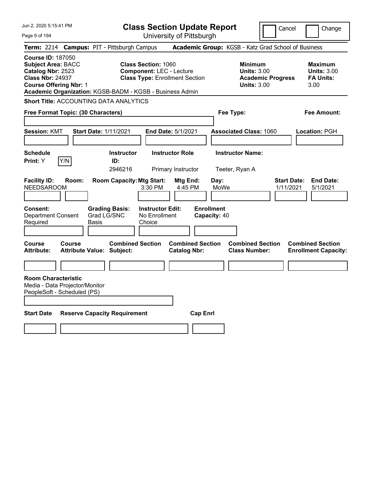| Jun 2, 2020 5:15:41 PM                                                                                                                 |        |                                                             |                                                               | <b>Class Section Update Report</b>             |                                   |                                                                                        | Cancel                          | Change                                                           |
|----------------------------------------------------------------------------------------------------------------------------------------|--------|-------------------------------------------------------------|---------------------------------------------------------------|------------------------------------------------|-----------------------------------|----------------------------------------------------------------------------------------|---------------------------------|------------------------------------------------------------------|
| Page 9 of 194                                                                                                                          |        |                                                             |                                                               | University of Pittsburgh                       |                                   |                                                                                        |                                 |                                                                  |
| <b>Term: 2214</b>                                                                                                                      |        | <b>Campus: PIT - Pittsburgh Campus</b>                      |                                                               |                                                |                                   | Academic Group: KGSB - Katz Grad School of Business                                    |                                 |                                                                  |
| <b>Course ID: 187050</b><br><b>Subject Area: BACC</b><br>Catalog Nbr: 2523<br><b>Class Nbr: 24937</b><br><b>Course Offering Nbr: 1</b> |        | Academic Organization: KGSB-BADM - KGSB - Business Admin    | <b>Class Section: 1060</b><br><b>Component: LEC - Lecture</b> | <b>Class Type: Enrollment Section</b>          |                                   | <b>Minimum</b><br><b>Units: 3.00</b><br><b>Academic Progress</b><br><b>Units: 3.00</b> |                                 | <b>Maximum</b><br><b>Units: 3.00</b><br><b>FA Units:</b><br>3.00 |
|                                                                                                                                        |        | <b>Short Title: ACCOUNTING DATA ANALYTICS</b>               |                                                               |                                                |                                   |                                                                                        |                                 |                                                                  |
| Free Format Topic: (30 Characters)                                                                                                     |        |                                                             |                                                               |                                                | Fee Type:                         |                                                                                        |                                 | <b>Fee Amount:</b>                                               |
| <b>Session: KMT</b>                                                                                                                    |        | <b>Start Date: 1/11/2021</b>                                |                                                               | <b>End Date: 5/1/2021</b>                      |                                   | <b>Associated Class: 1060</b>                                                          |                                 | Location: PGH                                                    |
| <b>Schedule</b>                                                                                                                        |        | <b>Instructor</b>                                           |                                                               | <b>Instructor Role</b>                         |                                   | <b>Instructor Name:</b>                                                                |                                 |                                                                  |
| Print: Y                                                                                                                               | Y/N    | ID:<br>2946216                                              |                                                               | Primary Instructor                             | Teeter, Ryan A                    |                                                                                        |                                 |                                                                  |
| <b>Facility ID:</b><br><b>NEEDSAROOM</b>                                                                                               | Room:  | <b>Room Capacity: Mtg Start:</b>                            | 3:30 PM                                                       | Mtg End:<br>4:45 PM                            | Day:<br>MoWe                      |                                                                                        | <b>Start Date:</b><br>1/11/2021 | <b>End Date:</b><br>5/1/2021                                     |
| Consent:<br><b>Department Consent</b><br>Required                                                                                      |        | <b>Grading Basis:</b><br>Grad LG/SNC<br>Basis               | <b>Instructor Edit:</b><br>No Enrollment<br>Choice            |                                                | <b>Enrollment</b><br>Capacity: 40 |                                                                                        |                                 |                                                                  |
| <b>Course</b><br>Attribute:                                                                                                            | Course | <b>Combined Section</b><br><b>Attribute Value: Subject:</b> |                                                               | <b>Combined Section</b><br><b>Catalog Nbr:</b> |                                   | <b>Combined Section</b><br><b>Class Number:</b>                                        |                                 | <b>Combined Section</b><br><b>Enrollment Capacity:</b>           |
|                                                                                                                                        |        |                                                             |                                                               |                                                |                                   |                                                                                        |                                 |                                                                  |
| <b>Room Characteristic</b><br>Media - Data Projector/Monitor<br>PeopleSoft - Scheduled (PS)                                            |        |                                                             |                                                               |                                                |                                   |                                                                                        |                                 |                                                                  |
| <b>Start Date</b>                                                                                                                      |        | <b>Reserve Capacity Requirement</b>                         |                                                               | <b>Cap Enri</b>                                |                                   |                                                                                        |                                 |                                                                  |
|                                                                                                                                        |        |                                                             |                                                               |                                                |                                   |                                                                                        |                                 |                                                                  |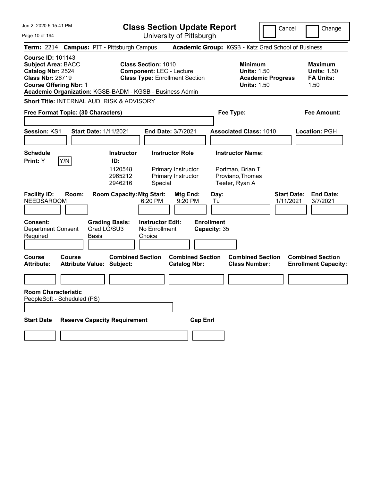| Jun 2, 2020 5:15:41 PM                                                                                                                                                                             | <b>Class Section Update Report</b>                                                                     | Cancel                                                                                 | Change                                                           |
|----------------------------------------------------------------------------------------------------------------------------------------------------------------------------------------------------|--------------------------------------------------------------------------------------------------------|----------------------------------------------------------------------------------------|------------------------------------------------------------------|
| Page 10 of 194                                                                                                                                                                                     | University of Pittsburgh                                                                               |                                                                                        |                                                                  |
| Term: 2214 Campus: PIT - Pittsburgh Campus                                                                                                                                                         |                                                                                                        | Academic Group: KGSB - Katz Grad School of Business                                    |                                                                  |
| <b>Course ID: 101143</b><br><b>Subject Area: BACC</b><br>Catalog Nbr: 2524<br><b>Class Nbr: 26719</b><br><b>Course Offering Nbr: 1</b><br>Academic Organization: KGSB-BADM - KGSB - Business Admin | <b>Class Section: 1010</b><br><b>Component: LEC - Lecture</b><br><b>Class Type: Enrollment Section</b> | <b>Minimum</b><br><b>Units: 1.50</b><br><b>Academic Progress</b><br><b>Units: 1.50</b> | <b>Maximum</b><br><b>Units: 1.50</b><br><b>FA Units:</b><br>1.50 |
| <b>Short Title: INTERNAL AUD: RISK &amp; ADVISORY</b>                                                                                                                                              |                                                                                                        |                                                                                        |                                                                  |
| Free Format Topic: (30 Characters)                                                                                                                                                                 |                                                                                                        | Fee Type:                                                                              | <b>Fee Amount:</b>                                               |
|                                                                                                                                                                                                    |                                                                                                        |                                                                                        |                                                                  |
| Session: KS1<br><b>Start Date: 1/11/2021</b>                                                                                                                                                       | End Date: 3/7/2021                                                                                     | <b>Associated Class: 1010</b>                                                          | Location: PGH                                                    |
|                                                                                                                                                                                                    |                                                                                                        |                                                                                        |                                                                  |
| <b>Schedule</b>                                                                                                                                                                                    | <b>Instructor</b><br><b>Instructor Role</b>                                                            | <b>Instructor Name:</b>                                                                |                                                                  |
| Y/N<br>Print: Y                                                                                                                                                                                    | ID:<br>1120548<br>Primary Instructor<br>2965212<br>Primary Instructor<br>2946216<br>Special            | Portman, Brian T<br>Proviano, Thomas<br>Teeter, Ryan A                                 |                                                                  |
| <b>Facility ID:</b><br>Room:<br><b>NEEDSAROOM</b>                                                                                                                                                  | <b>Room Capacity: Mtg Start:</b><br>Mtg End:<br>6:20 PM<br>9:20 PM                                     | <b>Start Date:</b><br>Day:<br>1/11/2021<br>Tu                                          | <b>End Date:</b><br>3/7/2021                                     |
| <b>Consent:</b><br><b>Grading Basis:</b><br>Grad LG/SU3<br><b>Department Consent</b><br>Required<br>Basis                                                                                          | <b>Instructor Edit:</b><br>No Enrollment<br>Choice                                                     | <b>Enrollment</b><br>Capacity: 35                                                      |                                                                  |
| <b>Course</b><br>Course<br><b>Attribute Value: Subject:</b><br><b>Attribute:</b>                                                                                                                   | <b>Combined Section</b><br><b>Combined Section</b><br><b>Catalog Nbr:</b>                              | <b>Combined Section</b><br><b>Class Number:</b>                                        | <b>Combined Section</b><br><b>Enrollment Capacity:</b>           |
|                                                                                                                                                                                                    |                                                                                                        |                                                                                        |                                                                  |
| <b>Room Characteristic</b><br>PeopleSoft - Scheduled (PS)                                                                                                                                          |                                                                                                        |                                                                                        |                                                                  |
|                                                                                                                                                                                                    |                                                                                                        |                                                                                        |                                                                  |
| <b>Reserve Capacity Requirement</b><br><b>Start Date</b>                                                                                                                                           | <b>Cap Enrl</b>                                                                                        |                                                                                        |                                                                  |
|                                                                                                                                                                                                    |                                                                                                        |                                                                                        |                                                                  |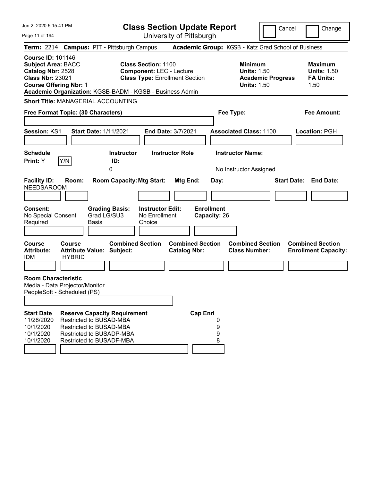| Jun 2, 2020 5:15:41 PM                                                                                                                 |                         |                                                                                                                                                   |                                                    | <b>Class Section Update Report</b>                                       |                                           |                                                            |                          | Cancel<br>Change                                                 |
|----------------------------------------------------------------------------------------------------------------------------------------|-------------------------|---------------------------------------------------------------------------------------------------------------------------------------------------|----------------------------------------------------|--------------------------------------------------------------------------|-------------------------------------------|------------------------------------------------------------|--------------------------|------------------------------------------------------------------|
| Page 11 of 194                                                                                                                         |                         |                                                                                                                                                   |                                                    | University of Pittsburgh                                                 |                                           |                                                            |                          |                                                                  |
|                                                                                                                                        |                         | Term: 2214 Campus: PIT - Pittsburgh Campus                                                                                                        |                                                    |                                                                          |                                           |                                                            |                          | Academic Group: KGSB - Katz Grad School of Business              |
| <b>Course ID: 101146</b><br><b>Subject Area: BACC</b><br>Catalog Nbr: 2528<br><b>Class Nbr: 23021</b><br><b>Course Offering Nbr: 1</b> |                         | Academic Organization: KGSB-BADM - KGSB - Business Admin                                                                                          | <b>Class Section: 1100</b>                         | <b>Component: LEC - Lecture</b><br><b>Class Type: Enrollment Section</b> |                                           | <b>Minimum</b><br><b>Units: 1.50</b><br><b>Units: 1.50</b> | <b>Academic Progress</b> | <b>Maximum</b><br><b>Units: 1.50</b><br><b>FA Units:</b><br>1.50 |
|                                                                                                                                        |                         | Short Title: MANAGERIAL ACCOUNTING                                                                                                                |                                                    |                                                                          |                                           |                                                            |                          |                                                                  |
| Free Format Topic: (30 Characters)                                                                                                     |                         |                                                                                                                                                   |                                                    |                                                                          |                                           | Fee Type:                                                  |                          | Fee Amount:                                                      |
| <b>Session: KS1</b>                                                                                                                    |                         | <b>Start Date: 1/11/2021</b>                                                                                                                      |                                                    | <b>End Date: 3/7/2021</b>                                                |                                           | <b>Associated Class: 1100</b>                              |                          | Location: PGH                                                    |
|                                                                                                                                        |                         |                                                                                                                                                   |                                                    |                                                                          |                                           |                                                            |                          |                                                                  |
| <b>Schedule</b><br>Print: Y                                                                                                            | Y/N                     | <b>Instructor</b><br>ID:<br>0                                                                                                                     |                                                    | <b>Instructor Role</b>                                                   |                                           | <b>Instructor Name:</b><br>No Instructor Assigned          |                          |                                                                  |
| <b>Facility ID:</b><br><b>NEEDSAROOM</b><br><b>Consent:</b><br>No Special Consent<br>Required                                          | Room:                   | <b>Room Capacity: Mtg Start:</b><br><b>Grading Basis:</b><br>Grad LG/SU3<br>Basis                                                                 | <b>Instructor Edit:</b><br>No Enrollment<br>Choice | Mtg End:                                                                 | Day:<br><b>Enrollment</b><br>Capacity: 26 |                                                            |                          | <b>Start Date: End Date:</b>                                     |
| <b>Course</b><br><b>Attribute:</b><br><b>IDM</b>                                                                                       | Course<br><b>HYBRID</b> | <b>Combined Section</b><br><b>Attribute Value: Subject:</b>                                                                                       |                                                    | <b>Catalog Nbr:</b>                                                      | <b>Combined Section</b>                   | <b>Combined Section</b><br><b>Class Number:</b>            |                          | <b>Combined Section</b><br><b>Enrollment Capacity:</b>           |
|                                                                                                                                        |                         |                                                                                                                                                   |                                                    |                                                                          |                                           |                                                            |                          |                                                                  |
| <b>Room Characteristic</b><br>Media - Data Projector/Monitor<br>PeopleSoft - Scheduled (PS)                                            |                         |                                                                                                                                                   |                                                    |                                                                          |                                           |                                                            |                          |                                                                  |
| <b>Start Date</b><br>11/28/2020<br>10/1/2020<br>10/1/2020<br>10/1/2020                                                                 |                         | <b>Reserve Capacity Requirement</b><br>Restricted to BUSAD-MBA<br>Restricted to BUSAD-MBA<br>Restricted to BUSADP-MBA<br>Restricted to BUSADF-MBA |                                                    |                                                                          | <b>Cap Enrl</b><br>0<br>9<br>9<br>8       |                                                            |                          |                                                                  |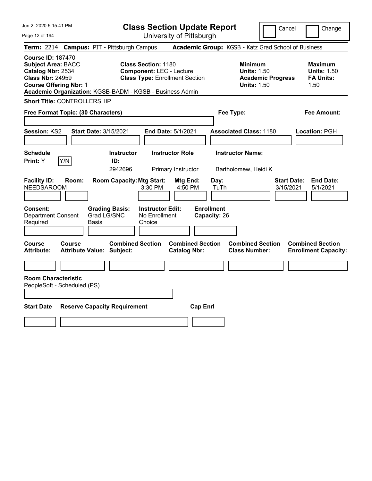Page 12 of 194

**Class Section Update Report**

Cancel **Change** 

| Term: 2214 Campus: PIT - Pittsburgh Campus                                                                                                                                                         |                                                                                 |                                                | Academic Group: KGSB - Katz Grad School of Business                                    |                                                                  |
|----------------------------------------------------------------------------------------------------------------------------------------------------------------------------------------------------|---------------------------------------------------------------------------------|------------------------------------------------|----------------------------------------------------------------------------------------|------------------------------------------------------------------|
| <b>Course ID: 187470</b><br><b>Subject Area: BACC</b><br>Catalog Nbr: 2534<br><b>Class Nbr: 24959</b><br><b>Course Offering Nbr: 1</b><br>Academic Organization: KGSB-BADM - KGSB - Business Admin | <b>Class Section: 1180</b><br><b>Component: LEC - Lecture</b>                   | <b>Class Type: Enrollment Section</b>          | <b>Minimum</b><br><b>Units: 1.50</b><br><b>Academic Progress</b><br><b>Units: 1.50</b> | <b>Maximum</b><br><b>Units: 1.50</b><br><b>FA Units:</b><br>1.50 |
| <b>Short Title: CONTROLLERSHIP</b>                                                                                                                                                                 |                                                                                 |                                                |                                                                                        |                                                                  |
| Free Format Topic: (30 Characters)                                                                                                                                                                 |                                                                                 |                                                | Fee Type:                                                                              | Fee Amount:                                                      |
| Session: KS2                                                                                                                                                                                       | <b>Start Date: 3/15/2021</b>                                                    | End Date: 5/1/2021                             | <b>Associated Class: 1180</b>                                                          | Location: PGH                                                    |
| <b>Schedule</b><br>Y/N<br>Print: Y                                                                                                                                                                 | <b>Instructor</b><br>ID:<br>2942696                                             | <b>Instructor Role</b><br>Primary Instructor   | <b>Instructor Name:</b><br>Bartholomew, Heidi K                                        |                                                                  |
| <b>Facility ID:</b><br>Room:<br><b>NEEDSAROOM</b>                                                                                                                                                  | <b>Room Capacity: Mtg Start:</b><br>3:30 PM                                     | <b>Mtg End:</b><br>4:50 PM                     | Day:<br>TuTh                                                                           | <b>Start Date:</b><br><b>End Date:</b><br>3/15/2021<br>5/1/2021  |
| Consent:<br><b>Department Consent</b><br>Required                                                                                                                                                  | <b>Grading Basis:</b><br>Grad LG/SNC<br>No Enrollment<br><b>Basis</b><br>Choice | <b>Instructor Edit:</b>                        | <b>Enrollment</b><br>Capacity: 26                                                      |                                                                  |
| Course<br>Course<br><b>Attribute:</b>                                                                                                                                                              | <b>Combined Section</b><br><b>Attribute Value: Subject:</b>                     | <b>Combined Section</b><br><b>Catalog Nbr:</b> | <b>Combined Section</b><br><b>Class Number:</b>                                        | <b>Combined Section</b><br><b>Enrollment Capacity:</b>           |
|                                                                                                                                                                                                    |                                                                                 |                                                |                                                                                        |                                                                  |
| <b>Room Characteristic</b><br>PeopleSoft - Scheduled (PS)                                                                                                                                          |                                                                                 |                                                |                                                                                        |                                                                  |
| <b>Start Date</b>                                                                                                                                                                                  | <b>Reserve Capacity Requirement</b>                                             | <b>Cap Enrl</b>                                |                                                                                        |                                                                  |
|                                                                                                                                                                                                    |                                                                                 |                                                |                                                                                        |                                                                  |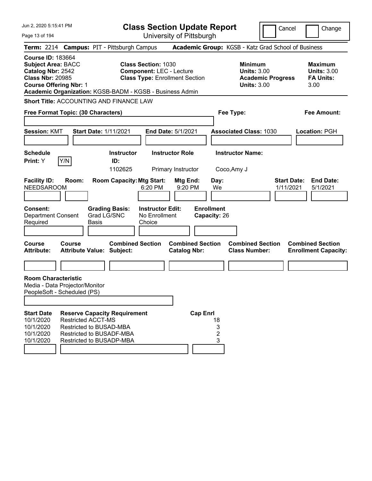| Jun 2, 2020 5:15:41 PM                                                                                                                                                                             |                                                      |                                                                                             |                                                    | <b>Class Section Update Report</b>                                       |                   |                   |                                                                                        | Cancel                          |      | Change                                                   |
|----------------------------------------------------------------------------------------------------------------------------------------------------------------------------------------------------|------------------------------------------------------|---------------------------------------------------------------------------------------------|----------------------------------------------------|--------------------------------------------------------------------------|-------------------|-------------------|----------------------------------------------------------------------------------------|---------------------------------|------|----------------------------------------------------------|
| Page 13 of 194                                                                                                                                                                                     |                                                      |                                                                                             |                                                    | University of Pittsburgh                                                 |                   |                   |                                                                                        |                                 |      |                                                          |
| Term: 2214 Campus: PIT - Pittsburgh Campus                                                                                                                                                         |                                                      |                                                                                             |                                                    |                                                                          |                   |                   | Academic Group: KGSB - Katz Grad School of Business                                    |                                 |      |                                                          |
| <b>Course ID: 183664</b><br><b>Subject Area: BACC</b><br>Catalog Nbr: 2542<br><b>Class Nbr: 20985</b><br><b>Course Offering Nbr: 1</b><br>Academic Organization: KGSB-BADM - KGSB - Business Admin |                                                      |                                                                                             | <b>Class Section: 1030</b>                         | <b>Component: LEC - Lecture</b><br><b>Class Type: Enrollment Section</b> |                   |                   | <b>Minimum</b><br><b>Units: 3.00</b><br><b>Academic Progress</b><br><b>Units: 3.00</b> |                                 | 3.00 | <b>Maximum</b><br><b>Units: 3.00</b><br><b>FA Units:</b> |
| <b>Short Title: ACCOUNTING AND FINANCE LAW</b>                                                                                                                                                     |                                                      |                                                                                             |                                                    |                                                                          |                   |                   |                                                                                        |                                 |      |                                                          |
| Free Format Topic: (30 Characters)                                                                                                                                                                 |                                                      |                                                                                             |                                                    |                                                                          |                   |                   | Fee Type:                                                                              |                                 |      | <b>Fee Amount:</b>                                       |
| <b>Session: KMT</b>                                                                                                                                                                                | <b>Start Date: 1/11/2021</b>                         |                                                                                             |                                                    | End Date: 5/1/2021                                                       |                   |                   | <b>Associated Class: 1030</b>                                                          |                                 |      | <b>Location: PGH</b>                                     |
| <b>Schedule</b><br>Y/N<br>Print: Y                                                                                                                                                                 |                                                      | <b>Instructor</b><br>ID:<br>1102625                                                         |                                                    | <b>Instructor Role</b><br>Primary Instructor                             |                   |                   | <b>Instructor Name:</b><br>Coco, Amy J                                                 |                                 |      |                                                          |
| <b>Facility ID:</b><br>Room:<br><b>NEEDSAROOM</b>                                                                                                                                                  |                                                      | <b>Room Capacity: Mtg Start:</b>                                                            | 6:20 PM                                            | Mtg End:<br>9:20 PM                                                      |                   | Day:<br>We        |                                                                                        | <b>Start Date:</b><br>1/11/2021 |      | <b>End Date:</b><br>5/1/2021                             |
| <b>Consent:</b><br><b>Department Consent</b><br>Required                                                                                                                                           | Grad LG/SNC<br><b>Basis</b>                          | <b>Grading Basis:</b>                                                                       | <b>Instructor Edit:</b><br>No Enrollment<br>Choice |                                                                          | <b>Enrollment</b> | Capacity: 26      |                                                                                        |                                 |      |                                                          |
| Course<br>Course<br><b>Attribute:</b>                                                                                                                                                              | <b>Attribute Value: Subject:</b>                     | <b>Combined Section</b>                                                                     |                                                    | <b>Combined Section</b><br><b>Catalog Nbr:</b>                           |                   |                   | <b>Combined Section</b><br><b>Class Number:</b>                                        |                                 |      | <b>Combined Section</b><br><b>Enrollment Capacity:</b>   |
|                                                                                                                                                                                                    |                                                      |                                                                                             |                                                    |                                                                          |                   |                   |                                                                                        |                                 |      |                                                          |
| <b>Room Characteristic</b><br>Media - Data Projector/Monitor<br>PeopleSoft - Scheduled (PS)                                                                                                        |                                                      |                                                                                             |                                                    |                                                                          |                   |                   |                                                                                        |                                 |      |                                                          |
| <b>Start Date</b><br>10/1/2020<br>10/1/2020<br>10/1/2020<br>10/1/2020                                                                                                                              | <b>Restricted ACCT-MS</b><br>Restricted to BUSAD-MBA | <b>Reserve Capacity Requirement</b><br>Restricted to BUSADF-MBA<br>Restricted to BUSADP-MBA |                                                    |                                                                          | <b>Cap Enrl</b>   | 18<br>3<br>2<br>3 |                                                                                        |                                 |      |                                                          |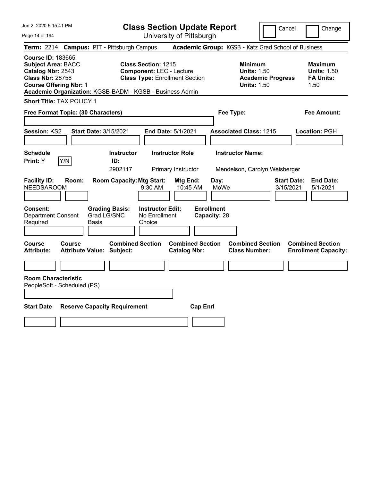**Class Section Update Report** University of Pittsburgh

Cancel Change

Page 14 of 194

| Term: 2214 Campus: PIT - Pittsburgh Campus                                                                                                                                                         |                              |                                                             |                                                               |                                                |                                   | Academic Group: KGSB - Katz Grad School of Business                                    |                                 |                                                                  |
|----------------------------------------------------------------------------------------------------------------------------------------------------------------------------------------------------|------------------------------|-------------------------------------------------------------|---------------------------------------------------------------|------------------------------------------------|-----------------------------------|----------------------------------------------------------------------------------------|---------------------------------|------------------------------------------------------------------|
| <b>Course ID: 183665</b><br><b>Subject Area: BACC</b><br>Catalog Nbr: 2543<br><b>Class Nbr: 28758</b><br><b>Course Offering Nbr: 1</b><br>Academic Organization: KGSB-BADM - KGSB - Business Admin |                              |                                                             | <b>Class Section: 1215</b><br><b>Component: LEC - Lecture</b> | <b>Class Type: Enrollment Section</b>          |                                   | <b>Minimum</b><br><b>Units: 1.50</b><br><b>Academic Progress</b><br><b>Units: 1.50</b> |                                 | <b>Maximum</b><br><b>Units: 1.50</b><br><b>FA Units:</b><br>1.50 |
| Short Title: TAX POLICY 1                                                                                                                                                                          |                              |                                                             |                                                               |                                                |                                   |                                                                                        |                                 |                                                                  |
| Free Format Topic: (30 Characters)                                                                                                                                                                 |                              |                                                             |                                                               |                                                |                                   | Fee Type:                                                                              |                                 | <b>Fee Amount:</b>                                               |
| Session: KS2                                                                                                                                                                                       | <b>Start Date: 3/15/2021</b> |                                                             |                                                               | End Date: 5/1/2021                             |                                   | <b>Associated Class: 1215</b>                                                          |                                 | Location: PGH                                                    |
| <b>Schedule</b><br>Y/N<br>Print: Y                                                                                                                                                                 |                              | <b>Instructor</b><br>ID:<br>2902117                         |                                                               | <b>Instructor Role</b><br>Primary Instructor   |                                   | <b>Instructor Name:</b><br>Mendelson, Carolyn Weisberger                               |                                 |                                                                  |
| <b>Facility ID:</b><br><b>NEEDSAROOM</b>                                                                                                                                                           | Room:                        | <b>Room Capacity: Mtg Start:</b>                            | 9:30 AM                                                       | Mtg End:<br>10:45 AM                           | Day:<br>MoWe                      |                                                                                        | <b>Start Date:</b><br>3/15/2021 | <b>End Date:</b><br>5/1/2021                                     |
| <b>Consent:</b><br><b>Department Consent</b><br>Required                                                                                                                                           | Basis                        | <b>Grading Basis:</b><br>Grad LG/SNC                        | <b>Instructor Edit:</b><br>No Enrollment<br>Choice            |                                                | <b>Enrollment</b><br>Capacity: 28 |                                                                                        |                                 |                                                                  |
| Course<br><b>Course</b><br><b>Attribute:</b>                                                                                                                                                       |                              | <b>Combined Section</b><br><b>Attribute Value: Subject:</b> |                                                               | <b>Combined Section</b><br><b>Catalog Nbr:</b> |                                   | <b>Combined Section</b><br><b>Class Number:</b>                                        |                                 | <b>Combined Section</b><br><b>Enrollment Capacity:</b>           |
| <b>Room Characteristic</b><br>PeopleSoft - Scheduled (PS)                                                                                                                                          |                              |                                                             |                                                               |                                                |                                   |                                                                                        |                                 |                                                                  |
| <b>Start Date</b>                                                                                                                                                                                  |                              | <b>Reserve Capacity Requirement</b>                         |                                                               | <b>Cap Enrl</b>                                |                                   |                                                                                        |                                 |                                                                  |
|                                                                                                                                                                                                    |                              |                                                             |                                                               |                                                |                                   |                                                                                        |                                 |                                                                  |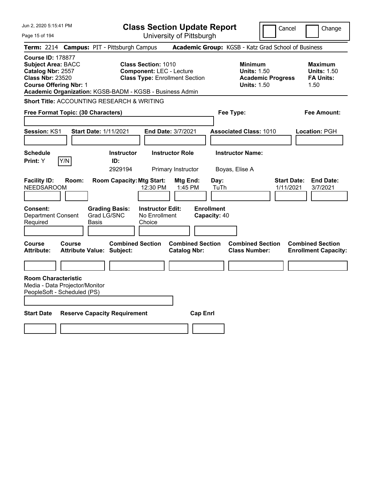| Jun 2, 2020 5:15:41 PM                                                                                                                 |                                                               |                                      |                                                               | <b>Class Section Update Report</b>             |                                   |                                                                                        | Cancel                          | Change                                                           |
|----------------------------------------------------------------------------------------------------------------------------------------|---------------------------------------------------------------|--------------------------------------|---------------------------------------------------------------|------------------------------------------------|-----------------------------------|----------------------------------------------------------------------------------------|---------------------------------|------------------------------------------------------------------|
| Page 15 of 194                                                                                                                         |                                                               |                                      |                                                               | University of Pittsburgh                       |                                   |                                                                                        |                                 |                                                                  |
|                                                                                                                                        | Term: 2214 Campus: PIT - Pittsburgh Campus                    |                                      |                                                               |                                                |                                   | Academic Group: KGSB - Katz Grad School of Business                                    |                                 |                                                                  |
| <b>Course ID: 178877</b><br><b>Subject Area: BACC</b><br>Catalog Nbr: 2557<br><b>Class Nbr: 23520</b><br><b>Course Offering Nbr: 1</b> | Academic Organization: KGSB-BADM - KGSB - Business Admin      |                                      | <b>Class Section: 1010</b><br><b>Component: LEC - Lecture</b> | <b>Class Type: Enrollment Section</b>          |                                   | <b>Minimum</b><br><b>Units: 1.50</b><br><b>Academic Progress</b><br><b>Units: 1.50</b> |                                 | <b>Maximum</b><br><b>Units: 1.50</b><br><b>FA Units:</b><br>1.50 |
|                                                                                                                                        | Short Title: ACCOUNTING RESEARCH & WRITING                    |                                      |                                                               |                                                |                                   |                                                                                        |                                 |                                                                  |
|                                                                                                                                        | Free Format Topic: (30 Characters)                            |                                      |                                                               |                                                | Fee Type:                         |                                                                                        |                                 | Fee Amount:                                                      |
| <b>Session: KS1</b>                                                                                                                    | <b>Start Date: 1/11/2021</b>                                  |                                      | <b>End Date: 3/7/2021</b>                                     |                                                |                                   | <b>Associated Class: 1010</b>                                                          |                                 | Location: PGH                                                    |
| <b>Schedule</b><br>Print: Y                                                                                                            | Y/N                                                           | <b>Instructor</b><br>ID:<br>2929194  |                                                               | <b>Instructor Role</b><br>Primary Instructor   | Boyas, Elise A                    | <b>Instructor Name:</b>                                                                |                                 |                                                                  |
| <b>Facility ID:</b><br><b>NEEDSAROOM</b>                                                                                               | Room:                                                         | <b>Room Capacity: Mtg Start:</b>     | 12:30 PM                                                      | Mtg End:<br>1:45 PM                            | Day:<br>TuTh                      |                                                                                        | <b>Start Date:</b><br>1/11/2021 | <b>End Date:</b><br>3/7/2021                                     |
| <b>Consent:</b><br><b>Department Consent</b><br>Required                                                                               | Basis                                                         | <b>Grading Basis:</b><br>Grad LG/SNC | <b>Instructor Edit:</b><br>No Enrollment<br>Choice            |                                                | <b>Enrollment</b><br>Capacity: 40 |                                                                                        |                                 |                                                                  |
| Course<br><b>Attribute:</b>                                                                                                            | <b>Course</b><br><b>Attribute Value: Subject:</b>             | <b>Combined Section</b>              |                                                               | <b>Combined Section</b><br><b>Catalog Nbr:</b> |                                   | <b>Combined Section</b><br><b>Class Number:</b>                                        |                                 | <b>Combined Section</b><br><b>Enrollment Capacity:</b>           |
|                                                                                                                                        |                                                               |                                      |                                                               |                                                |                                   |                                                                                        |                                 |                                                                  |
| <b>Room Characteristic</b>                                                                                                             | Media - Data Projector/Monitor<br>PeopleSoft - Scheduled (PS) |                                      |                                                               |                                                |                                   |                                                                                        |                                 |                                                                  |
| <b>Start Date</b>                                                                                                                      | <b>Reserve Capacity Requirement</b>                           |                                      |                                                               | <b>Cap Enri</b>                                |                                   |                                                                                        |                                 |                                                                  |
|                                                                                                                                        |                                                               |                                      |                                                               |                                                |                                   |                                                                                        |                                 |                                                                  |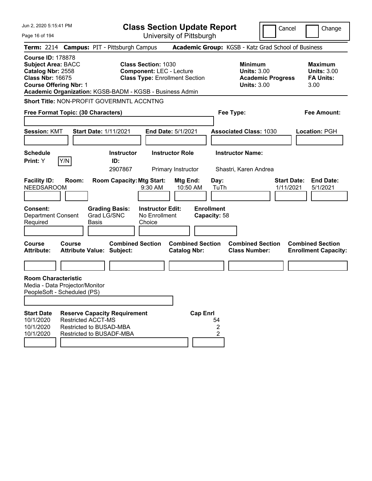| Jun 2. 2020 5:15:41 PM                                                                                                                                                                             |                                                                                  |                             |                                     | <b>Class Section Update Report</b>                                                                     |                                                |                                   |              |                                                                                        | Cancel                          |      | Change                                                   |
|----------------------------------------------------------------------------------------------------------------------------------------------------------------------------------------------------|----------------------------------------------------------------------------------|-----------------------------|-------------------------------------|--------------------------------------------------------------------------------------------------------|------------------------------------------------|-----------------------------------|--------------|----------------------------------------------------------------------------------------|---------------------------------|------|----------------------------------------------------------|
| Page 16 of 194                                                                                                                                                                                     |                                                                                  |                             |                                     |                                                                                                        | University of Pittsburgh                       |                                   |              |                                                                                        |                                 |      |                                                          |
| Term: 2214 Campus: PIT - Pittsburgh Campus                                                                                                                                                         |                                                                                  |                             |                                     |                                                                                                        |                                                |                                   |              | Academic Group: KGSB - Katz Grad School of Business                                    |                                 |      |                                                          |
| <b>Course ID: 178878</b><br><b>Subject Area: BACC</b><br>Catalog Nbr: 2558<br><b>Class Nbr: 16675</b><br><b>Course Offering Nbr: 1</b><br>Academic Organization: KGSB-BADM - KGSB - Business Admin |                                                                                  |                             |                                     | <b>Class Section: 1030</b><br><b>Component: LEC - Lecture</b><br><b>Class Type: Enrollment Section</b> |                                                |                                   |              | <b>Minimum</b><br><b>Units: 3.00</b><br><b>Academic Progress</b><br><b>Units: 3.00</b> |                                 | 3.00 | <b>Maximum</b><br><b>Units: 3.00</b><br><b>FA Units:</b> |
| Short Title: NON-PROFIT GOVERMNTL ACCNTNG                                                                                                                                                          |                                                                                  |                             |                                     |                                                                                                        |                                                |                                   |              |                                                                                        |                                 |      |                                                          |
| Free Format Topic: (30 Characters)                                                                                                                                                                 |                                                                                  |                             |                                     |                                                                                                        |                                                |                                   |              | Fee Type:                                                                              |                                 |      | <b>Fee Amount:</b>                                       |
| <b>Session: KMT</b>                                                                                                                                                                                |                                                                                  |                             | <b>Start Date: 1/11/2021</b>        |                                                                                                        | End Date: 5/1/2021                             |                                   |              | <b>Associated Class: 1030</b>                                                          |                                 |      | <b>Location: PGH</b>                                     |
| <b>Schedule</b><br>Print: Y                                                                                                                                                                        | Y/N                                                                              |                             | <b>Instructor</b><br>ID:<br>2907867 |                                                                                                        | <b>Instructor Role</b><br>Primary Instructor   |                                   |              | <b>Instructor Name:</b><br>Shastri, Karen Andrea                                       |                                 |      |                                                          |
| <b>Facility ID:</b><br><b>NEEDSAROOM</b>                                                                                                                                                           | Room:                                                                            |                             | <b>Room Capacity: Mtg Start:</b>    | 9:30 AM                                                                                                | Mtg End:<br>10:50 AM                           |                                   | Day:<br>TuTh |                                                                                        | <b>Start Date:</b><br>1/11/2021 |      | <b>End Date:</b><br>5/1/2021                             |
| Consent:<br><b>Department Consent</b><br>Required                                                                                                                                                  |                                                                                  | Grad LG/SNC<br><b>Basis</b> | <b>Grading Basis:</b>               | <b>Instructor Edit:</b><br>No Enrollment<br>Choice                                                     |                                                | <b>Enrollment</b><br>Capacity: 58 |              |                                                                                        |                                 |      |                                                          |
| <b>Course</b><br><b>Attribute:</b>                                                                                                                                                                 | Course<br><b>Attribute Value: Subject:</b>                                       |                             | <b>Combined Section</b>             |                                                                                                        | <b>Combined Section</b><br><b>Catalog Nbr:</b> |                                   |              | <b>Combined Section</b><br><b>Class Number:</b>                                        |                                 |      | <b>Combined Section</b><br><b>Enrollment Capacity:</b>   |
|                                                                                                                                                                                                    |                                                                                  |                             |                                     |                                                                                                        |                                                |                                   |              |                                                                                        |                                 |      |                                                          |
| <b>Room Characteristic</b><br>Media - Data Projector/Monitor<br>PeopleSoft - Scheduled (PS)                                                                                                        |                                                                                  |                             |                                     |                                                                                                        |                                                |                                   |              |                                                                                        |                                 |      |                                                          |
| <b>Start Date</b><br>10/1/2020<br>10/1/2020<br>10/1/2020                                                                                                                                           | <b>Restricted ACCT-MS</b><br>Restricted to BUSAD-MBA<br>Restricted to BUSADF-MBA |                             | <b>Reserve Capacity Requirement</b> |                                                                                                        |                                                | <b>Cap Enrl</b>                   | 54<br>2<br>2 |                                                                                        |                                 |      |                                                          |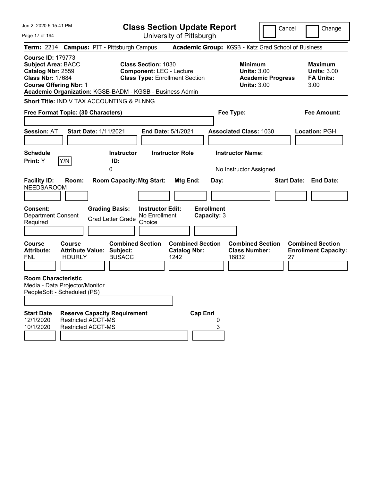| Jun 2, 2020 5:15:41 PM                                                                                                                                                                                |                                                                                       | <b>Class Section Update Report</b>                                                                     |                                                        |                                          |                                                            |                          | Cancel | Change                                                           |
|-------------------------------------------------------------------------------------------------------------------------------------------------------------------------------------------------------|---------------------------------------------------------------------------------------|--------------------------------------------------------------------------------------------------------|--------------------------------------------------------|------------------------------------------|------------------------------------------------------------|--------------------------|--------|------------------------------------------------------------------|
| Page 17 of 194                                                                                                                                                                                        |                                                                                       | University of Pittsburgh                                                                               |                                                        |                                          |                                                            |                          |        |                                                                  |
| Term: 2214 Campus: PIT - Pittsburgh Campus                                                                                                                                                            |                                                                                       |                                                                                                        |                                                        |                                          | Academic Group: KGSB - Katz Grad School of Business        |                          |        |                                                                  |
| <b>Course ID: 179773</b><br><b>Subject Area: BACC</b><br>Catalog Nbr: 2559<br><b>Class Nbr: 17684</b><br><b>Course Offering Nbr: 1</b><br>Academic Organization: KGSB-BADM - KGSB - Business Admin    |                                                                                       | <b>Class Section: 1030</b><br><b>Component: LEC - Lecture</b><br><b>Class Type: Enrollment Section</b> |                                                        |                                          | <b>Minimum</b><br><b>Units: 3.00</b><br><b>Units: 3.00</b> | <b>Academic Progress</b> |        | <b>Maximum</b><br><b>Units: 3.00</b><br><b>FA Units:</b><br>3.00 |
| <b>Short Title: INDIV TAX ACCOUNTING &amp; PLNNG</b>                                                                                                                                                  |                                                                                       |                                                                                                        |                                                        |                                          |                                                            |                          |        |                                                                  |
| Free Format Topic: (30 Characters)                                                                                                                                                                    |                                                                                       |                                                                                                        |                                                        |                                          | Fee Type:                                                  |                          |        | <b>Fee Amount:</b>                                               |
| <b>Session: AT</b><br><b>Schedule</b><br>Y/N<br>Print: Y                                                                                                                                              | <b>Start Date: 1/11/2021</b><br><b>Instructor</b><br>ID:                              | <b>End Date: 5/1/2021</b><br><b>Instructor Role</b>                                                    |                                                        |                                          | <b>Associated Class: 1030</b><br><b>Instructor Name:</b>   |                          |        | <b>Location: PGH</b>                                             |
|                                                                                                                                                                                                       | 0                                                                                     |                                                                                                        |                                                        |                                          | No Instructor Assigned                                     |                          |        |                                                                  |
| <b>Facility ID:</b><br>Room:<br><b>NEEDSAROOM</b><br><b>Consent:</b><br><b>Department Consent</b><br>Required                                                                                         | <b>Room Capacity: Mtg Start:</b><br><b>Grading Basis:</b><br><b>Grad Letter Grade</b> | <b>Instructor Edit:</b><br>No Enrollment<br>Choice                                                     | Mtg End:                                               | Day:<br><b>Enrollment</b><br>Capacity: 3 |                                                            |                          |        | <b>Start Date: End Date:</b>                                     |
| <b>Course</b><br>Course<br><b>Attribute:</b><br><b>Attribute Value:</b><br><b>HOURLY</b><br><b>FNL</b><br><b>Room Characteristic</b><br>Media - Data Projector/Monitor<br>PeopleSoft - Scheduled (PS) | <b>Combined Section</b><br>Subject:<br><b>BUSACC</b>                                  |                                                                                                        | <b>Combined Section</b><br><b>Catalog Nbr:</b><br>1242 |                                          | <b>Combined Section</b><br><b>Class Number:</b><br>16832   |                          | 27     | <b>Combined Section</b><br><b>Enrollment Capacity:</b>           |
|                                                                                                                                                                                                       |                                                                                       |                                                                                                        |                                                        |                                          |                                                            |                          |        |                                                                  |
| <b>Start Date</b><br>12/1/2020<br><b>Restricted ACCT-MS</b><br><b>Restricted ACCT-MS</b><br>10/1/2020                                                                                                 | <b>Reserve Capacity Requirement</b>                                                   |                                                                                                        | <b>Cap Enrl</b>                                        | 0<br>3                                   |                                                            |                          |        |                                                                  |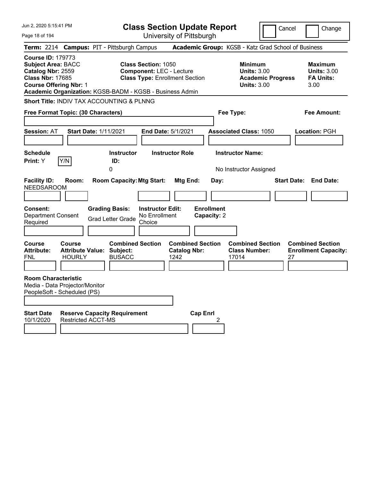| Jun 2, 2020 5:15:41 PM                                                                                                                 |                                |                                                                                       |                                                               | <b>Class Section Update Report</b>                     |                                          |                                                            |                          | Cancel | Change                                                           |
|----------------------------------------------------------------------------------------------------------------------------------------|--------------------------------|---------------------------------------------------------------------------------------|---------------------------------------------------------------|--------------------------------------------------------|------------------------------------------|------------------------------------------------------------|--------------------------|--------|------------------------------------------------------------------|
| Page 18 of 194                                                                                                                         |                                |                                                                                       |                                                               | University of Pittsburgh                               |                                          |                                                            |                          |        |                                                                  |
| <b>Term: 2214</b>                                                                                                                      |                                | <b>Campus: PIT - Pittsburgh Campus</b>                                                |                                                               | Academic Group: KGSB - Katz Grad School of Business    |                                          |                                                            |                          |        |                                                                  |
| <b>Course ID: 179773</b><br><b>Subject Area: BACC</b><br>Catalog Nbr: 2559<br><b>Class Nbr: 17685</b><br><b>Course Offering Nbr: 1</b> |                                | Academic Organization: KGSB-BADM - KGSB - Business Admin                              | <b>Class Section: 1050</b><br><b>Component: LEC - Lecture</b> | <b>Class Type: Enrollment Section</b>                  |                                          | <b>Minimum</b><br><b>Units: 3.00</b><br><b>Units: 3.00</b> | <b>Academic Progress</b> |        | <b>Maximum</b><br><b>Units: 3.00</b><br><b>FA Units:</b><br>3.00 |
|                                                                                                                                        |                                | Short Title: INDIV TAX ACCOUNTING & PLNNG                                             |                                                               |                                                        |                                          |                                                            |                          |        |                                                                  |
| Free Format Topic: (30 Characters)                                                                                                     |                                |                                                                                       |                                                               |                                                        |                                          | Fee Type:                                                  |                          |        | Fee Amount:                                                      |
| <b>Session: AT</b>                                                                                                                     | <b>Start Date: 1/11/2021</b>   |                                                                                       | <b>End Date: 5/1/2021</b>                                     |                                                        |                                          | <b>Associated Class: 1050</b>                              |                          |        | Location: PGH                                                    |
| <b>Schedule</b>                                                                                                                        |                                | <b>Instructor</b>                                                                     |                                                               | <b>Instructor Role</b>                                 |                                          | <b>Instructor Name:</b>                                    |                          |        |                                                                  |
| Print: Y                                                                                                                               | Y/N                            | ID:<br>0                                                                              |                                                               |                                                        |                                          | No Instructor Assigned                                     |                          |        |                                                                  |
| <b>Facility ID:</b><br><b>NEEDSAROOM</b><br><b>Consent:</b><br><b>Department Consent</b><br>Required                                   | Room:                          | <b>Room Capacity: Mtg Start:</b><br><b>Grading Basis:</b><br><b>Grad Letter Grade</b> | <b>Instructor Edit:</b><br>No Enrollment<br>Choice            | Mtg End:                                               | Day:<br><b>Enrollment</b><br>Capacity: 2 |                                                            |                          |        | <b>Start Date: End Date:</b>                                     |
| <b>Course</b><br><b>Attribute:</b><br><b>FNL</b>                                                                                       | <b>Course</b><br><b>HOURLY</b> | <b>Combined Section</b><br><b>Attribute Value: Subject:</b><br><b>BUSACC</b>          |                                                               | <b>Combined Section</b><br><b>Catalog Nbr:</b><br>1242 |                                          | <b>Combined Section</b><br><b>Class Number:</b><br>17014   |                          | 27     | <b>Combined Section</b><br><b>Enrollment Capacity:</b>           |
| <b>Room Characteristic</b><br>Media - Data Projector/Monitor<br>PeopleSoft - Scheduled (PS)                                            |                                |                                                                                       |                                                               |                                                        |                                          |                                                            |                          |        |                                                                  |
| <b>Start Date</b><br>10/1/2020                                                                                                         | <b>Restricted ACCT-MS</b>      | <b>Reserve Capacity Requirement</b>                                                   |                                                               | <b>Cap Enrl</b>                                        | 2                                        |                                                            |                          |        |                                                                  |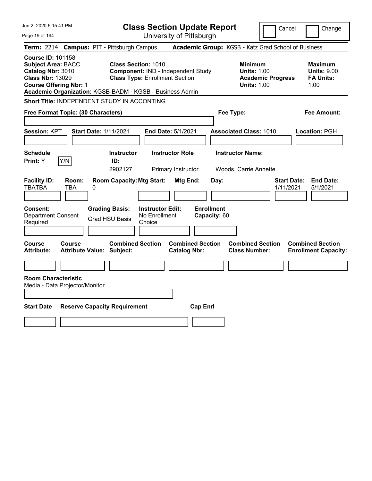| Jun 2, 2020 5:15:41 PM                                                                                                                                                                             |                                                   |                                                                     |                                                    | <b>Class Section Update Report</b>             |                                   |                                                            |                          | Cancel<br>Change                                                 |
|----------------------------------------------------------------------------------------------------------------------------------------------------------------------------------------------------|---------------------------------------------------|---------------------------------------------------------------------|----------------------------------------------------|------------------------------------------------|-----------------------------------|------------------------------------------------------------|--------------------------|------------------------------------------------------------------|
| Page 19 of 194                                                                                                                                                                                     |                                                   |                                                                     |                                                    | University of Pittsburgh                       |                                   |                                                            |                          |                                                                  |
| <b>Term: 2214</b>                                                                                                                                                                                  | <b>Campus: PIT - Pittsburgh Campus</b>            |                                                                     |                                                    |                                                |                                   |                                                            |                          | Academic Group: KGSB - Katz Grad School of Business              |
| <b>Course ID: 101158</b><br><b>Subject Area: BACC</b><br>Catalog Nbr: 3010<br><b>Class Nbr: 13029</b><br><b>Course Offering Nbr: 1</b><br>Academic Organization: KGSB-BADM - KGSB - Business Admin |                                                   | <b>Class Section: 1010</b><br><b>Class Type: Enrollment Section</b> |                                                    | Component: IND - Independent Study             |                                   | <b>Minimum</b><br><b>Units: 1.00</b><br><b>Units: 1.00</b> | <b>Academic Progress</b> | <b>Maximum</b><br><b>Units: 9.00</b><br><b>FA Units:</b><br>1.00 |
| Short Title: INDEPENDENT STUDY IN ACCONTING                                                                                                                                                        |                                                   |                                                                     |                                                    |                                                |                                   |                                                            |                          |                                                                  |
| Free Format Topic: (30 Characters)                                                                                                                                                                 |                                                   |                                                                     |                                                    |                                                |                                   | Fee Type:                                                  |                          | Fee Amount:                                                      |
| Session: KPT                                                                                                                                                                                       | <b>Start Date: 1/11/2021</b>                      |                                                                     |                                                    | End Date: 5/1/2021                             |                                   | <b>Associated Class: 1010</b>                              |                          | Location: PGH                                                    |
| <b>Schedule</b><br>Y/N<br>Print: Y                                                                                                                                                                 |                                                   | <b>Instructor</b><br>ID:<br>2902127                                 |                                                    | <b>Instructor Role</b><br>Primary Instructor   |                                   | <b>Instructor Name:</b><br>Woods, Carrie Annette           |                          |                                                                  |
| <b>Facility ID:</b><br><b>TBATBA</b>                                                                                                                                                               | Room:<br>TBA<br>0                                 | <b>Room Capacity: Mtg Start:</b>                                    |                                                    | Mtg End:                                       | Day:                              |                                                            |                          | <b>Start Date:</b><br><b>End Date:</b><br>1/11/2021<br>5/1/2021  |
| <b>Consent:</b><br><b>Department Consent</b><br>Required                                                                                                                                           |                                                   | <b>Grading Basis:</b><br><b>Grad HSU Basis</b>                      | <b>Instructor Edit:</b><br>No Enrollment<br>Choice |                                                | <b>Enrollment</b><br>Capacity: 60 |                                                            |                          |                                                                  |
| <b>Course</b><br><b>Attribute:</b>                                                                                                                                                                 | <b>Course</b><br><b>Attribute Value: Subject:</b> | <b>Combined Section</b>                                             |                                                    | <b>Combined Section</b><br><b>Catalog Nbr:</b> |                                   | <b>Combined Section</b><br><b>Class Number:</b>            |                          | <b>Combined Section</b><br><b>Enrollment Capacity:</b>           |
| <b>Room Characteristic</b><br>Media - Data Projector/Monitor                                                                                                                                       |                                                   |                                                                     |                                                    |                                                |                                   |                                                            |                          |                                                                  |
| <b>Start Date</b>                                                                                                                                                                                  | <b>Reserve Capacity Requirement</b>               |                                                                     |                                                    |                                                | <b>Cap Enrl</b>                   |                                                            |                          |                                                                  |
|                                                                                                                                                                                                    |                                                   |                                                                     |                                                    |                                                |                                   |                                                            |                          |                                                                  |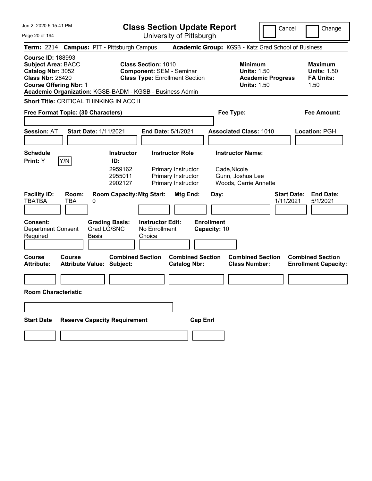| Jun 2, 2020 5:15:41 PM                                                                                                                                                                             | <b>Class Section Update Report</b><br>Cancel<br>Change                                                                                          |                                                                                                      |                                                                  |  |  |  |
|----------------------------------------------------------------------------------------------------------------------------------------------------------------------------------------------------|-------------------------------------------------------------------------------------------------------------------------------------------------|------------------------------------------------------------------------------------------------------|------------------------------------------------------------------|--|--|--|
| Page 20 of 194                                                                                                                                                                                     | University of Pittsburgh                                                                                                                        |                                                                                                      |                                                                  |  |  |  |
| Term: 2214 Campus: PIT - Pittsburgh Campus                                                                                                                                                         |                                                                                                                                                 | Academic Group: KGSB - Katz Grad School of Business                                                  |                                                                  |  |  |  |
| <b>Course ID: 188993</b><br><b>Subject Area: BACC</b><br>Catalog Nbr: 3052<br><b>Class Nbr: 28420</b><br><b>Course Offering Nbr: 1</b><br>Academic Organization: KGSB-BADM - KGSB - Business Admin | <b>Class Section: 1010</b><br><b>Component: SEM - Seminar</b><br><b>Class Type: Enrollment Section</b>                                          | <b>Minimum</b><br><b>Units: 1.50</b><br><b>Academic Progress</b><br><b>Units: 1.50</b>               | <b>Maximum</b><br><b>Units: 1.50</b><br><b>FA Units:</b><br>1.50 |  |  |  |
| <b>Short Title: CRITICAL THINKING IN ACC II</b>                                                                                                                                                    |                                                                                                                                                 |                                                                                                      |                                                                  |  |  |  |
| Free Format Topic: (30 Characters)                                                                                                                                                                 |                                                                                                                                                 | Fee Type:                                                                                            | Fee Amount:                                                      |  |  |  |
|                                                                                                                                                                                                    |                                                                                                                                                 |                                                                                                      |                                                                  |  |  |  |
| <b>Session: AT</b><br><b>Start Date: 1/11/2021</b>                                                                                                                                                 | <b>End Date: 5/1/2021</b>                                                                                                                       | <b>Associated Class: 1010</b>                                                                        | Location: PGH                                                    |  |  |  |
|                                                                                                                                                                                                    |                                                                                                                                                 |                                                                                                      |                                                                  |  |  |  |
| <b>Schedule</b><br>Y/N<br>Print: Y                                                                                                                                                                 | <b>Instructor Role</b><br><b>Instructor</b><br>ID:                                                                                              | <b>Instructor Name:</b>                                                                              |                                                                  |  |  |  |
| <b>Facility ID:</b><br>Room:<br><b>TBATBA</b><br>TBA<br>0                                                                                                                                          | 2959162<br>Primary Instructor<br>2955011<br>Primary Instructor<br>2902127<br>Primary Instructor<br><b>Room Capacity: Mtg Start:</b><br>Mtg End: | Cade, Nicole<br>Gunn, Joshua Lee<br>Woods, Carrie Annette<br><b>Start Date:</b><br>Day:<br>1/11/2021 | <b>End Date:</b><br>5/1/2021                                     |  |  |  |
| <b>Consent:</b><br><b>Grading Basis:</b><br>Grad LG/SNC<br><b>Department Consent</b><br>Required<br><b>Basis</b>                                                                                   | <b>Instructor Edit:</b><br>No Enrollment<br>Choice                                                                                              | <b>Enrollment</b><br>Capacity: 10                                                                    |                                                                  |  |  |  |
| <b>Course</b><br>Course<br><b>Attribute Value: Subject:</b><br><b>Attribute:</b>                                                                                                                   | <b>Combined Section</b><br><b>Combined Section</b><br><b>Catalog Nbr:</b>                                                                       | <b>Combined Section</b><br><b>Class Number:</b>                                                      | <b>Combined Section</b><br><b>Enrollment Capacity:</b>           |  |  |  |
|                                                                                                                                                                                                    |                                                                                                                                                 |                                                                                                      |                                                                  |  |  |  |
| <b>Room Characteristic</b>                                                                                                                                                                         |                                                                                                                                                 |                                                                                                      |                                                                  |  |  |  |
|                                                                                                                                                                                                    |                                                                                                                                                 |                                                                                                      |                                                                  |  |  |  |
| <b>Reserve Capacity Requirement</b><br><b>Start Date</b>                                                                                                                                           | <b>Cap Enrl</b>                                                                                                                                 |                                                                                                      |                                                                  |  |  |  |
|                                                                                                                                                                                                    |                                                                                                                                                 |                                                                                                      |                                                                  |  |  |  |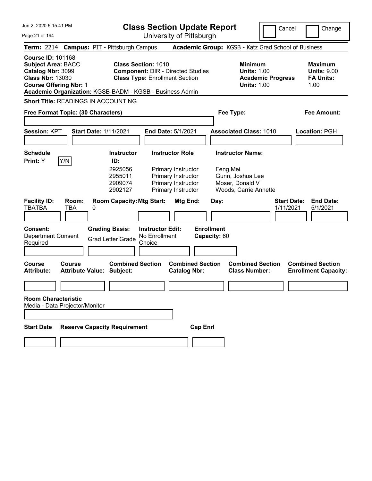| <b>Class Section Update Report</b> |  |
|------------------------------------|--|
| University of Pittsburgh           |  |

Cancel **Change** 

Page 21 of 194

|                                                                                                                                 |               |                              | Term: 2214 Campus: PIT - Pittsburgh Campus                           |                                                                                                                 |                                                                                                                |                 |                                   | Academic Group: KGSB - Katz Grad School of Business                                                  |                                 |                                                                  |
|---------------------------------------------------------------------------------------------------------------------------------|---------------|------------------------------|----------------------------------------------------------------------|-----------------------------------------------------------------------------------------------------------------|----------------------------------------------------------------------------------------------------------------|-----------------|-----------------------------------|------------------------------------------------------------------------------------------------------|---------------------------------|------------------------------------------------------------------|
| <b>Course ID: 101168</b><br><b>Subject Area: BACC</b><br>Catalog Nbr: 3099<br><b>Class Nbr: 13030</b><br>Course Offering Nbr: 1 |               |                              | Academic Organization: KGSB-BADM - KGSB - Business Admin             | <b>Class Section: 1010</b><br><b>Component: DIR - Directed Studies</b><br><b>Class Type: Enrollment Section</b> |                                                                                                                |                 |                                   | <b>Minimum</b><br><b>Units: 1.00</b><br><b>Academic Progress</b><br><b>Units: 1.00</b>               |                                 | <b>Maximum</b><br><b>Units: 9.00</b><br><b>FA Units:</b><br>1.00 |
|                                                                                                                                 |               |                              | Short Title: READINGS IN ACCOUNTING                                  |                                                                                                                 |                                                                                                                |                 |                                   |                                                                                                      |                                 |                                                                  |
| Free Format Topic: (30 Characters)                                                                                              |               |                              |                                                                      |                                                                                                                 |                                                                                                                |                 |                                   | Fee Type:                                                                                            |                                 | <b>Fee Amount:</b>                                               |
| Session: KPT                                                                                                                    |               | <b>Start Date: 1/11/2021</b> |                                                                      |                                                                                                                 | End Date: 5/1/2021                                                                                             |                 |                                   | <b>Associated Class: 1010</b>                                                                        |                                 | Location: PGH                                                    |
| Schedule<br><b>Print:</b> Y                                                                                                     | Y/N           |                              | <b>Instructor</b><br>ID:<br>2925056<br>2955011<br>2909074<br>2902127 |                                                                                                                 | <b>Instructor Role</b><br>Primary Instructor<br>Primary Instructor<br>Primary Instructor<br>Primary Instructor |                 |                                   | <b>Instructor Name:</b><br>Feng, Mei<br>Gunn, Joshua Lee<br>Moser, Donald V<br>Woods, Carrie Annette |                                 |                                                                  |
| <b>Facility ID:</b><br><b>TBATBA</b>                                                                                            | Room:<br>TBA  | 0                            | <b>Room Capacity: Mtg Start:</b>                                     |                                                                                                                 | Mtg End:                                                                                                       |                 | Day:                              |                                                                                                      | <b>Start Date:</b><br>1/11/2021 | <b>End Date:</b><br>5/1/2021                                     |
| Consent:<br><b>Department Consent</b><br>Required                                                                               |               |                              | <b>Grading Basis:</b><br><b>Grad Letter Grade</b>                    | <b>Instructor Edit:</b><br>No Enrollment<br>Choice                                                              |                                                                                                                |                 | <b>Enrollment</b><br>Capacity: 60 |                                                                                                      |                                 |                                                                  |
| Course<br>Attribute:                                                                                                            | <b>Course</b> |                              | <b>Combined Section</b><br><b>Attribute Value: Subject:</b>          |                                                                                                                 | <b>Combined Section</b><br><b>Catalog Nbr:</b>                                                                 |                 |                                   | <b>Combined Section</b><br><b>Class Number:</b>                                                      |                                 | <b>Combined Section</b><br><b>Enrollment Capacity:</b>           |
| <b>Room Characteristic</b><br>Media - Data Projector/Monitor                                                                    |               |                              |                                                                      |                                                                                                                 |                                                                                                                |                 |                                   |                                                                                                      |                                 |                                                                  |
| Start Date                                                                                                                      |               |                              | <b>Reserve Capacity Requirement</b>                                  |                                                                                                                 |                                                                                                                | <b>Cap Enrl</b> |                                   |                                                                                                      |                                 |                                                                  |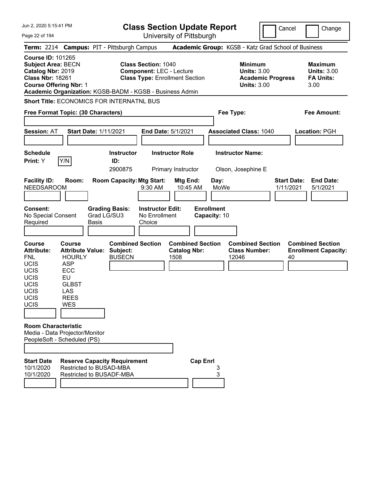| Jun 2. 2020 5:15:41 PM<br>Page 22 of 194                                                                                                                                                           |                                                                                                                                                 |                      |                                                           |                                                               | <b>Class Section Update Report</b><br>University of Pittsburgh           |                                                   |                                                            |                          | Cancel                          | Change                                                           |
|----------------------------------------------------------------------------------------------------------------------------------------------------------------------------------------------------|-------------------------------------------------------------------------------------------------------------------------------------------------|----------------------|-----------------------------------------------------------|---------------------------------------------------------------|--------------------------------------------------------------------------|---------------------------------------------------|------------------------------------------------------------|--------------------------|---------------------------------|------------------------------------------------------------------|
| Term: 2214 Campus: PIT - Pittsburgh Campus                                                                                                                                                         |                                                                                                                                                 |                      |                                                           |                                                               |                                                                          |                                                   | Academic Group: KGSB - Katz Grad School of Business        |                          |                                 |                                                                  |
| <b>Course ID: 101265</b><br><b>Subject Area: BECN</b><br>Catalog Nbr: 2019<br><b>Class Nbr: 18261</b><br><b>Course Offering Nbr: 1</b><br>Academic Organization: KGSB-BADM - KGSB - Business Admin |                                                                                                                                                 |                      |                                                           | <b>Class Section: 1040</b>                                    | <b>Component: LEC - Lecture</b><br><b>Class Type: Enrollment Section</b> |                                                   | <b>Minimum</b><br><b>Units: 3.00</b><br><b>Units: 3.00</b> | <b>Academic Progress</b> |                                 | <b>Maximum</b><br><b>Units: 3.00</b><br><b>FA Units:</b><br>3.00 |
| <b>Short Title: ECONOMICS FOR INTERNATNL BUS</b>                                                                                                                                                   |                                                                                                                                                 |                      |                                                           |                                                               |                                                                          |                                                   |                                                            |                          |                                 |                                                                  |
| Free Format Topic: (30 Characters)                                                                                                                                                                 |                                                                                                                                                 |                      |                                                           |                                                               |                                                                          |                                                   | Fee Type:                                                  |                          |                                 | <b>Fee Amount:</b>                                               |
| Session: AT                                                                                                                                                                                        | <b>Start Date: 1/11/2021</b>                                                                                                                    |                      |                                                           |                                                               | End Date: 5/1/2021                                                       |                                                   | <b>Associated Class: 1040</b>                              |                          |                                 | Location: PGH                                                    |
| <b>Schedule</b><br>Print: Y                                                                                                                                                                        | Y/N                                                                                                                                             |                      | <b>Instructor</b><br>ID:<br>2900875                       |                                                               | <b>Instructor Role</b><br>Primary Instructor                             |                                                   | <b>Instructor Name:</b><br>Olson, Josephine E              |                          |                                 |                                                                  |
| <b>Facility ID:</b><br><b>NEEDSAROOM</b><br>Consent:<br>No Special Consent<br>Required                                                                                                             | Room:                                                                                                                                           | Grad LG/SU3<br>Basis | <b>Room Capacity: Mtg Start:</b><br><b>Grading Basis:</b> | 9:30 AM<br><b>Instructor Edit:</b><br>No Enrollment<br>Choice | Mtg End:<br>10:45 AM                                                     | Day:<br>MoWe<br><b>Enrollment</b><br>Capacity: 10 |                                                            |                          | <b>Start Date:</b><br>1/11/2021 | <b>End Date:</b><br>5/1/2021                                     |
| <b>Course</b><br><b>Attribute:</b><br><b>FNL</b><br><b>UCIS</b><br><b>UCIS</b><br><b>UCIS</b><br>UCIS<br><b>UCIS</b><br><b>UCIS</b><br>UCIS                                                        | <b>Course</b><br><b>Attribute Value:</b><br><b>HOURLY</b><br><b>ASP</b><br>ECC<br>EU<br><b>GLBST</b><br><b>LAS</b><br><b>REES</b><br><b>WES</b> |                      | <b>Combined Section</b><br>Subject:<br><b>BUSECN</b>      |                                                               | <b>Combined Section</b><br><b>Catalog Nbr:</b><br>1508                   |                                                   | <b>Combined Section</b><br><b>Class Number:</b><br>12046   |                          | 40                              | <b>Combined Section</b><br><b>Enrollment Capacity:</b>           |
| <b>Room Characteristic</b><br>Media - Data Projector/Monitor<br>PeopleSoft - Scheduled (PS)                                                                                                        |                                                                                                                                                 |                      |                                                           |                                                               |                                                                          |                                                   |                                                            |                          |                                 |                                                                  |
| <b>Start Date</b><br>10/1/2020<br>10/1/2020                                                                                                                                                        | <b>Reserve Capacity Requirement</b><br><b>Restricted to BUSAD-MBA</b><br><b>Restricted to BUSADF-MBA</b>                                        |                      |                                                           |                                                               |                                                                          | <b>Cap Enrl</b><br>3<br>3                         |                                                            |                          |                                 |                                                                  |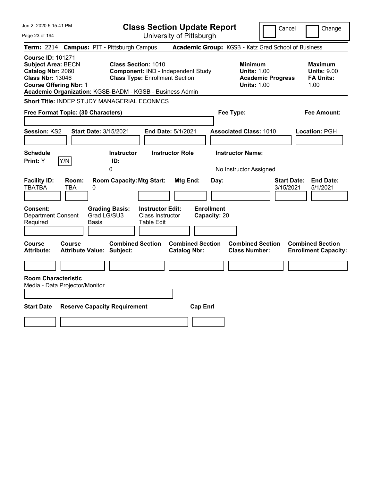| Jun 2, 2020 5:15:41 PM                                                                                                                 | <b>Class Section Update Report</b>                                                                                                                                                                    | Cancel                                                                                 | Change                                                           |
|----------------------------------------------------------------------------------------------------------------------------------------|-------------------------------------------------------------------------------------------------------------------------------------------------------------------------------------------------------|----------------------------------------------------------------------------------------|------------------------------------------------------------------|
| Page 23 of 194                                                                                                                         | University of Pittsburgh                                                                                                                                                                              |                                                                                        |                                                                  |
| <b>Term: 2214</b>                                                                                                                      | <b>Campus: PIT - Pittsburgh Campus</b>                                                                                                                                                                | Academic Group: KGSB - Katz Grad School of Business                                    |                                                                  |
| <b>Course ID: 101271</b><br><b>Subject Area: BECN</b><br>Catalog Nbr: 2060<br><b>Class Nbr: 13046</b><br><b>Course Offering Nbr: 1</b> | <b>Class Section: 1010</b><br>Component: IND - Independent Study<br><b>Class Type: Enrollment Section</b><br>Academic Organization: KGSB-BADM - KGSB - Business Admin                                 | <b>Minimum</b><br><b>Units: 1.00</b><br><b>Academic Progress</b><br><b>Units: 1.00</b> | <b>Maximum</b><br><b>Units: 9.00</b><br><b>FA Units:</b><br>1.00 |
| <b>Short Title: INDEP STUDY MANAGERIAL ECONMCS</b>                                                                                     |                                                                                                                                                                                                       |                                                                                        |                                                                  |
| Free Format Topic: (30 Characters)                                                                                                     |                                                                                                                                                                                                       | Fee Type:                                                                              | Fee Amount:                                                      |
| <b>Session: KS2</b><br>Start Date: 3/15/2021<br><b>Schedule</b>                                                                        | End Date: 5/1/2021<br><b>Instructor Role</b><br><b>Instructor</b>                                                                                                                                     | <b>Associated Class: 1010</b><br><b>Instructor Name:</b>                               | Location: PGH                                                    |
| Y/N<br>Print: Y                                                                                                                        | ID:                                                                                                                                                                                                   |                                                                                        |                                                                  |
| <b>Facility ID:</b><br>Room:<br><b>TBATBA</b><br>TBA<br>0<br>Consent:<br><b>Department Consent</b><br>Required<br>Basis                | <b>Room Capacity: Mtg Start:</b><br>Mtg End:<br>Day:<br><b>Enrollment</b><br><b>Instructor Edit:</b><br><b>Grading Basis:</b><br>Grad LG/SU3<br>Class Instructor<br>Capacity: 20<br><b>Table Edit</b> | No Instructor Assigned<br><b>Start Date:</b><br>3/15/2021                              | <b>End Date:</b><br>5/1/2021                                     |
| Course<br><b>Course</b><br>Attribute Value: Subject:<br>Attribute:<br><b>Room Characteristic</b><br>Media - Data Projector/Monitor     | <b>Combined Section</b><br><b>Combined Section</b><br><b>Catalog Nbr:</b>                                                                                                                             | <b>Combined Section</b><br><b>Class Number:</b>                                        | <b>Combined Section</b><br><b>Enrollment Capacity:</b>           |
| <b>Start Date</b><br><b>Reserve Capacity Requirement</b>                                                                               | <b>Cap Enrl</b>                                                                                                                                                                                       |                                                                                        |                                                                  |
|                                                                                                                                        |                                                                                                                                                                                                       |                                                                                        |                                                                  |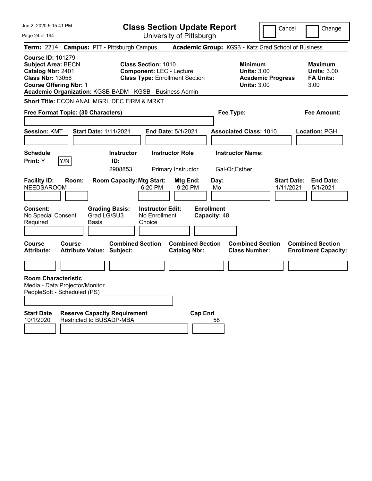| Jun 2, 2020 5:15:41 PM                                                                                                                 |               |                                                                 |                                                               | <b>Class Section Update Report</b>             |                                   |                                                                                 | Cancel                          | Change                                                           |
|----------------------------------------------------------------------------------------------------------------------------------------|---------------|-----------------------------------------------------------------|---------------------------------------------------------------|------------------------------------------------|-----------------------------------|---------------------------------------------------------------------------------|---------------------------------|------------------------------------------------------------------|
| Page 24 of 194                                                                                                                         |               |                                                                 |                                                               | University of Pittsburgh                       |                                   |                                                                                 |                                 |                                                                  |
|                                                                                                                                        |               | Term: 2214 Campus: PIT - Pittsburgh Campus                      |                                                               |                                                |                                   | Academic Group: KGSB - Katz Grad School of Business                             |                                 |                                                                  |
| <b>Course ID: 101279</b><br><b>Subject Area: BECN</b><br>Catalog Nbr: 2401<br><b>Class Nbr: 13056</b><br><b>Course Offering Nbr: 1</b> |               | Academic Organization: KGSB-BADM - KGSB - Business Admin        | <b>Class Section: 1010</b><br><b>Component: LEC - Lecture</b> | <b>Class Type: Enrollment Section</b>          |                                   | Minimum<br><b>Units: 3.00</b><br><b>Academic Progress</b><br><b>Units: 3.00</b> |                                 | <b>Maximum</b><br><b>Units: 3.00</b><br><b>FA Units:</b><br>3.00 |
|                                                                                                                                        |               | Short Title: ECON ANAL MGRL DEC FIRM & MRKT                     |                                                               |                                                |                                   |                                                                                 |                                 |                                                                  |
| Free Format Topic: (30 Characters)                                                                                                     |               |                                                                 |                                                               |                                                | Fee Type:                         |                                                                                 |                                 | Fee Amount:                                                      |
| <b>Session: KMT</b>                                                                                                                    |               | <b>Start Date: 1/11/2021</b>                                    | End Date: 5/1/2021                                            |                                                |                                   | <b>Associated Class: 1010</b>                                                   |                                 | Location: PGH                                                    |
| <b>Schedule</b><br><b>Print:</b> Y                                                                                                     | Y/N           | <b>Instructor</b><br>ID:<br>2908853                             |                                                               | <b>Instructor Role</b><br>Primary Instructor   | Gal-Or, Esther                    | <b>Instructor Name:</b>                                                         |                                 |                                                                  |
| <b>Facility ID:</b><br><b>NEEDSAROOM</b>                                                                                               | Room:         | <b>Room Capacity: Mtg Start:</b>                                | 6:20 PM                                                       | Mtg End:<br>9:20 PM                            | Day:<br>Mo                        |                                                                                 | <b>Start Date:</b><br>1/11/2021 | <b>End Date:</b><br>5/1/2021                                     |
| Consent:<br>No Special Consent<br>Required                                                                                             | Basis         | <b>Grading Basis:</b><br>Grad LG/SU3                            | <b>Instructor Edit:</b><br>No Enrollment<br>Choice            |                                                | <b>Enrollment</b><br>Capacity: 48 |                                                                                 |                                 |                                                                  |
| <b>Course</b><br><b>Attribute:</b>                                                                                                     | <b>Course</b> | <b>Combined Section</b><br><b>Attribute Value: Subject:</b>     |                                                               | <b>Combined Section</b><br><b>Catalog Nbr:</b> |                                   | <b>Combined Section</b><br><b>Class Number:</b>                                 |                                 | <b>Combined Section</b><br><b>Enrollment Capacity:</b>           |
|                                                                                                                                        |               |                                                                 |                                                               |                                                |                                   |                                                                                 |                                 |                                                                  |
| <b>Room Characteristic</b><br>Media - Data Projector/Monitor<br>PeopleSoft - Scheduled (PS)                                            |               |                                                                 |                                                               |                                                |                                   |                                                                                 |                                 |                                                                  |
| <b>Start Date</b><br>10/1/2020                                                                                                         |               | <b>Reserve Capacity Requirement</b><br>Restricted to BUSADP-MBA |                                                               | <b>Cap Enrl</b>                                | 58                                |                                                                                 |                                 |                                                                  |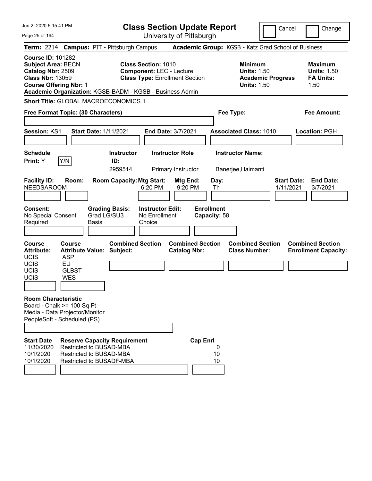| Jun 2. 2020 5:15:41 PM                                                                                                                 |                                                                                             |                                                                                                                       | <b>Class Section Update Report</b>                                                                     |                                                |                                   |               |                                                            |                          | Cancel                          | Change                                                           |
|----------------------------------------------------------------------------------------------------------------------------------------|---------------------------------------------------------------------------------------------|-----------------------------------------------------------------------------------------------------------------------|--------------------------------------------------------------------------------------------------------|------------------------------------------------|-----------------------------------|---------------|------------------------------------------------------------|--------------------------|---------------------------------|------------------------------------------------------------------|
| Page 25 of 194                                                                                                                         |                                                                                             | Term: 2214 Campus: PIT - Pittsburgh Campus                                                                            |                                                                                                        | University of Pittsburgh                       |                                   |               | Academic Group: KGSB - Katz Grad School of Business        |                          |                                 |                                                                  |
| <b>Course ID: 101282</b><br><b>Subject Area: BECN</b><br>Catalog Nbr: 2509<br><b>Class Nbr: 13059</b><br><b>Course Offering Nbr: 1</b> |                                                                                             | Academic Organization: KGSB-BADM - KGSB - Business Admin                                                              | <b>Class Section: 1010</b><br><b>Component: LEC - Lecture</b><br><b>Class Type: Enrollment Section</b> |                                                |                                   |               | <b>Minimum</b><br><b>Units: 1.50</b><br><b>Units: 1.50</b> | <b>Academic Progress</b> |                                 | <b>Maximum</b><br><b>Units: 1.50</b><br><b>FA Units:</b><br>1.50 |
|                                                                                                                                        |                                                                                             | Short Title: GLOBAL MACROECONOMICS 1<br>Free Format Topic: (30 Characters)                                            |                                                                                                        |                                                |                                   |               | Fee Type:                                                  |                          |                                 | <b>Fee Amount:</b>                                               |
| <b>Session: KS1</b>                                                                                                                    |                                                                                             | <b>Start Date: 1/11/2021</b>                                                                                          |                                                                                                        | <b>End Date: 3/7/2021</b>                      |                                   |               | <b>Associated Class: 1010</b>                              |                          |                                 | Location: PGH                                                    |
| <b>Schedule</b><br>Print: Y                                                                                                            | Y/N                                                                                         | <b>Instructor</b><br>ID:<br>2959514                                                                                   |                                                                                                        | <b>Instructor Role</b><br>Primary Instructor   |                                   |               | <b>Instructor Name:</b><br>Banerjee, Haimanti              |                          |                                 |                                                                  |
| <b>Facility ID:</b><br><b>NEEDSAROOM</b><br><b>Consent:</b><br>No Special Consent<br>Required                                          | Room:                                                                                       | <b>Room Capacity: Mtg Start:</b><br><b>Grading Basis:</b><br>Grad LG/SU3<br>Basis                                     | 6:20 PM<br><b>Instructor Edit:</b><br>No Enrollment<br>Choice                                          | Mtg End:<br>9:20 PM                            | <b>Enrollment</b><br>Capacity: 58 | Day:<br>Th    |                                                            |                          | <b>Start Date:</b><br>1/11/2021 | <b>End Date:</b><br>3/7/2021                                     |
| <b>Course</b><br><b>Attribute:</b><br><b>UCIS</b><br>UCIS<br>UCIS<br>UCIS                                                              | <b>Course</b><br><b>ASP</b><br>EU<br><b>GLBST</b><br><b>WES</b>                             | <b>Combined Section</b><br><b>Attribute Value: Subject:</b>                                                           |                                                                                                        | <b>Combined Section</b><br><b>Catalog Nbr:</b> |                                   |               | <b>Combined Section</b><br><b>Class Number:</b>            |                          |                                 | <b>Combined Section</b><br><b>Enrollment Capacity:</b>           |
| <b>Room Characteristic</b>                                                                                                             | Board - Chalk >= 100 Sq Ft<br>Media - Data Projector/Monitor<br>PeopleSoft - Scheduled (PS) |                                                                                                                       |                                                                                                        |                                                |                                   |               |                                                            |                          |                                 |                                                                  |
| <b>Start Date</b><br>11/30/2020<br>10/1/2020<br>10/1/2020                                                                              |                                                                                             | <b>Reserve Capacity Requirement</b><br>Restricted to BUSAD-MBA<br>Restricted to BUSAD-MBA<br>Restricted to BUSADF-MBA |                                                                                                        |                                                | <b>Cap Enrl</b>                   | 0<br>10<br>10 |                                                            |                          |                                 |                                                                  |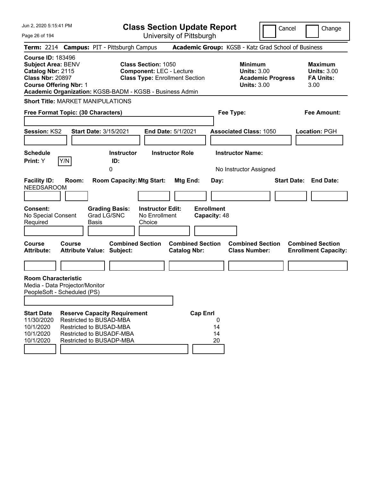| Jun 2, 2020 5:15:41 PM                                                                                                          |                                                                                                                                                                    | <b>Class Section Update Report</b>             |                                                                                        | Cancel<br>Change                                                 |
|---------------------------------------------------------------------------------------------------------------------------------|--------------------------------------------------------------------------------------------------------------------------------------------------------------------|------------------------------------------------|----------------------------------------------------------------------------------------|------------------------------------------------------------------|
| Page 26 of 194                                                                                                                  |                                                                                                                                                                    | University of Pittsburgh                       |                                                                                        |                                                                  |
| Term: 2214 Campus: PIT - Pittsburgh Campus                                                                                      |                                                                                                                                                                    |                                                | Academic Group: KGSB - Katz Grad School of Business                                    |                                                                  |
| <b>Course ID: 183496</b><br>Subject Area: BENV<br>Catalog Nbr: 2115<br><b>Class Nbr: 20897</b><br><b>Course Offering Nbr: 1</b> | <b>Class Section: 1050</b><br><b>Component: LEC - Lecture</b><br><b>Class Type: Enrollment Section</b><br>Academic Organization: KGSB-BADM - KGSB - Business Admin |                                                | <b>Minimum</b><br><b>Units: 3.00</b><br><b>Academic Progress</b><br><b>Units: 3.00</b> | <b>Maximum</b><br><b>Units: 3.00</b><br><b>FA Units:</b><br>3.00 |
| <b>Short Title: MARKET MANIPULATIONS</b>                                                                                        |                                                                                                                                                                    |                                                |                                                                                        |                                                                  |
| Free Format Topic: (30 Characters)                                                                                              |                                                                                                                                                                    |                                                | Fee Type:                                                                              | Fee Amount:                                                      |
| Session: KS2                                                                                                                    | <b>Start Date: 3/15/2021</b>                                                                                                                                       | <b>End Date: 5/1/2021</b>                      | <b>Associated Class: 1050</b>                                                          | Location: PGH                                                    |
| <b>Schedule</b><br>Y/N<br><b>Print:</b> Y                                                                                       | <b>Instructor</b><br>ID:<br>0                                                                                                                                      | <b>Instructor Role</b>                         | <b>Instructor Name:</b><br>No Instructor Assigned                                      |                                                                  |
| <b>Facility ID:</b><br>Room:<br><b>NEEDSAROOM</b>                                                                               | <b>Room Capacity: Mtg Start:</b>                                                                                                                                   | Mtg End:<br>Day:                               |                                                                                        | <b>End Date:</b><br><b>Start Date:</b>                           |
| <b>Consent:</b><br>No Special Consent<br>Required                                                                               | <b>Grading Basis:</b><br><b>Instructor Edit:</b><br>Grad LG/SNC<br>No Enrollment<br>Choice<br>Basis                                                                | <b>Enrollment</b><br>Capacity: 48              |                                                                                        |                                                                  |
| <b>Course</b><br><b>Course</b><br><b>Attribute:</b>                                                                             | <b>Combined Section</b><br><b>Attribute Value: Subject:</b>                                                                                                        | <b>Combined Section</b><br><b>Catalog Nbr:</b> | <b>Combined Section</b><br><b>Class Number:</b>                                        | <b>Combined Section</b><br><b>Enrollment Capacity:</b>           |
|                                                                                                                                 |                                                                                                                                                                    |                                                |                                                                                        |                                                                  |
| <b>Room Characteristic</b><br>Media - Data Projector/Monitor<br>PeopleSoft - Scheduled (PS)                                     |                                                                                                                                                                    |                                                |                                                                                        |                                                                  |
| <b>Start Date</b><br>11/30/2020<br>10/1/2020<br>10/1/2020<br>10/1/2020                                                          | <b>Reserve Capacity Requirement</b><br>Restricted to BUSAD-MBA<br>Restricted to BUSAD-MBA<br>Restricted to BUSADF-MBA<br>Restricted to BUSADP-MBA                  | <b>Cap Enrl</b><br>0<br>14<br>14<br>20         |                                                                                        |                                                                  |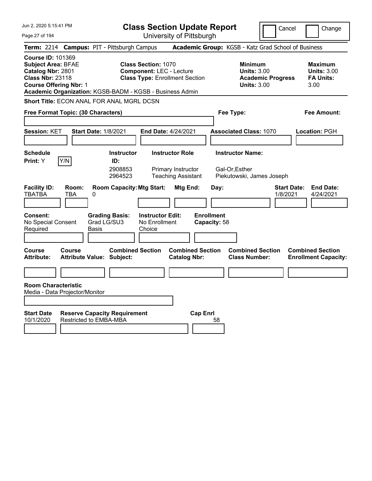| Jun 2, 2020 5:15:41 PM                                                                                                                                                                             | <b>Class Section Update Report</b>                                                                                                                              |                                                                                            | Cancel                                                               | Change                                                           |
|----------------------------------------------------------------------------------------------------------------------------------------------------------------------------------------------------|-----------------------------------------------------------------------------------------------------------------------------------------------------------------|--------------------------------------------------------------------------------------------|----------------------------------------------------------------------|------------------------------------------------------------------|
| Page 27 of 194                                                                                                                                                                                     | University of Pittsburgh                                                                                                                                        |                                                                                            |                                                                      |                                                                  |
| <b>Term:</b> 2214                                                                                                                                                                                  | <b>Campus: PIT - Pittsburgh Campus</b>                                                                                                                          | Academic Group: KGSB - Katz Grad School of Business                                        |                                                                      |                                                                  |
| <b>Course ID: 101369</b><br><b>Subject Area: BFAE</b><br>Catalog Nbr: 2801<br><b>Class Nbr: 23118</b><br><b>Course Offering Nbr: 1</b><br>Academic Organization: KGSB-BADM - KGSB - Business Admin | <b>Class Section: 1070</b><br><b>Component: LEC - Lecture</b><br><b>Class Type: Enrollment Section</b>                                                          | <b>Minimum</b>                                                                             | <b>Units: 3.00</b><br><b>Academic Progress</b><br><b>Units: 3.00</b> | <b>Maximum</b><br><b>Units: 3.00</b><br><b>FA Units:</b><br>3.00 |
| <b>Short Title: ECON ANAL FOR ANAL MGRL DCSN</b>                                                                                                                                                   |                                                                                                                                                                 |                                                                                            |                                                                      |                                                                  |
| Free Format Topic: (30 Characters)                                                                                                                                                                 |                                                                                                                                                                 | Fee Type:                                                                                  |                                                                      | Fee Amount:                                                      |
| <b>Start Date: 1/8/2021</b><br><b>Session: KET</b>                                                                                                                                                 | End Date: 4/24/2021                                                                                                                                             | <b>Associated Class: 1070</b>                                                              |                                                                      | Location: PGH                                                    |
| <b>Schedule</b><br>Y/N<br>Print: Y<br><b>Facility ID:</b><br>Room:<br><b>TBATBA</b><br><b>TBA</b><br>0                                                                                             | <b>Instructor Role</b><br><b>Instructor</b><br>ID:<br>2908853<br>Primary Instructor<br>2964523<br><b>Teaching Assistant</b><br><b>Room Capacity: Mtg Start:</b> | <b>Instructor Name:</b><br>Gal-Or, Esther<br>Piekutowski, James Joseph<br>Mtg End:<br>Day: | <b>Start Date:</b><br>1/8/2021                                       | <b>End Date:</b><br>4/24/2021                                    |
|                                                                                                                                                                                                    |                                                                                                                                                                 |                                                                                            |                                                                      |                                                                  |
| <b>Consent:</b><br>No Special Consent<br>Grad LG/SU3<br>Required<br>Basis<br><b>Course</b><br>Course                                                                                               | <b>Grading Basis:</b><br><b>Instructor Edit:</b><br>No Enrollment<br>Choice<br><b>Combined Section</b>                                                          | <b>Enrollment</b><br>Capacity: 58<br><b>Combined Section</b>                               | <b>Combined Section</b>                                              | <b>Combined Section</b>                                          |
| <b>Attribute:</b><br><b>Attribute Value: Subject:</b>                                                                                                                                              |                                                                                                                                                                 | <b>Catalog Nbr:</b><br><b>Class Number:</b>                                                |                                                                      | <b>Enrollment Capacity:</b>                                      |
| <b>Room Characteristic</b>                                                                                                                                                                         |                                                                                                                                                                 |                                                                                            |                                                                      |                                                                  |
| Media - Data Projector/Monitor                                                                                                                                                                     |                                                                                                                                                                 |                                                                                            |                                                                      |                                                                  |
| <b>Start Date</b><br><b>Reserve Capacity Requirement</b><br>10/1/2020<br><b>Restricted to EMBA-MBA</b>                                                                                             |                                                                                                                                                                 | <b>Cap Enrl</b><br>58                                                                      |                                                                      |                                                                  |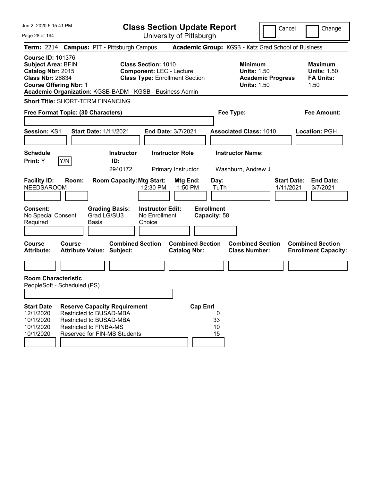| Jun 2, 2020 5:15:41 PM |  |  |  |
|------------------------|--|--|--|
|------------------------|--|--|--|

Page 28 of 194

**Class Section Update Report**

Cancel Change

| Term: 2214 Campus: PIT - Pittsburgh Campus                                                                                             |                                                                                            |       |                                                                            |                                                                                                                                                                    |                                                |                 |                                   | Academic Group: KGSB - Katz Grad School of Business                                    |                                 |                                                                  |
|----------------------------------------------------------------------------------------------------------------------------------------|--------------------------------------------------------------------------------------------|-------|----------------------------------------------------------------------------|--------------------------------------------------------------------------------------------------------------------------------------------------------------------|------------------------------------------------|-----------------|-----------------------------------|----------------------------------------------------------------------------------------|---------------------------------|------------------------------------------------------------------|
| <b>Course ID: 101376</b><br><b>Subject Area: BFIN</b><br>Catalog Nbr: 2015<br><b>Class Nbr: 26834</b><br><b>Course Offering Nbr: 1</b> |                                                                                            |       |                                                                            | <b>Class Section: 1010</b><br><b>Component: LEC - Lecture</b><br><b>Class Type: Enrollment Section</b><br>Academic Organization: KGSB-BADM - KGSB - Business Admin |                                                |                 |                                   | <b>Minimum</b><br><b>Units: 1.50</b><br><b>Academic Progress</b><br><b>Units: 1.50</b> |                                 | <b>Maximum</b><br><b>Units: 1.50</b><br><b>FA Units:</b><br>1.50 |
| <b>Short Title: SHORT-TERM FINANCING</b>                                                                                               |                                                                                            |       |                                                                            |                                                                                                                                                                    |                                                |                 |                                   |                                                                                        |                                 |                                                                  |
| Free Format Topic: (30 Characters)                                                                                                     |                                                                                            |       |                                                                            |                                                                                                                                                                    |                                                |                 |                                   | Fee Type:                                                                              |                                 | Fee Amount:                                                      |
| Session: KS1                                                                                                                           |                                                                                            |       | <b>Start Date: 1/11/2021</b>                                               | End Date: 3/7/2021                                                                                                                                                 |                                                |                 |                                   | <b>Associated Class: 1010</b>                                                          |                                 | Location: PGH                                                    |
| <b>Schedule</b><br>Print: Y                                                                                                            | Y/N                                                                                        |       | <b>Instructor</b><br>ID:<br>2940172                                        |                                                                                                                                                                    | <b>Instructor Role</b><br>Primary Instructor   |                 |                                   | <b>Instructor Name:</b><br>Washburn, Andrew J                                          |                                 |                                                                  |
| <b>Facility ID:</b><br><b>NEEDSAROOM</b>                                                                                               | Room:                                                                                      |       | <b>Room Capacity: Mtg Start:</b>                                           | 12:30 PM                                                                                                                                                           | Mtg End:<br>$1:50$ PM                          |                 | Day:<br>TuTh                      |                                                                                        | <b>Start Date:</b><br>1/11/2021 | <b>End Date:</b><br>3/7/2021                                     |
| <b>Consent:</b><br>No Special Consent<br>Required                                                                                      |                                                                                            | Basis | <b>Grading Basis:</b><br>Grad LG/SU3                                       | <b>Instructor Edit:</b><br>No Enrollment<br>Choice                                                                                                                 |                                                |                 | <b>Enrollment</b><br>Capacity: 58 |                                                                                        |                                 |                                                                  |
| Course<br><b>Attribute:</b>                                                                                                            | Course<br><b>Attribute Value: Subject:</b>                                                 |       | <b>Combined Section</b>                                                    |                                                                                                                                                                    | <b>Combined Section</b><br><b>Catalog Nbr:</b> |                 |                                   | <b>Combined Section</b><br><b>Class Number:</b>                                        |                                 | <b>Combined Section</b><br><b>Enrollment Capacity:</b>           |
|                                                                                                                                        |                                                                                            |       |                                                                            |                                                                                                                                                                    |                                                |                 |                                   |                                                                                        |                                 |                                                                  |
| <b>Room Characteristic</b><br>PeopleSoft - Scheduled (PS)                                                                              |                                                                                            |       |                                                                            |                                                                                                                                                                    |                                                |                 |                                   |                                                                                        |                                 |                                                                  |
| <b>Start Date</b><br>12/1/2020<br>10/1/2020<br>10/1/2020<br>10/1/2020                                                                  | Restricted to BUSAD-MBA<br><b>Restricted to BUSAD-MBA</b><br><b>Restricted to FINBA-MS</b> |       | <b>Reserve Capacity Requirement</b><br><b>Reserved for FIN-MS Students</b> |                                                                                                                                                                    |                                                | <b>Cap Enrl</b> | 0<br>33<br>10<br>15               |                                                                                        |                                 |                                                                  |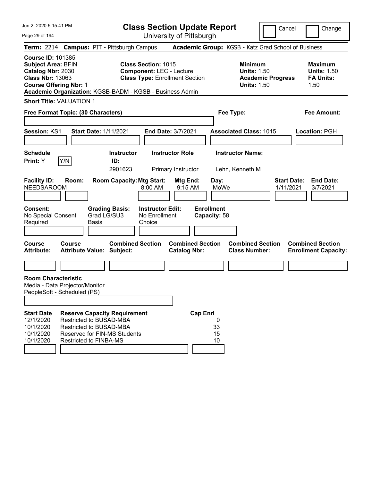Page 29 of 194

**Class Section Update Report**

Cancel Change

|                                                                                                       |                                                                                                   |                      | Term: 2214 Campus: PIT - Pittsburgh Campus                                 |                                                                                                        |                                                |                 |                                   | Academic Group: KGSB - Katz Grad School of Business                                    |                                 |                                                                  |
|-------------------------------------------------------------------------------------------------------|---------------------------------------------------------------------------------------------------|----------------------|----------------------------------------------------------------------------|--------------------------------------------------------------------------------------------------------|------------------------------------------------|-----------------|-----------------------------------|----------------------------------------------------------------------------------------|---------------------------------|------------------------------------------------------------------|
| <b>Course ID: 101385</b><br><b>Subject Area: BFIN</b><br>Catalog Nbr: 2030<br><b>Class Nbr: 13063</b> | <b>Course Offering Nbr: 1</b>                                                                     |                      | Academic Organization: KGSB-BADM - KGSB - Business Admin                   | <b>Class Section: 1015</b><br><b>Component: LEC - Lecture</b><br><b>Class Type: Enrollment Section</b> |                                                |                 |                                   | <b>Minimum</b><br><b>Units: 1.50</b><br><b>Academic Progress</b><br><b>Units: 1.50</b> |                                 | <b>Maximum</b><br><b>Units: 1.50</b><br><b>FA Units:</b><br>1.50 |
|                                                                                                       | <b>Short Title: VALUATION 1</b>                                                                   |                      |                                                                            |                                                                                                        |                                                |                 |                                   |                                                                                        |                                 |                                                                  |
|                                                                                                       | Free Format Topic: (30 Characters)                                                                |                      |                                                                            |                                                                                                        |                                                |                 |                                   | Fee Type:                                                                              |                                 | Fee Amount:                                                      |
| Session: KS1                                                                                          |                                                                                                   |                      | <b>Start Date: 1/11/2021</b>                                               | <b>End Date: 3/7/2021</b>                                                                              |                                                |                 |                                   | <b>Associated Class: 1015</b>                                                          |                                 | Location: PGH                                                    |
| <b>Schedule</b><br>Print: Y                                                                           | Y/N                                                                                               |                      | <b>Instructor</b><br>ID:<br>2901623                                        |                                                                                                        | <b>Instructor Role</b><br>Primary Instructor   |                 |                                   | <b>Instructor Name:</b><br>Lehn, Kenneth M                                             |                                 |                                                                  |
| <b>Facility ID:</b><br><b>NEEDSAROOM</b>                                                              | Room:                                                                                             |                      | <b>Room Capacity: Mtg Start:</b>                                           | 8:00 AM                                                                                                | Mtg End:<br>$9:15$ AM                          |                 | Day:<br>MoWe                      |                                                                                        | <b>Start Date:</b><br>1/11/2021 | <b>End Date:</b><br>3/7/2021                                     |
| Consent:<br>No Special Consent<br>Required                                                            |                                                                                                   | Grad LG/SU3<br>Basis | <b>Grading Basis:</b>                                                      | <b>Instructor Edit:</b><br>No Enrollment<br>Choice                                                     |                                                |                 | <b>Enrollment</b><br>Capacity: 58 |                                                                                        |                                 |                                                                  |
| <b>Course</b><br><b>Attribute:</b>                                                                    | Course                                                                                            |                      | <b>Combined Section</b><br><b>Attribute Value: Subject:</b>                |                                                                                                        | <b>Combined Section</b><br><b>Catalog Nbr:</b> |                 |                                   | <b>Combined Section</b><br><b>Class Number:</b>                                        |                                 | <b>Combined Section</b><br><b>Enrollment Capacity:</b>           |
|                                                                                                       |                                                                                                   |                      |                                                                            |                                                                                                        |                                                |                 |                                   |                                                                                        |                                 |                                                                  |
| <b>Room Characteristic</b>                                                                            | Media - Data Projector/Monitor<br>PeopleSoft - Scheduled (PS)                                     |                      |                                                                            |                                                                                                        |                                                |                 |                                   |                                                                                        |                                 |                                                                  |
| <b>Start Date</b><br>12/1/2020<br>10/1/2020<br>10/1/2020<br>10/1/2020                                 | <b>Restricted to BUSAD-MBA</b><br><b>Restricted to BUSAD-MBA</b><br><b>Restricted to FINBA-MS</b> |                      | <b>Reserve Capacity Requirement</b><br><b>Reserved for FIN-MS Students</b> |                                                                                                        |                                                | <b>Cap Enrl</b> | 0<br>33<br>15<br>10               |                                                                                        |                                 |                                                                  |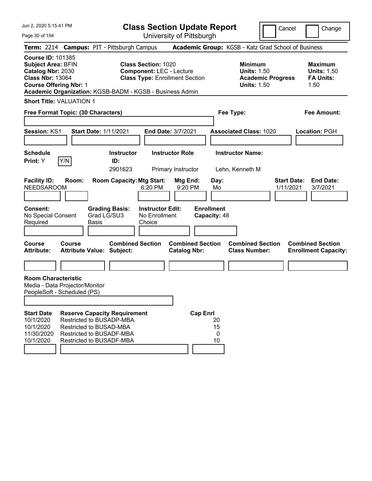Page 30 of 194

**Class Section Update Report**

Cancel Change

|                                                                                                                                        |     |        |                      | Term: 2214 Campus: PIT - Pittsburgh Campus                                                                                                                |                                                                                                        |                                                |                 |                                   | Academic Group: KGSB - Katz Grad School of Business                             |                                 |                                                                  |
|----------------------------------------------------------------------------------------------------------------------------------------|-----|--------|----------------------|-----------------------------------------------------------------------------------------------------------------------------------------------------------|--------------------------------------------------------------------------------------------------------|------------------------------------------------|-----------------|-----------------------------------|---------------------------------------------------------------------------------|---------------------------------|------------------------------------------------------------------|
| <b>Course ID: 101385</b><br><b>Subject Area: BFIN</b><br>Catalog Nbr: 2030<br><b>Class Nbr: 13064</b><br><b>Course Offering Nbr: 1</b> |     |        |                      | Academic Organization: KGSB-BADM - KGSB - Business Admin                                                                                                  | <b>Class Section: 1020</b><br><b>Component: LEC - Lecture</b><br><b>Class Type: Enrollment Section</b> |                                                |                 |                                   | Minimum<br><b>Units: 1.50</b><br><b>Academic Progress</b><br><b>Units: 1.50</b> |                                 | <b>Maximum</b><br><b>Units: 1.50</b><br><b>FA Units:</b><br>1.50 |
| <b>Short Title: VALUATION 1</b>                                                                                                        |     |        |                      |                                                                                                                                                           |                                                                                                        |                                                |                 |                                   |                                                                                 |                                 |                                                                  |
| Free Format Topic: (30 Characters)                                                                                                     |     |        |                      |                                                                                                                                                           |                                                                                                        |                                                |                 |                                   | Fee Type:                                                                       |                                 | Fee Amount:                                                      |
| Session: KS1                                                                                                                           |     |        |                      | Start Date: 1/11/2021                                                                                                                                     |                                                                                                        | End Date: 3/7/2021                             |                 |                                   | <b>Associated Class: 1020</b>                                                   |                                 | Location: PGH                                                    |
| <b>Schedule</b><br>Print: Y                                                                                                            | Y/N |        |                      | <b>Instructor</b><br>ID:<br>2901623                                                                                                                       |                                                                                                        | <b>Instructor Role</b><br>Primary Instructor   |                 |                                   | <b>Instructor Name:</b><br>Lehn, Kenneth M                                      |                                 |                                                                  |
| <b>Facility ID:</b><br><b>NEEDSAROOM</b>                                                                                               |     | Room:  |                      | <b>Room Capacity: Mtg Start:</b>                                                                                                                          | 6:20 PM                                                                                                | Mtg End:<br>9:20 PM                            |                 | Day:<br>Mo                        |                                                                                 | <b>Start Date:</b><br>1/11/2021 | <b>End Date:</b><br>3/7/2021                                     |
| Consent:<br>No Special Consent<br>Required                                                                                             |     |        | Grad LG/SU3<br>Basis | <b>Grading Basis:</b>                                                                                                                                     | <b>Instructor Edit:</b><br>No Enrollment<br>Choice                                                     |                                                |                 | <b>Enrollment</b><br>Capacity: 48 |                                                                                 |                                 |                                                                  |
| Course<br><b>Attribute:</b>                                                                                                            |     | Course |                      | <b>Combined Section</b><br><b>Attribute Value: Subject:</b>                                                                                               |                                                                                                        | <b>Combined Section</b><br><b>Catalog Nbr:</b> |                 |                                   | <b>Combined Section</b><br><b>Class Number:</b>                                 |                                 | <b>Combined Section</b><br><b>Enrollment Capacity:</b>           |
|                                                                                                                                        |     |        |                      |                                                                                                                                                           |                                                                                                        |                                                |                 |                                   |                                                                                 |                                 |                                                                  |
| <b>Room Characteristic</b><br>Media - Data Projector/Monitor<br>PeopleSoft - Scheduled (PS)                                            |     |        |                      |                                                                                                                                                           |                                                                                                        |                                                |                 |                                   |                                                                                 |                                 |                                                                  |
| <b>Start Date</b><br>10/1/2020<br>10/1/2020<br>11/30/2020<br>10/1/2020                                                                 |     |        |                      | <b>Reserve Capacity Requirement</b><br>Restricted to BUSADP-MBA<br>Restricted to BUSAD-MBA<br><b>Restricted to BUSADF-MBA</b><br>Restricted to BUSADF-MBA |                                                                                                        |                                                | <b>Cap Enrl</b> | 20<br>15<br>0<br>10               |                                                                                 |                                 |                                                                  |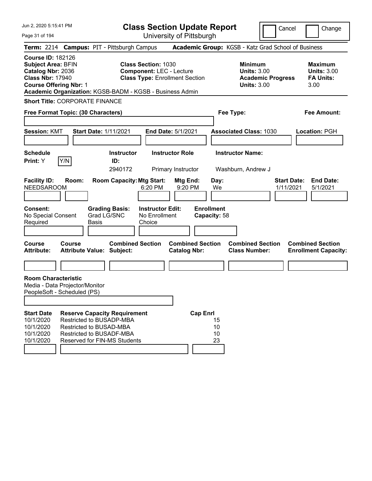Page 31 of 194

**Class Section Update Report**

Cancel **Change** 

|                                                                                                                                        |               | Term: 2214 Campus: PIT - Pittsburgh Campus                                                                                                             |                                                               |                                                |                                                 | Academic Group: KGSB - Katz Grad School of Business                                    |                                                                  |
|----------------------------------------------------------------------------------------------------------------------------------------|---------------|--------------------------------------------------------------------------------------------------------------------------------------------------------|---------------------------------------------------------------|------------------------------------------------|-------------------------------------------------|----------------------------------------------------------------------------------------|------------------------------------------------------------------|
| <b>Course ID: 182126</b><br><b>Subject Area: BFIN</b><br>Catalog Nbr: 2036<br><b>Class Nbr: 17940</b><br><b>Course Offering Nbr: 1</b> |               | Academic Organization: KGSB-BADM - KGSB - Business Admin                                                                                               | <b>Class Section: 1030</b><br><b>Component: LEC - Lecture</b> | <b>Class Type: Enrollment Section</b>          |                                                 | <b>Minimum</b><br><b>Units: 3.00</b><br><b>Academic Progress</b><br><b>Units: 3.00</b> | <b>Maximum</b><br><b>Units: 3.00</b><br><b>FA Units:</b><br>3.00 |
| <b>Short Title: CORPORATE FINANCE</b>                                                                                                  |               |                                                                                                                                                        |                                                               |                                                |                                                 |                                                                                        |                                                                  |
| Free Format Topic: (30 Characters)                                                                                                     |               |                                                                                                                                                        |                                                               |                                                |                                                 | Fee Type:                                                                              | <b>Fee Amount:</b>                                               |
| <b>Session: KMT</b>                                                                                                                    |               | <b>Start Date: 1/11/2021</b>                                                                                                                           |                                                               | <b>End Date: 5/1/2021</b>                      |                                                 | <b>Associated Class: 1030</b>                                                          | Location: PGH                                                    |
| <b>Schedule</b><br>Print: Y                                                                                                            | Y/N           | <b>Instructor</b><br>ID:<br>2940172                                                                                                                    |                                                               | <b>Instructor Role</b><br>Primary Instructor   |                                                 | <b>Instructor Name:</b><br>Washburn, Andrew J                                          |                                                                  |
| <b>Facility ID:</b><br><b>NEEDSAROOM</b><br>Consent:<br>No Special Consent<br>Required                                                 | Room:         | <b>Room Capacity: Mtg Start:</b><br><b>Grading Basis:</b><br>Grad LG/SNC<br><b>Basis</b>                                                               | 6:20 PM<br><b>Instructor Edit:</b><br>No Enrollment<br>Choice | Mtg End:<br>9:20 PM                            | Day:<br>We<br><b>Enrollment</b><br>Capacity: 58 |                                                                                        | <b>Start Date:</b><br><b>End Date:</b><br>1/11/2021<br>5/1/2021  |
| <b>Course</b><br><b>Attribute:</b>                                                                                                     | <b>Course</b> | <b>Combined Section</b><br><b>Attribute Value: Subject:</b>                                                                                            |                                                               | <b>Combined Section</b><br><b>Catalog Nbr:</b> |                                                 | <b>Combined Section</b><br><b>Class Number:</b>                                        | <b>Combined Section</b><br><b>Enrollment Capacity:</b>           |
|                                                                                                                                        |               |                                                                                                                                                        |                                                               |                                                |                                                 |                                                                                        |                                                                  |
| <b>Room Characteristic</b><br>Media - Data Projector/Monitor<br>PeopleSoft - Scheduled (PS)                                            |               |                                                                                                                                                        |                                                               |                                                |                                                 |                                                                                        |                                                                  |
| <b>Start Date</b><br>10/1/2020<br>10/1/2020<br>10/1/2020<br>10/1/2020                                                                  |               | <b>Reserve Capacity Requirement</b><br>Restricted to BUSADP-MBA<br>Restricted to BUSAD-MBA<br>Restricted to BUSADF-MBA<br>Reserved for FIN-MS Students |                                                               | <b>Cap Enrl</b>                                | 15<br>10<br>10<br>23                            |                                                                                        |                                                                  |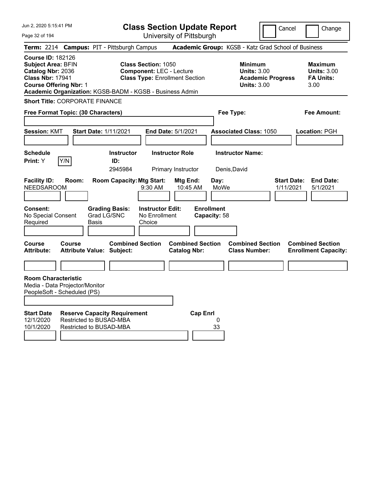Page 32 of 194

**Class Section Update Report**

Cancel Change

|                                                                                                                                        |        | Term: 2214 Campus: PIT - Pittsburgh Campus                                                       |                                                                                                        |                                                |                                   | Academic Group: KGSB - Katz Grad School of Business                                    |                                                                  |
|----------------------------------------------------------------------------------------------------------------------------------------|--------|--------------------------------------------------------------------------------------------------|--------------------------------------------------------------------------------------------------------|------------------------------------------------|-----------------------------------|----------------------------------------------------------------------------------------|------------------------------------------------------------------|
| <b>Course ID: 182126</b><br><b>Subject Area: BFIN</b><br>Catalog Nbr: 2036<br><b>Class Nbr: 17941</b><br><b>Course Offering Nbr: 1</b> |        | Academic Organization: KGSB-BADM - KGSB - Business Admin                                         | <b>Class Section: 1050</b><br><b>Component: LEC - Lecture</b><br><b>Class Type: Enrollment Section</b> |                                                |                                   | <b>Minimum</b><br><b>Units: 3.00</b><br><b>Academic Progress</b><br><b>Units: 3.00</b> | <b>Maximum</b><br><b>Units: 3.00</b><br><b>FA Units:</b><br>3.00 |
| <b>Short Title: CORPORATE FINANCE</b>                                                                                                  |        |                                                                                                  |                                                                                                        |                                                |                                   |                                                                                        |                                                                  |
| Free Format Topic: (30 Characters)                                                                                                     |        |                                                                                                  |                                                                                                        |                                                | Fee Type:                         |                                                                                        | Fee Amount:                                                      |
|                                                                                                                                        |        |                                                                                                  |                                                                                                        |                                                |                                   |                                                                                        |                                                                  |
| <b>Session: KMT</b>                                                                                                                    |        | <b>Start Date: 1/11/2021</b>                                                                     | End Date: 5/1/2021                                                                                     |                                                |                                   | <b>Associated Class: 1050</b>                                                          | Location: PGH                                                    |
|                                                                                                                                        |        |                                                                                                  |                                                                                                        |                                                |                                   |                                                                                        |                                                                  |
| <b>Schedule</b>                                                                                                                        |        | <b>Instructor</b>                                                                                | <b>Instructor Role</b>                                                                                 |                                                | <b>Instructor Name:</b>           |                                                                                        |                                                                  |
| Print: Y                                                                                                                               | Y/N    | ID:                                                                                              |                                                                                                        |                                                |                                   |                                                                                        |                                                                  |
|                                                                                                                                        |        | 2945984                                                                                          | Primary Instructor                                                                                     |                                                | Denis, David                      |                                                                                        |                                                                  |
| <b>Facility ID:</b><br><b>NEEDSAROOM</b>                                                                                               | Room:  | <b>Room Capacity: Mtg Start:</b>                                                                 | $9:30$ AM                                                                                              | Mtg End:<br>10:45 AM                           | Day:<br>MoWe                      | 1/11/2021                                                                              | <b>Start Date:</b><br><b>End Date:</b><br>5/1/2021               |
| Consent:<br>No Special Consent<br>Required                                                                                             |        | <b>Grading Basis:</b><br>Grad LG/SNC<br>Basis                                                    | <b>Instructor Edit:</b><br>No Enrollment<br>Choice                                                     |                                                | <b>Enrollment</b><br>Capacity: 58 |                                                                                        |                                                                  |
| Course<br><b>Attribute:</b>                                                                                                            | Course | <b>Combined Section</b><br><b>Attribute Value: Subject:</b>                                      |                                                                                                        | <b>Combined Section</b><br><b>Catalog Nbr:</b> |                                   | <b>Combined Section</b><br><b>Class Number:</b>                                        | <b>Combined Section</b><br><b>Enrollment Capacity:</b>           |
|                                                                                                                                        |        |                                                                                                  |                                                                                                        |                                                |                                   |                                                                                        |                                                                  |
| <b>Room Characteristic</b><br>Media - Data Projector/Monitor<br>PeopleSoft - Scheduled (PS)                                            |        |                                                                                                  |                                                                                                        |                                                |                                   |                                                                                        |                                                                  |
| <b>Start Date</b><br>12/1/2020<br>10/1/2020                                                                                            |        | <b>Reserve Capacity Requirement</b><br><b>Restricted to BUSAD-MBA</b><br>Restricted to BUSAD-MBA |                                                                                                        | <b>Cap Enrl</b>                                | $\Omega$<br>33                    |                                                                                        |                                                                  |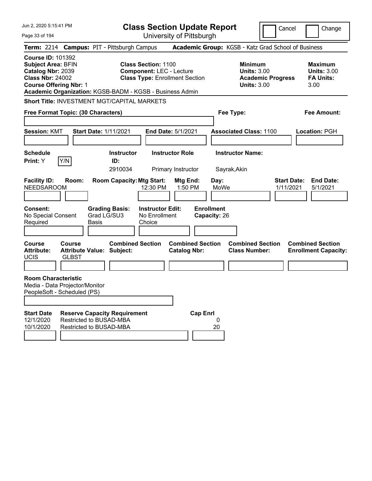| Jun 2, 2020 5:15:41 PM                                                                                                                                                                             |                                                                                                        | <b>Class Section Update Report</b>             |                                                            | Cancel                          | Change                                                           |
|----------------------------------------------------------------------------------------------------------------------------------------------------------------------------------------------------|--------------------------------------------------------------------------------------------------------|------------------------------------------------|------------------------------------------------------------|---------------------------------|------------------------------------------------------------------|
| Page 33 of 194                                                                                                                                                                                     |                                                                                                        | University of Pittsburgh                       |                                                            |                                 |                                                                  |
| Term: 2214 Campus: PIT - Pittsburgh Campus                                                                                                                                                         |                                                                                                        |                                                | Academic Group: KGSB - Katz Grad School of Business        |                                 |                                                                  |
| <b>Course ID: 101392</b><br><b>Subject Area: BFIN</b><br>Catalog Nbr: 2039<br><b>Class Nbr: 24002</b><br><b>Course Offering Nbr: 1</b><br>Academic Organization: KGSB-BADM - KGSB - Business Admin | <b>Class Section: 1100</b><br><b>Component: LEC - Lecture</b><br><b>Class Type: Enrollment Section</b> |                                                | <b>Minimum</b><br><b>Units: 3.00</b><br><b>Units: 3.00</b> | <b>Academic Progress</b>        | <b>Maximum</b><br><b>Units: 3.00</b><br><b>FA Units:</b><br>3.00 |
| Short Title: INVESTMENT MGT/CAPITAL MARKETS                                                                                                                                                        |                                                                                                        |                                                |                                                            |                                 |                                                                  |
| Free Format Topic: (30 Characters)                                                                                                                                                                 |                                                                                                        |                                                | Fee Type:                                                  |                                 | <b>Fee Amount:</b>                                               |
|                                                                                                                                                                                                    |                                                                                                        |                                                |                                                            |                                 |                                                                  |
| <b>Session: KMT</b>                                                                                                                                                                                | <b>Start Date: 1/11/2021</b>                                                                           | <b>End Date: 5/1/2021</b>                      | <b>Associated Class: 1100</b>                              |                                 | Location: PGH                                                    |
| <b>Schedule</b>                                                                                                                                                                                    | <b>Instructor</b>                                                                                      | <b>Instructor Role</b>                         | <b>Instructor Name:</b>                                    |                                 |                                                                  |
| Y/N<br>Print: Y                                                                                                                                                                                    | ID:                                                                                                    |                                                |                                                            |                                 |                                                                  |
|                                                                                                                                                                                                    | 2910034                                                                                                | Primary Instructor                             | Sayrak, Akin                                               |                                 |                                                                  |
| <b>Facility ID:</b><br>Room:<br><b>NEEDSAROOM</b>                                                                                                                                                  | <b>Room Capacity: Mtg Start:</b><br>12:30 PM                                                           | Mtg End:<br>1:50 PM                            | Day:<br>MoWe                                               | <b>Start Date:</b><br>1/11/2021 | <b>End Date:</b><br>5/1/2021                                     |
| <b>Consent:</b><br>No Special Consent<br>Required<br>Basis                                                                                                                                         | <b>Grading Basis:</b><br><b>Instructor Edit:</b><br>Grad LG/SU3<br>No Enrollment<br>Choice             |                                                | <b>Enrollment</b><br>Capacity: 26                          |                                 |                                                                  |
| <b>Course</b><br>Course<br><b>Attribute:</b><br><b>Attribute Value: Subject:</b><br>UCIS<br><b>GLBST</b>                                                                                           | <b>Combined Section</b>                                                                                | <b>Combined Section</b><br><b>Catalog Nbr:</b> | <b>Combined Section</b><br><b>Class Number:</b>            |                                 | <b>Combined Section</b><br><b>Enrollment Capacity:</b>           |
| <b>Room Characteristic</b><br>Media - Data Projector/Monitor<br>PeopleSoft - Scheduled (PS)                                                                                                        |                                                                                                        |                                                |                                                            |                                 |                                                                  |
| <b>Start Date</b><br>Restricted to BUSAD-MBA<br>12/1/2020<br>10/1/2020<br>Restricted to BUSAD-MBA                                                                                                  | <b>Reserve Capacity Requirement</b>                                                                    | <b>Cap Enrl</b>                                | 0<br>20                                                    |                                 |                                                                  |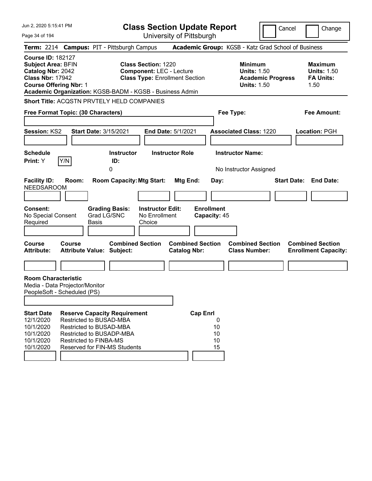| Jun 2, 2020 5:15:41 PM<br>Page 34 of 194                                                                                               |        |                                                                                                                                                                                               | <b>Class Section Update Report</b>                                                                     | University of Pittsburgh                       |                 |                                   |                                                            |                          | Cancel |      | Change                                                   |
|----------------------------------------------------------------------------------------------------------------------------------------|--------|-----------------------------------------------------------------------------------------------------------------------------------------------------------------------------------------------|--------------------------------------------------------------------------------------------------------|------------------------------------------------|-----------------|-----------------------------------|------------------------------------------------------------|--------------------------|--------|------|----------------------------------------------------------|
|                                                                                                                                        |        | Term: 2214 Campus: PIT - Pittsburgh Campus                                                                                                                                                    |                                                                                                        |                                                |                 |                                   | Academic Group: KGSB - Katz Grad School of Business        |                          |        |      |                                                          |
| <b>Course ID: 182127</b><br><b>Subject Area: BFIN</b><br>Catalog Nbr: 2042<br><b>Class Nbr: 17942</b><br><b>Course Offering Nbr: 1</b> |        | Academic Organization: KGSB-BADM - KGSB - Business Admin                                                                                                                                      | <b>Class Section: 1220</b><br><b>Component: LEC - Lecture</b><br><b>Class Type: Enrollment Section</b> |                                                |                 |                                   | <b>Minimum</b><br><b>Units: 1.50</b><br><b>Units: 1.50</b> | <b>Academic Progress</b> |        | 1.50 | <b>Maximum</b><br><b>Units: 1.50</b><br><b>FA Units:</b> |
| Free Format Topic: (30 Characters)                                                                                                     |        | Short Title: ACQSTN PRVTELY HELD COMPANIES                                                                                                                                                    |                                                                                                        |                                                |                 |                                   | Fee Type:                                                  |                          |        |      | <b>Fee Amount:</b>                                       |
| Session: KS2                                                                                                                           |        | Start Date: 3/15/2021                                                                                                                                                                         |                                                                                                        | End Date: 5/1/2021                             |                 |                                   | <b>Associated Class: 1220</b>                              |                          |        |      | Location: PGH                                            |
| <b>Schedule</b><br>Print: Y                                                                                                            | Y/N    | <b>Instructor</b><br>ID:<br>0                                                                                                                                                                 |                                                                                                        | <b>Instructor Role</b>                         |                 |                                   | <b>Instructor Name:</b><br>No Instructor Assigned          |                          |        |      |                                                          |
| <b>Facility ID:</b><br><b>NEEDSAROOM</b>                                                                                               | Room:  | <b>Room Capacity: Mtg Start:</b>                                                                                                                                                              |                                                                                                        | Mtg End:                                       |                 | Day:                              |                                                            |                          |        |      | <b>Start Date: End Date:</b>                             |
| <b>Consent:</b><br>No Special Consent<br>Required                                                                                      |        | <b>Grading Basis:</b><br>Grad LG/SNC<br><b>Basis</b>                                                                                                                                          | <b>Instructor Edit:</b><br>No Enrollment<br>Choice                                                     |                                                |                 | <b>Enrollment</b><br>Capacity: 45 |                                                            |                          |        |      |                                                          |
| <b>Course</b><br><b>Attribute:</b>                                                                                                     | Course | <b>Combined Section</b><br><b>Attribute Value: Subject:</b>                                                                                                                                   |                                                                                                        | <b>Combined Section</b><br><b>Catalog Nbr:</b> |                 |                                   | <b>Combined Section</b><br><b>Class Number:</b>            |                          |        |      | <b>Combined Section</b><br><b>Enrollment Capacity:</b>   |
|                                                                                                                                        |        |                                                                                                                                                                                               |                                                                                                        |                                                |                 |                                   |                                                            |                          |        |      |                                                          |
| <b>Room Characteristic</b><br>Media - Data Projector/Monitor<br>PeopleSoft - Scheduled (PS)                                            |        |                                                                                                                                                                                               |                                                                                                        |                                                |                 |                                   |                                                            |                          |        |      |                                                          |
| <b>Start Date</b><br>12/1/2020<br>10/1/2020<br>10/1/2020<br>10/1/2020<br>10/1/2020                                                     |        | <b>Reserve Capacity Requirement</b><br>Restricted to BUSAD-MBA<br><b>Restricted to BUSAD-MBA</b><br>Restricted to BUSADP-MBA<br><b>Restricted to FINBA-MS</b><br>Reserved for FIN-MS Students |                                                                                                        |                                                | <b>Cap Enrl</b> | 0<br>10<br>10<br>10<br>15         |                                                            |                          |        |      |                                                          |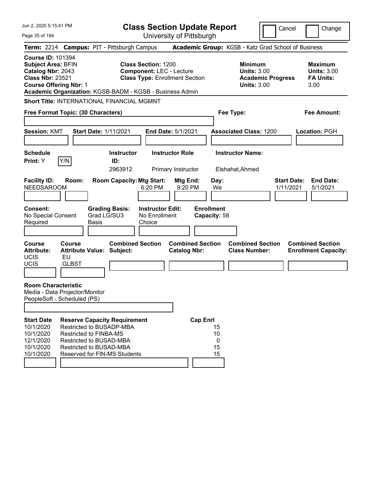| Jun 2. 2020 5:15:41 PM                                                                                                                                                                             |                                                                                                                                                                                 |                             |                                     | <b>Class Section Update Report</b>                                                                     |                                                |                 |                                   |                                                                                        | Cancel                          | Change                                                           |
|----------------------------------------------------------------------------------------------------------------------------------------------------------------------------------------------------|---------------------------------------------------------------------------------------------------------------------------------------------------------------------------------|-----------------------------|-------------------------------------|--------------------------------------------------------------------------------------------------------|------------------------------------------------|-----------------|-----------------------------------|----------------------------------------------------------------------------------------|---------------------------------|------------------------------------------------------------------|
| Page 35 of 194                                                                                                                                                                                     |                                                                                                                                                                                 |                             |                                     |                                                                                                        | University of Pittsburgh                       |                 |                                   |                                                                                        |                                 |                                                                  |
| Term: 2214 Campus: PIT - Pittsburgh Campus                                                                                                                                                         |                                                                                                                                                                                 |                             |                                     |                                                                                                        |                                                |                 |                                   | Academic Group: KGSB - Katz Grad School of Business                                    |                                 |                                                                  |
| <b>Course ID: 101394</b><br><b>Subject Area: BFIN</b><br>Catalog Nbr: 2043<br><b>Class Nbr: 23521</b><br><b>Course Offering Nbr: 1</b><br>Academic Organization: KGSB-BADM - KGSB - Business Admin |                                                                                                                                                                                 |                             |                                     | <b>Class Section: 1200</b><br><b>Component: LEC - Lecture</b><br><b>Class Type: Enrollment Section</b> |                                                |                 |                                   | <b>Minimum</b><br><b>Units: 3.00</b><br><b>Academic Progress</b><br><b>Units: 3.00</b> |                                 | <b>Maximum</b><br><b>Units: 3.00</b><br><b>FA Units:</b><br>3.00 |
| <b>Short Title: INTERNATIONAL FINANCIAL MGMNT</b><br>Free Format Topic: (30 Characters)                                                                                                            |                                                                                                                                                                                 |                             |                                     |                                                                                                        |                                                |                 |                                   | Fee Type:                                                                              |                                 | <b>Fee Amount:</b>                                               |
| <b>Session: KMT</b>                                                                                                                                                                                |                                                                                                                                                                                 |                             | <b>Start Date: 1/11/2021</b>        |                                                                                                        | End Date: 5/1/2021                             |                 |                                   | <b>Associated Class: 1200</b>                                                          |                                 | <b>Location: PGH</b>                                             |
| <b>Schedule</b><br>Print: Y                                                                                                                                                                        | Y/N                                                                                                                                                                             |                             | <b>Instructor</b><br>ID:<br>2963912 |                                                                                                        | <b>Instructor Role</b><br>Primary Instructor   |                 |                                   | <b>Instructor Name:</b><br>Elshahat, Ahmed                                             |                                 |                                                                  |
| <b>Facility ID:</b><br><b>NEEDSAROOM</b>                                                                                                                                                           | Room:                                                                                                                                                                           |                             | <b>Room Capacity: Mtg Start:</b>    | 6:20 PM                                                                                                | Mtg End:<br>9:20 PM                            |                 | Day:<br>We                        |                                                                                        | <b>Start Date:</b><br>1/11/2021 | <b>End Date:</b><br>5/1/2021                                     |
| <b>Consent:</b><br>No Special Consent<br>Required                                                                                                                                                  |                                                                                                                                                                                 | Grad LG/SU3<br><b>Basis</b> | <b>Grading Basis:</b>               | <b>Instructor Edit:</b><br>No Enrollment<br>Choice                                                     |                                                |                 | <b>Enrollment</b><br>Capacity: 58 |                                                                                        |                                 |                                                                  |
| <b>Course</b><br><b>Attribute:</b><br><b>UCIS</b><br>UCIS                                                                                                                                          | Course<br><b>Attribute Value: Subject:</b><br>EU<br><b>GLBST</b>                                                                                                                |                             | <b>Combined Section</b>             |                                                                                                        | <b>Combined Section</b><br><b>Catalog Nbr:</b> |                 |                                   | <b>Combined Section</b><br><b>Class Number:</b>                                        |                                 | <b>Combined Section</b><br><b>Enrollment Capacity:</b>           |
| <b>Room Characteristic</b><br>Media - Data Projector/Monitor<br>PeopleSoft - Scheduled (PS)                                                                                                        |                                                                                                                                                                                 |                             |                                     |                                                                                                        |                                                |                 |                                   |                                                                                        |                                 |                                                                  |
| <b>Start Date</b><br>10/1/2020<br>10/1/2020<br>12/1/2020<br>10/1/2020<br>10/1/2020                                                                                                                 | <b>Reserve Capacity Requirement</b><br>Restricted to BUSADP-MBA<br>Restricted to FINBA-MS<br>Restricted to BUSAD-MBA<br>Restricted to BUSAD-MBA<br>Reserved for FIN-MS Students |                             |                                     |                                                                                                        |                                                | <b>Cap Enrl</b> | 15<br>10<br>0<br>15<br>15         |                                                                                        |                                 |                                                                  |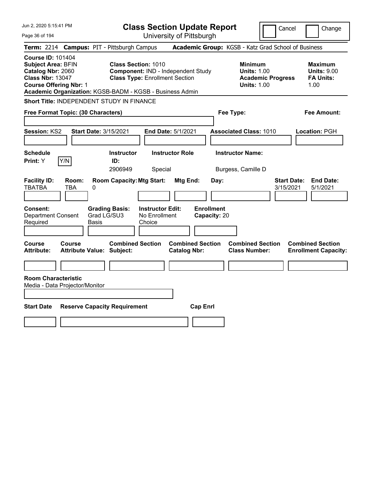| Jun 2, 2020 5:15:41 PM<br>Page 36 of 194                                                                                                                                                           | <b>Class Section Update Report</b><br>University of Pittsburgh                                                                                  | Cancel<br>Change                                                                                                                                           |
|----------------------------------------------------------------------------------------------------------------------------------------------------------------------------------------------------|-------------------------------------------------------------------------------------------------------------------------------------------------|------------------------------------------------------------------------------------------------------------------------------------------------------------|
| Term: 2214 Campus: PIT - Pittsburgh Campus                                                                                                                                                         | Academic Group: KGSB - Katz Grad School of Business                                                                                             |                                                                                                                                                            |
| <b>Course ID: 101404</b><br><b>Subject Area: BFIN</b><br>Catalog Nbr: 2060<br><b>Class Nbr: 13047</b><br><b>Course Offering Nbr: 1</b><br>Academic Organization: KGSB-BADM - KGSB - Business Admin | <b>Class Section: 1010</b><br>Component: IND - Independent Study<br><b>Class Type: Enrollment Section</b>                                       | <b>Minimum</b><br><b>Maximum</b><br><b>Units: 1.00</b><br><b>Units: 9.00</b><br><b>FA Units:</b><br><b>Academic Progress</b><br><b>Units: 1.00</b><br>1.00 |
| <b>Short Title: INDEPENDENT STUDY IN FINANCE</b>                                                                                                                                                   |                                                                                                                                                 |                                                                                                                                                            |
| Free Format Topic: (30 Characters)                                                                                                                                                                 | Fee Type:                                                                                                                                       | <b>Fee Amount:</b>                                                                                                                                         |
| <b>Session: KS2</b><br><b>Start Date: 3/15/2021</b>                                                                                                                                                | End Date: 5/1/2021<br><b>Associated Class: 1010</b>                                                                                             | Location: PGH                                                                                                                                              |
| <b>Schedule</b>                                                                                                                                                                                    | <b>Instructor Role</b><br><b>Instructor Name:</b><br><b>Instructor</b>                                                                          |                                                                                                                                                            |
| Y/N<br>Print: Y                                                                                                                                                                                    | ID:<br>2906949<br>Special<br>Burgess, Camille D                                                                                                 |                                                                                                                                                            |
| <b>Facility ID:</b><br>Room:<br><b>TBATBA</b><br>TBA<br>0<br>Consent:<br><b>Grading Basis:</b><br>Grad LG/SU3<br><b>Department Consent</b><br>Required<br>Basis                                    | <b>Room Capacity: Mtg Start:</b><br>Mtg End:<br>Day:<br><b>Enrollment</b><br><b>Instructor Edit:</b><br>No Enrollment<br>Capacity: 20<br>Choice | <b>Start Date:</b><br><b>End Date:</b><br>3/15/2021<br>5/1/2021                                                                                            |
| <b>Course</b><br><b>Course</b><br><b>Attribute Value: Subject:</b><br><b>Attribute:</b>                                                                                                            | <b>Combined Section</b><br><b>Combined Section</b><br><b>Catalog Nbr:</b>                                                                       | <b>Combined Section</b><br><b>Combined Section</b><br><b>Class Number:</b><br><b>Enrollment Capacity:</b>                                                  |
|                                                                                                                                                                                                    |                                                                                                                                                 |                                                                                                                                                            |
| <b>Room Characteristic</b><br>Media - Data Projector/Monitor                                                                                                                                       |                                                                                                                                                 |                                                                                                                                                            |
| <b>Start Date</b><br><b>Reserve Capacity Requirement</b>                                                                                                                                           | <b>Cap Enrl</b>                                                                                                                                 |                                                                                                                                                            |
|                                                                                                                                                                                                    |                                                                                                                                                 |                                                                                                                                                            |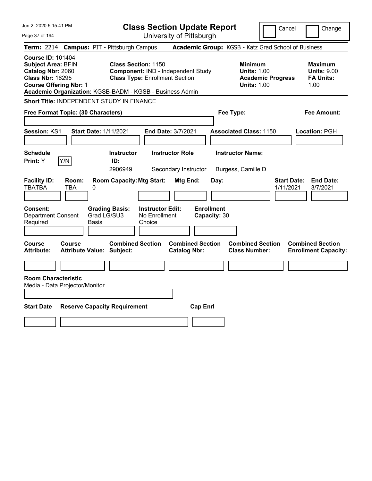| Jun 2, 2020 5:15:41 PM                                                                                                                                                                             | <b>Class Section Update Report</b>                                                                        | Cancel                                                                                 | Change                                                           |
|----------------------------------------------------------------------------------------------------------------------------------------------------------------------------------------------------|-----------------------------------------------------------------------------------------------------------|----------------------------------------------------------------------------------------|------------------------------------------------------------------|
| Page 37 of 194                                                                                                                                                                                     | University of Pittsburgh                                                                                  |                                                                                        |                                                                  |
| <b>Campus: PIT - Pittsburgh Campus</b><br><b>Term: 2214</b>                                                                                                                                        |                                                                                                           | Academic Group: KGSB - Katz Grad School of Business                                    |                                                                  |
| <b>Course ID: 101404</b><br><b>Subject Area: BFIN</b><br>Catalog Nbr: 2060<br><b>Class Nbr: 16295</b><br><b>Course Offering Nbr: 1</b><br>Academic Organization: KGSB-BADM - KGSB - Business Admin | <b>Class Section: 1150</b><br>Component: IND - Independent Study<br><b>Class Type: Enrollment Section</b> | <b>Minimum</b><br><b>Units: 1.00</b><br><b>Academic Progress</b><br><b>Units: 1.00</b> | <b>Maximum</b><br><b>Units: 9.00</b><br><b>FA Units:</b><br>1.00 |
| Short Title: INDEPENDENT STUDY IN FINANCE                                                                                                                                                          |                                                                                                           |                                                                                        |                                                                  |
| Free Format Topic: (30 Characters)                                                                                                                                                                 |                                                                                                           | Fee Type:                                                                              | Fee Amount:                                                      |
| Session: KS1<br><b>Start Date: 1/11/2021</b>                                                                                                                                                       | <b>End Date: 3/7/2021</b>                                                                                 | <b>Associated Class: 1150</b>                                                          | Location: PGH                                                    |
| <b>Schedule</b><br>Y/N<br>Print: Y<br>ID:                                                                                                                                                          | <b>Instructor Role</b><br><b>Instructor</b><br>2906949<br>Secondary Instructor                            | <b>Instructor Name:</b><br>Burgess, Camille D                                          |                                                                  |
| <b>Facility ID:</b><br>Room:<br><b>TBATBA</b><br>TBA<br>0                                                                                                                                          | <b>Room Capacity: Mtg Start:</b><br>Mtg End:<br>Day:                                                      | <b>Start Date:</b><br>1/11/2021                                                        | <b>End Date:</b><br>3/7/2021                                     |
| <b>Grading Basis:</b><br>Consent:<br>Grad LG/SU3<br><b>Department Consent</b><br>Required<br>Basis                                                                                                 | <b>Enrollment</b><br><b>Instructor Edit:</b><br>No Enrollment<br>Capacity: 30<br>Choice                   |                                                                                        |                                                                  |
| Course<br>Course<br><b>Attribute Value: Subject:</b><br><b>Attribute:</b>                                                                                                                          | <b>Combined Section</b><br><b>Combined Section</b><br><b>Catalog Nbr:</b>                                 | <b>Combined Section</b><br><b>Class Number:</b>                                        | <b>Combined Section</b><br><b>Enrollment Capacity:</b>           |
|                                                                                                                                                                                                    |                                                                                                           |                                                                                        |                                                                  |
| <b>Room Characteristic</b><br>Media - Data Projector/Monitor<br><b>Start Date</b><br><b>Reserve Capacity Requirement</b>                                                                           | <b>Cap Enrl</b>                                                                                           |                                                                                        |                                                                  |
|                                                                                                                                                                                                    |                                                                                                           |                                                                                        |                                                                  |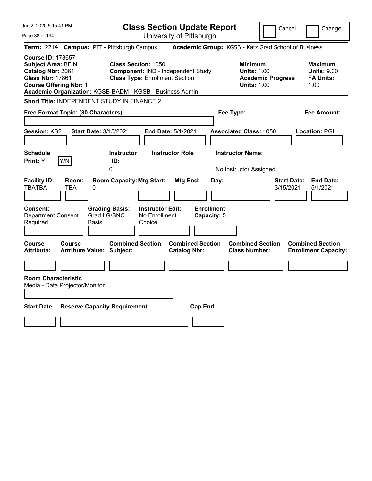| Jun 2, 2020 5:15:41 PM                                                                                                                                                                             | <b>Class Section Update Report</b>                                                                        | Cancel<br>Change                                                                                                                                           |
|----------------------------------------------------------------------------------------------------------------------------------------------------------------------------------------------------|-----------------------------------------------------------------------------------------------------------|------------------------------------------------------------------------------------------------------------------------------------------------------------|
| Page 38 of 194                                                                                                                                                                                     | University of Pittsburgh                                                                                  |                                                                                                                                                            |
| <b>Campus: PIT - Pittsburgh Campus</b><br><b>Term: 2214</b>                                                                                                                                        |                                                                                                           | Academic Group: KGSB - Katz Grad School of Business                                                                                                        |
| <b>Course ID: 178657</b><br><b>Subject Area: BFIN</b><br>Catalog Nbr: 2061<br><b>Class Nbr: 17861</b><br><b>Course Offering Nbr: 1</b><br>Academic Organization: KGSB-BADM - KGSB - Business Admin | <b>Class Section: 1050</b><br>Component: IND - Independent Study<br><b>Class Type: Enrollment Section</b> | <b>Minimum</b><br><b>Maximum</b><br><b>Units: 9.00</b><br><b>Units: 1.00</b><br><b>Academic Progress</b><br><b>FA Units:</b><br><b>Units: 1.00</b><br>1.00 |
| Short Title: INDEPENDENT STUDY IN FINANCE 2                                                                                                                                                        |                                                                                                           |                                                                                                                                                            |
| Free Format Topic: (30 Characters)                                                                                                                                                                 | Fee Type:                                                                                                 | Fee Amount:                                                                                                                                                |
| <b>Session: KS2</b><br><b>Start Date: 3/15/2021</b>                                                                                                                                                | <b>End Date: 5/1/2021</b>                                                                                 | <b>Associated Class: 1050</b><br>Location: PGH                                                                                                             |
| <b>Schedule</b><br>Y/N<br>Print: Y<br>0                                                                                                                                                            | <b>Instructor Role</b><br><b>Instructor</b><br>ID:                                                        | <b>Instructor Name:</b><br>No Instructor Assigned                                                                                                          |
| <b>Facility ID:</b><br>Room:<br><b>TBATBA</b><br>TBA<br>0                                                                                                                                          | <b>Room Capacity: Mtg Start:</b><br>Mtg End:<br>Day:                                                      | <b>Start Date:</b><br><b>End Date:</b><br>3/15/2021<br>5/1/2021                                                                                            |
| Consent:<br><b>Grading Basis:</b><br>Grad LG/SNC<br><b>Department Consent</b><br>Required<br>Basis                                                                                                 | <b>Enrollment</b><br><b>Instructor Edit:</b><br>No Enrollment<br>Capacity: 5<br>Choice                    |                                                                                                                                                            |
| Course<br>Course<br><b>Attribute Value: Subject:</b><br>Attribute:                                                                                                                                 | <b>Combined Section</b><br><b>Combined Section</b><br><b>Catalog Nbr:</b>                                 | <b>Combined Section</b><br><b>Combined Section</b><br><b>Class Number:</b><br><b>Enrollment Capacity:</b>                                                  |
| <b>Room Characteristic</b>                                                                                                                                                                         |                                                                                                           |                                                                                                                                                            |
| Media - Data Projector/Monitor                                                                                                                                                                     |                                                                                                           |                                                                                                                                                            |
| <b>Start Date</b><br><b>Reserve Capacity Requirement</b>                                                                                                                                           | <b>Cap Enrl</b>                                                                                           |                                                                                                                                                            |
|                                                                                                                                                                                                    |                                                                                                           |                                                                                                                                                            |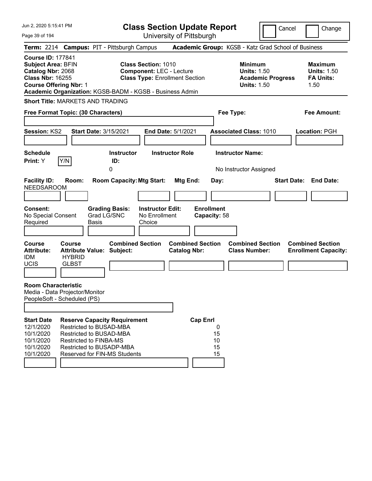Page 39 of 194

**Class Section Update Report**

Cancel **Change** 

|                                                                                                                                        |                                                |                                                                                                                                                                                        |                                                               | University of Fillspurgh                       |                                   |                                                                                        |                                                                  |
|----------------------------------------------------------------------------------------------------------------------------------------|------------------------------------------------|----------------------------------------------------------------------------------------------------------------------------------------------------------------------------------------|---------------------------------------------------------------|------------------------------------------------|-----------------------------------|----------------------------------------------------------------------------------------|------------------------------------------------------------------|
|                                                                                                                                        |                                                | Term: 2214 Campus: PIT - Pittsburgh Campus                                                                                                                                             |                                                               |                                                |                                   | Academic Group: KGSB - Katz Grad School of Business                                    |                                                                  |
| <b>Course ID: 177841</b><br><b>Subject Area: BFIN</b><br>Catalog Nbr: 2068<br><b>Class Nbr: 16255</b><br><b>Course Offering Nbr: 1</b> |                                                | Academic Organization: KGSB-BADM - KGSB - Business Admin                                                                                                                               | <b>Class Section: 1010</b><br><b>Component: LEC - Lecture</b> | <b>Class Type: Enrollment Section</b>          |                                   | <b>Minimum</b><br><b>Units: 1.50</b><br><b>Academic Progress</b><br><b>Units: 1.50</b> | <b>Maximum</b><br><b>Units: 1.50</b><br><b>FA Units:</b><br>1.50 |
|                                                                                                                                        |                                                | <b>Short Title: MARKETS AND TRADING</b>                                                                                                                                                |                                                               |                                                |                                   |                                                                                        |                                                                  |
| Free Format Topic: (30 Characters)                                                                                                     |                                                |                                                                                                                                                                                        |                                                               |                                                |                                   | Fee Type:                                                                              | <b>Fee Amount:</b>                                               |
| <b>Session: KS2</b>                                                                                                                    |                                                | <b>Start Date: 3/15/2021</b>                                                                                                                                                           |                                                               | <b>End Date: 5/1/2021</b>                      |                                   | <b>Associated Class: 1010</b>                                                          | <b>Location: PGH</b>                                             |
| <b>Schedule</b><br><b>Print:</b> Y                                                                                                     | Y/N                                            | <b>Instructor</b><br>ID:<br>0                                                                                                                                                          |                                                               | <b>Instructor Role</b>                         |                                   | <b>Instructor Name:</b><br>No Instructor Assigned                                      |                                                                  |
| <b>Facility ID:</b><br><b>NEEDSAROOM</b>                                                                                               | Room:                                          | <b>Room Capacity: Mtg Start:</b>                                                                                                                                                       |                                                               | <b>Mtg End:</b>                                | Day:                              |                                                                                        | <b>End Date:</b><br><b>Start Date:</b>                           |
| <b>Consent:</b><br>No Special Consent<br>Required                                                                                      |                                                | <b>Grading Basis:</b><br>Grad LG/SNC<br><b>Basis</b>                                                                                                                                   | <b>Instructor Edit:</b><br>No Enrollment<br>Choice            |                                                | <b>Enrollment</b><br>Capacity: 58 |                                                                                        |                                                                  |
| <b>Course</b><br><b>Attribute:</b><br><b>IDM</b><br><b>UCIS</b>                                                                        | <b>Course</b><br><b>HYBRID</b><br><b>GLBST</b> | <b>Combined Section</b><br><b>Attribute Value: Subject:</b>                                                                                                                            |                                                               | <b>Combined Section</b><br><b>Catalog Nbr:</b> |                                   | <b>Combined Section</b><br><b>Class Number:</b>                                        | <b>Combined Section</b><br><b>Enrollment Capacity:</b>           |
| <b>Room Characteristic</b><br>Media - Data Projector/Monitor<br>PeopleSoft - Scheduled (PS)                                            |                                                |                                                                                                                                                                                        |                                                               |                                                |                                   |                                                                                        |                                                                  |
| <b>Start Date</b><br>12/1/2020<br>10/1/2020<br>10/1/2020<br>10/1/2020<br>10/1/2020                                                     |                                                | <b>Reserve Capacity Requirement</b><br>Restricted to BUSAD-MBA<br>Restricted to BUSAD-MBA<br><b>Restricted to FINBA-MS</b><br>Restricted to BUSADP-MBA<br>Reserved for FIN-MS Students |                                                               | <b>Cap Enrl</b>                                | 0<br>15<br>10<br>15<br>15         |                                                                                        |                                                                  |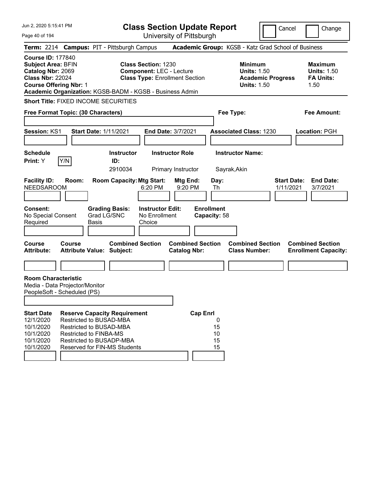| Jun 2, 2020 5:15:41 PM                                                                                                                                                                                                                                                                                                                                                             | <b>Class Section Update Report</b>                                                                                           |                                                                                                            |                                                               | Cancel                   | Change                                                                                                       |
|------------------------------------------------------------------------------------------------------------------------------------------------------------------------------------------------------------------------------------------------------------------------------------------------------------------------------------------------------------------------------------|------------------------------------------------------------------------------------------------------------------------------|------------------------------------------------------------------------------------------------------------|---------------------------------------------------------------|--------------------------|--------------------------------------------------------------------------------------------------------------|
| Page 40 of 194                                                                                                                                                                                                                                                                                                                                                                     |                                                                                                                              | University of Pittsburgh                                                                                   |                                                               |                          |                                                                                                              |
| Term: 2214 Campus: PIT - Pittsburgh Campus                                                                                                                                                                                                                                                                                                                                         |                                                                                                                              |                                                                                                            | Academic Group: KGSB - Katz Grad School of Business           |                          |                                                                                                              |
| <b>Course ID: 177840</b><br><b>Subject Area: BFIN</b><br>Catalog Nbr: 2069<br><b>Class Nbr: 22024</b><br><b>Course Offering Nbr: 1</b><br>Academic Organization: KGSB-BADM - KGSB - Business Admin                                                                                                                                                                                 | <b>Class Section: 1230</b><br><b>Component: LEC - Lecture</b><br><b>Class Type: Enrollment Section</b>                       |                                                                                                            | <b>Minimum</b><br><b>Units: 1.50</b><br><b>Units: 1.50</b>    | <b>Academic Progress</b> | <b>Maximum</b><br><b>Units: 1.50</b><br><b>FA Units:</b><br>1.50                                             |
| <b>Short Title: FIXED INCOME SECURITIES</b>                                                                                                                                                                                                                                                                                                                                        |                                                                                                                              |                                                                                                            |                                                               |                          |                                                                                                              |
| Free Format Topic: (30 Characters)                                                                                                                                                                                                                                                                                                                                                 |                                                                                                                              |                                                                                                            | Fee Type:                                                     |                          | <b>Fee Amount:</b>                                                                                           |
|                                                                                                                                                                                                                                                                                                                                                                                    |                                                                                                                              |                                                                                                            |                                                               |                          |                                                                                                              |
| Session: KS1<br><b>Start Date: 1/11/2021</b>                                                                                                                                                                                                                                                                                                                                       | <b>End Date: 3/7/2021</b>                                                                                                    |                                                                                                            | <b>Associated Class: 1230</b>                                 |                          | Location: PGH                                                                                                |
|                                                                                                                                                                                                                                                                                                                                                                                    |                                                                                                                              |                                                                                                            |                                                               |                          |                                                                                                              |
| <b>Schedule</b>                                                                                                                                                                                                                                                                                                                                                                    | <b>Instructor Role</b><br><b>Instructor</b>                                                                                  |                                                                                                            | <b>Instructor Name:</b>                                       |                          |                                                                                                              |
| Y/N<br><b>Print:</b> Y                                                                                                                                                                                                                                                                                                                                                             | ID:<br>2910034                                                                                                               | Primary Instructor                                                                                         | Sayrak, Akin                                                  |                          |                                                                                                              |
| <b>Facility ID:</b><br>Room:<br><b>NEEDSAROOM</b><br><b>Consent:</b><br><b>Grading Basis:</b><br>Grad LG/SNC<br>No Special Consent<br>Required<br>Basis<br><b>Course</b><br><b>Course</b><br><b>Attribute:</b><br><b>Attribute Value: Subject:</b>                                                                                                                                 | <b>Room Capacity: Mtg Start:</b><br>6:20 PM<br><b>Instructor Edit:</b><br>No Enrollment<br>Choice<br><b>Combined Section</b> | Mtg End:<br>9:20 PM<br><b>Enrollment</b><br>Capacity: 58<br><b>Combined Section</b><br><b>Catalog Nbr:</b> | Day:<br>Th<br><b>Combined Section</b><br><b>Class Number:</b> | 1/11/2021                | <b>Start Date:</b><br><b>End Date:</b><br>3/7/2021<br><b>Combined Section</b><br><b>Enrollment Capacity:</b> |
|                                                                                                                                                                                                                                                                                                                                                                                    |                                                                                                                              |                                                                                                            |                                                               |                          |                                                                                                              |
| <b>Room Characteristic</b><br>Media - Data Projector/Monitor<br>PeopleSoft - Scheduled (PS)<br><b>Start Date</b><br><b>Reserve Capacity Requirement</b><br>Restricted to BUSAD-MBA<br>12/1/2020<br>10/1/2020<br><b>Restricted to BUSAD-MBA</b><br>10/1/2020<br><b>Restricted to FINBA-MS</b><br>10/1/2020<br>Restricted to BUSADP-MBA<br>10/1/2020<br>Reserved for FIN-MS Students |                                                                                                                              | <b>Cap Enrl</b>                                                                                            | 0<br>15<br>10<br>15<br>15                                     |                          |                                                                                                              |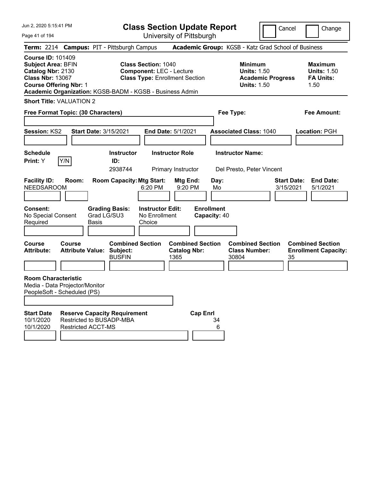Page 41 of 194

**Class Section Update Report**

Cancel Change

|                                                                                                       |                                                                                             |                      | Term: 2214 Campus: PIT - Pittsburgh Campus               |                                                                                                        |                                                        |                 |                                   | Academic Group: KGSB - Katz Grad School of Business                                    |                                 |                                                                  |
|-------------------------------------------------------------------------------------------------------|---------------------------------------------------------------------------------------------|----------------------|----------------------------------------------------------|--------------------------------------------------------------------------------------------------------|--------------------------------------------------------|-----------------|-----------------------------------|----------------------------------------------------------------------------------------|---------------------------------|------------------------------------------------------------------|
| <b>Course ID: 101409</b><br><b>Subject Area: BFIN</b><br>Catalog Nbr: 2130<br><b>Class Nbr: 13067</b> | <b>Course Offering Nbr: 1</b>                                                               |                      | Academic Organization: KGSB-BADM - KGSB - Business Admin | <b>Class Section: 1040</b><br><b>Component: LEC - Lecture</b><br><b>Class Type: Enrollment Section</b> |                                                        |                 |                                   | <b>Minimum</b><br><b>Units: 1.50</b><br><b>Academic Progress</b><br><b>Units: 1.50</b> |                                 | <b>Maximum</b><br><b>Units: 1.50</b><br><b>FA Units:</b><br>1.50 |
|                                                                                                       | <b>Short Title: VALUATION 2</b>                                                             |                      |                                                          |                                                                                                        |                                                        |                 |                                   |                                                                                        |                                 |                                                                  |
|                                                                                                       | Free Format Topic: (30 Characters)                                                          |                      |                                                          |                                                                                                        |                                                        |                 |                                   | Fee Type:                                                                              |                                 | Fee Amount:                                                      |
| Session: KS2                                                                                          |                                                                                             |                      | Start Date: 3/15/2021                                    |                                                                                                        | <b>End Date: 5/1/2021</b>                              |                 |                                   | <b>Associated Class: 1040</b>                                                          |                                 | Location: PGH                                                    |
| <b>Schedule</b><br>Print: Y                                                                           | Y/N                                                                                         |                      | Instructor<br>ID:<br>2938744                             |                                                                                                        | <b>Instructor Role</b><br>Primary Instructor           |                 |                                   | <b>Instructor Name:</b><br>Del Presto, Peter Vincent                                   |                                 |                                                                  |
| <b>Facility ID:</b><br><b>NEEDSAROOM</b>                                                              | Room:                                                                                       |                      | <b>Room Capacity: Mtg Start:</b>                         | 6:20 PM                                                                                                | Mtg End:<br>9:20 PM                                    |                 | Day:<br>Mo                        |                                                                                        | <b>Start Date:</b><br>3/15/2021 | <b>End Date:</b><br>5/1/2021                                     |
| Consent:<br>No Special Consent<br>Required                                                            |                                                                                             | Grad LG/SU3<br>Basis | <b>Grading Basis:</b>                                    | <b>Instructor Edit:</b><br>No Enrollment<br>Choice                                                     |                                                        |                 | <b>Enrollment</b><br>Capacity: 40 |                                                                                        |                                 |                                                                  |
| <b>Course</b><br><b>Attribute:</b>                                                                    | Course<br><b>Attribute Value: Subject:</b>                                                  |                      | <b>Combined Section</b><br><b>BUSFIN</b>                 |                                                                                                        | <b>Combined Section</b><br><b>Catalog Nbr:</b><br>1365 |                 |                                   | <b>Combined Section</b><br><b>Class Number:</b><br>30804                               | 35                              | <b>Combined Section</b><br><b>Enrollment Capacity:</b>           |
|                                                                                                       | <b>Room Characteristic</b><br>Media - Data Projector/Monitor<br>PeopleSoft - Scheduled (PS) |                      |                                                          |                                                                                                        |                                                        |                 |                                   |                                                                                        |                                 |                                                                  |
| <b>Start Date</b><br>10/1/2020<br>10/1/2020                                                           | Restricted to BUSADP-MBA<br><b>Restricted ACCT-MS</b>                                       |                      | <b>Reserve Capacity Requirement</b>                      |                                                                                                        |                                                        | <b>Cap Enrl</b> | 34<br>6                           |                                                                                        |                                 |                                                                  |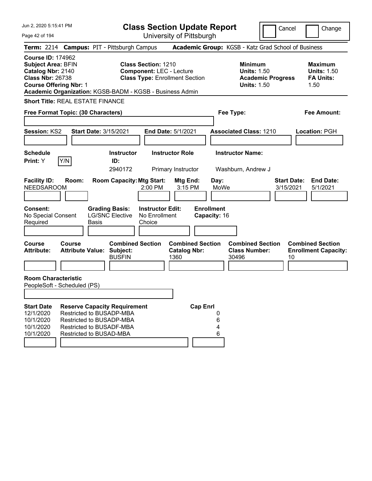**Class Section Update Report** University of Pittsburgh

Cancel Change

Page 42 of 194

| Term: 2214 Campus: PIT - Pittsburgh Campus                                                                                                                                                         |               |                                                                                                             |                                                      |                                                               |                                                        |                                   | Academic Group: KGSB - Katz Grad School of Business                                    |                                 |                                                                  |
|----------------------------------------------------------------------------------------------------------------------------------------------------------------------------------------------------|---------------|-------------------------------------------------------------------------------------------------------------|------------------------------------------------------|---------------------------------------------------------------|--------------------------------------------------------|-----------------------------------|----------------------------------------------------------------------------------------|---------------------------------|------------------------------------------------------------------|
| <b>Course ID: 174962</b><br><b>Subject Area: BFIN</b><br>Catalog Nbr: 2140<br><b>Class Nbr: 26738</b><br><b>Course Offering Nbr: 1</b><br>Academic Organization: KGSB-BADM - KGSB - Business Admin |               |                                                                                                             |                                                      | <b>Class Section: 1210</b><br><b>Component: LEC - Lecture</b> | <b>Class Type: Enrollment Section</b>                  |                                   | <b>Minimum</b><br><b>Units: 1.50</b><br><b>Academic Progress</b><br><b>Units: 1.50</b> |                                 | <b>Maximum</b><br><b>Units: 1.50</b><br><b>FA Units:</b><br>1.50 |
| <b>Short Title: REAL ESTATE FINANCE</b>                                                                                                                                                            |               |                                                                                                             |                                                      |                                                               |                                                        |                                   |                                                                                        |                                 |                                                                  |
| Free Format Topic: (30 Characters)                                                                                                                                                                 |               |                                                                                                             |                                                      |                                                               |                                                        |                                   | Fee Type:                                                                              |                                 | <b>Fee Amount:</b>                                               |
| Session: KS2                                                                                                                                                                                       |               | <b>Start Date: 3/15/2021</b>                                                                                |                                                      |                                                               | End Date: 5/1/2021                                     |                                   | <b>Associated Class: 1210</b>                                                          |                                 | Location: PGH                                                    |
| <b>Schedule</b><br>Print: Y                                                                                                                                                                        | Y/N           |                                                                                                             | <b>Instructor</b><br>ID:<br>2940172                  |                                                               | <b>Instructor Role</b><br>Primary Instructor           |                                   | <b>Instructor Name:</b><br>Washburn, Andrew J                                          |                                 |                                                                  |
| <b>Facility ID:</b><br>NEEDSAROOM                                                                                                                                                                  | Room:         |                                                                                                             | <b>Room Capacity: Mtg Start:</b>                     | 2:00 PM                                                       | Mtg End:<br>3:15 PM                                    | Day:<br>MoWe                      |                                                                                        | <b>Start Date:</b><br>3/15/2021 | <b>End Date:</b><br>5/1/2021                                     |
| Consent:<br>No Special Consent<br>Required                                                                                                                                                         |               | Basis                                                                                                       | <b>Grading Basis:</b><br><b>LG/SNC Elective</b>      | <b>Instructor Edit:</b><br>No Enrollment<br>Choice            |                                                        | <b>Enrollment</b><br>Capacity: 16 |                                                                                        |                                 |                                                                  |
| Course<br><b>Attribute:</b>                                                                                                                                                                        | <b>Course</b> | <b>Attribute Value:</b>                                                                                     | <b>Combined Section</b><br>Subject:<br><b>BUSFIN</b> |                                                               | <b>Combined Section</b><br><b>Catalog Nbr:</b><br>1360 |                                   | <b>Combined Section</b><br><b>Class Number:</b><br>30496                               | 10                              | <b>Combined Section</b><br><b>Enrollment Capacity:</b>           |
| <b>Room Characteristic</b><br>PeopleSoft - Scheduled (PS)                                                                                                                                          |               |                                                                                                             |                                                      |                                                               |                                                        |                                   |                                                                                        |                                 |                                                                  |
| <b>Start Date</b><br>12/1/2020<br>10/1/2020<br>10/1/2020<br>10/1/2020                                                                                                                              |               | Restricted to BUSADP-MBA<br>Restricted to BUSADP-MBA<br>Restricted to BUSADF-MBA<br>Restricted to BUSAD-MBA | <b>Reserve Capacity Requirement</b>                  |                                                               | <b>Cap Enrl</b>                                        | 0<br>6<br>4<br>6                  |                                                                                        |                                 |                                                                  |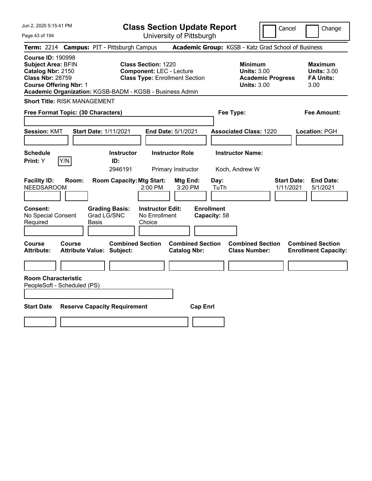Page 43 of 194

**Class Section Update Report**

Cancel **Change** 

| Term: 2214 Campus: PIT - Pittsburgh Campus                                                                                                                                                         |                                                                                                                                           |                                                | Academic Group: KGSB - Katz Grad School of Business                                    |                                                                  |
|----------------------------------------------------------------------------------------------------------------------------------------------------------------------------------------------------|-------------------------------------------------------------------------------------------------------------------------------------------|------------------------------------------------|----------------------------------------------------------------------------------------|------------------------------------------------------------------|
| <b>Course ID: 190998</b><br><b>Subject Area: BFIN</b><br>Catalog Nbr: 2150<br><b>Class Nbr: 28759</b><br><b>Course Offering Nbr: 1</b><br>Academic Organization: KGSB-BADM - KGSB - Business Admin | <b>Class Section: 1220</b><br><b>Component: LEC - Lecture</b><br><b>Class Type: Enrollment Section</b>                                    |                                                | <b>Minimum</b><br><b>Units: 3.00</b><br><b>Academic Progress</b><br><b>Units: 3.00</b> | <b>Maximum</b><br><b>Units: 3.00</b><br><b>FA Units:</b><br>3.00 |
| <b>Short Title: RISK MANAGEMENT</b>                                                                                                                                                                |                                                                                                                                           |                                                |                                                                                        |                                                                  |
| Free Format Topic: (30 Characters)                                                                                                                                                                 |                                                                                                                                           |                                                | Fee Type:                                                                              | <b>Fee Amount:</b>                                               |
| <b>Session: KMT</b>                                                                                                                                                                                | <b>Start Date: 1/11/2021</b>                                                                                                              | End Date: 5/1/2021                             | <b>Associated Class: 1220</b>                                                          | Location: PGH                                                    |
| <b>Schedule</b><br>Y/N<br>Print: Y                                                                                                                                                                 | <b>Instructor</b><br>ID:<br>2946191                                                                                                       | <b>Instructor Role</b><br>Primary Instructor   | <b>Instructor Name:</b><br>Koch, Andrew W                                              |                                                                  |
| <b>Facility ID:</b><br>Room:<br><b>NEEDSAROOM</b><br><b>Consent:</b><br>No Special Consent<br>Required<br>Basis                                                                                    | <b>Room Capacity: Mtg Start:</b><br>2:00 PM<br><b>Grading Basis:</b><br><b>Instructor Edit:</b><br>Grad LG/SNC<br>No Enrollment<br>Choice | Mtg End:<br>3:20 PM                            | Day:<br>TuTh<br><b>Enrollment</b><br>Capacity: 58                                      | <b>Start Date:</b><br><b>End Date:</b><br>1/11/2021<br>5/1/2021  |
| <b>Course</b><br>Course<br>Attribute:<br><b>Attribute Value: Subject:</b>                                                                                                                          | <b>Combined Section</b>                                                                                                                   | <b>Combined Section</b><br><b>Catalog Nbr:</b> | <b>Combined Section</b><br><b>Class Number:</b>                                        | <b>Combined Section</b><br><b>Enrollment Capacity:</b>           |
|                                                                                                                                                                                                    |                                                                                                                                           |                                                |                                                                                        |                                                                  |
| <b>Room Characteristic</b><br>PeopleSoft - Scheduled (PS)<br><b>Start Date</b>                                                                                                                     | <b>Reserve Capacity Requirement</b>                                                                                                       | <b>Cap Enrl</b>                                |                                                                                        |                                                                  |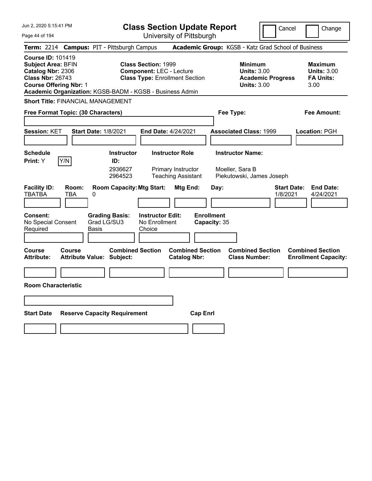| Jun 2, 2020 5:15:41 PM |  |
|------------------------|--|
|------------------------|--|

**Class Section Update Report** University of Pittsburgh

Cancel Change

Page 44 of 194

| Term: 2214 Campus: PIT - Pittsburgh Campus                                                                                                                                                         |                             |                             |                                                             |                                                                                                        |                                                 |                 |                                   | Academic Group: KGSB - Katz Grad School of Business |                                                                      |                                |                                                                  |
|----------------------------------------------------------------------------------------------------------------------------------------------------------------------------------------------------|-----------------------------|-----------------------------|-------------------------------------------------------------|--------------------------------------------------------------------------------------------------------|-------------------------------------------------|-----------------|-----------------------------------|-----------------------------------------------------|----------------------------------------------------------------------|--------------------------------|------------------------------------------------------------------|
| <b>Course ID: 101419</b><br><b>Subject Area: BFIN</b><br>Catalog Nbr: 2306<br><b>Class Nbr: 26743</b><br><b>Course Offering Nbr: 1</b><br>Academic Organization: KGSB-BADM - KGSB - Business Admin |                             |                             |                                                             | <b>Class Section: 1999</b><br><b>Component: LEC - Lecture</b><br><b>Class Type: Enrollment Section</b> |                                                 |                 |                                   | <b>Minimum</b>                                      | <b>Units: 3.00</b><br><b>Academic Progress</b><br><b>Units: 3.00</b> |                                | <b>Maximum</b><br><b>Units: 3.00</b><br><b>FA Units:</b><br>3.00 |
| <b>Short Title: FINANCIAL MANAGEMENT</b>                                                                                                                                                           |                             |                             |                                                             |                                                                                                        |                                                 |                 |                                   |                                                     |                                                                      |                                |                                                                  |
| Free Format Topic: (30 Characters)                                                                                                                                                                 |                             |                             |                                                             |                                                                                                        |                                                 |                 |                                   | Fee Type:                                           |                                                                      |                                | <b>Fee Amount:</b>                                               |
|                                                                                                                                                                                                    |                             |                             |                                                             |                                                                                                        |                                                 |                 |                                   |                                                     |                                                                      |                                |                                                                  |
| Session: KET                                                                                                                                                                                       | <b>Start Date: 1/8/2021</b> |                             |                                                             | End Date: 4/24/2021                                                                                    |                                                 |                 |                                   | <b>Associated Class: 1999</b>                       |                                                                      |                                | Location: PGH                                                    |
|                                                                                                                                                                                                    |                             |                             |                                                             |                                                                                                        |                                                 |                 |                                   |                                                     |                                                                      |                                |                                                                  |
| <b>Schedule</b>                                                                                                                                                                                    |                             |                             | <b>Instructor</b>                                           |                                                                                                        | <b>Instructor Role</b>                          |                 |                                   | <b>Instructor Name:</b>                             |                                                                      |                                |                                                                  |
| Y/N<br>Print: Y                                                                                                                                                                                    |                             |                             | ID:                                                         |                                                                                                        |                                                 |                 |                                   |                                                     |                                                                      |                                |                                                                  |
|                                                                                                                                                                                                    |                             |                             | 2936627<br>2964523                                          |                                                                                                        | Primary Instructor<br><b>Teaching Assistant</b> |                 |                                   | Moeller, Sara B<br>Piekutowski, James Joseph        |                                                                      |                                |                                                                  |
| <b>Facility ID:</b><br><b>TBATBA</b>                                                                                                                                                               | Room:<br>TBA                | 0                           |                                                             | <b>Room Capacity: Mtg Start:</b>                                                                       | Mtg End:                                        |                 | Day:                              |                                                     |                                                                      | <b>Start Date:</b><br>1/8/2021 | <b>End Date:</b><br>4/24/2021                                    |
| Consent:<br>No Special Consent<br>Required                                                                                                                                                         |                             | Grad LG/SU3<br><b>Basis</b> | <b>Grading Basis:</b>                                       | <b>Instructor Edit:</b><br>No Enrollment<br>Choice                                                     |                                                 |                 | <b>Enrollment</b><br>Capacity: 35 |                                                     |                                                                      |                                |                                                                  |
|                                                                                                                                                                                                    |                             |                             |                                                             |                                                                                                        |                                                 |                 |                                   |                                                     |                                                                      |                                |                                                                  |
| Course<br>Attribute:                                                                                                                                                                               | <b>Course</b>               |                             | <b>Combined Section</b><br><b>Attribute Value: Subject:</b> |                                                                                                        | <b>Combined Section</b><br><b>Catalog Nbr:</b>  |                 |                                   | <b>Combined Section</b><br><b>Class Number:</b>     |                                                                      |                                | <b>Combined Section</b><br><b>Enrollment Capacity:</b>           |
|                                                                                                                                                                                                    |                             |                             |                                                             |                                                                                                        |                                                 |                 |                                   |                                                     |                                                                      |                                |                                                                  |
| <b>Room Characteristic</b>                                                                                                                                                                         |                             |                             |                                                             |                                                                                                        |                                                 |                 |                                   |                                                     |                                                                      |                                |                                                                  |
|                                                                                                                                                                                                    |                             |                             |                                                             |                                                                                                        |                                                 |                 |                                   |                                                     |                                                                      |                                |                                                                  |
|                                                                                                                                                                                                    |                             |                             |                                                             |                                                                                                        |                                                 |                 |                                   |                                                     |                                                                      |                                |                                                                  |
| <b>Start Date</b>                                                                                                                                                                                  |                             |                             | <b>Reserve Capacity Requirement</b>                         |                                                                                                        |                                                 | <b>Cap Enrl</b> |                                   |                                                     |                                                                      |                                |                                                                  |
|                                                                                                                                                                                                    |                             |                             |                                                             |                                                                                                        |                                                 |                 |                                   |                                                     |                                                                      |                                |                                                                  |
|                                                                                                                                                                                                    |                             |                             |                                                             |                                                                                                        |                                                 |                 |                                   |                                                     |                                                                      |                                |                                                                  |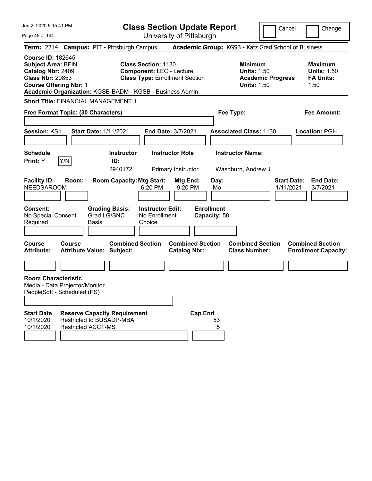| Jun 2, 2020 5:15:41 PM                                                                                                                                                                             | <b>Class Section Update Report</b>                                                                     |                                                                            | Change<br>Cancel                                                                             |
|----------------------------------------------------------------------------------------------------------------------------------------------------------------------------------------------------|--------------------------------------------------------------------------------------------------------|----------------------------------------------------------------------------|----------------------------------------------------------------------------------------------|
| Page 45 of 194                                                                                                                                                                                     | University of Pittsburgh                                                                               |                                                                            |                                                                                              |
| Term: 2214 Campus: PIT - Pittsburgh Campus                                                                                                                                                         |                                                                                                        | Academic Group: KGSB - Katz Grad School of Business                        |                                                                                              |
| <b>Course ID: 182645</b><br><b>Subject Area: BFIN</b><br>Catalog Nbr: 2409<br><b>Class Nbr: 20853</b><br><b>Course Offering Nbr: 1</b><br>Academic Organization: KGSB-BADM - KGSB - Business Admin | <b>Class Section: 1130</b><br><b>Component: LEC - Lecture</b><br><b>Class Type: Enrollment Section</b> | <b>Minimum</b><br><b>Units: 1.50</b><br><b>Units: 1.50</b>                 | <b>Maximum</b><br><b>Units: 1.50</b><br><b>FA Units:</b><br><b>Academic Progress</b><br>1.50 |
| <b>Short Title: FINANCIAL MANAGEMENT 1</b>                                                                                                                                                         |                                                                                                        |                                                                            |                                                                                              |
| Free Format Topic: (30 Characters)                                                                                                                                                                 |                                                                                                        | Fee Type:                                                                  | <b>Fee Amount:</b>                                                                           |
|                                                                                                                                                                                                    |                                                                                                        |                                                                            |                                                                                              |
| Session: KS1<br><b>Start Date: 1/11/2021</b>                                                                                                                                                       | End Date: 3/7/2021                                                                                     | <b>Associated Class: 1130</b>                                              | Location: PGH                                                                                |
| <b>Schedule</b>                                                                                                                                                                                    | <b>Instructor Role</b><br><b>Instructor</b>                                                            | <b>Instructor Name:</b>                                                    |                                                                                              |
| Y/N<br>Print: Y                                                                                                                                                                                    | ID:                                                                                                    |                                                                            |                                                                                              |
|                                                                                                                                                                                                    | 2940172<br><b>Primary Instructor</b>                                                                   | Washburn, Andrew J                                                         |                                                                                              |
| <b>Facility ID:</b><br>Room:<br><b>NEEDSAROOM</b>                                                                                                                                                  | <b>Room Capacity: Mtg Start:</b><br>Mtg End:<br>6:20 PM<br>9:20 PM                                     | Day:<br>Mo                                                                 | <b>Start Date:</b><br><b>End Date:</b><br>3/7/2021<br>1/11/2021                              |
| <b>Consent:</b><br><b>Grading Basis:</b><br>Grad LG/SNC<br>No Special Consent<br>Required<br>Basis                                                                                                 | <b>Instructor Edit:</b><br>No Enrollment<br>Choice                                                     | <b>Enrollment</b><br>Capacity: 58                                          |                                                                                              |
| <b>Course</b><br>Course<br><b>Attribute:</b><br><b>Attribute Value: Subject:</b>                                                                                                                   | <b>Combined Section</b><br><b>Catalog Nbr:</b>                                                         | <b>Combined Section</b><br><b>Combined Section</b><br><b>Class Number:</b> | <b>Combined Section</b><br><b>Enrollment Capacity:</b>                                       |
|                                                                                                                                                                                                    |                                                                                                        |                                                                            |                                                                                              |
| <b>Room Characteristic</b><br>Media - Data Projector/Monitor<br>PeopleSoft - Scheduled (PS)                                                                                                        |                                                                                                        |                                                                            |                                                                                              |
|                                                                                                                                                                                                    |                                                                                                        |                                                                            |                                                                                              |
| <b>Start Date</b><br><b>Reserve Capacity Requirement</b><br>Restricted to BUSADP-MBA<br>10/1/2020                                                                                                  |                                                                                                        | <b>Cap Enrl</b><br>53                                                      |                                                                                              |
| 10/1/2020<br><b>Restricted ACCT-MS</b>                                                                                                                                                             |                                                                                                        | 5                                                                          |                                                                                              |
|                                                                                                                                                                                                    |                                                                                                        |                                                                            |                                                                                              |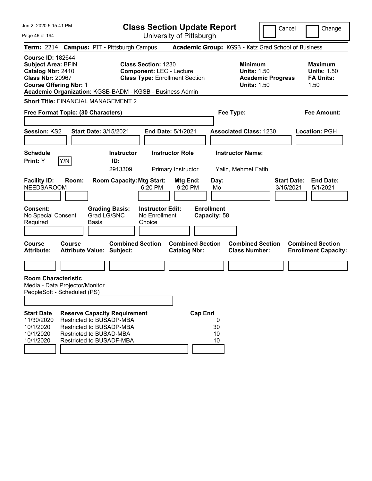| Jun 2, 2020 5:15:41 PM<br>Page 46 of 194                                                                                                                                                                                                                                           | <b>Class Section Update Report</b><br>University of Pittsburgh                                                                                                     | Cancel                                                                                 | Change                                                           |
|------------------------------------------------------------------------------------------------------------------------------------------------------------------------------------------------------------------------------------------------------------------------------------|--------------------------------------------------------------------------------------------------------------------------------------------------------------------|----------------------------------------------------------------------------------------|------------------------------------------------------------------|
| Term: 2214 Campus: PIT - Pittsburgh Campus                                                                                                                                                                                                                                         |                                                                                                                                                                    | Academic Group: KGSB - Katz Grad School of Business                                    |                                                                  |
| <b>Course ID: 182644</b><br><b>Subject Area: BFIN</b><br>Catalog Nbr: 2410<br><b>Class Nbr: 20967</b><br><b>Course Offering Nbr: 1</b>                                                                                                                                             | <b>Class Section: 1230</b><br><b>Component: LEC - Lecture</b><br><b>Class Type: Enrollment Section</b><br>Academic Organization: KGSB-BADM - KGSB - Business Admin | <b>Minimum</b><br><b>Units: 1.50</b><br><b>Academic Progress</b><br><b>Units: 1.50</b> | <b>Maximum</b><br><b>Units: 1.50</b><br><b>FA Units:</b><br>1.50 |
| <b>Short Title: FINANCIAL MANAGEMENT 2</b>                                                                                                                                                                                                                                         |                                                                                                                                                                    |                                                                                        |                                                                  |
| Free Format Topic: (30 Characters)                                                                                                                                                                                                                                                 |                                                                                                                                                                    | Fee Type:                                                                              | <b>Fee Amount:</b>                                               |
| Session: KS2<br><b>Start Date: 3/15/2021</b>                                                                                                                                                                                                                                       | End Date: 5/1/2021                                                                                                                                                 | <b>Associated Class: 1230</b>                                                          | Location: PGH                                                    |
| <b>Schedule</b><br>Y/N<br>Print: Y                                                                                                                                                                                                                                                 | <b>Instructor Role</b><br><b>Instructor</b><br>ID:<br>2913309<br>Primary Instructor                                                                                | <b>Instructor Name:</b><br>Yalin, Mehmet Fatih                                         |                                                                  |
| <b>Facility ID:</b><br>Room:<br><b>NEEDSAROOM</b>                                                                                                                                                                                                                                  | <b>Room Capacity: Mtg Start:</b><br>Mtg End:<br>6:20 PM<br>9:20 PM                                                                                                 | Day:<br><b>Start Date:</b><br>3/15/2021<br>Mo                                          | <b>End Date:</b><br>5/1/2021                                     |
| <b>Grading Basis:</b><br><b>Consent:</b><br>No Special Consent<br>Grad LG/SNC<br>Required<br><b>Basis</b>                                                                                                                                                                          | <b>Instructor Edit:</b><br>No Enrollment<br>Choice                                                                                                                 | <b>Enrollment</b><br>Capacity: 58                                                      |                                                                  |
| <b>Course</b><br><b>Course</b><br><b>Attribute:</b><br><b>Attribute Value: Subject:</b>                                                                                                                                                                                            | <b>Combined Section</b><br><b>Combined Section</b><br><b>Catalog Nbr:</b>                                                                                          | <b>Combined Section</b><br><b>Class Number:</b>                                        | <b>Combined Section</b><br><b>Enrollment Capacity:</b>           |
|                                                                                                                                                                                                                                                                                    |                                                                                                                                                                    |                                                                                        |                                                                  |
| <b>Room Characteristic</b><br>Media - Data Projector/Monitor<br>PeopleSoft - Scheduled (PS)<br><b>Start Date</b><br><b>Reserve Capacity Requirement</b><br>11/30/2020<br>Restricted to BUSADP-MBA<br>10/1/2020<br>Restricted to BUSADP-MBA<br>10/1/2020<br>Restricted to BUSAD-MBA | <b>Cap Enrl</b>                                                                                                                                                    | 0<br>30<br>10                                                                          |                                                                  |
| 10/1/2020<br>Restricted to BUSADF-MBA                                                                                                                                                                                                                                              |                                                                                                                                                                    | 10                                                                                     |                                                                  |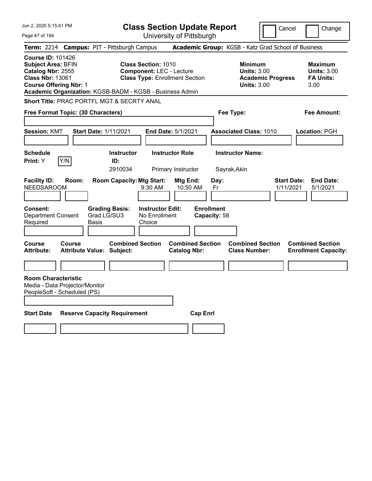| Jun 2, 2020 5:15:41 PM                                                                                                          |                                            |                                                          |                                                               | <b>Class Section Update Report</b>                  |                                   |                                                            | Cancel                          | Change                                                           |
|---------------------------------------------------------------------------------------------------------------------------------|--------------------------------------------|----------------------------------------------------------|---------------------------------------------------------------|-----------------------------------------------------|-----------------------------------|------------------------------------------------------------|---------------------------------|------------------------------------------------------------------|
| Page 47 of 194                                                                                                                  |                                            |                                                          |                                                               | University of Pittsburgh                            |                                   |                                                            |                                 |                                                                  |
|                                                                                                                                 |                                            | Term: 2214 Campus: PIT - Pittsburgh Campus               |                                                               | Academic Group: KGSB - Katz Grad School of Business |                                   |                                                            |                                 |                                                                  |
| <b>Course ID: 101426</b><br>Subject Area: BFIN<br>Catalog Nbr: 2555<br><b>Class Nbr: 13061</b><br><b>Course Offering Nbr: 1</b> |                                            | Academic Organization: KGSB-BADM - KGSB - Business Admin | <b>Class Section: 1010</b><br><b>Component: LEC - Lecture</b> | <b>Class Type: Enrollment Section</b>               |                                   | <b>Minimum</b><br><b>Units: 3.00</b><br><b>Units: 3.00</b> | <b>Academic Progress</b>        | <b>Maximum</b><br><b>Units: 3.00</b><br><b>FA Units:</b><br>3.00 |
|                                                                                                                                 |                                            | Short Title: PRAC PORTFL MGT & SECRTY ANAL               |                                                               |                                                     |                                   |                                                            |                                 |                                                                  |
| Free Format Topic: (30 Characters)                                                                                              |                                            |                                                          |                                                               |                                                     | Fee Type:                         |                                                            |                                 | Fee Amount:                                                      |
| <b>Session: KMT</b>                                                                                                             |                                            | <b>Start Date: 1/11/2021</b>                             |                                                               | <b>End Date: 5/1/2021</b>                           |                                   | <b>Associated Class: 1010</b>                              |                                 | Location: PGH                                                    |
| <b>Schedule</b><br>Print: Y                                                                                                     | Y/N                                        | <b>Instructor</b><br>ID:<br>2910034                      |                                                               | <b>Instructor Role</b><br>Primary Instructor        | Sayrak, Akin                      | <b>Instructor Name:</b>                                    |                                 |                                                                  |
| <b>Facility ID:</b><br><b>NEEDSAROOM</b>                                                                                        | Room:                                      | <b>Room Capacity: Mtg Start:</b>                         | 9:30 AM                                                       | Mtg End:<br>10:50 AM                                | Day:<br>Fr                        |                                                            | <b>Start Date:</b><br>1/11/2021 | <b>End Date:</b><br>5/1/2021                                     |
| <b>Consent:</b><br><b>Department Consent</b><br>Required                                                                        | Basis                                      | <b>Grading Basis:</b><br>Grad LG/SU3                     | <b>Instructor Edit:</b><br>No Enrollment<br>Choice            |                                                     | <b>Enrollment</b><br>Capacity: 58 |                                                            |                                 |                                                                  |
| Course<br><b>Attribute:</b>                                                                                                     | Course<br><b>Attribute Value: Subject:</b> | <b>Combined Section</b>                                  |                                                               | <b>Combined Section</b><br><b>Catalog Nbr:</b>      |                                   | <b>Combined Section</b><br><b>Class Number:</b>            |                                 | <b>Combined Section</b><br><b>Enrollment Capacity:</b>           |
|                                                                                                                                 |                                            |                                                          |                                                               |                                                     |                                   |                                                            |                                 |                                                                  |
| <b>Room Characteristic</b><br>Media - Data Projector/Monitor<br>PeopleSoft - Scheduled (PS)                                     |                                            |                                                          |                                                               |                                                     |                                   |                                                            |                                 |                                                                  |
| <b>Start Date</b>                                                                                                               |                                            | <b>Reserve Capacity Requirement</b>                      |                                                               | <b>Cap Enrl</b>                                     |                                   |                                                            |                                 |                                                                  |
|                                                                                                                                 |                                            |                                                          |                                                               |                                                     |                                   |                                                            |                                 |                                                                  |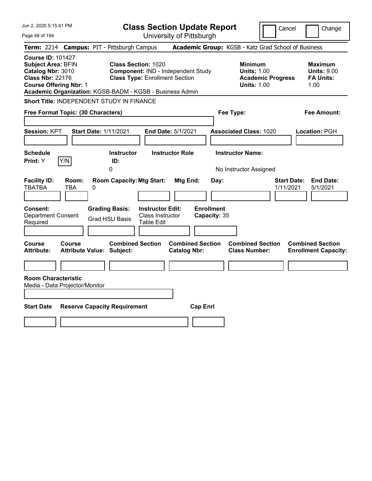| Jun 2, 2020 5:15:41 PM<br>Page 48 of 194                                                                                                                                                           | <b>Class Section Update Report</b><br>University of Pittsburgh                                            | Cancel<br>Change                                                                                                                                           |
|----------------------------------------------------------------------------------------------------------------------------------------------------------------------------------------------------|-----------------------------------------------------------------------------------------------------------|------------------------------------------------------------------------------------------------------------------------------------------------------------|
| Term: 2214 Campus: PIT - Pittsburgh Campus                                                                                                                                                         |                                                                                                           | Academic Group: KGSB - Katz Grad School of Business                                                                                                        |
| <b>Course ID: 101427</b><br><b>Subject Area: BFIN</b><br>Catalog Nbr: 3010<br><b>Class Nbr: 22176</b><br><b>Course Offering Nbr: 1</b><br>Academic Organization: KGSB-BADM - KGSB - Business Admin | <b>Class Section: 1020</b><br>Component: IND - Independent Study<br><b>Class Type: Enrollment Section</b> | <b>Minimum</b><br><b>Maximum</b><br><b>Units: 1.00</b><br><b>Units: 9.00</b><br><b>Academic Progress</b><br><b>FA Units:</b><br><b>Units: 1.00</b><br>1.00 |
| Short Title: INDEPENDENT STUDY IN FINANCE                                                                                                                                                          |                                                                                                           |                                                                                                                                                            |
| Free Format Topic: (30 Characters)                                                                                                                                                                 | Fee Type:                                                                                                 | <b>Fee Amount:</b>                                                                                                                                         |
| Session: KPT<br><b>Start Date: 1/11/2021</b>                                                                                                                                                       | End Date: 5/1/2021                                                                                        | <b>Associated Class: 1020</b><br>Location: PGH                                                                                                             |
| <b>Schedule</b><br>Y/N<br>Print: Y<br>0                                                                                                                                                            | <b>Instructor Role</b><br><b>Instructor Name:</b><br><b>Instructor</b><br>ID:                             | No Instructor Assigned                                                                                                                                     |
| <b>Facility ID:</b><br>Room:<br><b>TBATBA</b><br>TBA<br>0                                                                                                                                          | <b>Room Capacity: Mtg Start:</b><br>Mtg End:<br>Day:                                                      | <b>Start Date:</b><br><b>End Date:</b><br>1/11/2021<br>5/1/2021                                                                                            |
| Consent:<br><b>Grading Basis:</b><br><b>Department Consent</b><br><b>Grad HSU Basis</b><br>Required                                                                                                | <b>Enrollment</b><br><b>Instructor Edit:</b><br>Class Instructor<br>Capacity: 35<br>Table Edit            |                                                                                                                                                            |
| Course<br><b>Course</b><br><b>Attribute:</b><br><b>Attribute Value: Subject:</b>                                                                                                                   | <b>Combined Section</b><br><b>Combined Section</b><br><b>Catalog Nbr:</b>                                 | <b>Combined Section</b><br><b>Combined Section</b><br><b>Class Number:</b><br><b>Enrollment Capacity:</b>                                                  |
|                                                                                                                                                                                                    |                                                                                                           |                                                                                                                                                            |
| <b>Room Characteristic</b><br>Media - Data Projector/Monitor                                                                                                                                       |                                                                                                           |                                                                                                                                                            |
| <b>Start Date</b><br><b>Reserve Capacity Requirement</b>                                                                                                                                           | <b>Cap Enrl</b>                                                                                           |                                                                                                                                                            |
|                                                                                                                                                                                                    |                                                                                                           |                                                                                                                                                            |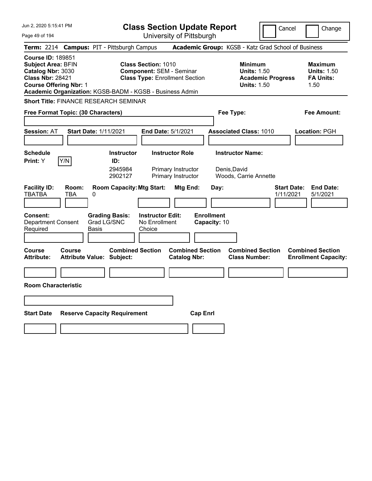| Jun 2, 2020 5:15:41 PM                                                                                                                                                                      | <b>Class Section Update Report</b>                                                                                   | Cancel                                                                                 | Change                                                           |
|---------------------------------------------------------------------------------------------------------------------------------------------------------------------------------------------|----------------------------------------------------------------------------------------------------------------------|----------------------------------------------------------------------------------------|------------------------------------------------------------------|
| Page 49 of 194                                                                                                                                                                              | University of Pittsburgh                                                                                             |                                                                                        |                                                                  |
| <b>Campus: PIT - Pittsburgh Campus</b><br><b>Term: 2214</b>                                                                                                                                 |                                                                                                                      | Academic Group: KGSB - Katz Grad School of Business                                    |                                                                  |
| <b>Course ID: 189851</b><br>Subject Area: BFIN<br>Catalog Nbr: 3030<br><b>Class Nbr: 28421</b><br><b>Course Offering Nbr: 1</b><br>Academic Organization: KGSB-BADM - KGSB - Business Admin | <b>Class Section: 1010</b><br><b>Component: SEM - Seminar</b><br><b>Class Type: Enrollment Section</b>               | <b>Minimum</b><br><b>Units: 1.50</b><br><b>Academic Progress</b><br><b>Units: 1.50</b> | <b>Maximum</b><br><b>Units: 1.50</b><br><b>FA Units:</b><br>1.50 |
| <b>Short Title: FINANCE RESEARCH SEMINAR</b>                                                                                                                                                |                                                                                                                      |                                                                                        |                                                                  |
| Free Format Topic: (30 Characters)                                                                                                                                                          |                                                                                                                      | Fee Type:                                                                              | Fee Amount:                                                      |
| <b>Session: AT</b><br><b>Start Date: 1/11/2021</b>                                                                                                                                          | End Date: 5/1/2021                                                                                                   | <b>Associated Class: 1010</b>                                                          | <b>Location: PGH</b>                                             |
| <b>Schedule</b><br>Y/N<br><b>Print:</b> Y                                                                                                                                                   | <b>Instructor Role</b><br><b>Instructor</b><br>ID:<br>2945984<br>Primary Instructor<br>2902127<br>Primary Instructor | <b>Instructor Name:</b><br>Denis,David<br>Woods, Carrie Annette                        |                                                                  |
| <b>Facility ID:</b><br>Room:<br><b>TBATBA</b><br>TBA<br>0<br><b>Grading Basis:</b><br><b>Consent:</b>                                                                                       | <b>Room Capacity: Mtg Start:</b><br>Mtg End:<br><b>Instructor Edit:</b>                                              | Day:<br>1/11/2021<br><b>Enrollment</b>                                                 | <b>End Date:</b><br><b>Start Date:</b><br>5/1/2021               |
| Grad LG/SNC<br><b>Department Consent</b><br>Required<br>Basis                                                                                                                               | No Enrollment<br>Choice                                                                                              | Capacity: 10                                                                           |                                                                  |
| <b>Course</b><br><b>Course</b><br><b>Attribute:</b><br><b>Attribute Value: Subject:</b>                                                                                                     | <b>Combined Section</b><br><b>Combined Section</b><br><b>Catalog Nbr:</b>                                            | <b>Combined Section</b><br><b>Class Number:</b>                                        | <b>Combined Section</b><br><b>Enrollment Capacity:</b>           |
|                                                                                                                                                                                             |                                                                                                                      |                                                                                        |                                                                  |
| <b>Room Characteristic</b>                                                                                                                                                                  |                                                                                                                      |                                                                                        |                                                                  |
|                                                                                                                                                                                             |                                                                                                                      |                                                                                        |                                                                  |
| <b>Start Date</b><br><b>Reserve Capacity Requirement</b>                                                                                                                                    |                                                                                                                      | <b>Cap Enrl</b>                                                                        |                                                                  |
|                                                                                                                                                                                             |                                                                                                                      |                                                                                        |                                                                  |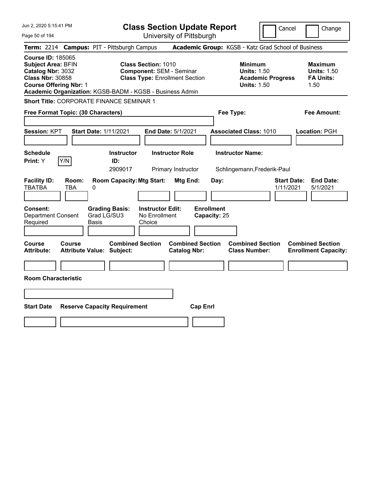| Jun 2, 2020 5:15:41 PM<br>Page 50 of 194                                                                                                                                                           | <b>Class Section Update Report</b><br>University of Pittsburgh                                         | Cancel                                                                                 | Change                                                           |
|----------------------------------------------------------------------------------------------------------------------------------------------------------------------------------------------------|--------------------------------------------------------------------------------------------------------|----------------------------------------------------------------------------------------|------------------------------------------------------------------|
| Term: 2214 Campus: PIT - Pittsburgh Campus                                                                                                                                                         |                                                                                                        | Academic Group: KGSB - Katz Grad School of Business                                    |                                                                  |
| <b>Course ID: 185065</b><br><b>Subject Area: BFIN</b><br>Catalog Nbr: 3032<br><b>Class Nbr: 30858</b><br><b>Course Offering Nbr: 1</b><br>Academic Organization: KGSB-BADM - KGSB - Business Admin | <b>Class Section: 1010</b><br><b>Component: SEM - Seminar</b><br><b>Class Type: Enrollment Section</b> | <b>Minimum</b><br><b>Units: 1.50</b><br><b>Academic Progress</b><br><b>Units: 1.50</b> | <b>Maximum</b><br><b>Units: 1.50</b><br><b>FA Units:</b><br>1.50 |
| Short Title: CORPORATE FINANCE SEMINAR 1                                                                                                                                                           |                                                                                                        |                                                                                        |                                                                  |
| Free Format Topic: (30 Characters)                                                                                                                                                                 |                                                                                                        | Fee Type:                                                                              | Fee Amount:                                                      |
| Session: KPT<br><b>Start Date: 1/11/2021</b>                                                                                                                                                       | End Date: 5/1/2021                                                                                     | <b>Associated Class: 1010</b>                                                          | Location: PGH                                                    |
| <b>Schedule</b><br>Y/N<br>Print: Y<br>ID:                                                                                                                                                          | <b>Instructor Role</b><br><b>Instructor</b><br>2909017<br>Primary Instructor                           | <b>Instructor Name:</b><br>Schlingemann, Frederik-Paul                                 |                                                                  |
| <b>Facility ID:</b><br>Room:<br><b>TBATBA</b><br>TBA<br>0                                                                                                                                          | <b>Room Capacity: Mtg Start:</b><br>Mtg End:<br>Day:                                                   | <b>Start Date:</b><br>1/11/2021                                                        | <b>End Date:</b><br>5/1/2021                                     |
| Consent:<br><b>Grading Basis:</b><br>Grad LG/SU3<br><b>Department Consent</b><br>Required<br>Basis                                                                                                 | <b>Enrollment</b><br><b>Instructor Edit:</b><br>No Enrollment<br>Capacity: 25<br>Choice                |                                                                                        |                                                                  |
| <b>Course</b><br><b>Course</b><br>Attribute Value: Subject:<br><b>Attribute:</b>                                                                                                                   | <b>Combined Section</b><br><b>Combined Section</b><br><b>Catalog Nbr:</b>                              | <b>Combined Section</b><br><b>Class Number:</b>                                        | <b>Combined Section</b><br><b>Enrollment Capacity:</b>           |
| <b>Room Characteristic</b>                                                                                                                                                                         |                                                                                                        |                                                                                        |                                                                  |
|                                                                                                                                                                                                    |                                                                                                        |                                                                                        |                                                                  |
| <b>Start Date</b><br><b>Reserve Capacity Requirement</b>                                                                                                                                           | <b>Cap Enrl</b>                                                                                        |                                                                                        |                                                                  |
|                                                                                                                                                                                                    |                                                                                                        |                                                                                        |                                                                  |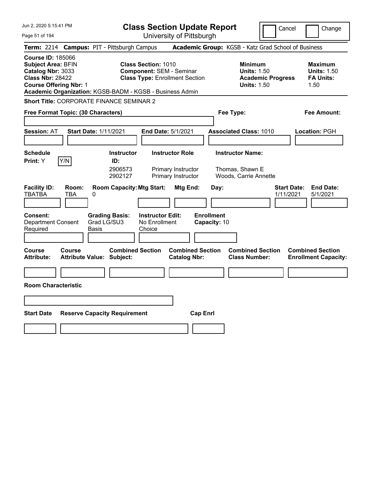| Jun 2, 2020 5:15:41 PM                                                                                                                                                                             | <b>Class Section Update Report</b>                                                                                   |                                                                                        | Cancel<br>Change                                                 |
|----------------------------------------------------------------------------------------------------------------------------------------------------------------------------------------------------|----------------------------------------------------------------------------------------------------------------------|----------------------------------------------------------------------------------------|------------------------------------------------------------------|
| Page 51 of 194                                                                                                                                                                                     | University of Pittsburgh                                                                                             |                                                                                        |                                                                  |
| <b>Campus: PIT - Pittsburgh Campus</b><br><b>Term: 2214</b>                                                                                                                                        |                                                                                                                      | Academic Group: KGSB - Katz Grad School of Business                                    |                                                                  |
| <b>Course ID: 185066</b><br><b>Subject Area: BFIN</b><br>Catalog Nbr: 3033<br><b>Class Nbr: 28422</b><br><b>Course Offering Nbr: 1</b><br>Academic Organization: KGSB-BADM - KGSB - Business Admin | <b>Class Section: 1010</b><br><b>Component: SEM - Seminar</b><br><b>Class Type: Enrollment Section</b>               | <b>Minimum</b><br><b>Units: 1.50</b><br><b>Academic Progress</b><br><b>Units: 1.50</b> | <b>Maximum</b><br><b>Units: 1.50</b><br><b>FA Units:</b><br>1.50 |
| <b>Short Title: CORPORATE FINANCE SEMINAR 2</b>                                                                                                                                                    |                                                                                                                      |                                                                                        |                                                                  |
| Free Format Topic: (30 Characters)                                                                                                                                                                 |                                                                                                                      | Fee Type:                                                                              | Fee Amount:                                                      |
| <b>Session: AT</b><br><b>Start Date: 1/11/2021</b>                                                                                                                                                 | <b>End Date: 5/1/2021</b>                                                                                            | <b>Associated Class: 1010</b>                                                          | Location: PGH                                                    |
| <b>Schedule</b><br>Y/N<br><b>Print:</b> Y                                                                                                                                                          | <b>Instructor Role</b><br><b>Instructor</b><br>ID:<br>2906573<br>Primary Instructor<br>2902127<br>Primary Instructor | <b>Instructor Name:</b><br>Thomas, Shawn E<br>Woods, Carrie Annette                    |                                                                  |
| <b>Facility ID:</b><br>Room:<br><b>TBATBA</b><br>TBA<br>0<br><b>Consent:</b><br><b>Grading Basis:</b><br>Grad LG/SU3<br><b>Department Consent</b><br>Required<br><b>Basis</b>                      | <b>Room Capacity: Mtg Start:</b><br>Mtg End:<br><b>Instructor Edit:</b><br>No Enrollment<br>Choice                   | Day:<br><b>Enrollment</b><br>Capacity: 10                                              | <b>End Date:</b><br><b>Start Date:</b><br>1/11/2021<br>5/1/2021  |
| Course<br>Course<br><b>Attribute:</b><br><b>Attribute Value: Subject:</b>                                                                                                                          | <b>Combined Section</b><br><b>Combined Section</b><br><b>Catalog Nbr:</b>                                            | <b>Combined Section</b><br><b>Class Number:</b>                                        | <b>Combined Section</b><br><b>Enrollment Capacity:</b>           |
|                                                                                                                                                                                                    |                                                                                                                      |                                                                                        |                                                                  |
| <b>Room Characteristic</b>                                                                                                                                                                         |                                                                                                                      |                                                                                        |                                                                  |
|                                                                                                                                                                                                    |                                                                                                                      |                                                                                        |                                                                  |
| <b>Start Date</b><br><b>Reserve Capacity Requirement</b>                                                                                                                                           |                                                                                                                      | <b>Cap Enri</b>                                                                        |                                                                  |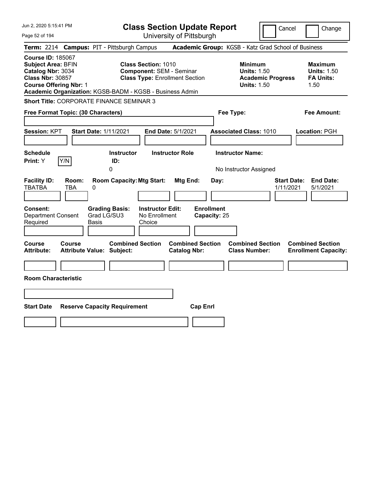| Jun 2, 2020 5:15:41 PM                                                                                                                                                                             | <b>Class Section Update Report</b>                                                                     | Cancel                                                                                 | Change                                                           |
|----------------------------------------------------------------------------------------------------------------------------------------------------------------------------------------------------|--------------------------------------------------------------------------------------------------------|----------------------------------------------------------------------------------------|------------------------------------------------------------------|
| Page 52 of 194                                                                                                                                                                                     | University of Pittsburgh                                                                               |                                                                                        |                                                                  |
| <b>Campus: PIT - Pittsburgh Campus</b><br><b>Term: 2214</b>                                                                                                                                        |                                                                                                        | Academic Group: KGSB - Katz Grad School of Business                                    |                                                                  |
| <b>Course ID: 185067</b><br><b>Subject Area: BFIN</b><br>Catalog Nbr: 3034<br><b>Class Nbr: 30857</b><br><b>Course Offering Nbr: 1</b><br>Academic Organization: KGSB-BADM - KGSB - Business Admin | <b>Class Section: 1010</b><br><b>Component: SEM - Seminar</b><br><b>Class Type: Enrollment Section</b> | <b>Minimum</b><br><b>Units: 1.50</b><br><b>Academic Progress</b><br><b>Units: 1.50</b> | <b>Maximum</b><br><b>Units: 1.50</b><br><b>FA Units:</b><br>1.50 |
| Short Title: CORPORATE FINANCE SEMINAR 3                                                                                                                                                           |                                                                                                        |                                                                                        |                                                                  |
| Free Format Topic: (30 Characters)                                                                                                                                                                 |                                                                                                        | Fee Type:                                                                              | Fee Amount:                                                      |
| <b>Session: KPT</b><br><b>Start Date: 1/11/2021</b>                                                                                                                                                | End Date: 5/1/2021                                                                                     | <b>Associated Class: 1010</b>                                                          | Location: PGH                                                    |
| <b>Schedule</b><br>Y/N<br><b>Print:</b> Y<br>0                                                                                                                                                     | <b>Instructor</b><br><b>Instructor Role</b><br>ID:                                                     | <b>Instructor Name:</b><br>No Instructor Assigned                                      |                                                                  |
| <b>Facility ID:</b><br>Room:<br><b>TBATBA</b><br>TBA<br>0                                                                                                                                          | <b>Room Capacity: Mtg Start:</b><br><b>Mtg End:</b><br>Day:                                            | <b>Start Date:</b><br>1/11/2021                                                        | <b>End Date:</b><br>5/1/2021                                     |
| <b>Consent:</b><br><b>Grading Basis:</b><br>Grad LG/SU3<br><b>Department Consent</b><br>Required<br>Basis                                                                                          | <b>Enrollment</b><br><b>Instructor Edit:</b><br>No Enrollment<br>Capacity: 25<br>Choice                |                                                                                        |                                                                  |
| Course<br><b>Course</b><br><b>Attribute:</b><br><b>Attribute Value: Subject:</b>                                                                                                                   | <b>Combined Section</b><br><b>Combined Section</b><br><b>Catalog Nbr:</b>                              | <b>Combined Section</b><br><b>Class Number:</b>                                        | <b>Combined Section</b><br><b>Enrollment Capacity:</b>           |
| <b>Room Characteristic</b>                                                                                                                                                                         |                                                                                                        |                                                                                        |                                                                  |
|                                                                                                                                                                                                    |                                                                                                        |                                                                                        |                                                                  |
| <b>Start Date</b><br><b>Reserve Capacity Requirement</b>                                                                                                                                           | <b>Cap Enrl</b>                                                                                        |                                                                                        |                                                                  |
|                                                                                                                                                                                                    |                                                                                                        |                                                                                        |                                                                  |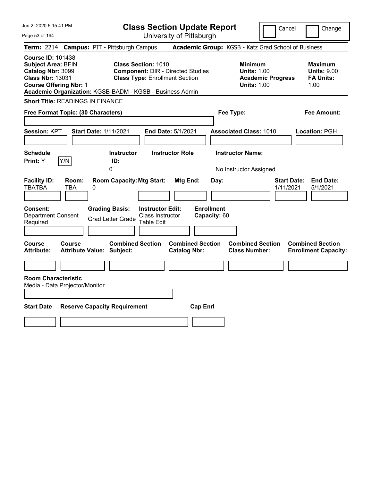Page 53 of 194

**Class Section Update Report**

Cancel Change

| Term: 2214 Campus: PIT - Pittsburgh Campus<br>Academic Group: KGSB - Katz Grad School of Business                                                                                                                                                                                                                                                                                                               |                                                                  |
|-----------------------------------------------------------------------------------------------------------------------------------------------------------------------------------------------------------------------------------------------------------------------------------------------------------------------------------------------------------------------------------------------------------------|------------------------------------------------------------------|
| <b>Course ID: 101438</b><br><b>Subject Area: BFIN</b><br><b>Class Section: 1010</b><br><b>Minimum</b><br>Catalog Nbr: 3099<br><b>Component: DIR - Directed Studies</b><br><b>Units: 1.00</b><br><b>Class Nbr: 13031</b><br><b>Class Type: Enrollment Section</b><br><b>Academic Progress</b><br><b>Course Offering Nbr: 1</b><br><b>Units: 1.00</b><br>Academic Organization: KGSB-BADM - KGSB - Business Admin | <b>Maximum</b><br><b>Units: 9.00</b><br><b>FA Units:</b><br>1.00 |
| <b>Short Title: READINGS IN FINANCE</b>                                                                                                                                                                                                                                                                                                                                                                         |                                                                  |
| Free Format Topic: (30 Characters)<br>Fee Type:                                                                                                                                                                                                                                                                                                                                                                 | <b>Fee Amount:</b>                                               |
| <b>Session: KPT</b><br><b>Start Date: 1/11/2021</b><br>End Date: 5/1/2021<br><b>Associated Class: 1010</b>                                                                                                                                                                                                                                                                                                      | Location: PGH                                                    |
| <b>Schedule</b><br><b>Instructor Role</b><br><b>Instructor Name:</b><br><b>Instructor</b><br>Y/N<br>Print: Y<br>ID:<br>0<br>No Instructor Assigned                                                                                                                                                                                                                                                              |                                                                  |
| <b>Room Capacity: Mtg Start:</b><br><b>Facility ID:</b><br>Room:<br>Mtg End:<br>Day:<br><b>TBATBA</b><br>0<br>TBA<br><b>Enrollment</b><br>Consent:<br><b>Grading Basis:</b><br><b>Instructor Edit:</b><br><b>Department Consent</b><br>Class Instructor<br>Capacity: 60<br><b>Grad Letter Grade</b><br><b>Table Edit</b><br>Required                                                                            | <b>End Date:</b><br><b>Start Date:</b><br>1/11/2021<br>5/1/2021  |
| <b>Combined Section</b><br><b>Combined Section</b><br><b>Combined Section</b><br>Course<br>Course<br><b>Attribute:</b><br><b>Attribute Value: Subject:</b><br><b>Catalog Nbr:</b><br><b>Class Number:</b>                                                                                                                                                                                                       | <b>Combined Section</b><br><b>Enrollment Capacity:</b>           |
|                                                                                                                                                                                                                                                                                                                                                                                                                 |                                                                  |
| <b>Room Characteristic</b><br>Media - Data Projector/Monitor<br><b>Start Date</b><br><b>Reserve Capacity Requirement</b><br><b>Cap Enrl</b>                                                                                                                                                                                                                                                                     |                                                                  |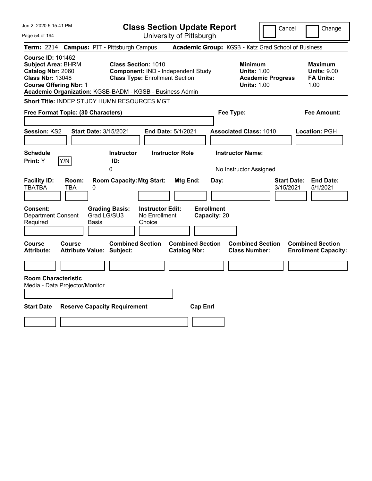| Jun 2, 2020 5:15:41 PM                                                                                                                                                                             |                                                                                                                                | <b>Class Section Update Report</b>                    | Cancel                                                                                 | Change                                                           |
|----------------------------------------------------------------------------------------------------------------------------------------------------------------------------------------------------|--------------------------------------------------------------------------------------------------------------------------------|-------------------------------------------------------|----------------------------------------------------------------------------------------|------------------------------------------------------------------|
| Page 54 of 194                                                                                                                                                                                     |                                                                                                                                | University of Pittsburgh                              |                                                                                        |                                                                  |
| <b>Term: 2214</b>                                                                                                                                                                                  | <b>Campus: PIT - Pittsburgh Campus</b>                                                                                         |                                                       | Academic Group: KGSB - Katz Grad School of Business                                    |                                                                  |
| <b>Course ID: 101462</b><br><b>Subject Area: BHRM</b><br>Catalog Nbr: 2060<br><b>Class Nbr: 13048</b><br><b>Course Offering Nbr: 1</b><br>Academic Organization: KGSB-BADM - KGSB - Business Admin | <b>Class Section: 1010</b><br>Component: IND - Independent Study<br><b>Class Type: Enrollment Section</b>                      |                                                       | <b>Minimum</b><br><b>Units: 1.00</b><br><b>Academic Progress</b><br><b>Units: 1.00</b> | <b>Maximum</b><br><b>Units: 9.00</b><br><b>FA Units:</b><br>1.00 |
| Short Title: INDEP STUDY HUMN RESOURCES MGT                                                                                                                                                        |                                                                                                                                |                                                       |                                                                                        |                                                                  |
| Free Format Topic: (30 Characters)                                                                                                                                                                 |                                                                                                                                |                                                       | Fee Type:                                                                              | Fee Amount:                                                      |
| <b>Start Date: 3/15/2021</b><br><b>Session: KS2</b><br><b>Schedule</b><br>Print: Y<br>Y/N                                                                                                          | <b>Instructor</b><br>ID:<br>0                                                                                                  | <b>End Date: 5/1/2021</b><br><b>Instructor Role</b>   | <b>Associated Class: 1010</b><br><b>Instructor Name:</b><br>No Instructor Assigned     | Location: PGH                                                    |
| <b>Facility ID:</b><br>Room:<br><b>TBATBA</b><br><b>TBA</b><br>0<br>Consent:<br><b>Department Consent</b><br>Required<br>Basis                                                                     | <b>Room Capacity: Mtg Start:</b><br><b>Grading Basis:</b><br><b>Instructor Edit:</b><br>Grad LG/SU3<br>No Enrollment<br>Choice | Mtg End:<br>Day:<br><b>Enrollment</b><br>Capacity: 20 | <b>Start Date:</b><br>3/15/2021                                                        | <b>End Date:</b><br>5/1/2021                                     |
| Course<br>Course<br><b>Attribute:</b><br><b>Attribute Value: Subject:</b><br><b>Room Characteristic</b><br>Media - Data Projector/Monitor                                                          | <b>Combined Section</b>                                                                                                        | <b>Combined Section</b><br><b>Catalog Nbr:</b>        | <b>Combined Section</b><br><b>Class Number:</b>                                        | <b>Combined Section</b><br><b>Enrollment Capacity:</b>           |
| <b>Start Date</b>                                                                                                                                                                                  | <b>Reserve Capacity Requirement</b>                                                                                            | <b>Cap Enrl</b>                                       |                                                                                        |                                                                  |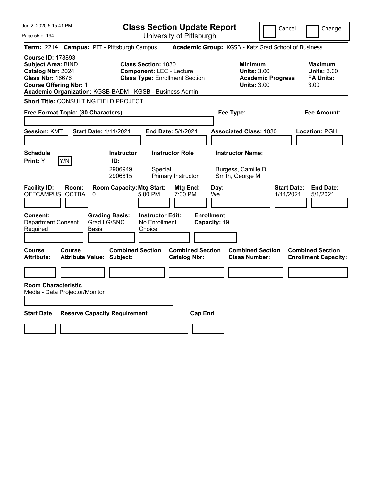| Jun 2, 2020 5:15:41 PM                                                                                                                 | <b>Class Section Update Report</b>                                                                                                                                 | Cancel                                                                                 | Change                                                           |
|----------------------------------------------------------------------------------------------------------------------------------------|--------------------------------------------------------------------------------------------------------------------------------------------------------------------|----------------------------------------------------------------------------------------|------------------------------------------------------------------|
| Page 55 of 194                                                                                                                         | University of Pittsburgh                                                                                                                                           |                                                                                        |                                                                  |
| <b>Term: 2214</b>                                                                                                                      | <b>Campus: PIT - Pittsburgh Campus</b>                                                                                                                             | Academic Group: KGSB - Katz Grad School of Business                                    |                                                                  |
| <b>Course ID: 178893</b><br><b>Subject Area: BIND</b><br>Catalog Nbr: 2024<br><b>Class Nbr: 16676</b><br><b>Course Offering Nbr: 1</b> | <b>Class Section: 1030</b><br><b>Component: LEC - Lecture</b><br><b>Class Type: Enrollment Section</b><br>Academic Organization: KGSB-BADM - KGSB - Business Admin | <b>Minimum</b><br><b>Units: 3.00</b><br><b>Academic Progress</b><br><b>Units: 3.00</b> | <b>Maximum</b><br><b>Units: 3.00</b><br><b>FA Units:</b><br>3.00 |
| <b>Short Title: CONSULTING FIELD PROJECT</b>                                                                                           |                                                                                                                                                                    |                                                                                        |                                                                  |
| Free Format Topic: (30 Characters)                                                                                                     |                                                                                                                                                                    | Fee Type:                                                                              | Fee Amount:                                                      |
| <b>Session: KMT</b><br><b>Start Date: 1/11/2021</b>                                                                                    | End Date: 5/1/2021                                                                                                                                                 | <b>Associated Class: 1030</b>                                                          | Location: PGH                                                    |
| <b>Schedule</b>                                                                                                                        | <b>Instructor Role</b><br><b>Instructor</b>                                                                                                                        | <b>Instructor Name:</b>                                                                |                                                                  |
| Y/N<br><b>Print:</b> Y                                                                                                                 | ID:<br>2906949<br>Special<br>2906815<br>Primary Instructor                                                                                                         | Burgess, Camille D<br>Smith, George M                                                  |                                                                  |
| <b>Facility ID:</b><br>Room:<br>OFFCAMPUS OCTBA<br>0                                                                                   | <b>Room Capacity: Mtg Start:</b><br>Mtg End:<br>5:00 PM<br>7:00 PM                                                                                                 | <b>Start Date:</b><br>Day:<br>We<br>1/11/2021                                          | <b>End Date:</b><br>5/1/2021                                     |
| <b>Grading Basis:</b><br>Consent:<br>Grad LG/SNC<br><b>Department Consent</b><br>Required<br>Basis                                     | <b>Instructor Edit:</b><br>No Enrollment<br>Choice                                                                                                                 | <b>Enrollment</b><br>Capacity: 19                                                      |                                                                  |
| Course<br><b>Course</b><br><b>Attribute:</b><br>Attribute Value: Subject:                                                              | <b>Combined Section</b><br><b>Combined Section</b><br><b>Catalog Nbr:</b>                                                                                          | <b>Combined Section</b><br><b>Class Number:</b>                                        | <b>Combined Section</b><br><b>Enrollment Capacity:</b>           |
|                                                                                                                                        |                                                                                                                                                                    |                                                                                        |                                                                  |
| <b>Room Characteristic</b><br>Media - Data Projector/Monitor                                                                           |                                                                                                                                                                    |                                                                                        |                                                                  |
| <b>Start Date</b><br><b>Reserve Capacity Requirement</b>                                                                               | <b>Cap Enri</b>                                                                                                                                                    |                                                                                        |                                                                  |
|                                                                                                                                        |                                                                                                                                                                    |                                                                                        |                                                                  |
|                                                                                                                                        |                                                                                                                                                                    |                                                                                        |                                                                  |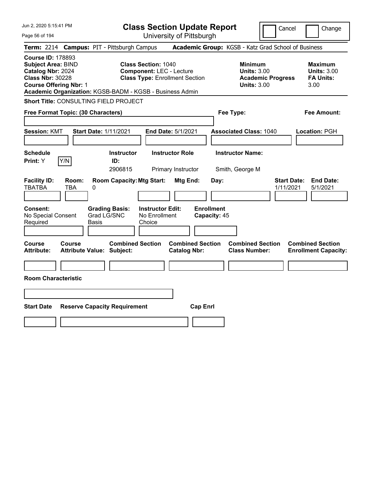| Jun 2, 2020 5:15:41 PM                                                                                                                 | <b>Class Section Update Report</b>                                                                                                                                 | Cancel                                                                                 | Change                                                           |
|----------------------------------------------------------------------------------------------------------------------------------------|--------------------------------------------------------------------------------------------------------------------------------------------------------------------|----------------------------------------------------------------------------------------|------------------------------------------------------------------|
| Page 56 of 194                                                                                                                         | University of Pittsburgh                                                                                                                                           |                                                                                        |                                                                  |
| <b>Term: 2214</b>                                                                                                                      | <b>Campus: PIT - Pittsburgh Campus</b>                                                                                                                             | Academic Group: KGSB - Katz Grad School of Business                                    |                                                                  |
| <b>Course ID: 178893</b><br><b>Subject Area: BIND</b><br>Catalog Nbr: 2024<br><b>Class Nbr: 30228</b><br><b>Course Offering Nbr: 1</b> | <b>Class Section: 1040</b><br><b>Component: LEC - Lecture</b><br><b>Class Type: Enrollment Section</b><br>Academic Organization: KGSB-BADM - KGSB - Business Admin | <b>Minimum</b><br><b>Units: 3.00</b><br><b>Academic Progress</b><br><b>Units: 3.00</b> | <b>Maximum</b><br><b>Units: 3.00</b><br><b>FA Units:</b><br>3.00 |
| Short Title: CONSULTING FIELD PROJECT                                                                                                  |                                                                                                                                                                    |                                                                                        |                                                                  |
| Free Format Topic: (30 Characters)                                                                                                     |                                                                                                                                                                    | Fee Type:                                                                              | Fee Amount:                                                      |
| <b>Session: KMT</b><br><b>Start Date: 1/11/2021</b>                                                                                    | End Date: 5/1/2021                                                                                                                                                 | <b>Associated Class: 1040</b>                                                          | Location: PGH                                                    |
| <b>Schedule</b><br>Y/N<br>Print: Y                                                                                                     | <b>Instructor Role</b><br><b>Instructor</b><br>ID:<br>2906815<br>Primary Instructor                                                                                | <b>Instructor Name:</b><br>Smith, George M                                             |                                                                  |
| <b>Facility ID:</b><br>Room:<br><b>TBATBA</b><br>TBA<br>0                                                                              | <b>Room Capacity: Mtg Start:</b><br><b>Mtg End:</b>                                                                                                                | Day:<br>1/11/2021                                                                      | <b>Start Date:</b><br><b>End Date:</b><br>5/1/2021               |
| <b>Consent:</b><br>No Special Consent<br>Required<br>Basis                                                                             | <b>Instructor Edit:</b><br><b>Grading Basis:</b><br>Grad LG/SNC<br>No Enrollment<br>Choice                                                                         | <b>Enrollment</b><br>Capacity: 45                                                      |                                                                  |
| <b>Course</b><br><b>Course</b><br><b>Attribute:</b><br><b>Attribute Value: Subject:</b>                                                | <b>Combined Section</b><br><b>Combined Section</b><br><b>Catalog Nbr:</b>                                                                                          | <b>Combined Section</b><br><b>Class Number:</b>                                        | <b>Combined Section</b><br><b>Enrollment Capacity:</b>           |
| <b>Room Characteristic</b>                                                                                                             |                                                                                                                                                                    |                                                                                        |                                                                  |
|                                                                                                                                        |                                                                                                                                                                    |                                                                                        |                                                                  |
|                                                                                                                                        |                                                                                                                                                                    |                                                                                        |                                                                  |
| <b>Start Date</b><br><b>Reserve Capacity Requirement</b>                                                                               | <b>Cap Enrl</b>                                                                                                                                                    |                                                                                        |                                                                  |
|                                                                                                                                        |                                                                                                                                                                    |                                                                                        |                                                                  |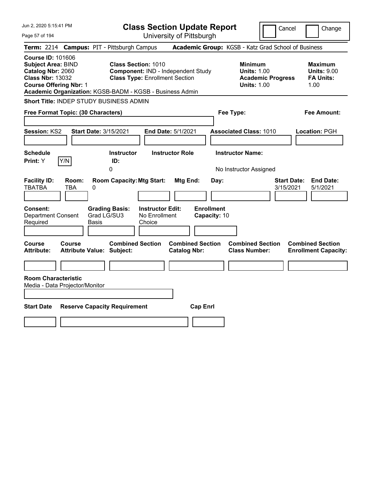| Jun 2, 2020 5:15:41 PM                                                                                                                                                                             |                                                                                                                                | <b>Class Section Update Report</b>                           | Cancel                                                                                 | Change                                                           |
|----------------------------------------------------------------------------------------------------------------------------------------------------------------------------------------------------|--------------------------------------------------------------------------------------------------------------------------------|--------------------------------------------------------------|----------------------------------------------------------------------------------------|------------------------------------------------------------------|
| Page 57 of 194                                                                                                                                                                                     |                                                                                                                                | University of Pittsburgh                                     |                                                                                        |                                                                  |
| Term: 2214 Campus: PIT - Pittsburgh Campus                                                                                                                                                         |                                                                                                                                |                                                              | Academic Group: KGSB - Katz Grad School of Business                                    |                                                                  |
| <b>Course ID: 101606</b><br><b>Subject Area: BIND</b><br>Catalog Nbr: 2060<br><b>Class Nbr: 13032</b><br><b>Course Offering Nbr: 1</b><br>Academic Organization: KGSB-BADM - KGSB - Business Admin | <b>Class Section: 1010</b><br>Component: IND - Independent Study<br><b>Class Type: Enrollment Section</b>                      |                                                              | <b>Minimum</b><br><b>Units: 1.00</b><br><b>Academic Progress</b><br><b>Units: 1.00</b> | <b>Maximum</b><br><b>Units: 9.00</b><br><b>FA Units:</b><br>1.00 |
| Short Title: INDEP STUDY BUSINESS ADMIN                                                                                                                                                            |                                                                                                                                |                                                              |                                                                                        |                                                                  |
| Free Format Topic: (30 Characters)                                                                                                                                                                 |                                                                                                                                |                                                              | Fee Type:                                                                              | Fee Amount:                                                      |
| Session: KS2<br><b>Start Date: 3/15/2021</b><br><b>Schedule</b>                                                                                                                                    | <b>Instructor</b>                                                                                                              | <b>End Date: 5/1/2021</b><br><b>Instructor Role</b>          | <b>Associated Class: 1010</b><br><b>Instructor Name:</b>                               | Location: PGH                                                    |
| Y/N<br>Print: Y                                                                                                                                                                                    | ID:<br>0                                                                                                                       |                                                              | No Instructor Assigned                                                                 |                                                                  |
| <b>Facility ID:</b><br>Room:<br><b>TBATBA</b><br>TBA<br>0<br><b>Consent:</b><br><b>Department Consent</b><br>Required<br>Basis                                                                     | <b>Room Capacity: Mtg Start:</b><br><b>Instructor Edit:</b><br><b>Grading Basis:</b><br>Grad LG/SU3<br>No Enrollment<br>Choice | <b>Mtg End:</b><br>Day:<br><b>Enrollment</b><br>Capacity: 10 | 3/15/2021                                                                              | <b>Start Date:</b><br><b>End Date:</b><br>5/1/2021               |
| Course<br><b>Course</b><br><b>Attribute:</b><br><b>Attribute Value: Subject:</b><br><b>Room Characteristic</b>                                                                                     | <b>Combined Section</b>                                                                                                        | <b>Combined Section</b><br><b>Catalog Nbr:</b>               | <b>Combined Section</b><br><b>Class Number:</b>                                        | <b>Combined Section</b><br><b>Enrollment Capacity:</b>           |
| Media - Data Projector/Monitor                                                                                                                                                                     |                                                                                                                                |                                                              |                                                                                        |                                                                  |
| <b>Start Date</b>                                                                                                                                                                                  | <b>Reserve Capacity Requirement</b>                                                                                            | <b>Cap Enrl</b>                                              |                                                                                        |                                                                  |
|                                                                                                                                                                                                    |                                                                                                                                |                                                              |                                                                                        |                                                                  |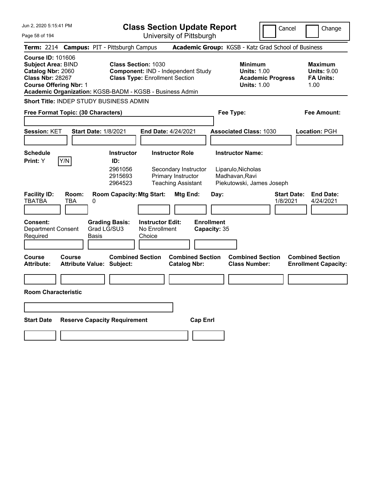| Jun 2, 2020 5:15:41 PM |  |  |  |  |  |
|------------------------|--|--|--|--|--|
|------------------------|--|--|--|--|--|

**Class Section Update Report** University of Pittsburgh

Cancel Change

Page 58 of 194

|                                                                                                       |                                            |       | Term: 2214 Campus: PIT - Pittsburgh Campus                                             |                                                    |                                                                         |                                   |                                      | Academic Group: KGSB - Katz Grad School of Business                                    |                                |                                                                  |
|-------------------------------------------------------------------------------------------------------|--------------------------------------------|-------|----------------------------------------------------------------------------------------|----------------------------------------------------|-------------------------------------------------------------------------|-----------------------------------|--------------------------------------|----------------------------------------------------------------------------------------|--------------------------------|------------------------------------------------------------------|
| <b>Course ID: 101606</b><br><b>Subject Area: BIND</b><br>Catalog Nbr: 2060<br><b>Class Nbr: 28267</b> | <b>Course Offering Nbr: 1</b>              |       | <b>Class Section: 1030</b><br>Academic Organization: KGSB-BADM - KGSB - Business Admin | <b>Class Type: Enrollment Section</b>              | Component: IND - Independent Study                                      |                                   |                                      | <b>Minimum</b><br><b>Units: 1.00</b><br><b>Academic Progress</b><br><b>Units: 1.00</b> |                                | <b>Maximum</b><br><b>Units: 9.00</b><br><b>FA Units:</b><br>1.00 |
|                                                                                                       |                                            |       | <b>Short Title: INDEP STUDY BUSINESS ADMIN</b>                                         |                                                    |                                                                         |                                   |                                      |                                                                                        |                                |                                                                  |
|                                                                                                       | Free Format Topic: (30 Characters)         |       |                                                                                        |                                                    |                                                                         |                                   | Fee Type:                            |                                                                                        |                                | Fee Amount:                                                      |
| Session: KET                                                                                          |                                            |       | <b>Start Date: 1/8/2021</b>                                                            | End Date: 4/24/2021                                |                                                                         |                                   |                                      | <b>Associated Class: 1030</b>                                                          |                                | Location: PGH                                                    |
| <b>Schedule</b><br>Print: Y                                                                           | Y/N                                        |       | <b>Instructor</b><br>ID:                                                               |                                                    | <b>Instructor Role</b>                                                  |                                   | <b>Instructor Name:</b>              |                                                                                        |                                |                                                                  |
|                                                                                                       |                                            |       | 2961056<br>2915693<br>2964523                                                          |                                                    | Secondary Instructor<br>Primary Instructor<br><b>Teaching Assistant</b> |                                   | Liparulo, Nicholas<br>Madhavan, Ravi | Piekutowski, James Joseph                                                              |                                |                                                                  |
| <b>Facility ID:</b><br>TBATBA                                                                         | Room:<br><b>TBA</b>                        | 0     | <b>Room Capacity: Mtg Start:</b>                                                       |                                                    | Mtg End:                                                                | Day:                              |                                      |                                                                                        | <b>Start Date:</b><br>1/8/2021 | <b>End Date:</b><br>4/24/2021                                    |
| Consent:<br><b>Department Consent</b><br>Required                                                     |                                            | Basis | <b>Grading Basis:</b><br>Grad LG/SU3                                                   | <b>Instructor Edit:</b><br>No Enrollment<br>Choice |                                                                         | <b>Enrollment</b><br>Capacity: 35 |                                      |                                                                                        |                                |                                                                  |
| Course<br><b>Attribute:</b>                                                                           | Course<br><b>Attribute Value: Subject:</b> |       | <b>Combined Section</b>                                                                |                                                    | <b>Combined Section</b><br><b>Catalog Nbr:</b>                          |                                   |                                      | <b>Combined Section</b><br><b>Class Number:</b>                                        |                                | <b>Combined Section</b><br><b>Enrollment Capacity:</b>           |
|                                                                                                       |                                            |       |                                                                                        |                                                    |                                                                         |                                   |                                      |                                                                                        |                                |                                                                  |
|                                                                                                       | <b>Room Characteristic</b>                 |       |                                                                                        |                                                    |                                                                         |                                   |                                      |                                                                                        |                                |                                                                  |
|                                                                                                       |                                            |       |                                                                                        |                                                    |                                                                         |                                   |                                      |                                                                                        |                                |                                                                  |
| <b>Start Date</b>                                                                                     |                                            |       | <b>Reserve Capacity Requirement</b>                                                    |                                                    |                                                                         | <b>Cap Enrl</b>                   |                                      |                                                                                        |                                |                                                                  |
|                                                                                                       |                                            |       |                                                                                        |                                                    |                                                                         |                                   |                                      |                                                                                        |                                |                                                                  |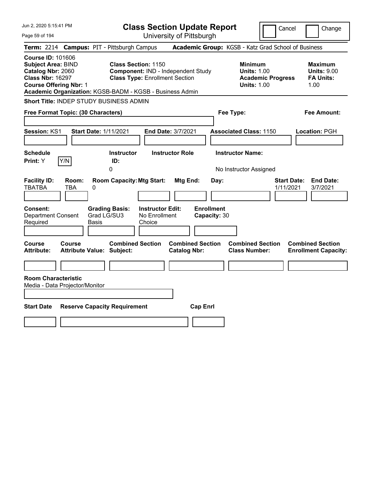| Jun 2, 2020 5:15:41 PM                                                                                                                                                                             |                                                                                                           | <b>Class Section Update Report</b><br>Cancel<br>Change |                                                                                        |                                                                  |  |  |  |  |  |
|----------------------------------------------------------------------------------------------------------------------------------------------------------------------------------------------------|-----------------------------------------------------------------------------------------------------------|--------------------------------------------------------|----------------------------------------------------------------------------------------|------------------------------------------------------------------|--|--|--|--|--|
| Page 59 of 194                                                                                                                                                                                     |                                                                                                           | University of Pittsburgh                               |                                                                                        |                                                                  |  |  |  |  |  |
| <b>Term: 2214</b>                                                                                                                                                                                  | <b>Campus: PIT - Pittsburgh Campus</b>                                                                    |                                                        | Academic Group: KGSB - Katz Grad School of Business                                    |                                                                  |  |  |  |  |  |
| <b>Course ID: 101606</b><br><b>Subject Area: BIND</b><br>Catalog Nbr: 2060<br><b>Class Nbr: 16297</b><br><b>Course Offering Nbr: 1</b><br>Academic Organization: KGSB-BADM - KGSB - Business Admin | <b>Class Section: 1150</b><br>Component: IND - Independent Study<br><b>Class Type: Enrollment Section</b> |                                                        | <b>Minimum</b><br><b>Units: 1.00</b><br><b>Academic Progress</b><br><b>Units: 1.00</b> | <b>Maximum</b><br><b>Units: 9.00</b><br><b>FA Units:</b><br>1.00 |  |  |  |  |  |
| Short Title: INDEP STUDY BUSINESS ADMIN                                                                                                                                                            |                                                                                                           |                                                        |                                                                                        |                                                                  |  |  |  |  |  |
| Free Format Topic: (30 Characters)                                                                                                                                                                 |                                                                                                           |                                                        | Fee Type:                                                                              | Fee Amount:                                                      |  |  |  |  |  |
| Session: KS1<br><b>Start Date: 1/11/2021</b><br><b>Schedule</b>                                                                                                                                    | <b>Instructor</b>                                                                                         | End Date: 3/7/2021<br><b>Instructor Role</b>           | <b>Associated Class: 1150</b><br><b>Instructor Name:</b>                               | Location: PGH                                                    |  |  |  |  |  |
| Y/N<br>Print: Y                                                                                                                                                                                    | ID:                                                                                                       |                                                        |                                                                                        |                                                                  |  |  |  |  |  |
|                                                                                                                                                                                                    | 0                                                                                                         |                                                        | No Instructor Assigned                                                                 |                                                                  |  |  |  |  |  |
| <b>Facility ID:</b><br>Room:<br><b>TBATBA</b><br>TBA<br>0                                                                                                                                          | <b>Room Capacity: Mtg Start:</b>                                                                          | Mtg End:<br>Day:                                       | 1/11/2021                                                                              | <b>Start Date:</b><br><b>End Date:</b><br>3/7/2021               |  |  |  |  |  |
| Consent:<br><b>Department Consent</b><br>Required<br>Basis                                                                                                                                         | <b>Instructor Edit:</b><br><b>Grading Basis:</b><br>Grad LG/SU3<br>No Enrollment<br>Choice                | <b>Enrollment</b><br>Capacity: 30                      |                                                                                        |                                                                  |  |  |  |  |  |
| <b>Course</b><br><b>Course</b><br><b>Attribute:</b><br><b>Attribute Value: Subject:</b>                                                                                                            | <b>Combined Section</b>                                                                                   | <b>Combined Section</b><br><b>Catalog Nbr:</b>         | <b>Combined Section</b><br><b>Class Number:</b>                                        | <b>Combined Section</b><br><b>Enrollment Capacity:</b>           |  |  |  |  |  |
|                                                                                                                                                                                                    |                                                                                                           |                                                        |                                                                                        |                                                                  |  |  |  |  |  |
| <b>Room Characteristic</b><br>Media - Data Projector/Monitor                                                                                                                                       |                                                                                                           |                                                        |                                                                                        |                                                                  |  |  |  |  |  |
|                                                                                                                                                                                                    |                                                                                                           |                                                        |                                                                                        |                                                                  |  |  |  |  |  |
| <b>Start Date</b>                                                                                                                                                                                  | <b>Reserve Capacity Requirement</b>                                                                       | <b>Cap Enrl</b>                                        |                                                                                        |                                                                  |  |  |  |  |  |
|                                                                                                                                                                                                    |                                                                                                           |                                                        |                                                                                        |                                                                  |  |  |  |  |  |
|                                                                                                                                                                                                    |                                                                                                           |                                                        |                                                                                        |                                                                  |  |  |  |  |  |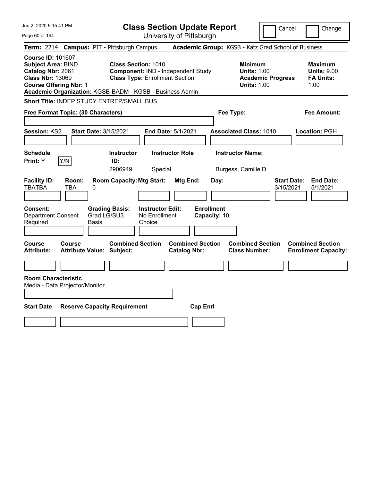| Jun 2, 2020 5:15:41 PM                                                                                                                                                                             |                                                   |                                                                                                           | <b>Class Section Update Report</b><br>Cancel<br>Change |                                              |                                           |                                                            |                          |                                                                  |  |
|----------------------------------------------------------------------------------------------------------------------------------------------------------------------------------------------------|---------------------------------------------------|-----------------------------------------------------------------------------------------------------------|--------------------------------------------------------|----------------------------------------------|-------------------------------------------|------------------------------------------------------------|--------------------------|------------------------------------------------------------------|--|
| Page 60 of 194                                                                                                                                                                                     |                                                   |                                                                                                           |                                                        |                                              | University of Pittsburgh                  |                                                            |                          |                                                                  |  |
| <b>Term: 2214</b>                                                                                                                                                                                  | <b>Campus: PIT - Pittsburgh Campus</b>            |                                                                                                           |                                                        |                                              |                                           |                                                            |                          | Academic Group: KGSB - Katz Grad School of Business              |  |
| <b>Course ID: 101607</b><br><b>Subject Area: BIND</b><br>Catalog Nbr: 2061<br><b>Class Nbr: 13069</b><br><b>Course Offering Nbr: 1</b><br>Academic Organization: KGSB-BADM - KGSB - Business Admin |                                                   | <b>Class Section: 1010</b><br>Component: IND - Independent Study<br><b>Class Type: Enrollment Section</b> |                                                        |                                              |                                           | <b>Minimum</b><br><b>Units: 1.00</b><br><b>Units: 1.00</b> | <b>Academic Progress</b> | <b>Maximum</b><br><b>Units: 9.00</b><br><b>FA Units:</b><br>1.00 |  |
| Short Title: INDEP STUDY ENTREP/SMALL BUS                                                                                                                                                          |                                                   |                                                                                                           |                                                        |                                              |                                           |                                                            |                          |                                                                  |  |
| Free Format Topic: (30 Characters)                                                                                                                                                                 |                                                   |                                                                                                           |                                                        |                                              |                                           | Fee Type:                                                  |                          | Fee Amount:                                                      |  |
| <b>Session: KS2</b><br><b>Schedule</b>                                                                                                                                                             | <b>Start Date: 3/15/2021</b>                      | <b>Instructor</b>                                                                                         |                                                        | End Date: 5/1/2021<br><b>Instructor Role</b> |                                           | <b>Associated Class: 1010</b><br><b>Instructor Name:</b>   |                          | Location: PGH                                                    |  |
| Y/N<br>Print: Y                                                                                                                                                                                    |                                                   | ID:<br>2906949                                                                                            | Special                                                |                                              |                                           | Burgess, Camille D                                         |                          |                                                                  |  |
| <b>Facility ID:</b><br><b>TBATBA</b><br>Consent:<br><b>Department Consent</b><br>Required                                                                                                          | Room:<br>TBA<br>0<br>Grad LG/SU3<br>Basis         | <b>Room Capacity: Mtg Start:</b><br><b>Grading Basis:</b>                                                 | <b>Instructor Edit:</b><br>No Enrollment<br>Choice     | Mtg End:                                     | Day:<br><b>Enrollment</b><br>Capacity: 10 |                                                            |                          | <b>End Date:</b><br><b>Start Date:</b><br>3/15/2021<br>5/1/2021  |  |
| Course<br><b>Attribute:</b>                                                                                                                                                                        | <b>Course</b><br><b>Attribute Value: Subject:</b> | <b>Combined Section</b>                                                                                   |                                                        | <b>Catalog Nbr:</b>                          | <b>Combined Section</b>                   | <b>Combined Section</b><br><b>Class Number:</b>            |                          | <b>Combined Section</b><br><b>Enrollment Capacity:</b>           |  |
| <b>Room Characteristic</b><br>Media - Data Projector/Monitor                                                                                                                                       |                                                   |                                                                                                           |                                                        |                                              |                                           |                                                            |                          |                                                                  |  |
| <b>Start Date</b>                                                                                                                                                                                  | <b>Reserve Capacity Requirement</b>               |                                                                                                           |                                                        |                                              | <b>Cap Enrl</b>                           |                                                            |                          |                                                                  |  |
|                                                                                                                                                                                                    |                                                   |                                                                                                           |                                                        |                                              |                                           |                                                            |                          |                                                                  |  |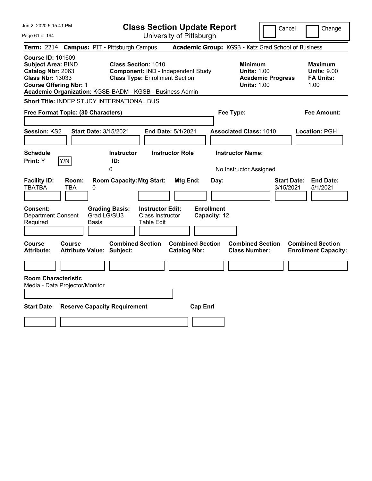| Jun 2, 2020 5:15:41 PM                                                                                                                 |                            |                                                                                                                                 | <b>Class Section Update Report</b><br>Cancel<br>Change           |                                                |                                           |                                                                                        |                                 |                                                                  |  |
|----------------------------------------------------------------------------------------------------------------------------------------|----------------------------|---------------------------------------------------------------------------------------------------------------------------------|------------------------------------------------------------------|------------------------------------------------|-------------------------------------------|----------------------------------------------------------------------------------------|---------------------------------|------------------------------------------------------------------|--|
| Page 61 of 194                                                                                                                         |                            |                                                                                                                                 |                                                                  | University of Pittsburgh                       |                                           |                                                                                        |                                 |                                                                  |  |
| <b>Term: 2214</b>                                                                                                                      |                            | <b>Campus: PIT - Pittsburgh Campus</b>                                                                                          |                                                                  |                                                |                                           | Academic Group: KGSB - Katz Grad School of Business                                    |                                 |                                                                  |  |
| <b>Course ID: 101609</b><br><b>Subject Area: BIND</b><br>Catalog Nbr: 2063<br><b>Class Nbr: 13033</b><br><b>Course Offering Nbr: 1</b> |                            | <b>Class Section: 1010</b><br><b>Class Type: Enrollment Section</b><br>Academic Organization: KGSB-BADM - KGSB - Business Admin |                                                                  | Component: IND - Independent Study             |                                           | <b>Minimum</b><br><b>Units: 1.00</b><br><b>Academic Progress</b><br><b>Units: 1.00</b> |                                 | <b>Maximum</b><br><b>Units: 9.00</b><br><b>FA Units:</b><br>1.00 |  |
|                                                                                                                                        |                            | <b>Short Title: INDEP STUDY INTERNATIONAL BUS</b>                                                                               |                                                                  |                                                |                                           |                                                                                        |                                 |                                                                  |  |
| Free Format Topic: (30 Characters)                                                                                                     |                            |                                                                                                                                 |                                                                  |                                                |                                           | Fee Type:                                                                              |                                 | Fee Amount:                                                      |  |
| <b>Session: KS2</b><br><b>Schedule</b>                                                                                                 |                            | Start Date: 3/15/2021<br><b>Instructor</b>                                                                                      |                                                                  | End Date: 5/1/2021<br><b>Instructor Role</b>   |                                           | <b>Associated Class: 1010</b><br><b>Instructor Name:</b>                               |                                 | Location: PGH                                                    |  |
| Print: Y                                                                                                                               | Y/N                        | ID:<br>0                                                                                                                        |                                                                  |                                                |                                           | No Instructor Assigned                                                                 |                                 |                                                                  |  |
| <b>Facility ID:</b><br><b>TBATBA</b><br>Consent:<br><b>Department Consent</b><br>Required                                              | Room:<br>TBA<br>0<br>Basis | <b>Room Capacity: Mtg Start:</b><br><b>Grading Basis:</b><br>Grad LG/SU3                                                        | <b>Instructor Edit:</b><br>Class Instructor<br><b>Table Edit</b> | Mtg End:                                       | Day:<br><b>Enrollment</b><br>Capacity: 12 |                                                                                        | <b>Start Date:</b><br>3/15/2021 | <b>End Date:</b><br>5/1/2021                                     |  |
| Course<br>Attribute:                                                                                                                   | <b>Course</b>              | <b>Combined Section</b><br>Attribute Value: Subject:                                                                            |                                                                  | <b>Combined Section</b><br><b>Catalog Nbr:</b> |                                           | <b>Combined Section</b><br><b>Class Number:</b>                                        |                                 | <b>Combined Section</b><br><b>Enrollment Capacity:</b>           |  |
| <b>Room Characteristic</b><br>Media - Data Projector/Monitor                                                                           |                            |                                                                                                                                 |                                                                  |                                                |                                           |                                                                                        |                                 |                                                                  |  |
| <b>Start Date</b>                                                                                                                      |                            | <b>Reserve Capacity Requirement</b>                                                                                             |                                                                  | <b>Cap Enrl</b>                                |                                           |                                                                                        |                                 |                                                                  |  |
|                                                                                                                                        |                            |                                                                                                                                 |                                                                  |                                                |                                           |                                                                                        |                                 |                                                                  |  |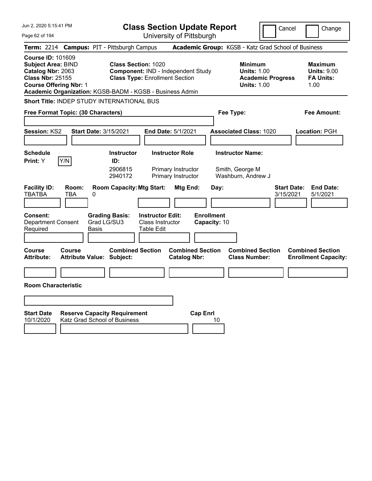| Jun 2, 2020 5:15:41 PM                                                                                                                 |                                                                     | <b>Class Section Update Report</b><br>Cancel<br>Change                                                    |                                                                  |                                                                    |                                   |                                                                  |                          |                                                                  |  |
|----------------------------------------------------------------------------------------------------------------------------------------|---------------------------------------------------------------------|-----------------------------------------------------------------------------------------------------------|------------------------------------------------------------------|--------------------------------------------------------------------|-----------------------------------|------------------------------------------------------------------|--------------------------|------------------------------------------------------------------|--|
| Page 62 of 194                                                                                                                         |                                                                     |                                                                                                           |                                                                  | University of Pittsburgh                                           |                                   |                                                                  |                          |                                                                  |  |
| <b>Term: 2214</b>                                                                                                                      | <b>Campus: PIT - Pittsburgh Campus</b>                              |                                                                                                           |                                                                  |                                                                    |                                   |                                                                  |                          | Academic Group: KGSB - Katz Grad School of Business              |  |
| <b>Course ID: 101609</b><br><b>Subject Area: BIND</b><br>Catalog Nbr: 2063<br><b>Class Nbr: 25155</b><br><b>Course Offering Nbr: 1</b> | Academic Organization: KGSB-BADM - KGSB - Business Admin            | <b>Class Section: 1020</b><br>Component: IND - Independent Study<br><b>Class Type: Enrollment Section</b> |                                                                  |                                                                    |                                   | <b>Minimum</b><br><b>Units: 1.00</b><br><b>Units: 1.00</b>       | <b>Academic Progress</b> | <b>Maximum</b><br><b>Units: 9.00</b><br><b>FA Units:</b><br>1.00 |  |
|                                                                                                                                        | <b>Short Title: INDEP STUDY INTERNATIONAL BUS</b>                   |                                                                                                           |                                                                  |                                                                    |                                   |                                                                  |                          |                                                                  |  |
|                                                                                                                                        | Free Format Topic: (30 Characters)                                  |                                                                                                           |                                                                  |                                                                    |                                   | Fee Type:                                                        |                          | Fee Amount:                                                      |  |
| <b>Session: KS2</b>                                                                                                                    | <b>Start Date: 3/15/2021</b>                                        |                                                                                                           |                                                                  | End Date: 5/1/2021                                                 |                                   | <b>Associated Class: 1020</b>                                    |                          | <b>Location: PGH</b>                                             |  |
| <b>Schedule</b><br><b>Print:</b> Y                                                                                                     | Y/N                                                                 | <b>Instructor</b><br>ID:<br>2906815<br>2940172                                                            |                                                                  | <b>Instructor Role</b><br>Primary Instructor<br>Primary Instructor |                                   | <b>Instructor Name:</b><br>Smith, George M<br>Washburn, Andrew J |                          |                                                                  |  |
| <b>Facility ID:</b><br>TBATBA                                                                                                          | Room:<br>TBA<br>0                                                   | <b>Room Capacity: Mtg Start:</b>                                                                          |                                                                  | Mtg End:                                                           | Day:                              |                                                                  | 3/15/2021                | <b>Start Date:</b><br><b>End Date:</b><br>5/1/2021               |  |
| <b>Consent:</b><br><b>Department Consent</b><br>Required                                                                               | Grad LG/SU3<br><b>Basis</b>                                         | <b>Grading Basis:</b>                                                                                     | <b>Instructor Edit:</b><br><b>Class Instructor</b><br>Table Edit |                                                                    | <b>Enrollment</b><br>Capacity: 10 |                                                                  |                          |                                                                  |  |
| <b>Course</b><br><b>Attribute:</b>                                                                                                     | <b>Course</b><br>Attribute Value: Subject:                          | <b>Combined Section</b>                                                                                   |                                                                  | <b>Combined Section</b><br><b>Catalog Nbr:</b>                     |                                   | <b>Combined Section</b><br><b>Class Number:</b>                  |                          | <b>Combined Section</b><br><b>Enrollment Capacity:</b>           |  |
| <b>Room Characteristic</b>                                                                                                             |                                                                     |                                                                                                           |                                                                  |                                                                    |                                   |                                                                  |                          |                                                                  |  |
|                                                                                                                                        |                                                                     |                                                                                                           |                                                                  |                                                                    |                                   |                                                                  |                          |                                                                  |  |
| <b>Start Date</b><br>10/1/2020                                                                                                         | <b>Reserve Capacity Requirement</b><br>Katz Grad School of Business |                                                                                                           |                                                                  |                                                                    | <b>Cap Enrl</b><br>10             |                                                                  |                          |                                                                  |  |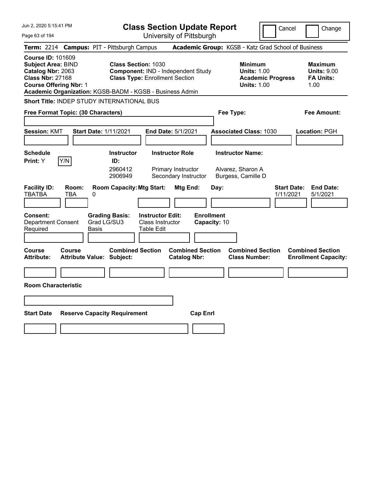| Jun 2, 2020 5:15:41 PM                                                                                                                 |                                                                                        | <b>Class Section Update Report</b>                                                                        |                                                |                                                                    | Cancel                          | Change                                                           |
|----------------------------------------------------------------------------------------------------------------------------------------|----------------------------------------------------------------------------------------|-----------------------------------------------------------------------------------------------------------|------------------------------------------------|--------------------------------------------------------------------|---------------------------------|------------------------------------------------------------------|
| Page 63 of 194                                                                                                                         |                                                                                        |                                                                                                           | University of Pittsburgh                       |                                                                    |                                 |                                                                  |
| <b>Term: 2214</b>                                                                                                                      | <b>Campus: PIT - Pittsburgh Campus</b>                                                 |                                                                                                           |                                                | Academic Group: KGSB - Katz Grad School of Business                |                                 |                                                                  |
| <b>Course ID: 101609</b><br><b>Subject Area: BIND</b><br>Catalog Nbr: 2063<br><b>Class Nbr: 27168</b><br><b>Course Offering Nbr: 1</b> | Academic Organization: KGSB-BADM - KGSB - Business Admin                               | <b>Class Section: 1030</b><br>Component: IND - Independent Study<br><b>Class Type: Enrollment Section</b> |                                                | <b>Minimum</b><br><b>Units: 1.00</b><br><b>Units: 1.00</b>         | <b>Academic Progress</b>        | <b>Maximum</b><br><b>Units: 9.00</b><br><b>FA Units:</b><br>1.00 |
|                                                                                                                                        | Short Title: INDEP STUDY INTERNATIONAL BUS                                             |                                                                                                           |                                                |                                                                    |                                 |                                                                  |
| Free Format Topic: (30 Characters)                                                                                                     |                                                                                        |                                                                                                           |                                                | Fee Type:                                                          |                                 | Fee Amount:                                                      |
| <b>Session: KMT</b>                                                                                                                    | <b>Start Date: 1/11/2021</b>                                                           | <b>End Date: 5/1/2021</b>                                                                                 |                                                | <b>Associated Class: 1030</b>                                      |                                 | <b>Location: PGH</b>                                             |
| <b>Schedule</b><br>Y/N<br><b>Print:</b> Y                                                                                              | <b>Instructor</b><br>ID:<br>2960412<br>2906949                                         | <b>Instructor Role</b><br>Primary Instructor                                                              | Secondary Instructor                           | <b>Instructor Name:</b><br>Alvarez, Sharon A<br>Burgess, Camille D |                                 |                                                                  |
| <b>Facility ID:</b><br>Room:<br>TBATBA<br>TBA<br><b>Consent:</b><br><b>Department Consent</b><br>Required                              | <b>Room Capacity: Mtg Start:</b><br>0<br><b>Grading Basis:</b><br>Grad LG/SU3<br>Basis | <b>Instructor Edit:</b><br><b>Class Instructor</b><br>Table Edit                                          | Mtg End:<br><b>Enrollment</b><br>Capacity: 10  | Day:                                                               | <b>Start Date:</b><br>1/11/2021 | <b>End Date:</b><br>5/1/2021                                     |
| Course<br>Course<br><b>Attribute:</b>                                                                                                  | Attribute Value: Subject:                                                              | <b>Combined Section</b>                                                                                   | <b>Combined Section</b><br><b>Catalog Nbr:</b> | <b>Combined Section</b><br><b>Class Number:</b>                    |                                 | <b>Combined Section</b><br><b>Enrollment Capacity:</b>           |
|                                                                                                                                        |                                                                                        |                                                                                                           |                                                |                                                                    |                                 |                                                                  |
| <b>Room Characteristic</b>                                                                                                             |                                                                                        |                                                                                                           |                                                |                                                                    |                                 |                                                                  |
|                                                                                                                                        |                                                                                        |                                                                                                           |                                                |                                                                    |                                 |                                                                  |
|                                                                                                                                        |                                                                                        |                                                                                                           |                                                |                                                                    |                                 |                                                                  |
| <b>Start Date</b>                                                                                                                      | <b>Reserve Capacity Requirement</b>                                                    |                                                                                                           | <b>Cap Enri</b>                                |                                                                    |                                 |                                                                  |
|                                                                                                                                        |                                                                                        |                                                                                                           |                                                |                                                                    |                                 |                                                                  |
|                                                                                                                                        |                                                                                        |                                                                                                           |                                                |                                                                    |                                 |                                                                  |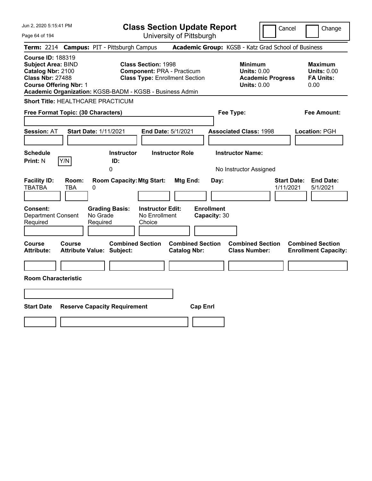| Jun 2, 2020 5:15:41 PM                                                                                                                                                                             | <b>Class Section Update Report</b>                                                                       |                                                |                                                                                        | Cancel<br>Change                                                 |
|----------------------------------------------------------------------------------------------------------------------------------------------------------------------------------------------------|----------------------------------------------------------------------------------------------------------|------------------------------------------------|----------------------------------------------------------------------------------------|------------------------------------------------------------------|
| Page 64 of 194                                                                                                                                                                                     |                                                                                                          | University of Pittsburgh                       |                                                                                        |                                                                  |
| <b>Term: 2214</b>                                                                                                                                                                                  | <b>Campus: PIT - Pittsburgh Campus</b>                                                                   |                                                | Academic Group: KGSB - Katz Grad School of Business                                    |                                                                  |
| <b>Course ID: 188319</b><br><b>Subject Area: BIND</b><br>Catalog Nbr: 2100<br><b>Class Nbr: 27488</b><br><b>Course Offering Nbr: 1</b><br>Academic Organization: KGSB-BADM - KGSB - Business Admin | <b>Class Section: 1998</b><br><b>Component: PRA - Practicum</b><br><b>Class Type: Enrollment Section</b> |                                                | <b>Minimum</b><br><b>Units: 0.00</b><br><b>Academic Progress</b><br><b>Units: 0.00</b> | <b>Maximum</b><br><b>Units: 0.00</b><br><b>FA Units:</b><br>0.00 |
| <b>Short Title: HEALTHCARE PRACTICUM</b>                                                                                                                                                           |                                                                                                          |                                                |                                                                                        |                                                                  |
| Free Format Topic: (30 Characters)                                                                                                                                                                 |                                                                                                          |                                                | Fee Type:                                                                              | Fee Amount:                                                      |
| <b>Start Date: 1/11/2021</b><br><b>Session: AT</b>                                                                                                                                                 | End Date: 5/1/2021                                                                                       |                                                | <b>Associated Class: 1998</b>                                                          | Location: PGH                                                    |
| <b>Schedule</b><br>Y/N<br><b>Print: N</b>                                                                                                                                                          | <b>Instructor</b><br><b>Instructor Role</b><br>ID:<br>0                                                  |                                                | <b>Instructor Name:</b><br>No Instructor Assigned                                      |                                                                  |
| <b>Facility ID:</b><br>Room:<br><b>TBATBA</b><br><b>TBA</b><br>0                                                                                                                                   | <b>Room Capacity: Mtg Start:</b>                                                                         | Mtg End:<br>Day:                               |                                                                                        | <b>Start Date:</b><br><b>End Date:</b><br>1/11/2021<br>5/1/2021  |
| <b>Consent:</b><br><b>Department Consent</b><br>No Grade<br>Required<br>Required                                                                                                                   | <b>Instructor Edit:</b><br><b>Grading Basis:</b><br>No Enrollment<br>Choice                              | <b>Enrollment</b><br>Capacity: 30              |                                                                                        |                                                                  |
| <b>Course</b><br><b>Course</b><br><b>Attribute:</b><br><b>Attribute Value: Subject:</b>                                                                                                            | <b>Combined Section</b>                                                                                  | <b>Combined Section</b><br><b>Catalog Nbr:</b> | <b>Combined Section</b><br><b>Class Number:</b>                                        | <b>Combined Section</b><br><b>Enrollment Capacity:</b>           |
| <b>Room Characteristic</b>                                                                                                                                                                         |                                                                                                          |                                                |                                                                                        |                                                                  |
|                                                                                                                                                                                                    |                                                                                                          |                                                |                                                                                        |                                                                  |
| <b>Start Date</b><br><b>Reserve Capacity Requirement</b>                                                                                                                                           |                                                                                                          | <b>Cap Enrl</b>                                |                                                                                        |                                                                  |
|                                                                                                                                                                                                    |                                                                                                          |                                                |                                                                                        |                                                                  |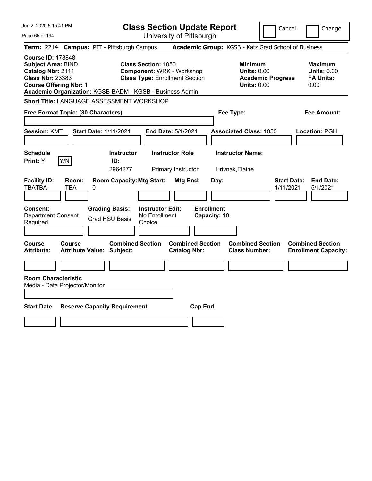| Jun 2, 2020 5:15:41 PM                                                                                                                 |                   |                                                             | <b>Class Section Update Report</b>                 |                                                                           |                                   |                                                            |                          | Cancel<br>Change                                                 |
|----------------------------------------------------------------------------------------------------------------------------------------|-------------------|-------------------------------------------------------------|----------------------------------------------------|---------------------------------------------------------------------------|-----------------------------------|------------------------------------------------------------|--------------------------|------------------------------------------------------------------|
| Page 65 of 194                                                                                                                         |                   |                                                             |                                                    | University of Pittsburgh                                                  |                                   |                                                            |                          |                                                                  |
|                                                                                                                                        |                   | Term: 2214 Campus: PIT - Pittsburgh Campus                  |                                                    |                                                                           |                                   |                                                            |                          | Academic Group: KGSB - Katz Grad School of Business              |
| <b>Course ID: 178848</b><br><b>Subject Area: BIND</b><br>Catalog Nbr: 2111<br><b>Class Nbr: 23383</b><br><b>Course Offering Nbr: 1</b> |                   | Academic Organization: KGSB-BADM - KGSB - Business Admin    | <b>Class Section: 1050</b>                         | <b>Component: WRK - Workshop</b><br><b>Class Type: Enrollment Section</b> |                                   | <b>Minimum</b><br><b>Units: 0.00</b><br><b>Units: 0.00</b> | <b>Academic Progress</b> | <b>Maximum</b><br><b>Units: 0.00</b><br><b>FA Units:</b><br>0.00 |
|                                                                                                                                        |                   | Short Title: LANGUAGE ASSESSMENT WORKSHOP                   |                                                    |                                                                           |                                   |                                                            |                          |                                                                  |
| Free Format Topic: (30 Characters)                                                                                                     |                   |                                                             |                                                    |                                                                           |                                   | Fee Type:                                                  |                          | Fee Amount:                                                      |
| <b>Session: KMT</b>                                                                                                                    |                   | Start Date: 1/11/2021                                       |                                                    | End Date: 5/1/2021                                                        |                                   | <b>Associated Class: 1050</b>                              |                          | Location: PGH                                                    |
| <b>Schedule</b><br>Print: Y                                                                                                            | Y/N               | <b>Instructor</b><br>ID:<br>2964277                         |                                                    | <b>Instructor Role</b><br>Primary Instructor                              |                                   | <b>Instructor Name:</b><br>Hrivnak, Elaine                 |                          |                                                                  |
| <b>Facility ID:</b><br><b>TBATBA</b>                                                                                                   | Room:<br>TBA<br>0 | <b>Room Capacity: Mtg Start:</b>                            |                                                    | Mtg End:                                                                  | Day:                              |                                                            | 1/11/2021                | <b>Start Date:</b><br><b>End Date:</b><br>5/1/2021               |
| <b>Consent:</b><br><b>Department Consent</b><br>Required                                                                               |                   | <b>Grading Basis:</b><br><b>Grad HSU Basis</b>              | <b>Instructor Edit:</b><br>No Enrollment<br>Choice |                                                                           | <b>Enrollment</b><br>Capacity: 10 |                                                            |                          |                                                                  |
| Course<br>Attribute:                                                                                                                   | Course            | <b>Combined Section</b><br><b>Attribute Value: Subject:</b> |                                                    | <b>Combined Section</b><br><b>Catalog Nbr:</b>                            |                                   | <b>Combined Section</b><br><b>Class Number:</b>            |                          | <b>Combined Section</b><br><b>Enrollment Capacity:</b>           |
| <b>Room Characteristic</b><br>Media - Data Projector/Monitor                                                                           |                   |                                                             |                                                    |                                                                           |                                   |                                                            |                          |                                                                  |
| <b>Start Date</b>                                                                                                                      |                   | <b>Reserve Capacity Requirement</b>                         |                                                    | <b>Cap Enrl</b>                                                           |                                   |                                                            |                          |                                                                  |
|                                                                                                                                        |                   |                                                             |                                                    |                                                                           |                                   |                                                            |                          |                                                                  |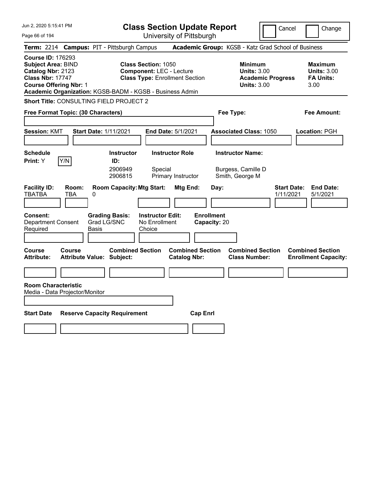| Jun 2, 2020 5:15:41 PM                                                                                                                                                                             |                                                                                                                                               | <b>Class Section Update Report</b><br>Cancel   |                                                                                        |                                                                  |  |  |  |
|----------------------------------------------------------------------------------------------------------------------------------------------------------------------------------------------------|-----------------------------------------------------------------------------------------------------------------------------------------------|------------------------------------------------|----------------------------------------------------------------------------------------|------------------------------------------------------------------|--|--|--|
| Page 66 of 194                                                                                                                                                                                     |                                                                                                                                               | University of Pittsburgh                       |                                                                                        | Change                                                           |  |  |  |
| Term: 2214 Campus: PIT - Pittsburgh Campus                                                                                                                                                         |                                                                                                                                               |                                                | Academic Group: KGSB - Katz Grad School of Business                                    |                                                                  |  |  |  |
| <b>Course ID: 176293</b><br><b>Subject Area: BIND</b><br>Catalog Nbr: 2123<br><b>Class Nbr: 17747</b><br><b>Course Offering Nbr: 1</b><br>Academic Organization: KGSB-BADM - KGSB - Business Admin | <b>Class Section: 1050</b><br><b>Component: LEC - Lecture</b><br><b>Class Type: Enrollment Section</b>                                        |                                                | <b>Minimum</b><br><b>Units: 3.00</b><br><b>Academic Progress</b><br><b>Units: 3.00</b> | <b>Maximum</b><br><b>Units: 3.00</b><br><b>FA Units:</b><br>3.00 |  |  |  |
| Short Title: CONSULTING FIELD PROJECT 2                                                                                                                                                            |                                                                                                                                               |                                                |                                                                                        |                                                                  |  |  |  |
| Free Format Topic: (30 Characters)                                                                                                                                                                 |                                                                                                                                               |                                                | Fee Type:                                                                              | Fee Amount:                                                      |  |  |  |
| <b>Session: KMT</b><br><b>Start Date: 1/11/2021</b>                                                                                                                                                | End Date: 5/1/2021                                                                                                                            |                                                | <b>Associated Class: 1050</b>                                                          | Location: PGH                                                    |  |  |  |
| <b>Schedule</b><br>Y/N<br>Print: Y<br><b>Facility ID:</b><br>Room:                                                                                                                                 | <b>Instructor Role</b><br><b>Instructor</b><br>ID:<br>2906949<br>Special<br>2906815<br>Primary Instructor<br><b>Room Capacity: Mtg Start:</b> | Mtg End:<br>Day:                               | <b>Instructor Name:</b><br>Burgess, Camille D<br>Smith, George M                       | <b>Start Date:</b><br><b>End Date:</b>                           |  |  |  |
| <b>TBATBA</b><br>TBA<br>0                                                                                                                                                                          |                                                                                                                                               |                                                |                                                                                        | 5/1/2021<br>1/11/2021                                            |  |  |  |
| <b>Consent:</b><br><b>Department Consent</b><br>Grad LG/SNC<br>Required<br>Basis                                                                                                                   | <b>Grading Basis:</b><br><b>Instructor Edit:</b><br>No Enrollment<br>Choice                                                                   | <b>Enrollment</b><br>Capacity: 20              |                                                                                        |                                                                  |  |  |  |
| Course<br>Course<br><b>Attribute:</b><br>Attribute Value: Subject:                                                                                                                                 | <b>Combined Section</b>                                                                                                                       | <b>Combined Section</b><br><b>Catalog Nbr:</b> | <b>Combined Section</b><br><b>Class Number:</b>                                        | <b>Combined Section</b><br><b>Enrollment Capacity:</b>           |  |  |  |
|                                                                                                                                                                                                    |                                                                                                                                               |                                                |                                                                                        |                                                                  |  |  |  |
| <b>Room Characteristic</b><br>Media - Data Projector/Monitor                                                                                                                                       |                                                                                                                                               |                                                |                                                                                        |                                                                  |  |  |  |
| <b>Start Date</b><br><b>Reserve Capacity Requirement</b>                                                                                                                                           |                                                                                                                                               | <b>Cap Enrl</b>                                |                                                                                        |                                                                  |  |  |  |
|                                                                                                                                                                                                    |                                                                                                                                               |                                                |                                                                                        |                                                                  |  |  |  |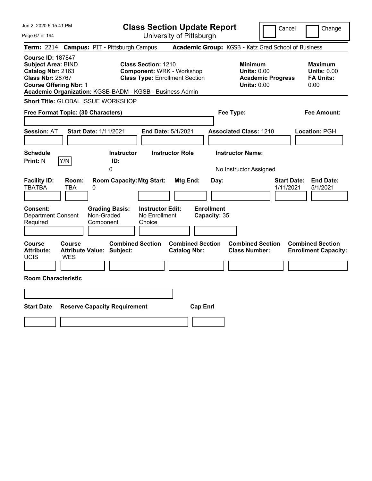| Jun 2, 2020 5:15:41 PM                                                                                                                                                                             | <b>Class Section Update Report</b>                                                                      | Cancel                                                                                 | Change                                                           |
|----------------------------------------------------------------------------------------------------------------------------------------------------------------------------------------------------|---------------------------------------------------------------------------------------------------------|----------------------------------------------------------------------------------------|------------------------------------------------------------------|
| Page 67 of 194                                                                                                                                                                                     | University of Pittsburgh                                                                                |                                                                                        |                                                                  |
| <b>Campus: PIT - Pittsburgh Campus</b><br><b>Term: 2214</b>                                                                                                                                        |                                                                                                         | Academic Group: KGSB - Katz Grad School of Business                                    |                                                                  |
| <b>Course ID: 187847</b><br><b>Subject Area: BIND</b><br>Catalog Nbr: 2163<br><b>Class Nbr: 28767</b><br><b>Course Offering Nbr: 1</b><br>Academic Organization: KGSB-BADM - KGSB - Business Admin | <b>Class Section: 1210</b><br><b>Component: WRK - Workshop</b><br><b>Class Type: Enrollment Section</b> | <b>Minimum</b><br><b>Units: 0.00</b><br><b>Academic Progress</b><br><b>Units: 0.00</b> | <b>Maximum</b><br><b>Units: 0.00</b><br><b>FA Units:</b><br>0.00 |
| Short Title: GLOBAL ISSUE WORKSHOP                                                                                                                                                                 |                                                                                                         |                                                                                        |                                                                  |
| Free Format Topic: (30 Characters)                                                                                                                                                                 |                                                                                                         | Fee Type:                                                                              | Fee Amount:                                                      |
| <b>Session: AT</b><br><b>Start Date: 1/11/2021</b>                                                                                                                                                 | End Date: 5/1/2021                                                                                      | <b>Associated Class: 1210</b>                                                          | Location: PGH                                                    |
| <b>Schedule</b><br>Y/N<br><b>Print: N</b><br>0                                                                                                                                                     | <b>Instructor Role</b><br><b>Instructor</b><br>ID:                                                      | <b>Instructor Name:</b><br>No Instructor Assigned                                      |                                                                  |
| <b>Facility ID:</b><br>Room:<br><b>TBATBA</b><br>TBA<br>0                                                                                                                                          | <b>Room Capacity: Mtg Start:</b><br>Mtg End:<br>Day:                                                    | <b>Start Date:</b><br>1/11/2021                                                        | <b>End Date:</b><br>5/1/2021                                     |
| Consent:<br><b>Grading Basis:</b><br>Non-Graded<br><b>Department Consent</b><br>Required<br>Component                                                                                              | <b>Enrollment</b><br><b>Instructor Edit:</b><br>No Enrollment<br>Capacity: 35<br>Choice                 |                                                                                        |                                                                  |
| Course<br><b>Course</b><br><b>Attribute:</b><br><b>Attribute Value: Subject:</b><br>UCIS<br>WES                                                                                                    | <b>Combined Section</b><br><b>Combined Section</b><br><b>Catalog Nbr:</b>                               | <b>Combined Section</b><br><b>Class Number:</b>                                        | <b>Combined Section</b><br><b>Enrollment Capacity:</b>           |
| <b>Room Characteristic</b>                                                                                                                                                                         |                                                                                                         |                                                                                        |                                                                  |
|                                                                                                                                                                                                    |                                                                                                         |                                                                                        |                                                                  |
| <b>Start Date</b><br><b>Reserve Capacity Requirement</b>                                                                                                                                           | <b>Cap Enrl</b>                                                                                         |                                                                                        |                                                                  |
|                                                                                                                                                                                                    |                                                                                                         |                                                                                        |                                                                  |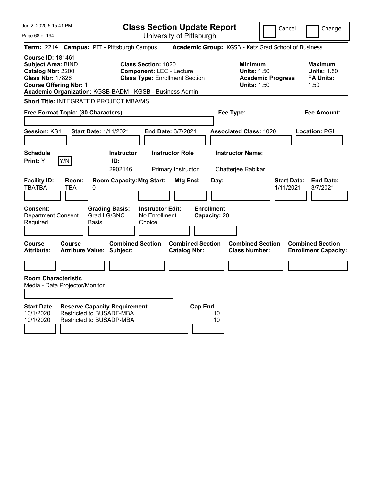| Jun 2, 2020 5:15:41 PM                                                                                                                                                                      |                                                      |       |                                        | <b>Class Section Update Report</b>                                                                     |                                                |                 |                                   |                                                            |                          | Cancel                          | Change                                                           |
|---------------------------------------------------------------------------------------------------------------------------------------------------------------------------------------------|------------------------------------------------------|-------|----------------------------------------|--------------------------------------------------------------------------------------------------------|------------------------------------------------|-----------------|-----------------------------------|------------------------------------------------------------|--------------------------|---------------------------------|------------------------------------------------------------------|
| Page 68 of 194                                                                                                                                                                              |                                                      |       |                                        | University of Pittsburgh                                                                               |                                                |                 |                                   |                                                            |                          |                                 |                                                                  |
| <b>Term: 2214</b>                                                                                                                                                                           |                                                      |       | <b>Campus: PIT - Pittsburgh Campus</b> |                                                                                                        |                                                |                 |                                   | Academic Group: KGSB - Katz Grad School of Business        |                          |                                 |                                                                  |
| <b>Course ID: 181461</b><br>Subject Area: BIND<br>Catalog Nbr: 2200<br><b>Class Nbr: 17826</b><br><b>Course Offering Nbr: 1</b><br>Academic Organization: KGSB-BADM - KGSB - Business Admin |                                                      |       |                                        | <b>Class Section: 1020</b><br><b>Component: LEC - Lecture</b><br><b>Class Type: Enrollment Section</b> |                                                |                 |                                   | <b>Minimum</b><br><b>Units: 1.50</b><br><b>Units: 1.50</b> | <b>Academic Progress</b> |                                 | <b>Maximum</b><br><b>Units: 1.50</b><br><b>FA Units:</b><br>1.50 |
| <b>Short Title: INTEGRATED PROJECT MBA/MS</b>                                                                                                                                               |                                                      |       |                                        |                                                                                                        |                                                |                 |                                   |                                                            |                          |                                 |                                                                  |
| Free Format Topic: (30 Characters)                                                                                                                                                          |                                                      |       |                                        |                                                                                                        |                                                |                 |                                   | Fee Type:                                                  |                          |                                 | Fee Amount:                                                      |
| <b>Session: KS1</b>                                                                                                                                                                         |                                                      |       | Start Date: 1/11/2021                  | End Date: 3/7/2021                                                                                     |                                                |                 |                                   | <b>Associated Class: 1020</b>                              |                          |                                 | Location: PGH                                                    |
| <b>Schedule</b><br>Print: Y                                                                                                                                                                 | Y/N                                                  |       | <b>Instructor</b><br>ID:<br>2902146    |                                                                                                        | <b>Instructor Role</b><br>Primary Instructor   |                 |                                   | <b>Instructor Name:</b><br>Chatterjee, Rabikar             |                          |                                 |                                                                  |
| <b>Facility ID:</b><br><b>TBATBA</b>                                                                                                                                                        | Room:<br><b>TBA</b>                                  | 0     | <b>Room Capacity: Mtg Start:</b>       |                                                                                                        | Mtg End:                                       |                 | Day:                              |                                                            |                          | <b>Start Date:</b><br>1/11/2021 | <b>End Date:</b><br>3/7/2021                                     |
| <b>Consent:</b><br><b>Department Consent</b><br>Required                                                                                                                                    |                                                      | Basis | <b>Grading Basis:</b><br>Grad LG/SNC   | <b>Instructor Edit:</b><br>No Enrollment<br>Choice                                                     |                                                |                 | <b>Enrollment</b><br>Capacity: 20 |                                                            |                          |                                 |                                                                  |
| Course<br><b>Attribute:</b>                                                                                                                                                                 | Course<br><b>Attribute Value: Subject:</b>           |       | <b>Combined Section</b>                |                                                                                                        | <b>Combined Section</b><br><b>Catalog Nbr:</b> |                 |                                   | <b>Combined Section</b><br><b>Class Number:</b>            |                          |                                 | <b>Combined Section</b><br><b>Enrollment Capacity:</b>           |
|                                                                                                                                                                                             |                                                      |       |                                        |                                                                                                        |                                                |                 |                                   |                                                            |                          |                                 |                                                                  |
| <b>Room Characteristic</b><br>Media - Data Projector/Monitor                                                                                                                                |                                                      |       |                                        |                                                                                                        |                                                |                 |                                   |                                                            |                          |                                 |                                                                  |
| <b>Start Date</b><br>10/1/2020<br>10/1/2020                                                                                                                                                 | Restricted to BUSADF-MBA<br>Restricted to BUSADP-MBA |       | <b>Reserve Capacity Requirement</b>    |                                                                                                        |                                                | <b>Cap Enrl</b> | 10<br>10                          |                                                            |                          |                                 |                                                                  |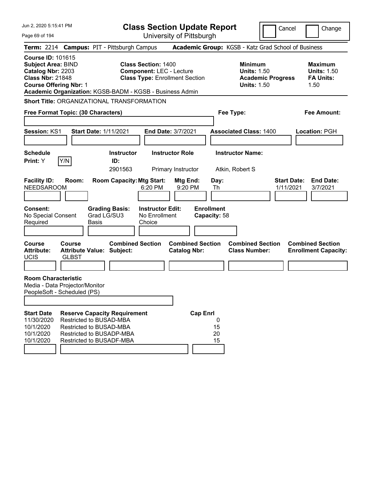| Jun 2, 2020 5:15:41 PM                                                                                                                 |                               |                                                                                                                                                   |                                                    | <b>Class Section Update Report</b>                                       |                                        |                                                            |                          | Cancel                          | Change                                                           |
|----------------------------------------------------------------------------------------------------------------------------------------|-------------------------------|---------------------------------------------------------------------------------------------------------------------------------------------------|----------------------------------------------------|--------------------------------------------------------------------------|----------------------------------------|------------------------------------------------------------|--------------------------|---------------------------------|------------------------------------------------------------------|
| Page 69 of 194                                                                                                                         |                               |                                                                                                                                                   |                                                    | University of Pittsburgh                                                 |                                        |                                                            |                          |                                 |                                                                  |
|                                                                                                                                        |                               | Term: 2214 Campus: PIT - Pittsburgh Campus                                                                                                        |                                                    |                                                                          |                                        | Academic Group: KGSB - Katz Grad School of Business        |                          |                                 |                                                                  |
| <b>Course ID: 101615</b><br><b>Subject Area: BIND</b><br>Catalog Nbr: 2203<br><b>Class Nbr: 21848</b><br><b>Course Offering Nbr: 1</b> |                               | Academic Organization: KGSB-BADM - KGSB - Business Admin                                                                                          | <b>Class Section: 1400</b>                         | <b>Component: LEC - Lecture</b><br><b>Class Type: Enrollment Section</b> |                                        | <b>Minimum</b><br><b>Units: 1.50</b><br><b>Units: 1.50</b> | <b>Academic Progress</b> |                                 | <b>Maximum</b><br><b>Units: 1.50</b><br><b>FA Units:</b><br>1.50 |
|                                                                                                                                        |                               | <b>Short Title: ORGANIZATIONAL TRANSFORMATION</b>                                                                                                 |                                                    |                                                                          |                                        |                                                            |                          |                                 |                                                                  |
| Free Format Topic: (30 Characters)                                                                                                     |                               |                                                                                                                                                   |                                                    |                                                                          |                                        | Fee Type:                                                  |                          |                                 | <b>Fee Amount:</b>                                               |
| Session: KS1                                                                                                                           |                               | <b>Start Date: 1/11/2021</b>                                                                                                                      |                                                    | End Date: 3/7/2021                                                       |                                        | <b>Associated Class: 1400</b>                              |                          |                                 | Location: PGH                                                    |
| <b>Schedule</b><br>Print: Y                                                                                                            | Y/N                           | <b>Instructor</b><br>ID:<br>2901563                                                                                                               |                                                    | <b>Instructor Role</b><br>Primary Instructor                             |                                        | <b>Instructor Name:</b><br>Atkin, Robert S                 |                          |                                 |                                                                  |
| <b>Facility ID:</b><br><b>NEEDSAROOM</b>                                                                                               | Room:                         | <b>Room Capacity: Mtg Start:</b>                                                                                                                  | 6:20 PM                                            | Mtg End:<br>9:20 PM                                                      | Day:<br>Th                             |                                                            |                          | <b>Start Date:</b><br>1/11/2021 | <b>End Date:</b><br>3/7/2021                                     |
| <b>Consent:</b><br>No Special Consent<br>Required                                                                                      |                               | <b>Grading Basis:</b><br>Grad LG/SU3<br><b>Basis</b>                                                                                              | <b>Instructor Edit:</b><br>No Enrollment<br>Choice |                                                                          | <b>Enrollment</b><br>Capacity: 58      |                                                            |                          |                                 |                                                                  |
| <b>Course</b><br><b>Attribute:</b><br><b>UCIS</b>                                                                                      | <b>Course</b><br><b>GLBST</b> | <b>Combined Section</b><br><b>Attribute Value: Subject:</b>                                                                                       |                                                    | <b>Combined Section</b><br><b>Catalog Nbr:</b>                           |                                        | <b>Combined Section</b><br><b>Class Number:</b>            |                          |                                 | <b>Combined Section</b><br><b>Enrollment Capacity:</b>           |
| <b>Room Characteristic</b><br>Media - Data Projector/Monitor<br>PeopleSoft - Scheduled (PS)                                            |                               |                                                                                                                                                   |                                                    |                                                                          |                                        |                                                            |                          |                                 |                                                                  |
| <b>Start Date</b><br>11/30/2020<br>10/1/2020<br>10/1/2020<br>10/1/2020                                                                 |                               | <b>Reserve Capacity Requirement</b><br>Restricted to BUSAD-MBA<br>Restricted to BUSAD-MBA<br>Restricted to BUSADP-MBA<br>Restricted to BUSADF-MBA |                                                    |                                                                          | <b>Cap Enrl</b><br>0<br>15<br>20<br>15 |                                                            |                          |                                 |                                                                  |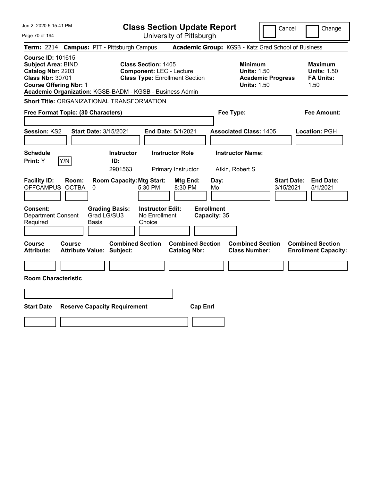| Jun 2, 2020 5:15:41 PM                                                                                                                                                                             |                                                                                                        | <b>Class Section Update Report</b>             | Cancel                                                                                 | Change                                                           |  |
|----------------------------------------------------------------------------------------------------------------------------------------------------------------------------------------------------|--------------------------------------------------------------------------------------------------------|------------------------------------------------|----------------------------------------------------------------------------------------|------------------------------------------------------------------|--|
| Page 70 of 194                                                                                                                                                                                     |                                                                                                        | University of Pittsburgh                       |                                                                                        |                                                                  |  |
| Term: 2214 Campus: PIT - Pittsburgh Campus                                                                                                                                                         |                                                                                                        |                                                | Academic Group: KGSB - Katz Grad School of Business                                    |                                                                  |  |
| <b>Course ID: 101615</b><br><b>Subject Area: BIND</b><br>Catalog Nbr: 2203<br><b>Class Nbr: 30701</b><br><b>Course Offering Nbr: 1</b><br>Academic Organization: KGSB-BADM - KGSB - Business Admin | <b>Class Section: 1405</b><br><b>Component: LEC - Lecture</b><br><b>Class Type: Enrollment Section</b> |                                                | <b>Minimum</b><br><b>Units: 1.50</b><br><b>Academic Progress</b><br><b>Units: 1.50</b> | <b>Maximum</b><br><b>Units: 1.50</b><br><b>FA Units:</b><br>1.50 |  |
| <b>Short Title: ORGANIZATIONAL TRANSFORMATION</b>                                                                                                                                                  |                                                                                                        |                                                |                                                                                        |                                                                  |  |
| Free Format Topic: (30 Characters)                                                                                                                                                                 |                                                                                                        |                                                | Fee Type:                                                                              | Fee Amount:                                                      |  |
| Session: KS2                                                                                                                                                                                       | <b>Start Date: 3/15/2021</b>                                                                           | End Date: 5/1/2021                             | <b>Associated Class: 1405</b>                                                          | Location: PGH                                                    |  |
| <b>Schedule</b><br>Y/N<br>Print: Y                                                                                                                                                                 | <b>Instructor</b><br>ID:<br>2901563                                                                    | <b>Instructor Role</b><br>Primary Instructor   | <b>Instructor Name:</b><br>Atkin, Robert S                                             |                                                                  |  |
| <b>Facility ID:</b><br>Room:<br>OFFCAMPUS OCTBA<br>0                                                                                                                                               | <b>Room Capacity: Mtg Start:</b><br>5:30 PM                                                            | Mtg End:<br>Day:<br>8:30 PM<br>Mo              | 3/15/2021                                                                              | <b>Start Date:</b><br><b>End Date:</b><br>5/1/2021               |  |
| <b>Consent:</b><br>Department Consent<br>Required<br>Basis                                                                                                                                         | <b>Grading Basis:</b><br><b>Instructor Edit:</b><br>Grad LG/SU3<br>No Enrollment<br>Choice             | <b>Enrollment</b><br>Capacity: 35              |                                                                                        |                                                                  |  |
| Course<br><b>Course</b><br><b>Attribute:</b><br>Attribute Value: Subject:                                                                                                                          | <b>Combined Section</b>                                                                                | <b>Combined Section</b><br><b>Catalog Nbr:</b> | <b>Combined Section</b><br><b>Class Number:</b>                                        | <b>Combined Section</b><br><b>Enrollment Capacity:</b>           |  |
|                                                                                                                                                                                                    |                                                                                                        |                                                |                                                                                        |                                                                  |  |
| <b>Room Characteristic</b>                                                                                                                                                                         |                                                                                                        |                                                |                                                                                        |                                                                  |  |
|                                                                                                                                                                                                    |                                                                                                        |                                                |                                                                                        |                                                                  |  |
| <b>Start Date</b><br><b>Reserve Capacity Requirement</b><br><b>Cap Enrl</b>                                                                                                                        |                                                                                                        |                                                |                                                                                        |                                                                  |  |
|                                                                                                                                                                                                    |                                                                                                        |                                                |                                                                                        |                                                                  |  |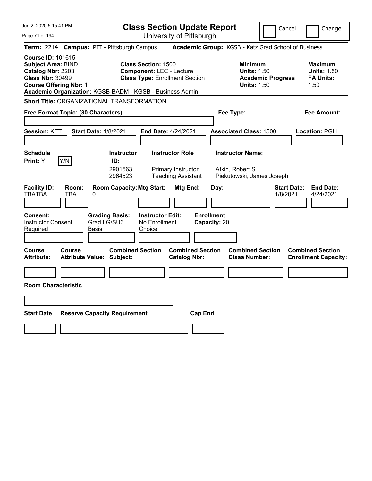| Jun 2, 2020 5:15:41 PM                                                                                                                                                 | <b>Class Section Update Report</b>                                                                                                                                 |                                                                                        | Cancel<br>Change                                                 |
|------------------------------------------------------------------------------------------------------------------------------------------------------------------------|--------------------------------------------------------------------------------------------------------------------------------------------------------------------|----------------------------------------------------------------------------------------|------------------------------------------------------------------|
| Page 71 of 194                                                                                                                                                         | University of Pittsburgh                                                                                                                                           |                                                                                        |                                                                  |
| <b>Term: 2214</b>                                                                                                                                                      | <b>Campus: PIT - Pittsburgh Campus</b>                                                                                                                             | Academic Group: KGSB - Katz Grad School of Business                                    |                                                                  |
| <b>Course ID: 101615</b><br><b>Subject Area: BIND</b><br>Catalog Nbr: 2203<br><b>Class Nbr: 30499</b><br><b>Course Offering Nbr: 1</b>                                 | <b>Class Section: 1500</b><br><b>Component: LEC - Lecture</b><br><b>Class Type: Enrollment Section</b><br>Academic Organization: KGSB-BADM - KGSB - Business Admin | <b>Minimum</b><br><b>Units: 1.50</b><br><b>Academic Progress</b><br><b>Units: 1.50</b> | <b>Maximum</b><br><b>Units: 1.50</b><br><b>FA Units:</b><br>1.50 |
| <b>Short Title: ORGANIZATIONAL TRANSFORMATION</b>                                                                                                                      |                                                                                                                                                                    |                                                                                        |                                                                  |
| Free Format Topic: (30 Characters)                                                                                                                                     |                                                                                                                                                                    | Fee Type:                                                                              | Fee Amount:                                                      |
| Session: KET<br><b>Start Date: 1/8/2021</b>                                                                                                                            | End Date: 4/24/2021                                                                                                                                                | <b>Associated Class: 1500</b>                                                          | <b>Location: PGH</b>                                             |
| <b>Schedule</b><br>Y/N<br><b>Print:</b> Y                                                                                                                              | <b>Instructor</b><br><b>Instructor Role</b><br>ID:<br>2901563<br>Primary Instructor<br>2964523<br><b>Teaching Assistant</b>                                        | <b>Instructor Name:</b><br>Atkin, Robert S<br>Piekutowski, James Joseph                |                                                                  |
| <b>Facility ID:</b><br>Room:<br><b>TBATBA</b><br>TBA<br>0<br><b>Grading Basis:</b><br><b>Consent:</b><br><b>Instructor Consent</b><br>Grad LG/SU3<br>Required<br>Basis | <b>Room Capacity: Mtg Start:</b><br>Mtg End:<br><b>Instructor Edit:</b><br>No Enrollment<br>Choice                                                                 | Day:<br><b>Enrollment</b><br>Capacity: 20                                              | <b>End Date:</b><br><b>Start Date:</b><br>1/8/2021<br>4/24/2021  |
| <b>Course</b><br><b>Course</b><br><b>Attribute:</b><br><b>Attribute Value: Subject:</b>                                                                                | <b>Combined Section</b><br><b>Combined Section</b><br><b>Catalog Nbr:</b>                                                                                          | <b>Combined Section</b><br><b>Class Number:</b>                                        | <b>Combined Section</b><br><b>Enrollment Capacity:</b>           |
| <b>Room Characteristic</b>                                                                                                                                             |                                                                                                                                                                    |                                                                                        |                                                                  |
| <b>Start Date</b><br><b>Reserve Capacity Requirement</b>                                                                                                               |                                                                                                                                                                    | <b>Cap Enrl</b>                                                                        |                                                                  |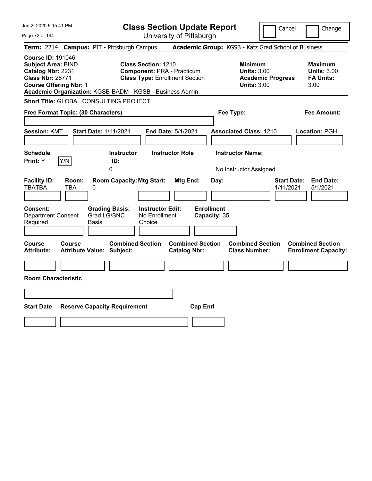| Jun 2, 2020 5:15:41 PM                                                                                                                 |                                                                                                                                                                      | <b>Class Section Update Report</b>             | Cancel                                                                                 | Change                                                           |
|----------------------------------------------------------------------------------------------------------------------------------------|----------------------------------------------------------------------------------------------------------------------------------------------------------------------|------------------------------------------------|----------------------------------------------------------------------------------------|------------------------------------------------------------------|
| Page 72 of 194                                                                                                                         |                                                                                                                                                                      | University of Pittsburgh                       |                                                                                        |                                                                  |
| Term: 2214 Campus: PIT - Pittsburgh Campus                                                                                             |                                                                                                                                                                      |                                                | Academic Group: KGSB - Katz Grad School of Business                                    |                                                                  |
| <b>Course ID: 191046</b><br><b>Subject Area: BIND</b><br>Catalog Nbr: 2231<br><b>Class Nbr: 28771</b><br><b>Course Offering Nbr: 1</b> | <b>Class Section: 1210</b><br><b>Component: PRA - Practicum</b><br><b>Class Type: Enrollment Section</b><br>Academic Organization: KGSB-BADM - KGSB - Business Admin |                                                | <b>Minimum</b><br><b>Units: 3.00</b><br><b>Academic Progress</b><br><b>Units: 3.00</b> | <b>Maximum</b><br><b>Units: 3.00</b><br><b>FA Units:</b><br>3.00 |
| Short Title: GLOBAL CONSULTING PROJECT                                                                                                 |                                                                                                                                                                      |                                                |                                                                                        |                                                                  |
| Free Format Topic: (30 Characters)                                                                                                     |                                                                                                                                                                      |                                                | Fee Type:                                                                              | <b>Fee Amount:</b>                                               |
| <b>Session: KMT</b>                                                                                                                    | <b>Start Date: 1/11/2021</b>                                                                                                                                         | End Date: 5/1/2021                             | <b>Associated Class: 1210</b>                                                          | Location: PGH                                                    |
| <b>Schedule</b><br>Y/N<br>Print: Y                                                                                                     | <b>Instructor</b><br>ID:<br>0                                                                                                                                        | <b>Instructor Role</b>                         | <b>Instructor Name:</b><br>No Instructor Assigned                                      |                                                                  |
| <b>Facility ID:</b><br>Room:<br><b>TBATBA</b><br>TBA                                                                                   | <b>Room Capacity: Mtg Start:</b><br>0                                                                                                                                | Mtg End:<br>Day:                               | <b>Start Date:</b><br>1/11/2021                                                        | <b>End Date:</b><br>5/1/2021                                     |
| Consent:<br><b>Department Consent</b><br>Required                                                                                      | <b>Instructor Edit:</b><br><b>Grading Basis:</b><br>Grad LG/SNC<br>No Enrollment<br>Basis<br>Choice                                                                  | <b>Enrollment</b><br>Capacity: 35              |                                                                                        |                                                                  |
| Course<br>Course<br><b>Attribute:</b>                                                                                                  | <b>Combined Section</b><br><b>Attribute Value: Subject:</b>                                                                                                          | <b>Combined Section</b><br><b>Catalog Nbr:</b> | <b>Combined Section</b><br><b>Class Number:</b>                                        | <b>Combined Section</b><br><b>Enrollment Capacity:</b>           |
|                                                                                                                                        |                                                                                                                                                                      |                                                |                                                                                        |                                                                  |
| <b>Room Characteristic</b>                                                                                                             |                                                                                                                                                                      |                                                |                                                                                        |                                                                  |
|                                                                                                                                        |                                                                                                                                                                      |                                                |                                                                                        |                                                                  |
| <b>Start Date</b>                                                                                                                      | <b>Reserve Capacity Requirement</b>                                                                                                                                  | <b>Cap Enrl</b>                                |                                                                                        |                                                                  |
|                                                                                                                                        |                                                                                                                                                                      |                                                |                                                                                        |                                                                  |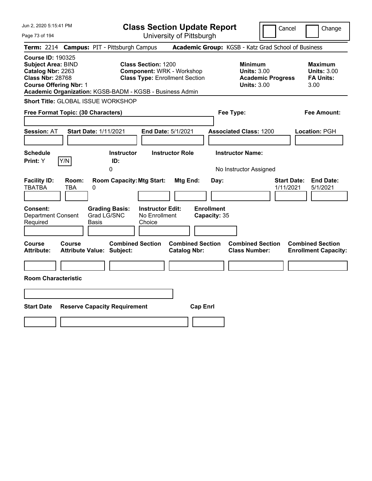| Jun 2, 2020 5:15:41 PM                                                                                                                                                                             | <b>Class Section Update Report</b>                                                                              |                                                      |                                                            | Cancel                          | Change                                                           |
|----------------------------------------------------------------------------------------------------------------------------------------------------------------------------------------------------|-----------------------------------------------------------------------------------------------------------------|------------------------------------------------------|------------------------------------------------------------|---------------------------------|------------------------------------------------------------------|
| Page 73 of 194                                                                                                                                                                                     |                                                                                                                 | University of Pittsburgh                             |                                                            |                                 |                                                                  |
| Term: 2214 Campus: PIT - Pittsburgh Campus                                                                                                                                                         |                                                                                                                 |                                                      | Academic Group: KGSB - Katz Grad School of Business        |                                 |                                                                  |
| <b>Course ID: 190325</b><br><b>Subject Area: BIND</b><br>Catalog Nbr: 2263<br><b>Class Nbr: 28768</b><br><b>Course Offering Nbr: 1</b><br>Academic Organization: KGSB-BADM - KGSB - Business Admin | <b>Class Section: 1200</b><br><b>Component: WRK - Workshop</b><br><b>Class Type: Enrollment Section</b>         |                                                      | <b>Minimum</b><br><b>Units: 3.00</b><br><b>Units: 3.00</b> | <b>Academic Progress</b>        | <b>Maximum</b><br><b>Units: 3.00</b><br><b>FA Units:</b><br>3.00 |
| Short Title: GLOBAL ISSUE WORKSHOP                                                                                                                                                                 |                                                                                                                 |                                                      |                                                            |                                 |                                                                  |
| Free Format Topic: (30 Characters)                                                                                                                                                                 |                                                                                                                 |                                                      | Fee Type:                                                  |                                 | Fee Amount:                                                      |
| <b>Start Date: 1/11/2021</b><br><b>Session: AT</b>                                                                                                                                                 | End Date: 5/1/2021                                                                                              |                                                      | <b>Associated Class: 1200</b>                              |                                 | Location: PGH                                                    |
| <b>Schedule</b><br>Y/N<br>Print: Y                                                                                                                                                                 | <b>Instructor</b><br>ID:                                                                                        | <b>Instructor Role</b>                               | <b>Instructor Name:</b>                                    |                                 |                                                                  |
|                                                                                                                                                                                                    | 0                                                                                                               |                                                      | No Instructor Assigned                                     |                                 |                                                                  |
| <b>Facility ID:</b><br>Room:<br><b>TBATBA</b><br>TBA<br>0<br>Consent:<br>Grad LG/SNC<br><b>Department Consent</b><br>Required<br>Basis                                                             | <b>Room Capacity: Mtg Start:</b><br><b>Grading Basis:</b><br><b>Instructor Edit:</b><br>No Enrollment<br>Choice | <b>Mtg End:</b><br><b>Enrollment</b><br>Capacity: 35 | Day:                                                       | <b>Start Date:</b><br>1/11/2021 | <b>End Date:</b><br>5/1/2021                                     |
| Course<br><b>Course</b><br><b>Attribute:</b><br><b>Attribute Value: Subject:</b>                                                                                                                   | <b>Combined Section</b>                                                                                         | <b>Combined Section</b><br><b>Catalog Nbr:</b>       | <b>Combined Section</b><br><b>Class Number:</b>            |                                 | <b>Combined Section</b><br><b>Enrollment Capacity:</b>           |
|                                                                                                                                                                                                    |                                                                                                                 |                                                      |                                                            |                                 |                                                                  |
| <b>Room Characteristic</b>                                                                                                                                                                         |                                                                                                                 |                                                      |                                                            |                                 |                                                                  |
|                                                                                                                                                                                                    |                                                                                                                 |                                                      |                                                            |                                 |                                                                  |
| <b>Start Date</b><br><b>Reserve Capacity Requirement</b>                                                                                                                                           |                                                                                                                 | <b>Cap Enrl</b>                                      |                                                            |                                 |                                                                  |
|                                                                                                                                                                                                    |                                                                                                                 |                                                      |                                                            |                                 |                                                                  |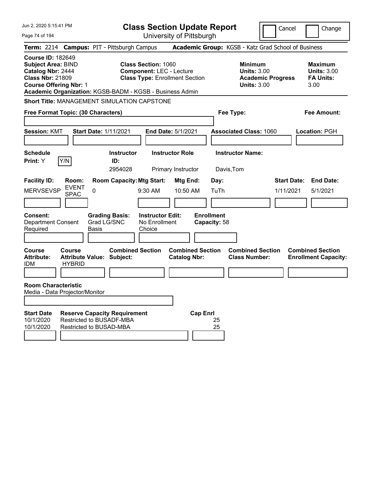| Jun 2, 2020 5:15:41 PM                                                                                                                 |                                           |                                                                                            | <b>Class Section Update Report</b>                                                                     |                                                |                                                   |                                                                                        | Cancel                          | Change                                                           |
|----------------------------------------------------------------------------------------------------------------------------------------|-------------------------------------------|--------------------------------------------------------------------------------------------|--------------------------------------------------------------------------------------------------------|------------------------------------------------|---------------------------------------------------|----------------------------------------------------------------------------------------|---------------------------------|------------------------------------------------------------------|
| Page 74 of 194                                                                                                                         |                                           |                                                                                            | University of Pittsburgh                                                                               |                                                |                                                   |                                                                                        |                                 |                                                                  |
|                                                                                                                                        |                                           | Term: 2214 Campus: PIT - Pittsburgh Campus                                                 |                                                                                                        |                                                |                                                   | Academic Group: KGSB - Katz Grad School of Business                                    |                                 |                                                                  |
| <b>Course ID: 182649</b><br><b>Subject Area: BIND</b><br>Catalog Nbr: 2444<br><b>Class Nbr: 21809</b><br><b>Course Offering Nbr: 1</b> |                                           | Academic Organization: KGSB-BADM - KGSB - Business Admin                                   | <b>Class Section: 1060</b><br><b>Component: LEC - Lecture</b><br><b>Class Type: Enrollment Section</b> |                                                |                                                   | <b>Minimum</b><br><b>Units: 3.00</b><br><b>Academic Progress</b><br><b>Units: 3.00</b> |                                 | <b>Maximum</b><br><b>Units: 3.00</b><br><b>FA Units:</b><br>3.00 |
|                                                                                                                                        |                                           | <b>Short Title: MANAGEMENT SIMULATION CAPSTONE</b>                                         |                                                                                                        |                                                |                                                   |                                                                                        |                                 |                                                                  |
| Free Format Topic: (30 Characters)                                                                                                     |                                           |                                                                                            |                                                                                                        |                                                | Fee Type:                                         |                                                                                        |                                 | <b>Fee Amount:</b>                                               |
| <b>Session: KMT</b><br><b>Schedule</b><br>Print: Y                                                                                     | Y/N                                       | Start Date: 1/11/2021<br><b>Instructor</b><br>ID:<br>2954028                               | End Date: 5/1/2021<br><b>Instructor Role</b><br>Primary Instructor                                     |                                                | Davis, Tom                                        | <b>Associated Class: 1060</b><br><b>Instructor Name:</b>                               |                                 | <b>Location: PGH</b>                                             |
| <b>Facility ID:</b><br><b>MERVSEVSP</b><br>Consent:<br><b>Department Consent</b><br>Required                                           | Room:<br><b>EVENT</b><br>0<br><b>SPAC</b> | <b>Room Capacity: Mtg Start:</b><br><b>Grading Basis:</b><br>Grad LG/SNC<br>Basis          | 9:30 AM<br><b>Instructor Edit:</b><br>No Enrollment<br>Choice                                          | Mtg End:<br>10:50 AM                           | Day:<br>TuTh<br><b>Enrollment</b><br>Capacity: 58 |                                                                                        | <b>Start Date:</b><br>1/11/2021 | <b>End Date:</b><br>5/1/2021                                     |
| <b>Course</b><br><b>Attribute:</b><br><b>IDM</b>                                                                                       | Course<br><b>HYBRID</b>                   | <b>Combined Section</b><br><b>Attribute Value: Subject:</b>                                |                                                                                                        | <b>Combined Section</b><br><b>Catalog Nbr:</b> |                                                   | <b>Combined Section</b><br><b>Class Number:</b>                                        |                                 | <b>Combined Section</b><br><b>Enrollment Capacity:</b>           |
| <b>Room Characteristic</b><br>Media - Data Projector/Monitor<br><b>Start Date</b><br>10/1/2020<br>10/1/2020                            |                                           | <b>Reserve Capacity Requirement</b><br>Restricted to BUSADF-MBA<br>Restricted to BUSAD-MBA |                                                                                                        | <b>Cap Enrl</b>                                | 25<br>25                                          |                                                                                        |                                 |                                                                  |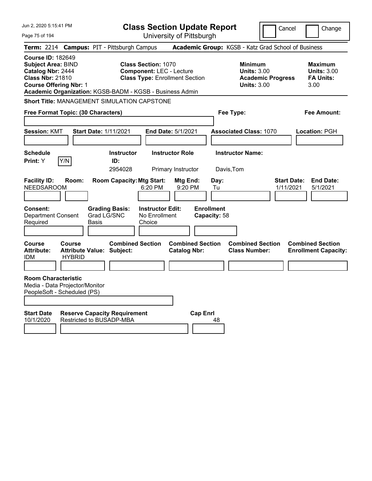| Jun 2, 2020 5:15:41 PM<br>Page 75 of 194                                                                                               |                                |                                                                 | <b>Class Section Update Report</b>                                                                     | University of Pittsburgh                       |                                      |                                                                                        | Cancel                          | Change                                                           |
|----------------------------------------------------------------------------------------------------------------------------------------|--------------------------------|-----------------------------------------------------------------|--------------------------------------------------------------------------------------------------------|------------------------------------------------|--------------------------------------|----------------------------------------------------------------------------------------|---------------------------------|------------------------------------------------------------------|
|                                                                                                                                        |                                | Term: 2214 Campus: PIT - Pittsburgh Campus                      |                                                                                                        |                                                |                                      | Academic Group: KGSB - Katz Grad School of Business                                    |                                 |                                                                  |
| <b>Course ID: 182649</b><br><b>Subject Area: BIND</b><br>Catalog Nbr: 2444<br><b>Class Nbr: 21810</b><br><b>Course Offering Nbr: 1</b> |                                | Academic Organization: KGSB-BADM - KGSB - Business Admin        | <b>Class Section: 1070</b><br><b>Component: LEC - Lecture</b><br><b>Class Type: Enrollment Section</b> |                                                |                                      | <b>Minimum</b><br><b>Units: 3.00</b><br><b>Academic Progress</b><br><b>Units: 3.00</b> |                                 | <b>Maximum</b><br><b>Units: 3.00</b><br><b>FA Units:</b><br>3.00 |
|                                                                                                                                        |                                | <b>Short Title: MANAGEMENT SIMULATION CAPSTONE</b>              |                                                                                                        |                                                |                                      |                                                                                        |                                 |                                                                  |
| Free Format Topic: (30 Characters)                                                                                                     |                                |                                                                 |                                                                                                        |                                                | Fee Type:                            |                                                                                        |                                 | Fee Amount:                                                      |
| <b>Session: KMT</b>                                                                                                                    |                                | <b>Start Date: 1/11/2021</b>                                    | End Date: 5/1/2021                                                                                     |                                                |                                      | <b>Associated Class: 1070</b>                                                          |                                 | Location: PGH                                                    |
| <b>Schedule</b><br><b>Print:</b> Y                                                                                                     | Y/N                            | <b>Instructor</b><br>ID:<br>2954028                             | <b>Instructor Role</b>                                                                                 | Primary Instructor                             | <b>Instructor Name:</b><br>Davis,Tom |                                                                                        |                                 |                                                                  |
| <b>Facility ID:</b><br><b>NEEDSAROOM</b>                                                                                               | Room:                          | <b>Room Capacity: Mtg Start:</b>                                | 6:20 PM                                                                                                | Mtg End:<br>9:20 PM                            | Day:<br>Tu                           |                                                                                        | <b>Start Date:</b><br>1/11/2021 | <b>End Date:</b><br>5/1/2021                                     |
| <b>Consent:</b><br><b>Department Consent</b><br>Required                                                                               | Basis                          | <b>Grading Basis:</b><br>Grad LG/SNC                            | <b>Instructor Edit:</b><br>No Enrollment<br>Choice                                                     |                                                | <b>Enrollment</b><br>Capacity: 58    |                                                                                        |                                 |                                                                  |
| Course<br><b>Attribute:</b><br><b>IDM</b>                                                                                              | <b>Course</b><br><b>HYBRID</b> | <b>Combined Section</b><br>Attribute Value: Subject:            |                                                                                                        | <b>Combined Section</b><br><b>Catalog Nbr:</b> |                                      | <b>Combined Section</b><br><b>Class Number:</b>                                        |                                 | <b>Combined Section</b><br><b>Enrollment Capacity:</b>           |
| <b>Room Characteristic</b><br>Media - Data Projector/Monitor<br>PeopleSoft - Scheduled (PS)                                            |                                |                                                                 |                                                                                                        |                                                |                                      |                                                                                        |                                 |                                                                  |
| <b>Start Date</b><br>10/1/2020                                                                                                         |                                | <b>Reserve Capacity Requirement</b><br>Restricted to BUSADP-MBA |                                                                                                        | <b>Cap Enrl</b>                                | 48                                   |                                                                                        |                                 |                                                                  |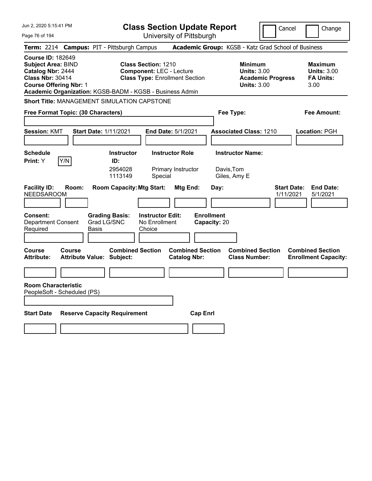| Jun 2, 2020 5:15:41 PM                                                                                                                                                                             | <b>Class Section Update Report</b>                                                                        |                                                                            | Cancel<br>Change                                                                             |
|----------------------------------------------------------------------------------------------------------------------------------------------------------------------------------------------------|-----------------------------------------------------------------------------------------------------------|----------------------------------------------------------------------------|----------------------------------------------------------------------------------------------|
| Page 76 of 194                                                                                                                                                                                     | University of Pittsburgh                                                                                  |                                                                            |                                                                                              |
| Term: 2214 Campus: PIT - Pittsburgh Campus                                                                                                                                                         |                                                                                                           | Academic Group: KGSB - Katz Grad School of Business                        |                                                                                              |
| <b>Course ID: 182649</b><br><b>Subject Area: BIND</b><br>Catalog Nbr: 2444<br><b>Class Nbr: 30414</b><br><b>Course Offering Nbr: 1</b><br>Academic Organization: KGSB-BADM - KGSB - Business Admin | <b>Class Section: 1210</b><br><b>Component: LEC - Lecture</b><br><b>Class Type: Enrollment Section</b>    | <b>Minimum</b><br><b>Units: 3.00</b><br><b>Units: 3.00</b>                 | <b>Maximum</b><br><b>Units: 3.00</b><br><b>Academic Progress</b><br><b>FA Units:</b><br>3.00 |
| <b>Short Title: MANAGEMENT SIMULATION CAPSTONE</b>                                                                                                                                                 |                                                                                                           |                                                                            |                                                                                              |
| Free Format Topic: (30 Characters)                                                                                                                                                                 |                                                                                                           | Fee Type:                                                                  | Fee Amount:                                                                                  |
| <b>Start Date: 1/11/2021</b><br><b>Session: KMT</b>                                                                                                                                                | <b>End Date: 5/1/2021</b>                                                                                 | <b>Associated Class: 1210</b>                                              | Location: PGH                                                                                |
| <b>Schedule</b><br>Y/N<br>Print: Y                                                                                                                                                                 | <b>Instructor Role</b><br><b>Instructor</b><br>ID:<br>2954028<br>Primary Instructor<br>1113149<br>Special | <b>Instructor Name:</b><br>Davis,Tom<br>Giles, Amy E                       |                                                                                              |
| <b>Facility ID:</b><br>Room:<br><b>NEEDSAROOM</b>                                                                                                                                                  | <b>Room Capacity: Mtg Start:</b><br>Mtg End:                                                              | Day:                                                                       | <b>Start Date:</b><br><b>End Date:</b><br>1/11/2021<br>5/1/2021                              |
| <b>Grading Basis:</b><br><b>Consent:</b><br>Grad LG/SNC<br><b>Department Consent</b><br>Required<br><b>Basis</b>                                                                                   | <b>Instructor Edit:</b><br>No Enrollment<br>Choice                                                        | <b>Enrollment</b><br>Capacity: 20                                          |                                                                                              |
| Course<br>Course<br><b>Attribute:</b><br><b>Attribute Value: Subject:</b>                                                                                                                          | <b>Combined Section</b><br><b>Catalog Nbr:</b>                                                            | <b>Combined Section</b><br><b>Combined Section</b><br><b>Class Number:</b> | <b>Combined Section</b><br><b>Enrollment Capacity:</b>                                       |
| <b>Room Characteristic</b><br>PeopleSoft - Scheduled (PS)                                                                                                                                          |                                                                                                           |                                                                            |                                                                                              |
| <b>Start Date</b><br><b>Reserve Capacity Requirement</b>                                                                                                                                           |                                                                                                           | <b>Cap Enrl</b>                                                            |                                                                                              |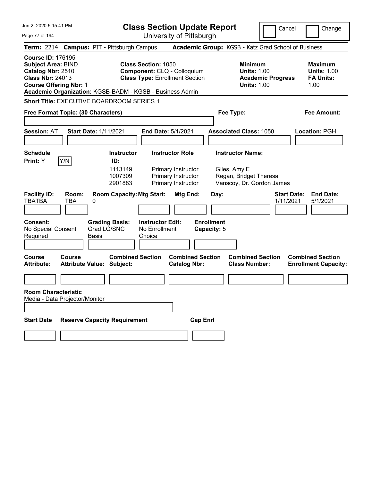| Jun 2, 2020 5:15:41 PM                                                                                                                 |                                                          |                                      |                                                    | <b>Class Section Update Report</b>                                   |                                  |                                                                     |                          | Cancel<br>Change                                                 |
|----------------------------------------------------------------------------------------------------------------------------------------|----------------------------------------------------------|--------------------------------------|----------------------------------------------------|----------------------------------------------------------------------|----------------------------------|---------------------------------------------------------------------|--------------------------|------------------------------------------------------------------|
| Page 77 of 194                                                                                                                         |                                                          |                                      |                                                    | University of Pittsburgh                                             |                                  |                                                                     |                          |                                                                  |
|                                                                                                                                        | Term: 2214 Campus: PIT - Pittsburgh Campus               |                                      |                                                    |                                                                      |                                  |                                                                     |                          | Academic Group: KGSB - Katz Grad School of Business              |
| <b>Course ID: 176195</b><br><b>Subject Area: BIND</b><br>Catalog Nbr: 2510<br><b>Class Nbr: 24013</b><br><b>Course Offering Nbr: 1</b> | Academic Organization: KGSB-BADM - KGSB - Business Admin |                                      | <b>Class Section: 1050</b>                         | Component: CLQ - Colloquium<br><b>Class Type: Enrollment Section</b> |                                  | <b>Minimum</b><br><b>Units: 1.00</b><br><b>Units: 1.00</b>          | <b>Academic Progress</b> | <b>Maximum</b><br><b>Units: 1.00</b><br><b>FA Units:</b><br>1.00 |
|                                                                                                                                        | <b>Short Title: EXECUTIVE BOARDROOM SERIES 1</b>         |                                      |                                                    |                                                                      |                                  |                                                                     |                          |                                                                  |
|                                                                                                                                        | Free Format Topic: (30 Characters)                       |                                      |                                                    |                                                                      |                                  | Fee Type:                                                           |                          | <b>Fee Amount:</b>                                               |
|                                                                                                                                        |                                                          |                                      |                                                    |                                                                      |                                  |                                                                     |                          |                                                                  |
| <b>Session: AT</b>                                                                                                                     | <b>Start Date: 1/11/2021</b>                             |                                      |                                                    | End Date: 5/1/2021                                                   |                                  | <b>Associated Class: 1050</b>                                       |                          | Location: PGH                                                    |
|                                                                                                                                        |                                                          |                                      |                                                    |                                                                      |                                  |                                                                     |                          |                                                                  |
| <b>Schedule</b>                                                                                                                        |                                                          | <b>Instructor</b>                    |                                                    | <b>Instructor Role</b>                                               |                                  | <b>Instructor Name:</b>                                             |                          |                                                                  |
| Print: Y                                                                                                                               | Y/N                                                      | ID:<br>1113149<br>1007309<br>2901883 |                                                    | Primary Instructor<br>Primary Instructor<br>Primary Instructor       |                                  | Giles, Amy E<br>Regan, Bridget Theresa<br>Vanscoy, Dr. Gordon James |                          |                                                                  |
| <b>Facility ID:</b><br><b>TBATBA</b>                                                                                                   | Room:<br>TBA<br>0                                        | <b>Room Capacity: Mtg Start:</b>     |                                                    | Mtg End:                                                             | Day:                             |                                                                     |                          | <b>Start Date:</b><br><b>End Date:</b><br>1/11/2021<br>5/1/2021  |
| <b>Consent:</b><br>No Special Consent<br>Required                                                                                      | Basis                                                    | <b>Grading Basis:</b><br>Grad LG/SNC | <b>Instructor Edit:</b><br>No Enrollment<br>Choice |                                                                      | <b>Enrollment</b><br>Capacity: 5 |                                                                     |                          |                                                                  |
| <b>Course</b><br><b>Attribute:</b>                                                                                                     | Course<br><b>Attribute Value: Subject:</b>               | <b>Combined Section</b>              |                                                    | <b>Combined Section</b><br><b>Catalog Nbr:</b>                       |                                  | <b>Combined Section</b><br><b>Class Number:</b>                     |                          | <b>Combined Section</b><br><b>Enrollment Capacity:</b>           |
|                                                                                                                                        |                                                          |                                      |                                                    |                                                                      |                                  |                                                                     |                          |                                                                  |
| <b>Room Characteristic</b>                                                                                                             | Media - Data Projector/Monitor                           |                                      |                                                    |                                                                      |                                  |                                                                     |                          |                                                                  |
|                                                                                                                                        |                                                          |                                      |                                                    |                                                                      |                                  |                                                                     |                          |                                                                  |
| <b>Start Date</b>                                                                                                                      | <b>Reserve Capacity Requirement</b>                      |                                      |                                                    |                                                                      | <b>Cap Enrl</b>                  |                                                                     |                          |                                                                  |
|                                                                                                                                        |                                                          |                                      |                                                    |                                                                      |                                  |                                                                     |                          |                                                                  |
|                                                                                                                                        |                                                          |                                      |                                                    |                                                                      |                                  |                                                                     |                          |                                                                  |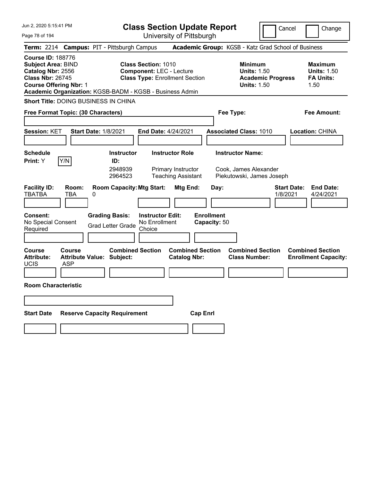| Jun 2, 2020 5:15:41 PM                                                                                                                  | <b>Class Section Update Report</b>                                                                                                                                 | Cancel                                                                                 | Change                                                           |
|-----------------------------------------------------------------------------------------------------------------------------------------|--------------------------------------------------------------------------------------------------------------------------------------------------------------------|----------------------------------------------------------------------------------------|------------------------------------------------------------------|
| Page 78 of 194                                                                                                                          | University of Pittsburgh                                                                                                                                           |                                                                                        |                                                                  |
| <b>Campus: PIT - Pittsburgh Campus</b><br><b>Term: 2214</b>                                                                             |                                                                                                                                                                    | Academic Group: KGSB - Katz Grad School of Business                                    |                                                                  |
| <b>Course ID: 188776</b><br><b>Subject Area: BIND</b><br>Catalog Nbr: 2556<br><b>Class Nbr: 26745</b><br><b>Course Offering Nbr: 1</b>  | <b>Class Section: 1010</b><br><b>Component: LEC - Lecture</b><br><b>Class Type: Enrollment Section</b><br>Academic Organization: KGSB-BADM - KGSB - Business Admin | <b>Minimum</b><br><b>Units: 1.50</b><br><b>Academic Progress</b><br><b>Units: 1.50</b> | <b>Maximum</b><br><b>Units: 1.50</b><br><b>FA Units:</b><br>1.50 |
| <b>Short Title: DOING BUSINESS IN CHINA</b>                                                                                             |                                                                                                                                                                    |                                                                                        |                                                                  |
| Free Format Topic: (30 Characters)                                                                                                      |                                                                                                                                                                    | Fee Type:                                                                              | Fee Amount:                                                      |
| <b>Session: KET</b><br><b>Start Date: 1/8/2021</b>                                                                                      | End Date: 4/24/2021                                                                                                                                                | <b>Associated Class: 1010</b>                                                          | Location: CHINA                                                  |
| <b>Schedule</b><br>Y/N<br>Print: Y                                                                                                      | <b>Instructor</b><br><b>Instructor Role</b><br>ID:<br>2948939<br>Primary Instructor<br>2964523<br><b>Teaching Assistant</b>                                        | <b>Instructor Name:</b><br>Cook, James Alexander<br>Piekutowski, James Joseph          |                                                                  |
| <b>Facility ID:</b><br>Room:<br><b>TBATBA</b><br>TBA<br>0<br><b>Consent:</b><br><b>Grading Basis:</b><br>No Special Consent<br>Required | <b>Room Capacity: Mtg Start:</b><br>Mtg End:<br><b>Instructor Edit:</b><br>No Enrollment<br><b>Grad Letter Grade</b><br>Choice                                     | Day:<br>1/8/2021<br><b>Enrollment</b><br>Capacity: 50                                  | <b>Start Date:</b><br><b>End Date:</b><br>4/24/2021              |
| Course<br><b>Course</b><br><b>Attribute:</b><br><b>Attribute Value: Subject:</b><br><b>UCIS</b><br>ASP                                  | <b>Combined Section</b><br><b>Combined Section</b><br><b>Catalog Nbr:</b>                                                                                          | <b>Combined Section</b><br><b>Class Number:</b>                                        | <b>Combined Section</b><br><b>Enrollment Capacity:</b>           |
| <b>Room Characteristic</b>                                                                                                              |                                                                                                                                                                    |                                                                                        |                                                                  |
|                                                                                                                                         |                                                                                                                                                                    |                                                                                        |                                                                  |
| <b>Start Date</b><br><b>Reserve Capacity Requirement</b>                                                                                | <b>Cap Enrl</b>                                                                                                                                                    |                                                                                        |                                                                  |
|                                                                                                                                         |                                                                                                                                                                    |                                                                                        |                                                                  |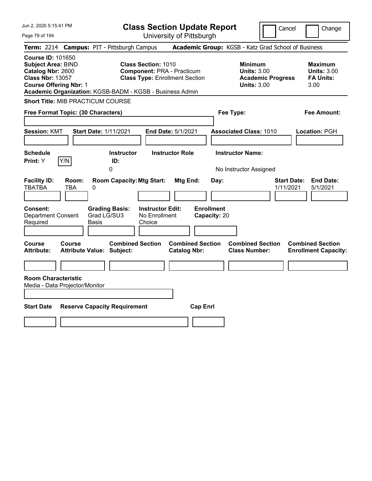| Jun 2, 2020 5:15:41 PM<br>Page 79 of 194                                                                                                                                                           | <b>Class Section Update Report</b><br>University of Pittsburgh                                           | Cancel                                                                                 | Change                                                           |
|----------------------------------------------------------------------------------------------------------------------------------------------------------------------------------------------------|----------------------------------------------------------------------------------------------------------|----------------------------------------------------------------------------------------|------------------------------------------------------------------|
| Term: 2214 Campus: PIT - Pittsburgh Campus                                                                                                                                                         |                                                                                                          | Academic Group: KGSB - Katz Grad School of Business                                    |                                                                  |
| <b>Course ID: 101650</b><br><b>Subject Area: BIND</b><br>Catalog Nbr: 2600<br><b>Class Nbr: 13057</b><br><b>Course Offering Nbr: 1</b><br>Academic Organization: KGSB-BADM - KGSB - Business Admin | <b>Class Section: 1010</b><br><b>Component: PRA - Practicum</b><br><b>Class Type: Enrollment Section</b> | <b>Minimum</b><br><b>Units: 3.00</b><br><b>Academic Progress</b><br><b>Units: 3.00</b> | <b>Maximum</b><br><b>Units: 3.00</b><br><b>FA Units:</b><br>3.00 |
| <b>Short Title: MIB PRACTICUM COURSE</b>                                                                                                                                                           |                                                                                                          |                                                                                        |                                                                  |
| Free Format Topic: (30 Characters)                                                                                                                                                                 |                                                                                                          | Fee Type:                                                                              | <b>Fee Amount:</b>                                               |
| <b>Session: KMT</b><br><b>Start Date: 1/11/2021</b>                                                                                                                                                | End Date: 5/1/2021                                                                                       | <b>Associated Class: 1010</b>                                                          | <b>Location: PGH</b>                                             |
| <b>Schedule</b><br>Y/N<br>Print: Y<br>ID:<br>0                                                                                                                                                     | <b>Instructor Role</b><br><b>Instructor</b>                                                              | <b>Instructor Name:</b><br>No Instructor Assigned                                      |                                                                  |
| <b>Facility ID:</b><br>Room:<br>TBATBA<br>TBA<br>0                                                                                                                                                 | <b>Room Capacity: Mtg Start:</b><br>Mtg End:<br>Day:                                                     | <b>Start Date:</b><br>1/11/2021                                                        | <b>End Date:</b><br>5/1/2021                                     |
| <b>Consent:</b><br><b>Grading Basis:</b><br>Grad LG/SU3<br>Department Consent<br>Required<br>Basis                                                                                                 | <b>Enrollment</b><br><b>Instructor Edit:</b><br>No Enrollment<br>Capacity: 20<br>Choice                  |                                                                                        |                                                                  |
| <b>Course</b><br>Course<br><b>Attribute:</b><br><b>Attribute Value: Subject:</b>                                                                                                                   | <b>Combined Section</b><br><b>Combined Section</b><br><b>Catalog Nbr:</b>                                | <b>Combined Section</b><br><b>Class Number:</b>                                        | <b>Combined Section</b><br><b>Enrollment Capacity:</b>           |
|                                                                                                                                                                                                    |                                                                                                          |                                                                                        |                                                                  |
| <b>Room Characteristic</b><br>Media - Data Projector/Monitor                                                                                                                                       |                                                                                                          |                                                                                        |                                                                  |
| <b>Start Date</b><br><b>Reserve Capacity Requirement</b>                                                                                                                                           | <b>Cap Enrl</b>                                                                                          |                                                                                        |                                                                  |
|                                                                                                                                                                                                    |                                                                                                          |                                                                                        |                                                                  |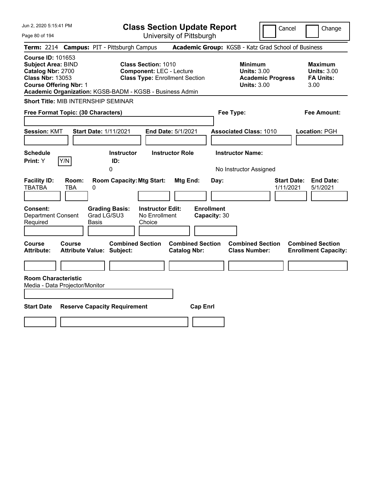| Jun 2, 2020 5:15:41 PM<br>Page 80 of 194                                                                                                                                                           | <b>Class Section Update Report</b><br>University of Pittsburgh                                         | Cancel<br>Change                                                                                                                                           |
|----------------------------------------------------------------------------------------------------------------------------------------------------------------------------------------------------|--------------------------------------------------------------------------------------------------------|------------------------------------------------------------------------------------------------------------------------------------------------------------|
| Term: 2214 Campus: PIT - Pittsburgh Campus                                                                                                                                                         |                                                                                                        | Academic Group: KGSB - Katz Grad School of Business                                                                                                        |
| <b>Course ID: 101653</b><br><b>Subject Area: BIND</b><br>Catalog Nbr: 2700<br><b>Class Nbr: 13053</b><br><b>Course Offering Nbr: 1</b><br>Academic Organization: KGSB-BADM - KGSB - Business Admin | <b>Class Section: 1010</b><br><b>Component: LEC - Lecture</b><br><b>Class Type: Enrollment Section</b> | <b>Minimum</b><br><b>Maximum</b><br><b>Units: 3.00</b><br><b>Units: 3.00</b><br><b>Academic Progress</b><br><b>FA Units:</b><br><b>Units: 3.00</b><br>3.00 |
| Short Title: MIB INTERNSHIP SEMINAR                                                                                                                                                                |                                                                                                        |                                                                                                                                                            |
| Free Format Topic: (30 Characters)                                                                                                                                                                 | Fee Type:                                                                                              | Fee Amount:                                                                                                                                                |
| <b>Session: KMT</b><br><b>Start Date: 1/11/2021</b>                                                                                                                                                | End Date: 5/1/2021                                                                                     | <b>Associated Class: 1010</b><br>Location: PGH                                                                                                             |
| <b>Schedule</b><br>Y/N<br>Print: Y<br>ID:<br>0                                                                                                                                                     | <b>Instructor Role</b><br><b>Instructor</b>                                                            | <b>Instructor Name:</b><br>No Instructor Assigned                                                                                                          |
| <b>Facility ID:</b><br>Room:<br>TBATBA<br>TBA<br>0                                                                                                                                                 | <b>Room Capacity: Mtg Start:</b><br>Mtg End:<br>Day:                                                   | <b>Start Date:</b><br><b>End Date:</b><br>1/11/2021<br>5/1/2021                                                                                            |
| Consent:<br><b>Grading Basis:</b><br>Grad LG/SU3<br>Department Consent<br>Required<br><b>Basis</b>                                                                                                 | <b>Enrollment</b><br><b>Instructor Edit:</b><br>No Enrollment<br>Capacity: 30<br>Choice                |                                                                                                                                                            |
| Course<br>Course<br><b>Attribute:</b><br><b>Attribute Value: Subject:</b>                                                                                                                          | <b>Combined Section</b><br><b>Combined Section</b><br><b>Catalog Nbr:</b>                              | <b>Combined Section</b><br><b>Combined Section</b><br><b>Class Number:</b><br><b>Enrollment Capacity:</b>                                                  |
|                                                                                                                                                                                                    |                                                                                                        |                                                                                                                                                            |
| <b>Room Characteristic</b><br>Media - Data Projector/Monitor                                                                                                                                       |                                                                                                        |                                                                                                                                                            |
| <b>Start Date</b><br><b>Reserve Capacity Requirement</b>                                                                                                                                           | <b>Cap Enrl</b>                                                                                        |                                                                                                                                                            |
|                                                                                                                                                                                                    |                                                                                                        |                                                                                                                                                            |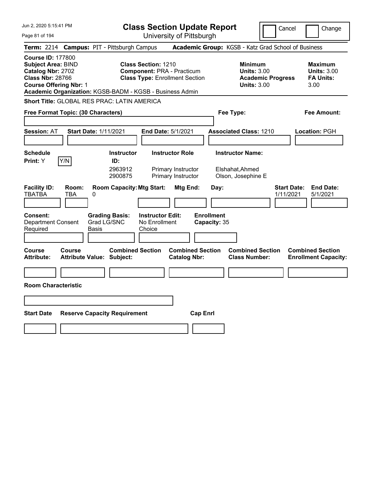| Jun 2, 2020 5:15:41 PM                                                                                                                                                                             | <b>Class Section Update Report</b>                                                                                   |                                                                                        | Cancel<br>Change                                                 |
|----------------------------------------------------------------------------------------------------------------------------------------------------------------------------------------------------|----------------------------------------------------------------------------------------------------------------------|----------------------------------------------------------------------------------------|------------------------------------------------------------------|
| Page 81 of 194                                                                                                                                                                                     | University of Pittsburgh                                                                                             |                                                                                        |                                                                  |
| Term: 2214 Campus: PIT - Pittsburgh Campus                                                                                                                                                         |                                                                                                                      | Academic Group: KGSB - Katz Grad School of Business                                    |                                                                  |
| <b>Course ID: 177800</b><br><b>Subject Area: BIND</b><br>Catalog Nbr: 2702<br><b>Class Nbr: 28766</b><br><b>Course Offering Nbr: 1</b><br>Academic Organization: KGSB-BADM - KGSB - Business Admin | <b>Class Section: 1210</b><br><b>Component: PRA - Practicum</b><br><b>Class Type: Enrollment Section</b>             | <b>Minimum</b><br><b>Units: 3.00</b><br><b>Academic Progress</b><br><b>Units: 3.00</b> | <b>Maximum</b><br><b>Units: 3.00</b><br><b>FA Units:</b><br>3.00 |
| <b>Short Title: GLOBAL RES PRAC: LATIN AMERICA</b>                                                                                                                                                 |                                                                                                                      |                                                                                        |                                                                  |
| Free Format Topic: (30 Characters)                                                                                                                                                                 |                                                                                                                      | Fee Type:                                                                              | Fee Amount:                                                      |
| Start Date: 1/11/2021<br><b>Session: AT</b>                                                                                                                                                        | <b>End Date: 5/1/2021</b>                                                                                            | <b>Associated Class: 1210</b>                                                          | Location: PGH                                                    |
| <b>Schedule</b><br>Y/N<br>Print: Y                                                                                                                                                                 | <b>Instructor Role</b><br><b>Instructor</b><br>ID:<br>2963912<br>Primary Instructor<br>2900875<br>Primary Instructor | <b>Instructor Name:</b><br>Elshahat, Ahmed<br>Olson, Josephine E                       |                                                                  |
| <b>Facility ID:</b><br>Room:<br><b>TBATBA</b><br>TBA<br>0                                                                                                                                          | <b>Room Capacity: Mtg Start:</b><br>Mtg End:                                                                         | Day:                                                                                   | <b>Start Date:</b><br><b>End Date:</b><br>5/1/2021<br>1/11/2021  |
| <b>Consent:</b><br><b>Grading Basis:</b><br><b>Department Consent</b><br>Grad LG/SNC<br>Required<br>Basis                                                                                          | <b>Instructor Edit:</b><br>No Enrollment<br>Choice                                                                   | <b>Enrollment</b><br>Capacity: 35                                                      |                                                                  |
| <b>Course</b><br>Course<br><b>Attribute:</b><br><b>Attribute Value: Subject:</b>                                                                                                                   | <b>Combined Section</b><br><b>Catalog Nbr:</b>                                                                       | <b>Combined Section</b><br><b>Combined Section</b><br><b>Class Number:</b>             | <b>Combined Section</b><br><b>Enrollment Capacity:</b>           |
|                                                                                                                                                                                                    |                                                                                                                      |                                                                                        |                                                                  |
| <b>Room Characteristic</b>                                                                                                                                                                         |                                                                                                                      |                                                                                        |                                                                  |
|                                                                                                                                                                                                    |                                                                                                                      |                                                                                        |                                                                  |
| <b>Start Date</b><br><b>Reserve Capacity Requirement</b>                                                                                                                                           |                                                                                                                      | <b>Cap Enrl</b>                                                                        |                                                                  |
|                                                                                                                                                                                                    |                                                                                                                      |                                                                                        |                                                                  |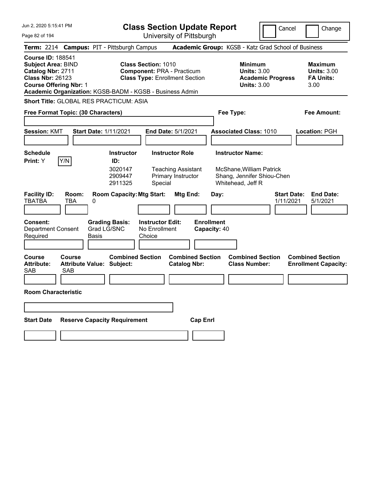| Jun 2, 2020 5:15:41 PM                                                                                                                 |                                                                                                                                                                      | <b>Class Section Update Report</b>                                  |                                                                                 | Cancel<br>Change                                                 |
|----------------------------------------------------------------------------------------------------------------------------------------|----------------------------------------------------------------------------------------------------------------------------------------------------------------------|---------------------------------------------------------------------|---------------------------------------------------------------------------------|------------------------------------------------------------------|
| Page 82 of 194                                                                                                                         |                                                                                                                                                                      | University of Pittsburgh                                            |                                                                                 |                                                                  |
| Term: 2214 Campus: PIT - Pittsburgh Campus                                                                                             |                                                                                                                                                                      |                                                                     | Academic Group: KGSB - Katz Grad School of Business                             |                                                                  |
| <b>Course ID: 188541</b><br><b>Subject Area: BIND</b><br>Catalog Nbr: 2711<br><b>Class Nbr: 26123</b><br><b>Course Offering Nbr: 1</b> | <b>Class Section: 1010</b><br><b>Component: PRA - Practicum</b><br><b>Class Type: Enrollment Section</b><br>Academic Organization: KGSB-BADM - KGSB - Business Admin |                                                                     | Minimum<br><b>Units: 3.00</b><br><b>Academic Progress</b><br><b>Units: 3.00</b> | <b>Maximum</b><br><b>Units: 3.00</b><br><b>FA Units:</b><br>3.00 |
| Short Title: GLOBAL RES PRACTICUM: ASIA                                                                                                |                                                                                                                                                                      |                                                                     |                                                                                 |                                                                  |
| Free Format Topic: (30 Characters)                                                                                                     |                                                                                                                                                                      |                                                                     | Fee Type:                                                                       | Fee Amount:                                                      |
|                                                                                                                                        |                                                                                                                                                                      |                                                                     |                                                                                 |                                                                  |
| <b>Session: KMT</b>                                                                                                                    | <b>Start Date: 1/11/2021</b>                                                                                                                                         | <b>End Date: 5/1/2021</b>                                           | <b>Associated Class: 1010</b>                                                   | Location: PGH                                                    |
|                                                                                                                                        |                                                                                                                                                                      |                                                                     |                                                                                 |                                                                  |
| <b>Schedule</b><br>Y/N<br><b>Print:</b> Y                                                                                              | <b>Instructor</b><br>ID:                                                                                                                                             | <b>Instructor Role</b>                                              | <b>Instructor Name:</b>                                                         |                                                                  |
| <b>Facility ID:</b><br>Room:<br><b>TBATBA</b><br>TBA<br>0                                                                              | 3020147<br>2909447<br>2911325<br>Special<br><b>Room Capacity: Mtg Start:</b>                                                                                         | <b>Teaching Assistant</b><br>Primary Instructor<br>Mtg End:<br>Day: | McShane, William Patrick<br>Shang, Jennifer Shiou-Chen<br>Whitehead, Jeff R     | <b>Start Date:</b><br><b>End Date:</b><br>1/11/2021<br>5/1/2021  |
| <b>Consent:</b><br><b>Department Consent</b><br>Required                                                                               | <b>Grading Basis:</b><br><b>Instructor Edit:</b><br>Grad LG/SNC<br>No Enrollment<br>Choice<br>Basis                                                                  | <b>Enrollment</b><br>Capacity: 40                                   |                                                                                 |                                                                  |
| Course<br>Course<br><b>Attribute:</b><br><b>SAB</b><br><b>SAB</b>                                                                      | <b>Combined Section</b><br><b>Attribute Value: Subject:</b>                                                                                                          | <b>Combined Section</b><br><b>Catalog Nbr:</b>                      | <b>Combined Section</b><br><b>Class Number:</b>                                 | <b>Combined Section</b><br><b>Enrollment Capacity:</b>           |
| <b>Room Characteristic</b>                                                                                                             |                                                                                                                                                                      |                                                                     |                                                                                 |                                                                  |
|                                                                                                                                        |                                                                                                                                                                      |                                                                     |                                                                                 |                                                                  |
| <b>Start Date</b>                                                                                                                      | <b>Reserve Capacity Requirement</b>                                                                                                                                  | <b>Cap Enrl</b>                                                     |                                                                                 |                                                                  |
|                                                                                                                                        |                                                                                                                                                                      |                                                                     |                                                                                 |                                                                  |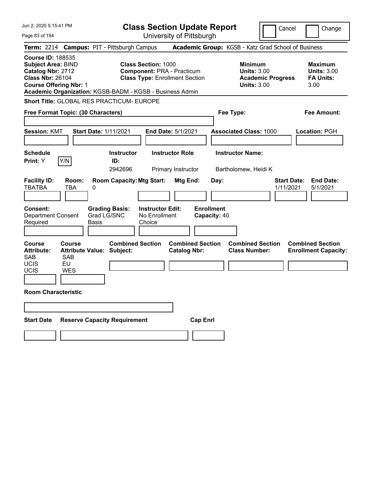| Jun 2, 2020 5:15:41 PM                                                                                                                                                                             |                                            |                                      | <b>Class Section Update Report</b>                                                                       |                                                |                   |              |                                                            |                          | Cancel                          | Change                                                           |
|----------------------------------------------------------------------------------------------------------------------------------------------------------------------------------------------------|--------------------------------------------|--------------------------------------|----------------------------------------------------------------------------------------------------------|------------------------------------------------|-------------------|--------------|------------------------------------------------------------|--------------------------|---------------------------------|------------------------------------------------------------------|
| Page 83 of 194                                                                                                                                                                                     |                                            |                                      | University of Pittsburgh                                                                                 |                                                |                   |              |                                                            |                          |                                 |                                                                  |
| Term: 2214 Campus: PIT - Pittsburgh Campus                                                                                                                                                         |                                            |                                      |                                                                                                          |                                                |                   |              | Academic Group: KGSB - Katz Grad School of Business        |                          |                                 |                                                                  |
| <b>Course ID: 188535</b><br><b>Subject Area: BIND</b><br>Catalog Nbr: 2712<br><b>Class Nbr: 26104</b><br><b>Course Offering Nbr: 1</b><br>Academic Organization: KGSB-BADM - KGSB - Business Admin |                                            |                                      | <b>Class Section: 1000</b><br><b>Component: PRA - Practicum</b><br><b>Class Type: Enrollment Section</b> |                                                |                   |              | <b>Minimum</b><br><b>Units: 3.00</b><br><b>Units: 3.00</b> | <b>Academic Progress</b> |                                 | <b>Maximum</b><br><b>Units: 3.00</b><br><b>FA Units:</b><br>3.00 |
| Short Title: GLOBAL RES PRACTICUM- EUROPE                                                                                                                                                          |                                            |                                      |                                                                                                          |                                                |                   |              |                                                            |                          |                                 |                                                                  |
| Free Format Topic: (30 Characters)                                                                                                                                                                 |                                            |                                      |                                                                                                          |                                                |                   |              | Fee Type:                                                  |                          |                                 | <b>Fee Amount:</b>                                               |
|                                                                                                                                                                                                    |                                            |                                      |                                                                                                          |                                                |                   |              |                                                            |                          |                                 |                                                                  |
| <b>Session: KMT</b>                                                                                                                                                                                | <b>Start Date: 1/11/2021</b>               |                                      |                                                                                                          | End Date: 5/1/2021                             |                   |              | <b>Associated Class: 1000</b>                              |                          |                                 | Location: PGH                                                    |
| <b>Schedule</b><br>Y/N<br>Print: Y                                                                                                                                                                 |                                            | <b>Instructor</b><br>ID:<br>2942696  |                                                                                                          | <b>Instructor Role</b><br>Primary Instructor   |                   |              | <b>Instructor Name:</b><br>Bartholomew, Heidi K            |                          |                                 |                                                                  |
| <b>Facility ID:</b><br><b>TBATBA</b>                                                                                                                                                               | Room:<br><b>TBA</b><br>0                   | <b>Room Capacity: Mtg Start:</b>     |                                                                                                          | Mtg End:                                       |                   | Day:         |                                                            |                          | <b>Start Date:</b><br>1/11/2021 | <b>End Date:</b><br>5/1/2021                                     |
| <b>Consent:</b><br><b>Department Consent</b><br>Required                                                                                                                                           | Basis                                      | <b>Grading Basis:</b><br>Grad LG/SNC | <b>Instructor Edit:</b><br>No Enrollment<br>Choice                                                       |                                                | <b>Enrollment</b> | Capacity: 40 |                                                            |                          |                                 |                                                                  |
| <b>Course</b><br><b>Attribute:</b><br><b>SAB</b><br><b>SAB</b><br><b>UCIS</b><br>EU<br>UCIS<br><b>WES</b>                                                                                          | Course<br><b>Attribute Value: Subject:</b> | <b>Combined Section</b>              |                                                                                                          | <b>Combined Section</b><br><b>Catalog Nbr:</b> |                   |              | <b>Combined Section</b><br><b>Class Number:</b>            |                          |                                 | <b>Combined Section</b><br><b>Enrollment Capacity:</b>           |
| <b>Room Characteristic</b>                                                                                                                                                                         |                                            |                                      |                                                                                                          |                                                |                   |              |                                                            |                          |                                 |                                                                  |
|                                                                                                                                                                                                    |                                            |                                      |                                                                                                          |                                                |                   |              |                                                            |                          |                                 |                                                                  |
| <b>Start Date</b>                                                                                                                                                                                  |                                            | <b>Reserve Capacity Requirement</b>  |                                                                                                          |                                                | <b>Cap Enrl</b>   |              |                                                            |                          |                                 |                                                                  |
|                                                                                                                                                                                                    |                                            |                                      |                                                                                                          |                                                |                   |              |                                                            |                          |                                 |                                                                  |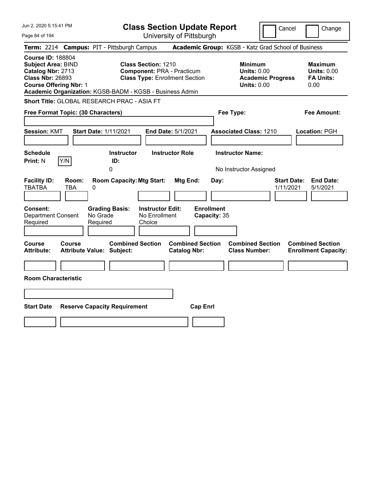| Jun 2, 2020 5:15:41 PM                                                                                                                                                                             | <b>Class Section Update Report</b>                                                                       |                                                                            | Cancel<br>Change                                                                             |
|----------------------------------------------------------------------------------------------------------------------------------------------------------------------------------------------------|----------------------------------------------------------------------------------------------------------|----------------------------------------------------------------------------|----------------------------------------------------------------------------------------------|
| Page 84 of 194                                                                                                                                                                                     | University of Pittsburgh                                                                                 |                                                                            |                                                                                              |
| Term: 2214 Campus: PIT - Pittsburgh Campus                                                                                                                                                         |                                                                                                          | Academic Group: KGSB - Katz Grad School of Business                        |                                                                                              |
| <b>Course ID: 188804</b><br><b>Subject Area: BIND</b><br>Catalog Nbr: 2713<br><b>Class Nbr: 26893</b><br><b>Course Offering Nbr: 1</b><br>Academic Organization: KGSB-BADM - KGSB - Business Admin | <b>Class Section: 1210</b><br><b>Component: PRA - Practicum</b><br><b>Class Type: Enrollment Section</b> | <b>Minimum</b><br><b>Units: 0.00</b><br><b>Units: 0.00</b>                 | <b>Maximum</b><br><b>Units: 0.00</b><br><b>FA Units:</b><br><b>Academic Progress</b><br>0.00 |
| Short Title: GLOBAL RESEARCH PRAC - ASIA FT                                                                                                                                                        |                                                                                                          |                                                                            |                                                                                              |
| Free Format Topic: (30 Characters)                                                                                                                                                                 |                                                                                                          | Fee Type:                                                                  | <b>Fee Amount:</b>                                                                           |
| <b>Session: KMT</b><br><b>Start Date: 1/11/2021</b>                                                                                                                                                | End Date: 5/1/2021                                                                                       | <b>Associated Class: 1210</b>                                              | Location: PGH                                                                                |
| <b>Schedule</b><br>Y/N<br><b>Print: N</b>                                                                                                                                                          | <b>Instructor Role</b><br><b>Instructor</b><br>ID:                                                       | <b>Instructor Name:</b>                                                    |                                                                                              |
| <b>Facility ID:</b><br>Room:<br><b>TBATBA</b><br>TBA<br>0<br>Consent:                                                                                                                              | 0<br><b>Room Capacity: Mtg Start:</b><br>Mtg End:<br><b>Instructor Edit:</b>                             | No Instructor Assigned<br>Day:<br><b>Enrollment</b>                        | <b>End Date:</b><br><b>Start Date:</b><br>1/11/2021<br>5/1/2021                              |
| <b>Department Consent</b><br>No Grade<br>Required<br>Required                                                                                                                                      | <b>Grading Basis:</b><br>No Enrollment<br>Choice                                                         | Capacity: 35                                                               |                                                                                              |
| Course<br>Course<br><b>Attribute:</b><br><b>Attribute Value: Subject:</b>                                                                                                                          | <b>Combined Section</b><br><b>Catalog Nbr:</b>                                                           | <b>Combined Section</b><br><b>Combined Section</b><br><b>Class Number:</b> | <b>Combined Section</b><br><b>Enrollment Capacity:</b>                                       |
|                                                                                                                                                                                                    |                                                                                                          |                                                                            |                                                                                              |
| <b>Room Characteristic</b>                                                                                                                                                                         |                                                                                                          |                                                                            |                                                                                              |
|                                                                                                                                                                                                    |                                                                                                          |                                                                            |                                                                                              |
| <b>Start Date</b><br><b>Reserve Capacity Requirement</b>                                                                                                                                           |                                                                                                          | <b>Cap Enrl</b>                                                            |                                                                                              |
|                                                                                                                                                                                                    |                                                                                                          |                                                                            |                                                                                              |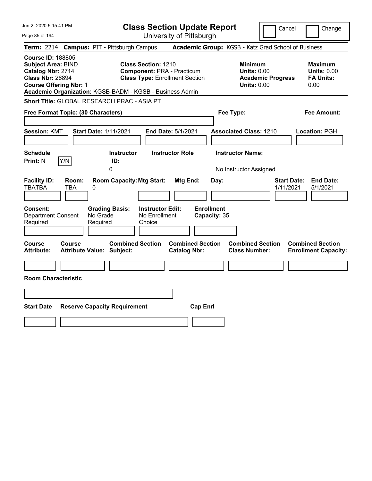| Jun 2, 2020 5:15:41 PM                                                                                                                 |                                                                                                                                                                      | <b>Class Section Update Report</b>                    | Cancel                                                                                 | Change                                                           |
|----------------------------------------------------------------------------------------------------------------------------------------|----------------------------------------------------------------------------------------------------------------------------------------------------------------------|-------------------------------------------------------|----------------------------------------------------------------------------------------|------------------------------------------------------------------|
| Page 85 of 194                                                                                                                         |                                                                                                                                                                      | University of Pittsburgh                              |                                                                                        |                                                                  |
|                                                                                                                                        | Term: 2214 Campus: PIT - Pittsburgh Campus                                                                                                                           |                                                       | Academic Group: KGSB - Katz Grad School of Business                                    |                                                                  |
| <b>Course ID: 188805</b><br><b>Subject Area: BIND</b><br>Catalog Nbr: 2714<br><b>Class Nbr: 26894</b><br><b>Course Offering Nbr: 1</b> | <b>Class Section: 1210</b><br><b>Component: PRA - Practicum</b><br><b>Class Type: Enrollment Section</b><br>Academic Organization: KGSB-BADM - KGSB - Business Admin |                                                       | <b>Minimum</b><br><b>Units: 0.00</b><br><b>Academic Progress</b><br><b>Units: 0.00</b> | <b>Maximum</b><br><b>Units: 0.00</b><br><b>FA Units:</b><br>0.00 |
|                                                                                                                                        | Short Title: GLOBAL RESEARCH PRAC - ASIA PT                                                                                                                          |                                                       |                                                                                        |                                                                  |
| Free Format Topic: (30 Characters)                                                                                                     |                                                                                                                                                                      |                                                       | Fee Type:                                                                              | <b>Fee Amount:</b>                                               |
| <b>Session: KMT</b>                                                                                                                    | <b>Start Date: 1/11/2021</b>                                                                                                                                         | End Date: 5/1/2021                                    | <b>Associated Class: 1210</b>                                                          | Location: PGH                                                    |
| <b>Schedule</b>                                                                                                                        | <b>Instructor</b>                                                                                                                                                    | <b>Instructor Role</b>                                | <b>Instructor Name:</b>                                                                |                                                                  |
| Y/N<br><b>Print: N</b>                                                                                                                 | ID:<br>0                                                                                                                                                             |                                                       | No Instructor Assigned                                                                 |                                                                  |
| <b>Facility ID:</b><br>Room:<br><b>TBATBA</b><br>TBA<br>Consent:<br><b>Department Consent</b><br>Required                              | <b>Room Capacity: Mtg Start:</b><br>0<br><b>Instructor Edit:</b><br><b>Grading Basis:</b><br>No Grade<br>No Enrollment<br>Required<br>Choice                         | Mtg End:<br>Day:<br><b>Enrollment</b><br>Capacity: 35 | <b>Start Date:</b><br>1/11/2021                                                        | <b>End Date:</b><br>5/1/2021                                     |
| Course<br>Course<br><b>Attribute:</b>                                                                                                  | <b>Combined Section</b><br><b>Attribute Value: Subject:</b>                                                                                                          | <b>Combined Section</b><br><b>Catalog Nbr:</b>        | <b>Combined Section</b><br><b>Class Number:</b>                                        | <b>Combined Section</b><br><b>Enrollment Capacity:</b>           |
|                                                                                                                                        |                                                                                                                                                                      |                                                       |                                                                                        |                                                                  |
| <b>Room Characteristic</b>                                                                                                             |                                                                                                                                                                      |                                                       |                                                                                        |                                                                  |
|                                                                                                                                        |                                                                                                                                                                      |                                                       |                                                                                        |                                                                  |
| <b>Start Date</b>                                                                                                                      | <b>Reserve Capacity Requirement</b>                                                                                                                                  | <b>Cap Enrl</b>                                       |                                                                                        |                                                                  |
|                                                                                                                                        |                                                                                                                                                                      |                                                       |                                                                                        |                                                                  |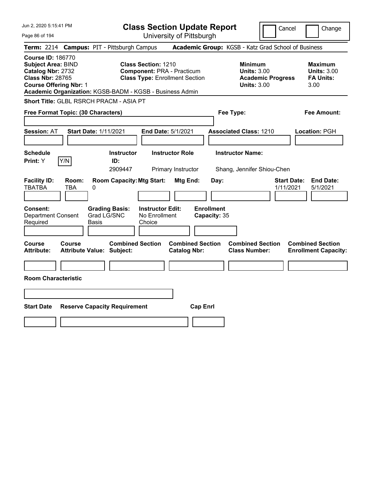| Jun 2, 2020 5:15:41 PM                                                                                                                                                                             | <b>Class Section Update Report</b>                                                                       |                                                                                        | Cancel<br>Change                                                 |
|----------------------------------------------------------------------------------------------------------------------------------------------------------------------------------------------------|----------------------------------------------------------------------------------------------------------|----------------------------------------------------------------------------------------|------------------------------------------------------------------|
| Page 86 of 194                                                                                                                                                                                     | University of Pittsburgh                                                                                 |                                                                                        |                                                                  |
| Term: 2214 Campus: PIT - Pittsburgh Campus                                                                                                                                                         |                                                                                                          | Academic Group: KGSB - Katz Grad School of Business                                    |                                                                  |
| <b>Course ID: 186770</b><br><b>Subject Area: BIND</b><br>Catalog Nbr: 2732<br><b>Class Nbr: 28765</b><br><b>Course Offering Nbr: 1</b><br>Academic Organization: KGSB-BADM - KGSB - Business Admin | <b>Class Section: 1210</b><br><b>Component: PRA - Practicum</b><br><b>Class Type: Enrollment Section</b> | <b>Minimum</b><br><b>Units: 3.00</b><br><b>Academic Progress</b><br><b>Units: 3.00</b> | <b>Maximum</b><br><b>Units: 3.00</b><br><b>FA Units:</b><br>3.00 |
| Short Title: GLBL RSRCH PRACM - ASIA PT                                                                                                                                                            |                                                                                                          |                                                                                        |                                                                  |
| Free Format Topic: (30 Characters)                                                                                                                                                                 |                                                                                                          | Fee Type:                                                                              | Fee Amount:                                                      |
| <b>Start Date: 1/11/2021</b><br><b>Session: AT</b>                                                                                                                                                 | End Date: 5/1/2021                                                                                       | <b>Associated Class: 1210</b>                                                          | Location: PGH                                                    |
| <b>Schedule</b><br>Y/N<br>Print: Y                                                                                                                                                                 | <b>Instructor Role</b><br><b>Instructor</b><br>ID:<br>2909447<br>Primary Instructor                      | <b>Instructor Name:</b><br>Shang, Jennifer Shiou-Chen                                  |                                                                  |
| <b>Facility ID:</b><br>Room:<br><b>TBATBA</b><br>TBA<br>0                                                                                                                                          | <b>Room Capacity: Mtg Start:</b><br><b>Mtg End:</b>                                                      | Day:                                                                                   | <b>Start Date:</b><br><b>End Date:</b><br>1/11/2021<br>5/1/2021  |
| Consent:<br><b>Grading Basis:</b><br>Grad LG/SNC<br><b>Department Consent</b><br>Required<br>Basis                                                                                                 | <b>Instructor Edit:</b><br>No Enrollment<br>Choice                                                       | <b>Enrollment</b><br>Capacity: 35                                                      |                                                                  |
| Course<br><b>Course</b><br><b>Attribute:</b><br><b>Attribute Value: Subject:</b>                                                                                                                   | <b>Combined Section</b><br><b>Catalog Nbr:</b>                                                           | <b>Combined Section</b><br><b>Combined Section</b><br><b>Class Number:</b>             | <b>Combined Section</b><br><b>Enrollment Capacity:</b>           |
| <b>Room Characteristic</b>                                                                                                                                                                         |                                                                                                          |                                                                                        |                                                                  |
|                                                                                                                                                                                                    |                                                                                                          |                                                                                        |                                                                  |
| <b>Start Date</b><br><b>Reserve Capacity Requirement</b>                                                                                                                                           |                                                                                                          | <b>Cap Enrl</b>                                                                        |                                                                  |
|                                                                                                                                                                                                    |                                                                                                          |                                                                                        |                                                                  |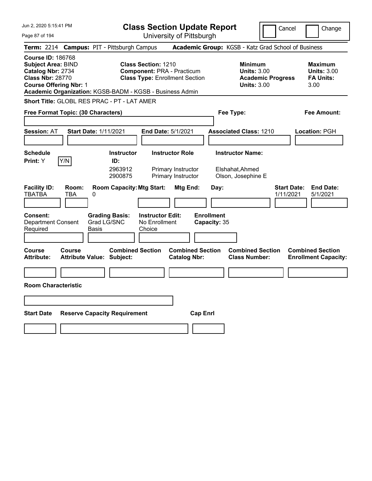| Jun 2, 2020 5:15:41 PM                                                                                                                                                                             | <b>Class Section Update Report</b>                                                                                   |                                                | Cancel                                                                                 | Change                                                           |
|----------------------------------------------------------------------------------------------------------------------------------------------------------------------------------------------------|----------------------------------------------------------------------------------------------------------------------|------------------------------------------------|----------------------------------------------------------------------------------------|------------------------------------------------------------------|
| Page 87 of 194                                                                                                                                                                                     |                                                                                                                      | University of Pittsburgh                       |                                                                                        |                                                                  |
| <b>Term:</b> 2214                                                                                                                                                                                  | <b>Campus: PIT - Pittsburgh Campus</b>                                                                               |                                                | Academic Group: KGSB - Katz Grad School of Business                                    |                                                                  |
| <b>Course ID: 186768</b><br><b>Subject Area: BIND</b><br>Catalog Nbr: 2734<br><b>Class Nbr: 28770</b><br><b>Course Offering Nbr: 1</b><br>Academic Organization: KGSB-BADM - KGSB - Business Admin | <b>Class Section: 1210</b><br><b>Component: PRA - Practicum</b><br><b>Class Type: Enrollment Section</b>             |                                                | <b>Minimum</b><br><b>Units: 3.00</b><br><b>Academic Progress</b><br><b>Units: 3.00</b> | <b>Maximum</b><br><b>Units: 3.00</b><br><b>FA Units:</b><br>3.00 |
| Short Title: GLOBL RES PRAC - PT - LAT AMER                                                                                                                                                        |                                                                                                                      |                                                |                                                                                        |                                                                  |
| Free Format Topic: (30 Characters)                                                                                                                                                                 |                                                                                                                      |                                                | Fee Type:                                                                              | Fee Amount:                                                      |
| <b>Start Date: 1/11/2021</b><br><b>Session: AT</b>                                                                                                                                                 | End Date: 5/1/2021                                                                                                   |                                                | <b>Associated Class: 1210</b>                                                          | <b>Location: PGH</b>                                             |
| <b>Schedule</b><br>Y/N<br>Print: Y                                                                                                                                                                 | <b>Instructor Role</b><br><b>Instructor</b><br>ID:<br>2963912<br>Primary Instructor<br>2900875<br>Primary Instructor |                                                | <b>Instructor Name:</b><br>Elshahat, Ahmed<br>Olson, Josephine E                       |                                                                  |
| <b>Facility ID:</b><br>Room:<br><b>TBATBA</b><br>TBA<br>0<br><b>Grading Basis:</b><br><b>Consent:</b>                                                                                              | <b>Room Capacity: Mtg Start:</b><br><b>Instructor Edit:</b>                                                          | Mtg End:<br>Day:<br><b>Enrollment</b>          |                                                                                        | <b>Start Date:</b><br><b>End Date:</b><br>1/11/2021<br>5/1/2021  |
| Grad LG/SNC<br><b>Department Consent</b><br>Required<br>Basis                                                                                                                                      | No Enrollment<br>Choice                                                                                              | Capacity: 35                                   |                                                                                        |                                                                  |
| <b>Course</b><br>Course<br><b>Attribute:</b><br><b>Attribute Value: Subject:</b>                                                                                                                   | <b>Combined Section</b>                                                                                              | <b>Combined Section</b><br><b>Catalog Nbr:</b> | <b>Combined Section</b><br><b>Class Number:</b>                                        | <b>Combined Section</b><br><b>Enrollment Capacity:</b>           |
|                                                                                                                                                                                                    |                                                                                                                      |                                                |                                                                                        |                                                                  |
| <b>Room Characteristic</b>                                                                                                                                                                         |                                                                                                                      |                                                |                                                                                        |                                                                  |
|                                                                                                                                                                                                    |                                                                                                                      |                                                |                                                                                        |                                                                  |
| <b>Start Date</b><br><b>Reserve Capacity Requirement</b>                                                                                                                                           |                                                                                                                      | <b>Cap Enrl</b>                                |                                                                                        |                                                                  |
|                                                                                                                                                                                                    |                                                                                                                      |                                                |                                                                                        |                                                                  |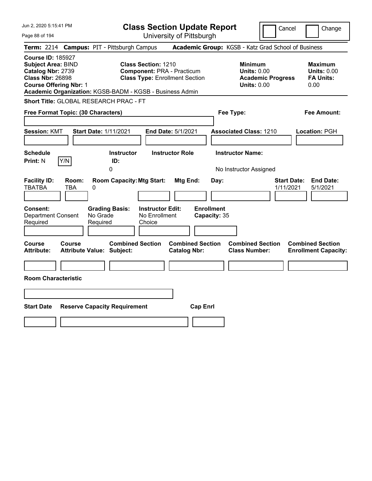| Jun 2, 2020 5:15:41 PM                                                                                                                 |                                            |                                                                                        | <b>Class Section Update Report</b>                                         |                                                     | Cancel                                                               | Change                                                           |
|----------------------------------------------------------------------------------------------------------------------------------------|--------------------------------------------|----------------------------------------------------------------------------------------|----------------------------------------------------------------------------|-----------------------------------------------------|----------------------------------------------------------------------|------------------------------------------------------------------|
| Page 88 of 194                                                                                                                         |                                            |                                                                                        | University of Pittsburgh                                                   |                                                     |                                                                      |                                                                  |
| <b>Term: 2214</b>                                                                                                                      |                                            | <b>Campus: PIT - Pittsburgh Campus</b>                                                 |                                                                            | Academic Group: KGSB - Katz Grad School of Business |                                                                      |                                                                  |
| <b>Course ID: 185927</b><br><b>Subject Area: BIND</b><br>Catalog Nbr: 2739<br><b>Class Nbr: 26898</b><br><b>Course Offering Nbr: 1</b> |                                            | <b>Class Section: 1210</b><br>Academic Organization: KGSB-BADM - KGSB - Business Admin | <b>Component: PRA - Practicum</b><br><b>Class Type: Enrollment Section</b> | <b>Minimum</b>                                      | <b>Units: 0.00</b><br><b>Academic Progress</b><br><b>Units: 0.00</b> | <b>Maximum</b><br><b>Units: 0.00</b><br><b>FA Units:</b><br>0.00 |
| <b>Short Title: GLOBAL RESEARCH PRAC - FT</b>                                                                                          |                                            |                                                                                        |                                                                            |                                                     |                                                                      |                                                                  |
| Free Format Topic: (30 Characters)                                                                                                     |                                            |                                                                                        |                                                                            | Fee Type:                                           |                                                                      | Fee Amount:                                                      |
| <b>Session: KMT</b>                                                                                                                    | Start Date: 1/11/2021                      |                                                                                        | End Date: 5/1/2021                                                         | <b>Associated Class: 1210</b>                       |                                                                      | Location: PGH                                                    |
| <b>Schedule</b><br>Y/N<br><b>Print: N</b>                                                                                              |                                            | <b>Instructor</b><br>ID:                                                               | <b>Instructor Role</b>                                                     | <b>Instructor Name:</b>                             |                                                                      |                                                                  |
|                                                                                                                                        |                                            | 0                                                                                      |                                                                            | No Instructor Assigned                              |                                                                      |                                                                  |
| <b>Facility ID:</b><br><b>TBATBA</b><br><b>Consent:</b><br><b>Department Consent</b>                                                   | Room:<br>TBA<br>0<br>No Grade              | <b>Room Capacity: Mtg Start:</b><br><b>Grading Basis:</b><br>No Enrollment             | Mtg End:<br><b>Instructor Edit:</b>                                        | Day:<br><b>Enrollment</b><br>Capacity: 35           | <b>Start Date:</b><br>1/11/2021                                      | <b>End Date:</b><br>5/1/2021                                     |
| Required                                                                                                                               | Required                                   | Choice                                                                                 |                                                                            |                                                     |                                                                      |                                                                  |
|                                                                                                                                        |                                            |                                                                                        |                                                                            |                                                     |                                                                      |                                                                  |
| Course<br><b>Attribute:</b>                                                                                                            | <b>Course</b><br>Attribute Value: Subject: | <b>Combined Section</b>                                                                | <b>Combined Section</b><br><b>Catalog Nbr:</b>                             | <b>Class Number:</b>                                | <b>Combined Section</b>                                              | <b>Combined Section</b><br><b>Enrollment Capacity:</b>           |
|                                                                                                                                        |                                            |                                                                                        |                                                                            |                                                     |                                                                      |                                                                  |
| <b>Room Characteristic</b>                                                                                                             |                                            |                                                                                        |                                                                            |                                                     |                                                                      |                                                                  |
|                                                                                                                                        |                                            |                                                                                        |                                                                            |                                                     |                                                                      |                                                                  |
| <b>Start Date</b>                                                                                                                      |                                            | <b>Reserve Capacity Requirement</b>                                                    | <b>Cap Enrl</b>                                                            |                                                     |                                                                      |                                                                  |
|                                                                                                                                        |                                            |                                                                                        |                                                                            |                                                     |                                                                      |                                                                  |
|                                                                                                                                        |                                            |                                                                                        |                                                                            |                                                     |                                                                      |                                                                  |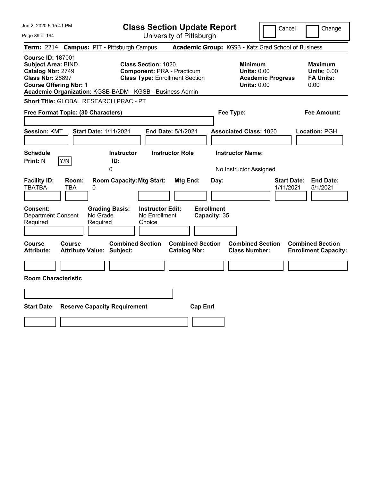| Jun 2, 2020 5:15:41 PM                                                                                                                                                                             |                                                             | <b>Class Section Update Report</b>                                                                       |                                                |                                                                                        | Cancel<br>Change                                                 |
|----------------------------------------------------------------------------------------------------------------------------------------------------------------------------------------------------|-------------------------------------------------------------|----------------------------------------------------------------------------------------------------------|------------------------------------------------|----------------------------------------------------------------------------------------|------------------------------------------------------------------|
| Page 89 of 194                                                                                                                                                                                     |                                                             | University of Pittsburgh                                                                                 |                                                |                                                                                        |                                                                  |
| Term: 2214 Campus: PIT - Pittsburgh Campus                                                                                                                                                         |                                                             |                                                                                                          |                                                | Academic Group: KGSB - Katz Grad School of Business                                    |                                                                  |
| <b>Course ID: 187001</b><br><b>Subject Area: BIND</b><br>Catalog Nbr: 2749<br><b>Class Nbr: 26897</b><br><b>Course Offering Nbr: 1</b><br>Academic Organization: KGSB-BADM - KGSB - Business Admin |                                                             | <b>Class Section: 1020</b><br><b>Component: PRA - Practicum</b><br><b>Class Type: Enrollment Section</b> |                                                | <b>Minimum</b><br><b>Units: 0.00</b><br><b>Academic Progress</b><br><b>Units: 0.00</b> | <b>Maximum</b><br><b>Units: 0.00</b><br><b>FA Units:</b><br>0.00 |
| Short Title: GLOBAL RESEARCH PRAC - PT                                                                                                                                                             |                                                             |                                                                                                          |                                                |                                                                                        |                                                                  |
| Free Format Topic: (30 Characters)                                                                                                                                                                 |                                                             |                                                                                                          |                                                | Fee Type:                                                                              | Fee Amount:                                                      |
| <b>Session: KMT</b>                                                                                                                                                                                | <b>Start Date: 1/11/2021</b>                                | End Date: 5/1/2021                                                                                       |                                                | <b>Associated Class: 1020</b>                                                          | Location: PGH                                                    |
| <b>Schedule</b><br>Y/N<br><b>Print: N</b>                                                                                                                                                          | <b>Instructor</b><br>ID:<br>0                               | <b>Instructor Role</b>                                                                                   |                                                | <b>Instructor Name:</b><br>No Instructor Assigned                                      |                                                                  |
| <b>Facility ID:</b><br>Room:<br><b>TBATBA</b><br>TBA                                                                                                                                               | <b>Room Capacity: Mtg Start:</b><br>0                       |                                                                                                          | <b>Mtg End:</b><br>Day:                        |                                                                                        | <b>Start Date:</b><br><b>End Date:</b><br>1/11/2021<br>5/1/2021  |
| Consent:<br><b>Department Consent</b><br>Required                                                                                                                                                  | <b>Grading Basis:</b><br>No Grade<br>Required               | <b>Instructor Edit:</b><br>No Enrollment<br>Choice                                                       | <b>Enrollment</b><br>Capacity: 35              |                                                                                        |                                                                  |
| Course<br><b>Course</b><br><b>Attribute:</b>                                                                                                                                                       | <b>Combined Section</b><br><b>Attribute Value: Subject:</b> |                                                                                                          | <b>Combined Section</b><br><b>Catalog Nbr:</b> | <b>Combined Section</b><br><b>Class Number:</b>                                        | <b>Combined Section</b><br><b>Enrollment Capacity:</b>           |
|                                                                                                                                                                                                    |                                                             |                                                                                                          |                                                |                                                                                        |                                                                  |
| <b>Room Characteristic</b>                                                                                                                                                                         |                                                             |                                                                                                          |                                                |                                                                                        |                                                                  |
|                                                                                                                                                                                                    |                                                             |                                                                                                          |                                                |                                                                                        |                                                                  |
| <b>Start Date</b>                                                                                                                                                                                  | <b>Reserve Capacity Requirement</b>                         |                                                                                                          | <b>Cap Enrl</b>                                |                                                                                        |                                                                  |
|                                                                                                                                                                                                    |                                                             |                                                                                                          |                                                |                                                                                        |                                                                  |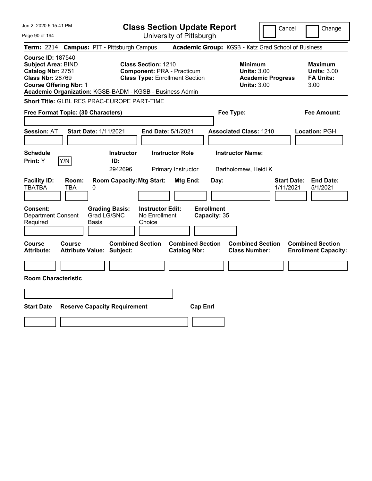| Jun 2, 2020 5:15:41 PM                                                                                                                                                                             |                                                                                                          | <b>Class Section Update Report</b>             |                                                                                        | Cancel<br>Change                                                 |
|----------------------------------------------------------------------------------------------------------------------------------------------------------------------------------------------------|----------------------------------------------------------------------------------------------------------|------------------------------------------------|----------------------------------------------------------------------------------------|------------------------------------------------------------------|
| Page 90 of 194                                                                                                                                                                                     |                                                                                                          | University of Pittsburgh                       |                                                                                        |                                                                  |
| <b>Term: 2214</b>                                                                                                                                                                                  | <b>Campus: PIT - Pittsburgh Campus</b>                                                                   |                                                | Academic Group: KGSB - Katz Grad School of Business                                    |                                                                  |
| <b>Course ID: 187540</b><br><b>Subject Area: BIND</b><br>Catalog Nbr: 2751<br><b>Class Nbr: 28769</b><br><b>Course Offering Nbr: 1</b><br>Academic Organization: KGSB-BADM - KGSB - Business Admin | <b>Class Section: 1210</b><br><b>Component: PRA - Practicum</b><br><b>Class Type: Enrollment Section</b> |                                                | <b>Minimum</b><br><b>Units: 3.00</b><br><b>Academic Progress</b><br><b>Units: 3.00</b> | <b>Maximum</b><br><b>Units: 3.00</b><br><b>FA Units:</b><br>3.00 |
| Short Title: GLBL RES PRAC-EUROPE PART-TIME                                                                                                                                                        |                                                                                                          |                                                |                                                                                        |                                                                  |
| Free Format Topic: (30 Characters)                                                                                                                                                                 |                                                                                                          |                                                | Fee Type:                                                                              | Fee Amount:                                                      |
| <b>Start Date: 1/11/2021</b><br><b>Session: AT</b>                                                                                                                                                 |                                                                                                          | End Date: 5/1/2021                             | <b>Associated Class: 1210</b>                                                          | Location: PGH                                                    |
| <b>Schedule</b><br>Y/N<br>Print: Y                                                                                                                                                                 | <b>Instructor</b><br>ID:<br>2942696                                                                      | <b>Instructor Role</b><br>Primary Instructor   | <b>Instructor Name:</b><br>Bartholomew, Heidi K                                        |                                                                  |
| <b>Facility ID:</b><br>Room:<br><b>TBATBA</b><br>TBA<br>0                                                                                                                                          | <b>Room Capacity: Mtg Start:</b>                                                                         | Mtg End:<br>Day:                               |                                                                                        | <b>End Date:</b><br><b>Start Date:</b><br>1/11/2021<br>5/1/2021  |
| <b>Consent:</b><br><b>Department Consent</b><br>Required<br>Basis                                                                                                                                  | <b>Instructor Edit:</b><br><b>Grading Basis:</b><br>Grad LG/SNC<br>No Enrollment<br>Choice               | <b>Enrollment</b><br>Capacity: 35              |                                                                                        |                                                                  |
| Course<br><b>Course</b><br><b>Attribute:</b><br><b>Attribute Value: Subject:</b>                                                                                                                   | <b>Combined Section</b>                                                                                  | <b>Combined Section</b><br><b>Catalog Nbr:</b> | <b>Combined Section</b><br><b>Class Number:</b>                                        | <b>Combined Section</b><br><b>Enrollment Capacity:</b>           |
|                                                                                                                                                                                                    |                                                                                                          |                                                |                                                                                        |                                                                  |
| <b>Room Characteristic</b>                                                                                                                                                                         |                                                                                                          |                                                |                                                                                        |                                                                  |
|                                                                                                                                                                                                    |                                                                                                          |                                                |                                                                                        |                                                                  |
| <b>Start Date</b>                                                                                                                                                                                  | <b>Reserve Capacity Requirement</b>                                                                      | <b>Cap Enrl</b>                                |                                                                                        |                                                                  |
|                                                                                                                                                                                                    |                                                                                                          |                                                |                                                                                        |                                                                  |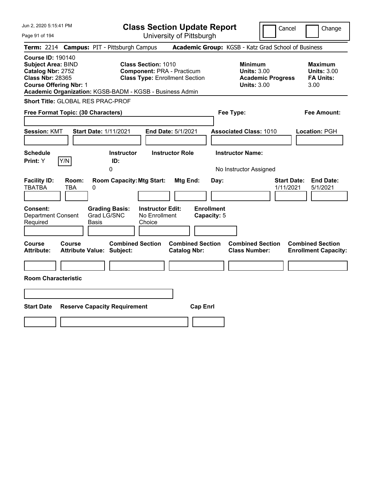| Jun 2, 2020 5:15:41 PM<br>Page 91 of 194                                                                                                                                                           | <b>Class Section Update Report</b><br>University of Pittsburgh                                                                                 | Cancel                                                                                 | Change                                                           |
|----------------------------------------------------------------------------------------------------------------------------------------------------------------------------------------------------|------------------------------------------------------------------------------------------------------------------------------------------------|----------------------------------------------------------------------------------------|------------------------------------------------------------------|
| <b>Campus: PIT - Pittsburgh Campus</b><br><b>Term:</b> 2214                                                                                                                                        |                                                                                                                                                | Academic Group: KGSB - Katz Grad School of Business                                    |                                                                  |
| <b>Course ID: 190140</b><br><b>Subject Area: BIND</b><br>Catalog Nbr: 2752<br><b>Class Nbr: 28365</b><br><b>Course Offering Nbr: 1</b><br>Academic Organization: KGSB-BADM - KGSB - Business Admin | <b>Class Section: 1010</b><br><b>Component: PRA - Practicum</b><br><b>Class Type: Enrollment Section</b>                                       | <b>Minimum</b><br><b>Units: 3.00</b><br><b>Academic Progress</b><br><b>Units: 3.00</b> | <b>Maximum</b><br><b>Units: 3.00</b><br><b>FA Units:</b><br>3.00 |
| Short Title: GLOBAL RES PRAC-PROF                                                                                                                                                                  |                                                                                                                                                |                                                                                        |                                                                  |
| Free Format Topic: (30 Characters)                                                                                                                                                                 |                                                                                                                                                | Fee Type:                                                                              | Fee Amount:                                                      |
| <b>Session: KMT</b><br><b>Start Date: 1/11/2021</b><br><b>Schedule</b>                                                                                                                             | End Date: 5/1/2021<br><b>Instructor Role</b><br><b>Instructor</b>                                                                              | <b>Associated Class: 1010</b><br><b>Instructor Name:</b>                               | Location: PGH                                                    |
| Y/N<br>Print: Y<br>ID:                                                                                                                                                                             |                                                                                                                                                |                                                                                        |                                                                  |
| 0<br><b>Facility ID:</b><br>Room:<br><b>TBATBA</b><br>TBA<br>0<br><b>Grading Basis:</b><br><b>Consent:</b><br>Grad LG/SNC<br><b>Department Consent</b><br>Required<br><b>Basis</b>                 | <b>Room Capacity: Mtg Start:</b><br>Mtg End:<br>Day:<br><b>Enrollment</b><br><b>Instructor Edit:</b><br>No Enrollment<br>Capacity: 5<br>Choice | No Instructor Assigned<br><b>Start Date:</b><br>1/11/2021                              | <b>End Date:</b><br>5/1/2021                                     |
| Course<br><b>Course</b><br><b>Attribute:</b><br><b>Attribute Value: Subject:</b>                                                                                                                   | <b>Combined Section</b><br><b>Combined Section</b><br><b>Catalog Nbr:</b>                                                                      | <b>Combined Section</b><br><b>Class Number:</b>                                        | <b>Combined Section</b><br><b>Enrollment Capacity:</b>           |
| <b>Room Characteristic</b>                                                                                                                                                                         |                                                                                                                                                |                                                                                        |                                                                  |
|                                                                                                                                                                                                    |                                                                                                                                                |                                                                                        |                                                                  |
| <b>Start Date</b><br><b>Reserve Capacity Requirement</b>                                                                                                                                           | <b>Cap Enrl</b>                                                                                                                                |                                                                                        |                                                                  |
|                                                                                                                                                                                                    |                                                                                                                                                |                                                                                        |                                                                  |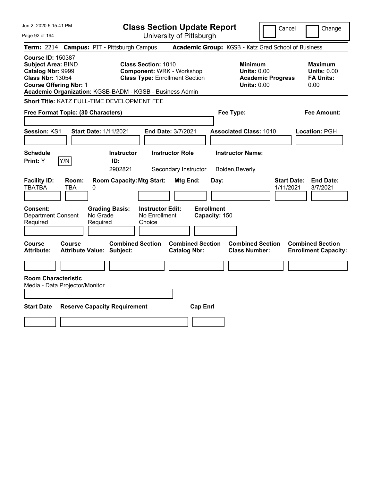| Jun 2, 2020 5:15:41 PM                                                                                                                 |                                            |                                                                                                                                                                     | <b>Class Section Update Report</b>             |                                                            | Cancel                          | Change                                                           |
|----------------------------------------------------------------------------------------------------------------------------------------|--------------------------------------------|---------------------------------------------------------------------------------------------------------------------------------------------------------------------|------------------------------------------------|------------------------------------------------------------|---------------------------------|------------------------------------------------------------------|
| Page 92 of 194                                                                                                                         |                                            |                                                                                                                                                                     | University of Pittsburgh                       |                                                            |                                 |                                                                  |
|                                                                                                                                        |                                            | Term: 2214 Campus: PIT - Pittsburgh Campus                                                                                                                          |                                                | Academic Group: KGSB - Katz Grad School of Business        |                                 |                                                                  |
| <b>Course ID: 150387</b><br><b>Subject Area: BIND</b><br>Catalog Nbr: 9999<br><b>Class Nbr: 13054</b><br><b>Course Offering Nbr: 1</b> |                                            | <b>Class Section: 1010</b><br><b>Component: WRK - Workshop</b><br><b>Class Type: Enrollment Section</b><br>Academic Organization: KGSB-BADM - KGSB - Business Admin |                                                | <b>Minimum</b><br><b>Units: 0.00</b><br><b>Units: 0.00</b> | <b>Academic Progress</b>        | <b>Maximum</b><br><b>Units: 0.00</b><br><b>FA Units:</b><br>0.00 |
|                                                                                                                                        |                                            | Short Title: KATZ FULL-TIME DEVELOPMENT FEE                                                                                                                         |                                                |                                                            |                                 |                                                                  |
|                                                                                                                                        | Free Format Topic: (30 Characters)         |                                                                                                                                                                     |                                                | Fee Type:                                                  |                                 | Fee Amount:                                                      |
| <b>Session: KS1</b>                                                                                                                    | <b>Start Date: 1/11/2021</b>               |                                                                                                                                                                     | End Date: 3/7/2021                             | <b>Associated Class: 1010</b>                              |                                 | Location: PGH                                                    |
| <b>Schedule</b><br>Print: Y                                                                                                            | Y/N                                        | <b>Instructor</b><br>ID:<br>2902821                                                                                                                                 | <b>Instructor Role</b><br>Secondary Instructor | <b>Instructor Name:</b><br>Bolden, Beverly                 |                                 |                                                                  |
| <b>Facility ID:</b><br><b>TBATBA</b>                                                                                                   | Room:<br>TBA<br>0                          | <b>Room Capacity: Mtg Start:</b>                                                                                                                                    | Mtg End:                                       | Day:                                                       | <b>Start Date:</b><br>1/11/2021 | <b>End Date:</b><br>3/7/2021                                     |
| <b>Consent:</b><br><b>Department Consent</b><br>Required                                                                               | No Grade<br>Required                       | <b>Instructor Edit:</b><br><b>Grading Basis:</b><br>No Enrollment<br>Choice                                                                                         |                                                | <b>Enrollment</b><br>Capacity: 150                         |                                 |                                                                  |
| Course<br>Attribute:                                                                                                                   | Course<br><b>Attribute Value: Subject:</b> | <b>Combined Section</b>                                                                                                                                             | <b>Combined Section</b><br><b>Catalog Nbr:</b> | <b>Combined Section</b><br><b>Class Number:</b>            |                                 | <b>Combined Section</b><br><b>Enrollment Capacity:</b>           |
| <b>Room Characteristic</b>                                                                                                             | Media - Data Projector/Monitor             |                                                                                                                                                                     |                                                |                                                            |                                 |                                                                  |
| <b>Start Date</b>                                                                                                                      |                                            | <b>Reserve Capacity Requirement</b>                                                                                                                                 | <b>Cap Enrl</b>                                |                                                            |                                 |                                                                  |
|                                                                                                                                        |                                            |                                                                                                                                                                     |                                                |                                                            |                                 |                                                                  |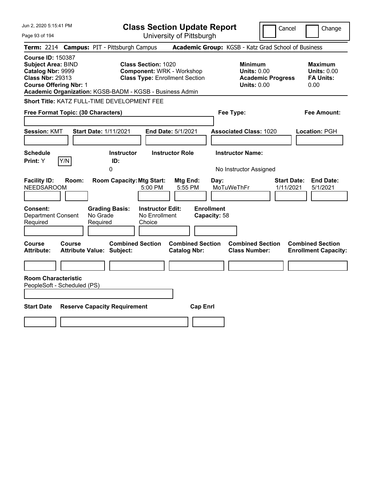| Jun 2, 2020 5:15:41 PM                                                                                                                                                                             |                                                                                                                  | <b>Class Section Update Report</b>                               |                                                                                        | Cancel<br>Change                                                 |
|----------------------------------------------------------------------------------------------------------------------------------------------------------------------------------------------------|------------------------------------------------------------------------------------------------------------------|------------------------------------------------------------------|----------------------------------------------------------------------------------------|------------------------------------------------------------------|
| Page 93 of 194                                                                                                                                                                                     |                                                                                                                  | University of Pittsburgh                                         |                                                                                        |                                                                  |
| <b>Term: 2214</b>                                                                                                                                                                                  | <b>Campus: PIT - Pittsburgh Campus</b>                                                                           |                                                                  | Academic Group: KGSB - Katz Grad School of Business                                    |                                                                  |
| <b>Course ID: 150387</b><br><b>Subject Area: BIND</b><br>Catalog Nbr: 9999<br><b>Class Nbr: 29313</b><br><b>Course Offering Nbr: 1</b><br>Academic Organization: KGSB-BADM - KGSB - Business Admin | <b>Class Section: 1020</b><br><b>Component: WRK - Workshop</b><br><b>Class Type: Enrollment Section</b>          |                                                                  | <b>Minimum</b><br><b>Units: 0.00</b><br><b>Academic Progress</b><br><b>Units: 0.00</b> | <b>Maximum</b><br><b>Units: 0.00</b><br><b>FA Units:</b><br>0.00 |
| <b>Short Title: KATZ FULL-TIME DEVELOPMENT FEE</b>                                                                                                                                                 |                                                                                                                  |                                                                  |                                                                                        |                                                                  |
| Free Format Topic: (30 Characters)                                                                                                                                                                 |                                                                                                                  |                                                                  | Fee Type:                                                                              | Fee Amount:                                                      |
| <b>Session: KMT</b><br><b>Start Date: 1/11/2021</b>                                                                                                                                                |                                                                                                                  | End Date: 5/1/2021                                               | <b>Associated Class: 1020</b>                                                          | Location: PGH                                                    |
| Schedule<br>Y/N<br>Print: Y                                                                                                                                                                        | <b>Instructor</b><br>ID:<br>$\Omega$                                                                             | <b>Instructor Role</b>                                           | <b>Instructor Name:</b><br>No Instructor Assigned                                      |                                                                  |
| <b>Facility ID:</b><br>Room:<br><b>NEEDSAROOM</b><br>Consent:<br>No Grade<br><b>Department Consent</b>                                                                                             | <b>Room Capacity: Mtg Start:</b><br>5:00 PM<br><b>Grading Basis:</b><br><b>Instructor Edit:</b><br>No Enrollment | Mtg End:<br>Day:<br>5:55 PM<br><b>Enrollment</b><br>Capacity: 58 | MoTuWeThFr                                                                             | <b>Start Date:</b><br><b>End Date:</b><br>1/11/2021<br>5/1/2021  |
| Required<br>Required                                                                                                                                                                               | Choice                                                                                                           |                                                                  |                                                                                        |                                                                  |
| Course<br>Course<br><b>Attribute Value: Subject:</b><br><b>Attribute:</b>                                                                                                                          | <b>Combined Section</b>                                                                                          | <b>Combined Section</b><br><b>Catalog Nbr:</b>                   | <b>Combined Section</b><br><b>Class Number:</b>                                        | <b>Combined Section</b><br><b>Enrollment Capacity:</b>           |
| <b>Room Characteristic</b><br>PeopleSoft - Scheduled (PS)                                                                                                                                          |                                                                                                                  |                                                                  |                                                                                        |                                                                  |
| <b>Start Date</b><br><b>Reserve Capacity Requirement</b>                                                                                                                                           |                                                                                                                  | <b>Cap Enrl</b>                                                  |                                                                                        |                                                                  |
|                                                                                                                                                                                                    |                                                                                                                  |                                                                  |                                                                                        |                                                                  |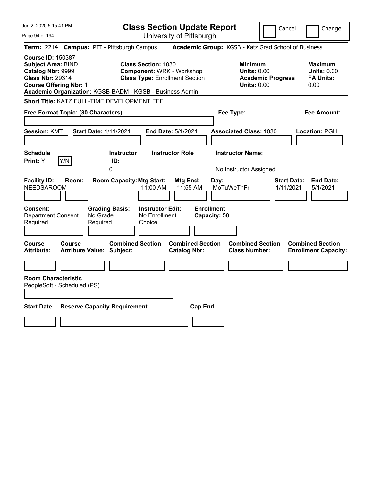| Jun 2, 2020 5:15:41 PM                                                                                                                                                                             |                                               | <b>Class Section Update Report</b>                                                                      |                                                |                                                            | Cancel                          | Change                                                           |
|----------------------------------------------------------------------------------------------------------------------------------------------------------------------------------------------------|-----------------------------------------------|---------------------------------------------------------------------------------------------------------|------------------------------------------------|------------------------------------------------------------|---------------------------------|------------------------------------------------------------------|
| Page 94 of 194                                                                                                                                                                                     |                                               |                                                                                                         | University of Pittsburgh                       |                                                            |                                 |                                                                  |
| <b>Term: 2214</b>                                                                                                                                                                                  | <b>Campus: PIT - Pittsburgh Campus</b>        |                                                                                                         |                                                | Academic Group: KGSB - Katz Grad School of Business        |                                 |                                                                  |
| <b>Course ID: 150387</b><br><b>Subject Area: BIND</b><br>Catalog Nbr: 9999<br><b>Class Nbr: 29314</b><br><b>Course Offering Nbr: 1</b><br>Academic Organization: KGSB-BADM - KGSB - Business Admin |                                               | <b>Class Section: 1030</b><br><b>Component: WRK - Workshop</b><br><b>Class Type: Enrollment Section</b> |                                                | <b>Minimum</b><br><b>Units: 0.00</b><br><b>Units: 0.00</b> | <b>Academic Progress</b>        | <b>Maximum</b><br><b>Units: 0.00</b><br><b>FA Units:</b><br>0.00 |
| <b>Short Title: KATZ FULL-TIME DEVELOPMENT FEE</b>                                                                                                                                                 |                                               |                                                                                                         |                                                |                                                            |                                 |                                                                  |
| Free Format Topic: (30 Characters)                                                                                                                                                                 |                                               |                                                                                                         |                                                | Fee Type:                                                  |                                 | Fee Amount:                                                      |
| <b>Session: KMT</b>                                                                                                                                                                                | <b>Start Date: 1/11/2021</b>                  |                                                                                                         | End Date: 5/1/2021                             | <b>Associated Class: 1030</b>                              |                                 | Location: PGH                                                    |
| Schedule<br>Y/N<br>Print: Y                                                                                                                                                                        | ID:<br>$\Omega$                               | <b>Instructor</b>                                                                                       | <b>Instructor Role</b>                         | <b>Instructor Name:</b><br>No Instructor Assigned          |                                 |                                                                  |
| <b>Facility ID:</b><br>Room:<br><b>NEEDSAROOM</b>                                                                                                                                                  |                                               | <b>Room Capacity: Mtg Start:</b><br>11:00 AM                                                            | Mtg End:<br>11:55 AM                           | Day:<br>MoTuWeThFr                                         | <b>Start Date:</b><br>1/11/2021 | <b>End Date:</b><br>5/1/2021                                     |
| Consent:<br><b>Department Consent</b><br>Required                                                                                                                                                  | <b>Grading Basis:</b><br>No Grade<br>Required | <b>Instructor Edit:</b><br>No Enrollment<br>Choice                                                      |                                                | <b>Enrollment</b><br>Capacity: 58                          |                                 |                                                                  |
| Course<br>Course<br><b>Attribute:</b>                                                                                                                                                              | <b>Attribute Value: Subject:</b>              | <b>Combined Section</b>                                                                                 | <b>Combined Section</b><br><b>Catalog Nbr:</b> | <b>Combined Section</b><br><b>Class Number:</b>            |                                 | <b>Combined Section</b><br><b>Enrollment Capacity:</b>           |
| <b>Room Characteristic</b>                                                                                                                                                                         |                                               |                                                                                                         |                                                |                                                            |                                 |                                                                  |
| PeopleSoft - Scheduled (PS)                                                                                                                                                                        |                                               |                                                                                                         |                                                |                                                            |                                 |                                                                  |
| <b>Start Date</b>                                                                                                                                                                                  | <b>Reserve Capacity Requirement</b>           |                                                                                                         | <b>Cap Enrl</b>                                |                                                            |                                 |                                                                  |
|                                                                                                                                                                                                    |                                               |                                                                                                         |                                                |                                                            |                                 |                                                                  |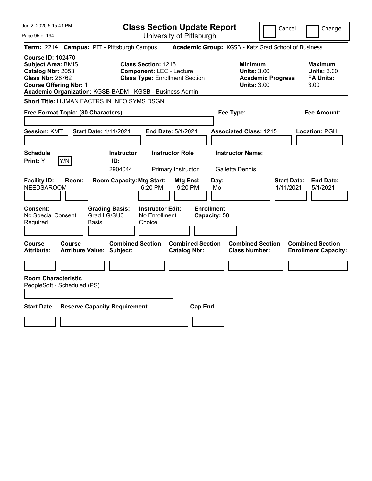| Jun 2, 2020 5:15:41 PM                                                                                                                 |                                                                                                                                                                    | <b>Class Section Update Report</b>             | Cancel                                                                                 | Change                                                           |
|----------------------------------------------------------------------------------------------------------------------------------------|--------------------------------------------------------------------------------------------------------------------------------------------------------------------|------------------------------------------------|----------------------------------------------------------------------------------------|------------------------------------------------------------------|
| Page 95 of 194                                                                                                                         |                                                                                                                                                                    | University of Pittsburgh                       |                                                                                        |                                                                  |
| <b>Term: 2214</b>                                                                                                                      | <b>Campus: PIT - Pittsburgh Campus</b>                                                                                                                             |                                                | Academic Group: KGSB - Katz Grad School of Business                                    |                                                                  |
| <b>Course ID: 102470</b><br><b>Subject Area: BMIS</b><br>Catalog Nbr: 2053<br><b>Class Nbr: 28762</b><br><b>Course Offering Nbr: 1</b> | <b>Class Section: 1215</b><br><b>Component: LEC - Lecture</b><br><b>Class Type: Enrollment Section</b><br>Academic Organization: KGSB-BADM - KGSB - Business Admin |                                                | <b>Minimum</b><br><b>Units: 3.00</b><br><b>Academic Progress</b><br><b>Units: 3.00</b> | <b>Maximum</b><br><b>Units: 3.00</b><br><b>FA Units:</b><br>3.00 |
|                                                                                                                                        | Short Title: HUMAN FACTRS IN INFO SYMS DSGN                                                                                                                        |                                                |                                                                                        |                                                                  |
| Free Format Topic: (30 Characters)                                                                                                     |                                                                                                                                                                    |                                                | Fee Type:                                                                              | Fee Amount:                                                      |
| <b>Session: KMT</b>                                                                                                                    | <b>Start Date: 1/11/2021</b>                                                                                                                                       | <b>End Date: 5/1/2021</b>                      | <b>Associated Class: 1215</b>                                                          | Location: PGH                                                    |
| <b>Schedule</b><br>Y/N<br>Print: Y                                                                                                     | <b>Instructor</b><br>ID:<br>2904044                                                                                                                                | <b>Instructor Role</b><br>Primary Instructor   | <b>Instructor Name:</b><br>Galletta, Dennis                                            |                                                                  |
| <b>Facility ID:</b><br>Room:<br><b>NEEDSAROOM</b>                                                                                      | <b>Room Capacity: Mtg Start:</b><br>6:20 PM                                                                                                                        | Mtg End:<br>Day:<br>9:20 PM<br>Mo              |                                                                                        | <b>End Date:</b><br><b>Start Date:</b><br>1/11/2021<br>5/1/2021  |
| Consent:<br>No Special Consent<br>Required                                                                                             | <b>Instructor Edit:</b><br><b>Grading Basis:</b><br>Grad LG/SU3<br>No Enrollment<br>Basis<br>Choice                                                                | <b>Enrollment</b><br>Capacity: 58              |                                                                                        |                                                                  |
| Course<br>Course<br><b>Attribute:</b>                                                                                                  | <b>Combined Section</b><br>Attribute Value: Subject:                                                                                                               | <b>Combined Section</b><br><b>Catalog Nbr:</b> | <b>Combined Section</b><br><b>Class Number:</b>                                        | <b>Combined Section</b><br><b>Enrollment Capacity:</b>           |
|                                                                                                                                        |                                                                                                                                                                    |                                                |                                                                                        |                                                                  |
| <b>Room Characteristic</b><br>PeopleSoft - Scheduled (PS)                                                                              |                                                                                                                                                                    |                                                |                                                                                        |                                                                  |
| <b>Start Date</b>                                                                                                                      | <b>Reserve Capacity Requirement</b>                                                                                                                                | <b>Cap Enrl</b>                                |                                                                                        |                                                                  |
|                                                                                                                                        |                                                                                                                                                                    |                                                |                                                                                        |                                                                  |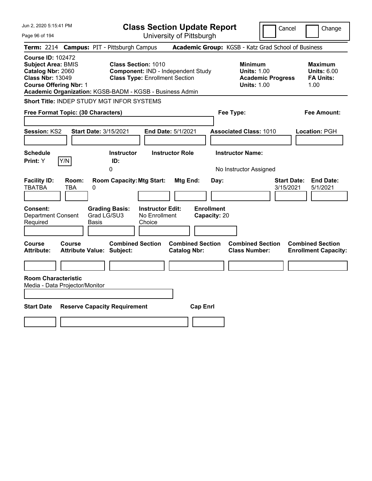| Jun 2, 2020 5:15:41 PM                                                                                                                                                                             | <b>Class Section Update Report</b>                                                                        | Cancel<br>Change                                                                                                                                           |
|----------------------------------------------------------------------------------------------------------------------------------------------------------------------------------------------------|-----------------------------------------------------------------------------------------------------------|------------------------------------------------------------------------------------------------------------------------------------------------------------|
| Page 96 of 194                                                                                                                                                                                     | University of Pittsburgh                                                                                  |                                                                                                                                                            |
| <b>Campus: PIT - Pittsburgh Campus</b><br><b>Term: 2214</b>                                                                                                                                        |                                                                                                           | Academic Group: KGSB - Katz Grad School of Business                                                                                                        |
| <b>Course ID: 102472</b><br><b>Subject Area: BMIS</b><br>Catalog Nbr: 2060<br><b>Class Nbr: 13049</b><br><b>Course Offering Nbr: 1</b><br>Academic Organization: KGSB-BADM - KGSB - Business Admin | <b>Class Section: 1010</b><br>Component: IND - Independent Study<br><b>Class Type: Enrollment Section</b> | <b>Minimum</b><br><b>Maximum</b><br><b>Units: 6.00</b><br><b>Units: 1.00</b><br><b>Academic Progress</b><br><b>FA Units:</b><br><b>Units: 1.00</b><br>1.00 |
| Short Title: INDEP STUDY MGT INFOR SYSTEMS                                                                                                                                                         |                                                                                                           |                                                                                                                                                            |
| Free Format Topic: (30 Characters)                                                                                                                                                                 | Fee Type:                                                                                                 | Fee Amount:                                                                                                                                                |
| <b>Session: KS2</b><br><b>Start Date: 3/15/2021</b>                                                                                                                                                | <b>End Date: 5/1/2021</b>                                                                                 | <b>Associated Class: 1010</b><br>Location: PGH                                                                                                             |
| <b>Schedule</b><br>Y/N<br>Print: Y<br>0                                                                                                                                                            | <b>Instructor Role</b><br><b>Instructor Name:</b><br><b>Instructor</b><br>ID:                             | No Instructor Assigned                                                                                                                                     |
| <b>Facility ID:</b><br>Room:<br><b>TBATBA</b><br>TBA<br>0                                                                                                                                          | <b>Room Capacity: Mtg Start:</b><br>Mtg End:<br>Day:                                                      | <b>Start Date:</b><br><b>End Date:</b><br>3/15/2021<br>5/1/2021                                                                                            |
| Consent:<br><b>Grading Basis:</b><br>Grad LG/SU3<br><b>Department Consent</b><br>Required<br>Basis                                                                                                 | <b>Enrollment</b><br><b>Instructor Edit:</b><br>No Enrollment<br>Capacity: 20<br>Choice                   |                                                                                                                                                            |
| Course<br>Course<br><b>Attribute Value: Subject:</b><br>Attribute:                                                                                                                                 | <b>Combined Section</b><br><b>Combined Section</b><br><b>Catalog Nbr:</b>                                 | <b>Combined Section</b><br><b>Combined Section</b><br><b>Class Number:</b><br><b>Enrollment Capacity:</b>                                                  |
|                                                                                                                                                                                                    |                                                                                                           |                                                                                                                                                            |
| <b>Room Characteristic</b><br>Media - Data Projector/Monitor                                                                                                                                       |                                                                                                           |                                                                                                                                                            |
|                                                                                                                                                                                                    |                                                                                                           |                                                                                                                                                            |
| <b>Start Date</b><br><b>Reserve Capacity Requirement</b>                                                                                                                                           | <b>Cap Enrl</b>                                                                                           |                                                                                                                                                            |
|                                                                                                                                                                                                    |                                                                                                           |                                                                                                                                                            |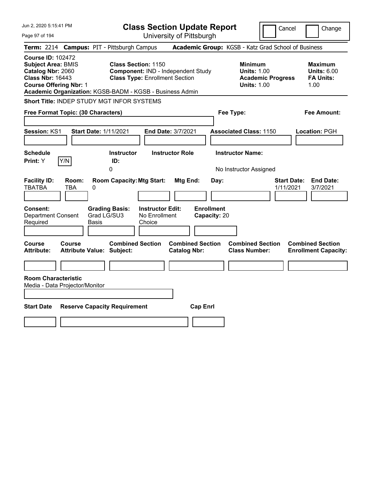| Jun 2, 2020 5:15:41 PM                                                                                                                                                                             |                                        |                                                                     |                                                    | <b>Class Section Update Report</b>             |                                   |                                                            | Cancel                   | Change                                                           |
|----------------------------------------------------------------------------------------------------------------------------------------------------------------------------------------------------|----------------------------------------|---------------------------------------------------------------------|----------------------------------------------------|------------------------------------------------|-----------------------------------|------------------------------------------------------------|--------------------------|------------------------------------------------------------------|
| Page 97 of 194                                                                                                                                                                                     |                                        |                                                                     |                                                    | University of Pittsburgh                       |                                   |                                                            |                          |                                                                  |
| <b>Term: 2214</b>                                                                                                                                                                                  | <b>Campus: PIT - Pittsburgh Campus</b> |                                                                     |                                                    |                                                |                                   |                                                            |                          | Academic Group: KGSB - Katz Grad School of Business              |
| <b>Course ID: 102472</b><br><b>Subject Area: BMIS</b><br>Catalog Nbr: 2060<br><b>Class Nbr: 16443</b><br><b>Course Offering Nbr: 1</b><br>Academic Organization: KGSB-BADM - KGSB - Business Admin |                                        | <b>Class Section: 1150</b><br><b>Class Type: Enrollment Section</b> |                                                    | Component: IND - Independent Study             |                                   | <b>Minimum</b><br><b>Units: 1.00</b><br><b>Units: 1.00</b> | <b>Academic Progress</b> | <b>Maximum</b><br><b>Units: 6.00</b><br><b>FA Units:</b><br>1.00 |
| <b>Short Title: INDEP STUDY MGT INFOR SYSTEMS</b>                                                                                                                                                  |                                        |                                                                     |                                                    |                                                |                                   |                                                            |                          |                                                                  |
| Free Format Topic: (30 Characters)                                                                                                                                                                 |                                        |                                                                     |                                                    |                                                |                                   | Fee Type:                                                  |                          | Fee Amount:                                                      |
| <b>Session: KS1</b><br><b>Schedule</b>                                                                                                                                                             | <b>Start Date: 1/11/2021</b>           | <b>Instructor</b>                                                   |                                                    | End Date: 3/7/2021<br><b>Instructor Role</b>   |                                   | <b>Associated Class: 1150</b><br><b>Instructor Name:</b>   |                          | Location: PGH                                                    |
| Y/N<br><b>Print: Y</b>                                                                                                                                                                             |                                        | ID:                                                                 |                                                    |                                                |                                   |                                                            |                          |                                                                  |
|                                                                                                                                                                                                    |                                        | 0                                                                   |                                                    |                                                |                                   | No Instructor Assigned                                     |                          |                                                                  |
| <b>Facility ID:</b><br><b>TBATBA</b>                                                                                                                                                               | Room:<br>TBA<br>0                      | <b>Room Capacity: Mtg Start:</b>                                    |                                                    | Mtg End:                                       | Day:                              |                                                            | 1/11/2021                | <b>End Date:</b><br><b>Start Date:</b><br>3/7/2021               |
| Consent:<br><b>Department Consent</b><br>Required                                                                                                                                                  | Grad LG/SU3<br>Basis                   | <b>Grading Basis:</b>                                               | <b>Instructor Edit:</b><br>No Enrollment<br>Choice |                                                | <b>Enrollment</b><br>Capacity: 20 |                                                            |                          |                                                                  |
| Course<br><b>Attribute:</b>                                                                                                                                                                        | Course<br>Attribute Value: Subject:    | <b>Combined Section</b>                                             |                                                    | <b>Combined Section</b><br><b>Catalog Nbr:</b> |                                   | <b>Combined Section</b><br><b>Class Number:</b>            |                          | <b>Combined Section</b><br><b>Enrollment Capacity:</b>           |
|                                                                                                                                                                                                    |                                        |                                                                     |                                                    |                                                |                                   |                                                            |                          |                                                                  |
| <b>Room Characteristic</b><br>Media - Data Projector/Monitor                                                                                                                                       |                                        |                                                                     |                                                    |                                                |                                   |                                                            |                          |                                                                  |
|                                                                                                                                                                                                    |                                        |                                                                     |                                                    |                                                |                                   |                                                            |                          |                                                                  |
| <b>Start Date</b>                                                                                                                                                                                  | <b>Reserve Capacity Requirement</b>    |                                                                     |                                                    |                                                | <b>Cap Enrl</b>                   |                                                            |                          |                                                                  |
|                                                                                                                                                                                                    |                                        |                                                                     |                                                    |                                                |                                   |                                                            |                          |                                                                  |
|                                                                                                                                                                                                    |                                        |                                                                     |                                                    |                                                |                                   |                                                            |                          |                                                                  |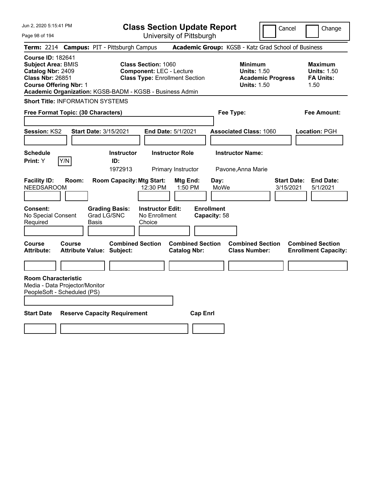Jun 2, 2020 5:15:41 PM

**Class Section Update Report** University of Pittsburgh

Cancel Change

Page 98 of 194

|                                                                                                                                        | <b>Term: 2214 Campus: PIT - Pittsburgh Campus</b>                                                                         |                                                | <b>Academic Group:</b> KGSB - Katz Grad School of Business                             |                                                                  |
|----------------------------------------------------------------------------------------------------------------------------------------|---------------------------------------------------------------------------------------------------------------------------|------------------------------------------------|----------------------------------------------------------------------------------------|------------------------------------------------------------------|
| <b>Course ID: 182641</b><br><b>Subject Area: BMIS</b><br>Catalog Nbr: 2409<br><b>Class Nbr: 26851</b><br><b>Course Offering Nbr: 1</b> | <b>Class Section: 1060</b><br><b>Component: LEC - Lecture</b><br>Academic Organization: KGSB-BADM - KGSB - Business Admin | <b>Class Type: Enrollment Section</b>          | <b>Minimum</b><br><b>Units: 1.50</b><br><b>Academic Progress</b><br><b>Units: 1.50</b> | <b>Maximum</b><br><b>Units: 1.50</b><br><b>FA Units:</b><br>1.50 |
| <b>Short Title: INFORMATION SYSTEMS</b>                                                                                                |                                                                                                                           |                                                |                                                                                        |                                                                  |
| Free Format Topic: (30 Characters)                                                                                                     |                                                                                                                           |                                                | Fee Type:                                                                              | Fee Amount:                                                      |
| Session: KS2                                                                                                                           | <b>Start Date: 3/15/2021</b>                                                                                              | End Date: 5/1/2021                             | <b>Associated Class: 1060</b>                                                          | Location: PGH                                                    |
| <b>Schedule</b><br>Y/N<br>Print: Y                                                                                                     | <b>Instructor</b><br>ID:<br>1972913                                                                                       | <b>Instructor Role</b><br>Primary Instructor   | <b>Instructor Name:</b><br>Pavone, Anna Marie                                          |                                                                  |
| <b>Facility ID:</b><br>Room:<br>NEEDSAROOM                                                                                             | <b>Room Capacity: Mtg Start:</b><br>12:30 PM                                                                              | Mtg End:<br>1:50 PM                            | <b>Start Date:</b><br>Day:<br>MoWe<br>3/15/2021                                        | <b>End Date:</b><br>5/1/2021                                     |
| Consent:<br>No Special Consent<br>Required                                                                                             | <b>Grading Basis:</b><br>Grad LG/SNC<br><b>Basis</b><br>Choice                                                            | <b>Instructor Edit:</b><br>No Enrollment       | <b>Enrollment</b><br>Capacity: 58                                                      |                                                                  |
| <b>Course</b><br><b>Course</b><br><b>Attribute:</b>                                                                                    | <b>Combined Section</b><br><b>Attribute Value: Subject:</b>                                                               | <b>Combined Section</b><br><b>Catalog Nbr:</b> | <b>Combined Section</b><br><b>Class Number:</b>                                        | <b>Combined Section</b><br><b>Enrollment Capacity:</b>           |
| <b>Room Characteristic</b><br>Media - Data Projector/Monitor<br>PeopleSoft - Scheduled (PS)                                            |                                                                                                                           |                                                |                                                                                        |                                                                  |
| <b>Start Date</b>                                                                                                                      | <b>Reserve Capacity Requirement</b>                                                                                       | <b>Cap Enrl</b>                                |                                                                                        |                                                                  |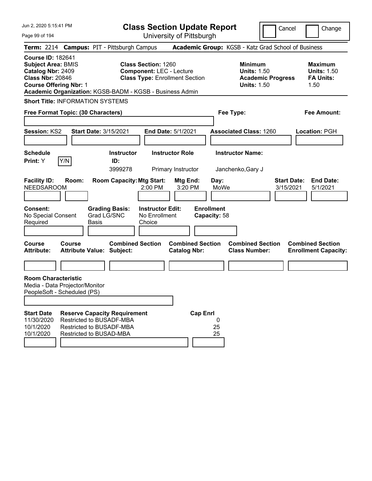Jun 2, 2020 5:15:41 PM Page 99 of 194 **Class Section Update Report** University of Pittsburgh Cancel Change **Term:** 2214 **Campus:** PIT - Pittsburgh Campus **Academic Group:** KGSB - Katz Grad School of Business **Course ID:** 182641 **Subject Area:** BMIS **Class Section:** 1260 **Minimum Maximum Catalog Nbr:** 2409 **Component:** LEC - Lecture **Units:** 1.50 **Units:** 1.50 **Class Nbr:** 20846 **Class Type:** Enrollment Section **Academic Progress FA Units: Course Offering Nbr:** 1 **Units:** 1.50 1.50 **Academic Organization:** KGSB-BADM - KGSB - Business Admin **Short Title:** INFORMATION SYSTEMS **Free Format Topic: (30 Characters) Fee Type: Fee Amount: Session:** KS2 **Start Date:** 3/15/2021 **End Date:** 5/1/2021 **Associated Class:** 1260 **Location:** PGH **Schedule Instructor Instructor Role Instructor Name: Print:**  $Y$   $|Y/N|$  **ID:** 3999278 Primary Instructor Janchenko,Gary J **Facility ID: Room: Room Capacity:Mtg Start: Mtg End: Day: Start Date: End Date:** NEEDSAROOM 2:00 PM 3:20 PM MoWe 3/15/2021 5/1/2021 **Consent: Grading Basis: Instructor Edit: Enrollment** No Special Consent Required Grad LG/SNC Basis No Enrollment Choice **Capacity:** 58 **Course Course Combined Section Combined Section Combined Section Combined Section Attribute: Attribute Value: Subject: Catalog Nbr: Class Number: Enrollment Capacity: Room Characteristic** Media - Data Projector/Monitor PeopleSoft - Scheduled (PS) **Start Date Reserve Capacity Requirement Cap Enrl** 11/30/2020 Restricted to BUSADF-MBA 0 10/1/2020 Restricted to BUSADF-MBA 25 10/1/2020 Restricted to BUSAD-MBA 25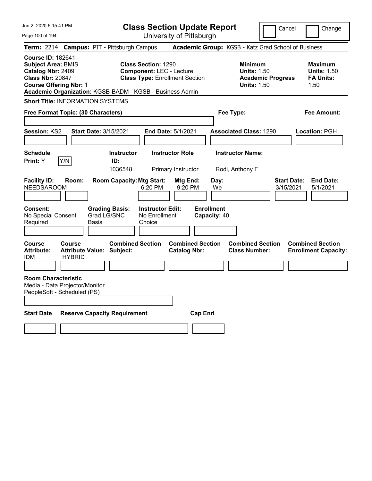| Jun 2, 2020 5:15:41 PM<br>Page 100 of 194                                                                                                                                                          | <b>Class Section Update Report</b><br>University of Pittsburgh                                         | Cancel                                                                                 | Change                                                           |
|----------------------------------------------------------------------------------------------------------------------------------------------------------------------------------------------------|--------------------------------------------------------------------------------------------------------|----------------------------------------------------------------------------------------|------------------------------------------------------------------|
| <b>Campus: PIT - Pittsburgh Campus</b><br><b>Term:</b> 2214                                                                                                                                        |                                                                                                        | Academic Group: KGSB - Katz Grad School of Business                                    |                                                                  |
| <b>Course ID: 182641</b><br><b>Subject Area: BMIS</b><br>Catalog Nbr: 2409<br><b>Class Nbr: 20847</b><br><b>Course Offering Nbr: 1</b><br>Academic Organization: KGSB-BADM - KGSB - Business Admin | <b>Class Section: 1290</b><br><b>Component: LEC - Lecture</b><br><b>Class Type: Enrollment Section</b> | <b>Minimum</b><br><b>Units: 1.50</b><br><b>Academic Progress</b><br><b>Units: 1.50</b> | <b>Maximum</b><br><b>Units: 1.50</b><br><b>FA Units:</b><br>1.50 |
| <b>Short Title: INFORMATION SYSTEMS</b>                                                                                                                                                            |                                                                                                        |                                                                                        |                                                                  |
| Free Format Topic: (30 Characters)                                                                                                                                                                 |                                                                                                        | Fee Type:                                                                              | Fee Amount:                                                      |
| <b>Session: KS2</b><br><b>Start Date: 3/15/2021</b>                                                                                                                                                | End Date: 5/1/2021                                                                                     | <b>Associated Class: 1290</b>                                                          | Location: PGH                                                    |
| <b>Schedule</b><br>Y/N<br>Print: Y<br>ID:                                                                                                                                                          | <b>Instructor Role</b><br><b>Instructor</b><br>1036548<br>Primary Instructor                           | <b>Instructor Name:</b><br>Rodi, Anthony F                                             |                                                                  |
| <b>Facility ID:</b><br>Room:<br><b>NEEDSAROOM</b>                                                                                                                                                  | <b>Room Capacity: Mtg Start:</b><br>Mtg End:<br>9:20 PM<br>6:20 PM                                     | <b>Start Date:</b><br>Day:<br>We<br>3/15/2021                                          | <b>End Date:</b><br>5/1/2021                                     |
| <b>Consent:</b><br><b>Grading Basis:</b><br>Grad LG/SNC<br>No Special Consent<br>Required<br><b>Basis</b>                                                                                          | <b>Enrollment</b><br><b>Instructor Edit:</b><br>No Enrollment<br>Capacity: 40<br>Choice                |                                                                                        |                                                                  |
| <b>Course</b><br><b>Course</b><br><b>Attribute:</b><br><b>Attribute Value: Subject:</b><br><b>HYBRID</b><br>IDM                                                                                    | <b>Combined Section</b><br><b>Combined Section</b><br><b>Catalog Nbr:</b>                              | <b>Combined Section</b><br><b>Class Number:</b>                                        | <b>Combined Section</b><br><b>Enrollment Capacity:</b>           |
| <b>Room Characteristic</b><br>Media - Data Projector/Monitor<br>PeopleSoft - Scheduled (PS)                                                                                                        |                                                                                                        |                                                                                        |                                                                  |
| <b>Start Date</b><br><b>Reserve Capacity Requirement</b>                                                                                                                                           | <b>Cap Enrl</b>                                                                                        |                                                                                        |                                                                  |
|                                                                                                                                                                                                    |                                                                                                        |                                                                                        |                                                                  |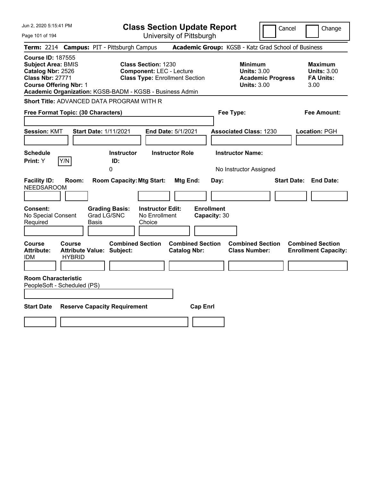| Jun 2, 2020 5:15:41 PM                                                                                                                                                                             |                                               | <b>Class Section Update Report</b>                                                                     |                                   | Cancel                                                                                 | Change                                                           |
|----------------------------------------------------------------------------------------------------------------------------------------------------------------------------------------------------|-----------------------------------------------|--------------------------------------------------------------------------------------------------------|-----------------------------------|----------------------------------------------------------------------------------------|------------------------------------------------------------------|
| Page 101 of 194                                                                                                                                                                                    |                                               | University of Pittsburgh                                                                               |                                   |                                                                                        |                                                                  |
| <b>Term: 2214</b>                                                                                                                                                                                  | <b>Campus: PIT - Pittsburgh Campus</b>        |                                                                                                        |                                   | Academic Group: KGSB - Katz Grad School of Business                                    |                                                                  |
| <b>Course ID: 187555</b><br><b>Subject Area: BMIS</b><br>Catalog Nbr: 2526<br><b>Class Nbr: 27771</b><br><b>Course Offering Nbr: 1</b><br>Academic Organization: KGSB-BADM - KGSB - Business Admin |                                               | <b>Class Section: 1230</b><br><b>Component: LEC - Lecture</b><br><b>Class Type: Enrollment Section</b> |                                   | <b>Minimum</b><br><b>Units: 3.00</b><br><b>Academic Progress</b><br><b>Units: 3.00</b> | <b>Maximum</b><br><b>Units: 3.00</b><br><b>FA Units:</b><br>3.00 |
| <b>Short Title: ADVANCED DATA PROGRAM WITH R</b>                                                                                                                                                   |                                               |                                                                                                        |                                   |                                                                                        |                                                                  |
| Free Format Topic: (30 Characters)                                                                                                                                                                 |                                               |                                                                                                        |                                   | Fee Type:                                                                              | Fee Amount:                                                      |
| <b>Session: KMT</b>                                                                                                                                                                                | Start Date: 1/11/2021                         | End Date: 5/1/2021                                                                                     |                                   | <b>Associated Class: 1230</b>                                                          | Location: PGH                                                    |
| <b>Schedule</b><br> Y/N <br>Print: Y                                                                                                                                                               | <b>Instructor</b><br>ID:<br>0                 | <b>Instructor Role</b>                                                                                 |                                   | <b>Instructor Name:</b><br>No Instructor Assigned                                      |                                                                  |
| <b>Facility ID:</b><br>Room:<br><b>NEEDSAROOM</b>                                                                                                                                                  | <b>Room Capacity: Mtg Start:</b>              | Mtg End:                                                                                               | Day:                              |                                                                                        | <b>Start Date: End Date:</b>                                     |
| Consent:<br>No Special Consent<br>Required                                                                                                                                                         | <b>Grading Basis:</b><br>Grad LG/SNC<br>Basis | <b>Instructor Edit:</b><br>No Enrollment<br>Choice                                                     | <b>Enrollment</b><br>Capacity: 30 |                                                                                        |                                                                  |
| Course<br><b>Course</b><br>Attribute:<br><b>HYBRID</b><br>IDM                                                                                                                                      | <b>Attribute Value: Subject:</b>              | <b>Combined Section</b><br><b>Catalog Nbr:</b>                                                         | <b>Combined Section</b>           | <b>Combined Section</b><br><b>Class Number:</b>                                        | <b>Combined Section</b><br><b>Enrollment Capacity:</b>           |
| <b>Room Characteristic</b><br>PeopleSoft - Scheduled (PS)                                                                                                                                          |                                               |                                                                                                        |                                   |                                                                                        |                                                                  |
| <b>Start Date</b>                                                                                                                                                                                  | <b>Reserve Capacity Requirement</b>           |                                                                                                        | <b>Cap Enrl</b>                   |                                                                                        |                                                                  |
|                                                                                                                                                                                                    |                                               |                                                                                                        |                                   |                                                                                        |                                                                  |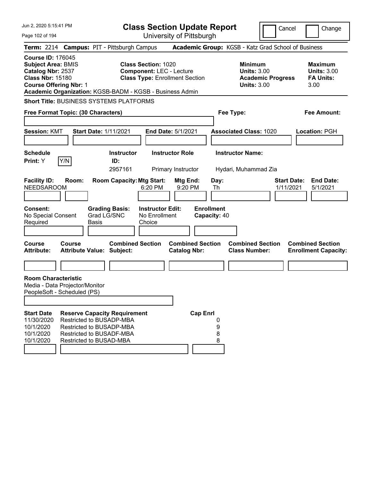| Jun 2, 2020 5:15:41 PM                                                                                                                 |        |                                                                                                                                                    |                                                               | <b>Class Section Update Report</b>             |                                   |                                                            | Cancel                   | Change                                                           |
|----------------------------------------------------------------------------------------------------------------------------------------|--------|----------------------------------------------------------------------------------------------------------------------------------------------------|---------------------------------------------------------------|------------------------------------------------|-----------------------------------|------------------------------------------------------------|--------------------------|------------------------------------------------------------------|
| Page 102 of 194                                                                                                                        |        |                                                                                                                                                    |                                                               | University of Pittsburgh                       |                                   |                                                            |                          |                                                                  |
|                                                                                                                                        |        | Term: 2214 Campus: PIT - Pittsburgh Campus                                                                                                         |                                                               |                                                |                                   |                                                            |                          | Academic Group: KGSB - Katz Grad School of Business              |
| <b>Course ID: 176045</b><br><b>Subject Area: BMIS</b><br>Catalog Nbr: 2537<br><b>Class Nbr: 15180</b><br><b>Course Offering Nbr: 1</b> |        | Academic Organization: KGSB-BADM - KGSB - Business Admin                                                                                           | <b>Class Section: 1020</b><br><b>Component: LEC - Lecture</b> | <b>Class Type: Enrollment Section</b>          |                                   | <b>Minimum</b><br><b>Units: 3.00</b><br><b>Units: 3.00</b> | <b>Academic Progress</b> | <b>Maximum</b><br><b>Units: 3.00</b><br><b>FA Units:</b><br>3.00 |
|                                                                                                                                        |        | <b>Short Title: BUSINESS SYSTEMS PLATFORMS</b>                                                                                                     |                                                               |                                                |                                   |                                                            |                          |                                                                  |
| Free Format Topic: (30 Characters)                                                                                                     |        |                                                                                                                                                    |                                                               |                                                |                                   | Fee Type:                                                  |                          | <b>Fee Amount:</b>                                               |
| <b>Session: KMT</b>                                                                                                                    |        | <b>Start Date: 1/11/2021</b>                                                                                                                       |                                                               | <b>End Date: 5/1/2021</b>                      |                                   | <b>Associated Class: 1020</b>                              |                          | <b>Location: PGH</b>                                             |
|                                                                                                                                        |        |                                                                                                                                                    |                                                               |                                                |                                   |                                                            |                          |                                                                  |
| <b>Schedule</b><br><b>Print:</b> Y                                                                                                     | Y/N    | <b>Instructor</b><br>ID:<br>2957161                                                                                                                |                                                               | <b>Instructor Role</b><br>Primary Instructor   |                                   | <b>Instructor Name:</b><br>Hydari, Muhammad Zia            |                          |                                                                  |
| <b>Facility ID:</b><br><b>NEEDSAROOM</b>                                                                                               | Room:  | <b>Room Capacity: Mtg Start:</b>                                                                                                                   | 6:20 PM                                                       | Mtg End:<br>9:20 PM                            | Day:<br>Th                        |                                                            |                          | <b>Start Date:</b><br><b>End Date:</b><br>1/11/2021<br>5/1/2021  |
| <b>Consent:</b><br>No Special Consent<br>Required                                                                                      |        | <b>Grading Basis:</b><br>Grad LG/SNC<br><b>Basis</b>                                                                                               | <b>Instructor Edit:</b><br>No Enrollment<br>Choice            |                                                | <b>Enrollment</b><br>Capacity: 40 |                                                            |                          |                                                                  |
| <b>Course</b><br><b>Attribute:</b>                                                                                                     | Course | <b>Combined Section</b><br><b>Attribute Value: Subject:</b>                                                                                        |                                                               | <b>Combined Section</b><br><b>Catalog Nbr:</b> |                                   | <b>Combined Section</b><br><b>Class Number:</b>            |                          | <b>Combined Section</b><br><b>Enrollment Capacity:</b>           |
|                                                                                                                                        |        |                                                                                                                                                    |                                                               |                                                |                                   |                                                            |                          |                                                                  |
| <b>Room Characteristic</b><br>Media - Data Projector/Monitor<br>PeopleSoft - Scheduled (PS)                                            |        |                                                                                                                                                    |                                                               |                                                |                                   |                                                            |                          |                                                                  |
| <b>Start Date</b><br>11/30/2020<br>10/1/2020<br>10/1/2020<br>10/1/2020                                                                 |        | <b>Reserve Capacity Requirement</b><br>Restricted to BUSADP-MBA<br>Restricted to BUSADP-MBA<br>Restricted to BUSADF-MBA<br>Restricted to BUSAD-MBA |                                                               | <b>Cap Enrl</b>                                | 0<br>9<br>8<br>8                  |                                                            |                          |                                                                  |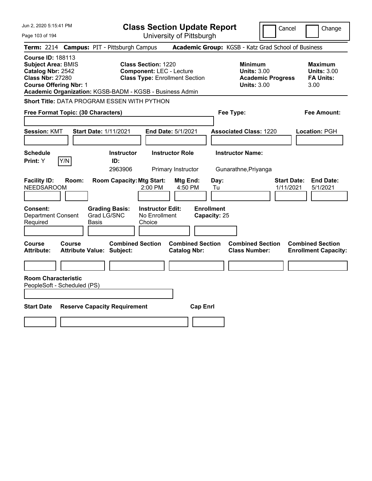| Jun 2, 2020 5:15:41 PM                                                                                                                                                                             |                                               | <b>Class Section Update Report</b>                                                                     |                                                |                                                     | Cancel                                                               | Change                                                           |
|----------------------------------------------------------------------------------------------------------------------------------------------------------------------------------------------------|-----------------------------------------------|--------------------------------------------------------------------------------------------------------|------------------------------------------------|-----------------------------------------------------|----------------------------------------------------------------------|------------------------------------------------------------------|
| Page 103 of 194                                                                                                                                                                                    |                                               |                                                                                                        | University of Pittsburgh                       |                                                     |                                                                      |                                                                  |
| <b>Term: 2214</b>                                                                                                                                                                                  | <b>Campus: PIT - Pittsburgh Campus</b>        |                                                                                                        |                                                | Academic Group: KGSB - Katz Grad School of Business |                                                                      |                                                                  |
| <b>Course ID: 188113</b><br><b>Subject Area: BMIS</b><br>Catalog Nbr: 2542<br><b>Class Nbr: 27280</b><br><b>Course Offering Nbr: 1</b><br>Academic Organization: KGSB-BADM - KGSB - Business Admin |                                               | <b>Class Section: 1220</b><br><b>Component: LEC - Lecture</b><br><b>Class Type: Enrollment Section</b> |                                                | <b>Minimum</b>                                      | <b>Units: 3.00</b><br><b>Academic Progress</b><br><b>Units: 3.00</b> | <b>Maximum</b><br><b>Units: 3.00</b><br><b>FA Units:</b><br>3.00 |
| Short Title: DATA PROGRAM ESSEN WITH PYTHON                                                                                                                                                        |                                               |                                                                                                        |                                                |                                                     |                                                                      |                                                                  |
| Free Format Topic: (30 Characters)                                                                                                                                                                 |                                               |                                                                                                        |                                                | Fee Type:                                           |                                                                      | Fee Amount:                                                      |
| <b>Session: KMT</b>                                                                                                                                                                                | <b>Start Date: 1/11/2021</b>                  |                                                                                                        | <b>End Date: 5/1/2021</b>                      | <b>Associated Class: 1220</b>                       |                                                                      | Location: PGH                                                    |
| <b>Schedule</b><br>Y/N<br>Print: Y                                                                                                                                                                 | ID:<br>2963906                                | <b>Instructor</b>                                                                                      | <b>Instructor Role</b><br>Primary Instructor   | <b>Instructor Name:</b><br>Gunarathne, Priyanga     |                                                                      |                                                                  |
| <b>Facility ID:</b><br>Room:<br><b>NEEDSAROOM</b>                                                                                                                                                  |                                               | <b>Room Capacity: Mtg Start:</b><br>$2:00$ PM                                                          | Mtg End:<br>4:50 PM                            | Day:<br>Tu                                          | <b>Start Date:</b><br>1/11/2021                                      | <b>End Date:</b><br>5/1/2021                                     |
| <b>Consent:</b><br><b>Department Consent</b><br>Required                                                                                                                                           | <b>Grading Basis:</b><br>Grad LG/SNC<br>Basis | <b>Instructor Edit:</b><br>No Enrollment<br>Choice                                                     |                                                | <b>Enrollment</b><br>Capacity: 25                   |                                                                      |                                                                  |
| Course<br>Course<br><b>Attribute:</b>                                                                                                                                                              | Attribute Value: Subject:                     | <b>Combined Section</b>                                                                                | <b>Combined Section</b><br><b>Catalog Nbr:</b> | <b>Class Number:</b>                                | <b>Combined Section</b>                                              | <b>Combined Section</b><br><b>Enrollment Capacity:</b>           |
|                                                                                                                                                                                                    |                                               |                                                                                                        |                                                |                                                     |                                                                      |                                                                  |
| <b>Room Characteristic</b><br>PeopleSoft - Scheduled (PS)                                                                                                                                          |                                               |                                                                                                        |                                                |                                                     |                                                                      |                                                                  |
| <b>Start Date</b>                                                                                                                                                                                  | <b>Reserve Capacity Requirement</b>           |                                                                                                        | <b>Cap Enrl</b>                                |                                                     |                                                                      |                                                                  |
|                                                                                                                                                                                                    |                                               |                                                                                                        |                                                |                                                     |                                                                      |                                                                  |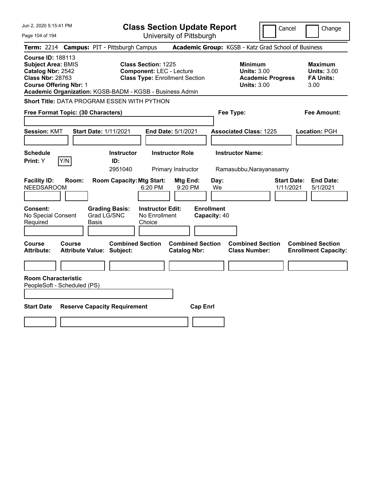| Jun 2, 2020 5:15:41 PM                                                                                                                 |                                                                                                                                                                    | <b>Class Section Update Report</b>             | Cancel                                                                                 | Change                                                           |
|----------------------------------------------------------------------------------------------------------------------------------------|--------------------------------------------------------------------------------------------------------------------------------------------------------------------|------------------------------------------------|----------------------------------------------------------------------------------------|------------------------------------------------------------------|
| Page 104 of 194                                                                                                                        |                                                                                                                                                                    | University of Pittsburgh                       |                                                                                        |                                                                  |
| <b>Term: 2214</b>                                                                                                                      | <b>Campus: PIT - Pittsburgh Campus</b>                                                                                                                             |                                                | Academic Group: KGSB - Katz Grad School of Business                                    |                                                                  |
| <b>Course ID: 188113</b><br><b>Subject Area: BMIS</b><br>Catalog Nbr: 2542<br><b>Class Nbr: 28763</b><br><b>Course Offering Nbr: 1</b> | <b>Class Section: 1225</b><br><b>Component: LEC - Lecture</b><br><b>Class Type: Enrollment Section</b><br>Academic Organization: KGSB-BADM - KGSB - Business Admin |                                                | <b>Minimum</b><br><b>Units: 3.00</b><br><b>Academic Progress</b><br><b>Units: 3.00</b> | <b>Maximum</b><br><b>Units: 3.00</b><br><b>FA Units:</b><br>3.00 |
|                                                                                                                                        | Short Title: DATA PROGRAM ESSEN WITH PYTHON                                                                                                                        |                                                |                                                                                        |                                                                  |
| Free Format Topic: (30 Characters)                                                                                                     |                                                                                                                                                                    |                                                | Fee Type:                                                                              | Fee Amount:                                                      |
| <b>Session: KMT</b>                                                                                                                    | <b>Start Date: 1/11/2021</b>                                                                                                                                       | <b>End Date: 5/1/2021</b>                      | <b>Associated Class: 1225</b>                                                          | Location: PGH                                                    |
| <b>Schedule</b><br>Y/N<br>Print: Y                                                                                                     | <b>Instructor</b><br>ID:<br>2951040                                                                                                                                | <b>Instructor Role</b><br>Primary Instructor   | <b>Instructor Name:</b><br>Ramasubbu, Narayanasamy                                     |                                                                  |
| <b>Facility ID:</b><br>Room:<br><b>NEEDSAROOM</b>                                                                                      | <b>Room Capacity: Mtg Start:</b><br>6:20 PM                                                                                                                        | Mtg End:<br>Day:<br>9:20 PM<br>We              | 1/11/2021                                                                              | <b>End Date:</b><br><b>Start Date:</b><br>5/1/2021               |
| Consent:<br>No Special Consent<br>Required                                                                                             | <b>Instructor Edit:</b><br><b>Grading Basis:</b><br>Grad LG/SNC<br>No Enrollment<br>Basis<br>Choice                                                                | <b>Enrollment</b><br>Capacity: 40              |                                                                                        |                                                                  |
| Course<br>Course<br><b>Attribute:</b>                                                                                                  | <b>Combined Section</b><br>Attribute Value: Subject:                                                                                                               | <b>Combined Section</b><br><b>Catalog Nbr:</b> | <b>Combined Section</b><br><b>Class Number:</b>                                        | <b>Combined Section</b><br><b>Enrollment Capacity:</b>           |
|                                                                                                                                        |                                                                                                                                                                    |                                                |                                                                                        |                                                                  |
| <b>Room Characteristic</b><br>PeopleSoft - Scheduled (PS)                                                                              |                                                                                                                                                                    |                                                |                                                                                        |                                                                  |
| <b>Start Date</b>                                                                                                                      | <b>Reserve Capacity Requirement</b>                                                                                                                                | <b>Cap Enrl</b>                                |                                                                                        |                                                                  |
|                                                                                                                                        |                                                                                                                                                                    |                                                |                                                                                        |                                                                  |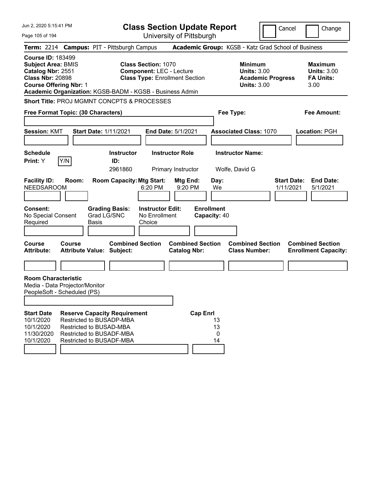| Jun 2. 2020 5:15:41 PM<br>Page 105 of 194                                                                                                                                                          |        |                                                                                                                                                    | <b>Class Section Update Report</b>                                                                     |                                                    | University of Pittsburgh                       |                   |                     |                                           |                                                                                        | Cancel                          | Change                                                           |
|----------------------------------------------------------------------------------------------------------------------------------------------------------------------------------------------------|--------|----------------------------------------------------------------------------------------------------------------------------------------------------|--------------------------------------------------------------------------------------------------------|----------------------------------------------------|------------------------------------------------|-------------------|---------------------|-------------------------------------------|----------------------------------------------------------------------------------------|---------------------------------|------------------------------------------------------------------|
| Term: 2214 Campus: PIT - Pittsburgh Campus                                                                                                                                                         |        |                                                                                                                                                    |                                                                                                        |                                                    |                                                |                   |                     |                                           | Academic Group: KGSB - Katz Grad School of Business                                    |                                 |                                                                  |
| <b>Course ID: 183499</b><br><b>Subject Area: BMIS</b><br>Catalog Nbr: 2551<br><b>Class Nbr: 20898</b><br><b>Course Offering Nbr: 1</b><br>Academic Organization: KGSB-BADM - KGSB - Business Admin |        |                                                                                                                                                    | <b>Class Section: 1070</b><br><b>Component: LEC - Lecture</b><br><b>Class Type: Enrollment Section</b> |                                                    |                                                |                   |                     |                                           | <b>Minimum</b><br><b>Units: 3.00</b><br><b>Academic Progress</b><br><b>Units: 3.00</b> |                                 | <b>Maximum</b><br><b>Units: 3.00</b><br><b>FA Units:</b><br>3.00 |
| <b>Short Title: PROJ MGMNT CONCPTS &amp; PROCESSES</b><br>Free Format Topic: (30 Characters)                                                                                                       |        |                                                                                                                                                    |                                                                                                        |                                                    |                                                |                   |                     | Fee Type:                                 |                                                                                        |                                 | <b>Fee Amount:</b>                                               |
| <b>Session: KMT</b>                                                                                                                                                                                |        | <b>Start Date: 1/11/2021</b>                                                                                                                       |                                                                                                        |                                                    | End Date: 5/1/2021                             |                   |                     |                                           | <b>Associated Class: 1070</b>                                                          |                                 | <b>Location: PGH</b>                                             |
| <b>Schedule</b><br>Print: Y                                                                                                                                                                        | Y/N    | ID:<br>2961860                                                                                                                                     | <b>Instructor</b>                                                                                      |                                                    | <b>Instructor Role</b><br>Primary Instructor   |                   |                     | <b>Instructor Name:</b><br>Wolfe, David G |                                                                                        |                                 |                                                                  |
| <b>Facility ID:</b><br><b>NEEDSAROOM</b>                                                                                                                                                           | Room:  | <b>Room Capacity: Mtg Start:</b>                                                                                                                   |                                                                                                        | 6:20 PM                                            | Mtg End:<br>9:20 PM                            |                   | Day:<br>We          |                                           |                                                                                        | <b>Start Date:</b><br>1/11/2021 | <b>End Date:</b><br>5/1/2021                                     |
| <b>Consent:</b><br>No Special Consent<br>Required                                                                                                                                                  |        | <b>Grading Basis:</b><br>Grad LG/SNC<br><b>Basis</b>                                                                                               |                                                                                                        | <b>Instructor Edit:</b><br>No Enrollment<br>Choice |                                                | <b>Enrollment</b> | Capacity: 40        |                                           |                                                                                        |                                 |                                                                  |
| <b>Course</b><br><b>Attribute:</b>                                                                                                                                                                 | Course | <b>Attribute Value: Subject:</b>                                                                                                                   | <b>Combined Section</b>                                                                                |                                                    | <b>Combined Section</b><br><b>Catalog Nbr:</b> |                   |                     |                                           | <b>Combined Section</b><br><b>Class Number:</b>                                        |                                 | <b>Combined Section</b><br><b>Enrollment Capacity:</b>           |
|                                                                                                                                                                                                    |        |                                                                                                                                                    |                                                                                                        |                                                    |                                                |                   |                     |                                           |                                                                                        |                                 |                                                                  |
| <b>Room Characteristic</b><br>Media - Data Projector/Monitor<br>PeopleSoft - Scheduled (PS)                                                                                                        |        |                                                                                                                                                    |                                                                                                        |                                                    |                                                |                   |                     |                                           |                                                                                        |                                 |                                                                  |
| <b>Start Date</b><br>10/1/2020<br>10/1/2020<br>11/30/2020<br>10/1/2020                                                                                                                             |        | <b>Reserve Capacity Requirement</b><br>Restricted to BUSADP-MBA<br>Restricted to BUSAD-MBA<br>Restricted to BUSADF-MBA<br>Restricted to BUSADF-MBA |                                                                                                        |                                                    |                                                | <b>Cap Enrl</b>   | 13<br>13<br>0<br>14 |                                           |                                                                                        |                                 |                                                                  |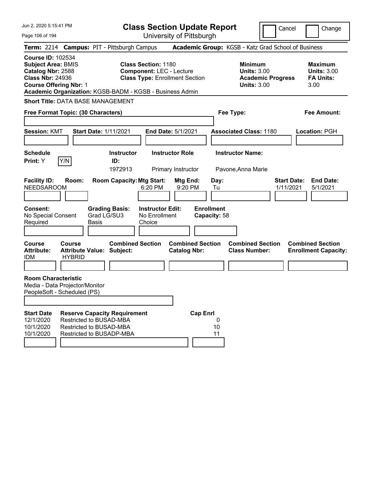| Jun 2, 2020 5:15:41 PM                                                                                                                                                                             |                         |                             |                                                                                                                       | <b>Class Section Update Report</b>                                                                     |                                                |                 |                                   |                                                            |                          | Cancel                          | Change                                                           |
|----------------------------------------------------------------------------------------------------------------------------------------------------------------------------------------------------|-------------------------|-----------------------------|-----------------------------------------------------------------------------------------------------------------------|--------------------------------------------------------------------------------------------------------|------------------------------------------------|-----------------|-----------------------------------|------------------------------------------------------------|--------------------------|---------------------------------|------------------------------------------------------------------|
| Page 106 of 194                                                                                                                                                                                    |                         |                             |                                                                                                                       |                                                                                                        | University of Pittsburgh                       |                 |                                   |                                                            |                          |                                 |                                                                  |
| Term: 2214 Campus: PIT - Pittsburgh Campus                                                                                                                                                         |                         |                             |                                                                                                                       |                                                                                                        |                                                |                 |                                   | Academic Group: KGSB - Katz Grad School of Business        |                          |                                 |                                                                  |
| <b>Course ID: 102534</b><br><b>Subject Area: BMIS</b><br>Catalog Nbr: 2588<br><b>Class Nbr: 24936</b><br><b>Course Offering Nbr: 1</b><br>Academic Organization: KGSB-BADM - KGSB - Business Admin |                         |                             |                                                                                                                       | <b>Class Section: 1180</b><br><b>Component: LEC - Lecture</b><br><b>Class Type: Enrollment Section</b> |                                                |                 |                                   | <b>Minimum</b><br><b>Units: 3.00</b><br><b>Units: 3.00</b> | <b>Academic Progress</b> |                                 | <b>Maximum</b><br><b>Units: 3.00</b><br><b>FA Units:</b><br>3.00 |
| <b>Short Title: DATA BASE MANAGEMENT</b>                                                                                                                                                           |                         |                             |                                                                                                                       |                                                                                                        |                                                |                 |                                   |                                                            |                          |                                 |                                                                  |
| Free Format Topic: (30 Characters)                                                                                                                                                                 |                         |                             |                                                                                                                       |                                                                                                        |                                                |                 |                                   | Fee Type:                                                  |                          |                                 | Fee Amount:                                                      |
| <b>Session: KMT</b>                                                                                                                                                                                |                         |                             | <b>Start Date: 1/11/2021</b>                                                                                          |                                                                                                        | End Date: 5/1/2021                             |                 |                                   | <b>Associated Class: 1180</b>                              |                          |                                 | Location: PGH                                                    |
| <b>Schedule</b><br>Print: Y                                                                                                                                                                        | Y/N                     |                             | <b>Instructor</b><br>ID:                                                                                              |                                                                                                        | <b>Instructor Role</b>                         |                 |                                   | <b>Instructor Name:</b>                                    |                          |                                 |                                                                  |
|                                                                                                                                                                                                    |                         |                             | 1972913                                                                                                               |                                                                                                        | Primary Instructor                             |                 |                                   | Pavone, Anna Marie                                         |                          |                                 |                                                                  |
| <b>Facility ID:</b><br><b>NEEDSAROOM</b>                                                                                                                                                           | Room:                   |                             | <b>Room Capacity: Mtg Start:</b>                                                                                      | $6:20$ PM                                                                                              | <b>Mtg End:</b><br>9:20 PM                     |                 | Day:<br>Tu                        |                                                            |                          | <b>Start Date:</b><br>1/11/2021 | <b>End Date:</b><br>5/1/2021                                     |
| <b>Consent:</b><br>No Special Consent<br>Required                                                                                                                                                  |                         | Grad LG/SU3<br><b>Basis</b> | <b>Grading Basis:</b>                                                                                                 | <b>Instructor Edit:</b><br>No Enrollment<br>Choice                                                     |                                                |                 | <b>Enrollment</b><br>Capacity: 58 |                                                            |                          |                                 |                                                                  |
| <b>Course</b><br><b>Attribute:</b><br><b>IDM</b>                                                                                                                                                   | Course<br><b>HYBRID</b> |                             | <b>Combined Section</b><br><b>Attribute Value: Subject:</b>                                                           |                                                                                                        | <b>Combined Section</b><br><b>Catalog Nbr:</b> |                 |                                   | <b>Combined Section</b><br><b>Class Number:</b>            |                          |                                 | <b>Combined Section</b><br><b>Enrollment Capacity:</b>           |
|                                                                                                                                                                                                    |                         |                             |                                                                                                                       |                                                                                                        |                                                |                 |                                   |                                                            |                          |                                 |                                                                  |
| <b>Room Characteristic</b><br>Media - Data Projector/Monitor<br>PeopleSoft - Scheduled (PS)                                                                                                        |                         |                             |                                                                                                                       |                                                                                                        |                                                |                 |                                   |                                                            |                          |                                 |                                                                  |
|                                                                                                                                                                                                    |                         |                             |                                                                                                                       |                                                                                                        |                                                |                 |                                   |                                                            |                          |                                 |                                                                  |
| <b>Start Date</b><br>12/1/2020<br>10/1/2020<br>10/1/2020                                                                                                                                           |                         |                             | <b>Reserve Capacity Requirement</b><br>Restricted to BUSAD-MBA<br>Restricted to BUSAD-MBA<br>Restricted to BUSADP-MBA |                                                                                                        |                                                | <b>Cap Enrl</b> | 0<br>10<br>11                     |                                                            |                          |                                 |                                                                  |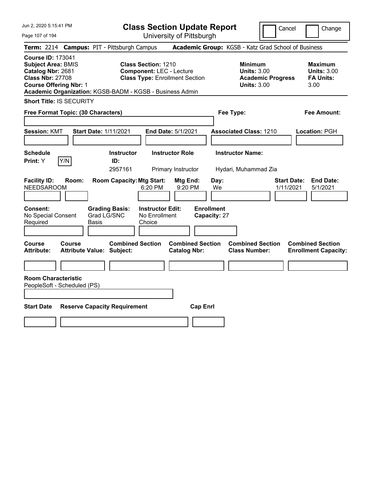Jun 2, 2020 5:15:41 PM

**Class Section Update Report** University of Pittsburgh

Cancel Change

Page 107 of 194

| <b>Term: 2214 Campus: PIT - Pittsburgh Campus</b>         |                                                                                                                                                                                                                                                                                                              |                      |                                     |                                                    |                                                |                                   | <b>Academic Group:</b> KGSB - Katz Grad School of Business                             |                                 |                                                                  |
|-----------------------------------------------------------|--------------------------------------------------------------------------------------------------------------------------------------------------------------------------------------------------------------------------------------------------------------------------------------------------------------|----------------------|-------------------------------------|----------------------------------------------------|------------------------------------------------|-----------------------------------|----------------------------------------------------------------------------------------|---------------------------------|------------------------------------------------------------------|
|                                                           | <b>Course ID: 173041</b><br><b>Subject Area: BMIS</b><br><b>Class Section: 1210</b><br>Catalog Nbr: 2681<br><b>Component: LEC - Lecture</b><br><b>Class Nbr: 27708</b><br><b>Class Type: Enrollment Section</b><br><b>Course Offering Nbr: 1</b><br>Academic Organization: KGSB-BADM - KGSB - Business Admin |                      |                                     |                                                    |                                                |                                   | <b>Minimum</b><br><b>Units: 3.00</b><br><b>Academic Progress</b><br><b>Units: 3.00</b> |                                 | <b>Maximum</b><br><b>Units: 3.00</b><br><b>FA Units:</b><br>3.00 |
| <b>Short Title: IS SECURITY</b>                           |                                                                                                                                                                                                                                                                                                              |                      |                                     |                                                    |                                                |                                   |                                                                                        |                                 |                                                                  |
| Free Format Topic: (30 Characters)                        |                                                                                                                                                                                                                                                                                                              |                      |                                     |                                                    |                                                |                                   | Fee Type:                                                                              |                                 | <b>Fee Amount:</b>                                               |
| <b>Session: KMT</b>                                       |                                                                                                                                                                                                                                                                                                              |                      | <b>Start Date: 1/11/2021</b>        |                                                    | End Date: 5/1/2021                             |                                   | <b>Associated Class: 1210</b>                                                          |                                 | Location: PGH                                                    |
| <b>Schedule</b><br>Print: Y                               | Y/N                                                                                                                                                                                                                                                                                                          |                      | <b>Instructor</b><br>ID:<br>2957161 |                                                    | <b>Instructor Role</b><br>Primary Instructor   |                                   | <b>Instructor Name:</b><br>Hydari, Muhammad Zia                                        |                                 |                                                                  |
| <b>Facility ID:</b><br><b>NEEDSAROOM</b>                  | Room:                                                                                                                                                                                                                                                                                                        |                      | <b>Room Capacity: Mtg Start:</b>    | 6:20 PM                                            | Mtg End:<br>9:20 PM                            | Day:<br>We                        |                                                                                        | <b>Start Date:</b><br>1/11/2021 | <b>End Date:</b><br>5/1/2021                                     |
| Consent:<br>No Special Consent<br>Required                |                                                                                                                                                                                                                                                                                                              | Grad LG/SNC<br>Basis | <b>Grading Basis:</b>               | <b>Instructor Edit:</b><br>No Enrollment<br>Choice |                                                | <b>Enrollment</b><br>Capacity: 27 |                                                                                        |                                 |                                                                  |
| <b>Course</b><br><b>Attribute:</b>                        | Course<br><b>Attribute Value: Subject:</b>                                                                                                                                                                                                                                                                   |                      | <b>Combined Section</b>             |                                                    | <b>Combined Section</b><br><b>Catalog Nbr:</b> |                                   | <b>Combined Section</b><br><b>Class Number:</b>                                        |                                 | <b>Combined Section</b><br><b>Enrollment Capacity:</b>           |
| <b>Room Characteristic</b><br>PeopleSoft - Scheduled (PS) |                                                                                                                                                                                                                                                                                                              |                      |                                     |                                                    |                                                |                                   |                                                                                        |                                 |                                                                  |
| <b>Start Date</b>                                         |                                                                                                                                                                                                                                                                                                              |                      | <b>Reserve Capacity Requirement</b> |                                                    | <b>Cap Enrl</b>                                |                                   |                                                                                        |                                 |                                                                  |
|                                                           |                                                                                                                                                                                                                                                                                                              |                      |                                     |                                                    |                                                |                                   |                                                                                        |                                 |                                                                  |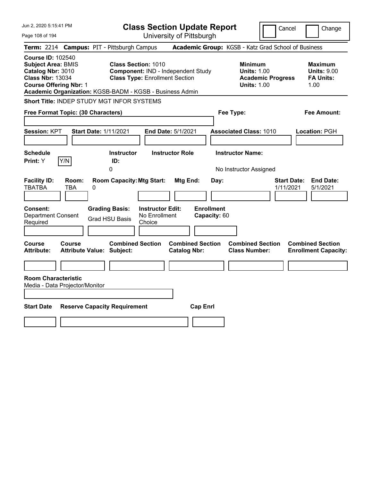| Jun 2, 2020 5:15:41 PM                                                                                                                                                                             |                                                                                                                                          | <b>Class Section Update Report</b>                                |                                                                                        | Cancel<br>Change                                                 |
|----------------------------------------------------------------------------------------------------------------------------------------------------------------------------------------------------|------------------------------------------------------------------------------------------------------------------------------------------|-------------------------------------------------------------------|----------------------------------------------------------------------------------------|------------------------------------------------------------------|
| Page 108 of 194                                                                                                                                                                                    |                                                                                                                                          | University of Pittsburgh                                          |                                                                                        |                                                                  |
| <b>Term: 2214</b>                                                                                                                                                                                  | <b>Campus: PIT - Pittsburgh Campus</b>                                                                                                   |                                                                   | Academic Group: KGSB - Katz Grad School of Business                                    |                                                                  |
| <b>Course ID: 102540</b><br><b>Subject Area: BMIS</b><br>Catalog Nbr: 3010<br><b>Class Nbr: 13034</b><br><b>Course Offering Nbr: 1</b><br>Academic Organization: KGSB-BADM - KGSB - Business Admin | <b>Class Section: 1010</b><br>Component: IND - Independent Study<br><b>Class Type: Enrollment Section</b>                                |                                                                   | <b>Minimum</b><br><b>Units: 1.00</b><br><b>Academic Progress</b><br><b>Units: 1.00</b> | <b>Maximum</b><br><b>Units: 9.00</b><br><b>FA Units:</b><br>1.00 |
| Short Title: INDEP STUDY MGT INFOR SYSTEMS                                                                                                                                                         |                                                                                                                                          |                                                                   |                                                                                        |                                                                  |
| Free Format Topic: (30 Characters)                                                                                                                                                                 |                                                                                                                                          |                                                                   | Fee Type:                                                                              | Fee Amount:                                                      |
| Session: KPT<br><b>Start Date: 1/11/2021</b><br><b>Schedule</b><br>Y/N<br>Print: Y                                                                                                                 | <b>Instructor</b><br>ID:<br>0                                                                                                            | End Date: 5/1/2021<br><b>Instructor Role</b>                      | <b>Associated Class: 1010</b><br><b>Instructor Name:</b><br>No Instructor Assigned     | Location: PGH                                                    |
| <b>Facility ID:</b><br>Room:<br><b>TBATBA</b><br>TBA<br>0<br>Consent:<br><b>Department Consent</b><br>Required                                                                                     | <b>Room Capacity: Mtg Start:</b><br><b>Grading Basis:</b><br><b>Instructor Edit:</b><br>No Enrollment<br><b>Grad HSU Basis</b><br>Choice | Mtg End:<br>Day:<br><b>Enrollment</b><br>Capacity: 60             |                                                                                        | <b>Start Date:</b><br><b>End Date:</b><br>1/11/2021<br>5/1/2021  |
| <b>Course</b><br>Course<br><b>Attribute Value: Subject:</b><br><b>Attribute:</b><br><b>Room Characteristic</b><br>Media - Data Projector/Monitor<br><b>Start Date</b>                              | <b>Combined Section</b><br><b>Reserve Capacity Requirement</b>                                                                           | <b>Combined Section</b><br><b>Catalog Nbr:</b><br><b>Cap Enrl</b> | <b>Combined Section</b><br><b>Class Number:</b>                                        | <b>Combined Section</b><br><b>Enrollment Capacity:</b>           |
|                                                                                                                                                                                                    |                                                                                                                                          |                                                                   |                                                                                        |                                                                  |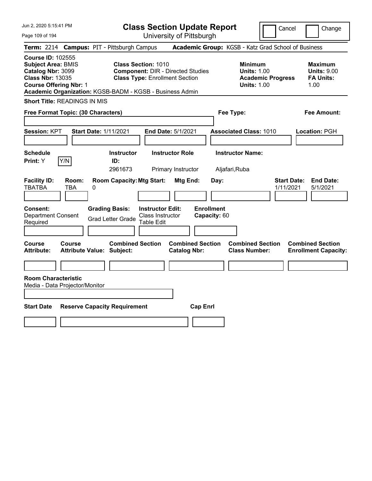Jun 2, 2020 5:15:41 PM

Page 109 of 194

**Class Section Update Report**

Cancel Change

University of Pittsburgh

| <b>Course ID: 102555</b><br><b>Subject Area: BMIS</b><br><b>Class Section: 1010</b><br><b>Minimum</b><br><b>Maximum</b><br>Catalog Nbr: 3099<br><b>Component: DIR - Directed Studies</b><br><b>Units: 1.00</b><br><b>Units: 9.00</b><br><b>Class Nbr: 13035</b><br><b>Class Type: Enrollment Section</b><br><b>FA Units:</b><br><b>Academic Progress</b>                                                |
|---------------------------------------------------------------------------------------------------------------------------------------------------------------------------------------------------------------------------------------------------------------------------------------------------------------------------------------------------------------------------------------------------------|
| <b>Course Offering Nbr: 1</b><br><b>Units: 1.00</b><br>1.00<br>Academic Organization: KGSB-BADM - KGSB - Business Admin                                                                                                                                                                                                                                                                                 |
| <b>Short Title: READINGS IN MIS</b>                                                                                                                                                                                                                                                                                                                                                                     |
| Free Format Topic: (30 Characters)<br>Fee Type:<br><b>Fee Amount:</b>                                                                                                                                                                                                                                                                                                                                   |
| Session: KPT<br><b>Start Date: 1/11/2021</b><br>End Date: 5/1/2021<br><b>Associated Class: 1010</b><br>Location: PGH                                                                                                                                                                                                                                                                                    |
| <b>Instructor Name:</b><br><b>Schedule</b><br><b>Instructor</b><br><b>Instructor Role</b><br>Y/N<br>ID:<br>Print: Y<br>2961673<br>Primary Instructor<br>Aljafari, Ruba                                                                                                                                                                                                                                  |
| <b>Facility ID:</b><br><b>Room Capacity: Mtg Start:</b><br>Mtg End:<br><b>Start Date:</b><br><b>End Date:</b><br>Room:<br>Day:<br><b>TBATBA</b><br>1/11/2021<br><b>TBA</b><br>0<br>5/1/2021<br><b>Enrollment</b><br>Consent:<br><b>Grading Basis:</b><br><b>Instructor Edit:</b><br>Class Instructor<br><b>Department Consent</b><br>Capacity: 60<br><b>Grad Letter Grade</b><br>Table Edit<br>Required |
| <b>Combined Section</b><br>Course<br><b>Combined Section</b><br><b>Combined Section</b><br><b>Combined Section</b><br>Course<br><b>Attribute:</b><br><b>Attribute Value: Subject:</b><br><b>Catalog Nbr:</b><br><b>Class Number:</b><br><b>Enrollment Capacity:</b>                                                                                                                                     |
| <b>Room Characteristic</b><br>Media - Data Projector/Monitor<br><b>Start Date</b><br><b>Reserve Capacity Requirement</b><br><b>Cap Enrl</b>                                                                                                                                                                                                                                                             |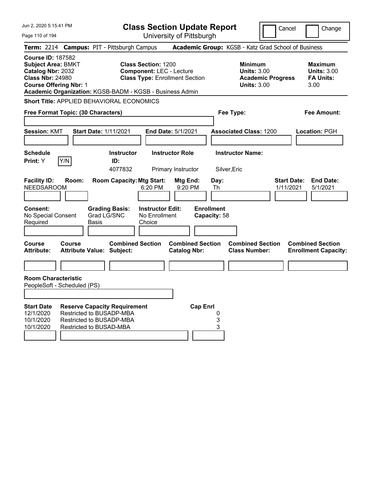| Jun 2, 2020 5:15:41 PM                                                                                                                 | <b>Class Section Update Report</b>                                                                                                                                 |                                                                                        | Cancel<br>Change                                                 |
|----------------------------------------------------------------------------------------------------------------------------------------|--------------------------------------------------------------------------------------------------------------------------------------------------------------------|----------------------------------------------------------------------------------------|------------------------------------------------------------------|
| Page 110 of 194                                                                                                                        | University of Pittsburgh                                                                                                                                           |                                                                                        |                                                                  |
|                                                                                                                                        | Term: 2214 Campus: PIT - Pittsburgh Campus                                                                                                                         | Academic Group: KGSB - Katz Grad School of Business                                    |                                                                  |
| <b>Course ID: 187582</b><br><b>Subject Area: BMKT</b><br>Catalog Nbr: 2032<br><b>Class Nbr: 24980</b><br><b>Course Offering Nbr: 1</b> | <b>Class Section: 1200</b><br><b>Component: LEC - Lecture</b><br><b>Class Type: Enrollment Section</b><br>Academic Organization: KGSB-BADM - KGSB - Business Admin | <b>Minimum</b><br><b>Units: 3.00</b><br><b>Academic Progress</b><br><b>Units: 3.00</b> | <b>Maximum</b><br><b>Units: 3.00</b><br><b>FA Units:</b><br>3.00 |
|                                                                                                                                        | <b>Short Title: APPLIED BEHAVIORAL ECONOMICS</b>                                                                                                                   |                                                                                        |                                                                  |
| Free Format Topic: (30 Characters)                                                                                                     |                                                                                                                                                                    | Fee Type:                                                                              | <b>Fee Amount:</b>                                               |
|                                                                                                                                        |                                                                                                                                                                    |                                                                                        |                                                                  |
| <b>Session: KMT</b>                                                                                                                    | <b>Start Date: 1/11/2021</b><br><b>End Date: 5/1/2021</b>                                                                                                          | <b>Associated Class: 1200</b>                                                          | <b>Location: PGH</b>                                             |
|                                                                                                                                        |                                                                                                                                                                    |                                                                                        |                                                                  |
| <b>Schedule</b>                                                                                                                        | <b>Instructor Role</b><br><b>Instructor</b>                                                                                                                        | <b>Instructor Name:</b>                                                                |                                                                  |
| Print: Y<br>Y/N                                                                                                                        | ID:                                                                                                                                                                |                                                                                        |                                                                  |
|                                                                                                                                        | 4077832<br>Primary Instructor                                                                                                                                      | Silver, Eric                                                                           |                                                                  |
| <b>Facility ID:</b><br>Room:<br><b>NEEDSAROOM</b><br>Consent:<br>No Special Consent                                                    | <b>Room Capacity: Mtg Start:</b><br>Mtg End:<br>6:20 PM<br>9:20 PM<br><b>Instructor Edit:</b><br><b>Grading Basis:</b><br>Grad LG/SNC<br>No Enrollment             | Day:<br>Th<br><b>Enrollment</b><br>Capacity: 58                                        | <b>End Date:</b><br><b>Start Date:</b><br>1/11/2021<br>5/1/2021  |
| Required                                                                                                                               | Choice<br>Basis                                                                                                                                                    |                                                                                        |                                                                  |
|                                                                                                                                        |                                                                                                                                                                    |                                                                                        |                                                                  |
| Course<br>Course<br><b>Attribute:</b>                                                                                                  | <b>Combined Section</b><br><b>Combined Section</b><br><b>Attribute Value: Subject:</b><br><b>Catalog Nbr:</b>                                                      | <b>Combined Section</b><br><b>Class Number:</b>                                        | <b>Combined Section</b><br><b>Enrollment Capacity:</b>           |
|                                                                                                                                        |                                                                                                                                                                    |                                                                                        |                                                                  |
| <b>Room Characteristic</b><br>PeopleSoft - Scheduled (PS)                                                                              |                                                                                                                                                                    |                                                                                        |                                                                  |
| <b>Start Date</b><br>12/1/2020<br>10/1/2020<br>10/1/2020                                                                               | <b>Reserve Capacity Requirement</b><br>Restricted to BUSADP-MBA<br>Restricted to BUSADP-MBA<br>Restricted to BUSAD-MBA                                             | <b>Cap Enrl</b><br>0<br>3<br>3                                                         |                                                                  |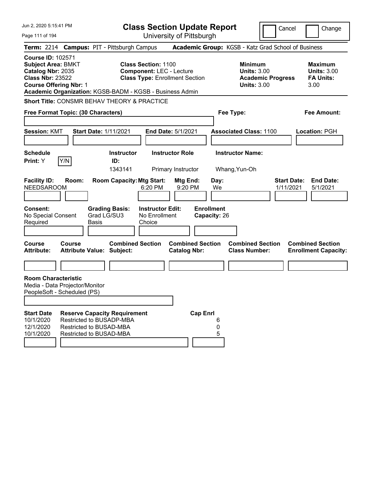| Jun 2, 2020 5:15:41 PM                                                                                                                                                                             |                                                                                |                      |                                     | <b>Class Section Update Report</b>                                                                     |                                              |                                                |                                   |                                                                                        | Cancel                          |                          | Change                               |
|----------------------------------------------------------------------------------------------------------------------------------------------------------------------------------------------------|--------------------------------------------------------------------------------|----------------------|-------------------------------------|--------------------------------------------------------------------------------------------------------|----------------------------------------------|------------------------------------------------|-----------------------------------|----------------------------------------------------------------------------------------|---------------------------------|--------------------------|--------------------------------------|
| Page 111 of 194                                                                                                                                                                                    |                                                                                |                      |                                     | University of Pittsburgh                                                                               |                                              |                                                |                                   |                                                                                        |                                 |                          |                                      |
| Term: 2214 Campus: PIT - Pittsburgh Campus                                                                                                                                                         |                                                                                |                      |                                     |                                                                                                        |                                              |                                                |                                   | Academic Group: KGSB - Katz Grad School of Business                                    |                                 |                          |                                      |
| <b>Course ID: 102571</b><br><b>Subject Area: BMKT</b><br>Catalog Nbr: 2035<br><b>Class Nbr: 23522</b><br><b>Course Offering Nbr: 1</b><br>Academic Organization: KGSB-BADM - KGSB - Business Admin |                                                                                |                      |                                     | <b>Class Section: 1100</b><br><b>Component: LEC - Lecture</b><br><b>Class Type: Enrollment Section</b> |                                              |                                                |                                   | <b>Minimum</b><br><b>Units: 3.00</b><br><b>Academic Progress</b><br><b>Units: 3.00</b> |                                 | <b>FA Units:</b><br>3.00 | <b>Maximum</b><br><b>Units: 3.00</b> |
| Short Title: CONSMR BEHAV THEORY & PRACTICE                                                                                                                                                        |                                                                                |                      |                                     |                                                                                                        |                                              |                                                |                                   |                                                                                        |                                 |                          |                                      |
| Free Format Topic: (30 Characters)                                                                                                                                                                 |                                                                                |                      |                                     |                                                                                                        |                                              |                                                |                                   | Fee Type:                                                                              |                                 |                          | <b>Fee Amount:</b>                   |
| <b>Session: KMT</b>                                                                                                                                                                                |                                                                                |                      | <b>Start Date: 1/11/2021</b>        |                                                                                                        | <b>End Date: 5/1/2021</b>                    |                                                |                                   | <b>Associated Class: 1100</b>                                                          |                                 | Location: PGH            |                                      |
| <b>Schedule</b><br>Print: Y                                                                                                                                                                        | Y/N                                                                            |                      | <b>Instructor</b><br>ID:<br>1343141 |                                                                                                        | <b>Instructor Role</b><br>Primary Instructor |                                                |                                   | <b>Instructor Name:</b><br>Whang, Yun-Oh                                               |                                 |                          |                                      |
| <b>Facility ID:</b><br><b>NEEDSAROOM</b>                                                                                                                                                           | Room:                                                                          |                      | <b>Room Capacity: Mtg Start:</b>    | 6:20 PM                                                                                                |                                              | Mtg End:<br>9:20 PM                            | Day:<br>We                        |                                                                                        | <b>Start Date:</b><br>1/11/2021 |                          | <b>End Date:</b><br>5/1/2021         |
| <b>Consent:</b><br>No Special Consent<br>Required                                                                                                                                                  |                                                                                | Grad LG/SU3<br>Basis | <b>Grading Basis:</b>               | <b>Instructor Edit:</b><br>No Enrollment<br>Choice                                                     |                                              |                                                | <b>Enrollment</b><br>Capacity: 26 |                                                                                        |                                 |                          |                                      |
| <b>Course</b><br><b>Attribute:</b>                                                                                                                                                                 | Course<br><b>Attribute Value: Subject:</b>                                     |                      | <b>Combined Section</b>             |                                                                                                        |                                              | <b>Combined Section</b><br><b>Catalog Nbr:</b> |                                   | <b>Combined Section</b><br><b>Class Number:</b>                                        |                                 | <b>Combined Section</b>  | <b>Enrollment Capacity:</b>          |
|                                                                                                                                                                                                    |                                                                                |                      |                                     |                                                                                                        |                                              |                                                |                                   |                                                                                        |                                 |                          |                                      |
| <b>Room Characteristic</b><br>Media - Data Projector/Monitor<br>PeopleSoft - Scheduled (PS)                                                                                                        |                                                                                |                      |                                     |                                                                                                        |                                              |                                                |                                   |                                                                                        |                                 |                          |                                      |
| <b>Start Date</b><br>10/1/2020<br>12/1/2020<br>10/1/2020                                                                                                                                           | Restricted to BUSADP-MBA<br>Restricted to BUSAD-MBA<br>Restricted to BUSAD-MBA |                      | <b>Reserve Capacity Requirement</b> |                                                                                                        |                                              | <b>Cap Enrl</b>                                | 6<br>0<br>5                       |                                                                                        |                                 |                          |                                      |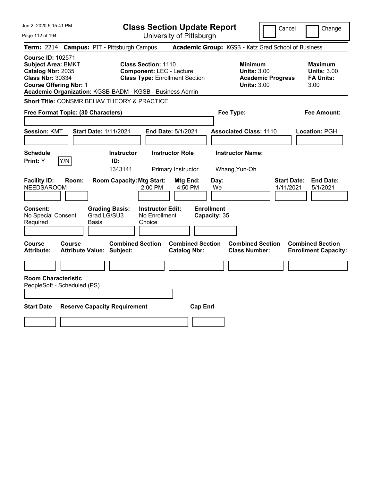| Jun 2, 2020 5:15:41 PM                                                                                                                 | <b>Class Section Update Report</b>                                                                                                                                 | Cancel                                                                                 | Change                                                           |
|----------------------------------------------------------------------------------------------------------------------------------------|--------------------------------------------------------------------------------------------------------------------------------------------------------------------|----------------------------------------------------------------------------------------|------------------------------------------------------------------|
| Page 112 of 194                                                                                                                        | University of Pittsburgh                                                                                                                                           |                                                                                        |                                                                  |
| <b>Term: 2214</b>                                                                                                                      | <b>Campus: PIT - Pittsburgh Campus</b>                                                                                                                             | Academic Group: KGSB - Katz Grad School of Business                                    |                                                                  |
| <b>Course ID: 102571</b><br><b>Subject Area: BMKT</b><br>Catalog Nbr: 2035<br><b>Class Nbr: 30334</b><br><b>Course Offering Nbr: 1</b> | <b>Class Section: 1110</b><br><b>Component: LEC - Lecture</b><br><b>Class Type: Enrollment Section</b><br>Academic Organization: KGSB-BADM - KGSB - Business Admin | <b>Minimum</b><br><b>Units: 3.00</b><br><b>Academic Progress</b><br><b>Units: 3.00</b> | <b>Maximum</b><br><b>Units: 3.00</b><br><b>FA Units:</b><br>3.00 |
| Short Title: CONSMR BEHAV THEORY & PRACTICE                                                                                            |                                                                                                                                                                    |                                                                                        |                                                                  |
| Free Format Topic: (30 Characters)                                                                                                     |                                                                                                                                                                    | Fee Type:                                                                              | Fee Amount:                                                      |
| <b>Session: KMT</b><br>Start Date: 1/11/2021                                                                                           | End Date: 5/1/2021                                                                                                                                                 | <b>Associated Class: 1110</b>                                                          | Location: PGH                                                    |
| <b>Schedule</b>                                                                                                                        | <b>Instructor</b><br><b>Instructor Role</b>                                                                                                                        | <b>Instructor Name:</b>                                                                |                                                                  |
| Print: Y<br>Y/N                                                                                                                        | ID:<br>1343141<br>Primary Instructor                                                                                                                               | Whang, Yun-Oh                                                                          |                                                                  |
| <b>Facility ID:</b><br>Room:<br><b>NEEDSAROOM</b><br>Consent:<br>No Special Consent<br>Required<br>Basis                               | <b>Room Capacity: Mtg Start:</b><br>Mtg End:<br>2:00 PM<br>4:50 PM<br><b>Instructor Edit:</b><br><b>Grading Basis:</b><br>Grad LG/SU3<br>No Enrollment<br>Choice   | Day:<br>We<br>1/11/2021<br><b>Enrollment</b><br>Capacity: 35                           | <b>Start Date:</b><br><b>End Date:</b><br>5/1/2021               |
| Course<br><b>Course</b><br><b>Attribute:</b><br><b>Attribute Value: Subject:</b>                                                       | <b>Combined Section</b><br><b>Combined Section</b><br><b>Catalog Nbr:</b>                                                                                          | <b>Combined Section</b><br><b>Class Number:</b>                                        | <b>Combined Section</b><br><b>Enrollment Capacity:</b>           |
| <b>Room Characteristic</b><br>PeopleSoft - Scheduled (PS)<br><b>Start Date</b>                                                         | <b>Cap Enrl</b><br><b>Reserve Capacity Requirement</b>                                                                                                             |                                                                                        |                                                                  |
|                                                                                                                                        |                                                                                                                                                                    |                                                                                        |                                                                  |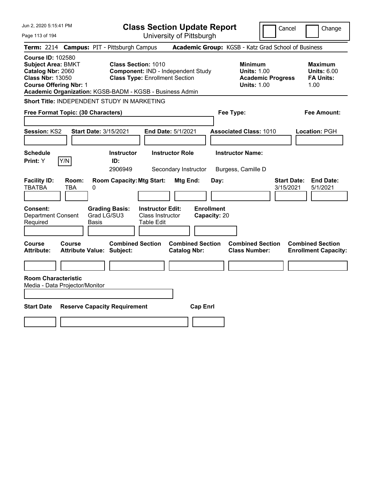| Jun 2, 2020 5:15:41 PM                                                                                                                                                                             |                                        |                                                                     |                                                                  | <b>Class Section Update Report</b>             |                                           |                                                            |                          | Cancel<br>Change                                                 |  |
|----------------------------------------------------------------------------------------------------------------------------------------------------------------------------------------------------|----------------------------------------|---------------------------------------------------------------------|------------------------------------------------------------------|------------------------------------------------|-------------------------------------------|------------------------------------------------------------|--------------------------|------------------------------------------------------------------|--|
| Page 113 of 194                                                                                                                                                                                    |                                        |                                                                     |                                                                  | University of Pittsburgh                       |                                           |                                                            |                          |                                                                  |  |
| <b>Term: 2214</b>                                                                                                                                                                                  | <b>Campus: PIT - Pittsburgh Campus</b> |                                                                     |                                                                  |                                                |                                           |                                                            |                          | Academic Group: KGSB - Katz Grad School of Business              |  |
| <b>Course ID: 102580</b><br><b>Subject Area: BMKT</b><br>Catalog Nbr: 2060<br><b>Class Nbr: 13050</b><br><b>Course Offering Nbr: 1</b><br>Academic Organization: KGSB-BADM - KGSB - Business Admin |                                        | <b>Class Section: 1010</b><br><b>Class Type: Enrollment Section</b> |                                                                  | Component: IND - Independent Study             |                                           | <b>Minimum</b><br><b>Units: 1.00</b><br><b>Units: 1.00</b> | <b>Academic Progress</b> | <b>Maximum</b><br><b>Units: 6.00</b><br><b>FA Units:</b><br>1.00 |  |
| Short Title: INDEPENDENT STUDY IN MARKETING                                                                                                                                                        |                                        |                                                                     |                                                                  |                                                |                                           |                                                            |                          |                                                                  |  |
| Free Format Topic: (30 Characters)                                                                                                                                                                 |                                        |                                                                     |                                                                  |                                                |                                           | Fee Type:                                                  |                          | Fee Amount:                                                      |  |
| <b>Session: KS2</b><br><b>Schedule</b>                                                                                                                                                             | <b>Start Date: 3/15/2021</b>           | <b>Instructor</b>                                                   |                                                                  | End Date: 5/1/2021<br><b>Instructor Role</b>   |                                           | <b>Associated Class: 1010</b><br><b>Instructor Name:</b>   |                          | Location: PGH                                                    |  |
| Y/N<br>Print: Y                                                                                                                                                                                    |                                        | ID:<br>2906949                                                      |                                                                  | Secondary Instructor                           |                                           | Burgess, Camille D                                         |                          |                                                                  |  |
| <b>Facility ID:</b><br><b>TBATBA</b><br>TBA<br><b>Consent:</b><br><b>Department Consent</b><br>Required                                                                                            | Room:<br>0<br>Grad LG/SU3<br>Basis     | <b>Room Capacity: Mtg Start:</b><br><b>Grading Basis:</b>           | <b>Instructor Edit:</b><br>Class Instructor<br><b>Table Edit</b> | <b>Mtg End:</b>                                | Day:<br><b>Enrollment</b><br>Capacity: 20 |                                                            |                          | <b>Start Date:</b><br><b>End Date:</b><br>3/15/2021<br>5/1/2021  |  |
| <b>Course</b><br>Course<br><b>Attribute:</b>                                                                                                                                                       | <b>Attribute Value: Subject:</b>       | <b>Combined Section</b>                                             |                                                                  | <b>Combined Section</b><br><b>Catalog Nbr:</b> |                                           | <b>Combined Section</b><br><b>Class Number:</b>            |                          | <b>Combined Section</b><br><b>Enrollment Capacity:</b>           |  |
| <b>Room Characteristic</b><br>Media - Data Projector/Monitor                                                                                                                                       |                                        |                                                                     |                                                                  |                                                |                                           |                                                            |                          |                                                                  |  |
| <b>Start Date</b>                                                                                                                                                                                  | <b>Reserve Capacity Requirement</b>    |                                                                     |                                                                  | <b>Cap Enrl</b>                                |                                           |                                                            |                          |                                                                  |  |
|                                                                                                                                                                                                    |                                        |                                                                     |                                                                  |                                                |                                           |                                                            |                          |                                                                  |  |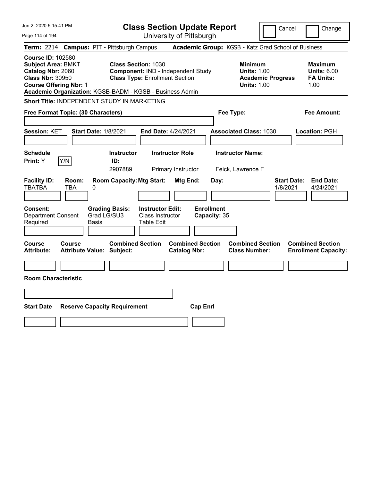| Jun 2, 2020 5:15:41 PM                                                                                                                                                                             |                                                   |                                                                      |                                                           | <b>Class Section Update Report</b>             |                                           |                                                            | Cancel                         | Change                                                           |
|----------------------------------------------------------------------------------------------------------------------------------------------------------------------------------------------------|---------------------------------------------------|----------------------------------------------------------------------|-----------------------------------------------------------|------------------------------------------------|-------------------------------------------|------------------------------------------------------------|--------------------------------|------------------------------------------------------------------|
| Page 114 of 194                                                                                                                                                                                    |                                                   |                                                                      |                                                           | University of Pittsburgh                       |                                           |                                                            |                                |                                                                  |
| <b>Term: 2214</b>                                                                                                                                                                                  | <b>Campus: PIT - Pittsburgh Campus</b>            |                                                                      |                                                           |                                                |                                           | Academic Group: KGSB - Katz Grad School of Business        |                                |                                                                  |
| <b>Course ID: 102580</b><br><b>Subject Area: BMKT</b><br>Catalog Nbr: 2060<br><b>Class Nbr: 30950</b><br><b>Course Offering Nbr: 1</b><br>Academic Organization: KGSB-BADM - KGSB - Business Admin |                                                   | <b>Class Section: 1030</b><br><b>Class Type: Enrollment Section</b>  |                                                           | Component: IND - Independent Study             |                                           | <b>Minimum</b><br><b>Units: 1.00</b><br><b>Units: 1.00</b> | <b>Academic Progress</b>       | <b>Maximum</b><br><b>Units: 6.00</b><br><b>FA Units:</b><br>1.00 |
| Short Title: INDEPENDENT STUDY IN MARKETING                                                                                                                                                        |                                                   |                                                                      |                                                           |                                                |                                           |                                                            |                                |                                                                  |
| Free Format Topic: (30 Characters)                                                                                                                                                                 |                                                   |                                                                      |                                                           |                                                |                                           | Fee Type:                                                  |                                | Fee Amount:                                                      |
| <b>Session: KET</b>                                                                                                                                                                                | <b>Start Date: 1/8/2021</b>                       |                                                                      |                                                           | End Date: 4/24/2021                            |                                           | <b>Associated Class: 1030</b>                              |                                | Location: PGH                                                    |
| <b>Schedule</b><br>Y/N<br>Print: Y                                                                                                                                                                 |                                                   | <b>Instructor</b><br>ID:                                             |                                                           | <b>Instructor Role</b>                         |                                           | <b>Instructor Name:</b>                                    |                                |                                                                  |
| <b>Facility ID:</b><br><b>TBATBA</b><br>Consent:<br><b>Department Consent</b><br>Required                                                                                                          | Room:<br><b>TBA</b><br>0<br>Grad LG/SU3<br>Basis  | 2907889<br><b>Room Capacity: Mtg Start:</b><br><b>Grading Basis:</b> | <b>Instructor Edit:</b><br>Class Instructor<br>Table Edit | Primary Instructor<br>Mtg End:                 | Day:<br><b>Enrollment</b><br>Capacity: 35 | Feick, Lawrence F                                          | <b>Start Date:</b><br>1/8/2021 | <b>End Date:</b><br>4/24/2021                                    |
| <b>Course</b><br><b>Attribute:</b>                                                                                                                                                                 | <b>Course</b><br><b>Attribute Value: Subject:</b> | <b>Combined Section</b>                                              |                                                           | <b>Combined Section</b><br><b>Catalog Nbr:</b> |                                           | <b>Combined Section</b><br><b>Class Number:</b>            |                                | <b>Combined Section</b><br><b>Enrollment Capacity:</b>           |
|                                                                                                                                                                                                    |                                                   |                                                                      |                                                           |                                                |                                           |                                                            |                                |                                                                  |
| <b>Room Characteristic</b>                                                                                                                                                                         |                                                   |                                                                      |                                                           |                                                |                                           |                                                            |                                |                                                                  |
|                                                                                                                                                                                                    |                                                   |                                                                      |                                                           |                                                |                                           |                                                            |                                |                                                                  |
| <b>Start Date</b>                                                                                                                                                                                  | <b>Reserve Capacity Requirement</b>               |                                                                      |                                                           | <b>Cap Enrl</b>                                |                                           |                                                            |                                |                                                                  |
|                                                                                                                                                                                                    |                                                   |                                                                      |                                                           |                                                |                                           |                                                            |                                |                                                                  |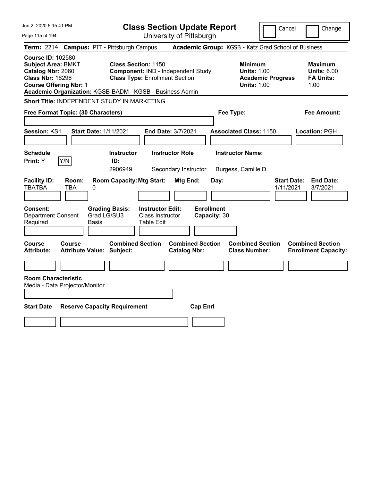| Jun 2, 2020 5:15:41 PM                                                                                                                 | <b>Class Section Update Report</b>                                                                                                                                    | Cancel<br>Change                                                                                                                                           |
|----------------------------------------------------------------------------------------------------------------------------------------|-----------------------------------------------------------------------------------------------------------------------------------------------------------------------|------------------------------------------------------------------------------------------------------------------------------------------------------------|
| Page 115 of 194                                                                                                                        | University of Pittsburgh                                                                                                                                              |                                                                                                                                                            |
| <b>Term: 2214</b>                                                                                                                      | <b>Campus: PIT - Pittsburgh Campus</b>                                                                                                                                | Academic Group: KGSB - Katz Grad School of Business                                                                                                        |
| <b>Course ID: 102580</b><br><b>Subject Area: BMKT</b><br>Catalog Nbr: 2060<br><b>Class Nbr: 16296</b><br><b>Course Offering Nbr: 1</b> | <b>Class Section: 1150</b><br>Component: IND - Independent Study<br><b>Class Type: Enrollment Section</b><br>Academic Organization: KGSB-BADM - KGSB - Business Admin | <b>Minimum</b><br><b>Maximum</b><br><b>Units: 1.00</b><br><b>Units: 6.00</b><br><b>FA Units:</b><br><b>Academic Progress</b><br><b>Units: 1.00</b><br>1.00 |
|                                                                                                                                        | <b>Short Title: INDEPENDENT STUDY IN MARKETING</b>                                                                                                                    |                                                                                                                                                            |
| Free Format Topic: (30 Characters)                                                                                                     |                                                                                                                                                                       | Fee Type:<br>Fee Amount:                                                                                                                                   |
| Session: KS1                                                                                                                           | <b>Start Date: 1/11/2021</b><br>End Date: 3/7/2021                                                                                                                    | <b>Associated Class: 1150</b><br>Location: PGH                                                                                                             |
| <b>Schedule</b><br>Print: Y<br>Y/N                                                                                                     | <b>Instructor Role</b><br><b>Instructor</b><br>ID:<br>2906949<br>Secondary Instructor                                                                                 | <b>Instructor Name:</b><br>Burgess, Camille D                                                                                                              |
| <b>Facility ID:</b><br>Room:<br>TBATBA<br>TBA                                                                                          | <b>Room Capacity: Mtg Start:</b><br>Mtg End:<br>Day:<br>0                                                                                                             | <b>End Date:</b><br><b>Start Date:</b><br>1/11/2021<br>3/7/2021                                                                                            |
| <b>Consent:</b><br><b>Department Consent</b><br>Required                                                                               | <b>Enrollment</b><br><b>Instructor Edit:</b><br><b>Grading Basis:</b><br>Grad LG/SU3<br>Class Instructor<br>Capacity: 30<br>Basis<br>Table Edit                       |                                                                                                                                                            |
| Course<br><b>Course</b><br><b>Attribute:</b>                                                                                           | <b>Combined Section</b><br><b>Combined Section</b><br><b>Attribute Value: Subject:</b><br><b>Catalog Nbr:</b>                                                         | <b>Combined Section</b><br><b>Combined Section</b><br><b>Class Number:</b><br><b>Enrollment Capacity:</b>                                                  |
|                                                                                                                                        |                                                                                                                                                                       |                                                                                                                                                            |
| <b>Room Characteristic</b><br>Media - Data Projector/Monitor<br><b>Start Date</b>                                                      | <b>Cap Enrl</b><br><b>Reserve Capacity Requirement</b>                                                                                                                |                                                                                                                                                            |
|                                                                                                                                        |                                                                                                                                                                       |                                                                                                                                                            |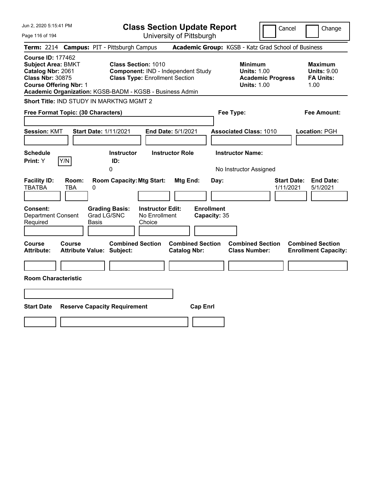| Jun 2, 2020 5:15:41 PM                                                                                                                                                                             |                                        |                                                                     |                                                    | <b>Class Section Update Report</b>             |                                   |                                                            | Cancel                          | Change                                                           |
|----------------------------------------------------------------------------------------------------------------------------------------------------------------------------------------------------|----------------------------------------|---------------------------------------------------------------------|----------------------------------------------------|------------------------------------------------|-----------------------------------|------------------------------------------------------------|---------------------------------|------------------------------------------------------------------|
| Page 116 of 194                                                                                                                                                                                    |                                        |                                                                     |                                                    | University of Pittsburgh                       |                                   |                                                            |                                 |                                                                  |
| <b>Term: 2214</b>                                                                                                                                                                                  | <b>Campus: PIT - Pittsburgh Campus</b> |                                                                     |                                                    |                                                |                                   | Academic Group: KGSB - Katz Grad School of Business        |                                 |                                                                  |
| <b>Course ID: 177462</b><br><b>Subject Area: BMKT</b><br>Catalog Nbr: 2061<br><b>Class Nbr: 30875</b><br><b>Course Offering Nbr: 1</b><br>Academic Organization: KGSB-BADM - KGSB - Business Admin |                                        | <b>Class Section: 1010</b><br><b>Class Type: Enrollment Section</b> |                                                    | Component: IND - Independent Study             |                                   | <b>Minimum</b><br><b>Units: 1.00</b><br><b>Units: 1.00</b> | <b>Academic Progress</b>        | <b>Maximum</b><br><b>Units: 9.00</b><br><b>FA Units:</b><br>1.00 |
| Short Title: IND STUDY IN MARKTNG MGMT 2                                                                                                                                                           |                                        |                                                                     |                                                    |                                                |                                   |                                                            |                                 |                                                                  |
| Free Format Topic: (30 Characters)                                                                                                                                                                 |                                        |                                                                     |                                                    |                                                |                                   | Fee Type:                                                  |                                 | Fee Amount:                                                      |
| <b>Session: KMT</b>                                                                                                                                                                                | Start Date: 1/11/2021                  |                                                                     |                                                    | End Date: 5/1/2021                             |                                   | <b>Associated Class: 1010</b>                              |                                 | Location: PGH                                                    |
| <b>Schedule</b><br>Y/N<br><b>Print:</b> Y                                                                                                                                                          |                                        | <b>Instructor</b><br>ID:                                            |                                                    | <b>Instructor Role</b>                         |                                   | <b>Instructor Name:</b>                                    |                                 |                                                                  |
|                                                                                                                                                                                                    |                                        | 0                                                                   |                                                    |                                                |                                   | No Instructor Assigned                                     |                                 |                                                                  |
| <b>Facility ID:</b><br><b>TBATBA</b><br>TBA                                                                                                                                                        | Room:<br>0                             | <b>Room Capacity: Mtg Start:</b>                                    |                                                    | Mtg End:                                       | Day:                              |                                                            | <b>Start Date:</b><br>1/11/2021 | <b>End Date:</b><br>5/1/2021                                     |
| Consent:<br>Department Consent<br>Required                                                                                                                                                         | Grad LG/SNC<br>Basis                   | <b>Grading Basis:</b>                                               | <b>Instructor Edit:</b><br>No Enrollment<br>Choice |                                                | <b>Enrollment</b><br>Capacity: 35 |                                                            |                                 |                                                                  |
| Course<br>Course<br><b>Attribute:</b>                                                                                                                                                              | <b>Attribute Value: Subject:</b>       | <b>Combined Section</b>                                             |                                                    | <b>Combined Section</b><br><b>Catalog Nbr:</b> |                                   | <b>Combined Section</b><br><b>Class Number:</b>            |                                 | <b>Combined Section</b><br><b>Enrollment Capacity:</b>           |
|                                                                                                                                                                                                    |                                        |                                                                     |                                                    |                                                |                                   |                                                            |                                 |                                                                  |
| <b>Room Characteristic</b>                                                                                                                                                                         |                                        |                                                                     |                                                    |                                                |                                   |                                                            |                                 |                                                                  |
|                                                                                                                                                                                                    |                                        |                                                                     |                                                    |                                                |                                   |                                                            |                                 |                                                                  |
| <b>Start Date</b>                                                                                                                                                                                  | <b>Reserve Capacity Requirement</b>    |                                                                     |                                                    |                                                | <b>Cap Enrl</b>                   |                                                            |                                 |                                                                  |
|                                                                                                                                                                                                    |                                        |                                                                     |                                                    |                                                |                                   |                                                            |                                 |                                                                  |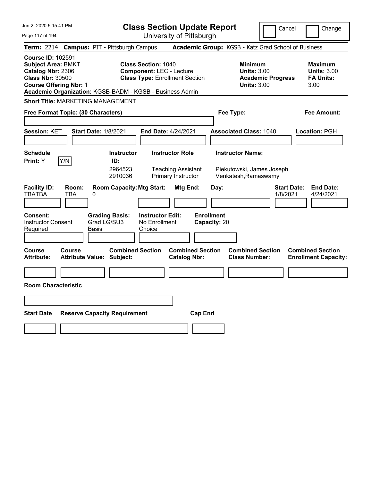| Jun 2, 2020 5:15:41 PM                                                                                                                                                                             | <b>Class Section Update Report</b>                                                                                          |                                                                                        | Cancel<br>Change                                                 |
|----------------------------------------------------------------------------------------------------------------------------------------------------------------------------------------------------|-----------------------------------------------------------------------------------------------------------------------------|----------------------------------------------------------------------------------------|------------------------------------------------------------------|
| Page 117 of 194                                                                                                                                                                                    | University of Pittsburgh                                                                                                    |                                                                                        |                                                                  |
| <b>Campus: PIT - Pittsburgh Campus</b><br><b>Term: 2214</b>                                                                                                                                        |                                                                                                                             | Academic Group: KGSB - Katz Grad School of Business                                    |                                                                  |
| <b>Course ID: 102591</b><br><b>Subject Area: BMKT</b><br>Catalog Nbr: 2306<br><b>Class Nbr: 30500</b><br><b>Course Offering Nbr: 1</b><br>Academic Organization: KGSB-BADM - KGSB - Business Admin | <b>Class Section: 1040</b><br><b>Component: LEC - Lecture</b><br><b>Class Type: Enrollment Section</b>                      | <b>Minimum</b><br><b>Units: 3.00</b><br><b>Academic Progress</b><br><b>Units: 3.00</b> | <b>Maximum</b><br><b>Units: 3.00</b><br><b>FA Units:</b><br>3.00 |
| <b>Short Title: MARKETING MANAGEMENT</b>                                                                                                                                                           |                                                                                                                             |                                                                                        |                                                                  |
| Free Format Topic: (30 Characters)                                                                                                                                                                 |                                                                                                                             | Fee Type:                                                                              | Fee Amount:                                                      |
| <b>Session: KET</b><br><b>Start Date: 1/8/2021</b>                                                                                                                                                 | End Date: 4/24/2021                                                                                                         | <b>Associated Class: 1040</b>                                                          | Location: PGH                                                    |
| <b>Schedule</b><br>Y/N<br>Print: Y                                                                                                                                                                 | <b>Instructor Role</b><br><b>Instructor</b><br>ID:<br>2964523<br><b>Teaching Assistant</b><br>Primary Instructor<br>2910036 | <b>Instructor Name:</b><br>Piekutowski, James Joseph<br>Venkatesh, Ramaswamy           |                                                                  |
| <b>Facility ID:</b><br>Room:<br><b>TBATBA</b><br><b>TBA</b><br>0<br><b>Grading Basis:</b><br><b>Consent:</b><br><b>Instructor Consent</b><br>Grad LG/SU3<br>Required<br>Basis                      | <b>Room Capacity: Mtg Start:</b><br>Mtg End:<br><b>Instructor Edit:</b><br>No Enrollment<br>Choice                          | Day:<br><b>Enrollment</b><br>Capacity: 20                                              | <b>Start Date:</b><br><b>End Date:</b><br>1/8/2021<br>4/24/2021  |
| <b>Course</b><br>Course<br><b>Attribute:</b><br><b>Attribute Value: Subject:</b>                                                                                                                   | <b>Combined Section</b><br><b>Combined Section</b><br><b>Catalog Nbr:</b>                                                   | <b>Combined Section</b><br><b>Class Number:</b>                                        | <b>Combined Section</b><br><b>Enrollment Capacity:</b>           |
|                                                                                                                                                                                                    |                                                                                                                             |                                                                                        |                                                                  |
| <b>Room Characteristic</b>                                                                                                                                                                         |                                                                                                                             |                                                                                        |                                                                  |
|                                                                                                                                                                                                    |                                                                                                                             |                                                                                        |                                                                  |
| <b>Start Date</b><br><b>Reserve Capacity Requirement</b>                                                                                                                                           | <b>Cap Enri</b>                                                                                                             |                                                                                        |                                                                  |
|                                                                                                                                                                                                    |                                                                                                                             |                                                                                        |                                                                  |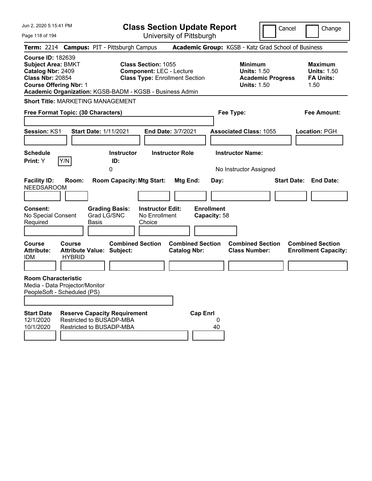| Jun 2. 2020 5:15:41 PM                                                                                                                                                                             |                                                                                             | <b>Class Section Update Report</b>                                                                     |                                                       |                                                            | Cancel                   | Change                                                           |
|----------------------------------------------------------------------------------------------------------------------------------------------------------------------------------------------------|---------------------------------------------------------------------------------------------|--------------------------------------------------------------------------------------------------------|-------------------------------------------------------|------------------------------------------------------------|--------------------------|------------------------------------------------------------------|
| Page 118 of 194                                                                                                                                                                                    |                                                                                             | University of Pittsburgh                                                                               |                                                       |                                                            |                          |                                                                  |
| Term: 2214 Campus: PIT - Pittsburgh Campus                                                                                                                                                         |                                                                                             |                                                                                                        | Academic Group: KGSB - Katz Grad School of Business   |                                                            |                          |                                                                  |
| <b>Course ID: 182639</b><br><b>Subject Area: BMKT</b><br>Catalog Nbr: 2409<br><b>Class Nbr: 20854</b><br><b>Course Offering Nbr: 1</b><br>Academic Organization: KGSB-BADM - KGSB - Business Admin |                                                                                             | <b>Class Section: 1055</b><br><b>Component: LEC - Lecture</b><br><b>Class Type: Enrollment Section</b> |                                                       | <b>Minimum</b><br><b>Units: 1.50</b><br><b>Units: 1.50</b> | <b>Academic Progress</b> | <b>Maximum</b><br><b>Units: 1.50</b><br><b>FA Units:</b><br>1.50 |
| <b>Short Title: MARKETING MANAGEMENT</b>                                                                                                                                                           |                                                                                             |                                                                                                        |                                                       |                                                            |                          |                                                                  |
| Free Format Topic: (30 Characters)                                                                                                                                                                 |                                                                                             |                                                                                                        |                                                       | Fee Type:                                                  |                          | <b>Fee Amount:</b>                                               |
|                                                                                                                                                                                                    |                                                                                             |                                                                                                        |                                                       |                                                            |                          |                                                                  |
| Session: KS1                                                                                                                                                                                       | <b>Start Date: 1/11/2021</b>                                                                | End Date: 3/7/2021                                                                                     |                                                       | <b>Associated Class: 1055</b>                              |                          | Location: PGH                                                    |
|                                                                                                                                                                                                    |                                                                                             |                                                                                                        |                                                       |                                                            |                          |                                                                  |
| <b>Schedule</b><br>Y/N<br>Print: Y                                                                                                                                                                 | <b>Instructor</b><br>ID:                                                                    | <b>Instructor Role</b>                                                                                 |                                                       | <b>Instructor Name:</b>                                    |                          |                                                                  |
|                                                                                                                                                                                                    | 0                                                                                           |                                                                                                        |                                                       | No Instructor Assigned                                     |                          |                                                                  |
| <b>Facility ID:</b><br>Room:<br><b>NEEDSAROOM</b><br><b>Consent:</b><br>No Special Consent<br>Required                                                                                             | <b>Room Capacity: Mtg Start:</b><br><b>Grading Basis:</b><br>Grad LG/SNC<br>Basis           | <b>Instructor Edit:</b><br>No Enrollment<br>Choice                                                     | Mtg End:<br>Day:<br><b>Enrollment</b><br>Capacity: 58 |                                                            |                          | <b>Start Date: End Date:</b>                                     |
| <b>Course</b><br>Course<br><b>Attribute:</b><br><b>HYBRID</b><br><b>IDM</b>                                                                                                                        | <b>Combined Section</b><br><b>Attribute Value: Subject:</b>                                 |                                                                                                        | <b>Combined Section</b><br><b>Catalog Nbr:</b>        | <b>Combined Section</b><br><b>Class Number:</b>            |                          | <b>Combined Section</b><br><b>Enrollment Capacity:</b>           |
| <b>Room Characteristic</b><br>Media - Data Projector/Monitor<br>PeopleSoft - Scheduled (PS)                                                                                                        |                                                                                             |                                                                                                        |                                                       |                                                            |                          |                                                                  |
| <b>Start Date</b><br>12/1/2020<br>10/1/2020                                                                                                                                                        | <b>Reserve Capacity Requirement</b><br>Restricted to BUSADP-MBA<br>Restricted to BUSADP-MBA |                                                                                                        | <b>Cap Enrl</b><br>0<br>40                            |                                                            |                          |                                                                  |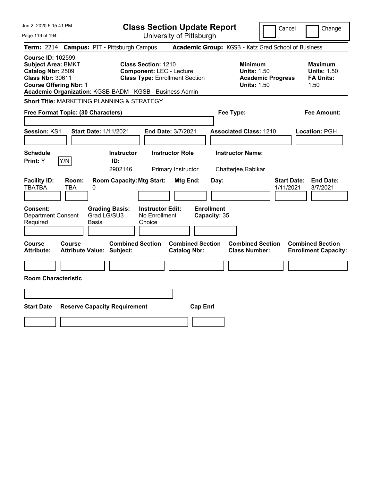| Jun 2, 2020 5:15:41 PM                                                                                                                 |                                                             | <b>Class Section Update Report</b>                                                                     |                                   |                                                                                        | Cancel<br>Change                                                 |
|----------------------------------------------------------------------------------------------------------------------------------------|-------------------------------------------------------------|--------------------------------------------------------------------------------------------------------|-----------------------------------|----------------------------------------------------------------------------------------|------------------------------------------------------------------|
| Page 119 of 194                                                                                                                        |                                                             | University of Pittsburgh                                                                               |                                   |                                                                                        |                                                                  |
|                                                                                                                                        | Term: 2214 Campus: PIT - Pittsburgh Campus                  |                                                                                                        |                                   | Academic Group: KGSB - Katz Grad School of Business                                    |                                                                  |
| <b>Course ID: 102599</b><br><b>Subject Area: BMKT</b><br>Catalog Nbr: 2509<br><b>Class Nbr: 30611</b><br><b>Course Offering Nbr: 1</b> | Academic Organization: KGSB-BADM - KGSB - Business Admin    | <b>Class Section: 1210</b><br><b>Component: LEC - Lecture</b><br><b>Class Type: Enrollment Section</b> |                                   | <b>Minimum</b><br><b>Units: 1.50</b><br><b>Academic Progress</b><br><b>Units: 1.50</b> | <b>Maximum</b><br><b>Units: 1.50</b><br><b>FA Units:</b><br>1.50 |
|                                                                                                                                        | <b>Short Title: MARKETING PLANNING &amp; STRATEGY</b>       |                                                                                                        |                                   |                                                                                        |                                                                  |
| Free Format Topic: (30 Characters)                                                                                                     |                                                             |                                                                                                        |                                   | Fee Type:                                                                              | Fee Amount:                                                      |
| Session: KS1                                                                                                                           | <b>Start Date: 1/11/2021</b>                                | End Date: 3/7/2021                                                                                     |                                   | <b>Associated Class: 1210</b>                                                          | Location: PGH                                                    |
| <b>Schedule</b><br>Y/N<br><b>Print:</b> Y                                                                                              | <b>Instructor</b><br>ID:<br>2902146                         | <b>Instructor Role</b><br>Primary Instructor                                                           |                                   | <b>Instructor Name:</b><br>Chatterjee, Rabikar                                         |                                                                  |
| <b>Facility ID:</b><br>Room:<br><b>TBATBA</b><br>TBA                                                                                   | <b>Room Capacity: Mtg Start:</b><br>0                       | Mtg End:                                                                                               | Day:                              |                                                                                        | <b>Start Date:</b><br><b>End Date:</b><br>1/11/2021<br>3/7/2021  |
| Consent:<br><b>Department Consent</b><br>Required                                                                                      | <b>Grading Basis:</b><br>Grad LG/SU3<br>Basis               | <b>Instructor Edit:</b><br>No Enrollment<br>Choice                                                     | <b>Enrollment</b><br>Capacity: 35 |                                                                                        |                                                                  |
| Course<br>Course<br><b>Attribute:</b>                                                                                                  | <b>Combined Section</b><br><b>Attribute Value: Subject:</b> | <b>Catalog Nbr:</b>                                                                                    | <b>Combined Section</b>           | <b>Combined Section</b><br><b>Class Number:</b>                                        | <b>Combined Section</b><br><b>Enrollment Capacity:</b>           |
| <b>Room Characteristic</b>                                                                                                             |                                                             |                                                                                                        |                                   |                                                                                        |                                                                  |
|                                                                                                                                        |                                                             |                                                                                                        |                                   |                                                                                        |                                                                  |
| <b>Start Date</b>                                                                                                                      | <b>Reserve Capacity Requirement</b>                         |                                                                                                        | <b>Cap Enrl</b>                   |                                                                                        |                                                                  |
|                                                                                                                                        |                                                             |                                                                                                        |                                   |                                                                                        |                                                                  |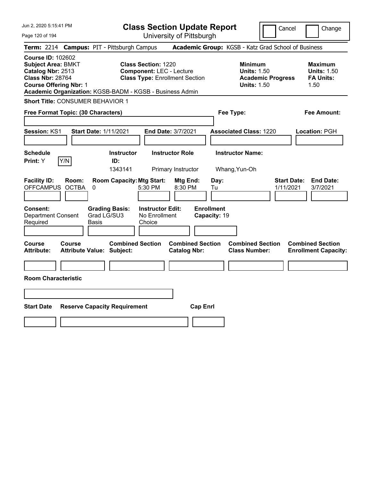| Jun 2, 2020 5:15:41 PM                                                                                                                                            | <b>Class Section Update Report</b>                                                                                                                                                 |                                                                                        | Cancel<br>Change                                                 |
|-------------------------------------------------------------------------------------------------------------------------------------------------------------------|------------------------------------------------------------------------------------------------------------------------------------------------------------------------------------|----------------------------------------------------------------------------------------|------------------------------------------------------------------|
| Page 120 of 194                                                                                                                                                   | University of Pittsburgh                                                                                                                                                           |                                                                                        |                                                                  |
| Term: 2214 Campus: PIT - Pittsburgh Campus                                                                                                                        |                                                                                                                                                                                    | Academic Group: KGSB - Katz Grad School of Business                                    |                                                                  |
| <b>Course ID: 102602</b><br><b>Subject Area: BMKT</b><br>Catalog Nbr: 2513<br><b>Class Nbr: 28764</b><br><b>Course Offering Nbr: 1</b>                            | <b>Class Section: 1220</b><br><b>Component: LEC - Lecture</b><br><b>Class Type: Enrollment Section</b><br>Academic Organization: KGSB-BADM - KGSB - Business Admin                 | <b>Minimum</b><br><b>Units: 1.50</b><br><b>Academic Progress</b><br><b>Units: 1.50</b> | <b>Maximum</b><br><b>Units: 1.50</b><br><b>FA Units:</b><br>1.50 |
| <b>Short Title: CONSUMER BEHAVIOR 1</b>                                                                                                                           |                                                                                                                                                                                    |                                                                                        |                                                                  |
| Free Format Topic: (30 Characters)                                                                                                                                |                                                                                                                                                                                    | Fee Type:                                                                              | Fee Amount:                                                      |
| Session: KS1<br><b>Start Date: 1/11/2021</b><br><b>Schedule</b><br>Y/N<br>Print: Y                                                                                | End Date: 3/7/2021<br><b>Instructor</b><br><b>Instructor Role</b><br>ID:                                                                                                           | <b>Associated Class: 1220</b><br><b>Instructor Name:</b>                               | Location: PGH                                                    |
| <b>Facility ID:</b><br>Room:<br><b>OFFCAMPUS</b><br><b>OCTBA</b><br>$\pmb{0}$<br><b>Consent:</b><br>Grad LG/SU3<br><b>Department Consent</b><br>Required<br>Basis | 1343141<br>Primary Instructor<br><b>Room Capacity: Mtg Start:</b><br>Mtg End:<br>5:30 PM<br>8:30 PM<br><b>Instructor Edit:</b><br><b>Grading Basis:</b><br>No Enrollment<br>Choice | Whang, Yun-Oh<br>Day:<br>Tu<br><b>Enrollment</b><br>Capacity: 19                       | <b>Start Date:</b><br><b>End Date:</b><br>1/11/2021<br>3/7/2021  |
| <b>Course</b><br><b>Course</b><br><b>Attribute:</b><br>Attribute Value: Subject:<br><b>Room Characteristic</b>                                                    | <b>Combined Section</b><br><b>Combined Section</b><br><b>Catalog Nbr:</b>                                                                                                          | <b>Combined Section</b><br><b>Class Number:</b>                                        | <b>Combined Section</b><br><b>Enrollment Capacity:</b>           |
| <b>Start Date</b><br><b>Reserve Capacity Requirement</b>                                                                                                          | <b>Cap Enrl</b>                                                                                                                                                                    |                                                                                        |                                                                  |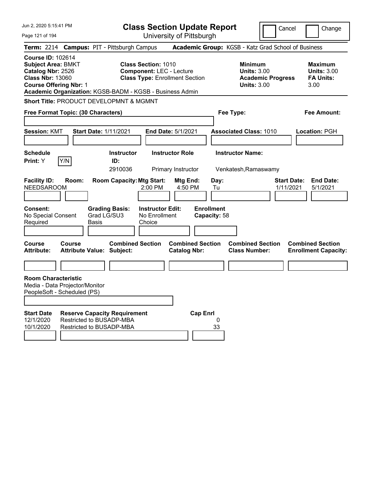| Jun 2, 2020 5:15:41 PM                                                                                                                 |        |                                                                                             |                                                               | <b>Class Section Update Report</b>             |                                   |                                                            | Cancel                   | Change                                                           |
|----------------------------------------------------------------------------------------------------------------------------------------|--------|---------------------------------------------------------------------------------------------|---------------------------------------------------------------|------------------------------------------------|-----------------------------------|------------------------------------------------------------|--------------------------|------------------------------------------------------------------|
| Page 121 of 194                                                                                                                        |        |                                                                                             |                                                               | University of Pittsburgh                       |                                   |                                                            |                          |                                                                  |
|                                                                                                                                        |        | Term: 2214 Campus: PIT - Pittsburgh Campus                                                  |                                                               |                                                |                                   |                                                            |                          | Academic Group: KGSB - Katz Grad School of Business              |
| <b>Course ID: 102614</b><br><b>Subject Area: BMKT</b><br>Catalog Nbr: 2526<br><b>Class Nbr: 13060</b><br><b>Course Offering Nbr: 1</b> |        | Academic Organization: KGSB-BADM - KGSB - Business Admin                                    | <b>Class Section: 1010</b><br><b>Component: LEC - Lecture</b> | <b>Class Type: Enrollment Section</b>          |                                   | <b>Minimum</b><br><b>Units: 3.00</b><br><b>Units: 3.00</b> | <b>Academic Progress</b> | <b>Maximum</b><br><b>Units: 3.00</b><br><b>FA Units:</b><br>3.00 |
|                                                                                                                                        |        | Short Title: PRODUCT DEVELOPMNT & MGMNT                                                     |                                                               |                                                |                                   |                                                            |                          |                                                                  |
| Free Format Topic: (30 Characters)                                                                                                     |        |                                                                                             |                                                               |                                                |                                   | Fee Type:                                                  |                          | <b>Fee Amount:</b>                                               |
|                                                                                                                                        |        |                                                                                             |                                                               |                                                |                                   |                                                            |                          |                                                                  |
| <b>Session: KMT</b>                                                                                                                    |        | <b>Start Date: 1/11/2021</b>                                                                |                                                               | <b>End Date: 5/1/2021</b>                      |                                   | <b>Associated Class: 1010</b>                              |                          | Location: PGH                                                    |
| <b>Schedule</b><br>Print: Y                                                                                                            | Y/N    | <b>Instructor</b><br>ID:<br>2910036                                                         |                                                               | <b>Instructor Role</b><br>Primary Instructor   |                                   | <b>Instructor Name:</b><br>Venkatesh, Ramaswamy            |                          |                                                                  |
| <b>Facility ID:</b><br><b>NEEDSAROOM</b>                                                                                               | Room:  | <b>Room Capacity: Mtg Start:</b>                                                            | $2:00$ PM                                                     | Mtg End:<br>4:50 PM                            | Day:<br>Tu                        |                                                            | 1/11/2021                | <b>Start Date:</b><br><b>End Date:</b><br>5/1/2021               |
| <b>Consent:</b><br>No Special Consent<br>Required                                                                                      |        | <b>Grading Basis:</b><br>Grad LG/SU3<br>Basis                                               | <b>Instructor Edit:</b><br>No Enrollment<br>Choice            |                                                | <b>Enrollment</b><br>Capacity: 58 |                                                            |                          |                                                                  |
| <b>Course</b><br><b>Attribute:</b>                                                                                                     | Course | <b>Combined Section</b><br><b>Attribute Value: Subject:</b>                                 |                                                               | <b>Combined Section</b><br><b>Catalog Nbr:</b> |                                   | <b>Combined Section</b><br><b>Class Number:</b>            |                          | <b>Combined Section</b><br><b>Enrollment Capacity:</b>           |
|                                                                                                                                        |        |                                                                                             |                                                               |                                                |                                   |                                                            |                          |                                                                  |
| <b>Room Characteristic</b><br>Media - Data Projector/Monitor<br>PeopleSoft - Scheduled (PS)                                            |        |                                                                                             |                                                               |                                                |                                   |                                                            |                          |                                                                  |
| <b>Start Date</b><br>12/1/2020<br>10/1/2020                                                                                            |        | <b>Reserve Capacity Requirement</b><br>Restricted to BUSADP-MBA<br>Restricted to BUSADP-MBA |                                                               | <b>Cap Enrl</b>                                | 0<br>33                           |                                                            |                          |                                                                  |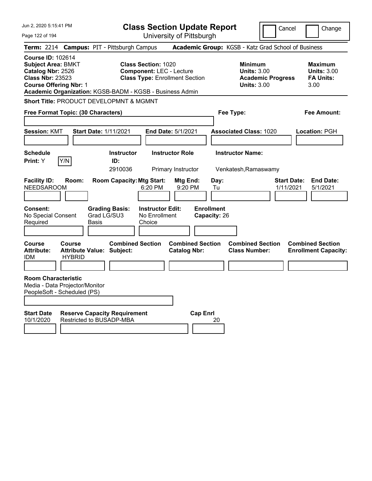| Jun 2, 2020 5:15:41 PM                                                                                                                                                                             |                                                             |                                        |                                                               | <b>Class Section Update Report</b>                  |                                   |                                                                                        | Cancel                          | Change                                                           |
|----------------------------------------------------------------------------------------------------------------------------------------------------------------------------------------------------|-------------------------------------------------------------|----------------------------------------|---------------------------------------------------------------|-----------------------------------------------------|-----------------------------------|----------------------------------------------------------------------------------------|---------------------------------|------------------------------------------------------------------|
| Page 122 of 194                                                                                                                                                                                    |                                                             |                                        |                                                               | University of Pittsburgh                            |                                   |                                                                                        |                                 |                                                                  |
| <b>Term: 2214</b>                                                                                                                                                                                  |                                                             | <b>Campus: PIT - Pittsburgh Campus</b> |                                                               | Academic Group: KGSB - Katz Grad School of Business |                                   |                                                                                        |                                 |                                                                  |
| <b>Course ID: 102614</b><br><b>Subject Area: BMKT</b><br>Catalog Nbr: 2526<br><b>Class Nbr: 23523</b><br><b>Course Offering Nbr: 1</b><br>Academic Organization: KGSB-BADM - KGSB - Business Admin |                                                             |                                        | <b>Class Section: 1020</b><br><b>Component: LEC - Lecture</b> | <b>Class Type: Enrollment Section</b>               |                                   | <b>Minimum</b><br><b>Units: 3.00</b><br><b>Academic Progress</b><br><b>Units: 3.00</b> |                                 | <b>Maximum</b><br><b>Units: 3.00</b><br><b>FA Units:</b><br>3.00 |
| Short Title: PRODUCT DEVELOPMNT & MGMNT                                                                                                                                                            |                                                             |                                        |                                                               |                                                     |                                   |                                                                                        |                                 |                                                                  |
| Free Format Topic: (30 Characters)                                                                                                                                                                 |                                                             |                                        |                                                               |                                                     | Fee Type:                         |                                                                                        |                                 | Fee Amount:                                                      |
| <b>Session: KMT</b>                                                                                                                                                                                | <b>Start Date: 1/11/2021</b>                                |                                        | <b>End Date: 5/1/2021</b>                                     |                                                     |                                   | <b>Associated Class: 1020</b>                                                          |                                 | Location: PGH                                                    |
| <b>Schedule</b><br>Print: Y                                                                                                                                                                        | Y/N                                                         | <b>Instructor</b><br>ID:<br>2910036    |                                                               | <b>Instructor Role</b><br>Primary Instructor        |                                   | <b>Instructor Name:</b><br>Venkatesh, Ramaswamy                                        |                                 |                                                                  |
| <b>Facility ID:</b><br><b>NEEDSAROOM</b>                                                                                                                                                           | Room:                                                       | <b>Room Capacity: Mtg Start:</b>       | 6:20 PM                                                       | Mtg End:<br>9:20 PM                                 | Day:<br>Tu                        |                                                                                        | <b>Start Date:</b><br>1/11/2021 | <b>End Date:</b><br>5/1/2021                                     |
| Consent:<br>No Special Consent<br>Required                                                                                                                                                         | Basis                                                       | <b>Grading Basis:</b><br>Grad LG/SU3   | <b>Instructor Edit:</b><br>No Enrollment<br>Choice            |                                                     | <b>Enrollment</b><br>Capacity: 26 |                                                                                        |                                 |                                                                  |
| Course<br><b>Attribute:</b><br>IDM                                                                                                                                                                 | Course<br><b>Attribute Value: Subject:</b><br><b>HYBRID</b> | <b>Combined Section</b>                |                                                               | <b>Combined Section</b><br><b>Catalog Nbr:</b>      |                                   | <b>Combined Section</b><br><b>Class Number:</b>                                        |                                 | <b>Combined Section</b><br><b>Enrollment Capacity:</b>           |
| <b>Room Characteristic</b><br>Media - Data Projector/Monitor<br>PeopleSoft - Scheduled (PS)                                                                                                        |                                                             |                                        |                                                               |                                                     |                                   |                                                                                        |                                 |                                                                  |
| <b>Start Date</b><br>10/1/2020                                                                                                                                                                     | Restricted to BUSADP-MBA                                    | <b>Reserve Capacity Requirement</b>    |                                                               | <b>Cap Enri</b>                                     | 20                                |                                                                                        |                                 |                                                                  |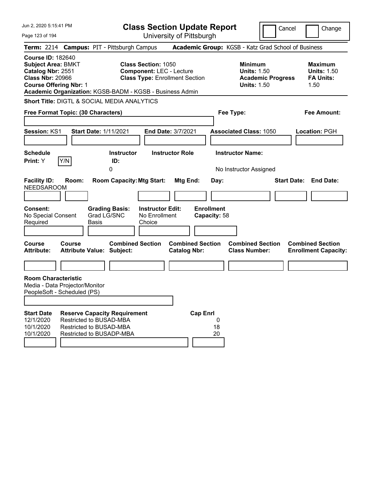| Jun 2, 2020 5:15:41 PM                                                                                                                                                                             |                                                                                |              |                                      | <b>Class Section Update Report</b>                                                                     |                        |                                                |                                   |                                                                                        | Cancel             |      | Change                                                   |
|----------------------------------------------------------------------------------------------------------------------------------------------------------------------------------------------------|--------------------------------------------------------------------------------|--------------|--------------------------------------|--------------------------------------------------------------------------------------------------------|------------------------|------------------------------------------------|-----------------------------------|----------------------------------------------------------------------------------------|--------------------|------|----------------------------------------------------------|
| Page 123 of 194                                                                                                                                                                                    |                                                                                |              |                                      | University of Pittsburgh                                                                               |                        |                                                |                                   |                                                                                        |                    |      |                                                          |
| Term: 2214 Campus: PIT - Pittsburgh Campus                                                                                                                                                         |                                                                                |              |                                      |                                                                                                        |                        |                                                |                                   | Academic Group: KGSB - Katz Grad School of Business                                    |                    |      |                                                          |
| <b>Course ID: 182640</b><br><b>Subject Area: BMKT</b><br>Catalog Nbr: 2551<br><b>Class Nbr: 20966</b><br><b>Course Offering Nbr: 1</b><br>Academic Organization: KGSB-BADM - KGSB - Business Admin |                                                                                |              |                                      | <b>Class Section: 1050</b><br><b>Component: LEC - Lecture</b><br><b>Class Type: Enrollment Section</b> |                        |                                                |                                   | <b>Minimum</b><br><b>Units: 1.50</b><br><b>Academic Progress</b><br><b>Units: 1.50</b> |                    | 1.50 | <b>Maximum</b><br><b>Units: 1.50</b><br><b>FA Units:</b> |
| <b>Short Title: DIGTL &amp; SOCIAL MEDIA ANALYTICS</b>                                                                                                                                             |                                                                                |              |                                      |                                                                                                        |                        |                                                |                                   |                                                                                        |                    |      |                                                          |
| Free Format Topic: (30 Characters)                                                                                                                                                                 |                                                                                |              |                                      |                                                                                                        |                        |                                                |                                   | Fee Type:                                                                              |                    |      | <b>Fee Amount:</b>                                       |
| <b>Session: KS1</b>                                                                                                                                                                                |                                                                                |              | <b>Start Date: 1/11/2021</b>         | End Date: 3/7/2021                                                                                     |                        |                                                |                                   | <b>Associated Class: 1050</b>                                                          |                    |      | Location: PGH                                            |
| <b>Schedule</b><br>Print: Y                                                                                                                                                                        | Y/N                                                                            |              | <b>Instructor</b><br>ID:<br>0        |                                                                                                        | <b>Instructor Role</b> |                                                |                                   | <b>Instructor Name:</b><br>No Instructor Assigned                                      |                    |      |                                                          |
| <b>Facility ID:</b><br><b>NEEDSAROOM</b>                                                                                                                                                           | Room:                                                                          |              | <b>Room Capacity: Mtg Start:</b>     |                                                                                                        |                        | Mtg End:                                       | Day:                              |                                                                                        | <b>Start Date:</b> |      | <b>End Date:</b>                                         |
| <b>Consent:</b><br>No Special Consent<br>Required                                                                                                                                                  |                                                                                | <b>Basis</b> | <b>Grading Basis:</b><br>Grad LG/SNC | <b>Instructor Edit:</b><br>No Enrollment<br>Choice                                                     |                        |                                                | <b>Enrollment</b><br>Capacity: 58 |                                                                                        |                    |      |                                                          |
| Course<br><b>Attribute:</b>                                                                                                                                                                        | Course<br><b>Attribute Value: Subject:</b>                                     |              | <b>Combined Section</b>              |                                                                                                        |                        | <b>Combined Section</b><br><b>Catalog Nbr:</b> |                                   | <b>Combined Section</b><br><b>Class Number:</b>                                        |                    |      | <b>Combined Section</b><br><b>Enrollment Capacity:</b>   |
|                                                                                                                                                                                                    |                                                                                |              |                                      |                                                                                                        |                        |                                                |                                   |                                                                                        |                    |      |                                                          |
| <b>Room Characteristic</b><br>Media - Data Projector/Monitor<br>PeopleSoft - Scheduled (PS)                                                                                                        |                                                                                |              |                                      |                                                                                                        |                        |                                                |                                   |                                                                                        |                    |      |                                                          |
| <b>Start Date</b><br>12/1/2020<br>10/1/2020<br>10/1/2020                                                                                                                                           | Restricted to BUSAD-MBA<br>Restricted to BUSAD-MBA<br>Restricted to BUSADP-MBA |              | <b>Reserve Capacity Requirement</b>  |                                                                                                        |                        | <b>Cap Enrl</b>                                | 0<br>18<br>20                     |                                                                                        |                    |      |                                                          |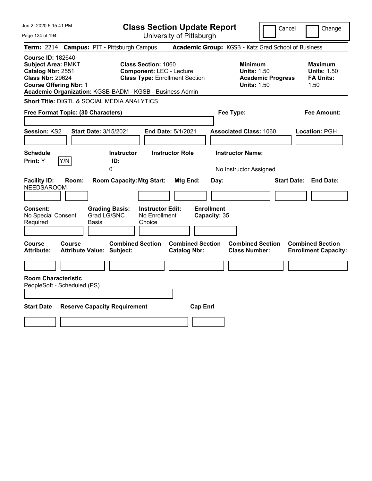| Jun 2, 2020 5:15:41 PM                                                                                                                                                                             |                                                                                                                      | <b>Class Section Update Report</b>                    | Cancel                                                                                 | Change                                                           |
|----------------------------------------------------------------------------------------------------------------------------------------------------------------------------------------------------|----------------------------------------------------------------------------------------------------------------------|-------------------------------------------------------|----------------------------------------------------------------------------------------|------------------------------------------------------------------|
| Page 124 of 194                                                                                                                                                                                    |                                                                                                                      | University of Pittsburgh                              |                                                                                        |                                                                  |
| Term: 2214 Campus: PIT - Pittsburgh Campus                                                                                                                                                         |                                                                                                                      |                                                       | Academic Group: KGSB - Katz Grad School of Business                                    |                                                                  |
| <b>Course ID: 182640</b><br><b>Subject Area: BMKT</b><br>Catalog Nbr: 2551<br><b>Class Nbr: 29624</b><br><b>Course Offering Nbr: 1</b><br>Academic Organization: KGSB-BADM - KGSB - Business Admin | <b>Class Section: 1060</b><br><b>Component: LEC - Lecture</b><br><b>Class Type: Enrollment Section</b>               |                                                       | <b>Minimum</b><br><b>Units: 1.50</b><br><b>Academic Progress</b><br><b>Units: 1.50</b> | <b>Maximum</b><br><b>Units: 1.50</b><br><b>FA Units:</b><br>1.50 |
| <b>Short Title: DIGTL &amp; SOCIAL MEDIA ANALYTICS</b>                                                                                                                                             |                                                                                                                      |                                                       |                                                                                        |                                                                  |
| Free Format Topic: (30 Characters)                                                                                                                                                                 |                                                                                                                      |                                                       | Fee Type:                                                                              | Fee Amount:                                                      |
| <b>Session: KS2</b><br>Start Date: 3/15/2021                                                                                                                                                       |                                                                                                                      | End Date: 5/1/2021                                    | <b>Associated Class: 1060</b>                                                          | Location: PGH                                                    |
| <b>Schedule</b><br>Y/N<br>Print: Y                                                                                                                                                                 | <b>Instructor</b><br>ID:<br>$\Omega$                                                                                 | <b>Instructor Role</b>                                | <b>Instructor Name:</b><br>No Instructor Assigned                                      |                                                                  |
| <b>Facility ID:</b><br>Room:<br><b>NEEDSAROOM</b><br>Consent:<br>No Special Consent                                                                                                                | <b>Room Capacity: Mtg Start:</b><br><b>Grading Basis:</b><br><b>Instructor Edit:</b><br>Grad LG/SNC<br>No Enrollment | Mtg End:<br>Day:<br><b>Enrollment</b><br>Capacity: 35 |                                                                                        | <b>Start Date:</b><br><b>End Date:</b>                           |
| Required<br>Basis                                                                                                                                                                                  | Choice                                                                                                               |                                                       |                                                                                        |                                                                  |
| Course<br><b>Course</b><br><b>Attribute Value: Subject:</b><br>Attribute:                                                                                                                          | <b>Combined Section</b>                                                                                              | <b>Combined Section</b><br><b>Catalog Nbr:</b>        | <b>Combined Section</b><br><b>Class Number:</b>                                        | <b>Combined Section</b><br><b>Enrollment Capacity:</b>           |
| <b>Room Characteristic</b><br>PeopleSoft - Scheduled (PS)                                                                                                                                          |                                                                                                                      |                                                       |                                                                                        |                                                                  |
| <b>Start Date</b><br><b>Reserve Capacity Requirement</b>                                                                                                                                           |                                                                                                                      | <b>Cap Enrl</b>                                       |                                                                                        |                                                                  |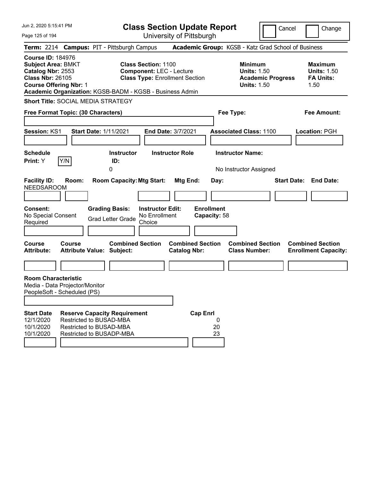| Jun 2, 2020 5:15:41 PM                                                                                                                                                                             |                                                                                |                                                                                       | <b>Class Section Update Report</b>                                                                     |                        |                                                |                                           |                                                     |                          | Cancel                       |                                            | Change                      |
|----------------------------------------------------------------------------------------------------------------------------------------------------------------------------------------------------|--------------------------------------------------------------------------------|---------------------------------------------------------------------------------------|--------------------------------------------------------------------------------------------------------|------------------------|------------------------------------------------|-------------------------------------------|-----------------------------------------------------|--------------------------|------------------------------|--------------------------------------------|-----------------------------|
| Page 125 of 194                                                                                                                                                                                    |                                                                                |                                                                                       | University of Pittsburgh                                                                               |                        |                                                |                                           |                                                     |                          |                              |                                            |                             |
| Term: 2214 Campus: PIT - Pittsburgh Campus                                                                                                                                                         |                                                                                |                                                                                       |                                                                                                        |                        |                                                |                                           | Academic Group: KGSB - Katz Grad School of Business |                          |                              |                                            |                             |
| <b>Course ID: 184976</b><br><b>Subject Area: BMKT</b><br>Catalog Nbr: 2553<br><b>Class Nbr: 26105</b><br><b>Course Offering Nbr: 1</b><br>Academic Organization: KGSB-BADM - KGSB - Business Admin |                                                                                |                                                                                       | <b>Class Section: 1100</b><br><b>Component: LEC - Lecture</b><br><b>Class Type: Enrollment Section</b> |                        |                                                |                                           | Minimum<br><b>Units: 1.50</b><br><b>Units: 1.50</b> | <b>Academic Progress</b> |                              | <b>Maximum</b><br><b>FA Units:</b><br>1.50 | <b>Units: 1.50</b>          |
| <b>Short Title: SOCIAL MEDIA STRATEGY</b>                                                                                                                                                          |                                                                                |                                                                                       |                                                                                                        |                        |                                                |                                           |                                                     |                          |                              |                                            |                             |
| Free Format Topic: (30 Characters)                                                                                                                                                                 |                                                                                |                                                                                       |                                                                                                        |                        |                                                |                                           | Fee Type:                                           |                          |                              | <b>Fee Amount:</b>                         |                             |
| Session: KS1                                                                                                                                                                                       |                                                                                | <b>Start Date: 1/11/2021</b>                                                          | End Date: 3/7/2021                                                                                     |                        |                                                |                                           | <b>Associated Class: 1100</b>                       |                          |                              | Location: PGH                              |                             |
| <b>Schedule</b><br>Print: Y                                                                                                                                                                        | Y/N                                                                            | <b>Instructor</b><br>ID:<br>0                                                         |                                                                                                        | <b>Instructor Role</b> |                                                |                                           | <b>Instructor Name:</b><br>No Instructor Assigned   |                          |                              |                                            |                             |
| <b>Facility ID:</b><br><b>NEEDSAROOM</b><br>Consent:<br>No Special Consent<br>Required                                                                                                             | Room:                                                                          | <b>Room Capacity: Mtg Start:</b><br><b>Grading Basis:</b><br><b>Grad Letter Grade</b> | <b>Instructor Edit:</b><br>No Enrollment<br>Choice                                                     |                        | Mtg End:                                       | Day:<br><b>Enrollment</b><br>Capacity: 58 |                                                     |                          | <b>Start Date: End Date:</b> |                                            |                             |
| <b>Course</b><br><b>Attribute:</b>                                                                                                                                                                 | Course<br><b>Attribute Value: Subject:</b>                                     | <b>Combined Section</b>                                                               |                                                                                                        |                        | <b>Combined Section</b><br><b>Catalog Nbr:</b> |                                           | <b>Combined Section</b><br><b>Class Number:</b>     |                          |                              | <b>Combined Section</b>                    | <b>Enrollment Capacity:</b> |
| <b>Room Characteristic</b><br>Media - Data Projector/Monitor<br>PeopleSoft - Scheduled (PS)                                                                                                        |                                                                                |                                                                                       |                                                                                                        |                        |                                                |                                           |                                                     |                          |                              |                                            |                             |
| <b>Start Date</b><br>12/1/2020<br>10/1/2020<br>10/1/2020                                                                                                                                           | Restricted to BUSAD-MBA<br>Restricted to BUSAD-MBA<br>Restricted to BUSADP-MBA | <b>Reserve Capacity Requirement</b>                                                   |                                                                                                        |                        | <b>Cap Enrl</b>                                | 0<br>20<br>23                             |                                                     |                          |                              |                                            |                             |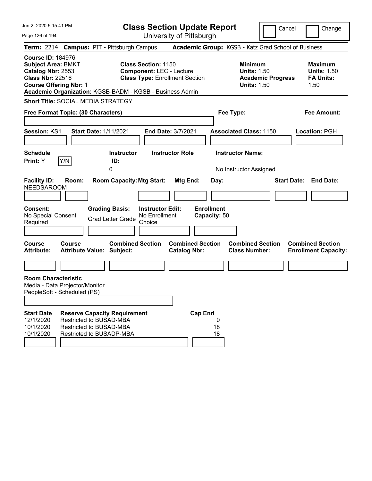| Jun 2, 2020 5:15:41 PM                                                                                                                                                                             |                                                                                |                                                           | <b>Class Section Update Report</b>                                                                     |                        |                         |                           |                                                                                        | Cancel | Change                                                           |
|----------------------------------------------------------------------------------------------------------------------------------------------------------------------------------------------------|--------------------------------------------------------------------------------|-----------------------------------------------------------|--------------------------------------------------------------------------------------------------------|------------------------|-------------------------|---------------------------|----------------------------------------------------------------------------------------|--------|------------------------------------------------------------------|
| Page 126 of 194                                                                                                                                                                                    |                                                                                |                                                           | University of Pittsburgh                                                                               |                        |                         |                           |                                                                                        |        |                                                                  |
| Term: 2214 Campus: PIT - Pittsburgh Campus                                                                                                                                                         |                                                                                |                                                           |                                                                                                        |                        |                         |                           | Academic Group: KGSB - Katz Grad School of Business                                    |        |                                                                  |
| <b>Course ID: 184976</b><br><b>Subject Area: BMKT</b><br>Catalog Nbr: 2553<br><b>Class Nbr: 22516</b><br><b>Course Offering Nbr: 1</b><br>Academic Organization: KGSB-BADM - KGSB - Business Admin |                                                                                |                                                           | <b>Class Section: 1150</b><br><b>Component: LEC - Lecture</b><br><b>Class Type: Enrollment Section</b> |                        |                         |                           | <b>Minimum</b><br><b>Units: 1.50</b><br><b>Academic Progress</b><br><b>Units: 1.50</b> |        | <b>Maximum</b><br><b>Units: 1.50</b><br><b>FA Units:</b><br>1.50 |
| <b>Short Title: SOCIAL MEDIA STRATEGY</b>                                                                                                                                                          |                                                                                |                                                           |                                                                                                        |                        |                         |                           |                                                                                        |        |                                                                  |
| Free Format Topic: (30 Characters)                                                                                                                                                                 |                                                                                |                                                           |                                                                                                        |                        |                         |                           | Fee Type:                                                                              |        | Fee Amount:                                                      |
| Session: KS1                                                                                                                                                                                       |                                                                                | <b>Start Date: 1/11/2021</b>                              | <b>End Date: 3/7/2021</b>                                                                              |                        |                         |                           | <b>Associated Class: 1150</b>                                                          |        | Location: PGH                                                    |
| <b>Schedule</b><br>Print: Y                                                                                                                                                                        | Y/N                                                                            | <b>Instructor</b><br>ID:<br>0                             |                                                                                                        | <b>Instructor Role</b> |                         |                           | <b>Instructor Name:</b><br>No Instructor Assigned                                      |        |                                                                  |
| <b>Facility ID:</b><br><b>NEEDSAROOM</b><br><b>Consent:</b>                                                                                                                                        | Room:                                                                          | <b>Room Capacity: Mtg Start:</b><br><b>Grading Basis:</b> | <b>Instructor Edit:</b>                                                                                | Mtg End:               |                         | Day:<br><b>Enrollment</b> |                                                                                        |        | <b>Start Date: End Date:</b>                                     |
| No Special Consent<br>Required                                                                                                                                                                     |                                                                                | <b>Grad Letter Grade</b>                                  | No Enrollment<br>Choice                                                                                |                        |                         | Capacity: 50              |                                                                                        |        |                                                                  |
| <b>Course</b><br><b>Attribute:</b>                                                                                                                                                                 | Course<br><b>Attribute Value: Subject:</b>                                     | <b>Combined Section</b>                                   |                                                                                                        | <b>Catalog Nbr:</b>    | <b>Combined Section</b> |                           | <b>Combined Section</b><br><b>Class Number:</b>                                        |        | <b>Combined Section</b><br><b>Enrollment Capacity:</b>           |
|                                                                                                                                                                                                    |                                                                                |                                                           |                                                                                                        |                        |                         |                           |                                                                                        |        |                                                                  |
| <b>Room Characteristic</b><br>Media - Data Projector/Monitor<br>PeopleSoft - Scheduled (PS)                                                                                                        |                                                                                |                                                           |                                                                                                        |                        |                         |                           |                                                                                        |        |                                                                  |
| <b>Start Date</b><br>12/1/2020<br>10/1/2020<br>10/1/2020                                                                                                                                           | Restricted to BUSAD-MBA<br>Restricted to BUSAD-MBA<br>Restricted to BUSADP-MBA | <b>Reserve Capacity Requirement</b>                       |                                                                                                        |                        | <b>Cap Enrl</b>         | 0<br>18<br>18             |                                                                                        |        |                                                                  |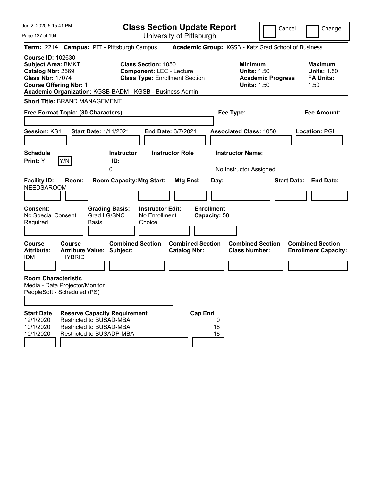Jun 2, 2020 5:15:41 PM Page 127 of 194 **Class Section Update Report** University of Pittsburgh Cancel Change **Term:** 2214 **Campus:** PIT - Pittsburgh Campus **Academic Group:** KGSB - Katz Grad School of Business **Course ID:** 102630 **Subject Area:** BMKT **Class Section:** 1050 **Minimum Maximum Catalog Nbr:** 2569 **Component:** LEC - Lecture **Units:** 1.50 **Units:** 1.50 **Class Nbr:** 17074 **Class Type:** Enrollment Section **Academic Progress FA Units: Course Offering Nbr: 1 1.50 1.50 1.50 1.50 1.50 1.50 Academic Organization:** KGSB-BADM - KGSB - Business Admin **Short Title:** BRAND MANAGEMENT **Free Format Topic: (30 Characters) Fee Type: Fee Amount: Session:** KS1 **Start Date:** 1/11/2021 **End Date:** 3/7/2021 **Associated Class:** 1050 **Location:** PGH **Schedule Instructor Instructor Role Instructor Name: Print:**  $Y$   $|Y/N|$  **ID:** 0 **No Instructor Assigned Facility ID: Room: Room Capacity:Mtg Start: Mtg End: Day: Start Date: End Date:** NEEDSAROOM **Consent: Grading Basis: Instructor Edit: Enrollment** No Special Consent Required Grad LG/SNC Basis No Enrollment Choice **Capacity:** 58 **Course Course Combined Section Combined Section Combined Section Combined Section**  Attribute: Attribute Value: Subject: Catalog Nbr: Class Number: Enrollment Capacity: IDM HYBRID **Room Characteristic** Media - Data Projector/Monitor PeopleSoft - Scheduled (PS) **Start Date Reserve Capacity Requirement Cap Enrl** 12/1/2020 Restricted to BUSAD-MBA 0 10/1/2020 Restricted to BUSAD-MBA 10/1/2020 Restricted to BUSADP-MBA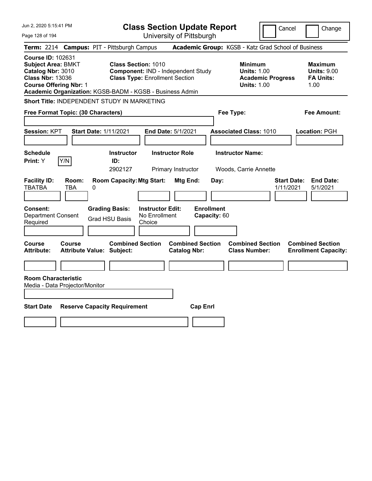| Jun 2, 2020 5:15:41 PM                                                                                                                 |                                                                                                                                 | <b>Class Section Update Report</b>                                            |                                                                                        | Cancel<br>Change                                                 |
|----------------------------------------------------------------------------------------------------------------------------------------|---------------------------------------------------------------------------------------------------------------------------------|-------------------------------------------------------------------------------|----------------------------------------------------------------------------------------|------------------------------------------------------------------|
| Page 128 of 194                                                                                                                        |                                                                                                                                 | University of Pittsburgh                                                      |                                                                                        |                                                                  |
| <b>Term: 2214</b>                                                                                                                      | <b>Campus: PIT - Pittsburgh Campus</b>                                                                                          |                                                                               | Academic Group: KGSB - Katz Grad School of Business                                    |                                                                  |
| <b>Course ID: 102631</b><br><b>Subject Area: BMKT</b><br>Catalog Nbr: 3010<br><b>Class Nbr: 13036</b><br><b>Course Offering Nbr: 1</b> | <b>Class Section: 1010</b><br><b>Class Type: Enrollment Section</b><br>Academic Organization: KGSB-BADM - KGSB - Business Admin | Component: IND - Independent Study                                            | <b>Minimum</b><br><b>Units: 1.00</b><br><b>Academic Progress</b><br><b>Units: 1.00</b> | <b>Maximum</b><br><b>Units: 9.00</b><br><b>FA Units:</b><br>1.00 |
|                                                                                                                                        | Short Title: INDEPENDENT STUDY IN MARKETING                                                                                     |                                                                               |                                                                                        |                                                                  |
| Free Format Topic: (30 Characters)                                                                                                     |                                                                                                                                 |                                                                               | Fee Type:                                                                              | Fee Amount:                                                      |
| <b>Session: KPT</b>                                                                                                                    | <b>Start Date: 1/11/2021</b>                                                                                                    | End Date: 5/1/2021                                                            | <b>Associated Class: 1010</b>                                                          | Location: PGH                                                    |
| <b>Schedule</b><br>Y/N<br>Print: Y                                                                                                     | <b>Instructor</b><br>ID:<br>2902127                                                                                             | <b>Instructor Role</b><br>Primary Instructor                                  | <b>Instructor Name:</b><br>Woods, Carrie Annette                                       |                                                                  |
| <b>Facility ID:</b><br>Room:<br><b>TBATBA</b><br>TBA                                                                                   | <b>Room Capacity: Mtg Start:</b><br>0                                                                                           | Mtg End:<br>Day:                                                              |                                                                                        | <b>End Date:</b><br><b>Start Date:</b><br>5/1/2021<br>1/11/2021  |
| Consent:<br><b>Department Consent</b><br>Required                                                                                      | <b>Grading Basis:</b><br><b>Grad HSU Basis</b><br>Choice                                                                        | <b>Enrollment</b><br><b>Instructor Edit:</b><br>No Enrollment<br>Capacity: 60 |                                                                                        |                                                                  |
| Course<br><b>Course</b><br>Attribute:                                                                                                  | <b>Combined Section</b><br>Attribute Value: Subject:                                                                            | <b>Combined Section</b><br><b>Catalog Nbr:</b>                                | <b>Combined Section</b><br><b>Class Number:</b>                                        | <b>Combined Section</b><br><b>Enrollment Capacity:</b>           |
| <b>Room Characteristic</b><br>Media - Data Projector/Monitor                                                                           |                                                                                                                                 |                                                                               |                                                                                        |                                                                  |
| <b>Start Date</b>                                                                                                                      | <b>Reserve Capacity Requirement</b>                                                                                             | <b>Cap Enrl</b>                                                               |                                                                                        |                                                                  |
|                                                                                                                                        |                                                                                                                                 |                                                                               |                                                                                        |                                                                  |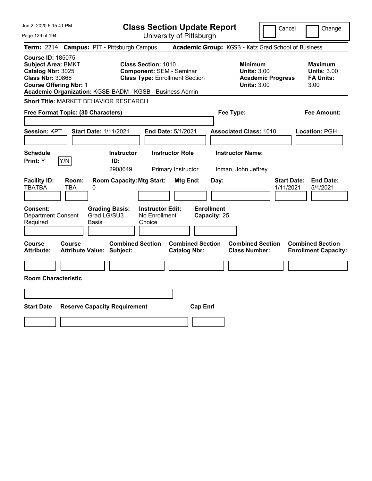| Jun 2, 2020 5:15:41 PM                                                                                                                                                                             |                                                                                                        | <b>Class Section Update Report</b>             | Cancel                                                                                 | Change                                                           |
|----------------------------------------------------------------------------------------------------------------------------------------------------------------------------------------------------|--------------------------------------------------------------------------------------------------------|------------------------------------------------|----------------------------------------------------------------------------------------|------------------------------------------------------------------|
| Page 129 of 194                                                                                                                                                                                    |                                                                                                        | University of Pittsburgh                       |                                                                                        |                                                                  |
| <b>Term: 2214</b>                                                                                                                                                                                  | <b>Campus: PIT - Pittsburgh Campus</b>                                                                 |                                                | Academic Group: KGSB - Katz Grad School of Business                                    |                                                                  |
| <b>Course ID: 185075</b><br><b>Subject Area: BMKT</b><br>Catalog Nbr: 3025<br><b>Class Nbr: 30866</b><br><b>Course Offering Nbr: 1</b><br>Academic Organization: KGSB-BADM - KGSB - Business Admin | <b>Class Section: 1010</b><br><b>Component: SEM - Seminar</b><br><b>Class Type: Enrollment Section</b> |                                                | <b>Minimum</b><br><b>Units: 3.00</b><br><b>Academic Progress</b><br><b>Units: 3.00</b> | <b>Maximum</b><br><b>Units: 3.00</b><br><b>FA Units:</b><br>3.00 |
| Short Title: MARKET BEHAVIOR RESEARCH                                                                                                                                                              |                                                                                                        |                                                |                                                                                        |                                                                  |
| Free Format Topic: (30 Characters)                                                                                                                                                                 |                                                                                                        |                                                | Fee Type:                                                                              | Fee Amount:                                                      |
| Session: KPT                                                                                                                                                                                       | <b>Start Date: 1/11/2021</b>                                                                           | End Date: 5/1/2021                             | <b>Associated Class: 1010</b>                                                          | Location: PGH                                                    |
| <b>Schedule</b><br>Y/N<br>Print: Y                                                                                                                                                                 | <b>Instructor</b><br>ID:<br>2908649                                                                    | <b>Instructor Role</b><br>Primary Instructor   | <b>Instructor Name:</b><br>Inman, John Jeffrey                                         |                                                                  |
| <b>Facility ID:</b><br>Room:<br><b>TBATBA</b><br>TBA<br>0                                                                                                                                          | <b>Room Capacity: Mtg Start:</b>                                                                       | <b>Mtg End:</b><br>Day:                        | 1/11/2021                                                                              | <b>Start Date:</b><br><b>End Date:</b><br>5/1/2021               |
| Consent:<br><b>Department Consent</b><br>Required<br>Basis                                                                                                                                         | <b>Grading Basis:</b><br><b>Instructor Edit:</b><br>Grad LG/SU3<br>No Enrollment<br>Choice             | <b>Enrollment</b><br>Capacity: 25              |                                                                                        |                                                                  |
| Course<br><b>Course</b><br><b>Attribute:</b><br><b>Attribute Value: Subject:</b>                                                                                                                   | <b>Combined Section</b>                                                                                | <b>Combined Section</b><br><b>Catalog Nbr:</b> | <b>Combined Section</b><br><b>Class Number:</b>                                        | <b>Combined Section</b><br><b>Enrollment Capacity:</b>           |
|                                                                                                                                                                                                    |                                                                                                        |                                                |                                                                                        |                                                                  |
| <b>Room Characteristic</b>                                                                                                                                                                         |                                                                                                        |                                                |                                                                                        |                                                                  |
|                                                                                                                                                                                                    |                                                                                                        |                                                |                                                                                        |                                                                  |
| <b>Start Date</b>                                                                                                                                                                                  | <b>Reserve Capacity Requirement</b>                                                                    | <b>Cap Enrl</b>                                |                                                                                        |                                                                  |
|                                                                                                                                                                                                    |                                                                                                        |                                                |                                                                                        |                                                                  |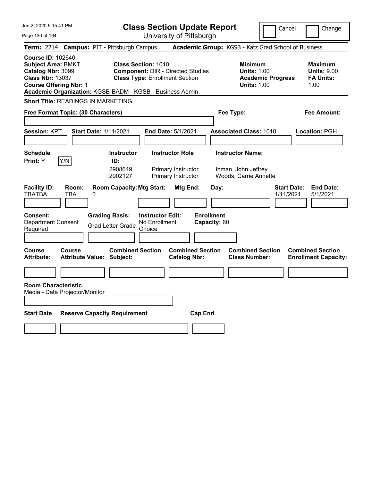Jun 2, 2020 5:15:41 PM Page 130 of 194 **Class Section Update Report** University of Pittsburgh Cancel Change **Term:** 2214 **Campus:** PIT - Pittsburgh Campus **Academic Group:** KGSB - Katz Grad School of Business **Course ID:** 102640 **Subject Area:** BMKT **Class Section:** 1010 **Minimum Maximum Catalog Nbr:** 3099 **Component:** DIR - Directed Studies **Units:** 1.00 **Units:** 9.00 **Class Nbr:** 13037 **Class Type:** Enrollment Section **Academic Progress FA Units: Course Offering Nbr:** 1 **Units:** 1.00 1.00 **Academic Organization:** KGSB-BADM - KGSB - Business Admin **Short Title:** READINGS IN MARKETING **Free Format Topic: (30 Characters) Fee Type: Fee Amount: Session:** KPT **Start Date:** 1/11/2021 **End Date:** 5/1/2021 **Associated Class:** 1010 **Location:** PGH **Schedule Instructor Instructor Role Instructor Name: Print:**  $Y$   $|Y/N|$  **ID:** 2908649 Primary Instructor Inman, John Jeffrey 2902127 Primary Instructor Woods, Carrie Annette **Facility ID: Room: Room Capacity:Mtg Start: Mtg End: Day: Start Date: End Date:** TBATBA TBA 0 1/11/2021 5/1/2021 **Consent: Grading Basis: Instructor Edit: Enrollment** Department Consent Required Grad Letter Grade No Enrollment Choice **Capacity:** 60 **Course Course Combined Section Combined Section Combined Section Combined Section**  Attribute: Attribute Value: Subject: Catalog Nbr: Class Number: Enrollment Capacity: **Room Characteristic** Media - Data Projector/Monitor **Start Date Reserve Capacity Requirement Cap Enrl**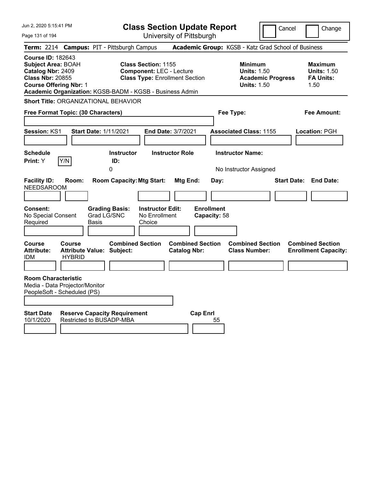| Jun 2, 2020 5:15:41 PM                                                                                                                                                                             |                                                             |                                      |                                                               | <b>Class Section Update Report</b>             |                                   |                                                                                        | Cancel | Change                                                           |
|----------------------------------------------------------------------------------------------------------------------------------------------------------------------------------------------------|-------------------------------------------------------------|--------------------------------------|---------------------------------------------------------------|------------------------------------------------|-----------------------------------|----------------------------------------------------------------------------------------|--------|------------------------------------------------------------------|
| Page 131 of 194                                                                                                                                                                                    |                                                             |                                      |                                                               | University of Pittsburgh                       |                                   |                                                                                        |        |                                                                  |
| Term: 2214 Campus: PIT - Pittsburgh Campus                                                                                                                                                         |                                                             |                                      |                                                               |                                                |                                   | Academic Group: KGSB - Katz Grad School of Business                                    |        |                                                                  |
| <b>Course ID: 182643</b><br><b>Subject Area: BOAH</b><br>Catalog Nbr: 2409<br><b>Class Nbr: 20855</b><br><b>Course Offering Nbr: 1</b><br>Academic Organization: KGSB-BADM - KGSB - Business Admin |                                                             |                                      | <b>Class Section: 1155</b><br><b>Component: LEC - Lecture</b> | <b>Class Type: Enrollment Section</b>          |                                   | <b>Minimum</b><br><b>Units: 1.50</b><br><b>Academic Progress</b><br><b>Units: 1.50</b> |        | <b>Maximum</b><br><b>Units: 1.50</b><br><b>FA Units:</b><br>1.50 |
| <b>Short Title: ORGANIZATIONAL BEHAVIOR</b>                                                                                                                                                        |                                                             |                                      |                                                               |                                                |                                   |                                                                                        |        |                                                                  |
| Free Format Topic: (30 Characters)                                                                                                                                                                 |                                                             |                                      |                                                               |                                                | Fee Type:                         |                                                                                        |        | Fee Amount:                                                      |
| <b>Session: KS1</b>                                                                                                                                                                                |                                                             | Start Date: 1/11/2021                |                                                               | End Date: 3/7/2021                             |                                   | <b>Associated Class: 1155</b>                                                          |        | Location: PGH                                                    |
| <b>Schedule</b><br>Print: Y                                                                                                                                                                        | Y/N                                                         | <b>Instructor</b><br>ID:<br>0        |                                                               | <b>Instructor Role</b>                         |                                   | <b>Instructor Name:</b><br>No Instructor Assigned                                      |        |                                                                  |
| <b>Facility ID:</b><br><b>NEEDSAROOM</b>                                                                                                                                                           | Room:                                                       | <b>Room Capacity: Mtg Start:</b>     |                                                               | Mtg End:                                       | Day:                              |                                                                                        |        | <b>Start Date: End Date:</b>                                     |
| <b>Consent:</b><br>No Special Consent<br>Required                                                                                                                                                  | Basis                                                       | <b>Grading Basis:</b><br>Grad LG/SNC | <b>Instructor Edit:</b><br>No Enrollment<br>Choice            |                                                | <b>Enrollment</b><br>Capacity: 58 |                                                                                        |        |                                                                  |
| Course<br><b>Attribute:</b><br><b>IDM</b>                                                                                                                                                          | Course<br><b>Attribute Value: Subject:</b><br><b>HYBRID</b> | <b>Combined Section</b>              |                                                               | <b>Combined Section</b><br><b>Catalog Nbr:</b> |                                   | <b>Combined Section</b><br><b>Class Number:</b>                                        |        | <b>Combined Section</b><br><b>Enrollment Capacity:</b>           |
| <b>Room Characteristic</b><br>Media - Data Projector/Monitor<br>PeopleSoft - Scheduled (PS)                                                                                                        |                                                             |                                      |                                                               |                                                |                                   |                                                                                        |        |                                                                  |
| <b>Start Date</b><br>10/1/2020                                                                                                                                                                     | Restricted to BUSADP-MBA                                    | <b>Reserve Capacity Requirement</b>  |                                                               | <b>Cap Enrl</b>                                | 55                                |                                                                                        |        |                                                                  |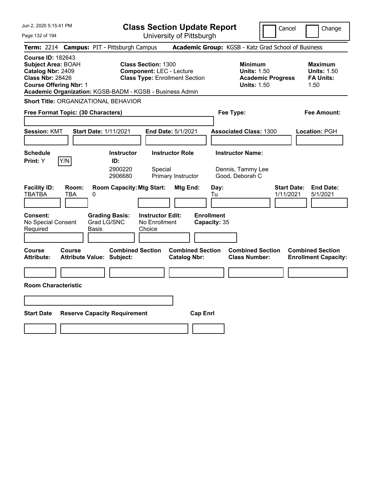| Jun 2, 2020 5:15:41 PM                                                                                                                                                                             | <b>Class Section Update Report</b>                                                                        | Cancel                                                                                 | Change                                                           |
|----------------------------------------------------------------------------------------------------------------------------------------------------------------------------------------------------|-----------------------------------------------------------------------------------------------------------|----------------------------------------------------------------------------------------|------------------------------------------------------------------|
| Page 132 of 194                                                                                                                                                                                    | University of Pittsburgh                                                                                  |                                                                                        |                                                                  |
| <b>Term: 2214</b><br><b>Campus: PIT - Pittsburgh Campus</b>                                                                                                                                        |                                                                                                           | Academic Group: KGSB - Katz Grad School of Business                                    |                                                                  |
| <b>Course ID: 182643</b><br><b>Subject Area: BOAH</b><br>Catalog Nbr: 2409<br><b>Class Nbr: 28426</b><br><b>Course Offering Nbr: 1</b><br>Academic Organization: KGSB-BADM - KGSB - Business Admin | <b>Class Section: 1300</b><br><b>Component: LEC - Lecture</b><br><b>Class Type: Enrollment Section</b>    | <b>Minimum</b><br><b>Units: 1.50</b><br><b>Academic Progress</b><br><b>Units: 1.50</b> | <b>Maximum</b><br><b>Units: 1.50</b><br><b>FA Units:</b><br>1.50 |
| Short Title: ORGANIZATIONAL BEHAVIOR                                                                                                                                                               |                                                                                                           |                                                                                        |                                                                  |
| Free Format Topic: (30 Characters)                                                                                                                                                                 |                                                                                                           | Fee Type:                                                                              | Fee Amount:                                                      |
| <b>Session: KMT</b><br><b>Start Date: 1/11/2021</b>                                                                                                                                                | <b>End Date: 5/1/2021</b>                                                                                 | <b>Associated Class: 1300</b>                                                          | Location: PGH                                                    |
| <b>Schedule</b><br>Y/N<br><b>Print:</b> Y                                                                                                                                                          | <b>Instructor Role</b><br><b>Instructor</b><br>ID:<br>2900220<br>Special<br>2906680<br>Primary Instructor | <b>Instructor Name:</b><br>Dennis, Tammy Lee<br>Good, Deborah C                        |                                                                  |
| <b>Facility ID:</b><br>Room:<br><b>TBATBA</b><br>TBA<br>0<br><b>Consent:</b><br><b>Grading Basis:</b><br>Grad LG/SNC<br>No Special Consent<br>Required<br>Basis                                    | <b>Room Capacity: Mtg Start:</b><br>Mtg End:<br><b>Instructor Edit:</b><br>No Enrollment<br>Choice        | Day:<br>1/11/2021<br>Tu<br><b>Enrollment</b><br>Capacity: 35                           | <b>Start Date:</b><br><b>End Date:</b><br>5/1/2021               |
| Course<br><b>Course</b><br><b>Attribute:</b><br><b>Attribute Value: Subject:</b>                                                                                                                   | <b>Combined Section</b><br><b>Combined Section</b><br><b>Catalog Nbr:</b>                                 | <b>Combined Section</b><br><b>Class Number:</b>                                        | <b>Combined Section</b><br><b>Enrollment Capacity:</b>           |
|                                                                                                                                                                                                    |                                                                                                           |                                                                                        |                                                                  |
| <b>Room Characteristic</b>                                                                                                                                                                         |                                                                                                           |                                                                                        |                                                                  |
|                                                                                                                                                                                                    |                                                                                                           |                                                                                        |                                                                  |
| <b>Start Date</b><br><b>Reserve Capacity Requirement</b>                                                                                                                                           | <b>Cap Enri</b>                                                                                           |                                                                                        |                                                                  |
|                                                                                                                                                                                                    |                                                                                                           |                                                                                        |                                                                  |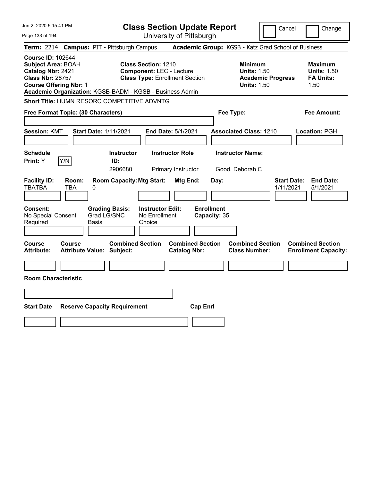| Jun 2, 2020 5:15:41 PM                                                                                                                                                                             |                                                             | <b>Class Section Update Report</b>                                                                     |                                       |                                                                                        | Cancel<br>Change                                                 |
|----------------------------------------------------------------------------------------------------------------------------------------------------------------------------------------------------|-------------------------------------------------------------|--------------------------------------------------------------------------------------------------------|---------------------------------------|----------------------------------------------------------------------------------------|------------------------------------------------------------------|
| Page 133 of 194                                                                                                                                                                                    |                                                             | University of Pittsburgh                                                                               |                                       |                                                                                        |                                                                  |
| <b>Term: 2214</b>                                                                                                                                                                                  | <b>Campus: PIT - Pittsburgh Campus</b>                      |                                                                                                        |                                       | Academic Group: KGSB - Katz Grad School of Business                                    |                                                                  |
| <b>Course ID: 102644</b><br><b>Subject Area: BOAH</b><br>Catalog Nbr: 2421<br><b>Class Nbr: 28757</b><br><b>Course Offering Nbr: 1</b><br>Academic Organization: KGSB-BADM - KGSB - Business Admin |                                                             | <b>Class Section: 1210</b><br><b>Component: LEC - Lecture</b><br><b>Class Type: Enrollment Section</b> |                                       | <b>Minimum</b><br><b>Units: 1.50</b><br><b>Academic Progress</b><br><b>Units: 1.50</b> | <b>Maximum</b><br><b>Units: 1.50</b><br><b>FA Units:</b><br>1.50 |
| Short Title: HUMN RESORC COMPETITIVE ADVNTG                                                                                                                                                        |                                                             |                                                                                                        |                                       |                                                                                        |                                                                  |
| Free Format Topic: (30 Characters)                                                                                                                                                                 |                                                             |                                                                                                        |                                       | Fee Type:                                                                              | Fee Amount:                                                      |
| <b>Session: KMT</b>                                                                                                                                                                                | Start Date: 1/11/2021                                       | End Date: 5/1/2021                                                                                     |                                       | <b>Associated Class: 1210</b>                                                          | Location: PGH                                                    |
| <b>Schedule</b><br>Y/N<br>Print: Y                                                                                                                                                                 | <b>Instructor</b><br>ID:<br>2906680                         | <b>Instructor Role</b><br>Primary Instructor                                                           |                                       | <b>Instructor Name:</b><br>Good, Deborah C                                             |                                                                  |
| <b>Facility ID:</b><br>Room:<br><b>TBATBA</b><br>TBA                                                                                                                                               | <b>Room Capacity: Mtg Start:</b><br>0                       |                                                                                                        | Mtg End:<br>Day:<br><b>Enrollment</b> |                                                                                        | <b>Start Date:</b><br><b>End Date:</b><br>1/11/2021<br>5/1/2021  |
| <b>Consent:</b><br>No Special Consent<br>Required                                                                                                                                                  | <b>Grading Basis:</b><br>Grad LG/SNC<br>Basis               | <b>Instructor Edit:</b><br>No Enrollment<br>Choice                                                     | Capacity: 35                          |                                                                                        |                                                                  |
| Course<br>Course<br>Attribute:                                                                                                                                                                     | <b>Combined Section</b><br><b>Attribute Value: Subject:</b> | <b>Catalog Nbr:</b>                                                                                    | <b>Combined Section</b>               | <b>Combined Section</b><br><b>Class Number:</b>                                        | <b>Combined Section</b><br><b>Enrollment Capacity:</b>           |
|                                                                                                                                                                                                    |                                                             |                                                                                                        |                                       |                                                                                        |                                                                  |
| <b>Room Characteristic</b>                                                                                                                                                                         |                                                             |                                                                                                        |                                       |                                                                                        |                                                                  |
|                                                                                                                                                                                                    |                                                             |                                                                                                        |                                       |                                                                                        |                                                                  |
| <b>Start Date</b>                                                                                                                                                                                  | <b>Reserve Capacity Requirement</b>                         |                                                                                                        | <b>Cap Enrl</b>                       |                                                                                        |                                                                  |
|                                                                                                                                                                                                    |                                                             |                                                                                                        |                                       |                                                                                        |                                                                  |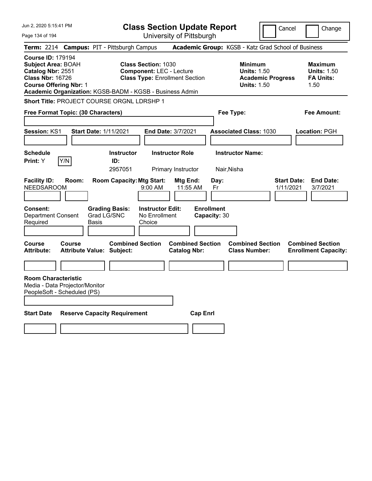| Jun 2, 2020 5:15:41 PM                                                                                                                 |                 |                                                                                                              |                                                                 | <b>Class Section Update Report</b>              |                                                 |                                                            | Cancel                   | Change                                                                        |
|----------------------------------------------------------------------------------------------------------------------------------------|-----------------|--------------------------------------------------------------------------------------------------------------|-----------------------------------------------------------------|-------------------------------------------------|-------------------------------------------------|------------------------------------------------------------|--------------------------|-------------------------------------------------------------------------------|
| Page 134 of 194                                                                                                                        |                 |                                                                                                              |                                                                 | University of Pittsburgh                        |                                                 |                                                            |                          |                                                                               |
|                                                                                                                                        |                 | Term: 2214 Campus: PIT - Pittsburgh Campus                                                                   |                                                                 |                                                 |                                                 |                                                            |                          | Academic Group: KGSB - Katz Grad School of Business                           |
| <b>Course ID: 179194</b><br><b>Subject Area: BOAH</b><br>Catalog Nbr: 2551<br><b>Class Nbr: 16726</b><br><b>Course Offering Nbr: 1</b> |                 | Academic Organization: KGSB-BADM - KGSB - Business Admin                                                     | <b>Class Section: 1030</b><br><b>Component: LEC - Lecture</b>   | <b>Class Type: Enrollment Section</b>           |                                                 | <b>Minimum</b><br><b>Units: 1.50</b><br><b>Units: 1.50</b> | <b>Academic Progress</b> | <b>Maximum</b><br><b>Units: 1.50</b><br><b>FA Units:</b><br>1.50              |
|                                                                                                                                        |                 | Short Title: PROJECT COURSE ORGNL LDRSHP 1                                                                   |                                                                 |                                                 |                                                 |                                                            |                          |                                                                               |
| Free Format Topic: (30 Characters)                                                                                                     |                 |                                                                                                              |                                                                 |                                                 |                                                 | Fee Type:                                                  |                          | Fee Amount:                                                                   |
|                                                                                                                                        |                 |                                                                                                              |                                                                 |                                                 |                                                 |                                                            |                          |                                                                               |
| <b>Session: KS1</b>                                                                                                                    |                 | <b>Start Date: 1/11/2021</b>                                                                                 |                                                                 | End Date: 3/7/2021                              |                                                 | <b>Associated Class: 1030</b>                              |                          | Location: PGH                                                                 |
|                                                                                                                                        |                 |                                                                                                              |                                                                 |                                                 |                                                 |                                                            |                          |                                                                               |
| <b>Schedule</b>                                                                                                                        |                 | <b>Instructor</b>                                                                                            |                                                                 | <b>Instructor Role</b>                          |                                                 | <b>Instructor Name:</b>                                    |                          |                                                                               |
| <b>Print:</b> Y                                                                                                                        | Y/N             | ID:<br>2957051                                                                                               |                                                                 | Primary Instructor                              |                                                 | Nair, Nisha                                                |                          |                                                                               |
| <b>Facility ID:</b><br><b>NEEDSAROOM</b><br><b>Consent:</b><br><b>Department Consent</b><br>Required<br>Course                         | Room:<br>Course | <b>Room Capacity: Mtg Start:</b><br><b>Grading Basis:</b><br>Grad LG/SNC<br>Basis<br><b>Combined Section</b> | $9:00$ AM<br><b>Instructor Edit:</b><br>No Enrollment<br>Choice | Mtg End:<br>11:55 AM<br><b>Combined Section</b> | Day:<br>Fr<br><b>Enrollment</b><br>Capacity: 30 | <b>Combined Section</b>                                    | 1/11/2021                | <b>Start Date:</b><br><b>End Date:</b><br>3/7/2021<br><b>Combined Section</b> |
| <b>Attribute:</b>                                                                                                                      |                 | <b>Attribute Value: Subject:</b>                                                                             |                                                                 | <b>Catalog Nbr:</b>                             |                                                 | <b>Class Number:</b>                                       |                          | <b>Enrollment Capacity:</b>                                                   |
|                                                                                                                                        |                 |                                                                                                              |                                                                 |                                                 |                                                 |                                                            |                          |                                                                               |
| <b>Room Characteristic</b><br>Media - Data Projector/Monitor<br>PeopleSoft - Scheduled (PS)                                            |                 |                                                                                                              |                                                                 |                                                 |                                                 |                                                            |                          |                                                                               |
| <b>Start Date</b>                                                                                                                      |                 | <b>Reserve Capacity Requirement</b>                                                                          |                                                                 |                                                 | <b>Cap Enri</b>                                 |                                                            |                          |                                                                               |
|                                                                                                                                        |                 |                                                                                                              |                                                                 |                                                 |                                                 |                                                            |                          |                                                                               |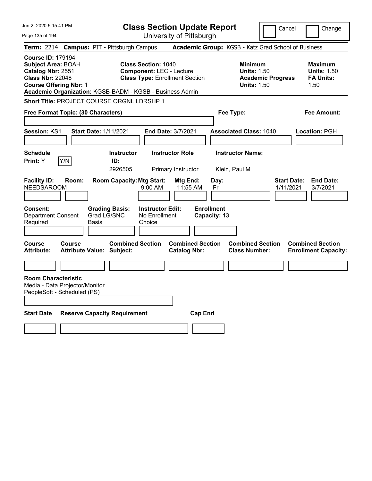| Jun 2, 2020 5:15:41 PM                                                                                                                                                                             | <b>Class Section Update Report</b>                                                                                                                                     |                                                 |                                                                            | Cancel                          | Change                                                           |
|----------------------------------------------------------------------------------------------------------------------------------------------------------------------------------------------------|------------------------------------------------------------------------------------------------------------------------------------------------------------------------|-------------------------------------------------|----------------------------------------------------------------------------|---------------------------------|------------------------------------------------------------------|
| Page 135 of 194                                                                                                                                                                                    |                                                                                                                                                                        | University of Pittsburgh                        |                                                                            |                                 |                                                                  |
| Term: 2214 Campus: PIT - Pittsburgh Campus                                                                                                                                                         |                                                                                                                                                                        |                                                 | Academic Group: KGSB - Katz Grad School of Business                        |                                 |                                                                  |
| <b>Course ID: 179194</b><br><b>Subject Area: BOAH</b><br>Catalog Nbr: 2551<br><b>Class Nbr: 22048</b><br><b>Course Offering Nbr: 1</b><br>Academic Organization: KGSB-BADM - KGSB - Business Admin | <b>Class Section: 1040</b><br><b>Component: LEC - Lecture</b><br><b>Class Type: Enrollment Section</b>                                                                 |                                                 | <b>Minimum</b><br><b>Units: 1.50</b><br><b>Units: 1.50</b>                 | <b>Academic Progress</b>        | <b>Maximum</b><br><b>Units: 1.50</b><br><b>FA Units:</b><br>1.50 |
| Short Title: PROJECT COURSE ORGNL LDRSHP 1                                                                                                                                                         |                                                                                                                                                                        |                                                 |                                                                            |                                 |                                                                  |
| Free Format Topic: (30 Characters)                                                                                                                                                                 |                                                                                                                                                                        |                                                 | Fee Type:                                                                  |                                 | Fee Amount:                                                      |
|                                                                                                                                                                                                    |                                                                                                                                                                        |                                                 |                                                                            |                                 |                                                                  |
| <b>Session: KS1</b><br><b>Start Date: 1/11/2021</b>                                                                                                                                                |                                                                                                                                                                        | End Date: 3/7/2021                              | <b>Associated Class: 1040</b>                                              |                                 | Location: PGH                                                    |
|                                                                                                                                                                                                    |                                                                                                                                                                        |                                                 |                                                                            |                                 |                                                                  |
| <b>Schedule</b>                                                                                                                                                                                    | <b>Instructor</b>                                                                                                                                                      | <b>Instructor Role</b>                          | <b>Instructor Name:</b>                                                    |                                 |                                                                  |
| Y/N<br><b>Print:</b> Y                                                                                                                                                                             | ID:<br>2926505                                                                                                                                                         | Primary Instructor                              | Klein, Paul M                                                              |                                 |                                                                  |
| <b>Facility ID:</b><br>Room:<br><b>NEEDSAROOM</b><br><b>Consent:</b><br><b>Department Consent</b><br>Required<br>Basis<br>Course<br>Course                                                         | <b>Room Capacity: Mtg Start:</b><br>$9:00$ AM<br><b>Grading Basis:</b><br><b>Instructor Edit:</b><br>Grad LG/SNC<br>No Enrollment<br>Choice<br><b>Combined Section</b> | Mtg End:<br>11:55 AM<br><b>Combined Section</b> | Day:<br>Fr<br><b>Enrollment</b><br>Capacity: 13<br><b>Combined Section</b> | <b>Start Date:</b><br>1/11/2021 | <b>End Date:</b><br>3/7/2021<br><b>Combined Section</b>          |
| <b>Attribute:</b><br><b>Attribute Value: Subject:</b>                                                                                                                                              |                                                                                                                                                                        | <b>Catalog Nbr:</b>                             | <b>Class Number:</b>                                                       |                                 | <b>Enrollment Capacity:</b>                                      |
|                                                                                                                                                                                                    |                                                                                                                                                                        |                                                 |                                                                            |                                 |                                                                  |
| <b>Room Characteristic</b><br>Media - Data Projector/Monitor<br>PeopleSoft - Scheduled (PS)                                                                                                        |                                                                                                                                                                        |                                                 |                                                                            |                                 |                                                                  |
| <b>Start Date</b>                                                                                                                                                                                  | <b>Reserve Capacity Requirement</b>                                                                                                                                    | <b>Cap Enri</b>                                 |                                                                            |                                 |                                                                  |
|                                                                                                                                                                                                    |                                                                                                                                                                        |                                                 |                                                                            |                                 |                                                                  |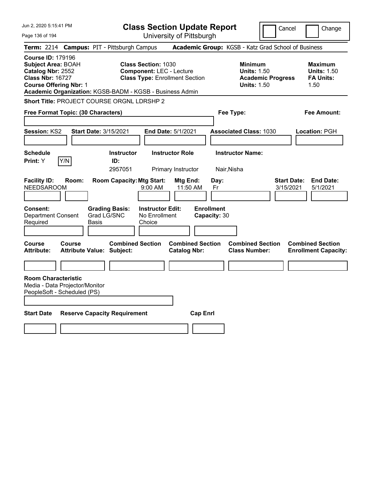| Jun 2, 2020 5:15:41 PM                                                                                                                                                                             |                                  |                                      |                                                               | <b>Class Section Update Report</b>             |                                   |                                                            | Cancel                          | Change                                                           |
|----------------------------------------------------------------------------------------------------------------------------------------------------------------------------------------------------|----------------------------------|--------------------------------------|---------------------------------------------------------------|------------------------------------------------|-----------------------------------|------------------------------------------------------------|---------------------------------|------------------------------------------------------------------|
| Page 136 of 194                                                                                                                                                                                    |                                  |                                      |                                                               | University of Pittsburgh                       |                                   |                                                            |                                 |                                                                  |
| Term: 2214 Campus: PIT - Pittsburgh Campus                                                                                                                                                         |                                  |                                      |                                                               |                                                |                                   | Academic Group: KGSB - Katz Grad School of Business        |                                 |                                                                  |
| <b>Course ID: 179196</b><br><b>Subject Area: BOAH</b><br>Catalog Nbr: 2552<br><b>Class Nbr: 16727</b><br><b>Course Offering Nbr: 1</b><br>Academic Organization: KGSB-BADM - KGSB - Business Admin |                                  |                                      | <b>Class Section: 1030</b><br><b>Component: LEC - Lecture</b> | <b>Class Type: Enrollment Section</b>          |                                   | <b>Minimum</b><br><b>Units: 1.50</b><br><b>Units: 1.50</b> | <b>Academic Progress</b>        | <b>Maximum</b><br><b>Units: 1.50</b><br><b>FA Units:</b><br>1.50 |
| Short Title: PROJECT COURSE ORGNL LDRSHP 2                                                                                                                                                         |                                  |                                      |                                                               |                                                |                                   |                                                            |                                 |                                                                  |
| Free Format Topic: (30 Characters)                                                                                                                                                                 |                                  |                                      |                                                               |                                                |                                   | Fee Type:                                                  |                                 | Fee Amount:                                                      |
| <b>Session: KS2</b>                                                                                                                                                                                | <b>Start Date: 3/15/2021</b>     |                                      |                                                               | <b>End Date: 5/1/2021</b>                      |                                   | <b>Associated Class: 1030</b>                              |                                 | Location: PGH                                                    |
| <b>Schedule</b><br>Y/N<br>Print: Y                                                                                                                                                                 |                                  | <b>Instructor</b><br>ID:<br>2957051  |                                                               | <b>Instructor Role</b><br>Primary Instructor   |                                   | <b>Instructor Name:</b><br>Nair, Nisha                     |                                 |                                                                  |
| <b>Facility ID:</b><br><b>NEEDSAROOM</b>                                                                                                                                                           | Room:                            | <b>Room Capacity: Mtg Start:</b>     | 9:00 AM                                                       | Mtg End:<br>11:50 AM                           | Day:<br>Fr                        |                                                            | <b>Start Date:</b><br>3/15/2021 | <b>End Date:</b><br>5/1/2021                                     |
| <b>Consent:</b><br><b>Department Consent</b><br>Required                                                                                                                                           | Basis                            | <b>Grading Basis:</b><br>Grad LG/SNC | <b>Instructor Edit:</b><br>No Enrollment<br>Choice            |                                                | <b>Enrollment</b><br>Capacity: 30 |                                                            |                                 |                                                                  |
| <b>Course</b><br>Course<br><b>Attribute:</b>                                                                                                                                                       | <b>Attribute Value: Subject:</b> | <b>Combined Section</b>              |                                                               | <b>Combined Section</b><br><b>Catalog Nbr:</b> |                                   | <b>Combined Section</b><br><b>Class Number:</b>            |                                 | <b>Combined Section</b><br><b>Enrollment Capacity:</b>           |
|                                                                                                                                                                                                    |                                  |                                      |                                                               |                                                |                                   |                                                            |                                 |                                                                  |
| <b>Room Characteristic</b><br>Media - Data Projector/Monitor<br>PeopleSoft - Scheduled (PS)                                                                                                        |                                  |                                      |                                                               |                                                |                                   |                                                            |                                 |                                                                  |
| <b>Start Date</b>                                                                                                                                                                                  |                                  | <b>Reserve Capacity Requirement</b>  |                                                               |                                                | <b>Cap Enri</b>                   |                                                            |                                 |                                                                  |
|                                                                                                                                                                                                    |                                  |                                      |                                                               |                                                |                                   |                                                            |                                 |                                                                  |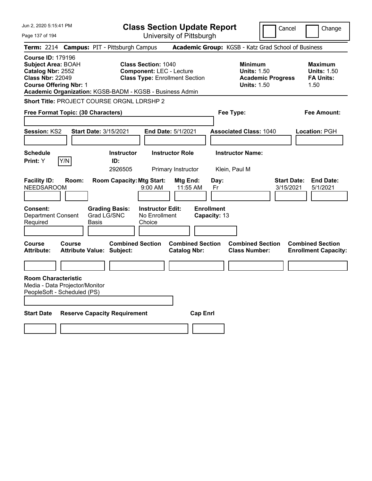| Jun 2, 2020 5:15:41 PM                                                                                                                                                                             |                                            |                                                                                                     | <b>Class Section Update Report</b>                                                                     |                                                 |                   |                            |                                                            |                          | Cancel                          | Change                                                           |
|----------------------------------------------------------------------------------------------------------------------------------------------------------------------------------------------------|--------------------------------------------|-----------------------------------------------------------------------------------------------------|--------------------------------------------------------------------------------------------------------|-------------------------------------------------|-------------------|----------------------------|------------------------------------------------------------|--------------------------|---------------------------------|------------------------------------------------------------------|
| Page 137 of 194                                                                                                                                                                                    |                                            |                                                                                                     |                                                                                                        | University of Pittsburgh                        |                   |                            |                                                            |                          |                                 |                                                                  |
| Term: 2214 Campus: PIT - Pittsburgh Campus                                                                                                                                                         |                                            |                                                                                                     |                                                                                                        |                                                 |                   |                            | Academic Group: KGSB - Katz Grad School of Business        |                          |                                 |                                                                  |
| <b>Course ID: 179196</b><br><b>Subject Area: BOAH</b><br>Catalog Nbr: 2552<br><b>Class Nbr: 22049</b><br><b>Course Offering Nbr: 1</b><br>Academic Organization: KGSB-BADM - KGSB - Business Admin |                                            |                                                                                                     | <b>Class Section: 1040</b><br><b>Component: LEC - Lecture</b><br><b>Class Type: Enrollment Section</b> |                                                 |                   |                            | <b>Minimum</b><br><b>Units: 1.50</b><br><b>Units: 1.50</b> | <b>Academic Progress</b> |                                 | <b>Maximum</b><br><b>Units: 1.50</b><br><b>FA Units:</b><br>1.50 |
| Short Title: PROJECT COURSE ORGNL LDRSHP 2                                                                                                                                                         |                                            |                                                                                                     |                                                                                                        |                                                 |                   |                            |                                                            |                          |                                 |                                                                  |
| Free Format Topic: (30 Characters)                                                                                                                                                                 |                                            |                                                                                                     |                                                                                                        |                                                 |                   |                            | Fee Type:                                                  |                          |                                 | Fee Amount:                                                      |
|                                                                                                                                                                                                    |                                            |                                                                                                     |                                                                                                        |                                                 |                   |                            |                                                            |                          |                                 |                                                                  |
| <b>Session: KS2</b>                                                                                                                                                                                | <b>Start Date: 3/15/2021</b>               |                                                                                                     |                                                                                                        | <b>End Date: 5/1/2021</b>                       |                   |                            | <b>Associated Class: 1040</b>                              |                          |                                 | Location: PGH                                                    |
|                                                                                                                                                                                                    |                                            |                                                                                                     |                                                                                                        |                                                 |                   |                            |                                                            |                          |                                 |                                                                  |
| <b>Schedule</b>                                                                                                                                                                                    |                                            | <b>Instructor</b>                                                                                   |                                                                                                        | <b>Instructor Role</b>                          |                   |                            | <b>Instructor Name:</b>                                    |                          |                                 |                                                                  |
| Y/N<br><b>Print:</b> Y                                                                                                                                                                             |                                            | ID:<br>2926505                                                                                      |                                                                                                        | Primary Instructor                              |                   |                            | Klein, Paul M                                              |                          |                                 |                                                                  |
| <b>Facility ID:</b><br><b>NEEDSAROOM</b><br><b>Consent:</b><br><b>Department Consent</b><br>Required                                                                                               | Room:<br>Basis                             | <b>Room Capacity: Mtg Start:</b><br><b>Grading Basis:</b><br>Grad LG/SNC<br><b>Combined Section</b> | $9:00$ AM<br><b>Instructor Edit:</b><br>No Enrollment<br>Choice                                        | Mtg End:<br>11:55 AM<br><b>Combined Section</b> | <b>Enrollment</b> | Day:<br>Fr<br>Capacity: 13 | <b>Combined Section</b>                                    |                          | <b>Start Date:</b><br>3/15/2021 | <b>End Date:</b><br>5/1/2021<br><b>Combined Section</b>          |
| Course<br><b>Attribute:</b>                                                                                                                                                                        | Course<br><b>Attribute Value: Subject:</b> |                                                                                                     |                                                                                                        | <b>Catalog Nbr:</b>                             |                   |                            | <b>Class Number:</b>                                       |                          |                                 | <b>Enrollment Capacity:</b>                                      |
|                                                                                                                                                                                                    |                                            |                                                                                                     |                                                                                                        |                                                 |                   |                            |                                                            |                          |                                 |                                                                  |
| <b>Room Characteristic</b><br>Media - Data Projector/Monitor<br>PeopleSoft - Scheduled (PS)                                                                                                        |                                            |                                                                                                     |                                                                                                        |                                                 |                   |                            |                                                            |                          |                                 |                                                                  |
| <b>Start Date</b>                                                                                                                                                                                  | <b>Reserve Capacity Requirement</b>        |                                                                                                     |                                                                                                        |                                                 | <b>Cap Enri</b>   |                            |                                                            |                          |                                 |                                                                  |
|                                                                                                                                                                                                    |                                            |                                                                                                     |                                                                                                        |                                                 |                   |                            |                                                            |                          |                                 |                                                                  |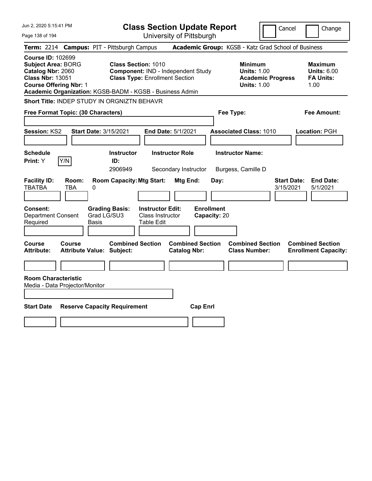| Jun 2, 2020 5:15:41 PM                                                                                                                 | <b>Class Section Update Report</b>                                                                                                                                    | Cancel                                                                                 | Change                                                           |
|----------------------------------------------------------------------------------------------------------------------------------------|-----------------------------------------------------------------------------------------------------------------------------------------------------------------------|----------------------------------------------------------------------------------------|------------------------------------------------------------------|
| Page 138 of 194                                                                                                                        | University of Pittsburgh                                                                                                                                              |                                                                                        |                                                                  |
| <b>Term: 2214</b>                                                                                                                      | <b>Campus: PIT - Pittsburgh Campus</b>                                                                                                                                | Academic Group: KGSB - Katz Grad School of Business                                    |                                                                  |
| <b>Course ID: 102699</b><br><b>Subject Area: BORG</b><br>Catalog Nbr: 2060<br><b>Class Nbr: 13051</b><br><b>Course Offering Nbr: 1</b> | <b>Class Section: 1010</b><br>Component: IND - Independent Study<br><b>Class Type: Enrollment Section</b><br>Academic Organization: KGSB-BADM - KGSB - Business Admin | <b>Minimum</b><br><b>Units: 1.00</b><br><b>Academic Progress</b><br><b>Units: 1.00</b> | <b>Maximum</b><br><b>Units: 6.00</b><br><b>FA Units:</b><br>1.00 |
| <b>Short Title: INDEP STUDY IN ORGNIZTN BEHAVR</b>                                                                                     |                                                                                                                                                                       |                                                                                        |                                                                  |
| Free Format Topic: (30 Characters)                                                                                                     |                                                                                                                                                                       | Fee Type:                                                                              | Fee Amount:                                                      |
| Session: KS2                                                                                                                           | <b>Start Date: 3/15/2021</b><br>End Date: 5/1/2021                                                                                                                    | <b>Associated Class: 1010</b>                                                          | Location: PGH                                                    |
| <b>Schedule</b><br>Print: Y<br>Y/N                                                                                                     | <b>Instructor</b><br><b>Instructor Role</b><br>ID:<br>2906949<br>Secondary Instructor                                                                                 | <b>Instructor Name:</b><br>Burgess, Camille D                                          |                                                                  |
| <b>Facility ID:</b><br>Room:<br><b>TBATBA</b><br>TBA<br>0                                                                              | <b>Room Capacity: Mtg Start:</b><br>Mtg End:<br>Day:                                                                                                                  | <b>Start Date:</b><br>3/15/2021                                                        | <b>End Date:</b><br>5/1/2021                                     |
| Consent:<br><b>Department Consent</b><br>Required<br>Basis                                                                             | <b>Enrollment</b><br><b>Instructor Edit:</b><br><b>Grading Basis:</b><br>Grad LG/SU3<br>Class Instructor<br>Capacity: 20<br><b>Table Edit</b>                         |                                                                                        |                                                                  |
| Course<br>Course<br><b>Attribute Value: Subject:</b><br><b>Attribute:</b>                                                              | <b>Combined Section</b><br><b>Combined Section</b><br><b>Catalog Nbr:</b>                                                                                             | <b>Combined Section</b><br><b>Class Number:</b>                                        | <b>Combined Section</b><br><b>Enrollment Capacity:</b>           |
|                                                                                                                                        |                                                                                                                                                                       |                                                                                        |                                                                  |
| <b>Room Characteristic</b><br>Media - Data Projector/Monitor                                                                           |                                                                                                                                                                       |                                                                                        |                                                                  |
| <b>Start Date</b>                                                                                                                      | <b>Reserve Capacity Requirement</b><br><b>Cap Enrl</b>                                                                                                                |                                                                                        |                                                                  |
|                                                                                                                                        |                                                                                                                                                                       |                                                                                        |                                                                  |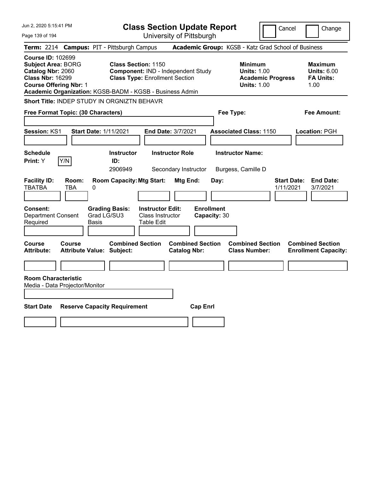| Jun 2, 2020 5:15:41 PM                                                                                                                 |                                                                                                                                                                       | <b>Class Section Update Report</b>                                   | Cancel                                                                                 | Change                                                           |
|----------------------------------------------------------------------------------------------------------------------------------------|-----------------------------------------------------------------------------------------------------------------------------------------------------------------------|----------------------------------------------------------------------|----------------------------------------------------------------------------------------|------------------------------------------------------------------|
| Page 139 of 194                                                                                                                        |                                                                                                                                                                       | University of Pittsburgh                                             |                                                                                        |                                                                  |
| <b>Term: 2214</b>                                                                                                                      | <b>Campus: PIT - Pittsburgh Campus</b>                                                                                                                                |                                                                      | Academic Group: KGSB - Katz Grad School of Business                                    |                                                                  |
| <b>Course ID: 102699</b><br><b>Subject Area: BORG</b><br>Catalog Nbr: 2060<br><b>Class Nbr: 16299</b><br><b>Course Offering Nbr: 1</b> | <b>Class Section: 1150</b><br>Component: IND - Independent Study<br><b>Class Type: Enrollment Section</b><br>Academic Organization: KGSB-BADM - KGSB - Business Admin |                                                                      | <b>Minimum</b><br><b>Units: 1.00</b><br><b>Academic Progress</b><br><b>Units: 1.00</b> | <b>Maximum</b><br><b>Units: 6.00</b><br><b>FA Units:</b><br>1.00 |
|                                                                                                                                        | Short Title: INDEP STUDY IN ORGNIZTN BEHAVR                                                                                                                           |                                                                      |                                                                                        |                                                                  |
| Free Format Topic: (30 Characters)                                                                                                     |                                                                                                                                                                       |                                                                      | Fee Type:                                                                              | Fee Amount:                                                      |
| Session: KS1<br><b>Schedule</b><br>Y/N<br>Print: Y                                                                                     | <b>Start Date: 1/11/2021</b><br><b>Instructor</b><br>ID:<br>2906949                                                                                                   | End Date: 3/7/2021<br><b>Instructor Role</b><br>Secondary Instructor | <b>Associated Class: 1150</b><br><b>Instructor Name:</b><br>Burgess, Camille D         | Location: PGH                                                    |
| <b>Facility ID:</b><br>Room:<br><b>TBATBA</b><br><b>TBA</b><br>Consent:<br><b>Department Consent</b><br>Required                       | <b>Room Capacity: Mtg Start:</b><br>0<br><b>Grading Basis:</b><br><b>Instructor Edit:</b><br>Grad LG/SU3<br>Class Instructor<br>Basis<br>Table Edit                   | <b>Mtg End:</b><br>Day:<br><b>Enrollment</b><br>Capacity: 30         | 1/11/2021                                                                              | <b>Start Date:</b><br><b>End Date:</b><br>3/7/2021               |
| <b>Course</b><br><b>Course</b><br><b>Attribute:</b><br><b>Room Characteristic</b><br>Media - Data Projector/Monitor                    | <b>Combined Section</b><br><b>Attribute Value: Subject:</b>                                                                                                           | <b>Combined Section</b><br><b>Catalog Nbr:</b>                       | <b>Combined Section</b><br><b>Class Number:</b>                                        | <b>Combined Section</b><br><b>Enrollment Capacity:</b>           |
| <b>Start Date</b>                                                                                                                      | <b>Reserve Capacity Requirement</b>                                                                                                                                   | <b>Cap Enrl</b>                                                      |                                                                                        |                                                                  |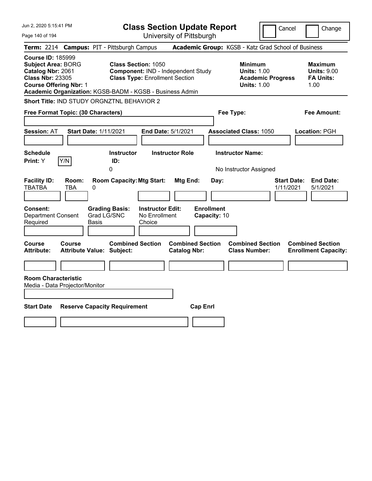| Jun 2, 2020 5:15:41 PM                                                                                                                                                                             |                                                                                                           | <b>Class Section Update Report</b>             |                                                                                        | Cancel<br>Change                                                 |
|----------------------------------------------------------------------------------------------------------------------------------------------------------------------------------------------------|-----------------------------------------------------------------------------------------------------------|------------------------------------------------|----------------------------------------------------------------------------------------|------------------------------------------------------------------|
| Page 140 of 194                                                                                                                                                                                    |                                                                                                           | University of Pittsburgh                       |                                                                                        |                                                                  |
| <b>Term: 2214</b>                                                                                                                                                                                  | <b>Campus: PIT - Pittsburgh Campus</b>                                                                    |                                                | Academic Group: KGSB - Katz Grad School of Business                                    |                                                                  |
| <b>Course ID: 185999</b><br><b>Subject Area: BORG</b><br>Catalog Nbr: 2061<br><b>Class Nbr: 23305</b><br><b>Course Offering Nbr: 1</b><br>Academic Organization: KGSB-BADM - KGSB - Business Admin | <b>Class Section: 1050</b><br>Component: IND - Independent Study<br><b>Class Type: Enrollment Section</b> |                                                | <b>Minimum</b><br><b>Units: 1.00</b><br><b>Academic Progress</b><br><b>Units: 1.00</b> | <b>Maximum</b><br><b>Units: 9.00</b><br><b>FA Units:</b><br>1.00 |
| Short Title: IND STUDY ORGNZTNL BEHAVIOR 2                                                                                                                                                         |                                                                                                           |                                                |                                                                                        |                                                                  |
| Free Format Topic: (30 Characters)                                                                                                                                                                 |                                                                                                           |                                                | Fee Type:                                                                              | Fee Amount:                                                      |
| <b>Start Date: 1/11/2021</b><br><b>Session: AT</b>                                                                                                                                                 |                                                                                                           | End Date: 5/1/2021                             | <b>Associated Class: 1050</b>                                                          | Location: PGH                                                    |
| <b>Schedule</b><br>Y/N<br><b>Print:</b> Y                                                                                                                                                          | <b>Instructor</b><br>ID:<br>0                                                                             | <b>Instructor Role</b>                         | <b>Instructor Name:</b><br>No Instructor Assigned                                      |                                                                  |
| <b>Facility ID:</b><br>Room:<br><b>TBATBA</b><br>TBA<br>0                                                                                                                                          | <b>Room Capacity: Mtg Start:</b>                                                                          | Mtg End:<br>Day:                               |                                                                                        | <b>Start Date:</b><br><b>End Date:</b><br>1/11/2021<br>5/1/2021  |
| Consent:<br><b>Department Consent</b><br>Required<br>Basis                                                                                                                                         | <b>Grading Basis:</b><br><b>Instructor Edit:</b><br>Grad LG/SNC<br>No Enrollment<br>Choice                | <b>Enrollment</b><br>Capacity: 10              |                                                                                        |                                                                  |
| <b>Course</b><br>Course<br><b>Attribute Value: Subject:</b><br><b>Attribute:</b>                                                                                                                   | <b>Combined Section</b>                                                                                   | <b>Combined Section</b><br><b>Catalog Nbr:</b> | <b>Combined Section</b><br><b>Class Number:</b>                                        | <b>Combined Section</b><br><b>Enrollment Capacity:</b>           |
| <b>Room Characteristic</b><br>Media - Data Projector/Monitor                                                                                                                                       |                                                                                                           |                                                |                                                                                        |                                                                  |
| <b>Start Date</b><br><b>Reserve Capacity Requirement</b>                                                                                                                                           |                                                                                                           | <b>Cap Enrl</b>                                |                                                                                        |                                                                  |
|                                                                                                                                                                                                    |                                                                                                           |                                                |                                                                                        |                                                                  |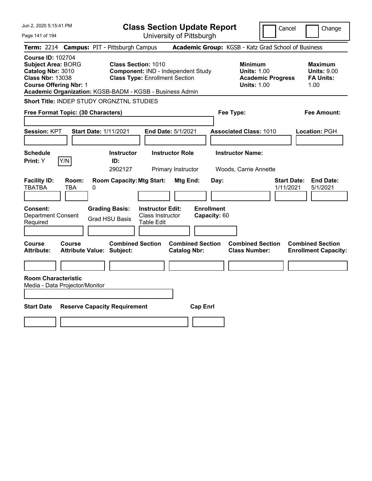| Jun 2, 2020 5:15:41 PM                                                                                                                                                                             |                                                                                                                                                               | <b>Class Section Update Report</b>                    |                                                                                        | Cancel<br>Change                                                 |
|----------------------------------------------------------------------------------------------------------------------------------------------------------------------------------------------------|---------------------------------------------------------------------------------------------------------------------------------------------------------------|-------------------------------------------------------|----------------------------------------------------------------------------------------|------------------------------------------------------------------|
| Page 141 of 194                                                                                                                                                                                    |                                                                                                                                                               | University of Pittsburgh                              |                                                                                        |                                                                  |
| <b>Term: 2214</b>                                                                                                                                                                                  | <b>Campus: PIT - Pittsburgh Campus</b>                                                                                                                        |                                                       | Academic Group: KGSB - Katz Grad School of Business                                    |                                                                  |
| <b>Course ID: 102704</b><br><b>Subject Area: BORG</b><br>Catalog Nbr: 3010<br><b>Class Nbr: 13038</b><br><b>Course Offering Nbr: 1</b><br>Academic Organization: KGSB-BADM - KGSB - Business Admin | <b>Class Section: 1010</b><br>Component: IND - Independent Study<br><b>Class Type: Enrollment Section</b>                                                     |                                                       | <b>Minimum</b><br><b>Units: 1.00</b><br><b>Academic Progress</b><br><b>Units: 1.00</b> | <b>Maximum</b><br><b>Units: 9.00</b><br><b>FA Units:</b><br>1.00 |
| <b>Short Title: INDEP STUDY ORGNZTNL STUDIES</b>                                                                                                                                                   |                                                                                                                                                               |                                                       |                                                                                        |                                                                  |
| Free Format Topic: (30 Characters)                                                                                                                                                                 |                                                                                                                                                               |                                                       | Fee Type:                                                                              | Fee Amount:                                                      |
| <b>Session: KPT</b><br><b>Start Date: 1/11/2021</b>                                                                                                                                                |                                                                                                                                                               | <b>End Date: 5/1/2021</b>                             | <b>Associated Class: 1010</b>                                                          | Location: PGH                                                    |
| <b>Schedule</b><br>Y/N<br><b>Print:</b> Y                                                                                                                                                          | <b>Instructor</b><br>ID:                                                                                                                                      | <b>Instructor Role</b>                                | <b>Instructor Name:</b>                                                                |                                                                  |
|                                                                                                                                                                                                    | 2902127                                                                                                                                                       | Primary Instructor                                    | Woods, Carrie Annette                                                                  |                                                                  |
| <b>Facility ID:</b><br>Room:<br><b>TBATBA</b><br>TBA<br>0<br>Consent:<br><b>Department Consent</b><br>Required                                                                                     | <b>Room Capacity: Mtg Start:</b><br><b>Grading Basis:</b><br><b>Instructor Edit:</b><br><b>Class Instructor</b><br><b>Grad HSU Basis</b><br><b>Table Edit</b> | Mtg End:<br>Day:<br><b>Enrollment</b><br>Capacity: 60 |                                                                                        | <b>End Date:</b><br><b>Start Date:</b><br>1/11/2021<br>5/1/2021  |
| Course<br>Course<br><b>Attribute:</b><br>Attribute Value: Subject:<br><b>Room Characteristic</b>                                                                                                   | <b>Combined Section</b>                                                                                                                                       | <b>Combined Section</b><br><b>Catalog Nbr:</b>        | <b>Combined Section</b><br><b>Class Number:</b>                                        | <b>Combined Section</b><br><b>Enrollment Capacity:</b>           |
| Media - Data Projector/Monitor                                                                                                                                                                     |                                                                                                                                                               |                                                       |                                                                                        |                                                                  |
| <b>Start Date</b>                                                                                                                                                                                  | <b>Reserve Capacity Requirement</b>                                                                                                                           | <b>Cap Enrl</b>                                       |                                                                                        |                                                                  |
|                                                                                                                                                                                                    |                                                                                                                                                               |                                                       |                                                                                        |                                                                  |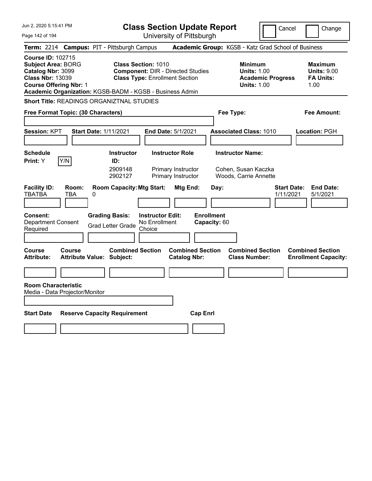| Jun 2, 2020 5:15:41 PM                                                                                                                 |                                                                                                                                                                             | <b>Class Section Update Report</b>                    | Cancel                                                                                 | Change                                                           |
|----------------------------------------------------------------------------------------------------------------------------------------|-----------------------------------------------------------------------------------------------------------------------------------------------------------------------------|-------------------------------------------------------|----------------------------------------------------------------------------------------|------------------------------------------------------------------|
| Page 142 of 194                                                                                                                        |                                                                                                                                                                             | University of Pittsburgh                              |                                                                                        |                                                                  |
| <b>Term: 2214</b>                                                                                                                      | <b>Campus: PIT - Pittsburgh Campus</b>                                                                                                                                      |                                                       | Academic Group: KGSB - Katz Grad School of Business                                    |                                                                  |
| <b>Course ID: 102715</b><br><b>Subject Area: BORG</b><br>Catalog Nbr: 3099<br><b>Class Nbr: 13039</b><br><b>Course Offering Nbr: 1</b> | <b>Class Section: 1010</b><br><b>Component: DIR - Directed Studies</b><br><b>Class Type: Enrollment Section</b><br>Academic Organization: KGSB-BADM - KGSB - Business Admin |                                                       | <b>Minimum</b><br><b>Units: 1.00</b><br><b>Academic Progress</b><br><b>Units: 1.00</b> | <b>Maximum</b><br><b>Units: 9.00</b><br><b>FA Units:</b><br>1.00 |
| <b>Short Title: READINGS ORGANIZTNAL STUDIES</b>                                                                                       |                                                                                                                                                                             |                                                       |                                                                                        |                                                                  |
| Free Format Topic: (30 Characters)                                                                                                     |                                                                                                                                                                             | Fee Type:                                             |                                                                                        | Fee Amount:                                                      |
| Session: KPT                                                                                                                           | <b>Start Date: 1/11/2021</b><br>End Date: 5/1/2021                                                                                                                          |                                                       | <b>Associated Class: 1010</b>                                                          | <b>Location: PGH</b>                                             |
| <b>Schedule</b><br>Y/N<br><b>Print:</b> Y                                                                                              | <b>Instructor Role</b><br><b>Instructor</b><br>ID:<br>2909148<br>Primary Instructor<br>2902127<br>Primary Instructor                                                        |                                                       | <b>Instructor Name:</b><br>Cohen, Susan Kaczka<br>Woods, Carrie Annette                |                                                                  |
| <b>Facility ID:</b><br>Room:<br><b>TBATBA</b><br>TBA<br>0<br><b>Consent:</b><br><b>Department Consent</b><br>Required                  | <b>Room Capacity: Mtg Start:</b><br><b>Grading Basis:</b><br><b>Instructor Edit:</b><br>No Enrollment<br><b>Grad Letter Grade</b><br>Choice                                 | Mtg End:<br>Day:<br><b>Enrollment</b><br>Capacity: 60 | <b>Start Date:</b><br>1/11/2021                                                        | <b>End Date:</b><br>5/1/2021                                     |
| <b>Course</b><br>Course<br><b>Attribute:</b>                                                                                           | <b>Combined Section</b><br><b>Attribute Value: Subject:</b>                                                                                                                 | <b>Combined Section</b><br><b>Catalog Nbr:</b>        | <b>Combined Section</b><br><b>Class Number:</b>                                        | <b>Combined Section</b><br><b>Enrollment Capacity:</b>           |
|                                                                                                                                        |                                                                                                                                                                             |                                                       |                                                                                        |                                                                  |
| <b>Room Characteristic</b><br>Media - Data Projector/Monitor<br><b>Start Date</b>                                                      | <b>Reserve Capacity Requirement</b>                                                                                                                                         | <b>Cap Enrl</b>                                       |                                                                                        |                                                                  |
|                                                                                                                                        |                                                                                                                                                                             |                                                       |                                                                                        |                                                                  |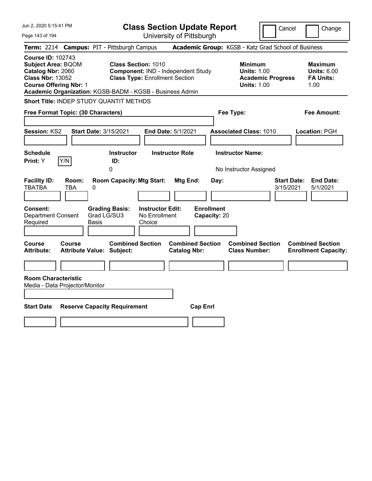| Jun 2, 2020 5:15:41 PM<br><b>Class Section Update Report</b><br>Cancel                                                                                                                                                                                                                                                                                                                                    | Change                                                           |
|-----------------------------------------------------------------------------------------------------------------------------------------------------------------------------------------------------------------------------------------------------------------------------------------------------------------------------------------------------------------------------------------------------------|------------------------------------------------------------------|
| University of Pittsburgh<br>Page 143 of 194                                                                                                                                                                                                                                                                                                                                                               |                                                                  |
| Academic Group: KGSB - Katz Grad School of Business<br><b>Campus: PIT - Pittsburgh Campus</b><br><b>Term: 2214</b>                                                                                                                                                                                                                                                                                        |                                                                  |
| <b>Course ID: 102743</b><br><b>Class Section: 1010</b><br><b>Subject Area: BQOM</b><br><b>Minimum</b><br>Catalog Nbr: 2060<br>Component: IND - Independent Study<br><b>Units: 1.00</b><br><b>Class Nbr: 13052</b><br><b>Class Type: Enrollment Section</b><br><b>Academic Progress</b><br><b>Course Offering Nbr: 1</b><br><b>Units: 1.00</b><br>Academic Organization: KGSB-BADM - KGSB - Business Admin | <b>Maximum</b><br><b>Units: 6.00</b><br><b>FA Units:</b><br>1.00 |
| Short Title: INDEP STUDY QUANTIT METHDS                                                                                                                                                                                                                                                                                                                                                                   |                                                                  |
| Free Format Topic: (30 Characters)<br>Fee Type:                                                                                                                                                                                                                                                                                                                                                           | Fee Amount:                                                      |
| Session: KS2<br><b>Start Date: 3/15/2021</b><br>End Date: 5/1/2021<br><b>Associated Class: 1010</b><br><b>Schedule</b><br><b>Instructor Role</b><br><b>Instructor Name:</b><br><b>Instructor</b>                                                                                                                                                                                                          | Location: PGH                                                    |
| Y/N<br>ID:<br>Print: Y                                                                                                                                                                                                                                                                                                                                                                                    |                                                                  |
| 0<br>No Instructor Assigned                                                                                                                                                                                                                                                                                                                                                                               |                                                                  |
| <b>Facility ID:</b><br><b>Room Capacity: Mtg Start:</b><br><b>Mtg End:</b><br><b>Start Date:</b><br>Room:<br>Day:<br><b>TBATBA</b><br><b>TBA</b><br>0<br>3/15/2021                                                                                                                                                                                                                                        | <b>End Date:</b><br>5/1/2021                                     |
| <b>Enrollment</b><br>Consent:<br><b>Grading Basis:</b><br><b>Instructor Edit:</b><br>Grad LG/SU3<br><b>Department Consent</b><br>No Enrollment<br>Capacity: 20<br>Required<br>Basis<br>Choice                                                                                                                                                                                                             |                                                                  |
| <b>Combined Section</b><br><b>Combined Section</b><br><b>Combined Section</b><br><b>Course</b><br><b>Course</b><br><b>Catalog Nbr:</b><br><b>Class Number:</b><br><b>Attribute:</b><br><b>Attribute Value: Subject:</b>                                                                                                                                                                                   | <b>Combined Section</b><br><b>Enrollment Capacity:</b>           |
|                                                                                                                                                                                                                                                                                                                                                                                                           |                                                                  |
| <b>Room Characteristic</b><br>Media - Data Projector/Monitor                                                                                                                                                                                                                                                                                                                                              |                                                                  |
|                                                                                                                                                                                                                                                                                                                                                                                                           |                                                                  |
| <b>Start Date</b><br><b>Reserve Capacity Requirement</b><br><b>Cap Enrl</b>                                                                                                                                                                                                                                                                                                                               |                                                                  |
|                                                                                                                                                                                                                                                                                                                                                                                                           |                                                                  |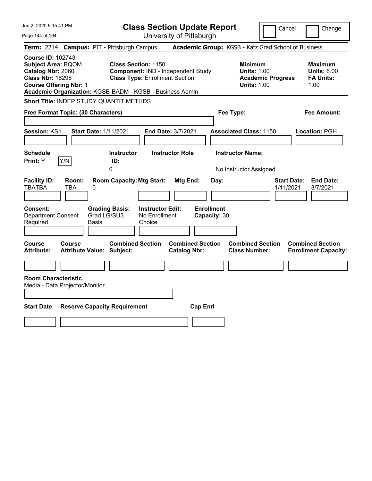| Jun 2, 2020 5:15:41 PM                                                                                                                 | <b>Class Section Update Report</b>                                                                                                                                    |                                                                                        | Cancel<br>Change                                                 |
|----------------------------------------------------------------------------------------------------------------------------------------|-----------------------------------------------------------------------------------------------------------------------------------------------------------------------|----------------------------------------------------------------------------------------|------------------------------------------------------------------|
| Page 144 of 194                                                                                                                        | University of Pittsburgh                                                                                                                                              |                                                                                        |                                                                  |
| <b>Term: 2214</b>                                                                                                                      | <b>Campus: PIT - Pittsburgh Campus</b>                                                                                                                                | Academic Group: KGSB - Katz Grad School of Business                                    |                                                                  |
| <b>Course ID: 102743</b><br><b>Subject Area: BQOM</b><br>Catalog Nbr: 2060<br><b>Class Nbr: 16298</b><br><b>Course Offering Nbr: 1</b> | <b>Class Section: 1150</b><br>Component: IND - Independent Study<br><b>Class Type: Enrollment Section</b><br>Academic Organization: KGSB-BADM - KGSB - Business Admin | <b>Minimum</b><br><b>Units: 1.00</b><br><b>Academic Progress</b><br><b>Units: 1.00</b> | <b>Maximum</b><br><b>Units: 6.00</b><br><b>FA Units:</b><br>1.00 |
| Short Title: INDEP STUDY QUANTIT METHDS                                                                                                |                                                                                                                                                                       |                                                                                        |                                                                  |
| Free Format Topic: (30 Characters)                                                                                                     |                                                                                                                                                                       | Fee Type:                                                                              | Fee Amount:                                                      |
| Session: KS1<br><b>Start Date: 1/11/2021</b>                                                                                           | End Date: 3/7/2021                                                                                                                                                    | <b>Associated Class: 1150</b>                                                          | Location: PGH                                                    |
| <b>Schedule</b><br>Y/N<br>Print: Y                                                                                                     | <b>Instructor Role</b><br><b>Instructor</b><br>ID:                                                                                                                    | <b>Instructor Name:</b>                                                                |                                                                  |
|                                                                                                                                        | 0                                                                                                                                                                     | No Instructor Assigned                                                                 |                                                                  |
| <b>Facility ID:</b><br>Room:<br><b>TBATBA</b><br><b>TBA</b><br>0<br><b>Consent:</b><br><b>Department Consent</b><br>Required<br>Basis  | <b>Room Capacity: Mtg Start:</b><br>Mtg End:<br><b>Grading Basis:</b><br><b>Instructor Edit:</b><br>Grad LG/SU3<br>No Enrollment<br>Choice                            | Day:<br><b>Enrollment</b><br>Capacity: 30                                              | <b>Start Date:</b><br><b>End Date:</b><br>1/11/2021<br>3/7/2021  |
|                                                                                                                                        |                                                                                                                                                                       |                                                                                        |                                                                  |
| <b>Course</b><br><b>Course</b><br><b>Attribute:</b><br><b>Attribute Value: Subject:</b>                                                | <b>Combined Section</b><br><b>Combined Section</b><br><b>Catalog Nbr:</b>                                                                                             | <b>Combined Section</b><br><b>Class Number:</b>                                        | <b>Combined Section</b><br><b>Enrollment Capacity:</b>           |
| <b>Room Characteristic</b>                                                                                                             |                                                                                                                                                                       |                                                                                        |                                                                  |
| Media - Data Projector/Monitor                                                                                                         |                                                                                                                                                                       |                                                                                        |                                                                  |
| <b>Start Date</b><br><b>Reserve Capacity Requirement</b>                                                                               |                                                                                                                                                                       | <b>Cap Enrl</b>                                                                        |                                                                  |
|                                                                                                                                        |                                                                                                                                                                       |                                                                                        |                                                                  |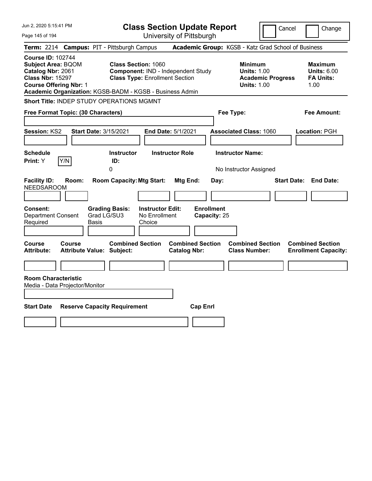| Jun 2, 2020 5:15:41 PM                                                                                                                                                                             |                                                                                                           | <b>Class Section Update Report</b>             | Cancel                                                                                 | Change                                                           |
|----------------------------------------------------------------------------------------------------------------------------------------------------------------------------------------------------|-----------------------------------------------------------------------------------------------------------|------------------------------------------------|----------------------------------------------------------------------------------------|------------------------------------------------------------------|
| Page 145 of 194                                                                                                                                                                                    |                                                                                                           | University of Pittsburgh                       |                                                                                        |                                                                  |
| <b>Term: 2214</b>                                                                                                                                                                                  | <b>Campus: PIT - Pittsburgh Campus</b>                                                                    |                                                | Academic Group: KGSB - Katz Grad School of Business                                    |                                                                  |
| <b>Course ID: 102744</b><br><b>Subject Area: BQOM</b><br>Catalog Nbr: 2061<br><b>Class Nbr: 15297</b><br><b>Course Offering Nbr: 1</b><br>Academic Organization: KGSB-BADM - KGSB - Business Admin | <b>Class Section: 1060</b><br>Component: IND - Independent Study<br><b>Class Type: Enrollment Section</b> |                                                | <b>Minimum</b><br><b>Units: 1.00</b><br><b>Academic Progress</b><br><b>Units: 1.00</b> | <b>Maximum</b><br><b>Units: 6.00</b><br><b>FA Units:</b><br>1.00 |
| Short Title: INDEP STUDY OPERATIONS MGMNT                                                                                                                                                          |                                                                                                           |                                                |                                                                                        |                                                                  |
| Free Format Topic: (30 Characters)                                                                                                                                                                 |                                                                                                           |                                                | Fee Type:                                                                              | Fee Amount:                                                      |
| Session: KS2<br><b>Start Date: 3/15/2021</b>                                                                                                                                                       |                                                                                                           | End Date: 5/1/2021                             | <b>Associated Class: 1060</b>                                                          | Location: PGH                                                    |
| <b>Schedule</b><br>Y/N<br>Print: Y                                                                                                                                                                 | <b>Instructor</b><br>ID:<br>0                                                                             | <b>Instructor Role</b>                         | <b>Instructor Name:</b><br>No Instructor Assigned                                      |                                                                  |
| <b>Facility ID:</b><br>Room:<br><b>NEEDSAROOM</b>                                                                                                                                                  | <b>Room Capacity: Mtg Start:</b>                                                                          | Mtg End:<br>Day:                               |                                                                                        | <b>Start Date: End Date:</b>                                     |
| <b>Consent:</b><br><b>Department Consent</b><br>Required<br>Basis                                                                                                                                  | <b>Instructor Edit:</b><br><b>Grading Basis:</b><br>Grad LG/SU3<br>No Enrollment<br>Choice                | <b>Enrollment</b><br>Capacity: 25              |                                                                                        |                                                                  |
| <b>Course</b><br>Course<br><b>Attribute Value: Subject:</b><br><b>Attribute:</b>                                                                                                                   | <b>Combined Section</b>                                                                                   | <b>Combined Section</b><br><b>Catalog Nbr:</b> | <b>Combined Section</b><br><b>Class Number:</b>                                        | <b>Combined Section</b><br><b>Enrollment Capacity:</b>           |
| <b>Room Characteristic</b><br>Media - Data Projector/Monitor                                                                                                                                       |                                                                                                           |                                                |                                                                                        |                                                                  |
| <b>Start Date</b>                                                                                                                                                                                  | <b>Reserve Capacity Requirement</b>                                                                       | <b>Cap Enrl</b>                                |                                                                                        |                                                                  |
|                                                                                                                                                                                                    |                                                                                                           |                                                |                                                                                        |                                                                  |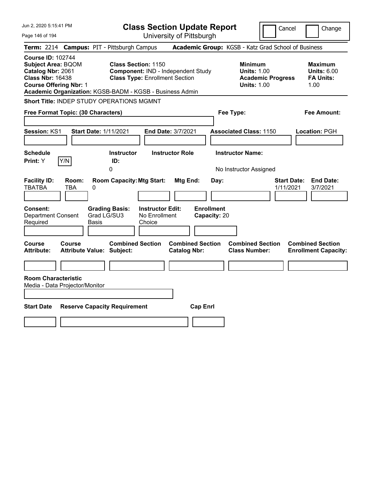| Jun 2, 2020 5:15:41 PM                                                                                                                                                                             |                                                                                                                                | <b>Class Section Update Report</b><br>Cancel<br>Change |                                                                                        |                                                                  |  |  |  |
|----------------------------------------------------------------------------------------------------------------------------------------------------------------------------------------------------|--------------------------------------------------------------------------------------------------------------------------------|--------------------------------------------------------|----------------------------------------------------------------------------------------|------------------------------------------------------------------|--|--|--|
| Page 146 of 194                                                                                                                                                                                    |                                                                                                                                | University of Pittsburgh                               |                                                                                        |                                                                  |  |  |  |
| <b>Term: 2214</b>                                                                                                                                                                                  | <b>Campus: PIT - Pittsburgh Campus</b>                                                                                         |                                                        | Academic Group: KGSB - Katz Grad School of Business                                    |                                                                  |  |  |  |
| <b>Course ID: 102744</b><br><b>Subject Area: BQOM</b><br>Catalog Nbr: 2061<br><b>Class Nbr: 16438</b><br><b>Course Offering Nbr: 1</b><br>Academic Organization: KGSB-BADM - KGSB - Business Admin | <b>Class Section: 1150</b><br>Component: IND - Independent Study<br><b>Class Type: Enrollment Section</b>                      |                                                        | <b>Minimum</b><br><b>Units: 1.00</b><br><b>Academic Progress</b><br><b>Units: 1.00</b> | <b>Maximum</b><br><b>Units: 6.00</b><br><b>FA Units:</b><br>1.00 |  |  |  |
| Short Title: INDEP STUDY OPERATIONS MGMNT                                                                                                                                                          |                                                                                                                                |                                                        |                                                                                        |                                                                  |  |  |  |
| Free Format Topic: (30 Characters)                                                                                                                                                                 |                                                                                                                                |                                                        | Fee Type:                                                                              | Fee Amount:                                                      |  |  |  |
| Session: KS1<br><b>Start Date: 1/11/2021</b><br><b>Schedule</b><br>Y/N<br>Print: Y                                                                                                                 | <b>Instructor</b><br>ID:                                                                                                       | End Date: 3/7/2021<br><b>Instructor Role</b>           | <b>Associated Class: 1150</b><br><b>Instructor Name:</b>                               | Location: PGH                                                    |  |  |  |
|                                                                                                                                                                                                    | 0                                                                                                                              |                                                        | No Instructor Assigned                                                                 |                                                                  |  |  |  |
| <b>Facility ID:</b><br>Room:<br><b>TBATBA</b><br>0<br>TBA<br><b>Consent:</b><br><b>Department Consent</b><br>Required<br>Basis                                                                     | <b>Room Capacity: Mtg Start:</b><br><b>Instructor Edit:</b><br><b>Grading Basis:</b><br>Grad LG/SU3<br>No Enrollment<br>Choice | Mtg End:<br>Day:<br><b>Enrollment</b><br>Capacity: 20  |                                                                                        | <b>Start Date:</b><br><b>End Date:</b><br>1/11/2021<br>3/7/2021  |  |  |  |
| <b>Course</b><br>Course<br><b>Attribute Value: Subject:</b><br><b>Attribute:</b><br><b>Room Characteristic</b><br>Media - Data Projector/Monitor                                                   | <b>Combined Section</b>                                                                                                        | <b>Combined Section</b><br><b>Catalog Nbr:</b>         | <b>Combined Section</b><br><b>Class Number:</b>                                        | <b>Combined Section</b><br><b>Enrollment Capacity:</b>           |  |  |  |
|                                                                                                                                                                                                    |                                                                                                                                |                                                        |                                                                                        |                                                                  |  |  |  |
| <b>Start Date</b>                                                                                                                                                                                  | <b>Reserve Capacity Requirement</b>                                                                                            | <b>Cap Enrl</b>                                        |                                                                                        |                                                                  |  |  |  |
|                                                                                                                                                                                                    |                                                                                                                                |                                                        |                                                                                        |                                                                  |  |  |  |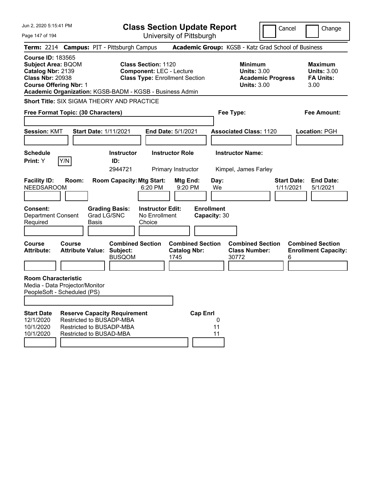| Jun 2, 2020 5:15:41 PM                                                                                                                 |               |                                                                                                                               |                                                                                                        |                                              | <b>Class Section Update Report</b> |                                                            | Cancel                   | Change                                                           |
|----------------------------------------------------------------------------------------------------------------------------------------|---------------|-------------------------------------------------------------------------------------------------------------------------------|--------------------------------------------------------------------------------------------------------|----------------------------------------------|------------------------------------|------------------------------------------------------------|--------------------------|------------------------------------------------------------------|
| Page 147 of 194                                                                                                                        |               |                                                                                                                               |                                                                                                        |                                              | University of Pittsburgh           |                                                            |                          |                                                                  |
|                                                                                                                                        |               | Term: 2214 Campus: PIT - Pittsburgh Campus                                                                                    |                                                                                                        |                                              |                                    | Academic Group: KGSB - Katz Grad School of Business        |                          |                                                                  |
| <b>Course ID: 183565</b><br><b>Subject Area: BQOM</b><br>Catalog Nbr: 2139<br><b>Class Nbr: 20938</b><br><b>Course Offering Nbr: 1</b> |               | Academic Organization: KGSB-BADM - KGSB - Business Admin                                                                      | <b>Class Section: 1120</b><br><b>Component: LEC - Lecture</b><br><b>Class Type: Enrollment Section</b> |                                              |                                    | <b>Minimum</b><br><b>Units: 3.00</b><br><b>Units: 3.00</b> | <b>Academic Progress</b> | <b>Maximum</b><br><b>Units: 3.00</b><br><b>FA Units:</b><br>3.00 |
|                                                                                                                                        |               | <b>Short Title: SIX SIGMA THEORY AND PRACTICE</b>                                                                             |                                                                                                        |                                              |                                    |                                                            |                          |                                                                  |
| Free Format Topic: (30 Characters)                                                                                                     |               |                                                                                                                               |                                                                                                        |                                              |                                    | Fee Type:                                                  |                          | <b>Fee Amount:</b>                                               |
| <b>Session: KMT</b>                                                                                                                    |               | <b>Start Date: 1/11/2021</b>                                                                                                  |                                                                                                        | <b>End Date: 5/1/2021</b>                    |                                    | <b>Associated Class: 1120</b>                              |                          | Location: PGH                                                    |
| <b>Schedule</b><br>Print: Y                                                                                                            | Y/N           | <b>Instructor</b><br>ID:<br>2944721                                                                                           |                                                                                                        | <b>Instructor Role</b><br>Primary Instructor |                                    | <b>Instructor Name:</b><br>Kimpel, James Farley            |                          |                                                                  |
| <b>Facility ID:</b><br><b>NEEDSAROOM</b>                                                                                               | Room:         | <b>Room Capacity: Mtg Start:</b>                                                                                              | 6:20 PM                                                                                                | Mtg End:<br>9:20 PM                          | Day:<br>We                         |                                                            | 1/11/2021                | <b>Start Date:</b><br><b>End Date:</b><br>5/1/2021               |
| Consent:<br><b>Department Consent</b><br>Required                                                                                      |               | <b>Grading Basis:</b><br>Grad LG/SNC<br><b>Basis</b>                                                                          | <b>Instructor Edit:</b><br>No Enrollment<br>Choice                                                     |                                              | <b>Enrollment</b><br>Capacity: 30  |                                                            |                          |                                                                  |
| <b>Course</b><br><b>Attribute:</b>                                                                                                     | <b>Course</b> | <b>Combined Section</b><br><b>Attribute Value: Subject:</b><br><b>BUSQOM</b>                                                  |                                                                                                        | <b>Catalog Nbr:</b><br>1745                  | <b>Combined Section</b>            | <b>Combined Section</b><br><b>Class Number:</b><br>30772   |                          | <b>Combined Section</b><br><b>Enrollment Capacity:</b><br>6      |
| <b>Room Characteristic</b><br>Media - Data Projector/Monitor<br>PeopleSoft - Scheduled (PS)                                            |               |                                                                                                                               |                                                                                                        |                                              |                                    |                                                            |                          |                                                                  |
| <b>Start Date</b><br>12/1/2020<br>10/1/2020<br>10/1/2020                                                                               |               | <b>Reserve Capacity Requirement</b><br>Restricted to BUSADP-MBA<br>Restricted to BUSADP-MBA<br><b>Restricted to BUSAD-MBA</b> |                                                                                                        |                                              | <b>Cap Enrl</b><br>0<br>11<br>11   |                                                            |                          |                                                                  |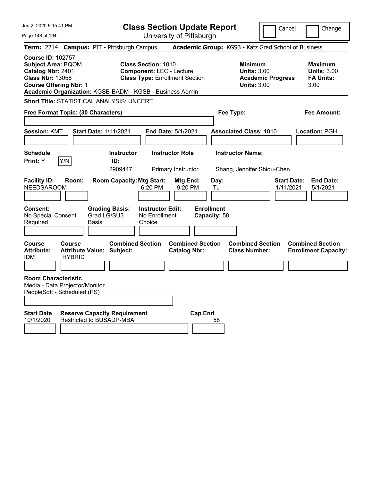| Jun 2, 2020 5:15:41 PM                                                                                                                 |                         |                                                                 |                                                               | <b>Class Section Update Report</b>             |                                   |                                                                                        | Cancel                          | Change                                                           |
|----------------------------------------------------------------------------------------------------------------------------------------|-------------------------|-----------------------------------------------------------------|---------------------------------------------------------------|------------------------------------------------|-----------------------------------|----------------------------------------------------------------------------------------|---------------------------------|------------------------------------------------------------------|
| Page 148 of 194                                                                                                                        |                         |                                                                 |                                                               | University of Pittsburgh                       |                                   |                                                                                        |                                 |                                                                  |
|                                                                                                                                        |                         | Term: 2214 Campus: PIT - Pittsburgh Campus                      |                                                               |                                                |                                   | Academic Group: KGSB - Katz Grad School of Business                                    |                                 |                                                                  |
| <b>Course ID: 102757</b><br><b>Subject Area: BQOM</b><br>Catalog Nbr: 2401<br><b>Class Nbr: 13058</b><br><b>Course Offering Nbr: 1</b> |                         | Academic Organization: KGSB-BADM - KGSB - Business Admin        | <b>Class Section: 1010</b><br><b>Component: LEC - Lecture</b> | <b>Class Type: Enrollment Section</b>          |                                   | <b>Minimum</b><br><b>Units: 3.00</b><br><b>Academic Progress</b><br><b>Units: 3.00</b> |                                 | <b>Maximum</b><br><b>Units: 3.00</b><br><b>FA Units:</b><br>3.00 |
|                                                                                                                                        |                         | <b>Short Title: STATISTICAL ANALYSIS: UNCERT</b>                |                                                               |                                                |                                   |                                                                                        |                                 |                                                                  |
| Free Format Topic: (30 Characters)                                                                                                     |                         |                                                                 |                                                               |                                                | Fee Type:                         |                                                                                        |                                 | Fee Amount:                                                      |
| <b>Session: KMT</b>                                                                                                                    |                         | <b>Start Date: 1/11/2021</b>                                    |                                                               | <b>End Date: 5/1/2021</b>                      |                                   | <b>Associated Class: 1010</b>                                                          |                                 | Location: PGH                                                    |
| <b>Schedule</b><br><b>Print:</b> Y                                                                                                     | Y/N                     | <b>Instructor</b><br>ID:<br>2909447                             |                                                               | <b>Instructor Role</b><br>Primary Instructor   |                                   | <b>Instructor Name:</b><br>Shang, Jennifer Shiou-Chen                                  |                                 |                                                                  |
| <b>Facility ID:</b><br><b>NEEDSAROOM</b>                                                                                               | Room:                   | <b>Room Capacity: Mtg Start:</b>                                | 6:20 PM                                                       | Mtg End:<br>9:20 PM                            | Day:<br>Tu                        |                                                                                        | <b>Start Date:</b><br>1/11/2021 | <b>End Date:</b><br>5/1/2021                                     |
| <b>Consent:</b><br>No Special Consent<br>Required                                                                                      | Basis                   | <b>Grading Basis:</b><br>Grad LG/SU3                            | <b>Instructor Edit:</b><br>No Enrollment<br>Choice            |                                                | <b>Enrollment</b><br>Capacity: 58 |                                                                                        |                                 |                                                                  |
| Course<br><b>Attribute:</b><br>IDM.                                                                                                    | Course<br><b>HYBRID</b> | <b>Combined Section</b><br><b>Attribute Value: Subject:</b>     |                                                               | <b>Combined Section</b><br><b>Catalog Nbr:</b> |                                   | <b>Combined Section</b><br><b>Class Number:</b>                                        |                                 | <b>Combined Section</b><br><b>Enrollment Capacity:</b>           |
| <b>Room Characteristic</b><br>Media - Data Projector/Monitor<br>PeopleSoft - Scheduled (PS)                                            |                         |                                                                 |                                                               |                                                |                                   |                                                                                        |                                 |                                                                  |
| <b>Start Date</b><br>10/1/2020                                                                                                         |                         | <b>Reserve Capacity Requirement</b><br>Restricted to BUSADP-MBA |                                                               | <b>Cap Enrl</b>                                | 58                                |                                                                                        |                                 |                                                                  |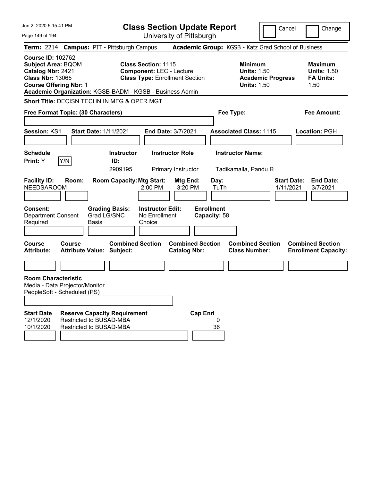| Jun 2, 2020 5:15:41 PM                                                                                                                 |        |                                                                |                                                               | <b>Class Section Update Report</b>                  |                                   |                                                            | Cancel                          | Change                                                           |
|----------------------------------------------------------------------------------------------------------------------------------------|--------|----------------------------------------------------------------|---------------------------------------------------------------|-----------------------------------------------------|-----------------------------------|------------------------------------------------------------|---------------------------------|------------------------------------------------------------------|
| Page 149 of 194                                                                                                                        |        |                                                                |                                                               | University of Pittsburgh                            |                                   |                                                            |                                 |                                                                  |
|                                                                                                                                        |        | Term: 2214 Campus: PIT - Pittsburgh Campus                     |                                                               | Academic Group: KGSB - Katz Grad School of Business |                                   |                                                            |                                 |                                                                  |
| <b>Course ID: 102762</b><br><b>Subject Area: BQOM</b><br>Catalog Nbr: 2421<br><b>Class Nbr: 13065</b><br><b>Course Offering Nbr: 1</b> |        | Academic Organization: KGSB-BADM - KGSB - Business Admin       | <b>Class Section: 1115</b><br><b>Component: LEC - Lecture</b> | <b>Class Type: Enrollment Section</b>               |                                   | <b>Minimum</b><br><b>Units: 1.50</b><br><b>Units: 1.50</b> | <b>Academic Progress</b>        | <b>Maximum</b><br><b>Units: 1.50</b><br><b>FA Units:</b><br>1.50 |
|                                                                                                                                        |        | Short Title: DECISN TECHN IN MFG & OPER MGT                    |                                                               |                                                     |                                   |                                                            |                                 |                                                                  |
| Free Format Topic: (30 Characters)                                                                                                     |        |                                                                |                                                               |                                                     | Fee Type:                         |                                                            |                                 | <b>Fee Amount:</b>                                               |
|                                                                                                                                        |        |                                                                |                                                               |                                                     |                                   |                                                            |                                 |                                                                  |
| <b>Session: KS1</b>                                                                                                                    |        | <b>Start Date: 1/11/2021</b>                                   |                                                               | <b>End Date: 3/7/2021</b>                           |                                   | <b>Associated Class: 1115</b>                              |                                 | Location: PGH                                                    |
| <b>Schedule</b>                                                                                                                        |        | <b>Instructor</b>                                              |                                                               | <b>Instructor Role</b>                              |                                   | <b>Instructor Name:</b>                                    |                                 |                                                                  |
| Print: Y                                                                                                                               | Y/N    | ID:                                                            |                                                               |                                                     |                                   |                                                            |                                 |                                                                  |
|                                                                                                                                        |        | 2909195                                                        |                                                               | Primary Instructor                                  |                                   | Tadikamalla, Pandu R                                       |                                 |                                                                  |
| <b>Facility ID:</b><br><b>NEEDSAROOM</b>                                                                                               | Room:  | <b>Room Capacity: Mtg Start:</b>                               | 2:00 PM                                                       | Mtg End:<br>3:20 PM                                 | Day:<br>TuTh                      |                                                            | <b>Start Date:</b><br>1/11/2021 | <b>End Date:</b><br>3/7/2021                                     |
| <b>Consent:</b><br><b>Department Consent</b><br>Required                                                                               |        | <b>Grading Basis:</b><br>Grad LG/SNC<br>Basis                  | <b>Instructor Edit:</b><br>No Enrollment<br>Choice            |                                                     | <b>Enrollment</b><br>Capacity: 58 |                                                            |                                 |                                                                  |
| <b>Course</b><br><b>Attribute:</b>                                                                                                     | Course | <b>Combined Section</b><br><b>Attribute Value: Subject:</b>    |                                                               | <b>Combined Section</b><br><b>Catalog Nbr:</b>      |                                   | <b>Combined Section</b><br><b>Class Number:</b>            |                                 | <b>Combined Section</b><br><b>Enrollment Capacity:</b>           |
|                                                                                                                                        |        |                                                                |                                                               |                                                     |                                   |                                                            |                                 |                                                                  |
| <b>Room Characteristic</b><br>Media - Data Projector/Monitor<br>PeopleSoft - Scheduled (PS)                                            |        |                                                                |                                                               |                                                     |                                   |                                                            |                                 |                                                                  |
|                                                                                                                                        |        |                                                                |                                                               |                                                     |                                   |                                                            |                                 |                                                                  |
| <b>Start Date</b><br>12/1/2020                                                                                                         |        | <b>Reserve Capacity Requirement</b><br>Restricted to BUSAD-MBA |                                                               | <b>Cap Enrl</b>                                     | 0                                 |                                                            |                                 |                                                                  |
| 10/1/2020                                                                                                                              |        | Restricted to BUSAD-MBA                                        |                                                               |                                                     | 36                                |                                                            |                                 |                                                                  |
|                                                                                                                                        |        |                                                                |                                                               |                                                     |                                   |                                                            |                                 |                                                                  |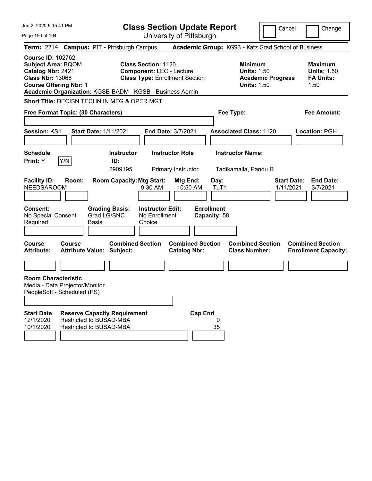| Jun 2, 2020 5:15:41 PM<br>Page 150 of 194                                                                                              |        |                                                                                           |                                                               | <b>Class Section Update Report</b><br>University of Pittsburgh |                                   |                                                                                        | Cancel                          | Change                                                           |
|----------------------------------------------------------------------------------------------------------------------------------------|--------|-------------------------------------------------------------------------------------------|---------------------------------------------------------------|----------------------------------------------------------------|-----------------------------------|----------------------------------------------------------------------------------------|---------------------------------|------------------------------------------------------------------|
|                                                                                                                                        |        | Term: 2214 Campus: PIT - Pittsburgh Campus                                                |                                                               |                                                                |                                   | Academic Group: KGSB - Katz Grad School of Business                                    |                                 |                                                                  |
| <b>Course ID: 102762</b><br><b>Subject Area: BQOM</b><br>Catalog Nbr: 2421<br><b>Class Nbr: 13068</b><br><b>Course Offering Nbr: 1</b> |        | Academic Organization: KGSB-BADM - KGSB - Business Admin                                  | <b>Class Section: 1120</b><br><b>Component: LEC - Lecture</b> | <b>Class Type: Enrollment Section</b>                          |                                   | <b>Minimum</b><br><b>Units: 1.50</b><br><b>Academic Progress</b><br><b>Units: 1.50</b> |                                 | <b>Maximum</b><br><b>Units: 1.50</b><br><b>FA Units:</b><br>1.50 |
| Free Format Topic: (30 Characters)                                                                                                     |        | <b>Short Title: DECISN TECHN IN MFG &amp; OPER MGT</b>                                    |                                                               |                                                                | Fee Type:                         |                                                                                        |                                 | <b>Fee Amount:</b>                                               |
| <b>Session: KS1</b>                                                                                                                    |        | <b>Start Date: 1/11/2021</b>                                                              |                                                               | End Date: 3/7/2021                                             |                                   | <b>Associated Class: 1120</b>                                                          |                                 | Location: PGH                                                    |
| <b>Schedule</b><br>Print: Y                                                                                                            | Y/N    | <b>Instructor</b><br>ID:<br>2909195                                                       |                                                               | <b>Instructor Role</b><br>Primary Instructor                   |                                   | <b>Instructor Name:</b><br>Tadikamalla, Pandu R                                        |                                 |                                                                  |
| <b>Facility ID:</b><br><b>NEEDSAROOM</b>                                                                                               | Room:  | <b>Room Capacity: Mtg Start:</b>                                                          | 9:30 AM                                                       | Mtg End:<br>10:50 AM                                           | Day:<br>TuTh                      |                                                                                        | <b>Start Date:</b><br>1/11/2021 | <b>End Date:</b><br>3/7/2021                                     |
| <b>Consent:</b><br>No Special Consent<br>Required                                                                                      |        | <b>Grading Basis:</b><br>Grad LG/SNC<br><b>Basis</b>                                      | <b>Instructor Edit:</b><br>No Enrollment<br>Choice            |                                                                | <b>Enrollment</b><br>Capacity: 58 |                                                                                        |                                 |                                                                  |
| Course<br><b>Attribute:</b>                                                                                                            | Course | <b>Combined Section</b><br><b>Attribute Value: Subject:</b>                               |                                                               | <b>Combined Section</b><br><b>Catalog Nbr:</b>                 |                                   | <b>Combined Section</b><br><b>Class Number:</b>                                        |                                 | <b>Combined Section</b><br><b>Enrollment Capacity:</b>           |
| <b>Room Characteristic</b><br>Media - Data Projector/Monitor<br>PeopleSoft - Scheduled (PS)                                            |        |                                                                                           |                                                               |                                                                |                                   |                                                                                        |                                 |                                                                  |
| <b>Start Date</b><br>12/1/2020<br>10/1/2020                                                                                            |        | <b>Reserve Capacity Requirement</b><br>Restricted to BUSAD-MBA<br>Restricted to BUSAD-MBA |                                                               | <b>Cap Enrl</b>                                                | 0<br>35                           |                                                                                        |                                 |                                                                  |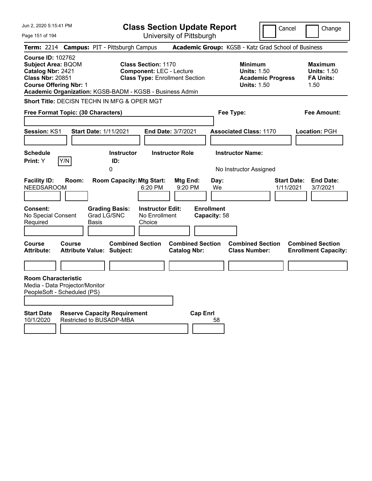| Jun 2, 2020 5:15:41 PM                                                                                                                 |               |                                                                 |                                                               | <b>Class Section Update Report</b>             |                                   |                                                                                        | Cancel                          | Change                                                           |
|----------------------------------------------------------------------------------------------------------------------------------------|---------------|-----------------------------------------------------------------|---------------------------------------------------------------|------------------------------------------------|-----------------------------------|----------------------------------------------------------------------------------------|---------------------------------|------------------------------------------------------------------|
| Page 151 of 194                                                                                                                        |               |                                                                 |                                                               | University of Pittsburgh                       |                                   |                                                                                        |                                 |                                                                  |
| <b>Term: 2214</b>                                                                                                                      |               | <b>Campus: PIT - Pittsburgh Campus</b>                          |                                                               |                                                |                                   | Academic Group: KGSB - Katz Grad School of Business                                    |                                 |                                                                  |
| <b>Course ID: 102762</b><br><b>Subject Area: BQOM</b><br>Catalog Nbr: 2421<br><b>Class Nbr: 20851</b><br><b>Course Offering Nbr: 1</b> |               | Academic Organization: KGSB-BADM - KGSB - Business Admin        | <b>Class Section: 1170</b><br><b>Component: LEC - Lecture</b> | <b>Class Type: Enrollment Section</b>          |                                   | <b>Minimum</b><br><b>Units: 1.50</b><br><b>Academic Progress</b><br><b>Units: 1.50</b> |                                 | <b>Maximum</b><br><b>Units: 1.50</b><br><b>FA Units:</b><br>1.50 |
|                                                                                                                                        |               | Short Title: DECISN TECHN IN MFG & OPER MGT                     |                                                               |                                                |                                   |                                                                                        |                                 |                                                                  |
| Free Format Topic: (30 Characters)                                                                                                     |               |                                                                 |                                                               |                                                | Fee Type:                         |                                                                                        |                                 | Fee Amount:                                                      |
| Session: KS1                                                                                                                           |               | <b>Start Date: 1/11/2021</b>                                    |                                                               | End Date: 3/7/2021                             |                                   | <b>Associated Class: 1170</b>                                                          |                                 | Location: PGH                                                    |
| <b>Schedule</b><br>Print: Y                                                                                                            | Y/N           | <b>Instructor</b><br>ID:<br>0                                   |                                                               | <b>Instructor Role</b>                         |                                   | <b>Instructor Name:</b><br>No Instructor Assigned                                      |                                 |                                                                  |
| <b>Facility ID:</b><br><b>NEEDSAROOM</b>                                                                                               | Room:         | <b>Room Capacity: Mtg Start:</b>                                | 6:20 PM                                                       | Mtg End:<br>9:20 PM                            | Day:<br>We                        |                                                                                        | <b>Start Date:</b><br>1/11/2021 | <b>End Date:</b><br>3/7/2021                                     |
| Consent:<br>No Special Consent<br>Required                                                                                             | Basis         | <b>Grading Basis:</b><br>Grad LG/SNC                            | <b>Instructor Edit:</b><br>No Enrollment<br>Choice            |                                                | <b>Enrollment</b><br>Capacity: 58 |                                                                                        |                                 |                                                                  |
| Course<br><b>Attribute:</b>                                                                                                            | <b>Course</b> | <b>Combined Section</b><br><b>Attribute Value: Subject:</b>     |                                                               | <b>Combined Section</b><br><b>Catalog Nbr:</b> |                                   | <b>Combined Section</b><br><b>Class Number:</b>                                        |                                 | <b>Combined Section</b><br><b>Enrollment Capacity:</b>           |
|                                                                                                                                        |               |                                                                 |                                                               |                                                |                                   |                                                                                        |                                 |                                                                  |
| <b>Room Characteristic</b><br>Media - Data Projector/Monitor<br>PeopleSoft - Scheduled (PS)<br><b>Start Date</b><br>10/1/2020          |               | <b>Reserve Capacity Requirement</b><br>Restricted to BUSADP-MBA |                                                               | <b>Cap Enrl</b>                                | 58                                |                                                                                        |                                 |                                                                  |
|                                                                                                                                        |               |                                                                 |                                                               |                                                |                                   |                                                                                        |                                 |                                                                  |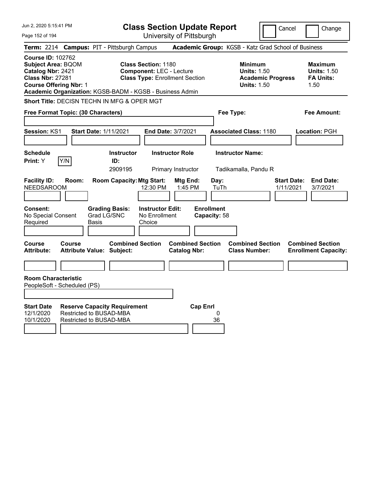| Jun 2, 2020 5:15:41 PM                                                                                                                                                                             | <b>Class Section Update Report</b>                                                                                                                         |                                                |                                                     | Cancel                          | Change                                                 |
|----------------------------------------------------------------------------------------------------------------------------------------------------------------------------------------------------|------------------------------------------------------------------------------------------------------------------------------------------------------------|------------------------------------------------|-----------------------------------------------------|---------------------------------|--------------------------------------------------------|
| Page 152 of 194                                                                                                                                                                                    |                                                                                                                                                            | University of Pittsburgh                       |                                                     |                                 |                                                        |
| <b>Term: 2214</b>                                                                                                                                                                                  | <b>Campus: PIT - Pittsburgh Campus</b>                                                                                                                     |                                                | Academic Group: KGSB - Katz Grad School of Business |                                 |                                                        |
| <b>Course ID: 102762</b><br><b>Subject Area: BQOM</b><br>Catalog Nbr: 2421<br><b>Class Nbr: 27281</b><br><b>Course Offering Nbr: 1</b><br>Academic Organization: KGSB-BADM - KGSB - Business Admin | <b>Minimum</b><br><b>Maximum</b><br><b>Units: 1.50</b><br><b>Units: 1.50</b><br><b>Academic Progress</b><br><b>FA Units:</b><br><b>Units: 1.50</b><br>1.50 |                                                |                                                     |                                 |                                                        |
|                                                                                                                                                                                                    | <b>Short Title: DECISN TECHN IN MFG &amp; OPER MGT</b>                                                                                                     |                                                |                                                     |                                 |                                                        |
| Free Format Topic: (30 Characters)                                                                                                                                                                 |                                                                                                                                                            |                                                | Fee Type:                                           |                                 | Fee Amount:                                            |
|                                                                                                                                                                                                    |                                                                                                                                                            |                                                |                                                     |                                 |                                                        |
| <b>Session: KS1</b>                                                                                                                                                                                | <b>Start Date: 1/11/2021</b>                                                                                                                               | <b>End Date: 3/7/2021</b>                      | <b>Associated Class: 1180</b>                       |                                 | Location: PGH                                          |
|                                                                                                                                                                                                    |                                                                                                                                                            |                                                |                                                     |                                 |                                                        |
| <b>Schedule</b>                                                                                                                                                                                    | <b>Instructor</b>                                                                                                                                          | <b>Instructor Role</b>                         | <b>Instructor Name:</b>                             |                                 |                                                        |
| Y/N<br>Print: Y                                                                                                                                                                                    | ID:<br>2909195                                                                                                                                             | Primary Instructor                             | Tadikamalla, Pandu R                                |                                 |                                                        |
| <b>Facility ID:</b><br>Room:<br><b>NEEDSAROOM</b><br>Consent:<br>No Special Consent<br>Required                                                                                                    | <b>Room Capacity: Mtg Start:</b><br>12:30 PM<br><b>Instructor Edit:</b><br><b>Grading Basis:</b><br>Grad LG/SNC<br>No Enrollment<br>Basis<br>Choice        | Mtg End:<br>1:45 PM                            | Day:<br>TuTh<br><b>Enrollment</b><br>Capacity: 58   | <b>Start Date:</b><br>1/11/2021 | <b>End Date:</b><br>3/7/2021                           |
| <b>Course</b>                                                                                                                                                                                      | <b>Combined Section</b>                                                                                                                                    |                                                | <b>Combined Section</b>                             |                                 |                                                        |
| <b>Course</b><br><b>Attribute:</b>                                                                                                                                                                 | <b>Attribute Value: Subject:</b>                                                                                                                           | <b>Combined Section</b><br><b>Catalog Nbr:</b> | <b>Class Number:</b>                                |                                 | <b>Combined Section</b><br><b>Enrollment Capacity:</b> |
|                                                                                                                                                                                                    |                                                                                                                                                            |                                                |                                                     |                                 |                                                        |
| <b>Room Characteristic</b><br>PeopleSoft - Scheduled (PS)                                                                                                                                          |                                                                                                                                                            |                                                |                                                     |                                 |                                                        |
| <b>Start Date</b><br>12/1/2020<br>10/1/2020                                                                                                                                                        | <b>Reserve Capacity Requirement</b><br>Restricted to BUSAD-MBA<br>Restricted to BUSAD-MBA                                                                  | <b>Cap Enrl</b>                                | 0<br>36                                             |                                 |                                                        |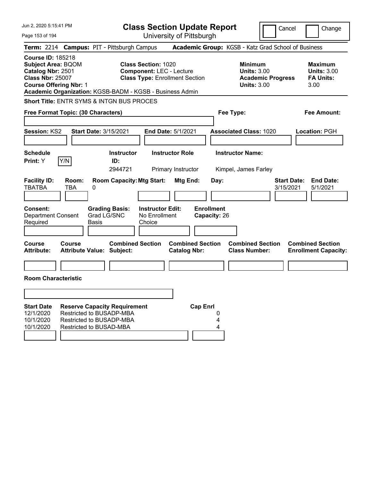| Jun 2, 2020 5:15:41 PM                                                                                                                 | <b>Class Section Update Report</b>                                                                                                                                 |                                                                                        | Cancel<br>Change                                                 |
|----------------------------------------------------------------------------------------------------------------------------------------|--------------------------------------------------------------------------------------------------------------------------------------------------------------------|----------------------------------------------------------------------------------------|------------------------------------------------------------------|
| Page 153 of 194                                                                                                                        | University of Pittsburgh                                                                                                                                           |                                                                                        |                                                                  |
|                                                                                                                                        | Term: 2214 Campus: PIT - Pittsburgh Campus                                                                                                                         | Academic Group: KGSB - Katz Grad School of Business                                    |                                                                  |
| <b>Course ID: 185218</b><br><b>Subject Area: BQOM</b><br>Catalog Nbr: 2501<br><b>Class Nbr: 25007</b><br><b>Course Offering Nbr: 1</b> | <b>Class Section: 1020</b><br><b>Component: LEC - Lecture</b><br><b>Class Type: Enrollment Section</b><br>Academic Organization: KGSB-BADM - KGSB - Business Admin | <b>Minimum</b><br><b>Units: 3.00</b><br><b>Academic Progress</b><br><b>Units: 3.00</b> | <b>Maximum</b><br><b>Units: 3.00</b><br><b>FA Units:</b><br>3.00 |
|                                                                                                                                        | <b>Short Title: ENTR SYMS &amp; INTGN BUS PROCES</b>                                                                                                               |                                                                                        |                                                                  |
| Free Format Topic: (30 Characters)                                                                                                     |                                                                                                                                                                    | Fee Type:                                                                              | <b>Fee Amount:</b>                                               |
|                                                                                                                                        |                                                                                                                                                                    |                                                                                        |                                                                  |
| Session: KS2                                                                                                                           | <b>Start Date: 3/15/2021</b><br>End Date: 5/1/2021                                                                                                                 | <b>Associated Class: 1020</b>                                                          | Location: PGH                                                    |
|                                                                                                                                        |                                                                                                                                                                    |                                                                                        |                                                                  |
| <b>Schedule</b>                                                                                                                        | <b>Instructor Role</b><br><b>Instructor</b>                                                                                                                        | <b>Instructor Name:</b>                                                                |                                                                  |
| Y/N<br>Print: Y                                                                                                                        | ID:                                                                                                                                                                |                                                                                        |                                                                  |
|                                                                                                                                        | 2944721<br>Primary Instructor                                                                                                                                      | Kimpel, James Farley                                                                   |                                                                  |
| <b>Facility ID:</b><br>Room:<br><b>TBATBA</b><br>TBA                                                                                   | <b>Room Capacity: Mtg Start:</b><br>Mtg End:<br>0                                                                                                                  | Day:                                                                                   | <b>End Date:</b><br><b>Start Date:</b><br>3/15/2021<br>5/1/2021  |
| Consent:<br>Department Consent<br>Required                                                                                             | <b>Grading Basis:</b><br><b>Instructor Edit:</b><br>Grad LG/SNC<br>No Enrollment<br><b>Basis</b><br>Choice                                                         | <b>Enrollment</b><br>Capacity: 26                                                      |                                                                  |
| <b>Course</b><br><b>Course</b><br><b>Attribute:</b>                                                                                    | <b>Combined Section</b><br><b>Combined Section</b><br><b>Attribute Value: Subject:</b><br><b>Catalog Nbr:</b>                                                      | <b>Combined Section</b><br><b>Class Number:</b>                                        | <b>Combined Section</b><br><b>Enrollment Capacity:</b>           |
| <b>Room Characteristic</b>                                                                                                             |                                                                                                                                                                    |                                                                                        |                                                                  |
|                                                                                                                                        |                                                                                                                                                                    |                                                                                        |                                                                  |
| <b>Start Date</b><br>12/1/2020<br>10/1/2020<br>10/1/2020                                                                               | <b>Cap Enrl</b><br><b>Reserve Capacity Requirement</b><br>Restricted to BUSADP-MBA<br>Restricted to BUSADP-MBA<br>Restricted to BUSAD-MBA                          | 0<br>4<br>4                                                                            |                                                                  |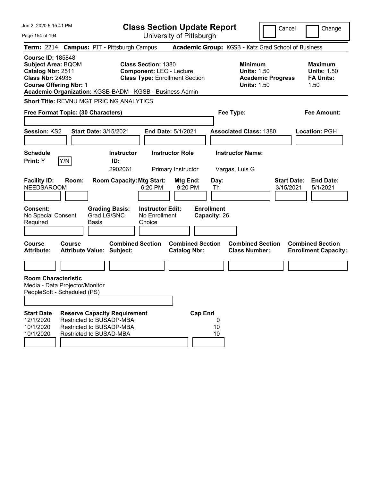| Jun 2, 2020 5:15:41 PM                                                                                                                                                                             |                                                                                                                        |       |                                                                          | <b>Class Section Update Report</b>                                                                     |                                              |                                              |               |                                                            |                          | Cancel                          |                                                                  | Change |
|----------------------------------------------------------------------------------------------------------------------------------------------------------------------------------------------------|------------------------------------------------------------------------------------------------------------------------|-------|--------------------------------------------------------------------------|--------------------------------------------------------------------------------------------------------|----------------------------------------------|----------------------------------------------|---------------|------------------------------------------------------------|--------------------------|---------------------------------|------------------------------------------------------------------|--------|
| Page 154 of 194                                                                                                                                                                                    |                                                                                                                        |       |                                                                          |                                                                                                        |                                              | University of Pittsburgh                     |               |                                                            |                          |                                 |                                                                  |        |
| Term: 2214 Campus: PIT - Pittsburgh Campus                                                                                                                                                         |                                                                                                                        |       |                                                                          |                                                                                                        |                                              |                                              |               | Academic Group: KGSB - Katz Grad School of Business        |                          |                                 |                                                                  |        |
| <b>Course ID: 185848</b><br><b>Subject Area: BQOM</b><br>Catalog Nbr: 2511<br><b>Class Nbr: 24935</b><br><b>Course Offering Nbr: 1</b><br>Academic Organization: KGSB-BADM - KGSB - Business Admin |                                                                                                                        |       |                                                                          | <b>Class Section: 1380</b><br><b>Component: LEC - Lecture</b><br><b>Class Type: Enrollment Section</b> |                                              |                                              |               | <b>Minimum</b><br><b>Units: 1.50</b><br><b>Units: 1.50</b> | <b>Academic Progress</b> |                                 | <b>Maximum</b><br><b>Units: 1.50</b><br><b>FA Units:</b><br>1.50 |        |
| <b>Short Title: REVNU MGT PRICING ANALYTICS</b>                                                                                                                                                    |                                                                                                                        |       |                                                                          |                                                                                                        |                                              |                                              |               |                                                            |                          |                                 |                                                                  |        |
| Free Format Topic: (30 Characters)                                                                                                                                                                 |                                                                                                                        |       |                                                                          |                                                                                                        |                                              |                                              |               | Fee Type:                                                  |                          |                                 | <b>Fee Amount:</b>                                               |        |
| <b>Session: KS2</b>                                                                                                                                                                                |                                                                                                                        |       | <b>Start Date: 3/15/2021</b>                                             |                                                                                                        | <b>End Date: 5/1/2021</b>                    |                                              |               | <b>Associated Class: 1380</b>                              |                          |                                 | Location: PGH                                                    |        |
| <b>Schedule</b><br>Print: Y                                                                                                                                                                        | Y/N                                                                                                                    |       | <b>Instructor</b><br>ID:<br>2902061                                      |                                                                                                        | <b>Instructor Role</b><br>Primary Instructor |                                              |               | <b>Instructor Name:</b><br>Vargas, Luis G                  |                          |                                 |                                                                  |        |
| <b>Facility ID:</b><br><b>NEEDSAROOM</b><br>Consent:<br>No Special Consent<br>Required                                                                                                             | Room:                                                                                                                  | Basis | <b>Room Capacity: Mtg Start:</b><br><b>Grading Basis:</b><br>Grad LG/SNC | 6:20 PM<br><b>Instructor Edit:</b><br>No Enrollment<br>Choice                                          | Mtg End:                                     | 9:20 PM<br><b>Enrollment</b><br>Capacity: 26 | Day:<br>Th    |                                                            |                          | <b>Start Date:</b><br>3/15/2021 | <b>End Date:</b><br>5/1/2021                                     |        |
| <b>Course</b><br><b>Attribute:</b>                                                                                                                                                                 | <b>Course</b><br><b>Attribute Value: Subject:</b>                                                                      |       | <b>Combined Section</b>                                                  |                                                                                                        | <b>Catalog Nbr:</b>                          | <b>Combined Section</b>                      |               | <b>Combined Section</b><br><b>Class Number:</b>            |                          |                                 | <b>Combined Section</b><br><b>Enrollment Capacity:</b>           |        |
| <b>Room Characteristic</b><br>Media - Data Projector/Monitor                                                                                                                                       |                                                                                                                        |       |                                                                          |                                                                                                        |                                              |                                              |               |                                                            |                          |                                 |                                                                  |        |
| PeopleSoft - Scheduled (PS)                                                                                                                                                                        |                                                                                                                        |       |                                                                          |                                                                                                        |                                              |                                              |               |                                                            |                          |                                 |                                                                  |        |
| <b>Start Date</b><br>12/1/2020<br>10/1/2020<br>10/1/2020                                                                                                                                           | <b>Reserve Capacity Requirement</b><br>Restricted to BUSADP-MBA<br>Restricted to BUSADP-MBA<br>Restricted to BUSAD-MBA |       |                                                                          |                                                                                                        |                                              | <b>Cap Enrl</b>                              | 0<br>10<br>10 |                                                            |                          |                                 |                                                                  |        |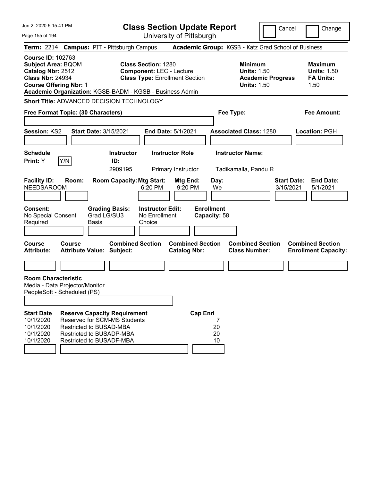| Jun 2, 2020 5:15:41 PM<br>Page 155 of 194                                                                                              |        |                                                                                                                                                        |                                                               | <b>Class Section Update Report</b><br>University of Pittsburgh |                                 |                                                                                        | Cancel                          | Change                                                           |
|----------------------------------------------------------------------------------------------------------------------------------------|--------|--------------------------------------------------------------------------------------------------------------------------------------------------------|---------------------------------------------------------------|----------------------------------------------------------------|---------------------------------|----------------------------------------------------------------------------------------|---------------------------------|------------------------------------------------------------------|
|                                                                                                                                        |        | Term: 2214 Campus: PIT - Pittsburgh Campus                                                                                                             |                                                               |                                                                |                                 | Academic Group: KGSB - Katz Grad School of Business                                    |                                 |                                                                  |
| <b>Course ID: 102763</b><br><b>Subject Area: BQOM</b><br>Catalog Nbr: 2512<br><b>Class Nbr: 24934</b><br><b>Course Offering Nbr: 1</b> |        | Academic Organization: KGSB-BADM - KGSB - Business Admin                                                                                               | <b>Class Section: 1280</b><br><b>Component: LEC - Lecture</b> | <b>Class Type: Enrollment Section</b>                          |                                 | <b>Minimum</b><br><b>Units: 1.50</b><br><b>Academic Progress</b><br><b>Units: 1.50</b> |                                 | <b>Maximum</b><br><b>Units: 1.50</b><br><b>FA Units:</b><br>1.50 |
| Free Format Topic: (30 Characters)                                                                                                     |        | Short Title: ADVANCED DECISION TECHNOLOGY                                                                                                              |                                                               |                                                                | Fee Type:                       |                                                                                        |                                 | <b>Fee Amount:</b>                                               |
| Session: KS2                                                                                                                           |        | Start Date: 3/15/2021                                                                                                                                  |                                                               | End Date: 5/1/2021                                             |                                 | <b>Associated Class: 1280</b>                                                          |                                 | Location: PGH                                                    |
| <b>Schedule</b><br>Print: Y                                                                                                            | Y/N    | <b>Instructor</b><br>ID:<br>2909195                                                                                                                    |                                                               | <b>Instructor Role</b><br>Primary Instructor                   |                                 | <b>Instructor Name:</b><br>Tadikamalla, Pandu R                                        |                                 |                                                                  |
| <b>Facility ID:</b><br><b>NEEDSAROOM</b><br>Consent:                                                                                   | Room:  | <b>Room Capacity: Mtg Start:</b><br><b>Grading Basis:</b>                                                                                              | 6:20 PM<br><b>Instructor Edit:</b>                            | Mtg End:<br>9:20 PM                                            | Day:<br>We<br><b>Enrollment</b> |                                                                                        | <b>Start Date:</b><br>3/15/2021 | <b>End Date:</b><br>5/1/2021                                     |
| No Special Consent<br>Required                                                                                                         |        | Grad LG/SU3<br><b>Basis</b>                                                                                                                            | No Enrollment<br>Choice                                       |                                                                | Capacity: 58                    |                                                                                        |                                 |                                                                  |
| <b>Course</b><br><b>Attribute:</b>                                                                                                     | Course | <b>Combined Section</b><br><b>Attribute Value: Subject:</b>                                                                                            |                                                               | <b>Combined Section</b><br><b>Catalog Nbr:</b>                 |                                 | <b>Combined Section</b><br><b>Class Number:</b>                                        |                                 | <b>Combined Section</b><br><b>Enrollment Capacity:</b>           |
|                                                                                                                                        |        |                                                                                                                                                        |                                                               |                                                                |                                 |                                                                                        |                                 |                                                                  |
| <b>Room Characteristic</b><br>Media - Data Projector/Monitor<br>PeopleSoft - Scheduled (PS)                                            |        |                                                                                                                                                        |                                                               |                                                                |                                 |                                                                                        |                                 |                                                                  |
| <b>Start Date</b><br>10/1/2020<br>10/1/2020<br>10/1/2020<br>10/1/2020                                                                  |        | <b>Reserve Capacity Requirement</b><br>Reserved for SCM-MS Students<br>Restricted to BUSAD-MBA<br>Restricted to BUSADP-MBA<br>Restricted to BUSADF-MBA |                                                               | <b>Cap Enrl</b>                                                | 7<br>20<br>20<br>10             |                                                                                        |                                 |                                                                  |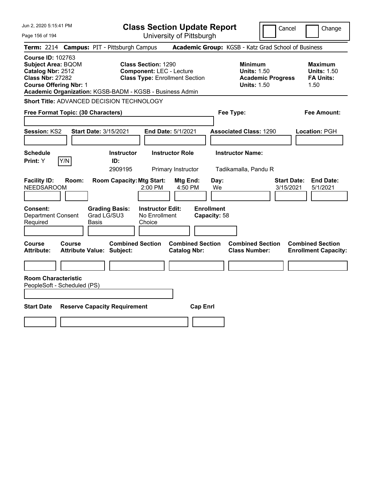| Jun 2, 2020 5:15:41 PM                                                                                                                 |                                            |                                                                                                                           | <b>Class Section Update Report</b>             |                                   |                                                                                        | Cancel<br>Change                                                 |
|----------------------------------------------------------------------------------------------------------------------------------------|--------------------------------------------|---------------------------------------------------------------------------------------------------------------------------|------------------------------------------------|-----------------------------------|----------------------------------------------------------------------------------------|------------------------------------------------------------------|
| Page 156 of 194                                                                                                                        |                                            |                                                                                                                           | University of Pittsburgh                       |                                   |                                                                                        |                                                                  |
| <b>Term: 2214</b>                                                                                                                      |                                            | <b>Campus: PIT - Pittsburgh Campus</b>                                                                                    |                                                |                                   | Academic Group: KGSB - Katz Grad School of Business                                    |                                                                  |
| <b>Course ID: 102763</b><br><b>Subject Area: BQOM</b><br>Catalog Nbr: 2512<br><b>Class Nbr: 27282</b><br><b>Course Offering Nbr: 1</b> |                                            | <b>Class Section: 1290</b><br><b>Component: LEC - Lecture</b><br>Academic Organization: KGSB-BADM - KGSB - Business Admin | <b>Class Type: Enrollment Section</b>          |                                   | <b>Minimum</b><br><b>Units: 1.50</b><br><b>Academic Progress</b><br><b>Units: 1.50</b> | <b>Maximum</b><br><b>Units: 1.50</b><br><b>FA Units:</b><br>1.50 |
|                                                                                                                                        |                                            | Short Title: ADVANCED DECISION TECHNOLOGY                                                                                 |                                                |                                   |                                                                                        |                                                                  |
| Free Format Topic: (30 Characters)                                                                                                     |                                            |                                                                                                                           |                                                | Fee Type:                         |                                                                                        | Fee Amount:                                                      |
| <b>Session: KS2</b>                                                                                                                    | Start Date: 3/15/2021                      |                                                                                                                           | End Date: 5/1/2021                             |                                   | <b>Associated Class: 1290</b>                                                          | Location: PGH                                                    |
| <b>Schedule</b><br>Y/N<br>Print: Y                                                                                                     |                                            | <b>Instructor</b><br>ID:<br>2909195                                                                                       | <b>Instructor Role</b><br>Primary Instructor   |                                   | <b>Instructor Name:</b><br>Tadikamalla, Pandu R                                        |                                                                  |
| <b>Facility ID:</b><br><b>NEEDSAROOM</b>                                                                                               | Room:                                      | <b>Room Capacity: Mtg Start:</b><br>2:00 PM                                                                               | Mtg End:<br>4:50 PM                            | Day:<br>We                        |                                                                                        | <b>Start Date:</b><br><b>End Date:</b><br>3/15/2021<br>5/1/2021  |
| <b>Consent:</b><br>Department Consent<br>Required                                                                                      | Basis                                      | <b>Instructor Edit:</b><br><b>Grading Basis:</b><br>Grad LG/SU3<br>No Enrollment<br>Choice                                |                                                | <b>Enrollment</b><br>Capacity: 58 |                                                                                        |                                                                  |
| Course<br>Attribute:                                                                                                                   | Course<br><b>Attribute Value: Subject:</b> | <b>Combined Section</b>                                                                                                   | <b>Combined Section</b><br><b>Catalog Nbr:</b> |                                   | <b>Combined Section</b><br><b>Class Number:</b>                                        | <b>Combined Section</b><br><b>Enrollment Capacity:</b>           |
| <b>Room Characteristic</b><br>PeopleSoft - Scheduled (PS)                                                                              |                                            |                                                                                                                           |                                                |                                   |                                                                                        |                                                                  |
| <b>Start Date</b>                                                                                                                      |                                            | <b>Reserve Capacity Requirement</b>                                                                                       | <b>Cap Enrl</b>                                |                                   |                                                                                        |                                                                  |
|                                                                                                                                        |                                            |                                                                                                                           |                                                |                                   |                                                                                        |                                                                  |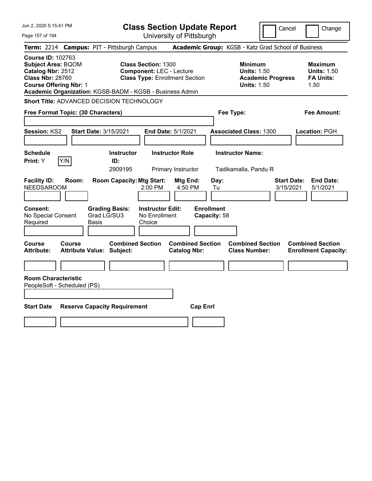| Jun 2, 2020 5:15:41 PM                                                                                                                 | <b>Class Section Update Report</b>                                                                                                                                 | Cancel                                                                                 | Change                                                           |
|----------------------------------------------------------------------------------------------------------------------------------------|--------------------------------------------------------------------------------------------------------------------------------------------------------------------|----------------------------------------------------------------------------------------|------------------------------------------------------------------|
| Page 157 of 194                                                                                                                        | University of Pittsburgh                                                                                                                                           |                                                                                        |                                                                  |
| <b>Term: 2214</b>                                                                                                                      | <b>Campus: PIT - Pittsburgh Campus</b>                                                                                                                             | Academic Group: KGSB - Katz Grad School of Business                                    |                                                                  |
| <b>Course ID: 102763</b><br><b>Subject Area: BQOM</b><br>Catalog Nbr: 2512<br><b>Class Nbr: 28760</b><br><b>Course Offering Nbr: 1</b> | <b>Class Section: 1300</b><br><b>Component: LEC - Lecture</b><br><b>Class Type: Enrollment Section</b><br>Academic Organization: KGSB-BADM - KGSB - Business Admin | <b>Minimum</b><br><b>Units: 1.50</b><br><b>Academic Progress</b><br><b>Units: 1.50</b> | <b>Maximum</b><br><b>Units: 1.50</b><br><b>FA Units:</b><br>1.50 |
|                                                                                                                                        | Short Title: ADVANCED DECISION TECHNOLOGY                                                                                                                          |                                                                                        |                                                                  |
| Free Format Topic: (30 Characters)                                                                                                     |                                                                                                                                                                    | Fee Type:                                                                              | Fee Amount:                                                      |
| Session: KS2                                                                                                                           | <b>Start Date: 3/15/2021</b><br><b>End Date: 5/1/2021</b>                                                                                                          | <b>Associated Class: 1300</b>                                                          | Location: PGH                                                    |
| <b>Schedule</b><br>Print: Y<br>Y/N                                                                                                     | <b>Instructor Role</b><br><b>Instructor</b><br>ID:<br>2909195<br>Primary Instructor                                                                                | <b>Instructor Name:</b><br>Tadikamalla, Pandu R                                        |                                                                  |
| <b>Facility ID:</b><br>Room:<br><b>NEEDSAROOM</b>                                                                                      | <b>Room Capacity: Mtg Start:</b><br>Mtg End:<br>2:00 PM<br>4:50 PM                                                                                                 | Day:<br><b>Start Date:</b><br>3/15/2021<br>Tu                                          | <b>End Date:</b><br>5/1/2021                                     |
| Consent:<br>No Special Consent<br>Required                                                                                             | <b>Instructor Edit:</b><br><b>Grading Basis:</b><br>Grad LG/SU3<br>No Enrollment<br>Basis<br>Choice                                                                | <b>Enrollment</b><br>Capacity: 58                                                      |                                                                  |
| <b>Course</b><br>Course<br><b>Attribute:</b>                                                                                           | <b>Combined Section</b><br><b>Combined Section</b><br><b>Attribute Value: Subject:</b><br><b>Catalog Nbr:</b>                                                      | <b>Combined Section</b><br><b>Class Number:</b>                                        | <b>Combined Section</b><br><b>Enrollment Capacity:</b>           |
|                                                                                                                                        |                                                                                                                                                                    |                                                                                        |                                                                  |
| <b>Room Characteristic</b><br>PeopleSoft - Scheduled (PS)                                                                              |                                                                                                                                                                    |                                                                                        |                                                                  |
| <b>Start Date</b>                                                                                                                      | <b>Reserve Capacity Requirement</b><br><b>Cap Enrl</b>                                                                                                             |                                                                                        |                                                                  |
|                                                                                                                                        |                                                                                                                                                                    |                                                                                        |                                                                  |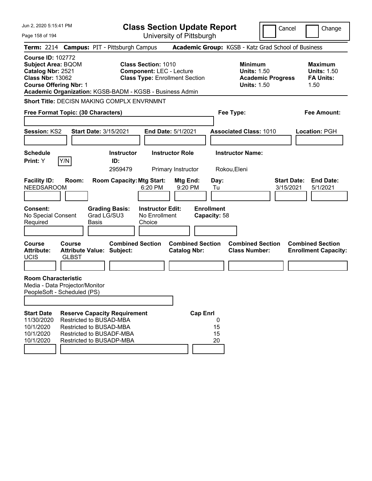| Jun 2. 2020 5:15:41 PM                                                                                                                 |                               |                                                                                                                                                          |                                                    | <b>Class Section Update Report</b>                                       |                                   |                                                            |                          | Cancel<br>Change                                                 |
|----------------------------------------------------------------------------------------------------------------------------------------|-------------------------------|----------------------------------------------------------------------------------------------------------------------------------------------------------|----------------------------------------------------|--------------------------------------------------------------------------|-----------------------------------|------------------------------------------------------------|--------------------------|------------------------------------------------------------------|
| Page 158 of 194                                                                                                                        |                               |                                                                                                                                                          |                                                    | University of Pittsburgh                                                 |                                   |                                                            |                          |                                                                  |
|                                                                                                                                        |                               | Term: 2214 Campus: PIT - Pittsburgh Campus                                                                                                               |                                                    |                                                                          |                                   |                                                            |                          | Academic Group: KGSB - Katz Grad School of Business              |
| <b>Course ID: 102772</b><br><b>Subject Area: BQOM</b><br>Catalog Nbr: 2521<br><b>Class Nbr: 13062</b><br><b>Course Offering Nbr: 1</b> |                               | Academic Organization: KGSB-BADM - KGSB - Business Admin                                                                                                 | <b>Class Section: 1010</b>                         | <b>Component: LEC - Lecture</b><br><b>Class Type: Enrollment Section</b> |                                   | <b>Minimum</b><br><b>Units: 1.50</b><br><b>Units: 1.50</b> | <b>Academic Progress</b> | <b>Maximum</b><br><b>Units: 1.50</b><br><b>FA Units:</b><br>1.50 |
|                                                                                                                                        |                               | Short Title: DECISN MAKING COMPLX ENVRNMNT                                                                                                               |                                                    |                                                                          |                                   |                                                            |                          |                                                                  |
| Free Format Topic: (30 Characters)                                                                                                     |                               |                                                                                                                                                          |                                                    |                                                                          |                                   | Fee Type:                                                  |                          | <b>Fee Amount:</b>                                               |
| Session: KS2                                                                                                                           |                               | <b>Start Date: 3/15/2021</b>                                                                                                                             |                                                    | End Date: 5/1/2021                                                       |                                   | <b>Associated Class: 1010</b>                              |                          | Location: PGH                                                    |
| <b>Schedule</b><br>Print: Y                                                                                                            | Y/N                           | <b>Instructor</b><br>ID:<br>2959479                                                                                                                      |                                                    | <b>Instructor Role</b><br>Primary Instructor                             |                                   | <b>Instructor Name:</b><br>Rokou, Eleni                    |                          |                                                                  |
| <b>Facility ID:</b><br><b>NEEDSAROOM</b>                                                                                               | Room:                         | <b>Room Capacity: Mtg Start:</b>                                                                                                                         | 6:20 PM                                            | Mtg End:<br>9:20 PM                                                      | Day:<br>Tu                        |                                                            |                          | <b>Start Date:</b><br><b>End Date:</b><br>3/15/2021<br>5/1/2021  |
| <b>Consent:</b><br>No Special Consent<br>Required                                                                                      |                               | <b>Grading Basis:</b><br>Grad LG/SU3<br><b>Basis</b>                                                                                                     | <b>Instructor Edit:</b><br>No Enrollment<br>Choice |                                                                          | <b>Enrollment</b><br>Capacity: 58 |                                                            |                          |                                                                  |
| <b>Course</b><br><b>Attribute:</b><br><b>UCIS</b>                                                                                      | <b>Course</b><br><b>GLBST</b> | <b>Combined Section</b><br><b>Attribute Value: Subject:</b>                                                                                              |                                                    | <b>Combined Section</b><br><b>Catalog Nbr:</b>                           |                                   | <b>Combined Section</b><br><b>Class Number:</b>            |                          | <b>Combined Section</b><br><b>Enrollment Capacity:</b>           |
| <b>Room Characteristic</b><br>Media - Data Projector/Monitor<br>PeopleSoft - Scheduled (PS)                                            |                               |                                                                                                                                                          |                                                    |                                                                          |                                   |                                                            |                          |                                                                  |
| <b>Start Date</b><br>11/30/2020<br>10/1/2020<br>10/1/2020<br>10/1/2020                                                                 |                               | <b>Reserve Capacity Requirement</b><br>Restricted to BUSAD-MBA<br>Restricted to BUSAD-MBA<br><b>Restricted to BUSADF-MBA</b><br>Restricted to BUSADP-MBA |                                                    | <b>Cap Enrl</b>                                                          | 0<br>15<br>15<br>20               |                                                            |                          |                                                                  |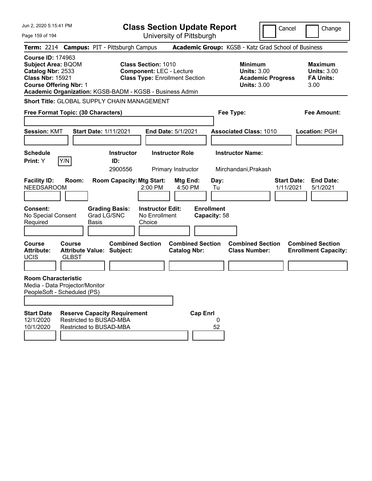| Jun 2, 2020 5:15:41 PM                                                                                                                 |                               |                                                                                           |                                                               | <b>Class Section Update Report</b>             |                                                 |                                                            | Cancel                   | Change                                                           |
|----------------------------------------------------------------------------------------------------------------------------------------|-------------------------------|-------------------------------------------------------------------------------------------|---------------------------------------------------------------|------------------------------------------------|-------------------------------------------------|------------------------------------------------------------|--------------------------|------------------------------------------------------------------|
| Page 159 of 194                                                                                                                        |                               |                                                                                           |                                                               | University of Pittsburgh                       |                                                 |                                                            |                          |                                                                  |
|                                                                                                                                        |                               | Term: 2214 Campus: PIT - Pittsburgh Campus                                                |                                                               |                                                |                                                 |                                                            |                          | Academic Group: KGSB - Katz Grad School of Business              |
| <b>Course ID: 174963</b><br><b>Subject Area: BQOM</b><br>Catalog Nbr: 2533<br><b>Class Nbr: 15921</b><br><b>Course Offering Nbr: 1</b> |                               | Academic Organization: KGSB-BADM - KGSB - Business Admin                                  | <b>Class Section: 1010</b><br><b>Component: LEC - Lecture</b> | <b>Class Type: Enrollment Section</b>          |                                                 | <b>Minimum</b><br><b>Units: 3.00</b><br><b>Units: 3.00</b> | <b>Academic Progress</b> | <b>Maximum</b><br><b>Units: 3.00</b><br><b>FA Units:</b><br>3.00 |
|                                                                                                                                        |                               | <b>Short Title: GLOBAL SUPPLY CHAIN MANAGEMENT</b>                                        |                                                               |                                                |                                                 |                                                            |                          |                                                                  |
| Free Format Topic: (30 Characters)                                                                                                     |                               |                                                                                           |                                                               |                                                | Fee Type:                                       |                                                            |                          | <b>Fee Amount:</b>                                               |
|                                                                                                                                        |                               |                                                                                           |                                                               |                                                |                                                 |                                                            |                          |                                                                  |
| <b>Session: KMT</b>                                                                                                                    |                               | <b>Start Date: 1/11/2021</b>                                                              |                                                               | <b>End Date: 5/1/2021</b>                      |                                                 | <b>Associated Class: 1010</b>                              |                          | <b>Location: PGH</b>                                             |
| <b>Schedule</b>                                                                                                                        |                               | <b>Instructor</b>                                                                         |                                                               | <b>Instructor Role</b>                         |                                                 | <b>Instructor Name:</b>                                    |                          |                                                                  |
| <b>Print:</b> Y                                                                                                                        | Y/N                           | ID:                                                                                       |                                                               |                                                |                                                 |                                                            |                          |                                                                  |
|                                                                                                                                        |                               | 2900556                                                                                   |                                                               | Primary Instructor                             |                                                 | Mirchandani, Prakash                                       |                          |                                                                  |
| <b>Facility ID:</b><br><b>NEEDSAROOM</b><br><b>Consent:</b><br>No Special Consent<br>Required                                          | Room:                         | <b>Room Capacity: Mtg Start:</b><br><b>Grading Basis:</b><br>Grad LG/SNC<br>Basis         | 2:00 PM<br><b>Instructor Edit:</b><br>No Enrollment<br>Choice | Mtg End:<br>4:50 PM                            | Day:<br>Tu<br><b>Enrollment</b><br>Capacity: 58 |                                                            |                          | <b>Start Date:</b><br><b>End Date:</b><br>1/11/2021<br>5/1/2021  |
| <b>Course</b><br><b>Attribute:</b><br><b>UCIS</b>                                                                                      | <b>Course</b><br><b>GLBST</b> | <b>Combined Section</b><br><b>Attribute Value: Subject:</b>                               |                                                               | <b>Combined Section</b><br><b>Catalog Nbr:</b> |                                                 | <b>Combined Section</b><br><b>Class Number:</b>            |                          | <b>Combined Section</b><br><b>Enrollment Capacity:</b>           |
| <b>Room Characteristic</b><br>Media - Data Projector/Monitor<br>PeopleSoft - Scheduled (PS)                                            |                               |                                                                                           |                                                               |                                                |                                                 |                                                            |                          |                                                                  |
| <b>Start Date</b><br>12/1/2020<br>10/1/2020                                                                                            |                               | <b>Reserve Capacity Requirement</b><br>Restricted to BUSAD-MBA<br>Restricted to BUSAD-MBA |                                                               | <b>Cap Enrl</b>                                | 0<br>52                                         |                                                            |                          |                                                                  |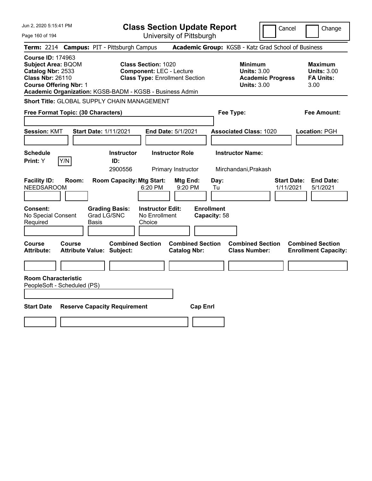| Jun 2, 2020 5:15:41 PM                                                                                                                 |                                                                                                                                                                    | <b>Class Section Update Report</b>             | Cancel                                                                                 | Change                                                           |
|----------------------------------------------------------------------------------------------------------------------------------------|--------------------------------------------------------------------------------------------------------------------------------------------------------------------|------------------------------------------------|----------------------------------------------------------------------------------------|------------------------------------------------------------------|
| Page 160 of 194                                                                                                                        |                                                                                                                                                                    | University of Pittsburgh                       |                                                                                        |                                                                  |
| <b>Term: 2214</b>                                                                                                                      | <b>Campus: PIT - Pittsburgh Campus</b>                                                                                                                             |                                                | Academic Group: KGSB - Katz Grad School of Business                                    |                                                                  |
| <b>Course ID: 174963</b><br><b>Subject Area: BQOM</b><br>Catalog Nbr: 2533<br><b>Class Nbr: 26110</b><br><b>Course Offering Nbr: 1</b> | <b>Class Section: 1020</b><br><b>Component: LEC - Lecture</b><br><b>Class Type: Enrollment Section</b><br>Academic Organization: KGSB-BADM - KGSB - Business Admin |                                                | <b>Minimum</b><br><b>Units: 3.00</b><br><b>Academic Progress</b><br><b>Units: 3.00</b> | <b>Maximum</b><br><b>Units: 3.00</b><br><b>FA Units:</b><br>3.00 |
|                                                                                                                                        | <b>Short Title: GLOBAL SUPPLY CHAIN MANAGEMENT</b>                                                                                                                 |                                                |                                                                                        |                                                                  |
| Free Format Topic: (30 Characters)                                                                                                     |                                                                                                                                                                    |                                                | Fee Type:                                                                              | Fee Amount:                                                      |
| <b>Session: KMT</b>                                                                                                                    | <b>Start Date: 1/11/2021</b>                                                                                                                                       | End Date: 5/1/2021                             | <b>Associated Class: 1020</b>                                                          | Location: PGH                                                    |
| <b>Schedule</b><br>Y/N<br>Print: Y                                                                                                     | <b>Instructor</b><br>ID:<br>2900556                                                                                                                                | <b>Instructor Role</b><br>Primary Instructor   | <b>Instructor Name:</b><br>Mirchandani, Prakash                                        |                                                                  |
| <b>Facility ID:</b><br>Room:<br><b>NEEDSAROOM</b>                                                                                      | <b>Room Capacity: Mtg Start:</b><br>6:20 PM                                                                                                                        | Mtg End:<br>Day:<br>9:20 PM<br>Tu              |                                                                                        | <b>Start Date:</b><br><b>End Date:</b><br>1/11/2021<br>5/1/2021  |
| Consent:<br>No Special Consent<br>Required                                                                                             | <b>Instructor Edit:</b><br><b>Grading Basis:</b><br>Grad LG/SNC<br>No Enrollment<br>Choice<br>Basis                                                                | <b>Enrollment</b><br>Capacity: 58              |                                                                                        |                                                                  |
| Course<br>Course<br>Attribute:                                                                                                         | <b>Combined Section</b><br><b>Attribute Value: Subject:</b>                                                                                                        | <b>Combined Section</b><br><b>Catalog Nbr:</b> | <b>Combined Section</b><br><b>Class Number:</b>                                        | <b>Combined Section</b><br><b>Enrollment Capacity:</b>           |
|                                                                                                                                        |                                                                                                                                                                    |                                                |                                                                                        |                                                                  |
| <b>Room Characteristic</b><br>PeopleSoft - Scheduled (PS)                                                                              |                                                                                                                                                                    |                                                |                                                                                        |                                                                  |
| <b>Start Date</b>                                                                                                                      | <b>Reserve Capacity Requirement</b>                                                                                                                                | <b>Cap Enrl</b>                                |                                                                                        |                                                                  |
|                                                                                                                                        |                                                                                                                                                                    |                                                |                                                                                        |                                                                  |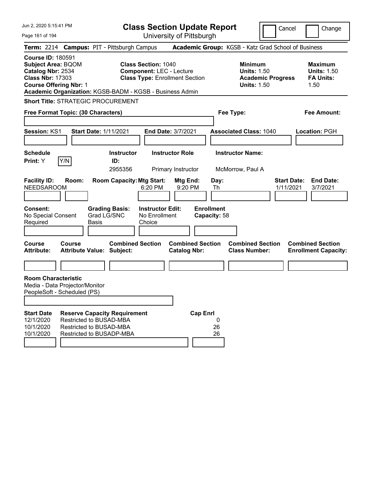| Jun 2, 2020 5:15:41 PM                                                                                                                                                                             |                                                                                |       |                                      | <b>Class Section Update Report</b>                                                                     |                                              |                         |                                   |                                                                                        | Cancel                          | Change                                                           |
|----------------------------------------------------------------------------------------------------------------------------------------------------------------------------------------------------|--------------------------------------------------------------------------------|-------|--------------------------------------|--------------------------------------------------------------------------------------------------------|----------------------------------------------|-------------------------|-----------------------------------|----------------------------------------------------------------------------------------|---------------------------------|------------------------------------------------------------------|
| Page 161 of 194                                                                                                                                                                                    |                                                                                |       |                                      |                                                                                                        | University of Pittsburgh                     |                         |                                   |                                                                                        |                                 |                                                                  |
| Term: 2214 Campus: PIT - Pittsburgh Campus                                                                                                                                                         |                                                                                |       |                                      |                                                                                                        |                                              |                         |                                   | Academic Group: KGSB - Katz Grad School of Business                                    |                                 |                                                                  |
| <b>Course ID: 180591</b><br><b>Subject Area: BQOM</b><br>Catalog Nbr: 2534<br><b>Class Nbr: 17303</b><br><b>Course Offering Nbr: 1</b><br>Academic Organization: KGSB-BADM - KGSB - Business Admin |                                                                                |       |                                      | <b>Class Section: 1040</b><br><b>Component: LEC - Lecture</b><br><b>Class Type: Enrollment Section</b> |                                              |                         |                                   | <b>Minimum</b><br><b>Units: 1.50</b><br><b>Academic Progress</b><br><b>Units: 1.50</b> |                                 | <b>Maximum</b><br><b>Units: 1.50</b><br><b>FA Units:</b><br>1.50 |
| <b>Short Title: STRATEGIC PROCUREMENT</b>                                                                                                                                                          |                                                                                |       |                                      |                                                                                                        |                                              |                         |                                   |                                                                                        |                                 |                                                                  |
| Free Format Topic: (30 Characters)                                                                                                                                                                 |                                                                                |       |                                      |                                                                                                        |                                              |                         |                                   | Fee Type:                                                                              |                                 | <b>Fee Amount:</b>                                               |
| <b>Session: KS1</b>                                                                                                                                                                                |                                                                                |       | <b>Start Date: 1/11/2021</b>         |                                                                                                        | <b>End Date: 3/7/2021</b>                    |                         |                                   | <b>Associated Class: 1040</b>                                                          |                                 | Location: PGH                                                    |
| <b>Schedule</b><br><b>Print:</b> Y                                                                                                                                                                 | Y/N                                                                            |       | <b>Instructor</b><br>ID:<br>2955356  |                                                                                                        | <b>Instructor Role</b><br>Primary Instructor |                         |                                   | <b>Instructor Name:</b><br>McMorrow, Paul A                                            |                                 |                                                                  |
| <b>Facility ID:</b><br><b>NEEDSAROOM</b>                                                                                                                                                           | Room:                                                                          |       | <b>Room Capacity: Mtg Start:</b>     | 6:20 PM                                                                                                | Mtg End:<br>9:20 PM                          |                         | Day:<br>Th                        |                                                                                        | <b>Start Date:</b><br>1/11/2021 | <b>End Date:</b><br>3/7/2021                                     |
| <b>Consent:</b><br>No Special Consent<br>Required                                                                                                                                                  |                                                                                | Basis | <b>Grading Basis:</b><br>Grad LG/SNC | <b>Instructor Edit:</b><br>No Enrollment<br>Choice                                                     |                                              |                         | <b>Enrollment</b><br>Capacity: 58 |                                                                                        |                                 |                                                                  |
| <b>Course</b><br><b>Attribute:</b>                                                                                                                                                                 | Course<br><b>Attribute Value: Subject:</b>                                     |       | <b>Combined Section</b>              |                                                                                                        | <b>Catalog Nbr:</b>                          | <b>Combined Section</b> |                                   | <b>Combined Section</b><br><b>Class Number:</b>                                        |                                 | <b>Combined Section</b><br><b>Enrollment Capacity:</b>           |
|                                                                                                                                                                                                    |                                                                                |       |                                      |                                                                                                        |                                              |                         |                                   |                                                                                        |                                 |                                                                  |
| <b>Room Characteristic</b><br>Media - Data Projector/Monitor<br>PeopleSoft - Scheduled (PS)                                                                                                        |                                                                                |       |                                      |                                                                                                        |                                              |                         |                                   |                                                                                        |                                 |                                                                  |
| <b>Start Date</b><br>12/1/2020<br>10/1/2020<br>10/1/2020                                                                                                                                           | Restricted to BUSAD-MBA<br>Restricted to BUSAD-MBA<br>Restricted to BUSADP-MBA |       | <b>Reserve Capacity Requirement</b>  |                                                                                                        |                                              | <b>Cap Enrl</b>         | 0<br>26<br>26                     |                                                                                        |                                 |                                                                  |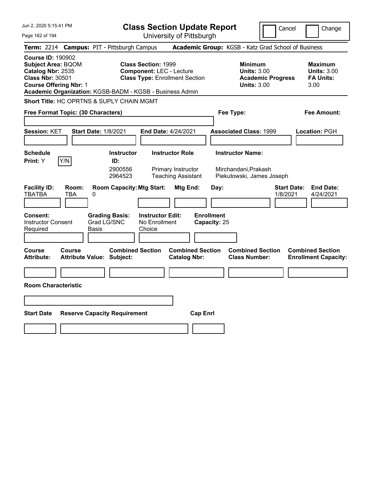| Jun 2, 2020 5:15:41 PM                                                                                                                                                                             | <b>Class Section Update Report</b>                                                                                      | Cancel                                                                                 | Change                                                           |
|----------------------------------------------------------------------------------------------------------------------------------------------------------------------------------------------------|-------------------------------------------------------------------------------------------------------------------------|----------------------------------------------------------------------------------------|------------------------------------------------------------------|
| Page 162 of 194                                                                                                                                                                                    | University of Pittsburgh                                                                                                |                                                                                        |                                                                  |
| <b>Campus: PIT - Pittsburgh Campus</b><br><b>Term: 2214</b>                                                                                                                                        |                                                                                                                         | Academic Group: KGSB - Katz Grad School of Business                                    |                                                                  |
| <b>Course ID: 190902</b><br><b>Subject Area: BQOM</b><br>Catalog Nbr: 2535<br><b>Class Nbr: 30501</b><br><b>Course Offering Nbr: 1</b><br>Academic Organization: KGSB-BADM - KGSB - Business Admin | <b>Class Section: 1999</b><br><b>Component: LEC - Lecture</b><br><b>Class Type: Enrollment Section</b>                  | <b>Minimum</b><br><b>Units: 3.00</b><br><b>Academic Progress</b><br><b>Units: 3.00</b> | <b>Maximum</b><br><b>Units: 3.00</b><br><b>FA Units:</b><br>3.00 |
| <b>Short Title: HC OPRTNS &amp; SUPLY CHAIN MGMT</b>                                                                                                                                               |                                                                                                                         |                                                                                        |                                                                  |
| Free Format Topic: (30 Characters)                                                                                                                                                                 |                                                                                                                         | Fee Type:                                                                              | Fee Amount:                                                      |
| Session: KET<br><b>Start Date: 1/8/2021</b>                                                                                                                                                        | End Date: 4/24/2021                                                                                                     | <b>Associated Class: 1999</b>                                                          | <b>Location: PGH</b>                                             |
| <b>Schedule</b><br>Y/N<br><b>Print: Y</b><br>ID:                                                                                                                                                   | <b>Instructor</b><br><b>Instructor Role</b><br>2900556<br>Primary Instructor<br>2964523<br><b>Teaching Assistant</b>    | <b>Instructor Name:</b><br>Mirchandani, Prakash<br>Piekutowski, James Joseph           |                                                                  |
| <b>Facility ID:</b><br>Room:<br><b>TBATBA</b><br>TBA<br>0<br><b>Grading Basis:</b><br><b>Consent:</b><br><b>Instructor Consent</b><br>Grad LG/SNC<br>Required<br>Basis                             | <b>Room Capacity: Mtg Start:</b><br>Mtg End:<br><b>Enrollment</b><br><b>Instructor Edit:</b><br>No Enrollment<br>Choice | <b>Start Date:</b><br>Day:<br>1/8/2021<br>Capacity: 25                                 | <b>End Date:</b><br>4/24/2021                                    |
| <b>Course</b><br><b>Course</b><br><b>Attribute:</b><br><b>Attribute Value: Subject:</b>                                                                                                            | <b>Combined Section</b><br><b>Combined Section</b><br><b>Catalog Nbr:</b>                                               | <b>Combined Section</b><br><b>Class Number:</b>                                        | <b>Combined Section</b><br><b>Enrollment Capacity:</b>           |
|                                                                                                                                                                                                    |                                                                                                                         |                                                                                        |                                                                  |
| <b>Room Characteristic</b>                                                                                                                                                                         |                                                                                                                         |                                                                                        |                                                                  |
|                                                                                                                                                                                                    |                                                                                                                         |                                                                                        |                                                                  |
| <b>Start Date</b><br><b>Reserve Capacity Requirement</b>                                                                                                                                           | <b>Cap Enrl</b>                                                                                                         |                                                                                        |                                                                  |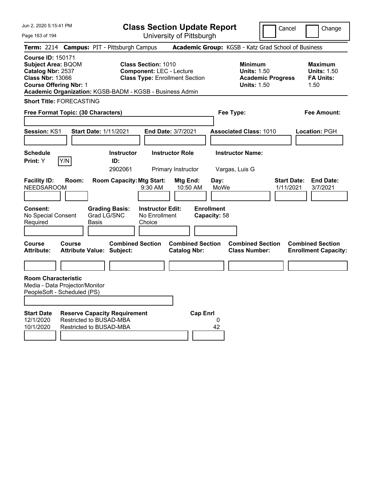Jun 2, 2020 5:15:41 PM

**Class Section Update Report** University of Pittsburgh

Cancel Change

Page 163 of 194

|                                                                                                                                            | Term: 2214 Campus: PIT - Pittsburgh Campus                                                                                                                         |                                                | Academic Group: KGSB - Katz Grad School of Business                                    |                                                                  |
|--------------------------------------------------------------------------------------------------------------------------------------------|--------------------------------------------------------------------------------------------------------------------------------------------------------------------|------------------------------------------------|----------------------------------------------------------------------------------------|------------------------------------------------------------------|
| <b>Course ID: 150171</b><br><b>Subject Area: BQOM</b><br>Catalog Nbr: 2537<br><b>Class Nbr: 13066</b><br><b>Course Offering Nbr: 1</b>     | <b>Class Section: 1010</b><br><b>Component: LEC - Lecture</b><br><b>Class Type: Enrollment Section</b><br>Academic Organization: KGSB-BADM - KGSB - Business Admin |                                                | <b>Minimum</b><br><b>Units: 1.50</b><br><b>Academic Progress</b><br><b>Units: 1.50</b> | <b>Maximum</b><br><b>Units: 1.50</b><br><b>FA Units:</b><br>1.50 |
| <b>Short Title: FORECASTING</b>                                                                                                            |                                                                                                                                                                    |                                                |                                                                                        |                                                                  |
| Free Format Topic: (30 Characters)                                                                                                         |                                                                                                                                                                    |                                                | Fee Type:                                                                              | Fee Amount:                                                      |
| Session: KS1                                                                                                                               | <b>Start Date: 1/11/2021</b>                                                                                                                                       | End Date: 3/7/2021                             | <b>Associated Class: 1010</b>                                                          | Location: PGH                                                    |
| <b>Schedule</b><br>Y/N<br>Print: Y                                                                                                         | <b>Instructor</b><br>ID:<br>2902061                                                                                                                                | <b>Instructor Role</b><br>Primary Instructor   | <b>Instructor Name:</b><br>Vargas, Luis G                                              |                                                                  |
| <b>Facility ID:</b><br>Room:<br><b>NEEDSAROOM</b>                                                                                          | <b>Room Capacity: Mtg Start:</b><br>$9:30$ AM                                                                                                                      | Mtg End:<br>Day:<br>10:50 AM                   | <b>Start Date:</b><br>MoWe<br>1/11/2021                                                | <b>End Date:</b><br>3/7/2021                                     |
| Consent:<br>No Special Consent<br>Required                                                                                                 | <b>Grading Basis:</b><br><b>Instructor Edit:</b><br>Grad LG/SNC<br>No Enrollment<br>Basis<br>Choice                                                                | <b>Enrollment</b><br>Capacity: 58              |                                                                                        |                                                                  |
| Course<br><b>Course</b><br>Attribute:                                                                                                      | <b>Combined Section</b><br><b>Attribute Value: Subject:</b>                                                                                                        | <b>Combined Section</b><br><b>Catalog Nbr:</b> | <b>Combined Section</b><br><b>Class Number:</b>                                        | <b>Combined Section</b><br><b>Enrollment Capacity:</b>           |
| <b>Room Characteristic</b><br>Media - Data Projector/Monitor<br>PeopleSoft - Scheduled (PS)<br><b>Start Date</b><br>12/1/2020<br>10/1/2020 | <b>Reserve Capacity Requirement</b><br>Restricted to BUSAD-MBA<br>Restricted to BUSAD-MBA                                                                          | <b>Cap Enrl</b><br>0<br>42                     |                                                                                        |                                                                  |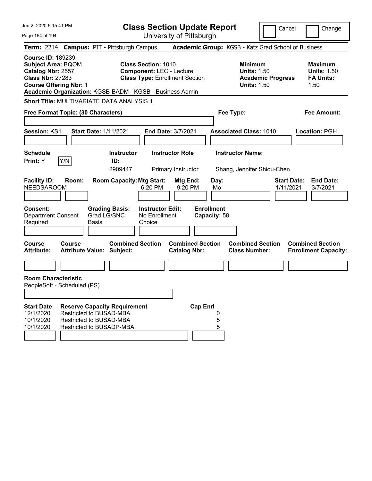| Jun 2, 2020 5:15:41 PM                                                                                                                 |                                                                                |                                                          |                                                               | <b>Class Section Update Report</b>                  |                                   |                                                            | Cancel                          | Change                                                           |
|----------------------------------------------------------------------------------------------------------------------------------------|--------------------------------------------------------------------------------|----------------------------------------------------------|---------------------------------------------------------------|-----------------------------------------------------|-----------------------------------|------------------------------------------------------------|---------------------------------|------------------------------------------------------------------|
| Page 164 of 194                                                                                                                        |                                                                                |                                                          |                                                               | University of Pittsburgh                            |                                   |                                                            |                                 |                                                                  |
|                                                                                                                                        |                                                                                | Term: 2214 Campus: PIT - Pittsburgh Campus               |                                                               | Academic Group: KGSB - Katz Grad School of Business |                                   |                                                            |                                 |                                                                  |
| <b>Course ID: 189239</b><br><b>Subject Area: BQOM</b><br>Catalog Nbr: 2557<br><b>Class Nbr: 27283</b><br><b>Course Offering Nbr: 1</b> |                                                                                | Academic Organization: KGSB-BADM - KGSB - Business Admin | <b>Class Section: 1010</b><br><b>Component: LEC - Lecture</b> | <b>Class Type: Enrollment Section</b>               |                                   | <b>Minimum</b><br><b>Units: 1.50</b><br><b>Units: 1.50</b> | <b>Academic Progress</b>        | <b>Maximum</b><br><b>Units: 1.50</b><br><b>FA Units:</b><br>1.50 |
|                                                                                                                                        |                                                                                | <b>Short Title: MULTIVARIATE DATA ANALYSIS 1</b>         |                                                               |                                                     |                                   |                                                            |                                 |                                                                  |
|                                                                                                                                        | Free Format Topic: (30 Characters)                                             |                                                          |                                                               |                                                     | Fee Type:                         |                                                            |                                 | <b>Fee Amount:</b>                                               |
|                                                                                                                                        |                                                                                |                                                          |                                                               |                                                     |                                   |                                                            |                                 |                                                                  |
| <b>Session: KS1</b>                                                                                                                    |                                                                                | <b>Start Date: 1/11/2021</b>                             | <b>End Date: 3/7/2021</b>                                     |                                                     |                                   | <b>Associated Class: 1010</b>                              |                                 | Location: PGH                                                    |
| <b>Schedule</b>                                                                                                                        |                                                                                | <b>Instructor</b>                                        |                                                               | <b>Instructor Role</b>                              |                                   | <b>Instructor Name:</b>                                    |                                 |                                                                  |
| Print: Y                                                                                                                               | Y/N                                                                            | ID:                                                      |                                                               |                                                     |                                   |                                                            |                                 |                                                                  |
|                                                                                                                                        |                                                                                | 2909447                                                  |                                                               | Primary Instructor                                  |                                   | Shang, Jennifer Shiou-Chen                                 |                                 |                                                                  |
| <b>Facility ID:</b><br><b>NEEDSAROOM</b>                                                                                               | Room:                                                                          | <b>Room Capacity: Mtg Start:</b>                         | 6:20 PM                                                       | Mtg End:<br>9:20 PM                                 | Day:<br>Mo                        |                                                            | <b>Start Date:</b><br>1/11/2021 | <b>End Date:</b><br>3/7/2021                                     |
| <b>Consent:</b><br><b>Department Consent</b><br>Required                                                                               | Basis                                                                          | <b>Grading Basis:</b><br>Grad LG/SNC                     | <b>Instructor Edit:</b><br>No Enrollment<br>Choice            |                                                     | <b>Enrollment</b><br>Capacity: 58 |                                                            |                                 |                                                                  |
| <b>Course</b><br><b>Attribute:</b>                                                                                                     | Course<br><b>Attribute Value: Subject:</b>                                     | <b>Combined Section</b>                                  |                                                               | <b>Combined Section</b><br><b>Catalog Nbr:</b>      |                                   | <b>Combined Section</b><br><b>Class Number:</b>            |                                 | <b>Combined Section</b><br><b>Enrollment Capacity:</b>           |
|                                                                                                                                        |                                                                                |                                                          |                                                               |                                                     |                                   |                                                            |                                 |                                                                  |
| <b>Room Characteristic</b>                                                                                                             | PeopleSoft - Scheduled (PS)                                                    |                                                          |                                                               |                                                     |                                   |                                                            |                                 |                                                                  |
|                                                                                                                                        |                                                                                |                                                          |                                                               |                                                     |                                   |                                                            |                                 |                                                                  |
| <b>Start Date</b><br>12/1/2020<br>10/1/2020<br>10/1/2020                                                                               | Restricted to BUSAD-MBA<br>Restricted to BUSAD-MBA<br>Restricted to BUSADP-MBA | <b>Reserve Capacity Requirement</b>                      |                                                               | <b>Cap Enrl</b>                                     | 0<br>5<br>5                       |                                                            |                                 |                                                                  |
|                                                                                                                                        |                                                                                |                                                          |                                                               |                                                     |                                   |                                                            |                                 |                                                                  |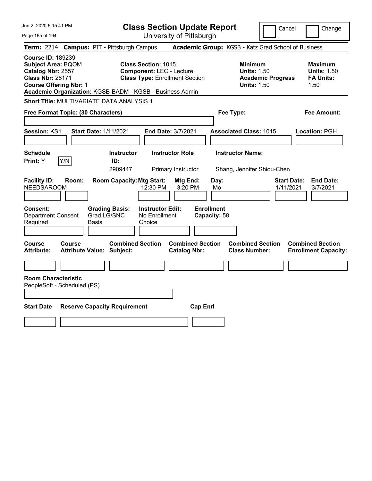| Jun 2, 2020 5:15:41 PM                                                                                                                                                                             |                                                                                                        | <b>Class Section Update Report</b>             |                                                                                        | Cancel<br>Change                                                 |
|----------------------------------------------------------------------------------------------------------------------------------------------------------------------------------------------------|--------------------------------------------------------------------------------------------------------|------------------------------------------------|----------------------------------------------------------------------------------------|------------------------------------------------------------------|
| Page 165 of 194                                                                                                                                                                                    |                                                                                                        | University of Pittsburgh                       |                                                                                        |                                                                  |
| <b>Term: 2214</b>                                                                                                                                                                                  | <b>Campus: PIT - Pittsburgh Campus</b>                                                                 |                                                | Academic Group: KGSB - Katz Grad School of Business                                    |                                                                  |
| <b>Course ID: 189239</b><br><b>Subject Area: BQOM</b><br>Catalog Nbr: 2557<br><b>Class Nbr: 28171</b><br><b>Course Offering Nbr: 1</b><br>Academic Organization: KGSB-BADM - KGSB - Business Admin | <b>Class Section: 1015</b><br><b>Component: LEC - Lecture</b><br><b>Class Type: Enrollment Section</b> |                                                | <b>Minimum</b><br><b>Units: 1.50</b><br><b>Academic Progress</b><br><b>Units: 1.50</b> | <b>Maximum</b><br><b>Units: 1.50</b><br><b>FA Units:</b><br>1.50 |
| <b>Short Title: MULTIVARIATE DATA ANALYSIS 1</b>                                                                                                                                                   |                                                                                                        |                                                |                                                                                        |                                                                  |
| Free Format Topic: (30 Characters)                                                                                                                                                                 |                                                                                                        |                                                | Fee Type:                                                                              | Fee Amount:                                                      |
| Session: KS1<br><b>Start Date: 1/11/2021</b>                                                                                                                                                       |                                                                                                        | End Date: 3/7/2021                             | <b>Associated Class: 1015</b>                                                          | Location: PGH                                                    |
| <b>Schedule</b><br>Y/N<br>Print: Y                                                                                                                                                                 | <b>Instructor</b><br>ID:<br>2909447                                                                    | <b>Instructor Role</b><br>Primary Instructor   | <b>Instructor Name:</b><br>Shang, Jennifer Shiou-Chen                                  |                                                                  |
| <b>Facility ID:</b><br>Room:<br><b>NEEDSAROOM</b>                                                                                                                                                  | <b>Room Capacity: Mtg Start:</b><br>12:30 PM                                                           | Mtg End:<br>Day:<br>3:20 PM<br>Mo              |                                                                                        | <b>Start Date:</b><br><b>End Date:</b><br>1/11/2021<br>3/7/2021  |
| Consent:<br><b>Department Consent</b><br>Required<br><b>Basis</b>                                                                                                                                  | <b>Instructor Edit:</b><br><b>Grading Basis:</b><br>Grad LG/SNC<br>No Enrollment<br>Choice             | <b>Enrollment</b><br>Capacity: 58              |                                                                                        |                                                                  |
| Course<br>Course<br><b>Attribute Value: Subject:</b><br>Attribute:                                                                                                                                 | <b>Combined Section</b>                                                                                | <b>Combined Section</b><br><b>Catalog Nbr:</b> | <b>Combined Section</b><br><b>Class Number:</b>                                        | <b>Combined Section</b><br><b>Enrollment Capacity:</b>           |
| <b>Room Characteristic</b><br>PeopleSoft - Scheduled (PS)                                                                                                                                          |                                                                                                        |                                                |                                                                                        |                                                                  |
| <b>Start Date</b><br><b>Reserve Capacity Requirement</b>                                                                                                                                           |                                                                                                        | <b>Cap Enrl</b>                                |                                                                                        |                                                                  |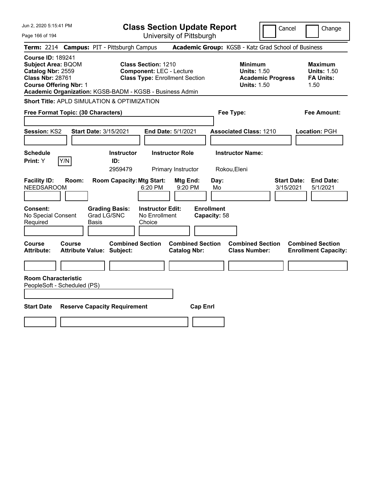| Jun 2, 2020 5:15:41 PM                                                                                                                 | <b>Class Section Update Report</b>                                                                                                                                        | Cancel<br>Change                                                                                                                                           |
|----------------------------------------------------------------------------------------------------------------------------------------|---------------------------------------------------------------------------------------------------------------------------------------------------------------------------|------------------------------------------------------------------------------------------------------------------------------------------------------------|
| Page 166 of 194                                                                                                                        | University of Pittsburgh                                                                                                                                                  |                                                                                                                                                            |
| <b>Term: 2214</b>                                                                                                                      | <b>Campus: PIT - Pittsburgh Campus</b>                                                                                                                                    | Academic Group: KGSB - Katz Grad School of Business                                                                                                        |
| <b>Course ID: 189241</b><br><b>Subject Area: BQOM</b><br>Catalog Nbr: 2559<br><b>Class Nbr: 28761</b><br><b>Course Offering Nbr: 1</b> | <b>Class Section: 1210</b><br><b>Component: LEC - Lecture</b><br><b>Class Type: Enrollment Section</b><br>Academic Organization: KGSB-BADM - KGSB - Business Admin        | <b>Minimum</b><br><b>Maximum</b><br><b>Units: 1.50</b><br><b>Units: 1.50</b><br><b>Academic Progress</b><br><b>FA Units:</b><br><b>Units: 1.50</b><br>1.50 |
|                                                                                                                                        | <b>Short Title: APLD SIMULATION &amp; OPTIMIZATION</b>                                                                                                                    |                                                                                                                                                            |
| Free Format Topic: (30 Characters)                                                                                                     |                                                                                                                                                                           | <b>Fee Amount:</b><br>Fee Type:                                                                                                                            |
| Session: KS2                                                                                                                           | <b>Start Date: 3/15/2021</b><br><b>End Date: 5/1/2021</b>                                                                                                                 | <b>Associated Class: 1210</b><br>Location: PGH                                                                                                             |
| <b>Schedule</b>                                                                                                                        | <b>Instructor</b><br><b>Instructor Role</b>                                                                                                                               | <b>Instructor Name:</b>                                                                                                                                    |
| Print: Y<br>Y/N                                                                                                                        | ID:<br>2959479<br>Primary Instructor                                                                                                                                      | Rokou, Eleni                                                                                                                                               |
| <b>Facility ID:</b><br>Room:<br><b>NEEDSAROOM</b><br>Consent:<br>No Special Consent<br>Required                                        | <b>Room Capacity: Mtg Start:</b><br>Mtg End:<br>6:20 PM<br>9:20 PM<br><b>Instructor Edit:</b><br><b>Grading Basis:</b><br>Grad LG/SNC<br>No Enrollment<br>Basis<br>Choice | <b>End Date:</b><br>Day:<br><b>Start Date:</b><br>3/15/2021<br>5/1/2021<br>Mo<br><b>Enrollment</b><br>Capacity: 58                                         |
| Course<br>Course<br><b>Attribute:</b>                                                                                                  | <b>Combined Section</b><br><b>Combined Section</b><br><b>Attribute Value: Subject:</b><br><b>Catalog Nbr:</b>                                                             | <b>Combined Section</b><br><b>Combined Section</b><br><b>Class Number:</b><br><b>Enrollment Capacity:</b>                                                  |
| <b>Room Characteristic</b><br>PeopleSoft - Scheduled (PS)<br><b>Start Date</b>                                                         | <b>Cap Enrl</b><br><b>Reserve Capacity Requirement</b>                                                                                                                    |                                                                                                                                                            |
|                                                                                                                                        |                                                                                                                                                                           |                                                                                                                                                            |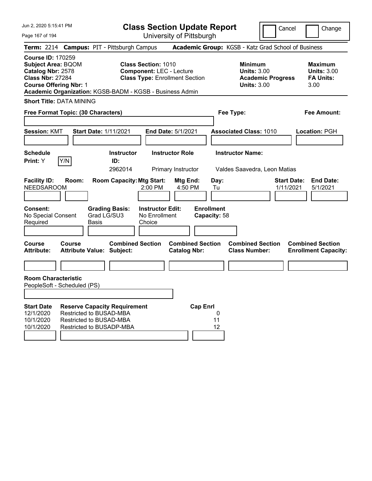Jun 2, 2020 5:15:41 PM

Page 167 of 194

**Class Section Update Report**

University of Pittsburgh

Cancel Change

**Term:** 2214 **Campus:** PIT - Pittsburgh Campus **Academic Group:** KGSB - Katz Grad School of Business **Course ID:** 170259 **Subject Area:** BQOM **Class Section:** 1010 **Minimum Maximum Catalog Nbr:** 2578 **Component:** LEC - Lecture **Units:** 3.00 **Units:** 3.00 **Class Nbr:** 27284 **Class Type:** Enrollment Section **Academic Progress FA Units: Course Offering Nbr:** 1 **Units:** 3.00 3.00 **Academic Organization:** KGSB-BADM - KGSB - Business Admin **Short Title:** DATA MINING **Free Format Topic: (30 Characters) Fee Type: Fee Amount: Session:** KMT **Start Date:** 1/11/2021 **End Date:** 5/1/2021 **Associated Class:** 1010 **Location:** PGH **Schedule Instructor Instructor Role Instructor Name: Print:**  $Y$   $|Y/N|$  **ID:** 2962014 Primary Instructor Valdes Saavedra, Leon Matias **Facility ID: Room: Room Capacity:Mtg Start: Mtg End: Day: Start Date: End Date:** NEEDSAROOM 2:00 PM 4:50 PM Tu 1/11/2021 5/1/2021 **Consent: Grading Basis: Instructor Edit: Enrollment** No Special Consent Required Grad LG/SU3 Basis No Enrollment Choice **Capacity:** 58 **Course Course Combined Section Combined Section Combined Section Combined Section Attribute: Attribute Value: Subject: Catalog Nbr: Class Number: Enrollment Capacity: Room Characteristic** PeopleSoft - Scheduled (PS) **Start Date Reserve Capacity Requirement Cap Enrl** 12/1/2020 Restricted to BUSAD-MBA 0 10/1/2020 Restricted to BUSAD-MBA 11 10/1/2020 Restricted to BUSADP-MBA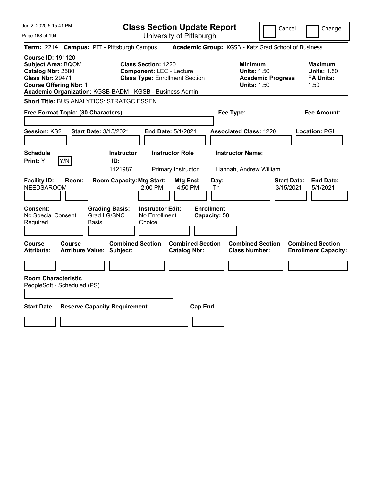| Jun 2, 2020 5:15:41 PM                                                                                                                 | <b>Class Section Update Report</b>                                                                                                                                 | Cancel                                                                                 | Change                                                           |
|----------------------------------------------------------------------------------------------------------------------------------------|--------------------------------------------------------------------------------------------------------------------------------------------------------------------|----------------------------------------------------------------------------------------|------------------------------------------------------------------|
| Page 168 of 194                                                                                                                        | University of Pittsburgh                                                                                                                                           |                                                                                        |                                                                  |
| <b>Term: 2214</b>                                                                                                                      | <b>Campus: PIT - Pittsburgh Campus</b>                                                                                                                             | Academic Group: KGSB - Katz Grad School of Business                                    |                                                                  |
| <b>Course ID: 191120</b><br><b>Subject Area: BQOM</b><br>Catalog Nbr: 2580<br><b>Class Nbr: 29471</b><br><b>Course Offering Nbr: 1</b> | <b>Class Section: 1220</b><br><b>Component: LEC - Lecture</b><br><b>Class Type: Enrollment Section</b><br>Academic Organization: KGSB-BADM - KGSB - Business Admin | <b>Minimum</b><br><b>Units: 1.50</b><br><b>Academic Progress</b><br><b>Units: 1.50</b> | <b>Maximum</b><br><b>Units: 1.50</b><br><b>FA Units:</b><br>1.50 |
|                                                                                                                                        | <b>Short Title: BUS ANALYTICS: STRATGC ESSEN</b>                                                                                                                   |                                                                                        |                                                                  |
| Free Format Topic: (30 Characters)                                                                                                     |                                                                                                                                                                    | Fee Type:                                                                              | Fee Amount:                                                      |
| Session: KS2                                                                                                                           | <b>Start Date: 3/15/2021</b><br><b>End Date: 5/1/2021</b>                                                                                                          | <b>Associated Class: 1220</b>                                                          | Location: PGH                                                    |
| <b>Schedule</b><br>Print: Y<br>Y/N                                                                                                     | <b>Instructor Role</b><br><b>Instructor</b><br>ID:<br>1121987<br>Primary Instructor                                                                                | <b>Instructor Name:</b><br>Hannah, Andrew William                                      |                                                                  |
| <b>Facility ID:</b><br>Room:<br><b>NEEDSAROOM</b>                                                                                      | <b>Room Capacity: Mtg Start:</b><br>Mtg End:<br>2:00 PM<br>4:50 PM                                                                                                 | Day:<br><b>Start Date:</b><br>3/15/2021<br>Th                                          | <b>End Date:</b><br>5/1/2021                                     |
| Consent:<br>No Special Consent<br>Required                                                                                             | <b>Instructor Edit:</b><br><b>Grading Basis:</b><br>Grad LG/SNC<br>No Enrollment<br>Basis<br>Choice                                                                | <b>Enrollment</b><br>Capacity: 58                                                      |                                                                  |
| <b>Course</b><br>Course<br><b>Attribute:</b>                                                                                           | <b>Combined Section</b><br><b>Combined Section</b><br><b>Attribute Value: Subject:</b><br><b>Catalog Nbr:</b>                                                      | <b>Combined Section</b><br><b>Class Number:</b>                                        | <b>Combined Section</b><br><b>Enrollment Capacity:</b>           |
|                                                                                                                                        |                                                                                                                                                                    |                                                                                        |                                                                  |
| <b>Room Characteristic</b><br>PeopleSoft - Scheduled (PS)                                                                              |                                                                                                                                                                    |                                                                                        |                                                                  |
| <b>Start Date</b>                                                                                                                      | <b>Reserve Capacity Requirement</b><br><b>Cap Enrl</b>                                                                                                             |                                                                                        |                                                                  |
|                                                                                                                                        |                                                                                                                                                                    |                                                                                        |                                                                  |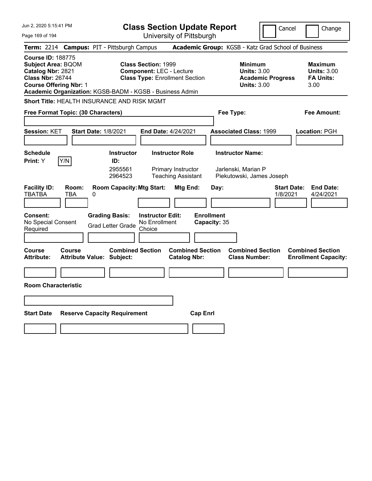| Jun 2, 2020 5:15:41 PM                                                                                                                                                                             | <b>Class Section Update Report</b>                                                                                             |                                                                                        | Cancel<br>Change                                                 |
|----------------------------------------------------------------------------------------------------------------------------------------------------------------------------------------------------|--------------------------------------------------------------------------------------------------------------------------------|----------------------------------------------------------------------------------------|------------------------------------------------------------------|
| Page 169 of 194                                                                                                                                                                                    | University of Pittsburgh                                                                                                       |                                                                                        |                                                                  |
| <b>Campus: PIT - Pittsburgh Campus</b><br><b>Term: 2214</b>                                                                                                                                        |                                                                                                                                | Academic Group: KGSB - Katz Grad School of Business                                    |                                                                  |
| <b>Course ID: 188775</b><br><b>Subject Area: BQOM</b><br>Catalog Nbr: 2821<br><b>Class Nbr: 26744</b><br><b>Course Offering Nbr: 1</b><br>Academic Organization: KGSB-BADM - KGSB - Business Admin | <b>Class Section: 1999</b><br><b>Component: LEC - Lecture</b><br><b>Class Type: Enrollment Section</b>                         | <b>Minimum</b><br><b>Units: 3.00</b><br><b>Academic Progress</b><br><b>Units: 3.00</b> | <b>Maximum</b><br><b>Units: 3.00</b><br><b>FA Units:</b><br>3.00 |
| <b>Short Title: HEALTH INSURANCE AND RISK MGMT</b>                                                                                                                                                 |                                                                                                                                |                                                                                        |                                                                  |
| Free Format Topic: (30 Characters)                                                                                                                                                                 |                                                                                                                                | Fee Type:                                                                              | Fee Amount:                                                      |
| Session: KET<br><b>Start Date: 1/8/2021</b>                                                                                                                                                        | End Date: 4/24/2021                                                                                                            | <b>Associated Class: 1999</b>                                                          | Location: PGH                                                    |
| <b>Schedule</b><br>Y/N<br>Print: Y                                                                                                                                                                 | <b>Instructor</b><br><b>Instructor Role</b><br>ID:<br>2955561<br>Primary Instructor<br><b>Teaching Assistant</b><br>2964523    | <b>Instructor Name:</b><br>Jarlenski, Marian P<br>Piekutowski, James Joseph            |                                                                  |
| <b>Facility ID:</b><br>Room:<br><b>TBATBA</b><br>TBA<br>0<br><b>Grading Basis:</b><br><b>Consent:</b><br>No Special Consent<br>Required                                                            | <b>Room Capacity: Mtg Start:</b><br>Mtg End:<br><b>Instructor Edit:</b><br>No Enrollment<br><b>Grad Letter Grade</b><br>Choice | Day:<br>1/8/2021<br><b>Enrollment</b><br>Capacity: 35                                  | <b>End Date:</b><br><b>Start Date:</b><br>4/24/2021              |
| Course<br>Course<br><b>Attribute:</b><br><b>Attribute Value: Subject:</b>                                                                                                                          | <b>Combined Section</b><br><b>Combined Section</b><br><b>Catalog Nbr:</b>                                                      | <b>Combined Section</b><br><b>Class Number:</b>                                        | <b>Combined Section</b><br><b>Enrollment Capacity:</b>           |
|                                                                                                                                                                                                    |                                                                                                                                |                                                                                        |                                                                  |
| <b>Room Characteristic</b>                                                                                                                                                                         |                                                                                                                                |                                                                                        |                                                                  |
|                                                                                                                                                                                                    |                                                                                                                                |                                                                                        |                                                                  |
| <b>Start Date</b><br><b>Reserve Capacity Requirement</b>                                                                                                                                           |                                                                                                                                | <b>Cap Enri</b>                                                                        |                                                                  |
|                                                                                                                                                                                                    |                                                                                                                                |                                                                                        |                                                                  |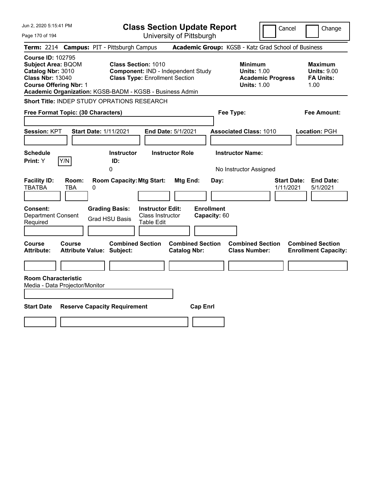| Jun 2, 2020 5:15:41 PM                                                                                                                                                                             |                                                                                                                    | <b>Class Section Update Report</b>             |                                                                                        | Cancel<br>Change                                                 |
|----------------------------------------------------------------------------------------------------------------------------------------------------------------------------------------------------|--------------------------------------------------------------------------------------------------------------------|------------------------------------------------|----------------------------------------------------------------------------------------|------------------------------------------------------------------|
| Page 170 of 194                                                                                                                                                                                    |                                                                                                                    | University of Pittsburgh                       |                                                                                        |                                                                  |
| <b>Term: 2214</b>                                                                                                                                                                                  | <b>Campus: PIT - Pittsburgh Campus</b>                                                                             |                                                | Academic Group: KGSB - Katz Grad School of Business                                    |                                                                  |
| <b>Course ID: 102795</b><br><b>Subject Area: BQOM</b><br>Catalog Nbr: 3010<br><b>Class Nbr: 13040</b><br><b>Course Offering Nbr: 1</b><br>Academic Organization: KGSB-BADM - KGSB - Business Admin | <b>Class Section: 1010</b><br>Component: IND - Independent Study<br><b>Class Type: Enrollment Section</b>          |                                                | <b>Minimum</b><br><b>Units: 1.00</b><br><b>Academic Progress</b><br><b>Units: 1.00</b> | <b>Maximum</b><br><b>Units: 9.00</b><br><b>FA Units:</b><br>1.00 |
| Short Title: INDEP STUDY OPRATIONS RESEARCH                                                                                                                                                        |                                                                                                                    |                                                |                                                                                        |                                                                  |
| Free Format Topic: (30 Characters)                                                                                                                                                                 |                                                                                                                    |                                                | Fee Type:                                                                              | Fee Amount:                                                      |
| <b>Session: KPT</b><br><b>Schedule</b>                                                                                                                                                             | <b>Start Date: 1/11/2021</b><br><b>Instructor</b>                                                                  | End Date: 5/1/2021<br><b>Instructor Role</b>   | <b>Associated Class: 1010</b><br><b>Instructor Name:</b>                               | Location: PGH                                                    |
| Y/N<br>Print: Y                                                                                                                                                                                    | ID:                                                                                                                |                                                |                                                                                        |                                                                  |
|                                                                                                                                                                                                    | 0                                                                                                                  |                                                | No Instructor Assigned                                                                 |                                                                  |
| <b>Facility ID:</b><br>Room:<br><b>TBATBA</b><br>0<br>TBA                                                                                                                                          | <b>Room Capacity: Mtg Start:</b>                                                                                   | Mtg End:<br>Day:                               |                                                                                        | <b>Start Date:</b><br><b>End Date:</b><br>1/11/2021<br>5/1/2021  |
| <b>Consent:</b><br><b>Department Consent</b><br>Required                                                                                                                                           | <b>Instructor Edit:</b><br><b>Grading Basis:</b><br>Class Instructor<br><b>Grad HSU Basis</b><br><b>Table Edit</b> | <b>Enrollment</b><br>Capacity: 60              |                                                                                        |                                                                  |
| <b>Course</b><br>Course<br><b>Attribute Value: Subject:</b><br><b>Attribute:</b>                                                                                                                   | <b>Combined Section</b>                                                                                            | <b>Combined Section</b><br><b>Catalog Nbr:</b> | <b>Combined Section</b><br><b>Class Number:</b>                                        | <b>Combined Section</b><br><b>Enrollment Capacity:</b>           |
|                                                                                                                                                                                                    |                                                                                                                    |                                                |                                                                                        |                                                                  |
| <b>Room Characteristic</b><br>Media - Data Projector/Monitor                                                                                                                                       |                                                                                                                    |                                                |                                                                                        |                                                                  |
|                                                                                                                                                                                                    |                                                                                                                    |                                                |                                                                                        |                                                                  |
| <b>Start Date</b>                                                                                                                                                                                  | <b>Reserve Capacity Requirement</b>                                                                                | <b>Cap Enrl</b>                                |                                                                                        |                                                                  |
|                                                                                                                                                                                                    |                                                                                                                    |                                                |                                                                                        |                                                                  |
|                                                                                                                                                                                                    |                                                                                                                    |                                                |                                                                                        |                                                                  |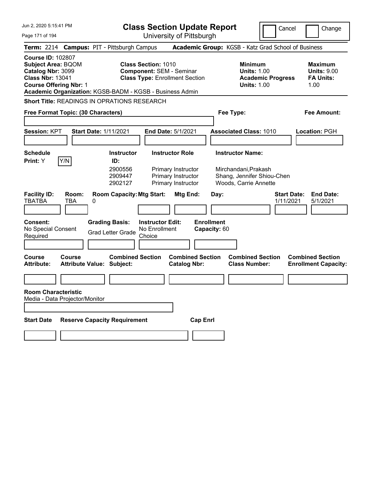| Jun 2, 2020 5:15:41 PM                                                                                                                                                                             |                                            | <b>Class Section Update Report</b>                                       |                                                    |                                                                            |                                   |           | Cancel                                                                      | Change                   |                                 |                                                                  |
|----------------------------------------------------------------------------------------------------------------------------------------------------------------------------------------------------|--------------------------------------------|--------------------------------------------------------------------------|----------------------------------------------------|----------------------------------------------------------------------------|-----------------------------------|-----------|-----------------------------------------------------------------------------|--------------------------|---------------------------------|------------------------------------------------------------------|
| Page 171 of 194                                                                                                                                                                                    |                                            |                                                                          |                                                    | University of Pittsburgh                                                   |                                   |           |                                                                             |                          |                                 |                                                                  |
| Term: 2214 Campus: PIT - Pittsburgh Campus                                                                                                                                                         |                                            |                                                                          |                                                    |                                                                            |                                   |           | Academic Group: KGSB - Katz Grad School of Business                         |                          |                                 |                                                                  |
| <b>Course ID: 102807</b><br><b>Subject Area: BQOM</b><br>Catalog Nbr: 3099<br><b>Class Nbr: 13041</b><br><b>Course Offering Nbr: 1</b><br>Academic Organization: KGSB-BADM - KGSB - Business Admin |                                            |                                                                          | <b>Class Section: 1010</b>                         | <b>Component: SEM - Seminar</b><br><b>Class Type: Enrollment Section</b>   |                                   |           | <b>Minimum</b><br><b>Units: 1.00</b><br><b>Units: 1.00</b>                  | <b>Academic Progress</b> |                                 | <b>Maximum</b><br><b>Units: 9.00</b><br><b>FA Units:</b><br>1.00 |
| <b>Short Title: READINGS IN OPRATIONS RESEARCH</b>                                                                                                                                                 |                                            |                                                                          |                                                    |                                                                            |                                   |           |                                                                             |                          |                                 |                                                                  |
| Free Format Topic: (30 Characters)                                                                                                                                                                 |                                            |                                                                          |                                                    |                                                                            |                                   | Fee Type: |                                                                             |                          | <b>Fee Amount:</b>              |                                                                  |
| <b>Session: KPT</b><br><b>Schedule</b>                                                                                                                                                             | <b>Start Date: 1/11/2021</b>               | <b>Instructor</b>                                                        |                                                    | End Date: 5/1/2021<br><b>Instructor Role</b>                               |                                   |           | <b>Associated Class: 1010</b><br><b>Instructor Name:</b>                    |                          |                                 | Location: PGH                                                    |
| Y/N<br>Print: Y<br><b>Facility ID:</b><br><b>TBATBA</b>                                                                                                                                            | Room:<br>TBA<br>0                          | ID:<br>2900556<br>2909447<br>2902127<br><b>Room Capacity: Mtg Start:</b> |                                                    | Primary Instructor<br>Primary Instructor<br>Primary Instructor<br>Mtg End: |                                   | Day:      | Mirchandani, Prakash<br>Shang, Jennifer Shiou-Chen<br>Woods, Carrie Annette |                          | <b>Start Date:</b><br>1/11/2021 | <b>End Date:</b><br>5/1/2021                                     |
| <b>Consent:</b><br>No Special Consent<br>Required                                                                                                                                                  |                                            | <b>Grading Basis:</b><br><b>Grad Letter Grade</b>                        | <b>Instructor Edit:</b><br>No Enrollment<br>Choice |                                                                            | <b>Enrollment</b><br>Capacity: 60 |           |                                                                             |                          |                                 |                                                                  |
| <b>Course</b><br><b>Attribute:</b>                                                                                                                                                                 | Course<br><b>Attribute Value: Subject:</b> | <b>Combined Section</b>                                                  |                                                    | <b>Combined Section</b><br><b>Catalog Nbr:</b>                             |                                   |           | <b>Combined Section</b><br><b>Class Number:</b>                             |                          |                                 | <b>Combined Section</b><br><b>Enrollment Capacity:</b>           |
|                                                                                                                                                                                                    |                                            |                                                                          |                                                    |                                                                            |                                   |           |                                                                             |                          |                                 |                                                                  |
| <b>Room Characteristic</b><br>Media - Data Projector/Monitor                                                                                                                                       |                                            |                                                                          |                                                    |                                                                            |                                   |           |                                                                             |                          |                                 |                                                                  |
| <b>Start Date</b>                                                                                                                                                                                  |                                            | <b>Reserve Capacity Requirement</b>                                      |                                                    |                                                                            | <b>Cap Enrl</b>                   |           |                                                                             |                          |                                 |                                                                  |
|                                                                                                                                                                                                    |                                            |                                                                          |                                                    |                                                                            |                                   |           |                                                                             |                          |                                 |                                                                  |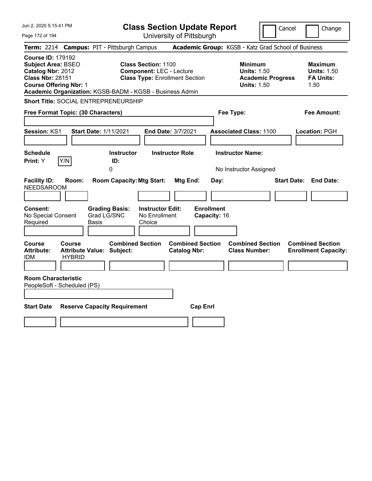| Jun 2, 2020 5:15:41 PM                                                                                                                                                                             |                                                             | <b>Class Section Update Report</b>                                                                     |                                                |                                                                                        | Cancel<br>Change                                                 |
|----------------------------------------------------------------------------------------------------------------------------------------------------------------------------------------------------|-------------------------------------------------------------|--------------------------------------------------------------------------------------------------------|------------------------------------------------|----------------------------------------------------------------------------------------|------------------------------------------------------------------|
| Page 172 of 194                                                                                                                                                                                    |                                                             | University of Pittsburgh                                                                               |                                                |                                                                                        |                                                                  |
| Term: 2214 Campus: PIT - Pittsburgh Campus                                                                                                                                                         |                                                             |                                                                                                        |                                                | Academic Group: KGSB - Katz Grad School of Business                                    |                                                                  |
| <b>Course ID: 179192</b><br><b>Subject Area: BSEO</b><br>Catalog Nbr: 2012<br><b>Class Nbr: 28151</b><br><b>Course Offering Nbr: 1</b><br>Academic Organization: KGSB-BADM - KGSB - Business Admin |                                                             | <b>Class Section: 1100</b><br><b>Component: LEC - Lecture</b><br><b>Class Type: Enrollment Section</b> |                                                | <b>Minimum</b><br><b>Units: 1.50</b><br><b>Academic Progress</b><br><b>Units: 1.50</b> | <b>Maximum</b><br><b>Units: 1.50</b><br><b>FA Units:</b><br>1.50 |
| <b>Short Title: SOCIAL ENTREPRENEURSHIP</b>                                                                                                                                                        |                                                             |                                                                                                        |                                                |                                                                                        |                                                                  |
| Free Format Topic: (30 Characters)                                                                                                                                                                 |                                                             |                                                                                                        |                                                | Fee Type:                                                                              | Fee Amount:                                                      |
| Session: KS1                                                                                                                                                                                       | <b>Start Date: 1/11/2021</b>                                | End Date: 3/7/2021                                                                                     |                                                | <b>Associated Class: 1100</b>                                                          | Location: PGH                                                    |
| <b>Schedule</b><br>Y/N<br><b>Print: Y</b>                                                                                                                                                          | <b>Instructor</b><br>ID:<br>0                               | <b>Instructor Role</b>                                                                                 |                                                | <b>Instructor Name:</b><br>No Instructor Assigned                                      |                                                                  |
| <b>Facility ID:</b><br>Room:<br><b>NEEDSAROOM</b><br>Consent:                                                                                                                                      | <b>Room Capacity: Mtg Start:</b><br><b>Grading Basis:</b>   | <b>Instructor Edit:</b>                                                                                | <b>Mtg End:</b><br>Day:<br><b>Enrollment</b>   |                                                                                        | <b>Start Date: End Date:</b>                                     |
| No Special Consent<br>Required                                                                                                                                                                     | Grad LG/SNC<br>Basis                                        | No Enrollment<br>Choice                                                                                | Capacity: 16                                   |                                                                                        |                                                                  |
| Course<br>Course<br><b>Attribute:</b><br><b>IDM</b><br><b>HYBRID</b>                                                                                                                               | <b>Combined Section</b><br><b>Attribute Value: Subject:</b> |                                                                                                        | <b>Combined Section</b><br><b>Catalog Nbr:</b> | <b>Combined Section</b><br><b>Class Number:</b>                                        | <b>Combined Section</b><br><b>Enrollment Capacity:</b>           |
| <b>Room Characteristic</b><br>PeopleSoft - Scheduled (PS)                                                                                                                                          |                                                             |                                                                                                        |                                                |                                                                                        |                                                                  |
| <b>Start Date</b>                                                                                                                                                                                  | <b>Reserve Capacity Requirement</b>                         |                                                                                                        | <b>Cap Enrl</b>                                |                                                                                        |                                                                  |
|                                                                                                                                                                                                    |                                                             |                                                                                                        |                                                |                                                                                        |                                                                  |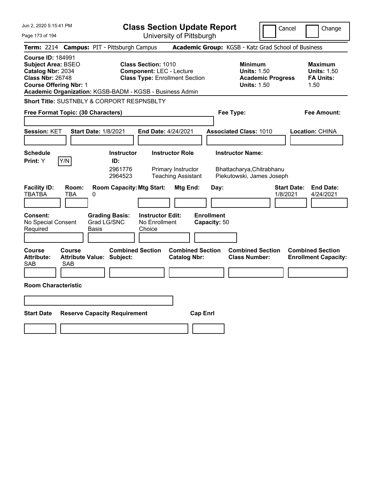| Jun 2, 2020 5:15:41 PM                                                                                                                                                                             |                                                   |                                                |                                                               | <b>Class Section Update Report</b>                                        |                                   |                                                                                   | Cancel                   |                    | Change                                                           |
|----------------------------------------------------------------------------------------------------------------------------------------------------------------------------------------------------|---------------------------------------------------|------------------------------------------------|---------------------------------------------------------------|---------------------------------------------------------------------------|-----------------------------------|-----------------------------------------------------------------------------------|--------------------------|--------------------|------------------------------------------------------------------|
| Page 173 of 194                                                                                                                                                                                    |                                                   |                                                |                                                               | University of Pittsburgh                                                  |                                   |                                                                                   |                          |                    |                                                                  |
| <b>Term:</b> 2214                                                                                                                                                                                  | <b>Campus: PIT - Pittsburgh Campus</b>            |                                                |                                                               |                                                                           |                                   | Academic Group: KGSB - Katz Grad School of Business                               |                          |                    |                                                                  |
| <b>Course ID: 184991</b><br><b>Subject Area: BSEO</b><br>Catalog Nbr: 2034<br><b>Class Nbr: 26748</b><br><b>Course Offering Nbr: 1</b><br>Academic Organization: KGSB-BADM - KGSB - Business Admin |                                                   |                                                | <b>Class Section: 1010</b><br><b>Component: LEC - Lecture</b> | <b>Class Type: Enrollment Section</b>                                     |                                   | <b>Minimum</b><br><b>Units: 1.50</b><br><b>Units: 1.50</b>                        | <b>Academic Progress</b> |                    | <b>Maximum</b><br><b>Units: 1.50</b><br><b>FA Units:</b><br>1.50 |
| <b>Short Title: SUSTNBLY &amp; CORPORT RESPNSBLTY</b>                                                                                                                                              |                                                   |                                                |                                                               |                                                                           |                                   |                                                                                   |                          |                    |                                                                  |
| Free Format Topic: (30 Characters)                                                                                                                                                                 |                                                   |                                                |                                                               |                                                                           |                                   | Fee Type:                                                                         |                          |                    | Fee Amount:                                                      |
| <b>Session: KET</b>                                                                                                                                                                                | <b>Start Date: 1/8/2021</b>                       |                                                | End Date: 4/24/2021                                           |                                                                           |                                   | <b>Associated Class: 1010</b>                                                     |                          |                    | Location: CHINA                                                  |
| <b>Schedule</b><br>Y/N<br><b>Print: Y</b>                                                                                                                                                          |                                                   | <b>Instructor</b><br>ID:<br>2961776<br>2964523 |                                                               | <b>Instructor Role</b><br>Primary Instructor<br><b>Teaching Assistant</b> |                                   | <b>Instructor Name:</b><br>Bhattacharya, Chitrabhanu<br>Piekutowski, James Joseph |                          |                    |                                                                  |
| <b>Facility ID:</b><br><b>TBATBA</b>                                                                                                                                                               | Room:<br>TBA<br>0                                 | <b>Room Capacity: Mtg Start:</b>               |                                                               | Mtg End:                                                                  | Day:                              |                                                                                   | 1/8/2021                 | <b>Start Date:</b> | <b>End Date:</b><br>4/24/2021                                    |
| <b>Consent:</b><br>No Special Consent<br>Required                                                                                                                                                  | Basis                                             | <b>Grading Basis:</b><br>Grad LG/SNC           | <b>Instructor Edit:</b><br>No Enrollment<br>Choice            |                                                                           | <b>Enrollment</b><br>Capacity: 50 |                                                                                   |                          |                    |                                                                  |
| Course<br><b>Attribute:</b><br>SAB                                                                                                                                                                 | Course<br><b>Attribute Value: Subject:</b><br>SAB | <b>Combined Section</b>                        |                                                               | <b>Combined Section</b><br><b>Catalog Nbr:</b>                            |                                   | <b>Combined Section</b><br><b>Class Number:</b>                                   |                          |                    | <b>Combined Section</b><br><b>Enrollment Capacity:</b>           |
| <b>Room Characteristic</b>                                                                                                                                                                         |                                                   |                                                |                                                               |                                                                           |                                   |                                                                                   |                          |                    |                                                                  |
|                                                                                                                                                                                                    |                                                   |                                                |                                                               |                                                                           |                                   |                                                                                   |                          |                    |                                                                  |
| <b>Start Date</b>                                                                                                                                                                                  | <b>Reserve Capacity Requirement</b>               |                                                |                                                               | <b>Cap Enrl</b>                                                           |                                   |                                                                                   |                          |                    |                                                                  |
|                                                                                                                                                                                                    |                                                   |                                                |                                                               |                                                                           |                                   |                                                                                   |                          |                    |                                                                  |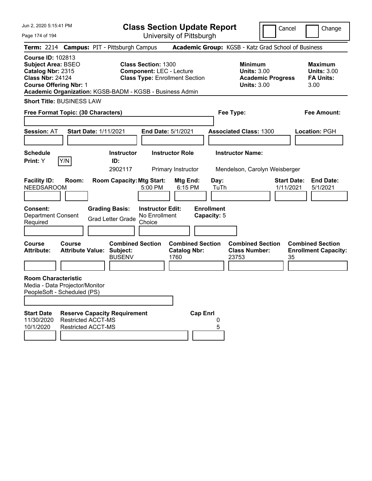| Jun 2, 2020 5:15:41 PM<br>Page 174 of 194                                                                                                                                                          | <b>Class Section Update Report</b><br>University of Pittsburgh                                                 |                                                                                        | Cancel<br>Change                                                 |
|----------------------------------------------------------------------------------------------------------------------------------------------------------------------------------------------------|----------------------------------------------------------------------------------------------------------------|----------------------------------------------------------------------------------------|------------------------------------------------------------------|
| Term: 2214 Campus: PIT - Pittsburgh Campus                                                                                                                                                         |                                                                                                                | Academic Group: KGSB - Katz Grad School of Business                                    |                                                                  |
| <b>Course ID: 102813</b><br><b>Subject Area: BSEO</b><br>Catalog Nbr: 2315<br><b>Class Nbr: 24124</b><br><b>Course Offering Nbr: 1</b><br>Academic Organization: KGSB-BADM - KGSB - Business Admin | <b>Class Section: 1300</b><br><b>Component: LEC - Lecture</b><br><b>Class Type: Enrollment Section</b>         | <b>Minimum</b><br><b>Units: 3.00</b><br><b>Academic Progress</b><br><b>Units: 3.00</b> | <b>Maximum</b><br><b>Units: 3.00</b><br><b>FA Units:</b><br>3.00 |
| <b>Short Title: BUSINESS LAW</b>                                                                                                                                                                   |                                                                                                                |                                                                                        |                                                                  |
| Free Format Topic: (30 Characters)                                                                                                                                                                 |                                                                                                                | Fee Type:                                                                              | Fee Amount:                                                      |
| <b>Session: AT</b><br><b>Start Date: 1/11/2021</b>                                                                                                                                                 | End Date: 5/1/2021                                                                                             | <b>Associated Class: 1300</b>                                                          | Location: PGH                                                    |
| <b>Schedule</b><br>Y/N<br>Print: Y                                                                                                                                                                 | <b>Instructor Role</b><br><b>Instructor</b><br>ID:<br>2902117<br>Primary Instructor                            | <b>Instructor Name:</b><br>Mendelson, Carolyn Weisberger                               |                                                                  |
| <b>Facility ID:</b><br>Room:<br><b>NEEDSAROOM</b>                                                                                                                                                  | <b>Room Capacity: Mtg Start:</b><br>Mtg End:<br>5:00 PM<br>6:15 PM                                             | Day:<br>TuTh                                                                           | <b>Start Date:</b><br><b>End Date:</b><br>1/11/2021<br>5/1/2021  |
| Consent:<br><b>Grading Basis:</b><br><b>Department Consent</b><br><b>Grad Letter Grade</b><br>Required                                                                                             | <b>Instructor Edit:</b><br>No Enrollment<br>Choice                                                             | <b>Enrollment</b><br>Capacity: 5                                                       |                                                                  |
| <b>Course</b><br><b>Course</b><br><b>Attribute:</b><br><b>Attribute Value:</b><br><b>Room Characteristic</b><br>Media - Data Projector/Monitor                                                     | <b>Combined Section</b><br><b>Combined Section</b><br>Subject:<br><b>Catalog Nbr:</b><br><b>BUSENV</b><br>1760 | <b>Combined Section</b><br><b>Class Number:</b><br>23753                               | <b>Combined Section</b><br><b>Enrollment Capacity:</b><br>35     |
| PeopleSoft - Scheduled (PS)                                                                                                                                                                        |                                                                                                                |                                                                                        |                                                                  |
| <b>Start Date</b><br><b>Reserve Capacity Requirement</b><br><b>Restricted ACCT-MS</b><br>11/30/2020<br>10/1/2020<br><b>Restricted ACCT-MS</b>                                                      | <b>Cap Enrl</b>                                                                                                | 0<br>5                                                                                 |                                                                  |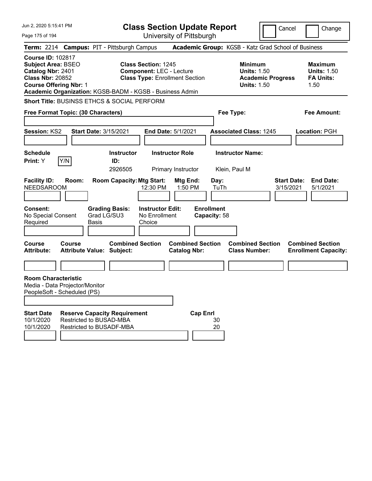| Jun 2, 2020 5:15:41 PM                                                                                                                 |               |                                                                                            |                                                               | <b>Class Section Update Report</b>             |                                   |                                                            | Cancel                   | Change                                                           |
|----------------------------------------------------------------------------------------------------------------------------------------|---------------|--------------------------------------------------------------------------------------------|---------------------------------------------------------------|------------------------------------------------|-----------------------------------|------------------------------------------------------------|--------------------------|------------------------------------------------------------------|
| Page 175 of 194                                                                                                                        |               |                                                                                            |                                                               | University of Pittsburgh                       |                                   |                                                            |                          |                                                                  |
|                                                                                                                                        |               | Term: 2214 Campus: PIT - Pittsburgh Campus                                                 |                                                               |                                                |                                   |                                                            |                          | Academic Group: KGSB - Katz Grad School of Business              |
| <b>Course ID: 102817</b><br><b>Subject Area: BSEO</b><br>Catalog Nbr: 2401<br><b>Class Nbr: 20852</b><br><b>Course Offering Nbr: 1</b> |               | Academic Organization: KGSB-BADM - KGSB - Business Admin                                   | <b>Class Section: 1245</b><br><b>Component: LEC - Lecture</b> | <b>Class Type: Enrollment Section</b>          |                                   | <b>Minimum</b><br><b>Units: 1.50</b><br><b>Units: 1.50</b> | <b>Academic Progress</b> | <b>Maximum</b><br><b>Units: 1.50</b><br><b>FA Units:</b><br>1.50 |
|                                                                                                                                        |               | <b>Short Title: BUSINSS ETHCS &amp; SOCIAL PERFORM</b>                                     |                                                               |                                                |                                   |                                                            |                          |                                                                  |
| Free Format Topic: (30 Characters)                                                                                                     |               |                                                                                            |                                                               |                                                | Fee Type:                         |                                                            |                          | <b>Fee Amount:</b>                                               |
|                                                                                                                                        |               |                                                                                            |                                                               |                                                |                                   |                                                            |                          |                                                                  |
| <b>Session: KS2</b>                                                                                                                    |               | <b>Start Date: 3/15/2021</b>                                                               |                                                               | <b>End Date: 5/1/2021</b>                      |                                   | <b>Associated Class: 1245</b>                              |                          | Location: PGH                                                    |
| <b>Schedule</b>                                                                                                                        |               | <b>Instructor</b>                                                                          |                                                               | <b>Instructor Role</b>                         |                                   | <b>Instructor Name:</b>                                    |                          |                                                                  |
| <b>Print:</b> Y                                                                                                                        | Y/N           | ID:                                                                                        |                                                               |                                                |                                   |                                                            |                          |                                                                  |
|                                                                                                                                        |               | 2926505                                                                                    |                                                               | Primary Instructor                             |                                   | Klein, Paul M                                              |                          |                                                                  |
| <b>Facility ID:</b><br><b>NEEDSAROOM</b><br><b>Consent:</b>                                                                            | Room:         | <b>Room Capacity: Mtg Start:</b><br><b>Grading Basis:</b>                                  | 12:30 PM<br><b>Instructor Edit:</b>                           | Mtg End:<br>1:50 PM                            | Day:<br>TuTh<br><b>Enrollment</b> |                                                            |                          | <b>Start Date:</b><br><b>End Date:</b><br>3/15/2021<br>5/1/2021  |
| No Special Consent<br>Required                                                                                                         |               | Grad LG/SU3<br>Basis                                                                       | No Enrollment<br>Choice                                       |                                                | Capacity: 58                      |                                                            |                          |                                                                  |
| <b>Course</b><br><b>Attribute:</b>                                                                                                     | <b>Course</b> | <b>Combined Section</b><br><b>Attribute Value: Subject:</b>                                |                                                               | <b>Combined Section</b><br><b>Catalog Nbr:</b> |                                   | <b>Combined Section</b><br><b>Class Number:</b>            |                          | <b>Combined Section</b><br><b>Enrollment Capacity:</b>           |
|                                                                                                                                        |               |                                                                                            |                                                               |                                                |                                   |                                                            |                          |                                                                  |
| <b>Room Characteristic</b><br>Media - Data Projector/Monitor<br>PeopleSoft - Scheduled (PS)                                            |               |                                                                                            |                                                               |                                                |                                   |                                                            |                          |                                                                  |
|                                                                                                                                        |               |                                                                                            |                                                               |                                                |                                   |                                                            |                          |                                                                  |
| <b>Start Date</b><br>10/1/2020<br>10/1/2020                                                                                            |               | <b>Reserve Capacity Requirement</b><br>Restricted to BUSAD-MBA<br>Restricted to BUSADF-MBA |                                                               | <b>Cap Enrl</b>                                | 30<br>20                          |                                                            |                          |                                                                  |
|                                                                                                                                        |               |                                                                                            |                                                               |                                                |                                   |                                                            |                          |                                                                  |
|                                                                                                                                        |               |                                                                                            |                                                               |                                                |                                   |                                                            |                          |                                                                  |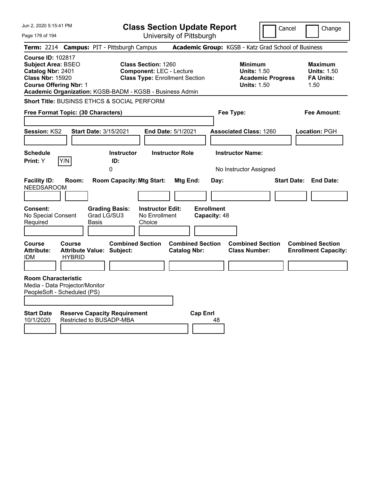| Jun 2, 2020 5:15:41 PM                                                                                                                 |                         |                                                                 |                                                               | <b>Class Section Update Report</b>             |                                   |                                                                                        | Cancel<br>Change                                                 |
|----------------------------------------------------------------------------------------------------------------------------------------|-------------------------|-----------------------------------------------------------------|---------------------------------------------------------------|------------------------------------------------|-----------------------------------|----------------------------------------------------------------------------------------|------------------------------------------------------------------|
| Page 176 of 194                                                                                                                        |                         |                                                                 |                                                               | University of Pittsburgh                       |                                   |                                                                                        |                                                                  |
| <b>Term: 2214</b>                                                                                                                      |                         | <b>Campus: PIT - Pittsburgh Campus</b>                          |                                                               |                                                |                                   |                                                                                        | Academic Group: KGSB - Katz Grad School of Business              |
| <b>Course ID: 102817</b><br><b>Subject Area: BSEO</b><br>Catalog Nbr: 2401<br><b>Class Nbr: 15920</b><br><b>Course Offering Nbr: 1</b> |                         | Academic Organization: KGSB-BADM - KGSB - Business Admin        | <b>Class Section: 1260</b><br><b>Component: LEC - Lecture</b> | <b>Class Type: Enrollment Section</b>          |                                   | <b>Minimum</b><br><b>Units: 1.50</b><br><b>Academic Progress</b><br><b>Units: 1.50</b> | <b>Maximum</b><br><b>Units: 1.50</b><br><b>FA Units:</b><br>1.50 |
|                                                                                                                                        |                         | Short Title: BUSINSS ETHCS & SOCIAL PERFORM                     |                                                               |                                                |                                   |                                                                                        |                                                                  |
| Free Format Topic: (30 Characters)                                                                                                     |                         |                                                                 |                                                               |                                                | Fee Type:                         |                                                                                        | Fee Amount:                                                      |
| Session: KS2                                                                                                                           |                         | Start Date: 3/15/2021                                           |                                                               | End Date: 5/1/2021                             |                                   | <b>Associated Class: 1260</b>                                                          | Location: PGH                                                    |
| <b>Schedule</b><br>Print: Y                                                                                                            | Y/N                     | <b>Instructor</b><br>ID:<br>0                                   |                                                               | <b>Instructor Role</b>                         |                                   | <b>Instructor Name:</b><br>No Instructor Assigned                                      |                                                                  |
| <b>Facility ID:</b><br><b>NEEDSAROOM</b>                                                                                               | Room:                   | <b>Room Capacity: Mtg Start:</b>                                |                                                               | Mtg End:                                       | Day:                              |                                                                                        | <b>Start Date: End Date:</b>                                     |
| Consent:<br>No Special Consent<br>Required                                                                                             |                         | <b>Grading Basis:</b><br>Grad LG/SU3<br>Basis                   | <b>Instructor Edit:</b><br>No Enrollment<br>Choice            |                                                | <b>Enrollment</b><br>Capacity: 48 |                                                                                        |                                                                  |
| Course<br><b>Attribute:</b><br>IDM.                                                                                                    | Course<br><b>HYBRID</b> | <b>Combined Section</b><br>Attribute Value: Subject:            |                                                               | <b>Combined Section</b><br><b>Catalog Nbr:</b> |                                   | <b>Combined Section</b><br><b>Class Number:</b>                                        | <b>Combined Section</b><br><b>Enrollment Capacity:</b>           |
| <b>Room Characteristic</b><br>Media - Data Projector/Monitor<br>PeopleSoft - Scheduled (PS)                                            |                         |                                                                 |                                                               |                                                |                                   |                                                                                        |                                                                  |
| <b>Start Date</b><br>10/1/2020                                                                                                         |                         | <b>Reserve Capacity Requirement</b><br>Restricted to BUSADP-MBA |                                                               | <b>Cap Enrl</b>                                | 48                                |                                                                                        |                                                                  |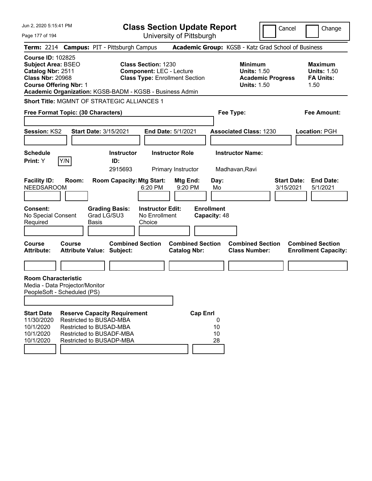| Jun 2, 2020 5:15:41 PM                                                                                                                 |               |                                                                                                                                                          |                                                               | <b>Class Section Update Report</b>             |                                   |                                                                                        | Cancel                          | Change                                                           |
|----------------------------------------------------------------------------------------------------------------------------------------|---------------|----------------------------------------------------------------------------------------------------------------------------------------------------------|---------------------------------------------------------------|------------------------------------------------|-----------------------------------|----------------------------------------------------------------------------------------|---------------------------------|------------------------------------------------------------------|
| Page 177 of 194                                                                                                                        |               |                                                                                                                                                          |                                                               | University of Pittsburgh                       |                                   |                                                                                        |                                 |                                                                  |
|                                                                                                                                        |               | Term: 2214 Campus: PIT - Pittsburgh Campus                                                                                                               |                                                               |                                                |                                   | Academic Group: KGSB - Katz Grad School of Business                                    |                                 |                                                                  |
| <b>Course ID: 102825</b><br><b>Subject Area: BSEO</b><br>Catalog Nbr: 2511<br><b>Class Nbr: 20968</b><br><b>Course Offering Nbr: 1</b> |               | Academic Organization: KGSB-BADM - KGSB - Business Admin                                                                                                 | <b>Class Section: 1230</b><br><b>Component: LEC - Lecture</b> | <b>Class Type: Enrollment Section</b>          |                                   | <b>Minimum</b><br><b>Units: 1.50</b><br><b>Academic Progress</b><br><b>Units: 1.50</b> |                                 | <b>Maximum</b><br><b>Units: 1.50</b><br><b>FA Units:</b><br>1.50 |
|                                                                                                                                        |               | Short Title: MGMNT OF STRATEGIC ALLIANCES 1                                                                                                              |                                                               |                                                |                                   |                                                                                        |                                 |                                                                  |
| Free Format Topic: (30 Characters)                                                                                                     |               |                                                                                                                                                          |                                                               |                                                | Fee Type:                         |                                                                                        |                                 | <b>Fee Amount:</b>                                               |
| <b>Session: KS2</b>                                                                                                                    |               | <b>Start Date: 3/15/2021</b>                                                                                                                             |                                                               | <b>End Date: 5/1/2021</b>                      |                                   | <b>Associated Class: 1230</b>                                                          |                                 | Location: PGH                                                    |
| <b>Schedule</b><br><b>Print:</b> Y                                                                                                     | Y/N           | <b>Instructor</b><br>ID:<br>2915693                                                                                                                      |                                                               | <b>Instructor Role</b><br>Primary Instructor   |                                   | <b>Instructor Name:</b><br>Madhavan, Ravi                                              |                                 |                                                                  |
| <b>Facility ID:</b><br><b>NEEDSAROOM</b>                                                                                               | Room:         | <b>Room Capacity: Mtg Start:</b>                                                                                                                         | 6:20 PM                                                       | Mtg End:<br>9:20 PM                            | Day:<br>Mo                        |                                                                                        | <b>Start Date:</b><br>3/15/2021 | <b>End Date:</b><br>5/1/2021                                     |
| <b>Consent:</b><br>No Special Consent<br>Required                                                                                      |               | <b>Grading Basis:</b><br>Grad LG/SU3<br>Basis                                                                                                            | <b>Instructor Edit:</b><br>No Enrollment<br>Choice            |                                                | <b>Enrollment</b><br>Capacity: 48 |                                                                                        |                                 |                                                                  |
| <b>Course</b><br><b>Attribute:</b>                                                                                                     | <b>Course</b> | <b>Combined Section</b><br><b>Attribute Value: Subject:</b>                                                                                              |                                                               | <b>Combined Section</b><br><b>Catalog Nbr:</b> |                                   | <b>Combined Section</b><br><b>Class Number:</b>                                        |                                 | <b>Combined Section</b><br><b>Enrollment Capacity:</b>           |
|                                                                                                                                        |               |                                                                                                                                                          |                                                               |                                                |                                   |                                                                                        |                                 |                                                                  |
| <b>Room Characteristic</b><br>Media - Data Projector/Monitor<br>PeopleSoft - Scheduled (PS)                                            |               |                                                                                                                                                          |                                                               |                                                |                                   |                                                                                        |                                 |                                                                  |
| <b>Start Date</b><br>11/30/2020<br>10/1/2020<br>10/1/2020<br>10/1/2020                                                                 |               | <b>Reserve Capacity Requirement</b><br>Restricted to BUSAD-MBA<br><b>Restricted to BUSAD-MBA</b><br>Restricted to BUSADF-MBA<br>Restricted to BUSADP-MBA |                                                               | <b>Cap Enrl</b>                                | 0<br>10<br>10<br>28               |                                                                                        |                                 |                                                                  |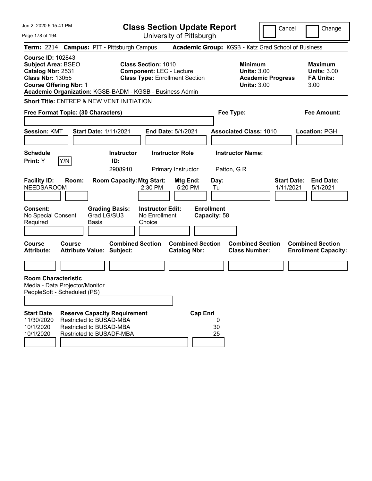| Jun 2, 2020 5:15:41 PM                                                                                                                                                                             |                                                                                |                      |                                     | <b>Class Section Update Report</b>                                                                     |                                              |                         |                                   |                                                                                        | Cancel                          |      | Change                                                   |
|----------------------------------------------------------------------------------------------------------------------------------------------------------------------------------------------------|--------------------------------------------------------------------------------|----------------------|-------------------------------------|--------------------------------------------------------------------------------------------------------|----------------------------------------------|-------------------------|-----------------------------------|----------------------------------------------------------------------------------------|---------------------------------|------|----------------------------------------------------------|
| Page 178 of 194                                                                                                                                                                                    |                                                                                |                      |                                     |                                                                                                        | University of Pittsburgh                     |                         |                                   |                                                                                        |                                 |      |                                                          |
| Term: 2214 Campus: PIT - Pittsburgh Campus                                                                                                                                                         |                                                                                |                      |                                     |                                                                                                        |                                              |                         |                                   | Academic Group: KGSB - Katz Grad School of Business                                    |                                 |      |                                                          |
| <b>Course ID: 102843</b><br><b>Subject Area: BSEO</b><br>Catalog Nbr: 2531<br><b>Class Nbr: 13055</b><br><b>Course Offering Nbr: 1</b><br>Academic Organization: KGSB-BADM - KGSB - Business Admin |                                                                                |                      |                                     | <b>Class Section: 1010</b><br><b>Component: LEC - Lecture</b><br><b>Class Type: Enrollment Section</b> |                                              |                         |                                   | <b>Minimum</b><br><b>Units: 3.00</b><br><b>Academic Progress</b><br><b>Units: 3.00</b> |                                 | 3.00 | <b>Maximum</b><br><b>Units: 3.00</b><br><b>FA Units:</b> |
| <b>Short Title: ENTREP &amp; NEW VENT INITIATION</b>                                                                                                                                               |                                                                                |                      |                                     |                                                                                                        |                                              |                         |                                   |                                                                                        |                                 |      |                                                          |
| Free Format Topic: (30 Characters)                                                                                                                                                                 |                                                                                |                      |                                     |                                                                                                        |                                              |                         |                                   | Fee Type:                                                                              |                                 |      | <b>Fee Amount:</b>                                       |
| <b>Session: KMT</b>                                                                                                                                                                                |                                                                                |                      | <b>Start Date: 1/11/2021</b>        |                                                                                                        | <b>End Date: 5/1/2021</b>                    |                         |                                   | <b>Associated Class: 1010</b>                                                          |                                 |      | <b>Location: PGH</b>                                     |
| <b>Schedule</b><br><b>Print:</b> Y                                                                                                                                                                 | Y/N                                                                            |                      | <b>Instructor</b><br>ID:<br>2908910 |                                                                                                        | <b>Instructor Role</b><br>Primary Instructor |                         |                                   | <b>Instructor Name:</b><br>Patton, G R                                                 |                                 |      |                                                          |
| <b>Facility ID:</b><br><b>NEEDSAROOM</b>                                                                                                                                                           | Room:                                                                          |                      | <b>Room Capacity: Mtg Start:</b>    | 2:30 PM                                                                                                | Mtg End:                                     | 5:20 PM                 | Day:<br>Tu                        |                                                                                        | <b>Start Date:</b><br>1/11/2021 |      | <b>End Date:</b><br>5/1/2021                             |
| <b>Consent:</b><br>No Special Consent<br>Required                                                                                                                                                  |                                                                                | Grad LG/SU3<br>Basis | <b>Grading Basis:</b>               | <b>Instructor Edit:</b><br>No Enrollment<br>Choice                                                     |                                              |                         | <b>Enrollment</b><br>Capacity: 58 |                                                                                        |                                 |      |                                                          |
| <b>Course</b><br><b>Attribute:</b>                                                                                                                                                                 | <b>Course</b><br><b>Attribute Value: Subject:</b>                              |                      | <b>Combined Section</b>             |                                                                                                        | <b>Catalog Nbr:</b>                          | <b>Combined Section</b> |                                   | <b>Combined Section</b><br><b>Class Number:</b>                                        |                                 |      | <b>Combined Section</b><br><b>Enrollment Capacity:</b>   |
|                                                                                                                                                                                                    |                                                                                |                      |                                     |                                                                                                        |                                              |                         |                                   |                                                                                        |                                 |      |                                                          |
| <b>Room Characteristic</b><br>Media - Data Projector/Monitor<br>PeopleSoft - Scheduled (PS)                                                                                                        |                                                                                |                      |                                     |                                                                                                        |                                              |                         |                                   |                                                                                        |                                 |      |                                                          |
| <b>Start Date</b><br>11/30/2020<br>10/1/2020<br>10/1/2020                                                                                                                                          | Restricted to BUSAD-MBA<br>Restricted to BUSAD-MBA<br>Restricted to BUSADF-MBA |                      | <b>Reserve Capacity Requirement</b> |                                                                                                        |                                              | <b>Cap Enrl</b>         | 0<br>30<br>25                     |                                                                                        |                                 |      |                                                          |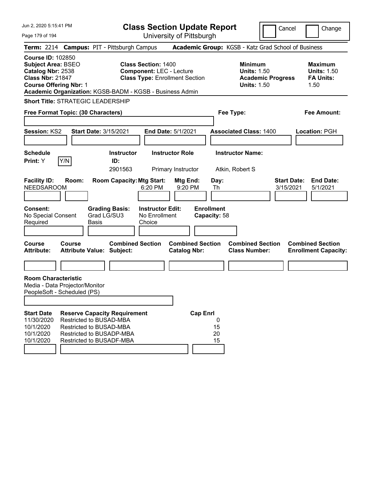| Jun 2, 2020 5:15:41 PM                                                                                                                                                                             |                                                                                                        | <b>Class Section Update Report</b>             |                                                            | Cancel                          | Change                                                           |
|----------------------------------------------------------------------------------------------------------------------------------------------------------------------------------------------------|--------------------------------------------------------------------------------------------------------|------------------------------------------------|------------------------------------------------------------|---------------------------------|------------------------------------------------------------------|
| Page 179 of 194                                                                                                                                                                                    |                                                                                                        | University of Pittsburgh                       |                                                            |                                 |                                                                  |
| Term: 2214 Campus: PIT - Pittsburgh Campus                                                                                                                                                         |                                                                                                        |                                                | Academic Group: KGSB - Katz Grad School of Business        |                                 |                                                                  |
| <b>Course ID: 102850</b><br><b>Subject Area: BSEO</b><br>Catalog Nbr: 2538<br><b>Class Nbr: 21847</b><br><b>Course Offering Nbr: 1</b><br>Academic Organization: KGSB-BADM - KGSB - Business Admin | <b>Class Section: 1400</b><br><b>Component: LEC - Lecture</b><br><b>Class Type: Enrollment Section</b> |                                                | <b>Minimum</b><br><b>Units: 1.50</b><br><b>Units: 1.50</b> | <b>Academic Progress</b>        | <b>Maximum</b><br><b>Units: 1.50</b><br><b>FA Units:</b><br>1.50 |
| <b>Short Title: STRATEGIC LEADERSHIP</b>                                                                                                                                                           |                                                                                                        |                                                |                                                            |                                 |                                                                  |
| Free Format Topic: (30 Characters)                                                                                                                                                                 |                                                                                                        |                                                | Fee Type:                                                  |                                 | Fee Amount:                                                      |
| Session: KS2<br><b>Start Date: 3/15/2021</b>                                                                                                                                                       |                                                                                                        | <b>End Date: 5/1/2021</b>                      | <b>Associated Class: 1400</b>                              |                                 | Location: PGH                                                    |
| <b>Schedule</b><br>Y/N<br><b>Print:</b> Y                                                                                                                                                          | <b>Instructor</b><br>ID:<br>2901563                                                                    | <b>Instructor Role</b><br>Primary Instructor   | <b>Instructor Name:</b><br>Atkin, Robert S                 |                                 |                                                                  |
| <b>Facility ID:</b><br>Room:<br><b>NEEDSAROOM</b>                                                                                                                                                  | <b>Room Capacity: Mtg Start:</b><br>6:20 PM                                                            | Mtg End:<br>9:20 PM<br>Th                      | Day:                                                       | <b>Start Date:</b><br>3/15/2021 | <b>End Date:</b><br>5/1/2021                                     |
| <b>Consent:</b><br>No Special Consent<br>Required<br>Basis                                                                                                                                         | <b>Grading Basis:</b><br><b>Instructor Edit:</b><br>Grad LG/SU3<br>No Enrollment<br>Choice             | <b>Enrollment</b><br>Capacity: 58              |                                                            |                                 |                                                                  |
| <b>Course</b><br><b>Course</b><br><b>Attribute:</b><br><b>Attribute Value: Subject:</b>                                                                                                            | <b>Combined Section</b>                                                                                | <b>Combined Section</b><br><b>Catalog Nbr:</b> | <b>Combined Section</b><br><b>Class Number:</b>            |                                 | <b>Combined Section</b><br><b>Enrollment Capacity:</b>           |
|                                                                                                                                                                                                    |                                                                                                        |                                                |                                                            |                                 |                                                                  |
| <b>Room Characteristic</b><br>Media - Data Projector/Monitor<br>PeopleSoft - Scheduled (PS)                                                                                                        |                                                                                                        |                                                |                                                            |                                 |                                                                  |
| <b>Start Date</b><br>Restricted to BUSAD-MBA<br>11/30/2020<br>10/1/2020<br><b>Restricted to BUSAD-MBA</b><br>10/1/2020<br>Restricted to BUSADP-MBA<br>10/1/2020<br>Restricted to BUSADF-MBA        | <b>Reserve Capacity Requirement</b>                                                                    | <b>Cap Enrl</b><br>15<br>20<br>15              | 0                                                          |                                 |                                                                  |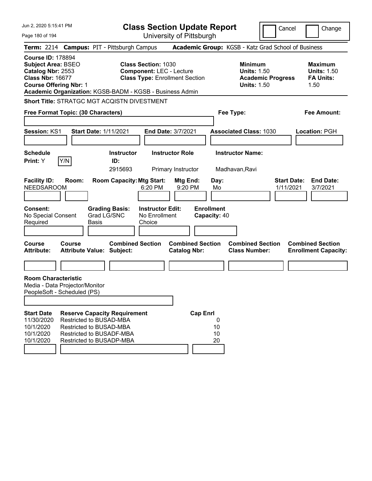| Jun 2, 2020 5:15:41 PM<br>Page 180 of 194                                                                                              |        |                                                                                                                                                                 |                                                    | <b>Class Section Update Report</b><br>University of Pittsburgh           |                                   |                                                            | Cancel                   | Change                                                           |
|----------------------------------------------------------------------------------------------------------------------------------------|--------|-----------------------------------------------------------------------------------------------------------------------------------------------------------------|----------------------------------------------------|--------------------------------------------------------------------------|-----------------------------------|------------------------------------------------------------|--------------------------|------------------------------------------------------------------|
|                                                                                                                                        |        | Term: 2214 Campus: PIT - Pittsburgh Campus                                                                                                                      |                                                    |                                                                          |                                   |                                                            |                          | Academic Group: KGSB - Katz Grad School of Business              |
| <b>Course ID: 178894</b><br><b>Subject Area: BSEO</b><br>Catalog Nbr: 2553<br><b>Class Nbr: 16677</b><br><b>Course Offering Nbr: 1</b> |        | Academic Organization: KGSB-BADM - KGSB - Business Admin                                                                                                        | <b>Class Section: 1030</b>                         | <b>Component: LEC - Lecture</b><br><b>Class Type: Enrollment Section</b> |                                   | <b>Minimum</b><br><b>Units: 1.50</b><br><b>Units: 1.50</b> | <b>Academic Progress</b> | <b>Maximum</b><br><b>Units: 1.50</b><br><b>FA Units:</b><br>1.50 |
|                                                                                                                                        |        | Short Title: STRATGC MGT ACQISTN DIVESTMENT                                                                                                                     |                                                    |                                                                          |                                   |                                                            |                          |                                                                  |
| Free Format Topic: (30 Characters)                                                                                                     |        |                                                                                                                                                                 |                                                    |                                                                          |                                   | Fee Type:                                                  |                          | <b>Fee Amount:</b>                                               |
| Session: KS1                                                                                                                           |        | Start Date: 1/11/2021                                                                                                                                           |                                                    | End Date: 3/7/2021                                                       |                                   | <b>Associated Class: 1030</b>                              |                          | Location: PGH                                                    |
| <b>Schedule</b><br>Print: Y                                                                                                            | Y/N    | <b>Instructor</b><br>ID:<br>2915693                                                                                                                             |                                                    | <b>Instructor Role</b><br>Primary Instructor                             |                                   | <b>Instructor Name:</b><br>Madhavan, Ravi                  |                          |                                                                  |
| <b>Facility ID:</b><br><b>NEEDSAROOM</b>                                                                                               | Room:  | <b>Room Capacity: Mtg Start:</b>                                                                                                                                | 6:20 PM                                            | Mtg End:<br>9:20 PM                                                      | Day:<br>Mo                        |                                                            | 1/11/2021                | <b>Start Date:</b><br><b>End Date:</b><br>3/7/2021               |
| Consent:<br>No Special Consent<br>Required                                                                                             |        | <b>Grading Basis:</b><br>Grad LG/SNC<br><b>Basis</b>                                                                                                            | <b>Instructor Edit:</b><br>No Enrollment<br>Choice |                                                                          | <b>Enrollment</b><br>Capacity: 40 |                                                            |                          |                                                                  |
| <b>Course</b><br><b>Attribute:</b>                                                                                                     | Course | <b>Combined Section</b><br><b>Attribute Value: Subject:</b>                                                                                                     |                                                    | <b>Combined Section</b><br><b>Catalog Nbr:</b>                           |                                   | <b>Combined Section</b><br><b>Class Number:</b>            |                          | <b>Combined Section</b><br><b>Enrollment Capacity:</b>           |
|                                                                                                                                        |        |                                                                                                                                                                 |                                                    |                                                                          |                                   |                                                            |                          |                                                                  |
| <b>Room Characteristic</b><br>Media - Data Projector/Monitor<br>PeopleSoft - Scheduled (PS)                                            |        |                                                                                                                                                                 |                                                    |                                                                          |                                   |                                                            |                          |                                                                  |
| <b>Start Date</b><br>11/30/2020<br>10/1/2020<br>10/1/2020<br>10/1/2020                                                                 |        | <b>Reserve Capacity Requirement</b><br>Restricted to BUSAD-MBA<br><b>Restricted to BUSAD-MBA</b><br><b>Restricted to BUSADF-MBA</b><br>Restricted to BUSADP-MBA |                                                    | <b>Cap Enrl</b>                                                          | 0<br>10<br>10<br>20               |                                                            |                          |                                                                  |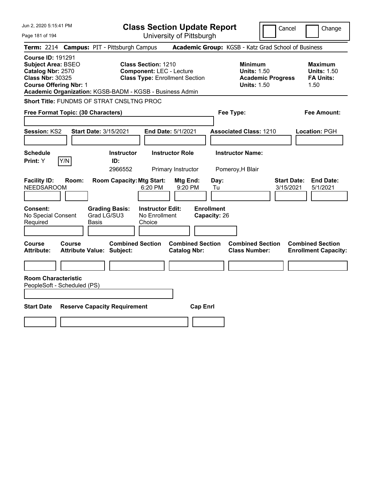| Jun 2, 2020 5:15:41 PM                                                                                                                 |                                                                                                                                                                    | <b>Class Section Update Report</b>             | Cancel                                                                                 | Change                                                           |
|----------------------------------------------------------------------------------------------------------------------------------------|--------------------------------------------------------------------------------------------------------------------------------------------------------------------|------------------------------------------------|----------------------------------------------------------------------------------------|------------------------------------------------------------------|
| Page 181 of 194                                                                                                                        |                                                                                                                                                                    | University of Pittsburgh                       |                                                                                        |                                                                  |
| <b>Term: 2214</b>                                                                                                                      | <b>Campus: PIT - Pittsburgh Campus</b>                                                                                                                             |                                                | Academic Group: KGSB - Katz Grad School of Business                                    |                                                                  |
| <b>Course ID: 191291</b><br><b>Subject Area: BSEO</b><br>Catalog Nbr: 2570<br><b>Class Nbr: 30325</b><br><b>Course Offering Nbr: 1</b> | <b>Class Section: 1210</b><br><b>Component: LEC - Lecture</b><br><b>Class Type: Enrollment Section</b><br>Academic Organization: KGSB-BADM - KGSB - Business Admin |                                                | <b>Minimum</b><br><b>Units: 1.50</b><br><b>Academic Progress</b><br><b>Units: 1.50</b> | <b>Maximum</b><br><b>Units: 1.50</b><br><b>FA Units:</b><br>1.50 |
| <b>Short Title: FUNDMS OF STRAT CNSLTNG PROC</b>                                                                                       |                                                                                                                                                                    |                                                |                                                                                        |                                                                  |
| Free Format Topic: (30 Characters)                                                                                                     |                                                                                                                                                                    |                                                | Fee Type:                                                                              | Fee Amount:                                                      |
| <b>Session: KS2</b>                                                                                                                    | Start Date: 3/15/2021<br><b>End Date: 5/1/2021</b>                                                                                                                 |                                                | <b>Associated Class: 1210</b>                                                          | Location: PGH                                                    |
| <b>Schedule</b><br>Y/N<br>Print: Y                                                                                                     | <b>Instructor Role</b><br><b>Instructor</b><br>ID:<br>2966552                                                                                                      | Primary Instructor                             | <b>Instructor Name:</b><br>Pomeroy, H Blair                                            |                                                                  |
| <b>Facility ID:</b><br>Room:<br><b>NEEDSAROOM</b>                                                                                      | <b>Room Capacity: Mtg Start:</b><br>6:20 PM                                                                                                                        | Mtg End:<br>Day:<br>9:20 PM<br>Tu              |                                                                                        | <b>End Date:</b><br><b>Start Date:</b><br>5/1/2021<br>3/15/2021  |
| Consent:<br>No Special Consent<br>Required<br>Basis                                                                                    | <b>Instructor Edit:</b><br><b>Grading Basis:</b><br>Grad LG/SU3<br>No Enrollment<br>Choice                                                                         | <b>Enrollment</b><br>Capacity: 26              |                                                                                        |                                                                  |
| Course<br>Course<br><b>Attribute:</b>                                                                                                  | <b>Combined Section</b><br>Attribute Value: Subject:                                                                                                               | <b>Combined Section</b><br><b>Catalog Nbr:</b> | <b>Combined Section</b><br><b>Class Number:</b>                                        | <b>Combined Section</b><br><b>Enrollment Capacity:</b>           |
|                                                                                                                                        |                                                                                                                                                                    |                                                |                                                                                        |                                                                  |
| <b>Room Characteristic</b><br>PeopleSoft - Scheduled (PS)                                                                              |                                                                                                                                                                    |                                                |                                                                                        |                                                                  |
| <b>Start Date</b>                                                                                                                      | <b>Reserve Capacity Requirement</b>                                                                                                                                | <b>Cap Enrl</b>                                |                                                                                        |                                                                  |
|                                                                                                                                        |                                                                                                                                                                    |                                                |                                                                                        |                                                                  |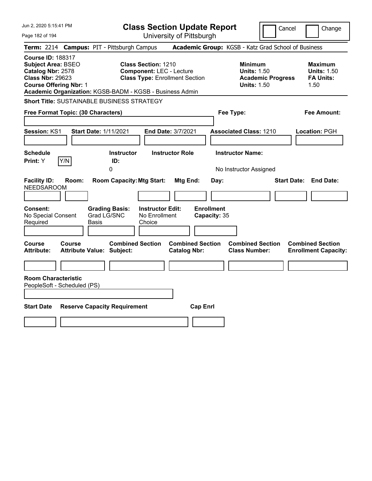| Jun 2, 2020 5:15:41 PM                                                                                                                 | <b>Class Section Update Report</b>                                                                                                                                 | Cancel                                                                                 | Change                                                           |
|----------------------------------------------------------------------------------------------------------------------------------------|--------------------------------------------------------------------------------------------------------------------------------------------------------------------|----------------------------------------------------------------------------------------|------------------------------------------------------------------|
| Page 182 of 194                                                                                                                        | University of Pittsburgh                                                                                                                                           |                                                                                        |                                                                  |
| <b>Term: 2214</b>                                                                                                                      | <b>Campus: PIT - Pittsburgh Campus</b>                                                                                                                             | Academic Group: KGSB - Katz Grad School of Business                                    |                                                                  |
| <b>Course ID: 188317</b><br><b>Subject Area: BSEO</b><br>Catalog Nbr: 2578<br><b>Class Nbr: 29623</b><br><b>Course Offering Nbr: 1</b> | <b>Class Section: 1210</b><br><b>Component: LEC - Lecture</b><br><b>Class Type: Enrollment Section</b><br>Academic Organization: KGSB-BADM - KGSB - Business Admin | <b>Minimum</b><br><b>Units: 1.50</b><br><b>Academic Progress</b><br><b>Units: 1.50</b> | <b>Maximum</b><br><b>Units: 1.50</b><br><b>FA Units:</b><br>1.50 |
|                                                                                                                                        | <b>Short Title: SUSTAINABLE BUSINESS STRATEGY</b>                                                                                                                  |                                                                                        |                                                                  |
| Free Format Topic: (30 Characters)                                                                                                     |                                                                                                                                                                    | Fee Type:                                                                              | Fee Amount:                                                      |
| <b>Session: KS1</b>                                                                                                                    | <b>Start Date: 1/11/2021</b><br><b>End Date: 3/7/2021</b>                                                                                                          | <b>Associated Class: 1210</b>                                                          | Location: PGH                                                    |
| <b>Schedule</b><br>Print: Y<br>Y/N                                                                                                     | <b>Instructor</b><br><b>Instructor Role</b><br>ID:<br>0                                                                                                            | <b>Instructor Name:</b><br>No Instructor Assigned                                      |                                                                  |
| <b>Facility ID:</b><br>Room:<br><b>NEEDSAROOM</b><br>Consent:                                                                          | <b>Room Capacity: Mtg Start:</b><br>Mtg End:<br><b>Grading Basis:</b><br><b>Instructor Edit:</b>                                                                   | Day:<br><b>Start Date:</b><br><b>Enrollment</b>                                        | <b>End Date:</b>                                                 |
| No Special Consent<br>Required                                                                                                         | Grad LG/SNC<br>No Enrollment<br>Basis<br>Choice                                                                                                                    | Capacity: 35                                                                           |                                                                  |
| <b>Course</b><br>Course<br>Attribute:                                                                                                  | <b>Combined Section</b><br><b>Combined Section</b><br><b>Attribute Value: Subject:</b><br><b>Catalog Nbr:</b>                                                      | <b>Combined Section</b><br><b>Class Number:</b>                                        | <b>Combined Section</b><br><b>Enrollment Capacity:</b>           |
| <b>Room Characteristic</b><br>PeopleSoft - Scheduled (PS)<br><b>Start Date</b>                                                         | <b>Reserve Capacity Requirement</b><br><b>Cap Enrl</b>                                                                                                             |                                                                                        |                                                                  |
|                                                                                                                                        |                                                                                                                                                                    |                                                                                        |                                                                  |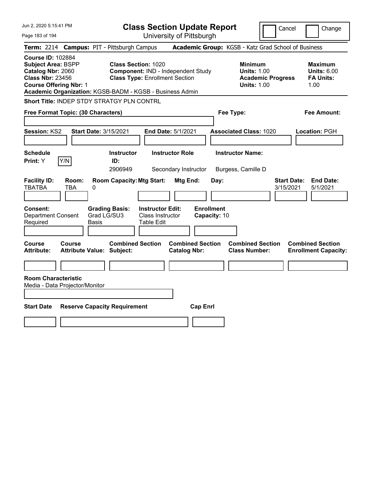| Jun 2, 2020 5:15:41 PM                                                                                                                                                                             | <b>Class Section Update Report</b>                                                                                                                                                                  | Cancel<br>Change                                                 |
|----------------------------------------------------------------------------------------------------------------------------------------------------------------------------------------------------|-----------------------------------------------------------------------------------------------------------------------------------------------------------------------------------------------------|------------------------------------------------------------------|
| Page 183 of 194                                                                                                                                                                                    | University of Pittsburgh                                                                                                                                                                            |                                                                  |
| <b>Campus: PIT - Pittsburgh Campus</b><br><b>Term: 2214</b>                                                                                                                                        | Academic Group: KGSB - Katz Grad School of Business                                                                                                                                                 |                                                                  |
| <b>Course ID: 102884</b><br><b>Subject Area: BSPP</b><br>Catalog Nbr: 2060<br><b>Class Nbr: 23456</b><br><b>Course Offering Nbr: 1</b><br>Academic Organization: KGSB-BADM - KGSB - Business Admin | <b>Class Section: 1020</b><br><b>Minimum</b><br>Component: IND - Independent Study<br><b>Units: 1.00</b><br><b>Class Type: Enrollment Section</b><br><b>Academic Progress</b><br><b>Units: 1.00</b> | <b>Maximum</b><br><b>Units: 6.00</b><br><b>FA Units:</b><br>1.00 |
| Short Title: INDEP STDY STRATGY PLN CONTRL                                                                                                                                                         |                                                                                                                                                                                                     |                                                                  |
| Free Format Topic: (30 Characters)                                                                                                                                                                 | Fee Type:                                                                                                                                                                                           | Fee Amount:                                                      |
| Session: KS2<br><b>Start Date: 3/15/2021</b>                                                                                                                                                       | End Date: 5/1/2021<br><b>Associated Class: 1020</b>                                                                                                                                                 | Location: PGH                                                    |
| <b>Schedule</b><br>Print: Y<br>Y/N                                                                                                                                                                 | <b>Instructor Role</b><br><b>Instructor Name:</b><br><b>Instructor</b><br>ID:<br>2906949<br>Secondary Instructor<br>Burgess, Camille D                                                              |                                                                  |
| <b>Facility ID:</b><br>Room:<br>TBATBA<br>TBA<br>0                                                                                                                                                 | <b>Room Capacity: Mtg Start:</b><br>Mtg End:<br>Day:                                                                                                                                                | <b>End Date:</b><br><b>Start Date:</b><br>3/15/2021<br>5/1/2021  |
| Consent:<br><b>Grading Basis:</b><br>Grad LG/SU3<br><b>Department Consent</b><br>Required<br>Basis                                                                                                 | <b>Enrollment</b><br><b>Instructor Edit:</b><br>Class Instructor<br>Capacity: 10<br><b>Table Edit</b>                                                                                               |                                                                  |
| Course<br><b>Course</b><br><b>Attribute:</b><br><b>Attribute Value: Subject:</b>                                                                                                                   | <b>Combined Section</b><br><b>Combined Section</b><br><b>Combined Section</b><br><b>Catalog Nbr:</b><br><b>Class Number:</b>                                                                        | <b>Combined Section</b><br><b>Enrollment Capacity:</b>           |
|                                                                                                                                                                                                    |                                                                                                                                                                                                     |                                                                  |
| <b>Room Characteristic</b><br>Media - Data Projector/Monitor                                                                                                                                       |                                                                                                                                                                                                     |                                                                  |
| <b>Start Date</b><br><b>Reserve Capacity Requirement</b>                                                                                                                                           | <b>Cap Enrl</b>                                                                                                                                                                                     |                                                                  |
|                                                                                                                                                                                                    |                                                                                                                                                                                                     |                                                                  |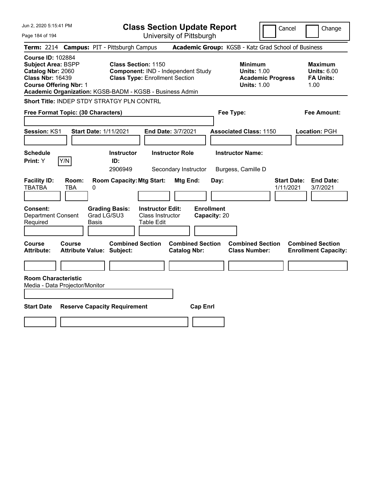| Jun 2, 2020 5:15:41 PM                                                                                                                                                                             |                                                                                                                                              | <b>Class Section Update Report</b>                                   |                                                                                        | Cancel<br>Change                                                 |
|----------------------------------------------------------------------------------------------------------------------------------------------------------------------------------------------------|----------------------------------------------------------------------------------------------------------------------------------------------|----------------------------------------------------------------------|----------------------------------------------------------------------------------------|------------------------------------------------------------------|
| Page 184 of 194                                                                                                                                                                                    |                                                                                                                                              | University of Pittsburgh                                             |                                                                                        |                                                                  |
| <b>Term: 2214</b>                                                                                                                                                                                  | <b>Campus: PIT - Pittsburgh Campus</b>                                                                                                       |                                                                      | Academic Group: KGSB - Katz Grad School of Business                                    |                                                                  |
| <b>Course ID: 102884</b><br><b>Subject Area: BSPP</b><br>Catalog Nbr: 2060<br><b>Class Nbr: 16439</b><br><b>Course Offering Nbr: 1</b><br>Academic Organization: KGSB-BADM - KGSB - Business Admin | <b>Class Section: 1150</b><br>Component: IND - Independent Study<br><b>Class Type: Enrollment Section</b>                                    |                                                                      | <b>Minimum</b><br><b>Units: 1.00</b><br><b>Academic Progress</b><br><b>Units: 1.00</b> | <b>Maximum</b><br><b>Units: 6.00</b><br><b>FA Units:</b><br>1.00 |
| Short Title: INDEP STDY STRATGY PLN CONTRL                                                                                                                                                         |                                                                                                                                              |                                                                      |                                                                                        |                                                                  |
| Free Format Topic: (30 Characters)                                                                                                                                                                 |                                                                                                                                              |                                                                      | Fee Type:                                                                              | Fee Amount:                                                      |
| Session: KS1<br><b>Start Date: 1/11/2021</b><br><b>Schedule</b><br>Y/N<br>Print: Y                                                                                                                 | <b>Instructor</b><br>ID:<br>2906949                                                                                                          | End Date: 3/7/2021<br><b>Instructor Role</b><br>Secondary Instructor | <b>Associated Class: 1150</b><br><b>Instructor Name:</b><br>Burgess, Camille D         | Location: PGH                                                    |
| <b>Facility ID:</b><br>Room:<br><b>TBATBA</b><br>TBA<br>0<br>Consent:<br><b>Department Consent</b><br>Required<br>Basis                                                                            | <b>Room Capacity: Mtg Start:</b><br><b>Grading Basis:</b><br><b>Instructor Edit:</b><br>Grad LG/SU3<br>Class Instructor<br><b>Table Edit</b> | <b>Mtg End:</b><br>Day:<br><b>Enrollment</b><br>Capacity: 20         |                                                                                        | <b>Start Date:</b><br><b>End Date:</b><br>1/11/2021<br>3/7/2021  |
| <b>Course</b><br>Course<br><b>Attribute Value: Subject:</b><br><b>Attribute:</b><br><b>Room Characteristic</b><br>Media - Data Projector/Monitor<br><b>Start Date</b>                              | <b>Combined Section</b><br><b>Reserve Capacity Requirement</b>                                                                               | <b>Combined Section</b><br><b>Catalog Nbr:</b><br><b>Cap Enrl</b>    | <b>Combined Section</b><br><b>Class Number:</b>                                        | <b>Combined Section</b><br><b>Enrollment Capacity:</b>           |
|                                                                                                                                                                                                    |                                                                                                                                              |                                                                      |                                                                                        |                                                                  |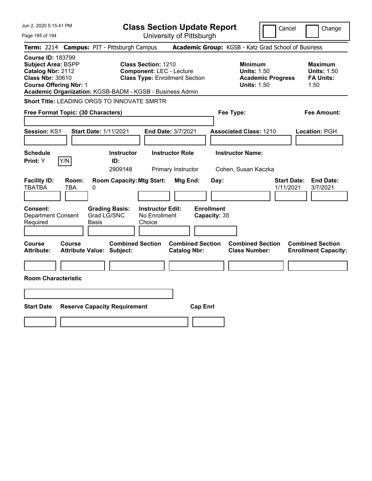| Jun 2, 2020 5:15:41 PM                                                                                                                                                                             | <b>Class Section Update Report</b>                                                                     |                                                                                                   | Cancel<br>Change                                                                             |
|----------------------------------------------------------------------------------------------------------------------------------------------------------------------------------------------------|--------------------------------------------------------------------------------------------------------|---------------------------------------------------------------------------------------------------|----------------------------------------------------------------------------------------------|
| Page 185 of 194                                                                                                                                                                                    | University of Pittsburgh                                                                               |                                                                                                   |                                                                                              |
| <b>Term: 2214</b>                                                                                                                                                                                  | <b>Campus: PIT - Pittsburgh Campus</b>                                                                 | Academic Group: KGSB - Katz Grad School of Business                                               |                                                                                              |
| <b>Course ID: 183799</b><br><b>Subject Area: BSPP</b><br>Catalog Nbr: 2112<br><b>Class Nbr: 30610</b><br><b>Course Offering Nbr: 1</b><br>Academic Organization: KGSB-BADM - KGSB - Business Admin | <b>Class Section: 1210</b><br><b>Component: LEC - Lecture</b><br><b>Class Type: Enrollment Section</b> | <b>Minimum</b><br><b>Units: 1.50</b><br><b>Units: 1.50</b>                                        | <b>Maximum</b><br><b>Units: 1.50</b><br><b>FA Units:</b><br><b>Academic Progress</b><br>1.50 |
| <b>Short Title: LEADING ORGS TO INNOVATE SMRTR</b>                                                                                                                                                 |                                                                                                        |                                                                                                   |                                                                                              |
| Free Format Topic: (30 Characters)                                                                                                                                                                 |                                                                                                        | Fee Type:                                                                                         | Fee Amount:                                                                                  |
| Session: KS1<br><b>Start Date: 1/11/2021</b>                                                                                                                                                       | End Date: 3/7/2021                                                                                     | <b>Associated Class: 1210</b>                                                                     | Location: PGH                                                                                |
| <b>Schedule</b><br>Y/N<br>Print: Y                                                                                                                                                                 | <b>Instructor</b><br><b>Instructor Role</b><br>ID:<br>2909148<br>Primary Instructor                    | <b>Instructor Name:</b><br>Cohen, Susan Kaczka                                                    |                                                                                              |
| <b>Facility ID:</b><br>Room:<br><b>TBATBA</b><br><b>TBA</b><br>0                                                                                                                                   | <b>Room Capacity: Mtg Start:</b>                                                                       | Mtg End:<br>Day:                                                                                  | <b>Start Date:</b><br><b>End Date:</b><br>1/11/2021<br>3/7/2021                              |
| Consent:<br><b>Department Consent</b><br>Required<br>Basis                                                                                                                                         | <b>Grading Basis:</b><br><b>Instructor Edit:</b><br>Grad LG/SNC<br>No Enrollment<br>Choice             | <b>Enrollment</b><br>Capacity: 35                                                                 |                                                                                              |
| Course<br><b>Course</b><br><b>Attribute:</b><br><b>Attribute Value: Subject:</b>                                                                                                                   | <b>Combined Section</b>                                                                                | <b>Combined Section</b><br><b>Combined Section</b><br><b>Catalog Nbr:</b><br><b>Class Number:</b> | <b>Combined Section</b><br><b>Enrollment Capacity:</b>                                       |
| <b>Room Characteristic</b>                                                                                                                                                                         |                                                                                                        |                                                                                                   |                                                                                              |
|                                                                                                                                                                                                    |                                                                                                        |                                                                                                   |                                                                                              |
| <b>Start Date</b><br><b>Reserve Capacity Requirement</b>                                                                                                                                           |                                                                                                        | <b>Cap Enrl</b>                                                                                   |                                                                                              |
|                                                                                                                                                                                                    |                                                                                                        |                                                                                                   |                                                                                              |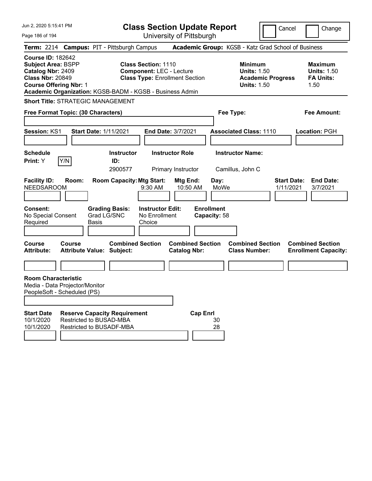| Jun 2, 2020 5:15:41 PM                                                                                                                                                                                                                   | <b>Class Section Update Report</b>                                                                                        | Cancel                                                                                 | Change                                                           |
|------------------------------------------------------------------------------------------------------------------------------------------------------------------------------------------------------------------------------------------|---------------------------------------------------------------------------------------------------------------------------|----------------------------------------------------------------------------------------|------------------------------------------------------------------|
| Page 186 of 194                                                                                                                                                                                                                          | University of Pittsburgh                                                                                                  |                                                                                        |                                                                  |
| Term: 2214 Campus: PIT - Pittsburgh Campus                                                                                                                                                                                               |                                                                                                                           | Academic Group: KGSB - Katz Grad School of Business                                    |                                                                  |
| <b>Course ID: 182642</b><br><b>Subject Area: BSPP</b><br>Catalog Nbr: 2409<br><b>Class Nbr: 20849</b><br><b>Course Offering Nbr: 1</b><br>Academic Organization: KGSB-BADM - KGSB - Business Admin                                       | <b>Class Section: 1110</b><br><b>Component: LEC - Lecture</b><br><b>Class Type: Enrollment Section</b>                    | <b>Minimum</b><br><b>Units: 1.50</b><br><b>Academic Progress</b><br><b>Units: 1.50</b> | <b>Maximum</b><br><b>Units: 1.50</b><br><b>FA Units:</b><br>1.50 |
| <b>Short Title: STRATEGIC MANAGEMENT</b>                                                                                                                                                                                                 |                                                                                                                           |                                                                                        |                                                                  |
| Free Format Topic: (30 Characters)                                                                                                                                                                                                       |                                                                                                                           | Fee Type:                                                                              | <b>Fee Amount:</b>                                               |
|                                                                                                                                                                                                                                          |                                                                                                                           |                                                                                        |                                                                  |
| Session: KS1<br><b>Start Date: 1/11/2021</b>                                                                                                                                                                                             | End Date: 3/7/2021                                                                                                        | <b>Associated Class: 1110</b>                                                          | Location: PGH                                                    |
|                                                                                                                                                                                                                                          |                                                                                                                           |                                                                                        |                                                                  |
| <b>Schedule</b><br>Y/N<br>Print: Y                                                                                                                                                                                                       | <b>Instructor</b><br><b>Instructor Role</b><br>ID:                                                                        | <b>Instructor Name:</b>                                                                |                                                                  |
|                                                                                                                                                                                                                                          | 2900577<br>Primary Instructor                                                                                             | Camillus, John C                                                                       |                                                                  |
| <b>Facility ID:</b><br>Room:<br><b>NEEDSAROOM</b><br>Consent:<br><b>Grading Basis:</b><br>Grad LG/SNC<br>No Special Consent<br>Required<br>Basis                                                                                         | <b>Room Capacity: Mtg Start:</b><br>Mtg End:<br>10:50 AM<br>9:30 AM<br><b>Instructor Edit:</b><br>No Enrollment<br>Choice | Day:<br>MoWe<br>1/11/2021<br><b>Enrollment</b><br>Capacity: 58                         | <b>Start Date:</b><br><b>End Date:</b><br>3/7/2021               |
| <b>Course</b><br>Course<br><b>Attribute:</b><br><b>Attribute Value: Subject:</b>                                                                                                                                                         | <b>Combined Section</b><br><b>Combined Section</b><br><b>Catalog Nbr:</b>                                                 | <b>Combined Section</b><br><b>Class Number:</b>                                        | <b>Combined Section</b><br><b>Enrollment Capacity:</b>           |
|                                                                                                                                                                                                                                          |                                                                                                                           |                                                                                        |                                                                  |
| <b>Room Characteristic</b><br>Media - Data Projector/Monitor<br>PeopleSoft - Scheduled (PS)<br><b>Start Date</b><br><b>Reserve Capacity Requirement</b><br>Restricted to BUSAD-MBA<br>10/1/2020<br>10/1/2020<br>Restricted to BUSADF-MBA | <b>Cap Enrl</b>                                                                                                           | 30<br>28                                                                               |                                                                  |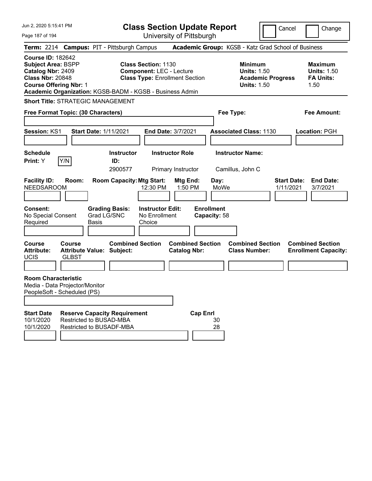| Jun 2, 2020 5:15:41 PM                                                                                                                                                                                                                   | <b>Class Section Update Report</b>                                                                                                                   |                                                                                                         | Cancel<br>Change                                                                           |
|------------------------------------------------------------------------------------------------------------------------------------------------------------------------------------------------------------------------------------------|------------------------------------------------------------------------------------------------------------------------------------------------------|---------------------------------------------------------------------------------------------------------|--------------------------------------------------------------------------------------------|
| Page 187 of 194                                                                                                                                                                                                                          | University of Pittsburgh                                                                                                                             |                                                                                                         |                                                                                            |
| Term: 2214 Campus: PIT - Pittsburgh Campus                                                                                                                                                                                               |                                                                                                                                                      | Academic Group: KGSB - Katz Grad School of Business                                                     |                                                                                            |
| <b>Course ID: 182642</b><br><b>Subject Area: BSPP</b><br>Catalog Nbr: 2409<br><b>Class Nbr: 20848</b><br><b>Course Offering Nbr: 1</b><br>Academic Organization: KGSB-BADM - KGSB - Business Admin                                       | <b>Class Section: 1130</b><br><b>Component: LEC - Lecture</b><br><b>Class Type: Enrollment Section</b>                                               | <b>Minimum</b><br><b>Units: 1.50</b><br><b>Academic Progress</b><br><b>Units: 1.50</b>                  | <b>Maximum</b><br><b>Units: 1.50</b><br><b>FA Units:</b><br>1.50                           |
| <b>Short Title: STRATEGIC MANAGEMENT</b>                                                                                                                                                                                                 |                                                                                                                                                      |                                                                                                         |                                                                                            |
| Free Format Topic: (30 Characters)                                                                                                                                                                                                       |                                                                                                                                                      | Fee Type:                                                                                               | <b>Fee Amount:</b>                                                                         |
|                                                                                                                                                                                                                                          |                                                                                                                                                      |                                                                                                         |                                                                                            |
| Session: KS1<br><b>Start Date: 1/11/2021</b>                                                                                                                                                                                             | End Date: 3/7/2021                                                                                                                                   | <b>Associated Class: 1130</b>                                                                           | Location: PGH                                                                              |
|                                                                                                                                                                                                                                          |                                                                                                                                                      |                                                                                                         |                                                                                            |
| <b>Schedule</b>                                                                                                                                                                                                                          | <b>Instructor Role</b><br><b>Instructor</b>                                                                                                          | <b>Instructor Name:</b>                                                                                 |                                                                                            |
| Y/N<br>Print: Y                                                                                                                                                                                                                          | ID:<br>2900577<br>Primary Instructor                                                                                                                 | Camillus, John C                                                                                        |                                                                                            |
| <b>Facility ID:</b><br>Room:<br><b>NEEDSAROOM</b><br><b>Grading Basis:</b><br>Consent:<br>Grad LG/SNC<br>No Special Consent<br>Required<br>Basis<br><b>Course</b><br>Course                                                              | <b>Room Capacity: Mtg Start:</b><br>Mtg End:<br>12:30 PM<br>1:50 PM<br><b>Instructor Edit:</b><br>No Enrollment<br>Choice<br><b>Combined Section</b> | Day:<br>MoWe<br><b>Enrollment</b><br>Capacity: 58<br><b>Combined Section</b><br><b>Combined Section</b> | <b>End Date:</b><br><b>Start Date:</b><br>1/11/2021<br>3/7/2021<br><b>Combined Section</b> |
| <b>Attribute Value: Subject:</b><br><b>Attribute:</b><br><b>UCIS</b><br><b>GLBST</b>                                                                                                                                                     | <b>Catalog Nbr:</b>                                                                                                                                  | <b>Class Number:</b>                                                                                    | <b>Enrollment Capacity:</b>                                                                |
|                                                                                                                                                                                                                                          |                                                                                                                                                      |                                                                                                         |                                                                                            |
| <b>Room Characteristic</b><br>Media - Data Projector/Monitor<br>PeopleSoft - Scheduled (PS)<br><b>Start Date</b><br><b>Reserve Capacity Requirement</b><br>Restricted to BUSAD-MBA<br>10/1/2020<br>10/1/2020<br>Restricted to BUSADF-MBA |                                                                                                                                                      | <b>Cap Enrl</b><br>30<br>28                                                                             |                                                                                            |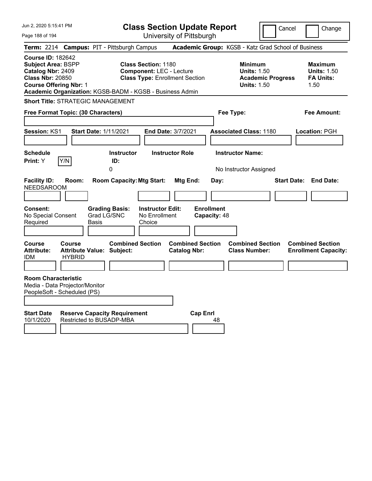| Jun 2, 2020 5:15:41 PM<br>Page 188 of 194                                                                                                                                                          | <b>Class Section Update Report</b><br>University of Pittsburgh                                                | Cancel                                                                                 | Change                                                           |
|----------------------------------------------------------------------------------------------------------------------------------------------------------------------------------------------------|---------------------------------------------------------------------------------------------------------------|----------------------------------------------------------------------------------------|------------------------------------------------------------------|
| Term: 2214 Campus: PIT - Pittsburgh Campus                                                                                                                                                         |                                                                                                               | Academic Group: KGSB - Katz Grad School of Business                                    |                                                                  |
| <b>Course ID: 182642</b><br><b>Subject Area: BSPP</b><br>Catalog Nbr: 2409<br><b>Class Nbr: 20850</b><br><b>Course Offering Nbr: 1</b><br>Academic Organization: KGSB-BADM - KGSB - Business Admin | <b>Class Section: 1180</b><br><b>Component: LEC - Lecture</b><br><b>Class Type: Enrollment Section</b>        | <b>Minimum</b><br><b>Units: 1.50</b><br><b>Academic Progress</b><br><b>Units: 1.50</b> | <b>Maximum</b><br><b>Units: 1.50</b><br><b>FA Units:</b><br>1.50 |
| <b>Short Title: STRATEGIC MANAGEMENT</b>                                                                                                                                                           |                                                                                                               |                                                                                        |                                                                  |
| Free Format Topic: (30 Characters)                                                                                                                                                                 |                                                                                                               | Fee Type:                                                                              | <b>Fee Amount:</b>                                               |
| Session: KS1<br><b>Start Date: 1/11/2021</b>                                                                                                                                                       | End Date: 3/7/2021                                                                                            | <b>Associated Class: 1180</b>                                                          | Location: PGH                                                    |
| <b>Schedule</b><br>Y/N<br>Print: Y<br>ID:<br>0                                                                                                                                                     | <b>Instructor Role</b><br><b>Instructor</b>                                                                   | <b>Instructor Name:</b><br>No Instructor Assigned                                      |                                                                  |
| <b>Facility ID:</b><br>Room:<br><b>NEEDSAROOM</b><br>Consent:<br><b>Grading Basis:</b><br>Grad LG/SNC<br>No Special Consent                                                                        | <b>Room Capacity: Mtg Start:</b><br>Mtg End:<br><b>Enrollment</b><br><b>Instructor Edit:</b><br>No Enrollment | <b>Start Date:</b><br>Day:<br>Capacity: 48                                             | <b>End Date:</b>                                                 |
| Required<br><b>Basis</b>                                                                                                                                                                           | Choice                                                                                                        |                                                                                        |                                                                  |
| <b>Course</b><br><b>Course</b><br><b>Attribute:</b><br><b>Attribute Value: Subject:</b><br><b>HYBRID</b><br><b>IDM</b>                                                                             | <b>Combined Section</b><br><b>Combined Section</b><br><b>Catalog Nbr:</b>                                     | <b>Combined Section</b><br><b>Class Number:</b>                                        | <b>Combined Section</b><br><b>Enrollment Capacity:</b>           |
| <b>Room Characteristic</b><br>Media - Data Projector/Monitor<br>PeopleSoft - Scheduled (PS)                                                                                                        |                                                                                                               |                                                                                        |                                                                  |
| <b>Start Date</b><br><b>Reserve Capacity Requirement</b><br>Restricted to BUSADP-MBA<br>10/1/2020                                                                                                  | <b>Cap Enrl</b>                                                                                               | 48                                                                                     |                                                                  |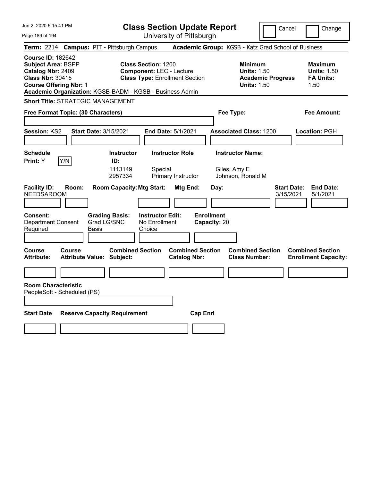| Jun 2, 2020 5:15:41 PM                                                                                                                                                                      |                                                                                                                                | <b>Class Section Update Report</b>             |                                                                                        | Cancel<br>Change                                                 |
|---------------------------------------------------------------------------------------------------------------------------------------------------------------------------------------------|--------------------------------------------------------------------------------------------------------------------------------|------------------------------------------------|----------------------------------------------------------------------------------------|------------------------------------------------------------------|
| Page 189 of 194                                                                                                                                                                             |                                                                                                                                | University of Pittsburgh                       |                                                                                        |                                                                  |
| Term: 2214 Campus: PIT - Pittsburgh Campus                                                                                                                                                  |                                                                                                                                |                                                | Academic Group: KGSB - Katz Grad School of Business                                    |                                                                  |
| <b>Course ID: 182642</b><br>Subject Area: BSPP<br>Catalog Nbr: 2409<br><b>Class Nbr: 30415</b><br><b>Course Offering Nbr: 1</b><br>Academic Organization: KGSB-BADM - KGSB - Business Admin | <b>Class Section: 1200</b><br><b>Component: LEC - Lecture</b><br><b>Class Type: Enrollment Section</b>                         |                                                | <b>Minimum</b><br><b>Units: 1.50</b><br><b>Academic Progress</b><br><b>Units: 1.50</b> | <b>Maximum</b><br><b>Units: 1.50</b><br><b>FA Units:</b><br>1.50 |
| <b>Short Title: STRATEGIC MANAGEMENT</b>                                                                                                                                                    |                                                                                                                                |                                                |                                                                                        |                                                                  |
| Free Format Topic: (30 Characters)                                                                                                                                                          |                                                                                                                                |                                                | Fee Type:                                                                              | Fee Amount:                                                      |
| <b>Session: KS2</b>                                                                                                                                                                         | Start Date: 3/15/2021                                                                                                          | <b>End Date: 5/1/2021</b>                      | <b>Associated Class: 1200</b>                                                          | <b>Location: PGH</b>                                             |
| <b>Schedule</b><br>Y/N<br>Print: Y                                                                                                                                                          | <b>Instructor</b><br>ID:<br>1113149<br>Special<br>2957334                                                                      | <b>Instructor Role</b><br>Primary Instructor   | <b>Instructor Name:</b><br>Giles, Amy E<br>Johnson, Ronald M                           |                                                                  |
| <b>Facility ID:</b><br>Room:<br><b>NEEDSAROOM</b><br><b>Consent:</b><br><b>Department Consent</b><br>Required<br>Basis                                                                      | <b>Room Capacity: Mtg Start:</b><br><b>Grading Basis:</b><br><b>Instructor Edit:</b><br>Grad LG/SNC<br>No Enrollment<br>Choice | Mtg End:<br><b>Enrollment</b><br>Capacity: 20  | Day:                                                                                   | <b>Start Date:</b><br><b>End Date:</b><br>3/15/2021<br>5/1/2021  |
| Course<br>Course<br><b>Attribute:</b><br><b>Attribute Value: Subject:</b>                                                                                                                   | <b>Combined Section</b>                                                                                                        | <b>Combined Section</b><br><b>Catalog Nbr:</b> | <b>Combined Section</b><br><b>Class Number:</b>                                        | <b>Combined Section</b><br><b>Enrollment Capacity:</b>           |
|                                                                                                                                                                                             |                                                                                                                                |                                                |                                                                                        |                                                                  |
| <b>Room Characteristic</b><br>PeopleSoft - Scheduled (PS)                                                                                                                                   |                                                                                                                                |                                                |                                                                                        |                                                                  |
| <b>Start Date</b>                                                                                                                                                                           | <b>Reserve Capacity Requirement</b>                                                                                            | <b>Cap Enrl</b>                                |                                                                                        |                                                                  |
|                                                                                                                                                                                             |                                                                                                                                |                                                |                                                                                        |                                                                  |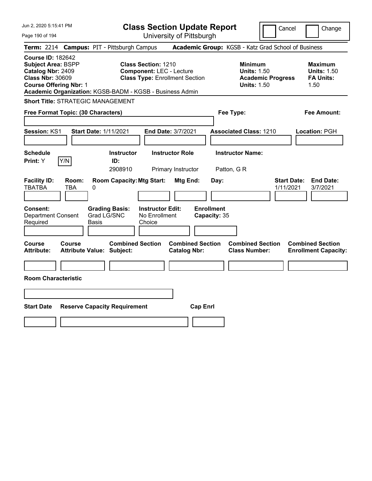| Jun 2, 2020 5:15:41 PM                                                                                                                 | <b>Class Section Update Report</b>                                                                                                                                 | Cancel                                                                                 | Change                                                           |
|----------------------------------------------------------------------------------------------------------------------------------------|--------------------------------------------------------------------------------------------------------------------------------------------------------------------|----------------------------------------------------------------------------------------|------------------------------------------------------------------|
| Page 190 of 194                                                                                                                        | University of Pittsburgh                                                                                                                                           |                                                                                        |                                                                  |
| <b>Term: 2214</b>                                                                                                                      | <b>Campus: PIT - Pittsburgh Campus</b>                                                                                                                             | Academic Group: KGSB - Katz Grad School of Business                                    |                                                                  |
| <b>Course ID: 182642</b><br><b>Subject Area: BSPP</b><br>Catalog Nbr: 2409<br><b>Class Nbr: 30609</b><br><b>Course Offering Nbr: 1</b> | <b>Class Section: 1210</b><br><b>Component: LEC - Lecture</b><br><b>Class Type: Enrollment Section</b><br>Academic Organization: KGSB-BADM - KGSB - Business Admin | <b>Minimum</b><br><b>Units: 1.50</b><br><b>Academic Progress</b><br><b>Units: 1.50</b> | <b>Maximum</b><br><b>Units: 1.50</b><br><b>FA Units:</b><br>1.50 |
| <b>Short Title: STRATEGIC MANAGEMENT</b>                                                                                               |                                                                                                                                                                    |                                                                                        |                                                                  |
| Free Format Topic: (30 Characters)                                                                                                     |                                                                                                                                                                    | Fee Type:                                                                              | Fee Amount:                                                      |
| Session: KS1                                                                                                                           | <b>Start Date: 1/11/2021</b><br>End Date: 3/7/2021                                                                                                                 | <b>Associated Class: 1210</b>                                                          | Location: PGH                                                    |
| <b>Schedule</b><br>Y/N<br>Print: Y                                                                                                     | <b>Instructor</b><br><b>Instructor Role</b><br>ID:<br>2908910<br>Primary Instructor                                                                                | <b>Instructor Name:</b><br>Patton, G R                                                 |                                                                  |
| <b>Facility ID:</b><br>Room:<br><b>TBATBA</b><br><b>TBA</b><br>0                                                                       | <b>Room Capacity: Mtg Start:</b><br>Mtg End:                                                                                                                       | Day:<br>1/11/2021                                                                      | <b>Start Date:</b><br><b>End Date:</b><br>3/7/2021               |
| <b>Consent:</b><br><b>Department Consent</b><br>Required<br>Basis                                                                      | <b>Instructor Edit:</b><br><b>Grading Basis:</b><br>Grad LG/SNC<br>No Enrollment<br>Choice                                                                         | <b>Enrollment</b><br>Capacity: 35                                                      |                                                                  |
| <b>Course</b><br><b>Course</b><br><b>Attribute:</b><br><b>Attribute Value: Subject:</b>                                                | <b>Combined Section</b><br><b>Combined Section</b><br><b>Catalog Nbr:</b>                                                                                          | <b>Combined Section</b><br><b>Class Number:</b>                                        | <b>Combined Section</b><br><b>Enrollment Capacity:</b>           |
| <b>Room Characteristic</b>                                                                                                             |                                                                                                                                                                    |                                                                                        |                                                                  |
|                                                                                                                                        |                                                                                                                                                                    |                                                                                        |                                                                  |
|                                                                                                                                        |                                                                                                                                                                    |                                                                                        |                                                                  |
| <b>Start Date</b>                                                                                                                      | <b>Reserve Capacity Requirement</b>                                                                                                                                | <b>Cap Enrl</b>                                                                        |                                                                  |
|                                                                                                                                        |                                                                                                                                                                    |                                                                                        |                                                                  |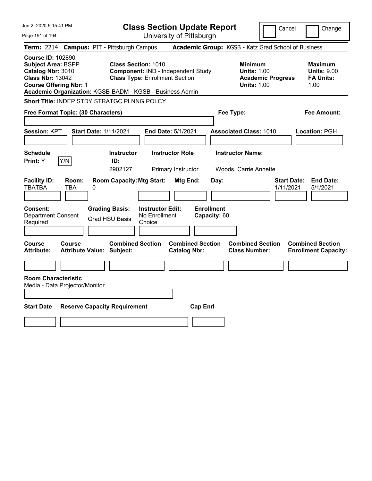| Jun 2, 2020 5:15:41 PM                                                                                                                                                                             |                                            |                                                                     |                                                    | <b>Class Section Update Report</b>             |                                   |                                                            | Cancel                   | Change                                                           |
|----------------------------------------------------------------------------------------------------------------------------------------------------------------------------------------------------|--------------------------------------------|---------------------------------------------------------------------|----------------------------------------------------|------------------------------------------------|-----------------------------------|------------------------------------------------------------|--------------------------|------------------------------------------------------------------|
| Page 191 of 194                                                                                                                                                                                    |                                            |                                                                     |                                                    | University of Pittsburgh                       |                                   |                                                            |                          |                                                                  |
| <b>Term: 2214</b>                                                                                                                                                                                  | <b>Campus: PIT - Pittsburgh Campus</b>     |                                                                     |                                                    |                                                |                                   |                                                            |                          | Academic Group: KGSB - Katz Grad School of Business              |
| <b>Course ID: 102890</b><br><b>Subject Area: BSPP</b><br>Catalog Nbr: 3010<br><b>Class Nbr: 13042</b><br><b>Course Offering Nbr: 1</b><br>Academic Organization: KGSB-BADM - KGSB - Business Admin |                                            | <b>Class Section: 1010</b><br><b>Class Type: Enrollment Section</b> |                                                    | Component: IND - Independent Study             |                                   | <b>Minimum</b><br><b>Units: 1.00</b><br><b>Units: 1.00</b> | <b>Academic Progress</b> | <b>Maximum</b><br><b>Units: 9.00</b><br><b>FA Units:</b><br>1.00 |
| <b>Short Title: INDEP STDY STRATGC PLNNG POLCY</b>                                                                                                                                                 |                                            |                                                                     |                                                    |                                                |                                   |                                                            |                          |                                                                  |
| Free Format Topic: (30 Characters)                                                                                                                                                                 |                                            |                                                                     |                                                    |                                                |                                   | Fee Type:                                                  |                          | Fee Amount:                                                      |
| <b>Session: KPT</b>                                                                                                                                                                                | <b>Start Date: 1/11/2021</b>               |                                                                     |                                                    | End Date: 5/1/2021                             |                                   | <b>Associated Class: 1010</b>                              |                          | Location: PGH                                                    |
| <b>Schedule</b><br>Y/N<br>Print: Y                                                                                                                                                                 |                                            | <b>Instructor</b><br>ID:<br>2902127                                 |                                                    | <b>Instructor Role</b><br>Primary Instructor   |                                   | <b>Instructor Name:</b><br>Woods, Carrie Annette           |                          |                                                                  |
| <b>Facility ID:</b><br><b>TBATBA</b>                                                                                                                                                               | Room:<br>TBA<br>0                          | <b>Room Capacity: Mtg Start:</b>                                    |                                                    | Mtg End:                                       | Day:                              |                                                            |                          | <b>End Date:</b><br><b>Start Date:</b><br>5/1/2021<br>1/11/2021  |
| Consent:<br><b>Department Consent</b><br>Required                                                                                                                                                  |                                            | <b>Grading Basis:</b><br><b>Grad HSU Basis</b>                      | <b>Instructor Edit:</b><br>No Enrollment<br>Choice |                                                | <b>Enrollment</b><br>Capacity: 60 |                                                            |                          |                                                                  |
| Course<br>Attribute:                                                                                                                                                                               | <b>Course</b><br>Attribute Value: Subject: | <b>Combined Section</b>                                             |                                                    | <b>Combined Section</b><br><b>Catalog Nbr:</b> |                                   | <b>Combined Section</b><br><b>Class Number:</b>            |                          | <b>Combined Section</b><br><b>Enrollment Capacity:</b>           |
| <b>Room Characteristic</b><br>Media - Data Projector/Monitor                                                                                                                                       |                                            |                                                                     |                                                    |                                                |                                   |                                                            |                          |                                                                  |
| <b>Start Date</b>                                                                                                                                                                                  | <b>Reserve Capacity Requirement</b>        |                                                                     |                                                    | <b>Cap Enrl</b>                                |                                   |                                                            |                          |                                                                  |
|                                                                                                                                                                                                    |                                            |                                                                     |                                                    |                                                |                                   |                                                            |                          |                                                                  |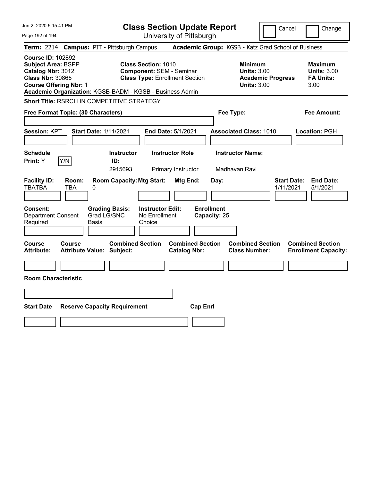| Jun 2, 2020 5:15:41 PM                                                                                                                                                                             |                                                             | <b>Class Section Update Report</b>                                                                     |                                   |                                                                                        | Cancel<br>Change                                                 |
|----------------------------------------------------------------------------------------------------------------------------------------------------------------------------------------------------|-------------------------------------------------------------|--------------------------------------------------------------------------------------------------------|-----------------------------------|----------------------------------------------------------------------------------------|------------------------------------------------------------------|
| Page 192 of 194                                                                                                                                                                                    |                                                             | University of Pittsburgh                                                                               |                                   |                                                                                        |                                                                  |
| Term: 2214 Campus: PIT - Pittsburgh Campus                                                                                                                                                         |                                                             |                                                                                                        |                                   | Academic Group: KGSB - Katz Grad School of Business                                    |                                                                  |
| <b>Course ID: 102892</b><br><b>Subject Area: BSPP</b><br>Catalog Nbr: 3012<br><b>Class Nbr: 30865</b><br><b>Course Offering Nbr: 1</b><br>Academic Organization: KGSB-BADM - KGSB - Business Admin |                                                             | <b>Class Section: 1010</b><br><b>Component: SEM - Seminar</b><br><b>Class Type: Enrollment Section</b> |                                   | <b>Minimum</b><br><b>Units: 3.00</b><br><b>Academic Progress</b><br><b>Units: 3.00</b> | <b>Maximum</b><br><b>Units: 3.00</b><br><b>FA Units:</b><br>3.00 |
| Short Title: RSRCH IN COMPETITIVE STRATEGY                                                                                                                                                         |                                                             |                                                                                                        |                                   |                                                                                        |                                                                  |
| Free Format Topic: (30 Characters)                                                                                                                                                                 |                                                             |                                                                                                        |                                   | Fee Type:                                                                              | Fee Amount:                                                      |
| Session: KPT                                                                                                                                                                                       | <b>Start Date: 1/11/2021</b>                                | End Date: 5/1/2021                                                                                     |                                   | <b>Associated Class: 1010</b>                                                          | Location: PGH                                                    |
| <b>Schedule</b><br>Y/N<br>Print: Y                                                                                                                                                                 | <b>Instructor</b><br>ID:<br>2915693                         | <b>Instructor Role</b><br>Primary Instructor                                                           |                                   | <b>Instructor Name:</b><br>Madhavan, Ravi                                              |                                                                  |
| <b>Facility ID:</b><br>Room:<br><b>TBATBA</b><br>TBA                                                                                                                                               | <b>Room Capacity: Mtg Start:</b><br>0                       | Mtg End:                                                                                               | Day:                              |                                                                                        | <b>Start Date:</b><br><b>End Date:</b><br>1/11/2021<br>5/1/2021  |
| Consent:<br><b>Department Consent</b><br>Required                                                                                                                                                  | <b>Grading Basis:</b><br>Grad LG/SNC<br>Basis               | <b>Instructor Edit:</b><br>No Enrollment<br>Choice                                                     | <b>Enrollment</b><br>Capacity: 25 |                                                                                        |                                                                  |
| Course<br><b>Course</b><br><b>Attribute:</b>                                                                                                                                                       | <b>Combined Section</b><br><b>Attribute Value: Subject:</b> | <b>Catalog Nbr:</b>                                                                                    | <b>Combined Section</b>           | <b>Combined Section</b><br><b>Class Number:</b>                                        | <b>Combined Section</b><br><b>Enrollment Capacity:</b>           |
|                                                                                                                                                                                                    |                                                             |                                                                                                        |                                   |                                                                                        |                                                                  |
| <b>Room Characteristic</b>                                                                                                                                                                         |                                                             |                                                                                                        |                                   |                                                                                        |                                                                  |
|                                                                                                                                                                                                    |                                                             |                                                                                                        |                                   |                                                                                        |                                                                  |
| <b>Start Date</b><br><b>Reserve Capacity Requirement</b><br><b>Cap Enrl</b>                                                                                                                        |                                                             |                                                                                                        |                                   |                                                                                        |                                                                  |
|                                                                                                                                                                                                    |                                                             |                                                                                                        |                                   |                                                                                        |                                                                  |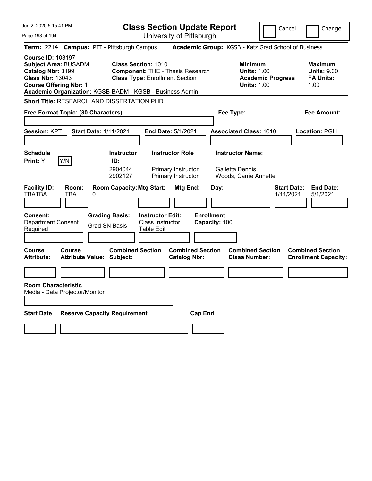| Jun 2, 2020 5:15:41 PM                                                                                                                   |              |                                                             |                                                                     | <b>Class Section Update Report</b>                                 |                                    |                                                                                        | Cancel                          | Change                                                           |
|------------------------------------------------------------------------------------------------------------------------------------------|--------------|-------------------------------------------------------------|---------------------------------------------------------------------|--------------------------------------------------------------------|------------------------------------|----------------------------------------------------------------------------------------|---------------------------------|------------------------------------------------------------------|
| Page 193 of 194                                                                                                                          |              |                                                             |                                                                     | University of Pittsburgh                                           |                                    |                                                                                        |                                 |                                                                  |
| <b>Term: 2214</b>                                                                                                                        |              | <b>Campus: PIT - Pittsburgh Campus</b>                      |                                                                     | Academic Group: KGSB - Katz Grad School of Business                |                                    |                                                                                        |                                 |                                                                  |
| <b>Course ID: 103197</b><br><b>Subject Area: BUSADM</b><br>Catalog Nbr: 3199<br><b>Class Nbr: 13043</b><br><b>Course Offering Nbr: 1</b> |              | Academic Organization: KGSB-BADM - KGSB - Business Admin    | <b>Class Section: 1010</b><br><b>Class Type: Enrollment Section</b> | <b>Component: THE - Thesis Research</b>                            |                                    | <b>Minimum</b><br><b>Units: 1.00</b><br><b>Academic Progress</b><br><b>Units: 1.00</b> |                                 | <b>Maximum</b><br><b>Units: 9.00</b><br><b>FA Units:</b><br>1.00 |
|                                                                                                                                          |              | <b>Short Title: RESEARCH AND DISSERTATION PHD</b>           |                                                                     |                                                                    |                                    |                                                                                        |                                 |                                                                  |
| Free Format Topic: (30 Characters)                                                                                                       |              |                                                             |                                                                     |                                                                    | Fee Type:                          |                                                                                        |                                 | Fee Amount:                                                      |
| <b>Session: KPT</b>                                                                                                                      |              | <b>Start Date: 1/11/2021</b>                                |                                                                     | End Date: 5/1/2021                                                 |                                    | <b>Associated Class: 1010</b>                                                          |                                 | Location: PGH                                                    |
| <b>Schedule</b><br>Print: Y                                                                                                              | Y/N          | <b>Instructor</b><br>ID:<br>2904044<br>2902127              |                                                                     | <b>Instructor Role</b><br>Primary Instructor<br>Primary Instructor |                                    | <b>Instructor Name:</b><br>Galletta, Dennis<br>Woods, Carrie Annette                   |                                 |                                                                  |
| <b>Facility ID:</b><br><b>TBATBA</b>                                                                                                     | Room:<br>TBA | <b>Room Capacity: Mtg Start:</b><br>0                       |                                                                     | Mtg End:                                                           | Day:                               |                                                                                        | <b>Start Date:</b><br>1/11/2021 | <b>End Date:</b><br>5/1/2021                                     |
| Consent:<br><b>Department Consent</b><br>Required                                                                                        |              | <b>Grading Basis:</b><br><b>Grad SN Basis</b>               | <b>Instructor Edit:</b><br><b>Class Instructor</b><br>Table Edit    |                                                                    | <b>Enrollment</b><br>Capacity: 100 |                                                                                        |                                 |                                                                  |
| <b>Course</b><br><b>Attribute:</b>                                                                                                       | Course       | <b>Combined Section</b><br><b>Attribute Value: Subject:</b> |                                                                     | <b>Combined Section</b><br><b>Catalog Nbr:</b>                     |                                    | <b>Combined Section</b><br><b>Class Number:</b>                                        |                                 | <b>Combined Section</b><br><b>Enrollment Capacity:</b>           |
|                                                                                                                                          |              |                                                             |                                                                     |                                                                    |                                    |                                                                                        |                                 |                                                                  |
| <b>Room Characteristic</b><br>Media - Data Projector/Monitor                                                                             |              |                                                             |                                                                     |                                                                    |                                    |                                                                                        |                                 |                                                                  |
| <b>Start Date</b>                                                                                                                        |              | <b>Reserve Capacity Requirement</b>                         |                                                                     | <b>Cap Enrl</b>                                                    |                                    |                                                                                        |                                 |                                                                  |
|                                                                                                                                          |              |                                                             |                                                                     |                                                                    |                                    |                                                                                        |                                 |                                                                  |